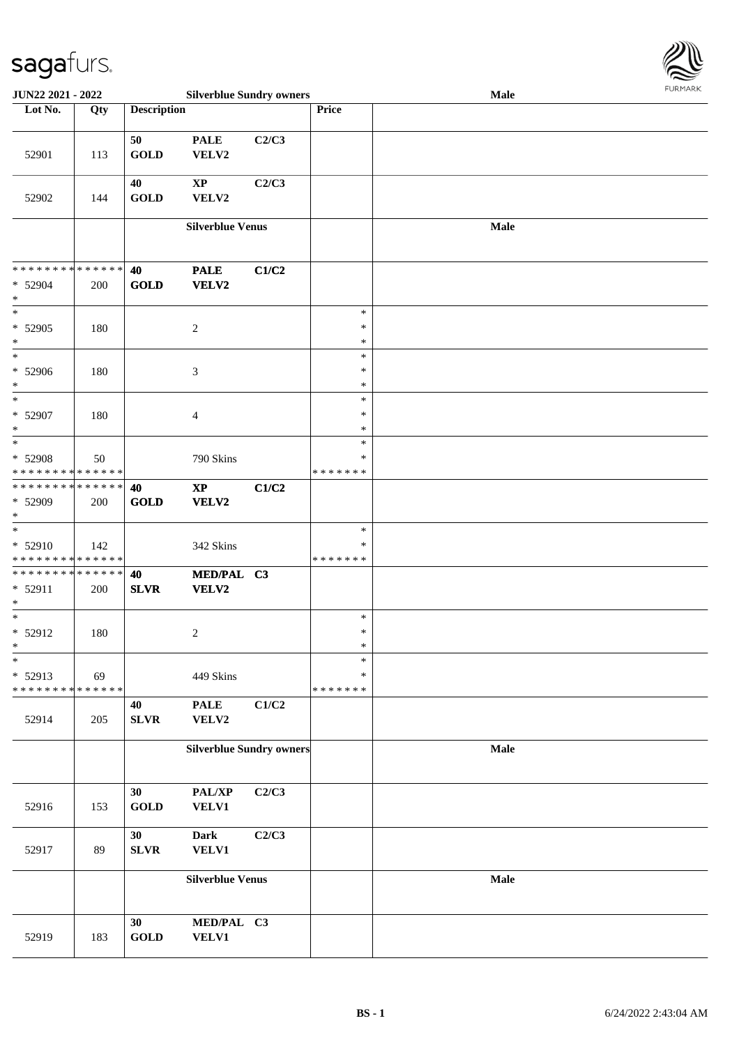

| <b>JUN22 2021 - 2022</b>                   |     |                    | <b>Silverblue Sundry owners</b> |       |                  | Male        |  |  |  |
|--------------------------------------------|-----|--------------------|---------------------------------|-------|------------------|-------------|--|--|--|
| Lot No.                                    | Qty | <b>Description</b> |                                 |       | Price            |             |  |  |  |
|                                            |     |                    |                                 |       |                  |             |  |  |  |
| 52901                                      | 113 | 50<br><b>GOLD</b>  | <b>PALE</b><br>VELV2            | C2/C3 |                  |             |  |  |  |
|                                            |     | 40                 | $\bold{XP}$                     | C2/C3 |                  |             |  |  |  |
| 52902                                      | 144 | <b>GOLD</b>        | ${\bf VELV2}$                   |       |                  |             |  |  |  |
|                                            |     |                    | <b>Silverblue Venus</b>         |       |                  | Male        |  |  |  |
|                                            |     |                    |                                 |       |                  |             |  |  |  |
| **************                             |     | 40                 | <b>PALE</b>                     | C1/C2 |                  |             |  |  |  |
| $* 52904$<br>$\ast$                        | 200 | GOLD               | <b>VELV2</b>                    |       |                  |             |  |  |  |
| $\overline{\ast}$                          |     |                    |                                 |       | $\ast$           |             |  |  |  |
| $* 52905$                                  | 180 |                    | $\overline{c}$                  |       | $\ast$           |             |  |  |  |
| $\ast$<br>$*$                              |     |                    |                                 |       | $\ast$<br>$\ast$ |             |  |  |  |
| $* 52906$<br>$\ast$                        | 180 |                    | 3                               |       | $\ast$<br>$\ast$ |             |  |  |  |
| $\overline{\ast}$                          |     |                    |                                 |       | $\ast$           |             |  |  |  |
| * 52907                                    | 180 |                    | $\overline{4}$                  |       | *                |             |  |  |  |
| $\ast$                                     |     |                    |                                 |       | $\ast$           |             |  |  |  |
| $\ast$                                     |     |                    |                                 |       | $\ast$           |             |  |  |  |
| * 52908                                    | 50  |                    | 790 Skins                       |       | ∗                |             |  |  |  |
| * * * * * * * * <mark>* * * * * * *</mark> |     |                    |                                 |       | * * * * * * *    |             |  |  |  |
| * * * * * * * * <mark>* * * * * * *</mark> |     | 40                 | $\mathbf{X}\mathbf{P}$          | C1/C2 |                  |             |  |  |  |
| * 52909<br>$\ast$                          | 200 | <b>GOLD</b>        | <b>VELV2</b>                    |       |                  |             |  |  |  |
| $\overline{\ast}$                          |     |                    |                                 |       | $\ast$           |             |  |  |  |
| $* 52910$                                  | 142 |                    | 342 Skins                       |       | ∗                |             |  |  |  |
| * * * * * * * * <mark>* * * * * *</mark>   |     |                    |                                 |       | * * * * * * *    |             |  |  |  |
| * * * * * * * * <mark>* * * * * * *</mark> |     | 40                 | MED/PAL C3                      |       |                  |             |  |  |  |
| $* 52911$<br>$*$                           | 200 | <b>SLVR</b>        | <b>VELV2</b>                    |       |                  |             |  |  |  |
| $\ddot{x}$                                 |     |                    |                                 |       | $\ast$           |             |  |  |  |
| $* 52912$                                  | 180 |                    | $\overline{c}$                  |       | $\ast$           |             |  |  |  |
| $\ddot{x}$                                 |     |                    |                                 |       | $\ast$           |             |  |  |  |
| $\ast$                                     |     |                    |                                 |       | $\ast$           |             |  |  |  |
| * 52913                                    | 69  |                    | 449 Skins                       |       | ∗                |             |  |  |  |
| * * * * * * * * <mark>* * * * * * *</mark> |     |                    |                                 | C1/C2 | * * * * * * *    |             |  |  |  |
| 52914                                      | 205 | 40<br>SLVR         | <b>PALE</b><br>VELV2            |       |                  |             |  |  |  |
|                                            |     |                    | <b>Silverblue Sundry owners</b> |       |                  | <b>Male</b> |  |  |  |
|                                            |     |                    |                                 |       |                  |             |  |  |  |
|                                            |     | 30                 | $\mathbf{PAL}/\mathbf{XP}$      | C2/C3 |                  |             |  |  |  |
| 52916                                      | 153 | <b>GOLD</b>        | <b>VELV1</b>                    |       |                  |             |  |  |  |
|                                            |     |                    |                                 |       |                  |             |  |  |  |
|                                            |     | 30                 | <b>Dark</b>                     | C2/C3 |                  |             |  |  |  |
| 52917                                      | 89  | ${\bf SLVR}$       | <b>VELV1</b>                    |       |                  |             |  |  |  |
|                                            |     |                    | <b>Silverblue Venus</b>         |       |                  | Male        |  |  |  |
|                                            |     |                    |                                 |       |                  |             |  |  |  |
|                                            |     | 30                 | MED/PAL C3                      |       |                  |             |  |  |  |
| 52919                                      | 183 | <b>GOLD</b>        | <b>VELV1</b>                    |       |                  |             |  |  |  |
|                                            |     |                    |                                 |       |                  |             |  |  |  |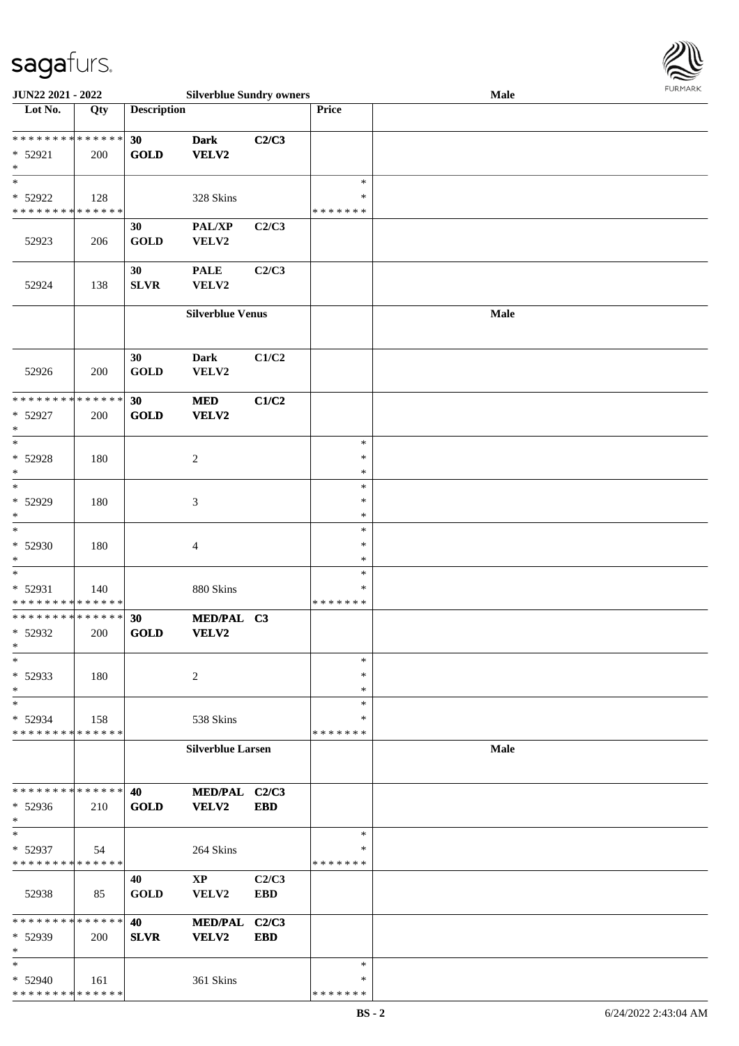

| JUN22 2021 - 2022           |     |                    | <b>Silverblue Sundry owners</b> |            |               | <b>Male</b> |
|-----------------------------|-----|--------------------|---------------------------------|------------|---------------|-------------|
| Lot No.                     | Qty | <b>Description</b> |                                 |            | Price         |             |
|                             |     |                    |                                 |            |               |             |
| **************              |     | 30                 | <b>Dark</b>                     | C2/C3      |               |             |
| * 52921                     | 200 | <b>GOLD</b>        | VELV2                           |            |               |             |
| $\ast$                      |     |                    |                                 |            |               |             |
| $\ast$                      |     |                    |                                 |            | $\ast$        |             |
| * 52922                     | 128 |                    | 328 Skins                       |            | ∗             |             |
| * * * * * * * * * * * * * * |     |                    |                                 |            | * * * * * * * |             |
|                             |     |                    |                                 |            |               |             |
|                             |     | 30                 | PAL/XP                          | C2/C3      |               |             |
| 52923                       | 206 | <b>GOLD</b>        | VELV2                           |            |               |             |
|                             |     |                    |                                 |            |               |             |
|                             |     | 30                 | <b>PALE</b>                     | C2/C3      |               |             |
| 52924                       | 138 | ${\bf SLVR}$       | VELV2                           |            |               |             |
|                             |     |                    |                                 |            |               |             |
|                             |     |                    | <b>Silverblue Venus</b>         |            |               | Male        |
|                             |     |                    |                                 |            |               |             |
|                             |     |                    |                                 |            |               |             |
|                             |     | 30                 | <b>Dark</b>                     | C1/C2      |               |             |
| 52926                       | 200 | <b>GOLD</b>        | VELV2                           |            |               |             |
|                             |     |                    |                                 |            |               |             |
| * * * * * * * * * * * * * * |     |                    |                                 |            |               |             |
|                             |     | 30                 | <b>MED</b>                      | C1/C2      |               |             |
| * 52927                     | 200 | <b>GOLD</b>        | VELV2                           |            |               |             |
| $\ast$                      |     |                    |                                 |            |               |             |
| $\ast$                      |     |                    |                                 |            | $\ast$        |             |
| * 52928                     | 180 |                    | $\overline{2}$                  |            | $\ast$        |             |
| $\ast$                      |     |                    |                                 |            | $\ast$        |             |
| $\ast$                      |     |                    |                                 |            | $\ast$        |             |
| * 52929                     | 180 |                    | 3                               |            | $\ast$        |             |
| $\ast$                      |     |                    |                                 |            | $\ast$        |             |
| $\ast$                      |     |                    |                                 |            | $\ast$        |             |
| $* 52930$                   | 180 |                    | 4                               |            | $\ast$        |             |
| $\ast$                      |     |                    |                                 |            | $\ast$        |             |
| $\ast$                      |     |                    |                                 |            | $\ast$        |             |
|                             |     |                    |                                 |            | $\ast$        |             |
| * 52931                     | 140 |                    | 880 Skins                       |            | * * * * * * * |             |
| * * * * * * * * * * * * * * |     |                    |                                 |            |               |             |
| **************              |     | 30                 | MED/PAL C3                      |            |               |             |
| * 52932                     | 200 | <b>GOLD</b>        | VELV2                           |            |               |             |
| $\ast$                      |     |                    |                                 |            |               |             |
| $\ast$                      |     |                    |                                 |            | $\ast$        |             |
| * 52933                     | 180 |                    | 2                               |            | ∗             |             |
| $\ast$                      |     |                    |                                 |            | ∗             |             |
| $\ast$                      |     |                    |                                 |            | $\ast$        |             |
| * 52934                     | 158 |                    | 538 Skins                       |            | ∗             |             |
| * * * * * * * * * * * * * * |     |                    |                                 |            | * * * * * * * |             |
|                             |     |                    | <b>Silverblue Larsen</b>        |            |               | <b>Male</b> |
|                             |     |                    |                                 |            |               |             |
|                             |     |                    |                                 |            |               |             |
| * * * * * * * * * * * * * * |     | 40                 | MED/PAL C2/C3                   |            |               |             |
| $* 52936$                   | 210 | <b>GOLD</b>        | VELV2                           | <b>EBD</b> |               |             |
| $\ast$                      |     |                    |                                 |            |               |             |
| $\ast$                      |     |                    |                                 |            | $\ast$        |             |
|                             |     |                    |                                 |            | $\ast$        |             |
| * 52937                     | 54  |                    | 264 Skins                       |            |               |             |
| * * * * * * * * * * * * * * |     |                    |                                 |            | * * * * * * * |             |
|                             |     | 40                 | $\bold{XP}$                     | C2/C3      |               |             |
| 52938                       | 85  | <b>GOLD</b>        | VELV2                           | <b>EBD</b> |               |             |
|                             |     |                    |                                 |            |               |             |
| * * * * * * * * * * * * * * |     | 40                 | <b>MED/PAL</b>                  | C2/C3      |               |             |
| * 52939                     | 200 | <b>SLVR</b>        | VELV2                           | <b>EBD</b> |               |             |
| $\ast$                      |     |                    |                                 |            |               |             |
| $\ast$                      |     |                    |                                 |            | $\ast$        |             |
| * 52940                     | 161 |                    | 361 Skins                       |            | ∗             |             |
| * * * * * * * * * * * * * * |     |                    |                                 |            | * * * * * * * |             |
|                             |     |                    |                                 |            |               |             |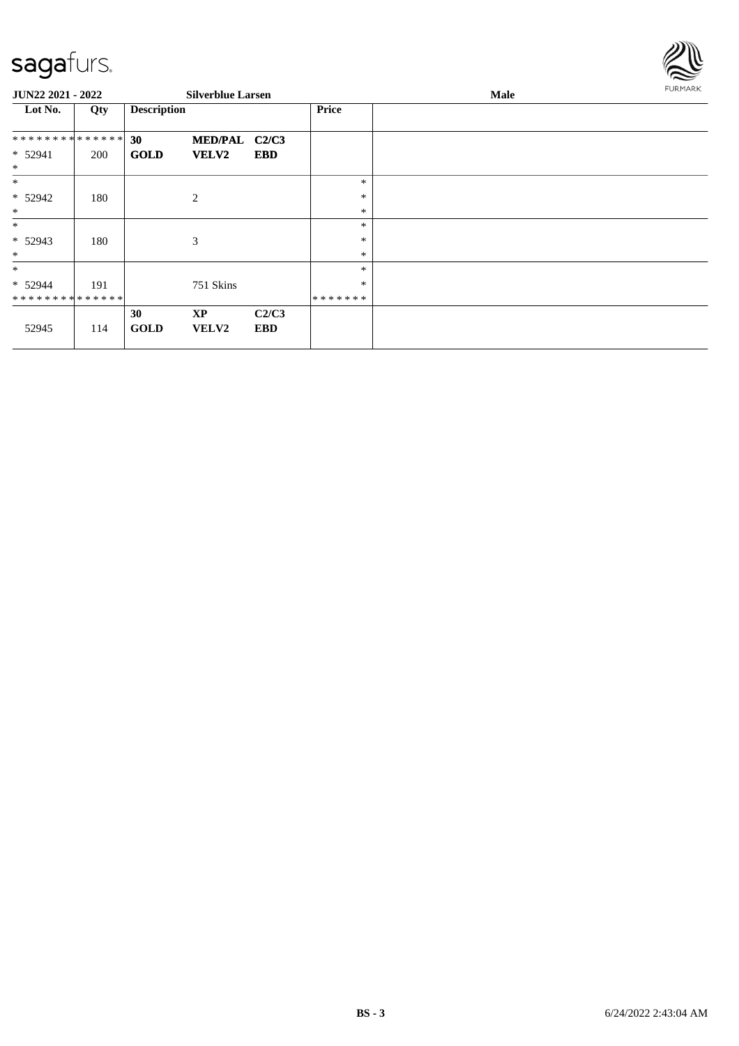

| <b>JUN22 2021 - 2022</b>    |     |                    | <b>Silverblue Larsen</b> |                     |                   | Male | FURMARK |
|-----------------------------|-----|--------------------|--------------------------|---------------------|-------------------|------|---------|
| Lot No.                     | Qty | <b>Description</b> |                          |                     | <b>Price</b>      |      |         |
| **************              |     | 30                 | MED/PAL C2/C3            |                     |                   |      |         |
| * 52941<br>$\ast$           | 200 | <b>GOLD</b>        | <b>VELV2</b>             | <b>EBD</b>          |                   |      |         |
| $\ast$                      |     |                    |                          |                     | $\ast$            |      |         |
| * 52942<br>$\ast$           | 180 |                    | 2                        |                     | ∗<br>$\ast$       |      |         |
| $\ast$                      |     |                    |                          |                     | $\ast$            |      |         |
| $* 52943$<br>$\ast$         | 180 |                    | 3                        |                     | $\ast$<br>$\ast$  |      |         |
| $\ast$                      |     |                    |                          |                     | $\ast$            |      |         |
| $* 52944$<br>************** | 191 |                    | 751 Skins                |                     | $\ast$<br>******* |      |         |
| 52945                       | 114 | 30<br><b>GOLD</b>  | <b>XP</b><br>VELV2       | C2/C3<br><b>EBD</b> |                   |      |         |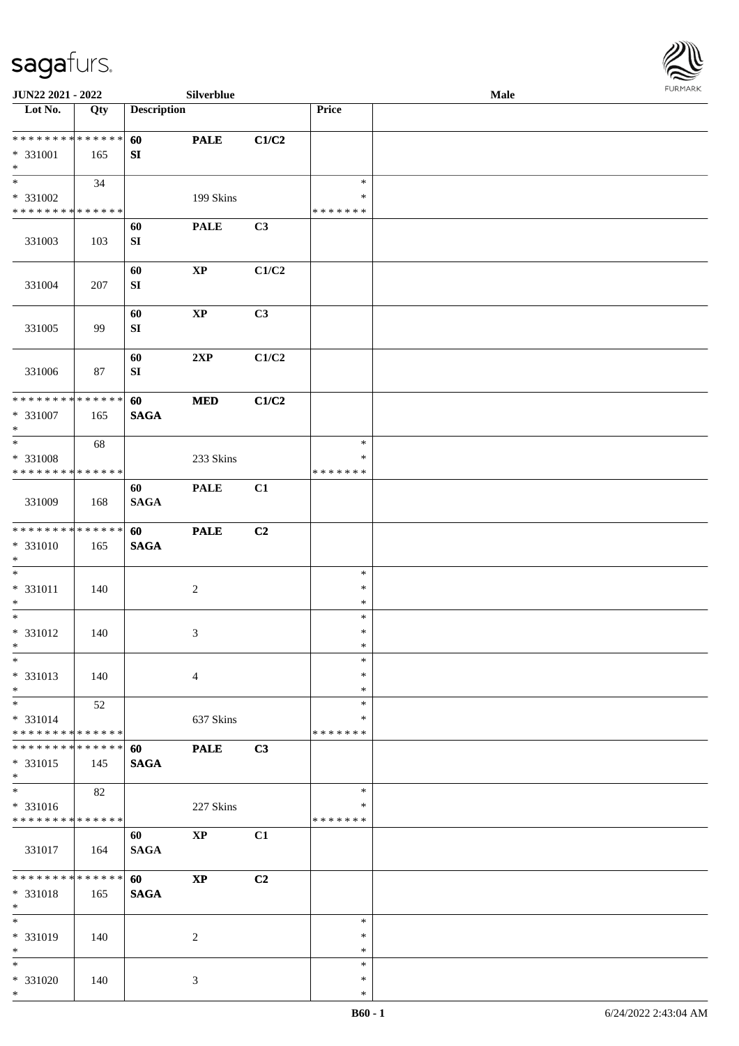

| JUN22 2021 - 2022                                                   |                   |                        | Silverblue             |       |                              | Male |  |
|---------------------------------------------------------------------|-------------------|------------------------|------------------------|-------|------------------------------|------|--|
| Lot No.                                                             | $\overline{Q}$ ty | <b>Description</b>     |                        |       | Price                        |      |  |
| * * * * * * * * * * * * * *<br>* 331001<br>$\ast$                   | 165               | 60<br>SI               | <b>PALE</b>            | C1/C2 |                              |      |  |
| $\overline{\phantom{0}}$<br>* 331002<br>* * * * * * * * * * * * * * | 34                |                        | 199 Skins              |       | $\ast$<br>∗<br>* * * * * * * |      |  |
| 331003                                                              | 103               | 60<br>${\bf S}{\bf I}$ | <b>PALE</b>            | C3    |                              |      |  |
| 331004                                                              | 207               | 60<br>${\bf S}{\bf I}$ | $\bold{XP}$            | C1/C2 |                              |      |  |
| 331005                                                              | 99                | 60<br>SI               | $\bold{XP}$            | C3    |                              |      |  |
| 331006                                                              | 87                | 60<br>${\bf SI}$       | 2XP                    | C1/C2 |                              |      |  |
| ******** <mark>******</mark><br>$* 331007$<br>$*$                   | 165               | 60<br><b>SAGA</b>      | $\bf MED$              | C1/C2 |                              |      |  |
| $\ast$<br>* 331008<br>* * * * * * * * * * * * * *                   | 68                |                        | 233 Skins              |       | $\ast$<br>∗<br>* * * * * * * |      |  |
| 331009                                                              | 168               | 60<br><b>SAGA</b>      | <b>PALE</b>            | C1    |                              |      |  |
| * * * * * * * * * * * * * *<br>* 331010<br>$*$                      | 165               | 60<br><b>SAGA</b>      | <b>PALE</b>            | C2    |                              |      |  |
| $\ast$<br>$* 331011$<br>$*$                                         | 140               |                        | $\boldsymbol{2}$       |       | $\ast$<br>$\ast$<br>$\ast$   |      |  |
| $*$<br>$* 331012$<br>$*$                                            | 140               |                        | 3                      |       | $\ast$<br>$\ast$<br>$\ast$   |      |  |
| $\ast$<br>* 331013<br>$*$                                           | 140               |                        | $\overline{4}$         |       | $\ast$<br>$\ast$<br>$\ast$   |      |  |
| $*$<br>* 331014<br>* * * * * * * * * * * * * *                      | 52                |                        | 637 Skins              |       | $\ast$<br>∗<br>* * * * * * * |      |  |
| * * * * * * * * * * * * * *<br>* 331015<br>$*$                      | 145               | 60<br><b>SAGA</b>      | <b>PALE</b>            | C3    |                              |      |  |
| $\overline{\phantom{0}}$<br>* 331016<br>* * * * * * * * * * * * * * | 82                |                        | 227 Skins              |       | $\ast$<br>∗<br>* * * * * * * |      |  |
| 331017                                                              | 164               | 60<br><b>SAGA</b>      | $\bold{XP}$            | C1    |                              |      |  |
| * * * * * * * * * * * * * *<br>$* 331018$<br>$\ast$                 | 165               | 60<br><b>SAGA</b>      | $\mathbf{X}\mathbf{P}$ | C2    |                              |      |  |
| $\ast$<br>* 331019<br>$\ast$                                        | 140               |                        | 2                      |       | $\ast$<br>∗<br>$\ast$        |      |  |
| $*$<br>* 331020<br>$\ast$                                           | 140               |                        | 3                      |       | $\ast$<br>$\ast$<br>$\ast$   |      |  |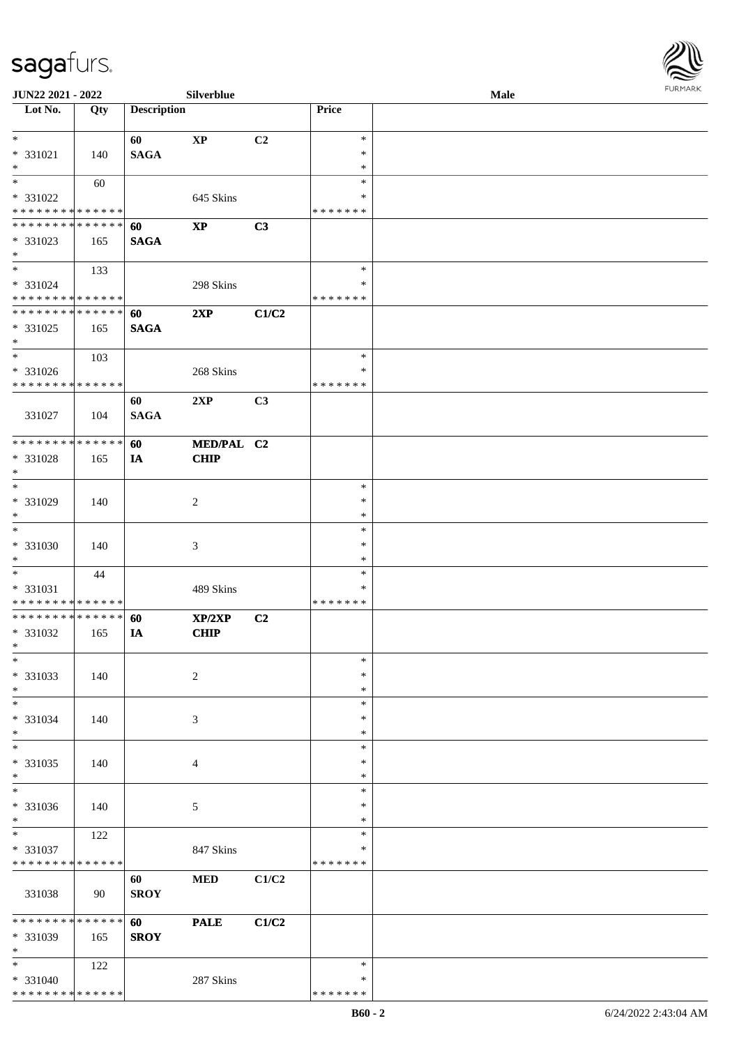

| <b>JUN22 2021 - 2022</b>                                   |     |                    | Silverblue                  |                |                                   | Male |  |
|------------------------------------------------------------|-----|--------------------|-----------------------------|----------------|-----------------------------------|------|--|
| Lot No.                                                    | Qty | <b>Description</b> |                             |                | Price                             |      |  |
| $*$<br>* 331021<br>$*$                                     | 140 | 60<br><b>SAGA</b>  | $\mathbf{XP}$               | C <sub>2</sub> | $\ast$<br>$\ast$<br>$\ast$        |      |  |
| * 331022<br>* * * * * * * * * * * * * *                    | 60  |                    | 645 Skins                   |                | $\ast$<br>∗<br>* * * * * * *      |      |  |
| * * * * * * * * * * * * * * *<br>* 331023<br>$*$           | 165 | 60<br><b>SAGA</b>  | $\bold{XP}$                 | C3             |                                   |      |  |
| $*$<br>* 331024<br>* * * * * * * * * * * * * *             | 133 |                    | 298 Skins                   |                | $\ast$<br>∗<br>* * * * * * *      |      |  |
| * * * * * * * * * * * * * *<br>* 331025<br>$*$             | 165 | 60<br><b>SAGA</b>  | 2XP                         | C1/C2          |                                   |      |  |
| $*$<br>* 331026<br>* * * * * * * * * * * * * *             | 103 |                    | 268 Skins                   |                | $\ast$<br>$\ast$<br>* * * * * * * |      |  |
| 331027                                                     | 104 | 60<br><b>SAGA</b>  | 2XP                         | C3             |                                   |      |  |
| * * * * * * * * * * * * * * *<br>* 331028<br>$*$           | 165 | 60<br>IA           | MED/PAL C2<br><b>CHIP</b>   |                |                                   |      |  |
| $*$<br>* 331029<br>$*$<br>$\overline{\ast}$                | 140 |                    | 2                           |                | $\ast$<br>$\ast$<br>*<br>$\ast$   |      |  |
| $* 331030$<br>$*$<br>$*$                                   | 140 |                    | $\ensuremath{\mathfrak{Z}}$ |                | $\ast$<br>$\ast$                  |      |  |
| $* 331031$<br>* * * * * * * * * * * * * *                  | 44  |                    | 489 Skins                   |                | $\ast$<br>∗<br>* * * * * * *      |      |  |
| * * * * * * * * * * * * * * *<br>* 331032<br>$*$<br>$\ast$ | 165 | 60<br>IA           | XP/2XP<br><b>CHIP</b>       | C2             | $\ast$                            |      |  |
| * 331033<br>$*$<br>$*$                                     | 140 |                    | $\overline{c}$              |                | $\ast$<br>$\ast$<br>$\ast$        |      |  |
| * 331034<br>$*$<br>$*$                                     | 140 |                    | 3                           |                | ∗<br>∗<br>$\ast$                  |      |  |
| * 331035<br>$*$<br>$*$                                     | 140 |                    | 4                           |                | $\ast$<br>$\ast$<br>$\ast$        |      |  |
| $* 331036$<br>$*$<br>$*$                                   | 140 |                    | 5                           |                | ∗<br>$\ast$<br>$\ast$             |      |  |
| * 331037<br>* * * * * * * * * * * * * *                    | 122 |                    | 847 Skins                   |                | ∗<br>* * * * * * *                |      |  |
| 331038                                                     | 90  | 60<br><b>SROY</b>  | <b>MED</b>                  | C1/C2          |                                   |      |  |
| ******** <mark>******</mark><br>* 331039<br>$*$            | 165 | 60<br><b>SROY</b>  | <b>PALE</b>                 | C1/C2          |                                   |      |  |
| $*$<br>* 331040<br>* * * * * * * * * * * * * *             | 122 |                    | 287 Skins                   |                | $\ast$<br>∗<br>* * * * * * *      |      |  |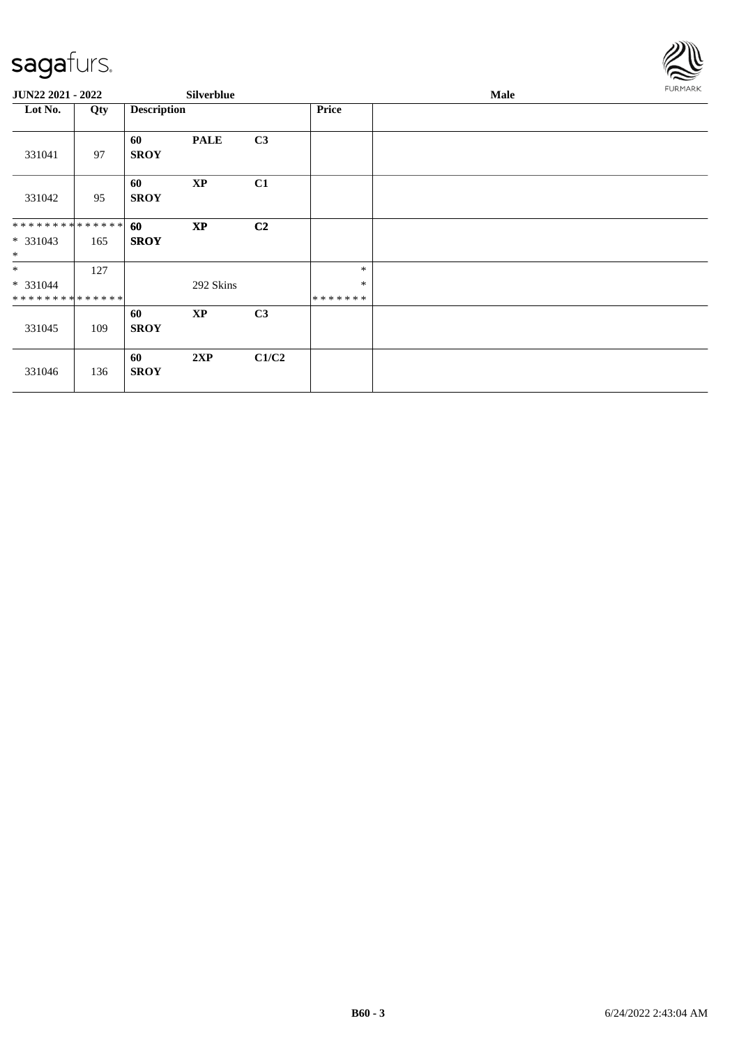

| JUN22 2021 - 2022             |     |                    | Silverblue  |                |              | <b>Male</b> | FURMARK |
|-------------------------------|-----|--------------------|-------------|----------------|--------------|-------------|---------|
| Lot No.                       | Qty | <b>Description</b> |             |                | <b>Price</b> |             |         |
| 331041                        | 97  | 60<br><b>SROY</b>  | <b>PALE</b> | C3             |              |             |         |
| 331042                        | 95  | 60<br><b>SROY</b>  | <b>XP</b>   | C1             |              |             |         |
| * * * * * * * * * * * * * * * |     | 60                 | <b>XP</b>   | C <sub>2</sub> |              |             |         |
| * 331043<br>$*$               | 165 | <b>SROY</b>        |             |                |              |             |         |
| $*$                           | 127 |                    |             |                | $\ast$       |             |         |
| * 331044                      |     |                    | 292 Skins   |                | $\ast$       |             |         |
| * * * * * * * * * * * * * *   |     |                    |             |                | *******      |             |         |
|                               |     | 60                 | <b>XP</b>   | C <sub>3</sub> |              |             |         |
| 331045                        | 109 | <b>SROY</b>        |             |                |              |             |         |
| 331046                        | 136 | 60<br><b>SROY</b>  | 2XP         | C1/C2          |              |             |         |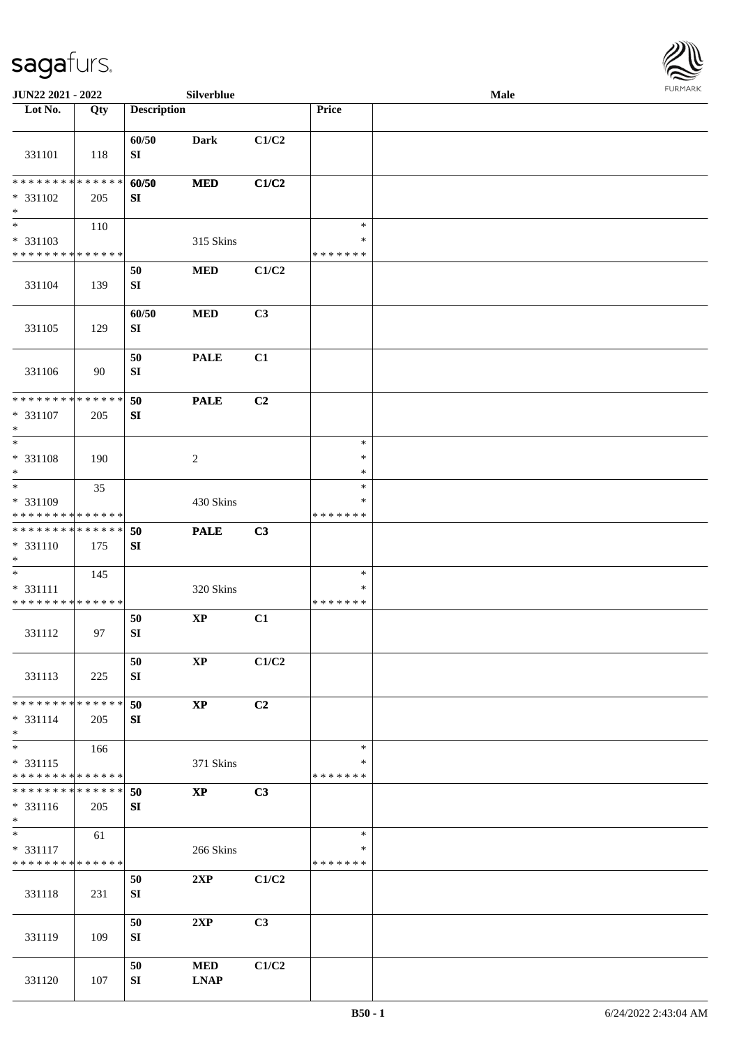

| JUN22 2021 - 2022                         |     |                     | Silverblue                |                |                         | <b>Male</b> |  |
|-------------------------------------------|-----|---------------------|---------------------------|----------------|-------------------------|-------------|--|
| Lot No.                                   | Qty | <b>Description</b>  |                           |                | Price                   |             |  |
| 331101                                    | 118 | 60/50<br>SI         | Dark                      | C1/C2          |                         |             |  |
| * * * * * * * * * * * * * *<br>$* 331102$ | 205 | 60/50<br>SI         | <b>MED</b>                | C1/C2          |                         |             |  |
| $\ast$                                    |     |                     |                           |                |                         |             |  |
| $\overline{\phantom{a}^*}$                | 110 |                     |                           |                | $\ast$                  |             |  |
| $* 331103$<br>* * * * * * * * * * * * * * |     |                     | 315 Skins                 |                | $\ast$<br>* * * * * * * |             |  |
|                                           |     | 50                  | <b>MED</b>                | C1/C2          |                         |             |  |
| 331104                                    | 139 | ${\bf S}{\bf I}$    |                           |                |                         |             |  |
| 331105                                    | 129 | 60/50<br>${\bf SI}$ | <b>MED</b>                | C3             |                         |             |  |
| 331106                                    | 90  | 50<br>${\bf SI}$    | <b>PALE</b>               | C1             |                         |             |  |
| ******** <mark>******</mark>              |     | 50                  | <b>PALE</b>               | C2             |                         |             |  |
| $* 331107$<br>$\ast$                      | 205 | ${\bf S}{\bf I}$    |                           |                |                         |             |  |
| $\ast$                                    |     |                     |                           |                | $\ast$<br>$\ast$        |             |  |
| * 331108<br>$\ast$                        | 190 |                     | $\sqrt{2}$                |                | $\ast$                  |             |  |
| $\overline{\ast}$                         | 35  |                     |                           |                | $\ast$                  |             |  |
| * 331109                                  |     |                     | 430 Skins                 |                | $\ast$                  |             |  |
| * * * * * * * * * * * * * *               |     |                     |                           |                | * * * * * * *           |             |  |
| **************<br>* 331110<br>$\ast$      | 175 | 50<br>SI            | <b>PALE</b>               | C3             |                         |             |  |
| $\ast$                                    | 145 |                     |                           |                | $\ast$                  |             |  |
| * 331111<br>**************                |     |                     | 320 Skins                 |                | $\ast$<br>* * * * * * * |             |  |
| 331112                                    | 97  | 50<br>${\bf SI}$    | $\bold{XP}$               | C1             |                         |             |  |
| 331113                                    | 225 | 50<br>SI            | $\mathbf{XP}$             | C1/C2          |                         |             |  |
| * * * * * * * * * * * * * *               |     | 50                  | $\bold{XP}$               | C <sub>2</sub> |                         |             |  |
| $* 331114$                                | 205 | SI                  |                           |                |                         |             |  |
| $\ast$<br>$_{\ast}$                       | 166 |                     |                           |                | $\ast$                  |             |  |
| $* 331115$                                |     |                     | 371 Skins                 |                | ∗                       |             |  |
| * * * * * * * * * * * * * *               |     |                     |                           |                | * * * * * * *           |             |  |
| * * * * * * * * * * * * * *               |     | 50                  | $\mathbf{XP}$             | C3             |                         |             |  |
| $* 331116$<br>$*$                         | 205 | SI                  |                           |                |                         |             |  |
| $\overline{\ast}$                         | 61  |                     |                           |                | $\ast$                  |             |  |
| $* 331117$<br>* * * * * * * * * * * * * * |     |                     | 266 Skins                 |                | ∗<br>* * * * * * *      |             |  |
|                                           |     | 50                  | 2XP                       | C1/C2          |                         |             |  |
| 331118                                    | 231 | SI                  |                           |                |                         |             |  |
| 331119                                    | 109 | 50<br>${\bf SI}$    | 2XP                       | C3             |                         |             |  |
| 331120                                    | 107 | 50<br>SI            | <b>MED</b><br><b>LNAP</b> | C1/C2          |                         |             |  |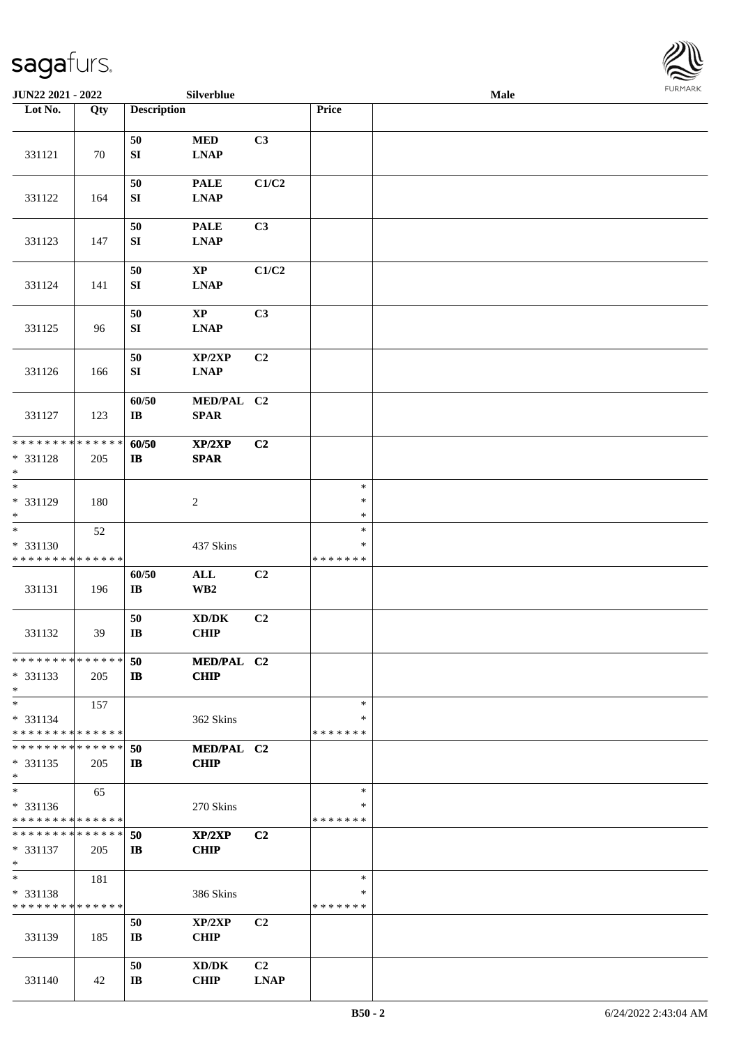

| JUN22 2021 - 2022                       |        |                        | Silverblue                                 |                |                    | Male |  |
|-----------------------------------------|--------|------------------------|--------------------------------------------|----------------|--------------------|------|--|
| Lot No.                                 | Qty    | <b>Description</b>     |                                            |                | Price              |      |  |
|                                         |        |                        |                                            |                |                    |      |  |
|                                         |        | 50                     | $\bf MED$                                  | C3             |                    |      |  |
| 331121                                  | 70     | ${\bf SI}$             | $\mathbf{L}\mathbf{N}\mathbf{A}\mathbf{P}$ |                |                    |      |  |
|                                         |        |                        |                                            |                |                    |      |  |
|                                         |        | 50                     | <b>PALE</b>                                | C1/C2          |                    |      |  |
| 331122                                  | 164    | SI                     | <b>LNAP</b>                                |                |                    |      |  |
|                                         |        |                        |                                            |                |                    |      |  |
|                                         |        | $50\,$                 | <b>PALE</b>                                | C3             |                    |      |  |
| 331123                                  | 147    | SI                     | <b>LNAP</b>                                |                |                    |      |  |
|                                         |        |                        |                                            |                |                    |      |  |
|                                         |        | 50                     | $\bold{XP}$                                | C1/C2          |                    |      |  |
| 331124                                  | 141    | ${\bf S}{\bf I}$       | $\mathbf{L}\mathbf{N}\mathbf{A}\mathbf{P}$ |                |                    |      |  |
|                                         |        |                        |                                            |                |                    |      |  |
|                                         |        | 50                     | $\bold{XP}$                                | C3             |                    |      |  |
| 331125                                  | 96     | SI                     | <b>LNAP</b>                                |                |                    |      |  |
|                                         |        |                        |                                            |                |                    |      |  |
|                                         |        | 50                     | XP/2XP                                     | C2             |                    |      |  |
| 331126                                  | 166    | ${\bf S}{\bf I}$       | <b>LNAP</b>                                |                |                    |      |  |
|                                         |        |                        |                                            |                |                    |      |  |
|                                         |        | 60/50                  | MED/PAL C2                                 |                |                    |      |  |
| 331127                                  | 123    | $\bf I\bf B$           | <b>SPAR</b>                                |                |                    |      |  |
|                                         |        |                        |                                            |                |                    |      |  |
| * * * * * * * *                         | ****** | 60/50                  | XP/2XP                                     | C2             |                    |      |  |
| * 331128                                | 205    | $\bf IB$               | <b>SPAR</b>                                |                |                    |      |  |
| $\ast$                                  |        |                        |                                            |                |                    |      |  |
| $*$                                     |        |                        |                                            |                | $\ast$             |      |  |
| * 331129                                | 180    |                        | $\boldsymbol{2}$                           |                | $\ast$             |      |  |
| $*$                                     |        |                        |                                            |                | $\ast$             |      |  |
| $\overline{\ast}$                       | 52     |                        |                                            |                | $\ast$             |      |  |
| * 331130                                |        |                        | 437 Skins                                  |                | ∗                  |      |  |
| * * * * * * * * * * * * * *             |        |                        |                                            |                | * * * * * * *      |      |  |
|                                         |        | 60/50                  | $\mathbf{ALL}$                             | C <sub>2</sub> |                    |      |  |
| 331131                                  | 196    | $\bf{IB}$              | $\mathbf{W}\mathbf{B2}$                    |                |                    |      |  |
|                                         |        |                        |                                            |                |                    |      |  |
|                                         |        | 50                     | $\bold{X}\bold{D}/\bold{D}\bold{K}$        | C2             |                    |      |  |
| 331132                                  | 39     | $\bf{IB}$              | <b>CHIP</b>                                |                |                    |      |  |
|                                         |        |                        |                                            |                |                    |      |  |
| * * * * * * * * * * * * * *             |        | 50                     | MED/PAL C2                                 |                |                    |      |  |
| * 331133                                | 205    | $\mathbf{I}$           | <b>CHIP</b>                                |                |                    |      |  |
| $*$                                     |        |                        |                                            |                |                    |      |  |
| $*$                                     | 157    |                        |                                            |                | $\ast$             |      |  |
| * 331134<br>* * * * * * * * * * * * * * |        |                        | 362 Skins                                  |                | ∗<br>* * * * * * * |      |  |
| * * * * * * * * * * * * * * *           |        |                        |                                            |                |                    |      |  |
| * 331135                                |        | 50<br>$\mathbf{I}$     | MED/PAL C2<br><b>CHIP</b>                  |                |                    |      |  |
| $*$                                     | 205    |                        |                                            |                |                    |      |  |
| $*$                                     | 65     |                        |                                            |                | $\ast$             |      |  |
| * 331136                                |        |                        | 270 Skins                                  |                | ∗                  |      |  |
| * * * * * * * * * * * * * *             |        |                        |                                            |                | * * * * * * *      |      |  |
| * * * * * * * * * * * * * *             |        | 50                     | XP/2XP                                     | C <sub>2</sub> |                    |      |  |
| * 331137                                | 205    | $\mathbf{I}$           | <b>CHIP</b>                                |                |                    |      |  |
| $*$                                     |        |                        |                                            |                |                    |      |  |
| $*$                                     | 181    |                        |                                            |                | $\ast$             |      |  |
| * 331138                                |        |                        | 386 Skins                                  |                | ∗                  |      |  |
| * * * * * * * * * * * * * *             |        |                        |                                            |                | * * * * * * *      |      |  |
|                                         |        | 50                     | XP/2XP                                     | C2             |                    |      |  |
| 331139                                  | 185    | $\mathbf{I}$ <b>B</b>  | <b>CHIP</b>                                |                |                    |      |  |
|                                         |        |                        |                                            |                |                    |      |  |
|                                         |        | 50                     | XD/DK                                      | C <sub>2</sub> |                    |      |  |
| 331140                                  | 42     | $\mathbf{I}\mathbf{B}$ | <b>CHIP</b>                                | <b>LNAP</b>    |                    |      |  |
|                                         |        |                        |                                            |                |                    |      |  |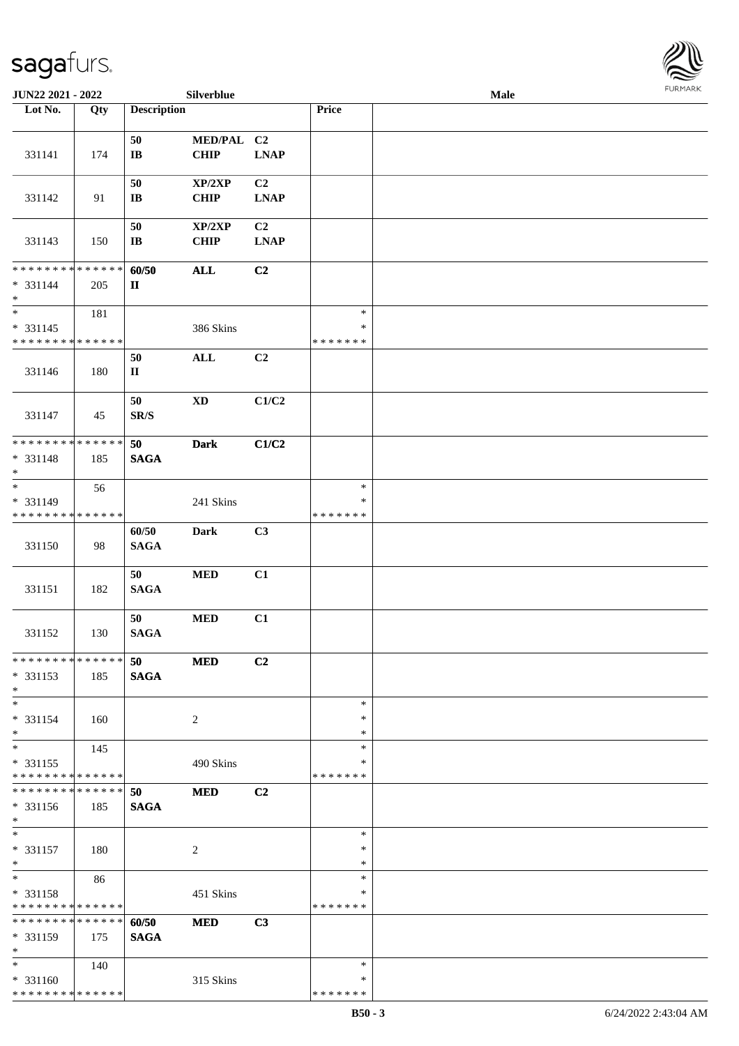

| JUN22 2021 - 2022                                                   |     |                              | Silverblue                |                               |                                   | Male | <b>FURMARK</b> |
|---------------------------------------------------------------------|-----|------------------------------|---------------------------|-------------------------------|-----------------------------------|------|----------------|
| Lot No.                                                             | Qty | <b>Description</b>           |                           |                               | Price                             |      |                |
| 331141                                                              | 174 | 50<br>$\mathbf{I}\mathbf{B}$ | MED/PAL C2<br><b>CHIP</b> | <b>LNAP</b>                   |                                   |      |                |
| 331142                                                              | 91  | 50<br>$\bf I\bf B$           | XP/2XP<br>CHIP            | C <sub>2</sub><br><b>LNAP</b> |                                   |      |                |
| 331143                                                              | 150 | 50<br>$\mathbf{I}\mathbf{B}$ | XP/2XP<br><b>CHIP</b>     | C2<br><b>LNAP</b>             |                                   |      |                |
| * * * * * * * * * * * * * * *<br>$* 331144$<br>$*$                  | 205 | 60/50<br>$\mathbf{I}$        | <b>ALL</b>                | C2                            |                                   |      |                |
| $\overline{\phantom{0}}$<br>* 331145<br>* * * * * * * * * * * * * * | 181 |                              | 386 Skins                 |                               | $\ast$<br>$\ast$<br>* * * * * * * |      |                |
| 331146                                                              | 180 | 50<br>$\mathbf{I}\mathbf{I}$ | $\mathbf{ALL}$            | C2                            |                                   |      |                |
| 331147                                                              | 45  | 50<br>SR/S                   | <b>XD</b>                 | C1/C2                         |                                   |      |                |
| * * * * * * * * * * * * * * *<br>* 331148<br>$\ast$                 | 185 | 50<br><b>SAGA</b>            | <b>Dark</b>               | C1/C2                         |                                   |      |                |
| $\overline{\phantom{0}}$<br>* 331149<br>* * * * * * * * * * * * * * | 56  |                              | 241 Skins                 |                               | $\ast$<br>$\ast$<br>* * * * * * * |      |                |
| 331150                                                              | 98  | 60/50<br><b>SAGA</b>         | <b>Dark</b>               | C3                            |                                   |      |                |
| 331151                                                              | 182 | 50<br><b>SAGA</b>            | $\bf MED$                 | C1                            |                                   |      |                |
| 331152                                                              | 130 | 50<br><b>SAGA</b>            | $\bf MED$                 | C1                            |                                   |      |                |
| **************<br>* 331153<br>$\ast$                                | 185 | 50<br><b>SAGA</b>            | <b>MED</b>                | C2                            |                                   |      |                |
| $\ast$<br>* 331154<br>$\ast$                                        | 160 |                              | $\overline{2}$            |                               | $\ast$<br>$\ast$<br>$\ast$        |      |                |
| $\overline{\phantom{0}}$<br>* 331155<br>* * * * * * * * * * * * * * | 145 |                              | 490 Skins                 |                               | *<br>*<br>* * * * * * *           |      |                |
| * * * * * * * * * * * * * * *<br>* 331156<br>$\ast$                 | 185 | 50<br><b>SAGA</b>            | <b>MED</b>                | C2                            |                                   |      |                |
| $\ast$<br>$* 331157$<br>$\ast$                                      | 180 |                              | $\overline{2}$            |                               | $\ast$<br>$\ast$<br>$\ast$        |      |                |
| $\ast$<br>* 331158<br>* * * * * * * * * * * * * *                   | 86  |                              | 451 Skins                 |                               | *<br>*<br>* * * * * * *           |      |                |
| * * * * * * * * * * * * * * *<br>$* 331159$<br>$\ast$               | 175 | 60/50<br><b>SAGA</b>         | <b>MED</b>                | C3                            |                                   |      |                |
| $\ast$<br>* 331160<br>******** <mark>******</mark>                  | 140 |                              | 315 Skins                 |                               | $\ast$<br>*<br>* * * * * * *      |      |                |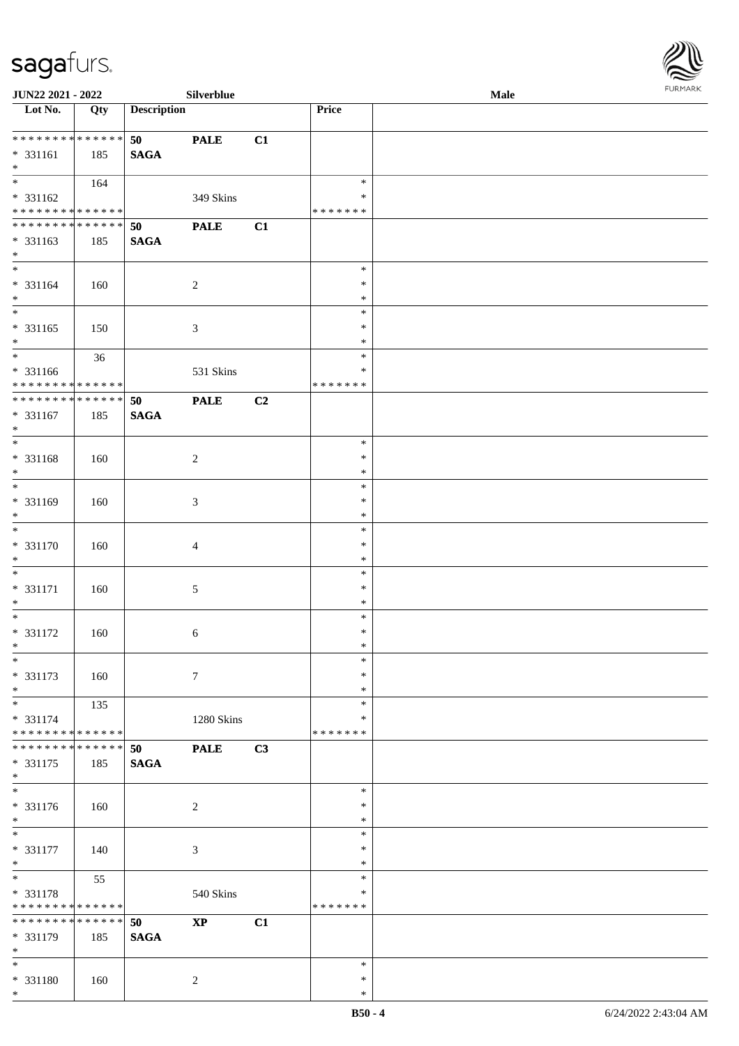

| JUN22 2021 - 2022                 |     |                    | Silverblue       |    |               | <b>Male</b> |  |
|-----------------------------------|-----|--------------------|------------------|----|---------------|-------------|--|
| Lot No.                           | Qty | <b>Description</b> |                  |    | Price         |             |  |
|                                   |     |                    |                  |    |               |             |  |
| ******** <mark>******</mark>      |     | 50                 | <b>PALE</b>      | C1 |               |             |  |
| $* 331161$                        | 185 | <b>SAGA</b>        |                  |    |               |             |  |
| $*$                               |     |                    |                  |    |               |             |  |
|                                   | 164 |                    |                  |    | $\ast$        |             |  |
| * 331162                          |     |                    | 349 Skins        |    | ∗             |             |  |
| **************                    |     |                    |                  |    | * * * * * * * |             |  |
| **************                    |     | 50                 | <b>PALE</b>      | C1 |               |             |  |
| * 331163                          | 185 | <b>SAGA</b>        |                  |    |               |             |  |
| $*$                               |     |                    |                  |    |               |             |  |
| $\overline{\phantom{0}}$          |     |                    |                  |    | $\ast$        |             |  |
| $* 331164$                        | 160 |                    | $\overline{c}$   |    | $\ast$        |             |  |
| $\ast$                            |     |                    |                  |    | $\ast$        |             |  |
| $\overline{\ast}$                 |     |                    |                  |    | $\ast$        |             |  |
| * 331165                          |     |                    | $\mathfrak{Z}$   |    | $\ast$        |             |  |
| $\ast$                            | 150 |                    |                  |    | $\ast$        |             |  |
| $\overline{\ast}$                 |     |                    |                  |    | $\ast$        |             |  |
|                                   | 36  |                    |                  |    |               |             |  |
| * 331166                          |     |                    | 531 Skins        |    | $\ast$        |             |  |
| ******** <mark>******</mark>      |     |                    |                  |    | * * * * * * * |             |  |
| ******** <mark>******</mark>      |     | 50                 | <b>PALE</b>      | C2 |               |             |  |
| $* 331167$                        | 185 | <b>SAGA</b>        |                  |    |               |             |  |
| $\ast$                            |     |                    |                  |    |               |             |  |
| $\ast$                            |     |                    |                  |    | $\ast$        |             |  |
| * 331168                          | 160 |                    | $\overline{c}$   |    | $\ast$        |             |  |
| $\ast$                            |     |                    |                  |    | $\ast$        |             |  |
| $\overline{\phantom{0}}$          |     |                    |                  |    | $\ast$        |             |  |
| * 331169                          | 160 |                    | $\mathfrak{Z}$   |    | $\ast$        |             |  |
| $\ast$                            |     |                    |                  |    | $\ast$        |             |  |
| $\overline{\phantom{a}^*}$        |     |                    |                  |    | $\ast$        |             |  |
| * 331170                          | 160 |                    | $\overline{4}$   |    | $\ast$        |             |  |
| $\ast$                            |     |                    |                  |    | $\ast$        |             |  |
| $\ast$                            |     |                    |                  |    | $\ast$        |             |  |
| $* 331171$                        | 160 |                    | $\sqrt{5}$       |    | $\ast$        |             |  |
| $\ast$                            |     |                    |                  |    | $\ast$        |             |  |
| $\ast$                            |     |                    |                  |    | $\ast$        |             |  |
| $* 331172$                        | 160 |                    | 6                |    | $\ast$        |             |  |
| $*$                               |     |                    |                  |    | $\ast$        |             |  |
| $*$                               |     |                    |                  |    | $\ast$        |             |  |
| $* 331173$                        |     |                    | $\boldsymbol{7}$ |    | $\ast$        |             |  |
| $\ast$                            | 160 |                    |                  |    | $\ast$        |             |  |
| $\ast$                            |     |                    |                  |    | $\ast$        |             |  |
|                                   | 135 |                    |                  |    |               |             |  |
| * 331174                          |     |                    | 1280 Skins       |    | ∗             |             |  |
| ******** <mark>******</mark>      |     |                    |                  |    | * * * * * * * |             |  |
| * * * * * * * * * * * * * * *     |     | 50                 | <b>PALE</b>      | C3 |               |             |  |
| * 331175                          | 185 | <b>SAGA</b>        |                  |    |               |             |  |
| $*$<br>$\overline{\phantom{a}^*}$ |     |                    |                  |    |               |             |  |
|                                   |     |                    |                  |    | $\ast$        |             |  |
| $* 331176$                        | 160 |                    | $\overline{c}$   |    | ∗             |             |  |
| $*$                               |     |                    |                  |    | $\ast$        |             |  |
| $*$                               |     |                    |                  |    | $\ast$        |             |  |
| * 331177                          | 140 |                    | $\mathfrak{Z}$   |    | $\ast$        |             |  |
| $\ast$                            |     |                    |                  |    | $\ast$        |             |  |
| $_{\ast}$                         | 55  |                    |                  |    | $\ast$        |             |  |
| * 331178                          |     |                    | 540 Skins        |    | $\ast$        |             |  |
| * * * * * * * * * * * * * *       |     |                    |                  |    | * * * * * * * |             |  |
| ******** <mark>******</mark>      |     | 50                 | $\bold{XP}$      | C1 |               |             |  |
| * 331179                          | 185 | <b>SAGA</b>        |                  |    |               |             |  |
| $\ast$                            |     |                    |                  |    |               |             |  |
| $\ast$                            |     |                    |                  |    | $\ast$        |             |  |
| * 331180                          | 160 |                    | $\overline{c}$   |    | $\ast$        |             |  |
| $\ast$                            |     |                    |                  |    | $\ast$        |             |  |
|                                   |     |                    |                  |    |               |             |  |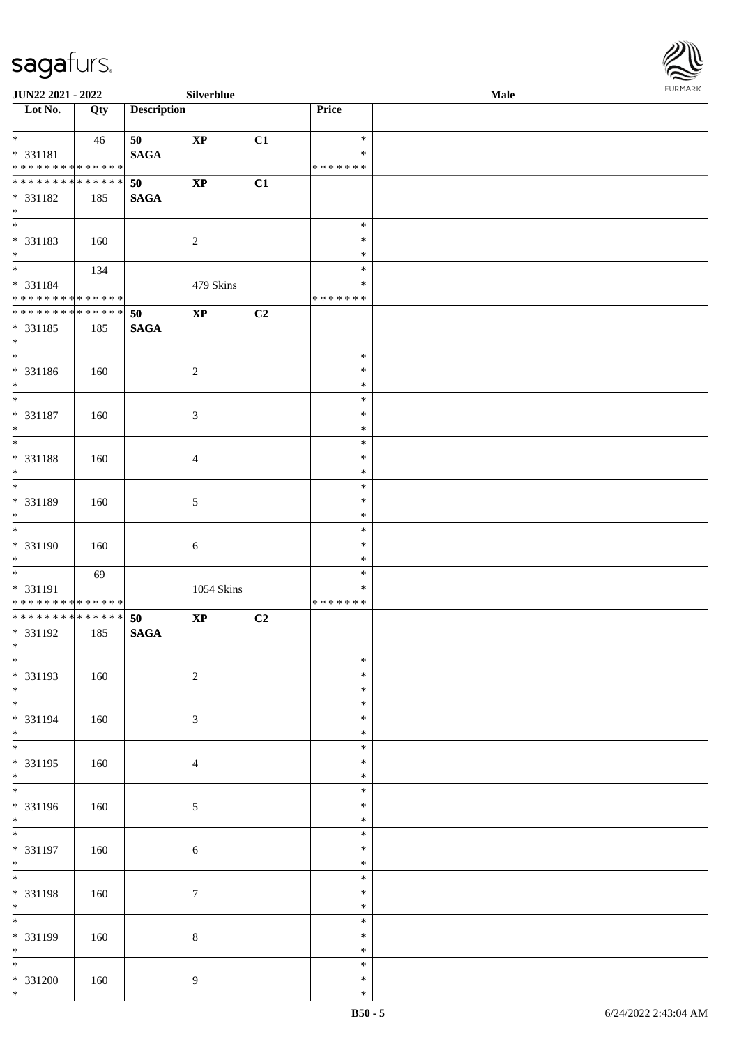

| <b>JUN22 2021 - 2022</b>                                                                |     |                    | Silverblue     |    |                                      | Male |  |
|-----------------------------------------------------------------------------------------|-----|--------------------|----------------|----|--------------------------------------|------|--|
| Lot No.                                                                                 | Qty | <b>Description</b> |                |    | Price                                |      |  |
| $*$<br>* 331181<br>* * * * * * * * <mark>* * * * * * *</mark>                           | 46  | 50<br><b>SAGA</b>  | $\mathbf{XP}$  | C1 | $\ast$<br>$\ast$<br>*******          |      |  |
| * * * * * * * * * * * * * * <mark>*</mark><br>* 331182<br>$*$                           | 185 | 50<br><b>SAGA</b>  | $\bold{XP}$    | C1 |                                      |      |  |
| * 331183<br>$*$<br>$\ddot{x}$                                                           | 160 |                    | $\overline{c}$ |    | $\ast$<br>$\ast$<br>$\ast$           |      |  |
| * 331184<br>* * * * * * * * <mark>* * * * * * *</mark>                                  | 134 |                    | 479 Skins      |    | $\ast$<br>$\ast$<br>*******          |      |  |
| * * * * * * * * * * * * * * <mark>*</mark><br>* 331185<br>$\ast$                        | 185 | 50<br><b>SAGA</b>  | $\mathbf{XP}$  | C2 |                                      |      |  |
| * 331186<br>$\ast$<br>$\overline{\phantom{0}}$                                          | 160 |                    | $\overline{2}$ |    | $\ast$<br>$\ast$<br>$\ast$           |      |  |
| * 331187<br>$*$                                                                         | 160 |                    | $\mathfrak{Z}$ |    | $\ast$<br>$\ast$<br>$\ast$<br>$\ast$ |      |  |
| * 331188<br>$\ast$                                                                      | 160 |                    | $\overline{4}$ |    | $\ast$<br>$\ast$                     |      |  |
| * 331189<br>$\ast$<br>$\ast$                                                            | 160 |                    | 5              |    | $\ast$<br>$\ast$<br>$\ast$           |      |  |
| * 331190<br>$*$                                                                         | 160 |                    | 6              |    | $\ast$<br>$\ast$<br>$\ast$           |      |  |
| * 331191<br>* * * * * * * * * * * * * * *<br>* * * * * * * * * * * * * * <mark>*</mark> | 69  |                    | 1054 Skins     |    | $\ast$<br>$\ast$<br>*******          |      |  |
| * 331192<br>$*$ $-$<br>$\overline{\ast}$                                                | 185 | 50<br><b>SAGA</b>  | $\bold{XP}$    | C2 |                                      |      |  |
| * 331193<br>$*$                                                                         | 160 |                    | $\sqrt{2}$     |    | $\ast$<br>$\ast$<br>$\ast$           |      |  |
| * 331194<br>$*$<br>$*$                                                                  | 160 |                    | $\mathfrak{Z}$ |    | $\ast$<br>$\ast$<br>$\ast$           |      |  |
| * 331195<br>$*$                                                                         | 160 |                    | $\overline{4}$ |    | $\ast$<br>$\ast$<br>$\ast$           |      |  |
| * 331196<br>$*$<br>$\ddot{x}$                                                           | 160 |                    | $\mathfrak{S}$ |    | $\ast$<br>$\ast$<br>$\ast$           |      |  |
| * 331197<br>$*$<br>$*$                                                                  | 160 |                    | $\sqrt{6}$     |    | $\ast$<br>$\ast$<br>$\ast$           |      |  |
| * 331198<br>$*$                                                                         | 160 |                    | $\tau$         |    | $\ast$<br>$\ast$<br>$\ast$           |      |  |
| * 331199<br>$*$                                                                         | 160 |                    | $\,8\,$        |    | $\ast$<br>$\ast$<br>$\ast$           |      |  |
| $\overline{\phantom{0}}$<br>* 331200<br>$\ast$                                          | 160 |                    | $\overline{9}$ |    | $\ast$<br>$\ast$<br>$\ast$           |      |  |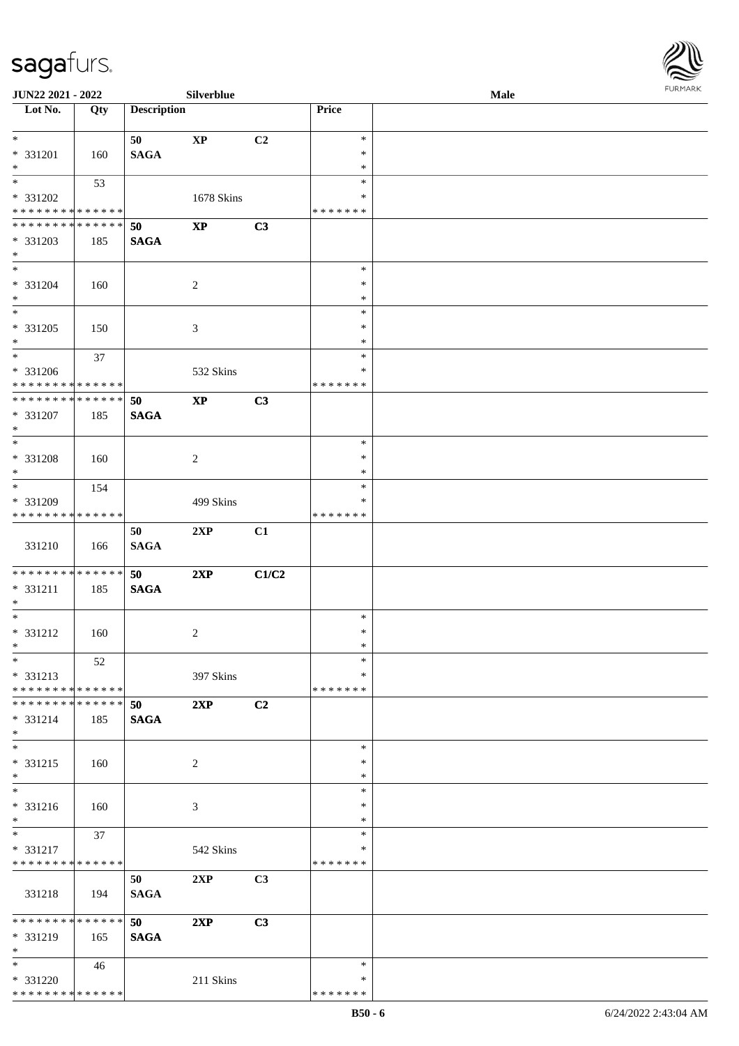

| JUN22 2021 - 2022                  |     |                    | Silverblue             |                |               | Male |  |
|------------------------------------|-----|--------------------|------------------------|----------------|---------------|------|--|
| Lot No.                            | Qty | <b>Description</b> |                        |                | <b>Price</b>  |      |  |
|                                    |     |                    |                        |                |               |      |  |
| $\ast$                             |     | 50                 | $\mathbf{X}\mathbf{P}$ | C2             | $\ast$        |      |  |
| * 331201                           | 160 | <b>SAGA</b>        |                        |                | $\ast$        |      |  |
| $\ast$                             |     |                    |                        |                | $\ast$        |      |  |
| $\overline{\phantom{0}}$           | 53  |                    |                        |                | $\ast$        |      |  |
| * 331202                           |     |                    | 1678 Skins             |                | *             |      |  |
| * * * * * * * * * * * * * *        |     |                    |                        |                | * * * * * * * |      |  |
| **************                     |     | 50                 | $\mathbf{XP}$          | C3             |               |      |  |
| * 331203                           | 185 | <b>SAGA</b>        |                        |                |               |      |  |
| $*$                                |     |                    |                        |                |               |      |  |
| $\overline{\ast}$                  |     |                    |                        |                | $\ast$        |      |  |
|                                    |     |                    |                        |                | $\ast$        |      |  |
| * 331204                           | 160 |                    | $\sqrt{2}$             |                |               |      |  |
| $\ast$<br>$\overline{\phantom{0}}$ |     |                    |                        |                | $\ast$        |      |  |
|                                    |     |                    |                        |                | $\ast$        |      |  |
| $* 331205$                         | 150 |                    | $\mathfrak{Z}$         |                | $\ast$        |      |  |
| $\ast$                             |     |                    |                        |                | $\ast$        |      |  |
| $\overline{\phantom{a}^*}$         | 37  |                    |                        |                | $\ast$        |      |  |
| $* 331206$                         |     |                    | 532 Skins              |                | $\ast$        |      |  |
| * * * * * * * * * * * * * * *      |     |                    |                        |                | * * * * * * * |      |  |
| ******** <mark>******</mark>       |     | 50                 | $\bold{XP}$            | C3             |               |      |  |
| $* 331207$                         | 185 | <b>SAGA</b>        |                        |                |               |      |  |
| $\ast$                             |     |                    |                        |                |               |      |  |
| $\ast$                             |     |                    |                        |                | $\ast$        |      |  |
| * 331208                           | 160 |                    | $\sqrt{2}$             |                | $\ast$        |      |  |
| $\ast$                             |     |                    |                        |                | *             |      |  |
| $\overline{\ast}$                  | 154 |                    |                        |                | $\ast$        |      |  |
| * 331209                           |     |                    | 499 Skins              |                | ∗             |      |  |
| * * * * * * * * * * * * * *        |     |                    |                        |                | * * * * * * * |      |  |
|                                    |     | 50                 | 2XP                    | C1             |               |      |  |
| 331210                             |     |                    |                        |                |               |      |  |
|                                    | 166 | $\mathbf{SAGA}$    |                        |                |               |      |  |
| **************                     |     |                    |                        |                |               |      |  |
|                                    |     | 50                 | 2XP                    | C1/C2          |               |      |  |
| * 331211                           | 185 | $\mathbf{SAGA}$    |                        |                |               |      |  |
| $*$                                |     |                    |                        |                |               |      |  |
| $\ast$                             |     |                    |                        |                | $\ast$        |      |  |
| * 331212                           | 160 |                    | $\overline{c}$         |                | $\ast$        |      |  |
| $*$                                |     |                    |                        |                | $\ast$        |      |  |
| $*$                                | 52  |                    |                        |                | $\ast$        |      |  |
| * 331213                           |     |                    | 397 Skins              |                | *             |      |  |
| * * * * * * * * * * * * * * *      |     |                    |                        |                | * * * * * * * |      |  |
| * * * * * * * * * * * * * * *      |     | 50                 | 2XP                    | C2             |               |      |  |
| * 331214                           | 185 | <b>SAGA</b>        |                        |                |               |      |  |
| $*$                                |     |                    |                        |                |               |      |  |
| $\overline{\phantom{a}^*}$         |     |                    |                        |                | $\ast$        |      |  |
| $* 331215$                         | 160 |                    | 2                      |                | ∗             |      |  |
| $*$                                |     |                    |                        |                | $\ast$        |      |  |
| $\overline{\phantom{a}^*}$         |     |                    |                        |                | $\ast$        |      |  |
| * 331216                           | 160 |                    | 3                      |                | *             |      |  |
| $*$                                |     |                    |                        |                | $\ast$        |      |  |
| $*$                                | 37  |                    |                        |                | $\ast$        |      |  |
| * 331217                           |     |                    | 542 Skins              |                | *             |      |  |
| * * * * * * * * * * * * * *        |     |                    |                        |                | * * * * * * * |      |  |
|                                    |     | 50                 | 2XP                    | C <sub>3</sub> |               |      |  |
| 331218                             |     |                    |                        |                |               |      |  |
|                                    | 194 | <b>SAGA</b>        |                        |                |               |      |  |
| * * * * * * * * * * * * * *        |     |                    |                        |                |               |      |  |
|                                    |     | 50                 | 2XP                    | C3             |               |      |  |
| * 331219                           | 165 | <b>SAGA</b>        |                        |                |               |      |  |
| $\ast$                             |     |                    |                        |                |               |      |  |
| $*$                                | 46  |                    |                        |                | $\ast$        |      |  |
| * 331220                           |     |                    | 211 Skins              |                | ∗             |      |  |
| * * * * * * * * * * * * * *        |     |                    |                        |                | * * * * * * * |      |  |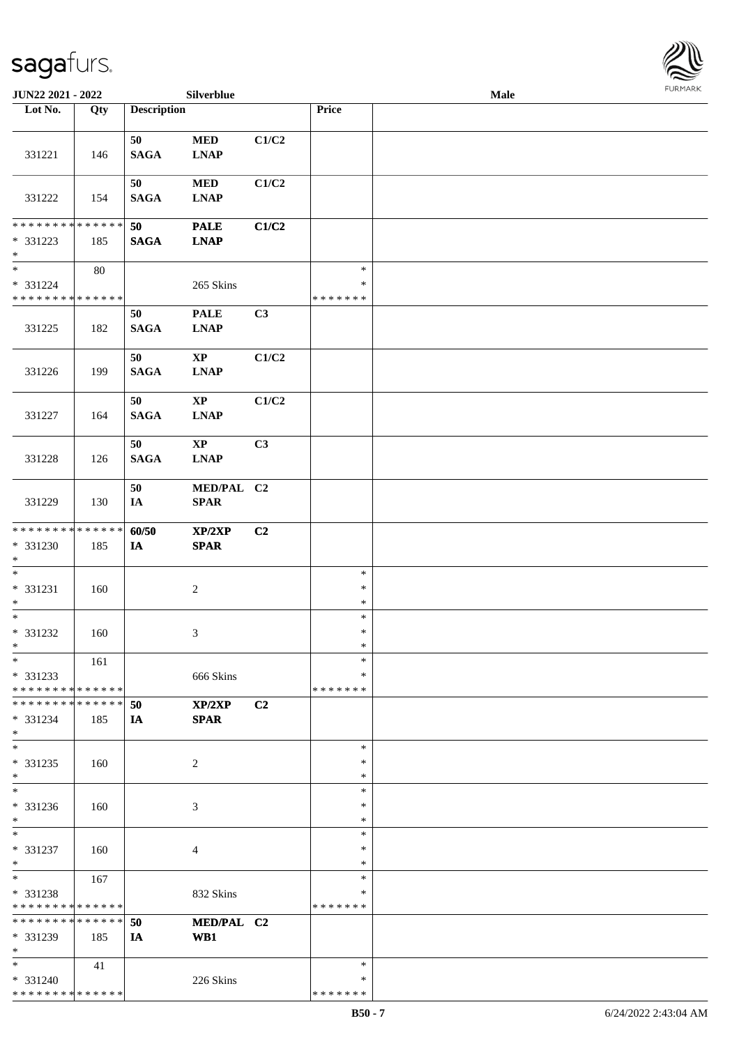

| JUN22 2021 - 2022                                            |        |                    | Silverblue                                |                |                                   | Male |  |
|--------------------------------------------------------------|--------|--------------------|-------------------------------------------|----------------|-----------------------------------|------|--|
| Lot No.                                                      | Qty    | <b>Description</b> |                                           |                | Price                             |      |  |
| 331221                                                       | 146    | 50<br><b>SAGA</b>  | $\bf MED$<br><b>LNAP</b>                  | C1/C2          |                                   |      |  |
| 331222                                                       | 154    | 50<br><b>SAGA</b>  | $\bf MED$<br><b>LNAP</b>                  | C1/C2          |                                   |      |  |
| * * * * * * * * * * * * * *<br>* 331223<br>$\ast$            | 185    | 50<br><b>SAGA</b>  | <b>PALE</b><br><b>LNAP</b>                | C1/C2          |                                   |      |  |
| $\overline{\ast}$<br>* 331224<br>* * * * * * * * * * * * * * | $80\,$ |                    | 265 Skins                                 |                | $\ast$<br>$\ast$<br>* * * * * * * |      |  |
| 331225                                                       | 182    | 50<br><b>SAGA</b>  | <b>PALE</b><br><b>LNAP</b>                | C3             |                                   |      |  |
| 331226                                                       | 199    | 50<br><b>SAGA</b>  | $\mathbf{XP}$<br><b>LNAP</b>              | C1/C2          |                                   |      |  |
| 331227                                                       | 164    | 50<br><b>SAGA</b>  | $\mathbf{X}\mathbf{P}$<br><b>LNAP</b>     | C1/C2          |                                   |      |  |
| 331228                                                       | 126    | 50<br><b>SAGA</b>  | $\mathbf{X}\mathbf{P}$<br><b>LNAP</b>     | C <sub>3</sub> |                                   |      |  |
| 331229                                                       | 130    | 50<br>IA           | MED/PAL C2<br><b>SPAR</b>                 |                |                                   |      |  |
| * * * * * * * * * * * * * *<br>* 331230<br>$*$               | 185    | 60/50<br>$I\!\!A$  | XP/2XP<br>$\pmb{\quad \text{SPAR} \quad}$ | C2             |                                   |      |  |
| $\ast$<br>$* 331231$<br>$\ast$                               | 160    |                    | $\sqrt{2}$                                |                | $\ast$<br>$\ast$<br>$\ast$        |      |  |
| $\ast$<br>* 331232<br>$*$                                    | 160    |                    | $\mathfrak{Z}$                            |                | $\ast$<br>$\ast$<br>$\ast$        |      |  |
| $*$<br>$* 331233$<br>* * * * * * * * * * * * * * *           | 161    |                    | 666 Skins                                 |                | $\ast$<br>*<br>* * * * * * *      |      |  |
| * * * * * * * * * * * * * * *<br>* 331234<br>$*$             | 185    | 50<br>IA           | XP/2XP<br><b>SPAR</b>                     | C <sub>2</sub> |                                   |      |  |
| $\ast$<br>$* 331235$<br>$*$                                  | 160    |                    | 2                                         |                | $\ast$<br>∗<br>$\ast$             |      |  |
| $\overline{\phantom{1}}$<br>* 331236<br>$*$                  | 160    |                    | 3                                         |                | $\ast$<br>*<br>$\ast$             |      |  |
| $\ast$<br>* 331237<br>$\ast$                                 | 160    |                    | 4                                         |                | $\ast$<br>$\ast$<br>$\ast$        |      |  |
| $*$<br>* 331238<br>* * * * * * * * * * * * * *               | 167    |                    | 832 Skins                                 |                | $\ast$<br>*<br>* * * * * * *      |      |  |
| * * * * * * * * * * * * * *<br>* 331239<br>$\ast$            | 185    | 50<br>IA           | MED/PAL C2<br>WB1                         |                |                                   |      |  |
| $*$<br>* 331240<br>* * * * * * * * * * * * * *               | 41     |                    | 226 Skins                                 |                | $\ast$<br>∗<br>* * * * * * *      |      |  |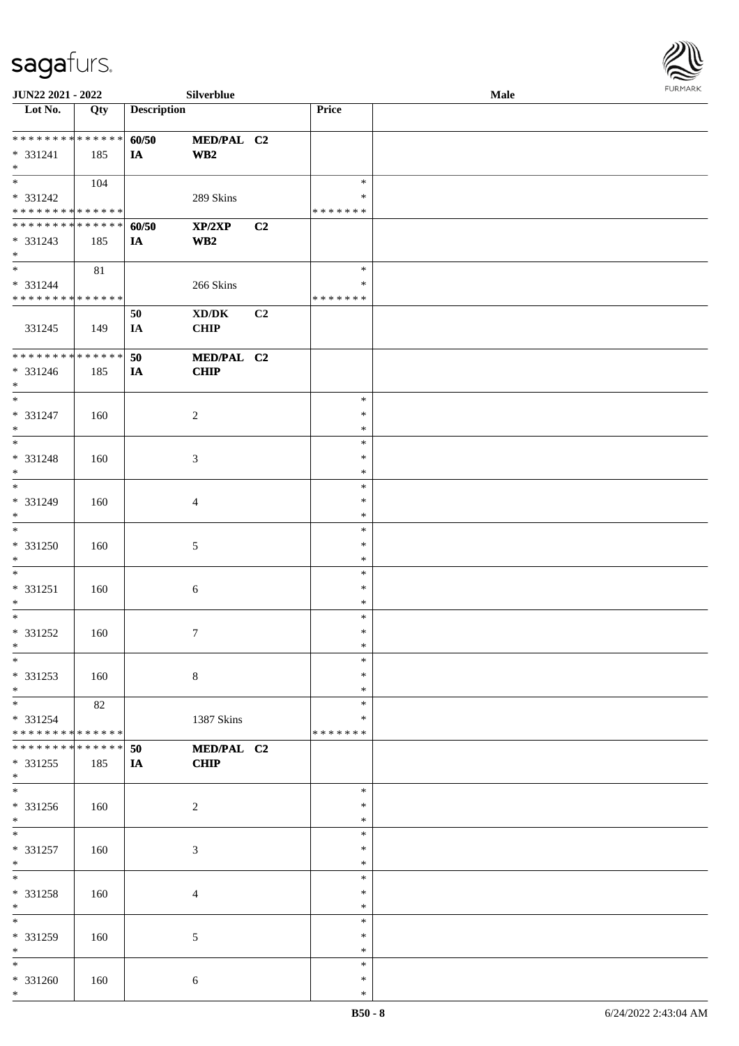

| JUN22 2021 - 2022                 |             |                    | Silverblue                          |    |               | Male |
|-----------------------------------|-------------|--------------------|-------------------------------------|----|---------------|------|
| Lot No.                           | Qty         | <b>Description</b> |                                     |    | Price         |      |
|                                   |             |                    |                                     |    |               |      |
| ******** <mark>******</mark>      |             | 60/50              | MED/PAL C2                          |    |               |      |
| * 331241                          | 185         | IA                 | WB2                                 |    |               |      |
| $\ast$                            |             |                    |                                     |    |               |      |
| $*$                               | 104         |                    |                                     |    | $\ast$        |      |
|                                   |             |                    |                                     |    |               |      |
| * 331242                          |             |                    | 289 Skins                           |    | ∗             |      |
| * * * * * * * * * * * * * *       |             |                    |                                     |    | * * * * * * * |      |
| * * * * * * * * * * * * * *       |             | 60/50              | XP/2XP                              | C2 |               |      |
| * 331243                          | 185         | <b>IA</b>          | $\mathbf{W}\mathbf{B2}$             |    |               |      |
| $*$                               |             |                    |                                     |    |               |      |
| $\overline{\phantom{a}^*}$        | 81          |                    |                                     |    | $\ast$        |      |
| * 331244                          |             |                    | 266 Skins                           |    | $\ast$        |      |
| * * * * * * * * * * * * * *       |             |                    |                                     |    | * * * * * * * |      |
|                                   |             | 50                 | $\bold{X}\bold{D}/\bold{D}\bold{K}$ | C2 |               |      |
| 331245                            | 149         | IA                 | <b>CHIP</b>                         |    |               |      |
|                                   |             |                    |                                     |    |               |      |
|                                   |             |                    |                                     |    |               |      |
| **************                    |             | 50                 | MED/PAL C2                          |    |               |      |
| $* 331246$                        | 185         | IA                 | <b>CHIP</b>                         |    |               |      |
| $*$                               |             |                    |                                     |    |               |      |
| $\overline{\ast}$                 |             |                    |                                     |    | $\ast$        |      |
| * 331247                          | 160         |                    | $\overline{2}$                      |    | $\ast$        |      |
| $\ast$                            |             |                    |                                     |    | $\ast$        |      |
| $*$                               |             |                    |                                     |    | $\ast$        |      |
| * 331248                          | 160         |                    | 3                                   |    | $\ast$        |      |
| $\ast$                            |             |                    |                                     |    | $\ast$        |      |
| $\ast$                            |             |                    |                                     |    |               |      |
|                                   |             |                    |                                     |    | $\ast$        |      |
| * 331249                          | 160         |                    | $\overline{4}$                      |    | $\ast$        |      |
| $\ast$                            |             |                    |                                     |    | $\ast$        |      |
| $\overline{\phantom{a}^*}$        |             |                    |                                     |    | $\ast$        |      |
| * 331250                          | 160         |                    | $\sqrt{5}$                          |    | $\ast$        |      |
| $*$                               |             |                    |                                     |    | $\ast$        |      |
| $\ast$                            |             |                    |                                     |    | $\ast$        |      |
| $* 331251$                        | 160         |                    | $6\,$                               |    | $\ast$        |      |
| $*$                               |             |                    |                                     |    | $\ast$        |      |
| $\ast$                            |             |                    |                                     |    |               |      |
|                                   |             |                    |                                     |    | $\ast$        |      |
| $* 331252$                        | 160         |                    | $\tau$                              |    | $\ast$        |      |
| $*$                               |             |                    |                                     |    | $\ast$        |      |
| $*$                               |             |                    |                                     |    | $\ast$        |      |
| * 331253                          | 160         |                    | $\,8\,$                             |    | ∗             |      |
| $*$                               |             |                    |                                     |    | $\ast$        |      |
| $\overline{\phantom{a}^*}$        | 82          |                    |                                     |    | $\ast$        |      |
| * 331254                          |             |                    | 1387 Skins                          |    | *             |      |
| * * * * * * * * * * * * * *       |             |                    |                                     |    | * * * * * * * |      |
| * * * * * * * *                   | * * * * * * | 50                 | MED/PAL C2                          |    |               |      |
|                                   |             |                    | <b>CHIP</b>                         |    |               |      |
| $* 331255$                        | 185         | <b>IA</b>          |                                     |    |               |      |
| $*$<br>$\overline{\phantom{a}^*}$ |             |                    |                                     |    |               |      |
|                                   |             |                    |                                     |    | $\ast$        |      |
| * 331256                          | 160         |                    | $\overline{c}$                      |    | ∗             |      |
| $*$                               |             |                    |                                     |    | $\ast$        |      |
| $*$                               |             |                    |                                     |    | $\ast$        |      |
| $* 331257$                        | 160         |                    | $\mathfrak{Z}$                      |    | $\ast$        |      |
| $*$                               |             |                    |                                     |    | $\ast$        |      |
| $\overline{\phantom{a}^*}$        |             |                    |                                     |    | $\ast$        |      |
| * 331258                          | 160         |                    | $\overline{4}$                      |    | $\ast$        |      |
| $*$                               |             |                    |                                     |    | $\ast$        |      |
| $\overline{\phantom{a}^*}$        |             |                    |                                     |    |               |      |
|                                   |             |                    |                                     |    | $\ast$        |      |
| * 331259                          | 160         |                    | 5                                   |    | ∗             |      |
| $\ast$                            |             |                    |                                     |    | $\ast$        |      |
| $\overline{\phantom{0}}$          |             |                    |                                     |    | $\ast$        |      |
| * 331260                          | 160         |                    | 6                                   |    | $\ast$        |      |
| $*$                               |             |                    |                                     |    | $\ast$        |      |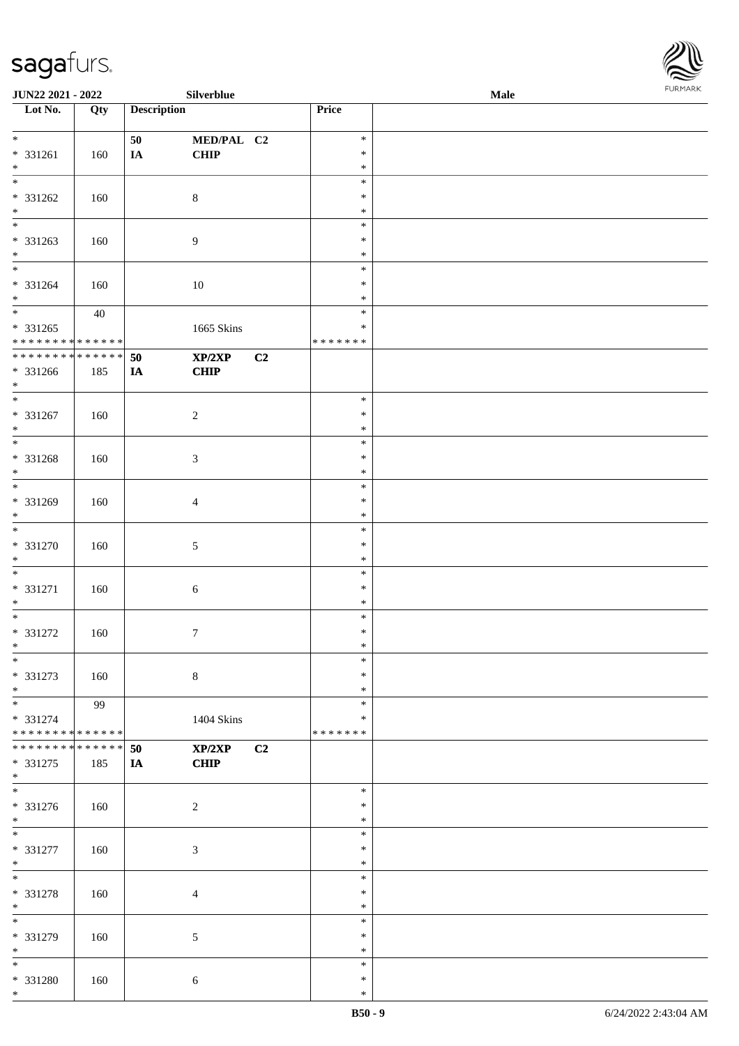| Lot No.                                                               | Qty | <b>Description</b>               | Price                             |  |
|-----------------------------------------------------------------------|-----|----------------------------------|-----------------------------------|--|
| $\ast$<br>* 331261<br>$\ast$                                          | 160 | 50<br>MED/PAL C2<br>CHIP<br>IA   | $\ast$<br>$\ast$<br>$\ast$        |  |
| $\overline{\ast}$<br>* 331262<br>$*$ $*$                              | 160 | $8\,$                            | $\ast$<br>$\ast$<br>$\ast$        |  |
| * 331263<br>$\ast$                                                    | 160 | $\boldsymbol{9}$                 | $\ast$<br>$\ast$<br>$\ast$        |  |
| $\frac{1}{*}$<br>$* 331264$<br>$\ast$                                 | 160 | $10\,$                           | $\ast$<br>$\ast$<br>$\ast$        |  |
| $_{\ast}^{-}$<br>$* 331265$<br>* * * * * * * * * * * * * *            | 40  | 1665 Skins                       | $\ast$<br>$\ast$<br>* * * * * * * |  |
| **************<br>$* 331266$<br>$*$                                   | 185 | 50<br>XP/2XP<br>C2<br>CHIP<br>IA |                                   |  |
| $\overline{\phantom{a}^*}$<br>$* 331267$<br>$\ast$                    | 160 | $\sqrt{2}$                       | $\ast$<br>$\ast$<br>$\ast$        |  |
| $\overline{\phantom{a}^*}$<br>* 331268<br>$\ast$                      | 160 | $\mathfrak{Z}$                   | $\ast$<br>$\ast$<br>$\ast$        |  |
| $\overline{\phantom{0}}$<br>* 331269<br>$\ast$                        | 160 | $\overline{4}$                   | $\ast$<br>$\ast$<br>$\ast$        |  |
| $\overline{\ast}$<br>$* 331270$<br>$\ast$                             | 160 | $5\,$                            | $\ast$<br>$\ast$<br>$\ast$        |  |
| $\overline{\phantom{a}^*}$<br>* 331271<br>$*$                         | 160 | $\sqrt{6}$                       | $\ast$<br>$\ast$<br>$\ast$        |  |
| $\ast$<br>* 331272<br>$*$                                             | 160 | $\boldsymbol{7}$                 | $\ast$<br>$\ast$<br>$\ast$        |  |
| $*$<br>* 331273<br>$\ast$                                             | 160 | $8\,$                            | $\ast$<br>$\ast$<br>$\ast$        |  |
| $\overline{\phantom{a}^*}$<br>* 331274<br>* * * * * * * * * * * * * * | 99  | 1404 Skins                       | $\ast$<br>$\ast$<br>* * * * * * * |  |
| * * * * * * * * * * * * * * *<br>$* 331275$<br>$\ast$                 | 185 | XP/2XP<br>C2<br>50<br>CHIP<br>IA |                                   |  |
| $\overline{\phantom{a}^*}$<br>* 331276<br>$*$                         | 160 | $\sqrt{2}$                       | $\ast$<br>$\ast$<br>$\ast$        |  |
| $\overline{\phantom{a}^*}$<br>$* 331277$<br>$*$                       | 160 | $\mathfrak{Z}$                   | $\ast$<br>$\ast$<br>$\ast$        |  |
| $\ast$<br>* 331278<br>$\ast$                                          | 160 | $\overline{4}$                   | $\ast$<br>$\ast$<br>$\ast$        |  |
| $_{\ast}^{-}$<br>* 331279<br>$\ast$                                   | 160 | $5\,$                            | $\ast$<br>$\ast$<br>$\ast$        |  |
| $\overline{\phantom{0}}$<br>* 331280<br>$*$                           | 160 | $\sqrt{6}$                       | $\ast$<br>$\ast$<br>$\ast$        |  |

**JUN22 2021 - 2022 Silverblue Male**

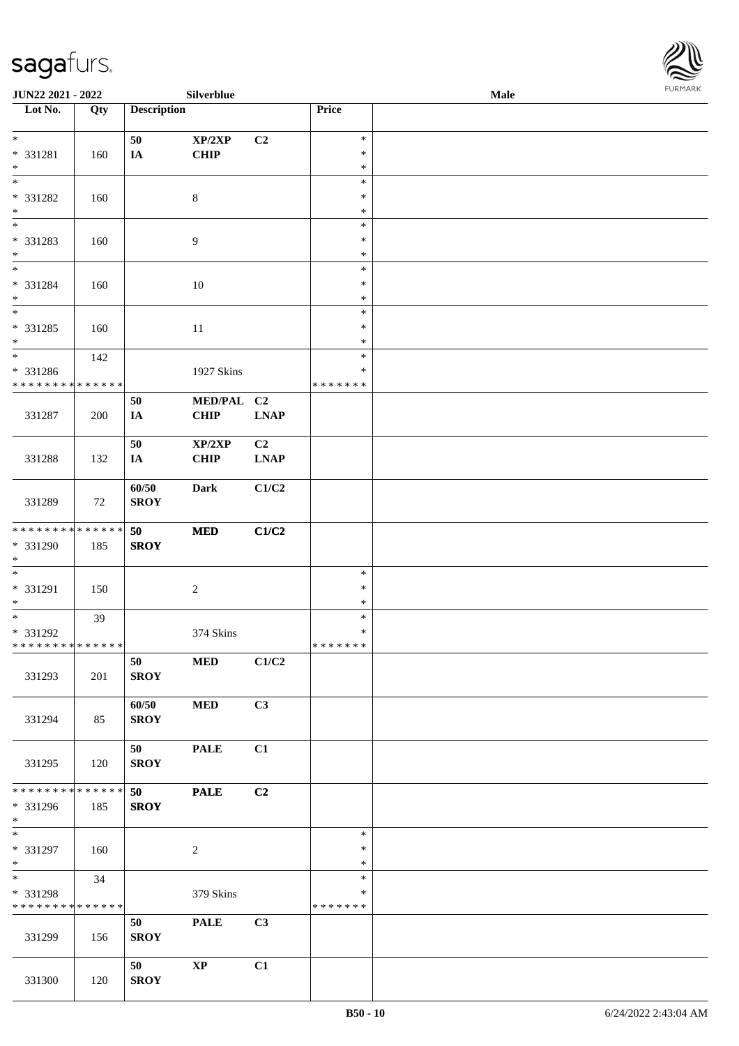

| JUN22 2021 - 2022                |     |                    | Silverblue             |                |                  | Male | $1 \times 1$ |
|----------------------------------|-----|--------------------|------------------------|----------------|------------------|------|--------------|
| $\overline{\phantom{a}}$ Lot No. | Qty | <b>Description</b> |                        |                | Price            |      |              |
|                                  |     |                    |                        |                |                  |      |              |
| $*$                              |     | 50                 | XP/2XP                 | C2             | $\ast$           |      |              |
| * 331281                         | 160 | $I\!\!A$           | <b>CHIP</b>            |                | $\ast$           |      |              |
| $*$<br>$\overline{\ast}$         |     |                    |                        |                | $\ast$           |      |              |
|                                  |     |                    |                        |                | $\ast$           |      |              |
| * 331282<br>$\ast$               | 160 |                    | $8\,$                  |                | $\ast$<br>$\ast$ |      |              |
| $\overline{\phantom{0}}$         |     |                    |                        |                | $\ast$           |      |              |
| * 331283                         | 160 |                    | 9                      |                | $\ast$           |      |              |
| $\ast$                           |     |                    |                        |                | $\ast$           |      |              |
| $\overline{\phantom{0}}$         |     |                    |                        |                | $\ast$           |      |              |
| * 331284                         | 160 |                    | $10\,$                 |                | $\ast$           |      |              |
| $*$                              |     |                    |                        |                | $\ast$           |      |              |
| $\overline{\ast}$                |     |                    |                        |                | $\ast$           |      |              |
| $* 331285$                       | 160 |                    | 11                     |                | $\ast$           |      |              |
| $*$                              |     |                    |                        |                | $\ast$           |      |              |
| $*$                              | 142 |                    |                        |                | $\ast$           |      |              |
| * 331286                         |     |                    | 1927 Skins             |                | $\ast$           |      |              |
| * * * * * * * * * * * * * *      |     |                    |                        |                | * * * * * * *    |      |              |
|                                  |     | 50                 | MED/PAL C2             |                |                  |      |              |
| 331287                           | 200 | IA                 | <b>CHIP</b>            | <b>LNAP</b>    |                  |      |              |
|                                  |     |                    |                        |                |                  |      |              |
|                                  |     | 50                 | XP/2XP                 | C <sub>2</sub> |                  |      |              |
| 331288                           | 132 | IA                 | CHIP                   | <b>LNAP</b>    |                  |      |              |
|                                  |     | 60/50              | Dark                   | C1/C2          |                  |      |              |
| 331289                           | 72  | <b>SROY</b>        |                        |                |                  |      |              |
|                                  |     |                    |                        |                |                  |      |              |
| * * * * * * * * * * * * * *      |     | 50                 | $\bf MED$              | C1/C2          |                  |      |              |
| * 331290                         | 185 | <b>SROY</b>        |                        |                |                  |      |              |
| $*$                              |     |                    |                        |                |                  |      |              |
| $\overline{\phantom{0}}$         |     |                    |                        |                | $\ast$           |      |              |
| * 331291                         | 150 |                    | $\overline{c}$         |                | $\ast$           |      |              |
| $*$                              |     |                    |                        |                | $\ast$           |      |              |
| $*$                              | 39  |                    |                        |                | $\ast$           |      |              |
| * 331292                         |     |                    | 374 Skins              |                | $\ast$           |      |              |
| **************                   |     |                    |                        |                | *******          |      |              |
| 331293                           |     | 50                 | <b>MED</b>             | C1/C2          |                  |      |              |
|                                  | 201 | <b>SROY</b>        |                        |                |                  |      |              |
|                                  |     | 60/50              | <b>MED</b>             | C3             |                  |      |              |
| 331294                           | 85  | <b>SROY</b>        |                        |                |                  |      |              |
|                                  |     |                    |                        |                |                  |      |              |
|                                  |     | 50                 | <b>PALE</b>            | C1             |                  |      |              |
| 331295                           | 120 | <b>SROY</b>        |                        |                |                  |      |              |
|                                  |     |                    |                        |                |                  |      |              |
| * * * * * * * * * * * * * * *    |     | 50                 | <b>PALE</b>            | C2             |                  |      |              |
| * 331296                         | 185 | <b>SROY</b>        |                        |                |                  |      |              |
| $*$                              |     |                    |                        |                |                  |      |              |
| $\overline{\phantom{0}}$         |     |                    |                        |                | $\ast$           |      |              |
| * 331297                         | 160 |                    | $\overline{c}$         |                | $\ast$           |      |              |
| $*$<br>$*$                       |     |                    |                        |                | $\ast$<br>$\ast$ |      |              |
| * 331298                         | 34  |                    | 379 Skins              |                | *                |      |              |
| * * * * * * * * * * * * * *      |     |                    |                        |                | * * * * * * *    |      |              |
|                                  |     | 50                 | <b>PALE</b>            | C3             |                  |      |              |
| 331299                           | 156 | <b>SROY</b>        |                        |                |                  |      |              |
|                                  |     |                    |                        |                |                  |      |              |
|                                  |     | 50                 | $\mathbf{X}\mathbf{P}$ | C1             |                  |      |              |
| 331300                           | 120 | <b>SROY</b>        |                        |                |                  |      |              |
|                                  |     |                    |                        |                |                  |      |              |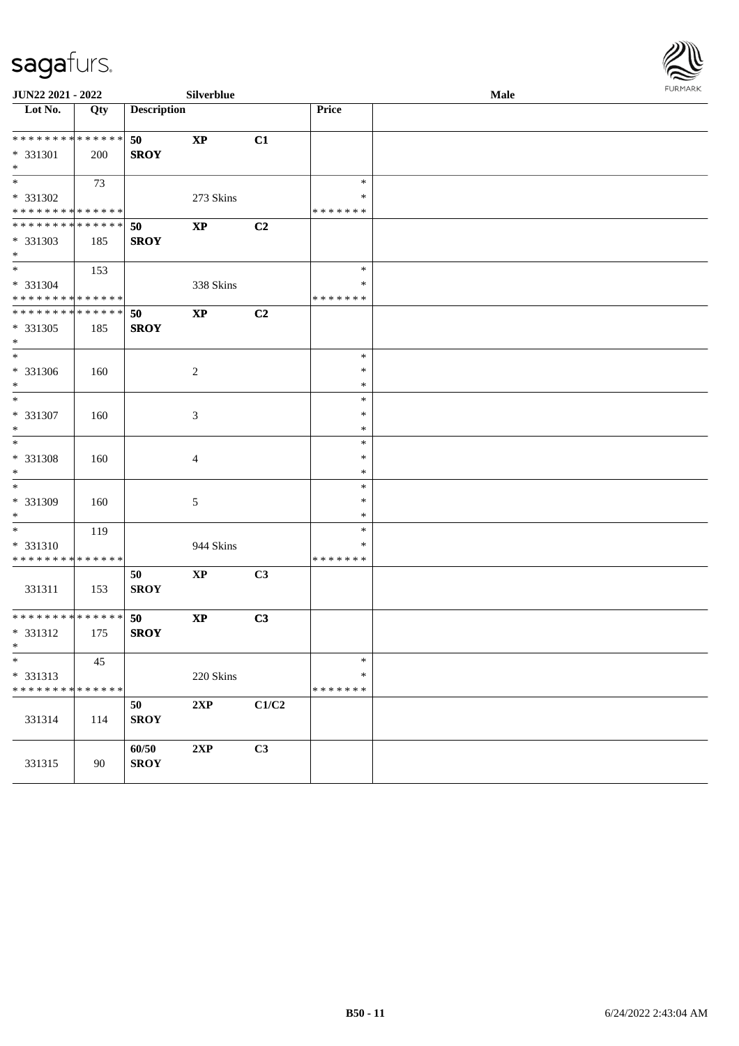

| JUN22 2021 - 2022               |     |                    | Silverblue             |       |                  | Male | <b>FURPIARR</b> |
|---------------------------------|-----|--------------------|------------------------|-------|------------------|------|-----------------|
| Lot No.                         | Qty | <b>Description</b> |                        |       | Price            |      |                 |
| * * * * * * * * * * * * * *     |     | 50                 | $\bold{XP}$            | C1    |                  |      |                 |
| * 331301                        | 200 | <b>SROY</b>        |                        |       |                  |      |                 |
| $*$                             |     |                    |                        |       |                  |      |                 |
| $*$                             | 73  |                    |                        |       | $\ast$           |      |                 |
| * 331302                        |     |                    | 273 Skins              |       | $\ast$           |      |                 |
| * * * * * * * * * * * * * *     |     |                    |                        |       | * * * * * * *    |      |                 |
| ******** <mark>******</mark>    |     | 50                 | <b>XP</b>              | C2    |                  |      |                 |
| * 331303                        | 185 | <b>SROY</b>        |                        |       |                  |      |                 |
| $*$                             |     |                    |                        |       |                  |      |                 |
| $*$                             | 153 |                    |                        |       | $\ast$           |      |                 |
| * 331304                        |     |                    | 338 Skins              |       | ∗                |      |                 |
| * * * * * * * * * * * * * *     |     |                    |                        |       | * * * * * * *    |      |                 |
| * * * * * * * * * * * * * * *   |     | 50                 | $\mathbf{X}\mathbf{P}$ | C2    |                  |      |                 |
| * 331305                        | 185 | <b>SROY</b>        |                        |       |                  |      |                 |
| $*$<br>$\overline{\phantom{0}}$ |     |                    |                        |       |                  |      |                 |
|                                 |     |                    |                        |       | $\ast$           |      |                 |
| * 331306                        | 160 |                    | $\overline{c}$         |       | $\ast$           |      |                 |
| $*$<br>$\overline{\ }$          |     |                    |                        |       | $\ast$           |      |                 |
|                                 |     |                    |                        |       | $\ast$<br>$\ast$ |      |                 |
| $* 331307$<br>$*$               | 160 |                    | 3                      |       | $\ast$           |      |                 |
| $*$                             |     |                    |                        |       | $\ast$           |      |                 |
| $* 331308$                      | 160 |                    |                        |       | $\ast$           |      |                 |
| $\ast$                          |     |                    | 4                      |       | $\ast$           |      |                 |
| $\overline{\phantom{0}}$        |     |                    |                        |       | $\ast$           |      |                 |
| * 331309                        | 160 |                    | 5                      |       | ∗                |      |                 |
| $*$                             |     |                    |                        |       | ∗                |      |                 |
| $*$                             | 119 |                    |                        |       | $\ast$           |      |                 |
| * 331310                        |     |                    | 944 Skins              |       | ∗                |      |                 |
| * * * * * * * * * * * * * *     |     |                    |                        |       | * * * * * * *    |      |                 |
|                                 |     | 50                 | <b>XP</b>              | C3    |                  |      |                 |
| 331311                          | 153 | <b>SROY</b>        |                        |       |                  |      |                 |
|                                 |     |                    |                        |       |                  |      |                 |
| * * * * * * * * * * * * * * *   |     | 50                 | $\mathbf{X}\mathbf{P}$ | C3    |                  |      |                 |
| * 331312                        | 175 | <b>SROY</b>        |                        |       |                  |      |                 |
| $*$ $*$                         |     |                    |                        |       |                  |      |                 |
| $\overline{\ast}$               | 45  |                    |                        |       | $\ast$           |      |                 |
| * 331313                        |     |                    | 220 Skins              |       | $\ast$           |      |                 |
| * * * * * * * * * * * * * *     |     |                    |                        |       | * * * * * * *    |      |                 |
|                                 |     | 50                 | 2XP                    | C1/C2 |                  |      |                 |
| 331314                          | 114 | <b>SROY</b>        |                        |       |                  |      |                 |
|                                 |     |                    |                        |       |                  |      |                 |
|                                 |     | 60/50              | 2XP                    | C3    |                  |      |                 |
| 331315                          | 90  | <b>SROY</b>        |                        |       |                  |      |                 |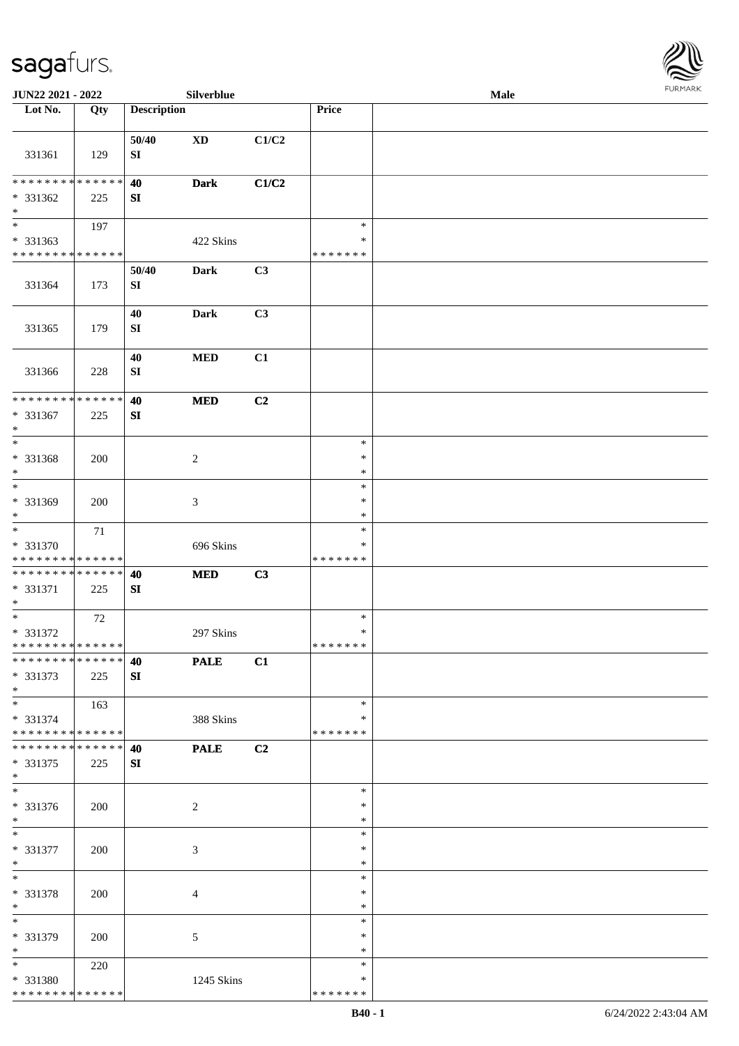

| JUN22 2021 - 2022                                                     |        |                     | Silverblue     |       |                                   | Male |  |
|-----------------------------------------------------------------------|--------|---------------------|----------------|-------|-----------------------------------|------|--|
| Lot No.                                                               | Qty    | <b>Description</b>  |                |       | Price                             |      |  |
| 331361                                                                | 129    | 50/40<br>SI         | <b>XD</b>      | C1/C2 |                                   |      |  |
| * * * * * * * * * * * * * *<br>* 331362<br>$\ast$                     | 225    | 40<br>SI            | <b>Dark</b>    | C1/C2 |                                   |      |  |
| $\overline{\phantom{1}}$<br>* 331363<br>* * * * * * * * * * * * * *   | 197    |                     | 422 Skins      |       | $\ast$<br>$\ast$<br>* * * * * * * |      |  |
| 331364                                                                | 173    | 50/40<br>${\bf SI}$ | Dark           | C3    |                                   |      |  |
| 331365                                                                | 179    | 40<br>SI            | Dark           | C3    |                                   |      |  |
| 331366                                                                | 228    | 40<br>SI            | $\bf MED$      | C1    |                                   |      |  |
| ******** <mark>******</mark><br>$* 331367$<br>$\ast$                  | 225    | 40<br>${\bf SI}$    | $\bf MED$      | C2    |                                   |      |  |
| $\ast$<br>* 331368<br>$\ast$                                          | 200    |                     | $\sqrt{2}$     |       | $\ast$<br>$\ast$<br>$\ast$        |      |  |
| $\overline{\phantom{a}^*}$<br>* 331369<br>$\ast$                      | 200    |                     | 3              |       | $\ast$<br>$\ast$<br>$\ast$        |      |  |
| $\overline{\phantom{a}^*}$<br>* 331370<br>* * * * * * * * * * * * * * | $71\,$ |                     | 696 Skins      |       | $\ast$<br>∗<br>* * * * * * *      |      |  |
| * * * * * * * * * * * * * *<br>* 331371<br>$\ast$                     | 225    | 40<br>SI            | <b>MED</b>     | C3    |                                   |      |  |
| $\ast$<br>* 331372<br>**************                                  | 72     |                     | 297 Skins      |       | $\ast$<br>$\ast$<br>*******       |      |  |
| ******** <mark>******</mark><br>* 331373<br>$*$                       | 225    | 40<br>SI            | <b>PALE</b>    | C1    |                                   |      |  |
| $*$<br>* 331374<br>**************                                     | 163    |                     | 388 Skins      |       | $\ast$<br>∗<br>* * * * * * *      |      |  |
| **************<br>$* 331375$<br>$*$                                   | 225    | 40<br>SI            | <b>PALE</b>    | C2    |                                   |      |  |
| $\overline{\phantom{1}}$<br>* 331376<br>$*$                           | 200    |                     | 2              |       | $\ast$<br>∗<br>$\ast$             |      |  |
| $*$<br>* 331377<br>$*$                                                | 200    |                     | $\mathfrak{Z}$ |       | $\ast$<br>$\ast$<br>$\ast$        |      |  |
| $*$<br>* 331378<br>$*$                                                | 200    |                     | 4              |       | $\ast$<br>$\ast$<br>$\ast$        |      |  |
| $\overline{\phantom{0}}$<br>* 331379<br>$*$                           | 200    |                     | $\mathfrak{S}$ |       | $\ast$<br>$\ast$<br>$\ast$        |      |  |
| $*$<br>* 331380<br>* * * * * * * * * * * * * *                        | 220    |                     | 1245 Skins     |       | $\ast$<br>$\ast$<br>* * * * * * * |      |  |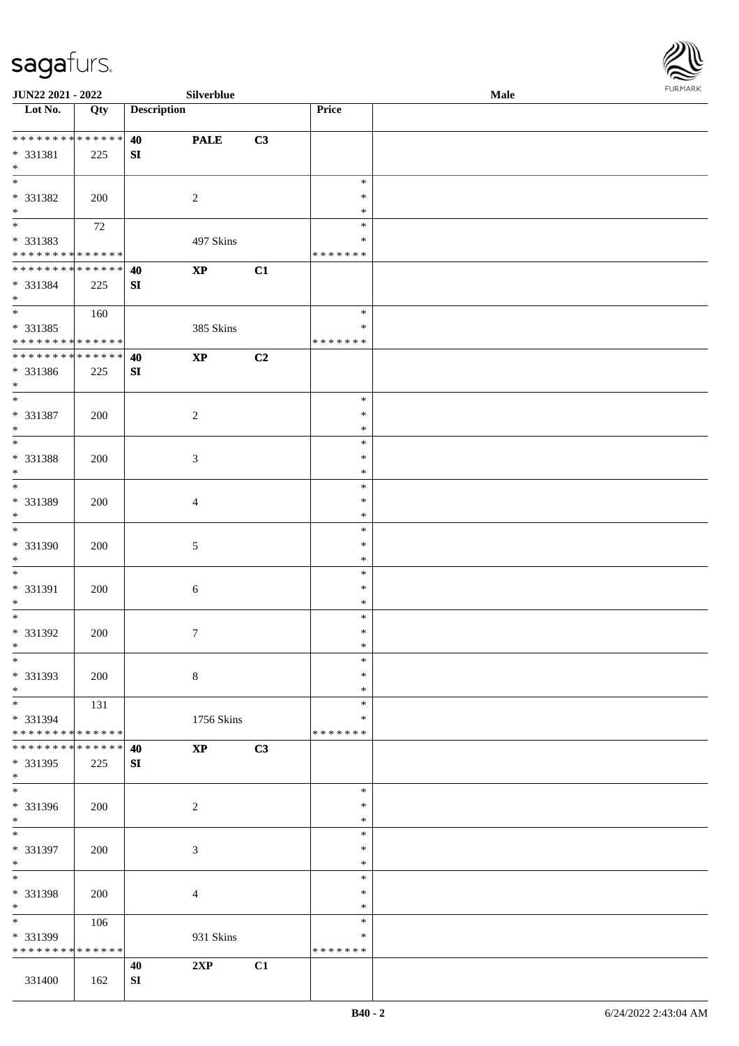

| JUN22 2021 - 2022               |        |                    | Silverblue             |    |                  | Male |  |
|---------------------------------|--------|--------------------|------------------------|----|------------------|------|--|
| Lot No.                         | Qty    | <b>Description</b> |                        |    | Price            |      |  |
|                                 |        |                    |                        |    |                  |      |  |
| * * * * * * * * * * * * * *     |        | 40                 | <b>PALE</b>            | C3 |                  |      |  |
| * 331381<br>$*$                 | 225    | ${\bf SI}$         |                        |    |                  |      |  |
| $\overline{\phantom{0}}$        |        |                    |                        |    | $\ast$           |      |  |
| * 331382                        | 200    |                    | $\overline{c}$         |    | ∗                |      |  |
| $\ast$                          |        |                    |                        |    | *                |      |  |
| $\overline{\phantom{0}}$        | $72\,$ |                    |                        |    | $\ast$           |      |  |
| * 331383                        |        |                    | 497 Skins              |    | $\ast$           |      |  |
| * * * * * * * * * * * * * *     |        |                    |                        |    | * * * * * * *    |      |  |
| * * * * * * * * * * * * * *     |        | 40                 | $\bold{XP}$            | C1 |                  |      |  |
| * 331384                        | 225    | ${\bf SI}$         |                        |    |                  |      |  |
| $*$                             |        |                    |                        |    |                  |      |  |
| $*$                             | 160    |                    |                        |    | $\ast$           |      |  |
| $* 331385$                      |        |                    | 385 Skins              |    | $\ast$           |      |  |
| * * * * * * * * * * * * * *     |        |                    |                        |    | * * * * * * *    |      |  |
| * * * * * * * * * * * * * *     |        | 40                 | $\bold{XP}$            | C2 |                  |      |  |
| * 331386                        | 225    | ${\bf SI}$         |                        |    |                  |      |  |
| $*$                             |        |                    |                        |    |                  |      |  |
| $\ast$                          |        |                    |                        |    | $\ast$           |      |  |
| * 331387                        | 200    |                    | $\sqrt{2}$             |    | $\ast$           |      |  |
| $*$<br>$*$                      |        |                    |                        |    | $\ast$<br>$\ast$ |      |  |
|                                 |        |                    |                        |    | $\ast$           |      |  |
| * 331388<br>$\ast$              | 200    |                    | $\mathfrak{Z}$         |    | $\ast$           |      |  |
| $*$                             |        |                    |                        |    | $\ast$           |      |  |
| * 331389                        | 200    |                    | $\overline{4}$         |    | $\ast$           |      |  |
| $\ast$                          |        |                    |                        |    | $\ast$           |      |  |
| $\overline{\ast}$               |        |                    |                        |    | $\ast$           |      |  |
| * 331390                        | 200    |                    | $\mathfrak{S}$         |    | $\ast$           |      |  |
| $*$                             |        |                    |                        |    | $\ast$           |      |  |
| $*$                             |        |                    |                        |    | $\ast$           |      |  |
| * 331391                        | 200    |                    | $\sqrt{6}$             |    | $\ast$           |      |  |
| $*$                             |        |                    |                        |    | $\ast$           |      |  |
| $*$                             |        |                    |                        |    | $\ast$           |      |  |
| $* 331392$                      | 200    |                    | $\tau$                 |    | $\ast$           |      |  |
| $*$                             |        |                    |                        |    | $\ast$           |      |  |
| $\ast$                          |        |                    |                        |    | $\ast$           |      |  |
| * 331393<br>$*$                 | 200    |                    | $8\,$                  |    | $\ast$<br>$\ast$ |      |  |
|                                 | 131    |                    |                        |    | $\ast$           |      |  |
| * 331394                        |        |                    | 1756 Skins             |    | ∗                |      |  |
| ******** <mark>******</mark>    |        |                    |                        |    | * * * * * * *    |      |  |
| * * * * * * * * * * * * * * *   |        | 40                 | $\mathbf{X}\mathbf{P}$ | C3 |                  |      |  |
| * 331395                        | 225    | SI                 |                        |    |                  |      |  |
| $*$                             |        |                    |                        |    |                  |      |  |
| $\overline{\phantom{0}}$        |        |                    |                        |    | $\ast$           |      |  |
| * 331396                        | 200    |                    | $\overline{2}$         |    | ∗                |      |  |
| $*$                             |        |                    |                        |    | $\ast$           |      |  |
| $*$                             |        |                    |                        |    | $\ast$           |      |  |
| * 331397                        | 200    |                    | $\mathfrak{Z}$         |    | $\ast$           |      |  |
| $*$                             |        |                    |                        |    | $\ast$           |      |  |
| $*$                             |        |                    |                        |    | $\ast$           |      |  |
| * 331398                        | 200    |                    | $\overline{4}$         |    | $\ast$<br>$\ast$ |      |  |
| $*$<br>$\overline{\phantom{0}}$ |        |                    |                        |    | $\ast$           |      |  |
| * 331399                        | 106    |                    |                        |    | ∗                |      |  |
| * * * * * * * * * * * * * *     |        |                    | 931 Skins              |    | * * * * * * *    |      |  |
|                                 |        | 40                 | 2XP                    | C1 |                  |      |  |
| 331400                          | 162    | SI                 |                        |    |                  |      |  |
|                                 |        |                    |                        |    |                  |      |  |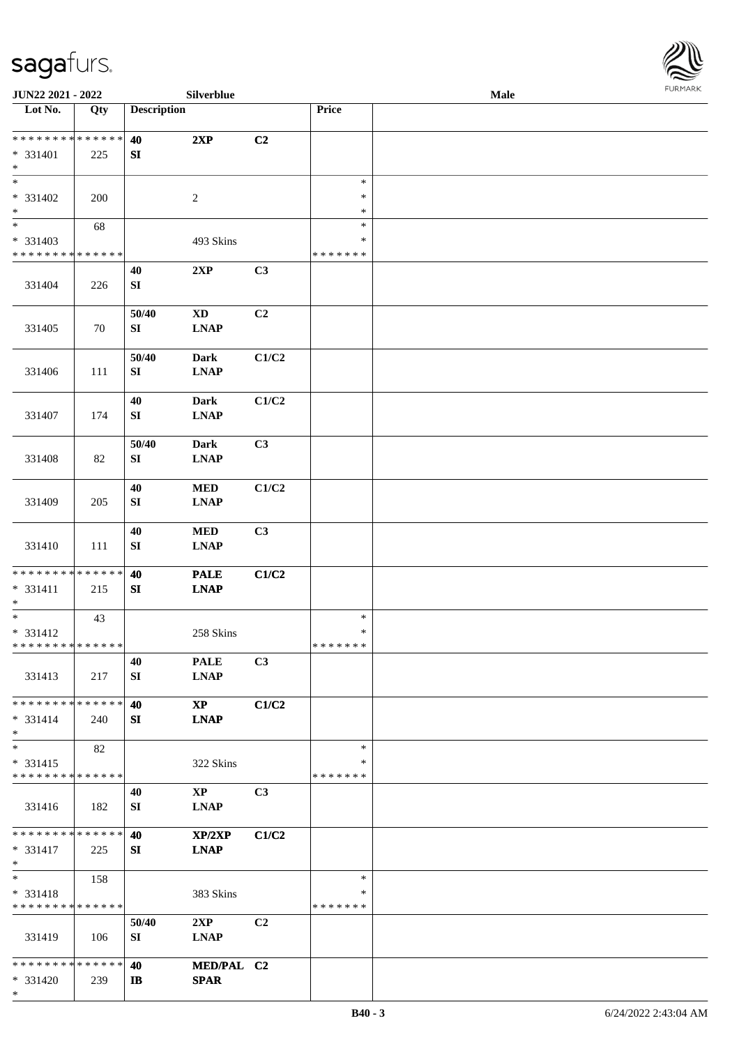\*



| JUN22 2021 - 2022           |             |                    | Silverblue             |                |               | <b>Male</b> |  |
|-----------------------------|-------------|--------------------|------------------------|----------------|---------------|-------------|--|
| Lot No.                     | Qty         | <b>Description</b> |                        |                | Price         |             |  |
| **************              |             |                    |                        |                |               |             |  |
|                             |             | 40                 | 2XP                    | C2             |               |             |  |
| * 331401<br>$\ast$          | 225         | ${\bf SI}$         |                        |                |               |             |  |
| $\overline{\ast}$           |             |                    |                        |                | $\ast$        |             |  |
| * 331402                    |             |                    | $\sqrt{2}$             |                | $\ast$        |             |  |
| $\ast$                      | 200         |                    |                        |                | $\ast$        |             |  |
| $\overline{\phantom{a}^*}$  |             |                    |                        |                | $\ast$        |             |  |
|                             | 68          |                    |                        |                | $\ast$        |             |  |
| * 331403<br>* * * * * * * * | * * * * * * |                    | 493 Skins              |                | * * * * * * * |             |  |
|                             |             |                    |                        |                |               |             |  |
|                             |             | 40                 | 2XP                    | C3             |               |             |  |
| 331404                      | 226         | ${\bf S}{\bf I}$   |                        |                |               |             |  |
|                             |             | 50/40              | $\mathbf{X}\mathbf{D}$ | C2             |               |             |  |
|                             |             |                    |                        |                |               |             |  |
| 331405                      | 70          | SI                 | <b>LNAP</b>            |                |               |             |  |
|                             |             | 50/40              | <b>Dark</b>            | C1/C2          |               |             |  |
| 331406                      |             | ${\bf SI}$         | <b>LNAP</b>            |                |               |             |  |
|                             | 111         |                    |                        |                |               |             |  |
|                             |             | 40                 | <b>Dark</b>            | C1/C2          |               |             |  |
| 331407                      | 174         | SI                 | <b>LNAP</b>            |                |               |             |  |
|                             |             |                    |                        |                |               |             |  |
|                             |             | 50/40              | <b>Dark</b>            | C3             |               |             |  |
| 331408                      | 82          | SI                 | <b>LNAP</b>            |                |               |             |  |
|                             |             |                    |                        |                |               |             |  |
|                             |             | 40                 | $\bf MED$              | C1/C2          |               |             |  |
| 331409                      | 205         | ${\bf S}{\bf I}$   | <b>LNAP</b>            |                |               |             |  |
|                             |             |                    |                        |                |               |             |  |
|                             |             | 40                 | <b>MED</b>             | C3             |               |             |  |
| 331410                      | 111         | ${\bf SI}$         | <b>LNAP</b>            |                |               |             |  |
|                             |             |                    |                        |                |               |             |  |
| * * * * * * * * * * * * * * |             | 40                 | <b>PALE</b>            | C1/C2          |               |             |  |
| $* 331411$                  | 215         | SI                 | <b>LNAP</b>            |                |               |             |  |
| $\ast$                      |             |                    |                        |                |               |             |  |
| $\ast$                      | 43          |                    |                        |                | $\ast$        |             |  |
| * 331412                    |             |                    | 258 Skins              |                | $\ast$        |             |  |
| **************              |             |                    |                        |                | * * * * * * * |             |  |
|                             |             | 40                 | <b>PALE</b>            | C3             |               |             |  |
| 331413                      | 217         | SI                 | <b>LNAP</b>            |                |               |             |  |
|                             |             |                    |                        |                |               |             |  |
| * * * * * * * * * * * * * * |             | 40                 | $\bold{X}\bold{P}$     | C1/C2          |               |             |  |
| $* 331414$                  | 240         | SI                 | <b>LNAP</b>            |                |               |             |  |
| $*$                         |             |                    |                        |                |               |             |  |
| $\ast$                      | 82          |                    |                        |                | $\ast$        |             |  |
| $* 331415$                  |             |                    | 322 Skins              |                | *             |             |  |
| * * * * * * * * * * * * * * |             |                    |                        |                | * * * * * * * |             |  |
|                             |             | 40                 | $\mathbf{XP}$          | C <sub>3</sub> |               |             |  |
| 331416                      | 182         | SI                 | <b>LNAP</b>            |                |               |             |  |
|                             |             |                    |                        |                |               |             |  |
| * * * * * * * * * * * * * * |             | 40                 | XP/2XP                 | C1/C2          |               |             |  |
| $* 331417$                  | 225         | SI                 | <b>LNAP</b>            |                |               |             |  |
| $*$                         |             |                    |                        |                |               |             |  |
| $\ast$                      | 158         |                    |                        |                | $\ast$        |             |  |
| * 331418                    |             |                    | 383 Skins              |                | $\ast$        |             |  |
| * * * * * * * * * * * * * * |             |                    |                        |                | * * * * * * * |             |  |
|                             |             | 50/40              | 2XP                    | C <sub>2</sub> |               |             |  |
| 331419                      | 106         | SI                 | <b>LNAP</b>            |                |               |             |  |
|                             |             |                    |                        |                |               |             |  |
| * * * * * * * * * * * * * * |             | 40                 | MED/PAL C2             |                |               |             |  |
| $* 331420$                  | 239         | $\mathbf{I}$       | <b>SPAR</b>            |                |               |             |  |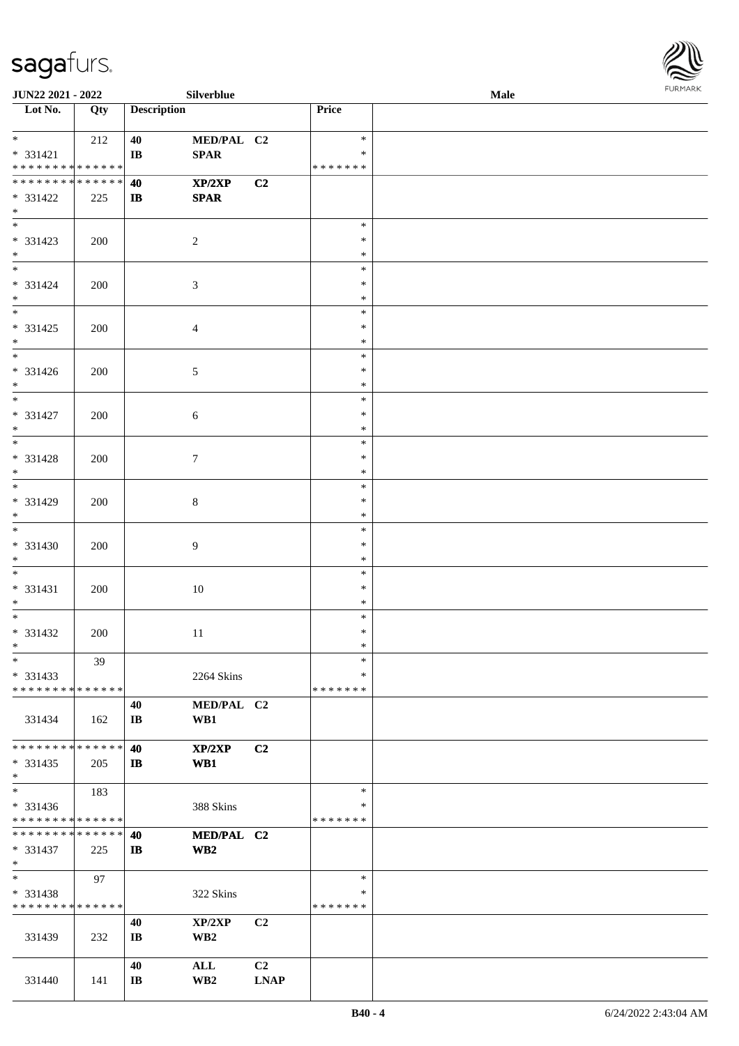

| JUN22 2021 - 2022                                   |                   |                              | Silverblue                    |                   |                                   | Male |  |
|-----------------------------------------------------|-------------------|------------------------------|-------------------------------|-------------------|-----------------------------------|------|--|
| Lot No.                                             | $\overline{Q}$ ty | <b>Description</b>           |                               |                   | Price                             |      |  |
| $*$<br>$* 331421$<br>* * * * * * * * * * * * * *    | 212               | 40<br>IB                     | MED/PAL C2<br>SPAR            |                   | $\ast$<br>$\ast$<br>* * * * * * * |      |  |
| * * * * * * * * * * * * * *<br>* 331422<br>$*$      | 225               | 40<br>$\mathbf{I}$           | XP/2XP<br><b>SPAR</b>         | C2                |                                   |      |  |
| * 331423<br>$*$                                     | 200               |                              | $\overline{2}$                |                   | $\ast$<br>$\ast$<br>$\ast$        |      |  |
| $* 331424$<br>$*$                                   | 200               |                              | $\mathfrak{Z}$                |                   | $\ast$<br>$\ast$<br>$\ast$        |      |  |
| $*$<br>$* 331425$<br>$*$                            | 200               |                              | $\overline{4}$                |                   | $\ast$<br>$\ast$<br>$\ast$        |      |  |
| $\overline{\phantom{0}}$<br>$* 331426$<br>$*$       | 200               |                              | $\sqrt{5}$                    |                   | $\ast$<br>$\ast$<br>$\ast$        |      |  |
| $\overline{\phantom{a}^*}$<br>$* 331427$<br>$*$     | 200               |                              | 6                             |                   | $\ast$<br>$\ast$<br>$\ast$        |      |  |
| * 331428<br>$*$                                     | 200               |                              | $7\phantom{.0}$               |                   | $\ast$<br>$\ast$<br>$\ast$        |      |  |
| $\overline{\phantom{0}}$<br>* 331429<br>$*$         | 200               |                              | $\,8\,$                       |                   | $\ast$<br>$\ast$<br>$\ast$        |      |  |
| $\overline{\phantom{0}}$<br>$* 331430$<br>$*$       | 200               |                              | $\overline{9}$                |                   | $\ast$<br>$\ast$<br>$\ast$        |      |  |
| $*$<br>$* 331431$<br>$*$                            | 200               |                              | 10                            |                   | $\ast$<br>$\ast$<br>$\ast$        |      |  |
| $*$<br>$* 331432$<br>$*$ $-$                        | 200               |                              | $11\,$                        |                   | $\ast$<br>$\ast$<br>$\ast$        |      |  |
| $\ast$<br>$* 331433$<br>* * * * * * * * * * * * * * | 39                |                              | 2264 Skins                    |                   | $\ast$<br>∗<br>* * * * * * *      |      |  |
| 331434                                              | 162               | 40<br>$\mathbf{I}\mathbf{B}$ | MED/PAL C2<br>WB1             |                   |                                   |      |  |
| * * * * * * * * * * * * * *<br>$* 331435$<br>$*$    | 205               | 40<br>$\mathbf{I}$           | XP/2XP<br>WB1                 | C <sub>2</sub>    |                                   |      |  |
| $\ast$<br>* 331436<br>* * * * * * * * * * * * * *   | 183               |                              | 388 Skins                     |                   | $\ast$<br>∗<br>* * * * * * *      |      |  |
| * * * * * * * * * * * * * * *<br>* 331437<br>$*$    | 225               | 40<br>$\mathbf{I}$           | MED/PAL C2<br>WB <sub>2</sub> |                   |                                   |      |  |
| $*$<br>$* 331438$<br>* * * * * * * * * * * * * *    | 97                |                              | 322 Skins                     |                   | $\ast$<br>$\ast$<br>* * * * * * * |      |  |
| 331439                                              | 232               | 40<br>$\mathbf{I}\mathbf{B}$ | XP/2XP<br>WB <sub>2</sub>     | C2                |                                   |      |  |
| 331440                                              | 141               | 40<br>$\mathbf{I}\mathbf{B}$ | ALL<br>WB <sub>2</sub>        | C2<br><b>LNAP</b> |                                   |      |  |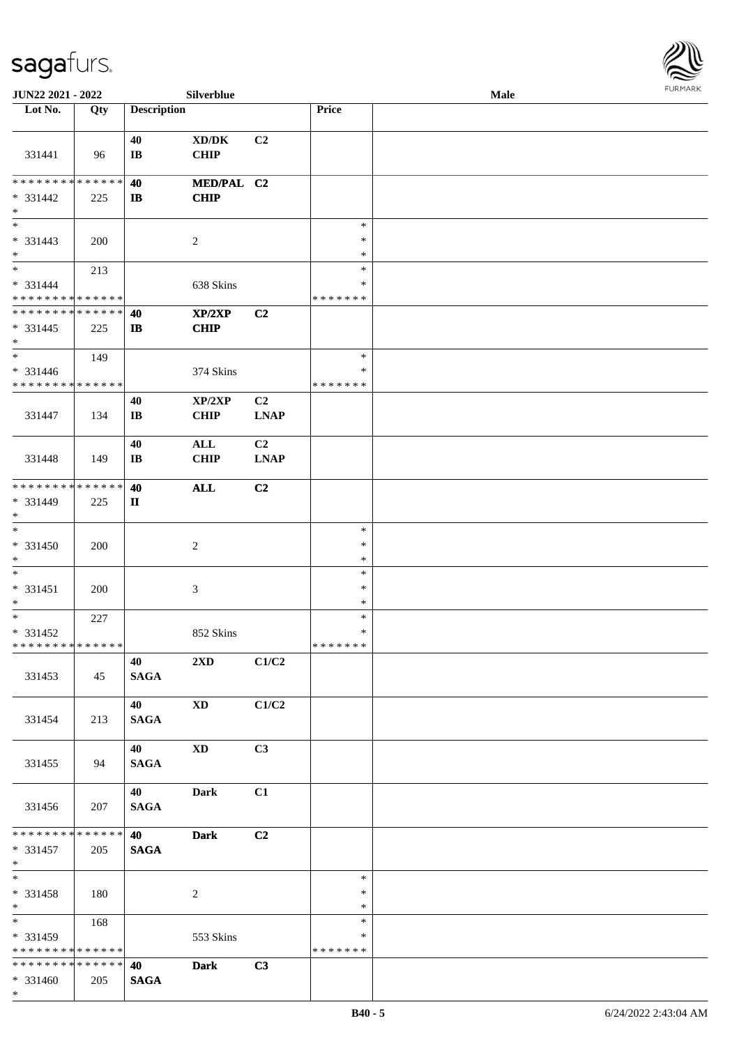

| JUN22 2021 - 2022                                            |     |                              | Silverblue                                  |                               |                                   | Male |  |
|--------------------------------------------------------------|-----|------------------------------|---------------------------------------------|-------------------------------|-----------------------------------|------|--|
| Lot No.                                                      | Qty | <b>Description</b>           |                                             |                               | Price                             |      |  |
| 331441                                                       | 96  | 40<br>$\mathbf{I}\mathbf{B}$ | $\bold{X}\bold{D}/\bold{D}\bold{K}$<br>CHIP | C <sub>2</sub>                |                                   |      |  |
| * * * * * * * * * * * * * *<br>* 331442<br>$*$               | 225 | 40<br>$\mathbf{I}$           | MED/PAL C2<br><b>CHIP</b>                   |                               |                                   |      |  |
| $\overline{\phantom{0}}$<br>$* 331443$<br>$*$                | 200 |                              | $\overline{2}$                              |                               | $\ast$<br>$\ast$<br>$\ast$        |      |  |
| $\overline{\ast}$<br>* 331444<br>* * * * * * * * * * * * * * | 213 |                              | 638 Skins                                   |                               | $\ast$<br>∗<br>* * * * * * *      |      |  |
| * * * * * * * * * * * * * *<br>$* 331445$<br>$*$             | 225 | 40<br>$\mathbf{I}$           | XP/2XP<br><b>CHIP</b>                       | C2                            |                                   |      |  |
| $\ast$<br>$* 331446$<br>* * * * * * * * * * * * * *          | 149 |                              | 374 Skins                                   |                               | $\ast$<br>$\ast$<br>* * * * * * * |      |  |
| 331447                                                       | 134 | 40<br>$\mathbf{I}\mathbf{B}$ | XP/2XP<br>CHIP                              | C <sub>2</sub><br><b>LNAP</b> |                                   |      |  |
| 331448                                                       | 149 | 40<br>$\mathbf{I}\mathbf{B}$ | $\mathbf{ALL}$<br>CHIP                      | C <sub>2</sub><br><b>LNAP</b> |                                   |      |  |
| * * * * * * * * * * * * * *<br>* 331449<br>$*$               | 225 | 40<br>П                      | <b>ALL</b>                                  | C2                            |                                   |      |  |
| $\ast$<br>$* 331450$<br>$*$                                  | 200 |                              | $\boldsymbol{2}$                            |                               | $\ast$<br>$\ast$<br>$\ast$        |      |  |
| $*$<br>$* 331451$<br>$*$                                     | 200 |                              | $\mathfrak{Z}$                              |                               | $\ast$<br>$\ast$<br>$\ast$        |      |  |
| $*$<br>* 331452<br>******** <mark>******</mark>              | 227 |                              | 852 Skins                                   |                               | $\ast$<br>$\ast$<br>*******       |      |  |
| 331453                                                       | 45  | 40<br><b>SAGA</b>            | 2XD                                         | C1/C2                         |                                   |      |  |
| 331454                                                       | 213 | 40<br><b>SAGA</b>            | $\mathbf{X}\mathbf{D}$                      | C1/C2                         |                                   |      |  |
| 331455                                                       | 94  | 40<br><b>SAGA</b>            | $\mathbf{X}\mathbf{D}$                      | C3                            |                                   |      |  |
| 331456                                                       | 207 | 40<br><b>SAGA</b>            | <b>Dark</b>                                 | C1                            |                                   |      |  |
| * * * * * * * * * * * * * * *<br>* 331457<br>$*$ $*$         | 205 | 40<br><b>SAGA</b>            | <b>Dark</b>                                 | C2                            |                                   |      |  |
| $*$<br>* 331458<br>$*$                                       | 180 |                              | $\overline{2}$                              |                               | $\ast$<br>$\ast$<br>$\ast$        |      |  |
| * 331459<br>* * * * * * * * * * * * * *                      | 168 |                              | 553 Skins                                   |                               | $\ast$<br>∗<br>* * * * * * *      |      |  |
| ******** <mark>******</mark><br>* 331460<br>$*$              | 205 | 40<br><b>SAGA</b>            | <b>Dark</b>                                 | C3                            |                                   |      |  |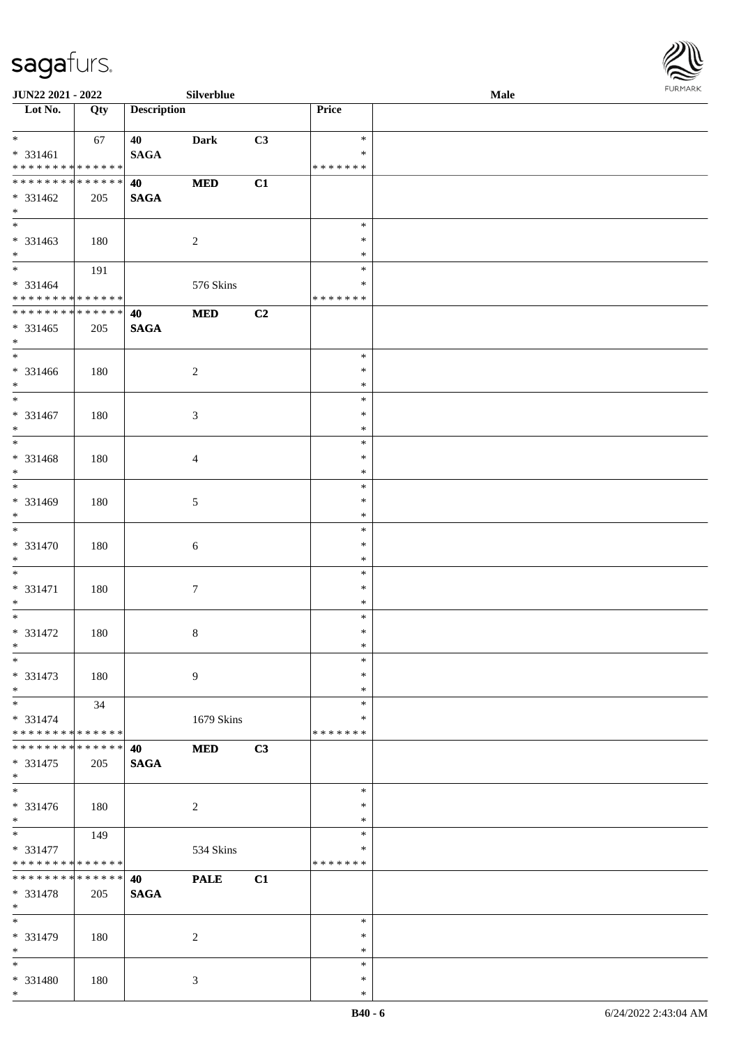\*



| <b>JUN22 2021 - 2022</b>                   |     |                    | Silverblue       |    |               | <b>Male</b> |  |
|--------------------------------------------|-----|--------------------|------------------|----|---------------|-------------|--|
| Lot No.                                    | Qty | <b>Description</b> |                  |    | Price         |             |  |
|                                            |     |                    |                  |    |               |             |  |
| $*$                                        | 67  | 40                 | Dark             | C3 | $\ast$        |             |  |
| * 331461                                   |     | <b>SAGA</b>        |                  |    | $\ast$        |             |  |
| * * * * * * * * * * * * * *                |     |                    |                  |    | * * * * * * * |             |  |
| ******** <mark>******</mark>               |     | 40                 | $\bf MED$        | C1 |               |             |  |
| * 331462                                   | 205 | <b>SAGA</b>        |                  |    |               |             |  |
| $*$                                        |     |                    |                  |    |               |             |  |
|                                            |     |                    |                  |    | $\ast$        |             |  |
| * 331463                                   | 180 |                    | $\overline{2}$   |    | $\ast$        |             |  |
| $*$                                        |     |                    |                  |    | $\ast$        |             |  |
| $*$                                        |     |                    |                  |    | $\ast$        |             |  |
|                                            | 191 |                    |                  |    | $\ast$        |             |  |
| * 331464                                   |     |                    | 576 Skins        |    |               |             |  |
| * * * * * * * * <mark>* * * * * * *</mark> |     |                    |                  |    | * * * * * * * |             |  |
| ___<br>******** <mark>******</mark>        |     | 40                 | $\bf MED$        | C2 |               |             |  |
| $* 331465$                                 | 205 | <b>SAGA</b>        |                  |    |               |             |  |
| $*$                                        |     |                    |                  |    |               |             |  |
|                                            |     |                    |                  |    | $\ast$        |             |  |
| * 331466                                   | 180 |                    | $\overline{c}$   |    | $\ast$        |             |  |
| $*$                                        |     |                    |                  |    | $\ast$        |             |  |
|                                            |     |                    |                  |    | $\ast$        |             |  |
| * 331467                                   | 180 |                    | 3                |    | $\ast$        |             |  |
| $*$                                        |     |                    |                  |    | $\ast$        |             |  |
|                                            |     |                    |                  |    | $\ast$        |             |  |
| * 331468                                   |     |                    |                  |    | $\ast$        |             |  |
| $*$                                        | 180 |                    | $\overline{4}$   |    | $\ast$        |             |  |
|                                            |     |                    |                  |    |               |             |  |
|                                            |     |                    |                  |    | $\ast$        |             |  |
| * 331469                                   | 180 |                    | 5                |    | $\ast$        |             |  |
| $*$                                        |     |                    |                  |    | $\ast$        |             |  |
|                                            |     |                    |                  |    | $\ast$        |             |  |
| * 331470                                   | 180 |                    | 6                |    | $\ast$        |             |  |
| $*$                                        |     |                    |                  |    | $\ast$        |             |  |
| $*$                                        |     |                    |                  |    | $\ast$        |             |  |
| * 331471                                   | 180 |                    | $\boldsymbol{7}$ |    | $\ast$        |             |  |
| $*$                                        |     |                    |                  |    | $\ast$        |             |  |
| $*$                                        |     |                    |                  |    | $\ast$        |             |  |
| * 331472                                   | 180 |                    | $\,8\,$          |    | $\ast$        |             |  |
| $*$                                        |     |                    |                  |    | $\ast$        |             |  |
| $*$                                        |     |                    |                  |    | $\ast$        |             |  |
| $* 331473$                                 |     |                    | 9                |    | $\ast$        |             |  |
|                                            | 180 |                    |                  |    |               |             |  |
| $*$                                        |     |                    |                  |    | $\ast$        |             |  |
| $*$                                        | 34  |                    |                  |    | $\ast$        |             |  |
| * 331474                                   |     |                    | 1679 Skins       |    | ∗             |             |  |
| * * * * * * * * <mark>* * * * * * *</mark> |     |                    |                  |    | * * * * * * * |             |  |
| * * * * * * * * * * * * * * *              |     | 40                 | <b>MED</b>       | C3 |               |             |  |
| * 331475                                   | 205 | <b>SAGA</b>        |                  |    |               |             |  |
| $*$                                        |     |                    |                  |    |               |             |  |
|                                            |     |                    |                  |    | $\ast$        |             |  |
| * 331476                                   | 180 |                    | $\overline{c}$   |    | $\ast$        |             |  |
| $*$                                        |     |                    |                  |    | $\ast$        |             |  |
|                                            | 149 |                    |                  |    | $\ast$        |             |  |
| * 331477                                   |     |                    | 534 Skins        |    | $\ast$        |             |  |
| * * * * * * * * <mark>* * * * * * *</mark> |     |                    |                  |    | *******       |             |  |
| * * * * * * * * * * * * * * *              |     | 40                 | <b>PALE</b>      | C1 |               |             |  |
|                                            |     |                    |                  |    |               |             |  |
| * 331478                                   | 205 | <b>SAGA</b>        |                  |    |               |             |  |
| $*$                                        |     |                    |                  |    |               |             |  |
| $*$                                        |     |                    |                  |    | $\ast$        |             |  |
| * 331479                                   | 180 |                    | 2                |    | $\ast$        |             |  |
| $*$                                        |     |                    |                  |    | $\ast$        |             |  |
| $*$                                        |     |                    |                  |    | $\ast$        |             |  |
| * 331480                                   | 180 |                    | 3                |    | $\ast$        |             |  |
| $*$                                        |     |                    |                  |    | $\ast$        |             |  |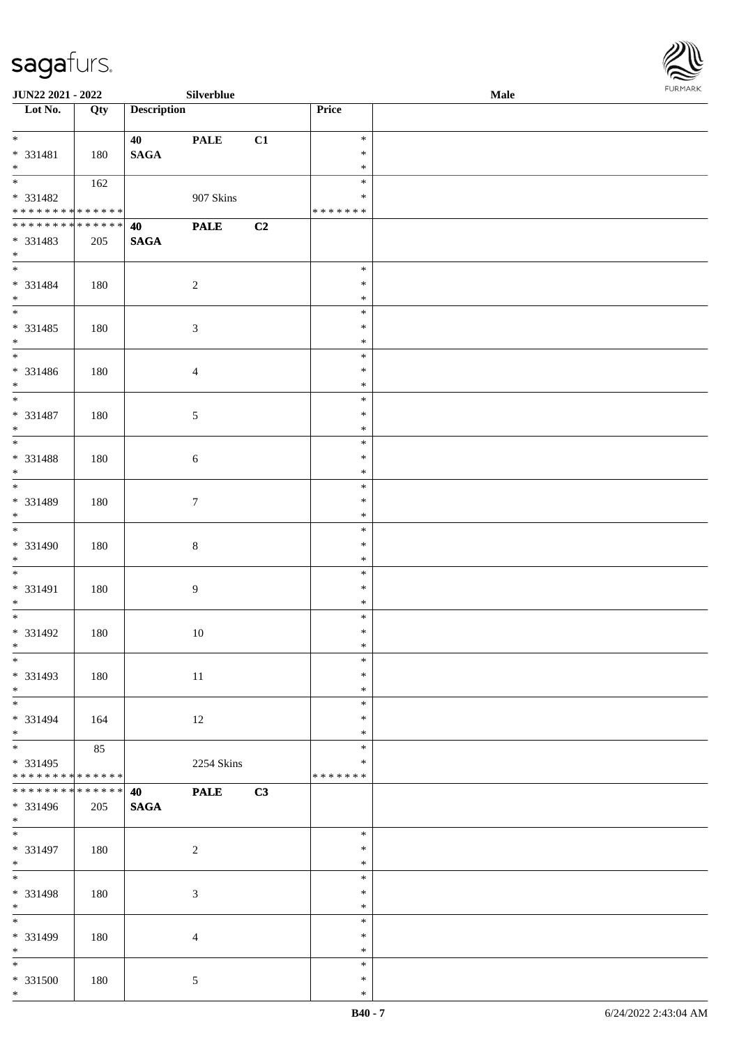

| <b>JUN22 2021 - 2022</b>                   |             |                    | Silverblue      |    |                  | Male |
|--------------------------------------------|-------------|--------------------|-----------------|----|------------------|------|
| Lot No.                                    | Qty         | <b>Description</b> |                 |    | Price            |      |
|                                            |             |                    |                 |    |                  |      |
| $*$                                        |             | 40                 | <b>PALE</b>     | C1 | $\ast$           |      |
| * 331481                                   | 180         | <b>SAGA</b>        |                 |    | $\ast$           |      |
| $*$                                        |             |                    |                 |    | $\ast$           |      |
|                                            | 162         |                    |                 |    | $\ast$           |      |
| * 331482                                   |             |                    | 907 Skins       |    | ∗                |      |
| * * * * * * * * <mark>* * * * * * *</mark> |             |                    |                 |    | *******          |      |
| * * * * * * * * <mark>* * * * * * *</mark> |             | 40                 | <b>PALE</b>     | C2 |                  |      |
| * 331483                                   | 205         | <b>SAGA</b>        |                 |    |                  |      |
| $*$                                        |             |                    |                 |    |                  |      |
| $\overline{\mathbf{r}}$                    |             |                    |                 |    | $\ast$           |      |
|                                            |             |                    |                 |    |                  |      |
| * 331484                                   | 180         |                    | $\overline{2}$  |    | $\ast$           |      |
| $*$                                        |             |                    |                 |    | $\ast$           |      |
|                                            |             |                    |                 |    | $\ast$           |      |
| * 331485                                   | 180         |                    | $\sqrt{3}$      |    | $\ast$           |      |
| $*$                                        |             |                    |                 |    | $\ast$           |      |
| $\overline{\phantom{0}}$                   |             |                    |                 |    | $\ast$           |      |
| * 331486                                   | 180         |                    | $\overline{4}$  |    | $\ast$           |      |
| $*$                                        |             |                    |                 |    | $\ast$           |      |
|                                            |             |                    |                 |    | $\ast$           |      |
| * 331487                                   | 180         |                    | $\mathfrak{S}$  |    | $\ast$           |      |
| $*$                                        |             |                    |                 |    | $\ast$           |      |
|                                            |             |                    |                 |    | $\ast$           |      |
| * 331488                                   | 180         |                    | $\sqrt{6}$      |    | $\ast$           |      |
| $*$                                        |             |                    |                 |    | $\ast$           |      |
| $\overline{\phantom{0}}$                   |             |                    |                 |    | $\ast$           |      |
|                                            |             |                    |                 |    |                  |      |
| * 331489                                   | 180         |                    | $7\phantom{.0}$ |    | $\ast$           |      |
| $*$                                        |             |                    |                 |    | $\ast$           |      |
|                                            |             |                    |                 |    | $\ast$           |      |
| * 331490                                   | 180         |                    | $\,8\,$         |    | $\ast$           |      |
| $*$                                        |             |                    |                 |    | $\ast$           |      |
| $*$                                        |             |                    |                 |    | $\ast$           |      |
| * 331491                                   | 180         |                    | $\overline{9}$  |    | $\ast$           |      |
| $*$                                        |             |                    |                 |    | $\ast$           |      |
|                                            |             |                    |                 |    | $\ast$           |      |
| * 331492                                   | 180         |                    | 10              |    | $\ast$           |      |
| $*$                                        |             |                    |                 |    | $\ast$           |      |
| $\overline{\ast}$                          |             |                    |                 |    | $\ast$           |      |
| * 331493                                   | 180         |                    | 11              |    | $\ast$           |      |
|                                            |             |                    |                 |    |                  |      |
| $*$<br>$*$ $*$                             |             |                    |                 |    | $\ast$<br>$\ast$ |      |
|                                            |             |                    |                 |    |                  |      |
| * 331494                                   | 164         |                    | 12              |    | $\ast$           |      |
| $*$                                        |             |                    |                 |    | $\ast$           |      |
| $*$                                        | 85          |                    |                 |    | $\ast$           |      |
| * 331495                                   |             |                    | 2254 Skins      |    | $\ast$           |      |
| ******** <mark>******</mark>               |             |                    |                 |    | *******          |      |
| * * * * * * * * <mark>*</mark>             | * * * * * * | 40                 | <b>PALE</b>     | C3 |                  |      |
| * 331496                                   | 205         | $\mathbf{SAGA}$    |                 |    |                  |      |
| $*$                                        |             |                    |                 |    |                  |      |
| $\overline{\ast}$                          |             |                    |                 |    | $\ast$           |      |
| * 331497                                   | 180         |                    | $\overline{2}$  |    | $\ast$           |      |
| $*$                                        |             |                    |                 |    | $\ast$           |      |
| $*$                                        |             |                    |                 |    | $\ast$           |      |
| * 331498                                   | 180         |                    | 3               |    | $\ast$           |      |
| $*$                                        |             |                    |                 |    | $\ast$           |      |
|                                            |             |                    |                 |    | $\ast$           |      |
|                                            |             |                    |                 |    |                  |      |
| * 331499                                   | 180         |                    | $\overline{4}$  |    | $\ast$           |      |
| $*$                                        |             |                    |                 |    | $\ast$           |      |
|                                            |             |                    |                 |    | $\ast$           |      |
| * 331500                                   | 180         |                    | $5\overline{)}$ |    | $\ast$           |      |
| $\ast$                                     |             |                    |                 |    | $\ast$           |      |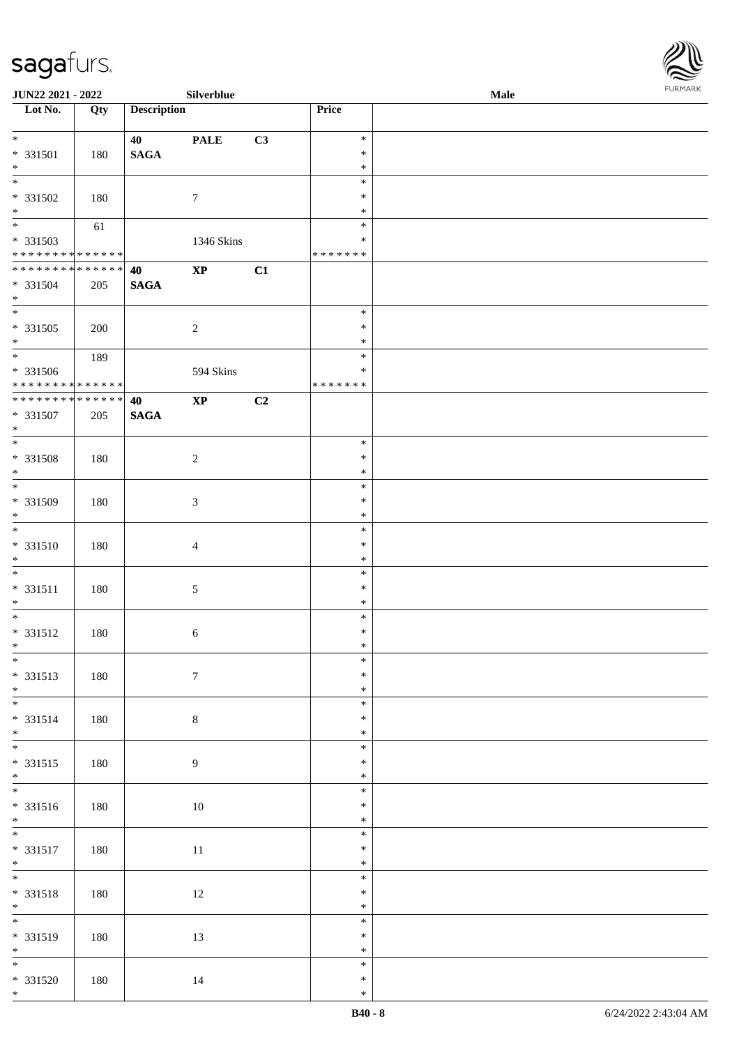

| <b>JUN22 2021 - 2022</b>                 |     |                    | Silverblue       |    |               | Male |  |
|------------------------------------------|-----|--------------------|------------------|----|---------------|------|--|
| Lot No.                                  | Qty | <b>Description</b> |                  |    | Price         |      |  |
|                                          |     |                    |                  |    |               |      |  |
| $*$                                      |     | 40                 | <b>PALE</b>      | C3 | $\ast$        |      |  |
| * 331501                                 | 180 | <b>SAGA</b>        |                  |    | $\ast$        |      |  |
| $\ast$                                   |     |                    |                  |    | $\ast$        |      |  |
|                                          |     |                    |                  |    | $\ast$        |      |  |
| $* 331502$                               | 180 |                    | 7                |    | $\ast$        |      |  |
| $\ast$                                   |     |                    |                  |    | $\ast$        |      |  |
|                                          | 61  |                    |                  |    | $\ast$        |      |  |
|                                          |     |                    |                  |    | $\ast$        |      |  |
| * 331503<br>******** <mark>******</mark> |     |                    | 1346 Skins       |    | * * * * * * * |      |  |
|                                          |     |                    |                  |    |               |      |  |
| ******** <mark>******</mark>             |     | 40                 | $\bold{XP}$      | C1 |               |      |  |
| * 331504                                 | 205 | <b>SAGA</b>        |                  |    |               |      |  |
| $*$                                      |     |                    |                  |    |               |      |  |
|                                          |     |                    |                  |    | $\ast$        |      |  |
| * 331505                                 | 200 |                    | $\sqrt{2}$       |    | $\ast$        |      |  |
| $*$                                      |     |                    |                  |    | $\ast$        |      |  |
| $\overline{\phantom{0}}$                 | 189 |                    |                  |    | $\ast$        |      |  |
| $* 331506$                               |     |                    | 594 Skins        |    | $\ast$        |      |  |
| ******** <mark>******</mark>             |     |                    |                  |    | * * * * * * * |      |  |
| ******** <mark>******</mark>             |     | 40                 | $\bold{XP}$      | C2 |               |      |  |
| * 331507                                 | 205 | <b>SAGA</b>        |                  |    |               |      |  |
| $*$                                      |     |                    |                  |    |               |      |  |
|                                          |     |                    |                  |    | $\ast$        |      |  |
|                                          |     |                    |                  |    |               |      |  |
| * 331508                                 | 180 |                    | $\sqrt{2}$       |    | $\ast$        |      |  |
| $\ast$<br>$\overline{\phantom{0}}$       |     |                    |                  |    | $\ast$        |      |  |
|                                          |     |                    |                  |    | $\ast$        |      |  |
| * 331509                                 | 180 |                    | $\mathfrak{Z}$   |    | $\ast$        |      |  |
| $*$                                      |     |                    |                  |    | $\ast$        |      |  |
|                                          |     |                    |                  |    | $\ast$        |      |  |
| $* 331510$                               | 180 |                    | $\overline{4}$   |    | $\ast$        |      |  |
| $*$                                      |     |                    |                  |    | $\ast$        |      |  |
| $*$                                      |     |                    |                  |    | $\ast$        |      |  |
| $* 331511$                               | 180 |                    | 5                |    | $\ast$        |      |  |
| $*$                                      |     |                    |                  |    | $\ast$        |      |  |
| $*$                                      |     |                    |                  |    | $\ast$        |      |  |
|                                          |     |                    |                  |    |               |      |  |
| * 331512                                 | 180 |                    | 6                |    | $\ast$        |      |  |
| $*$                                      |     |                    |                  |    | $\ast$        |      |  |
| $\ast$                                   |     |                    |                  |    | $\ast$        |      |  |
| * 331513                                 | 180 |                    | $\boldsymbol{7}$ |    | $\ast$        |      |  |
| $*$                                      |     |                    |                  |    | $\ast$        |      |  |
|                                          |     |                    |                  |    | $\ast$        |      |  |
| * 331514                                 | 180 |                    | $8\,$            |    | $\ast$        |      |  |
| $*$                                      |     |                    |                  |    | $\ast$        |      |  |
|                                          |     |                    |                  |    | $\ast$        |      |  |
| $* 331515$                               | 180 |                    | 9                |    | $\ast$        |      |  |
| $*$                                      |     |                    |                  |    | $\ast$        |      |  |
|                                          |     |                    |                  |    |               |      |  |
|                                          |     |                    |                  |    | $\ast$        |      |  |
| $* 331516$                               | 180 |                    | $10\,$           |    | $\ast$        |      |  |
| $*$                                      |     |                    |                  |    | $\ast$        |      |  |
| $*$                                      |     |                    |                  |    | $\ast$        |      |  |
| * 331517                                 | 180 |                    | $11\,$           |    | $\ast$        |      |  |
| $*$                                      |     |                    |                  |    | $\ast$        |      |  |
|                                          |     |                    |                  |    | $\ast$        |      |  |
| $* 331518$                               | 180 |                    | $12\,$           |    | $\ast$        |      |  |
| $*$                                      |     |                    |                  |    | $\ast$        |      |  |
| $\overline{\phantom{0}}$                 |     |                    |                  |    | $\ast$        |      |  |
|                                          |     |                    |                  |    | $\ast$        |      |  |
| $* 331519$<br>$*$                        | 180 |                    | 13               |    | $\ast$        |      |  |
| $\overline{\phantom{0}}$                 |     |                    |                  |    |               |      |  |
|                                          |     |                    |                  |    | $\ast$        |      |  |
| $* 331520$                               | 180 |                    | 14               |    | $\ast$        |      |  |
| $*$                                      |     |                    |                  |    | $\ast$        |      |  |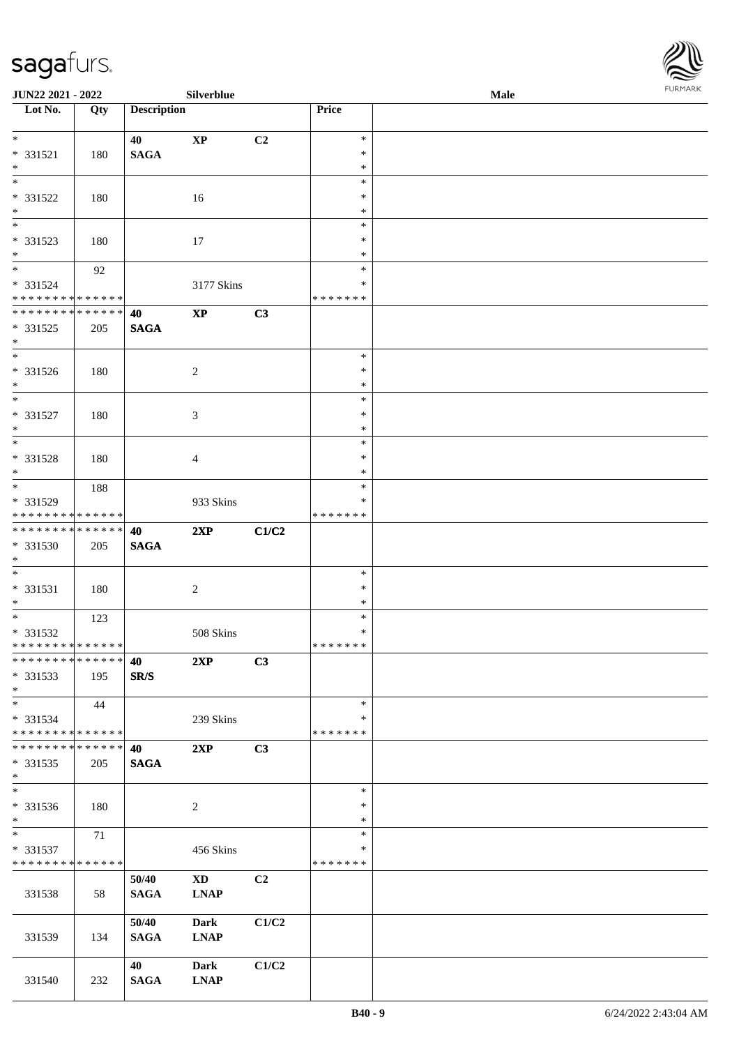

| <b>JUN22 2021 - 2022</b>                   |     |                    | Silverblue             |       |               | Male |  |
|--------------------------------------------|-----|--------------------|------------------------|-------|---------------|------|--|
| Lot No.                                    | Qty | <b>Description</b> |                        |       | Price         |      |  |
|                                            |     |                    |                        |       |               |      |  |
| $*$                                        |     | 40                 | $\mathbf{X}\mathbf{P}$ | C2    | $\ast$        |      |  |
| * 331521                                   | 180 | <b>SAGA</b>        |                        |       | $\ast$        |      |  |
| $\ast$                                     |     |                    |                        |       | $\ast$        |      |  |
|                                            |     |                    |                        |       | $\ast$        |      |  |
| * 331522                                   | 180 |                    | 16                     |       | $\ast$        |      |  |
| $*$                                        |     |                    |                        |       | $\ast$        |      |  |
| $\overline{\phantom{0}}$                   |     |                    |                        |       | $\ast$        |      |  |
| * 331523                                   | 180 |                    | 17                     |       | $\ast$        |      |  |
| $*$                                        |     |                    |                        |       | $\ast$        |      |  |
| $\overline{\ast}$                          | 92  |                    |                        |       | $\ast$        |      |  |
| * 331524                                   |     |                    | 3177 Skins             |       | $\ast$        |      |  |
| * * * * * * * * * * * * * *                |     |                    |                        |       | * * * * * * * |      |  |
| * * * * * * * * <mark>* * * * * * *</mark> |     | 40                 | $\mathbf{X}\mathbf{P}$ | C3    |               |      |  |
| * 331525                                   | 205 | <b>SAGA</b>        |                        |       |               |      |  |
| $*$                                        |     |                    |                        |       |               |      |  |
| $\overline{\phantom{0}}$                   |     |                    |                        |       | $\ast$        |      |  |
| * 331526                                   | 180 |                    | $\overline{c}$         |       | $\ast$        |      |  |
| $*$                                        |     |                    |                        |       | $\ast$        |      |  |
|                                            |     |                    |                        |       | $\ast$        |      |  |
| * 331527                                   | 180 |                    | 3                      |       | $\ast$        |      |  |
| $*$                                        |     |                    |                        |       | $\ast$        |      |  |
|                                            |     |                    |                        |       | $\ast$        |      |  |
| * 331528                                   | 180 |                    | 4                      |       | $\ast$        |      |  |
| $*$                                        |     |                    |                        |       | $\ast$        |      |  |
|                                            | 188 |                    |                        |       | $\ast$        |      |  |
| * 331529                                   |     |                    | 933 Skins              |       | ∗             |      |  |
| * * * * * * * * * * * * * *                |     |                    |                        |       | * * * * * * * |      |  |
| * * * * * * * * <mark>* * * * * * *</mark> |     |                    | 2XP                    |       |               |      |  |
|                                            |     | 40                 |                        | C1/C2 |               |      |  |
| * 331530                                   | 205 | <b>SAGA</b>        |                        |       |               |      |  |
| $*$<br>$*$                                 |     |                    |                        |       | $\ast$        |      |  |
|                                            |     |                    |                        |       |               |      |  |
| * 331531                                   | 180 |                    | $\sqrt{2}$             |       | $\ast$        |      |  |
| $*$                                        |     |                    |                        |       | $\ast$        |      |  |
| $*$ $-$                                    | 123 |                    |                        |       | $\ast$        |      |  |
| * 331532                                   |     |                    | 508 Skins              |       | $\ast$        |      |  |
| * * * * * * * * <mark>* * * * * * *</mark> |     |                    |                        |       | * * * * * * * |      |  |
| ******** <mark>******</mark>               |     | 40                 | 2XP                    | C3    |               |      |  |
| * 331533                                   | 195 | SR/S               |                        |       |               |      |  |
| $*$                                        |     |                    |                        |       |               |      |  |
| $*$                                        | 44  |                    |                        |       | $\ast$        |      |  |
| $* 331534$                                 |     |                    | 239 Skins              |       | ∗             |      |  |
| * * * * * * * * <mark>* * * * * * *</mark> |     |                    |                        |       | *******       |      |  |
| * * * * * * * * * * * * * * *              |     | 40                 | 2XP                    | C3    |               |      |  |
| * 331535                                   | 205 | <b>SAGA</b>        |                        |       |               |      |  |
| $*$                                        |     |                    |                        |       |               |      |  |
| $\ast$                                     |     |                    |                        |       | $\ast$        |      |  |
| * 331536                                   | 180 |                    | 2                      |       | $\ast$        |      |  |
| $*$                                        |     |                    |                        |       | $\ast$        |      |  |
| $*$                                        | 71  |                    |                        |       | $\ast$        |      |  |
| * 331537                                   |     |                    | 456 Skins              |       | $\ast$        |      |  |
| * * * * * * * * * * * * * *                |     |                    |                        |       | *******       |      |  |
|                                            |     | 50/40              | $\mathbf{X}\mathbf{D}$ | C2    |               |      |  |
| 331538                                     | 58  | <b>SAGA</b>        | <b>LNAP</b>            |       |               |      |  |
|                                            |     |                    |                        |       |               |      |  |
|                                            |     | 50/40              | <b>Dark</b>            | C1/C2 |               |      |  |
| 331539                                     | 134 | <b>SAGA</b>        | <b>LNAP</b>            |       |               |      |  |
|                                            |     |                    |                        |       |               |      |  |
|                                            |     | 40                 | <b>Dark</b>            | C1/C2 |               |      |  |
| 331540                                     | 232 | <b>SAGA</b>        | <b>LNAP</b>            |       |               |      |  |
|                                            |     |                    |                        |       |               |      |  |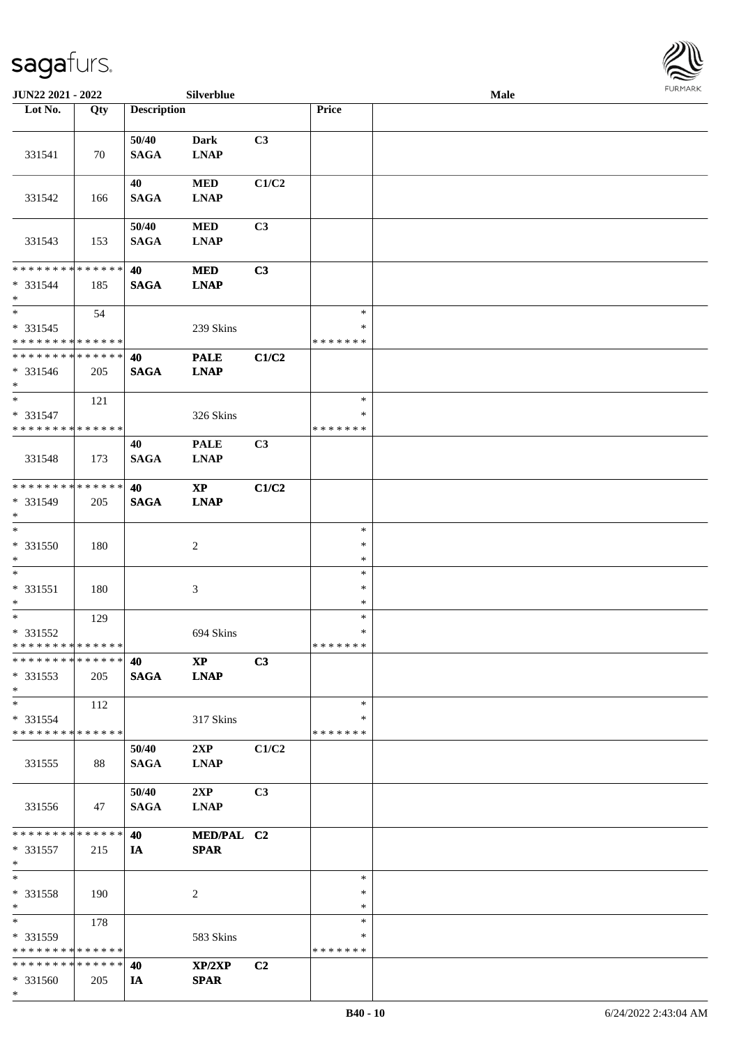

| JUN22 2021 - 2022                                           |     |                    | Silverblue             |                |               | Male |  |
|-------------------------------------------------------------|-----|--------------------|------------------------|----------------|---------------|------|--|
| Lot No.                                                     | Qty | <b>Description</b> |                        |                | Price         |      |  |
|                                                             |     |                    |                        |                |               |      |  |
|                                                             |     | 50/40              | <b>Dark</b>            | C3             |               |      |  |
| 331541                                                      | 70  | <b>SAGA</b>        | <b>LNAP</b>            |                |               |      |  |
|                                                             |     |                    |                        |                |               |      |  |
|                                                             |     | 40                 | $\bf MED$              | C1/C2          |               |      |  |
| 331542                                                      | 166 | <b>SAGA</b>        | <b>LNAP</b>            |                |               |      |  |
|                                                             |     |                    |                        |                |               |      |  |
|                                                             |     | 50/40              | $\bf MED$              | C <sub>3</sub> |               |      |  |
| 331543                                                      | 153 | <b>SAGA</b>        | <b>LNAP</b>            |                |               |      |  |
|                                                             |     |                    |                        |                |               |      |  |
| * * * * * * * * * * * * * *                                 |     | 40                 | <b>MED</b>             | C3             |               |      |  |
| * 331544                                                    | 185 | <b>SAGA</b>        | <b>LNAP</b>            |                |               |      |  |
| $\ast$                                                      |     |                    |                        |                |               |      |  |
| $\ast$                                                      | 54  |                    |                        |                | $\ast$        |      |  |
| * 331545                                                    |     |                    | 239 Skins              |                | $\ast$        |      |  |
| * * * * * * * * * * * * * *<br>******** <mark>******</mark> |     |                    |                        |                | * * * * * * * |      |  |
|                                                             |     | 40                 | <b>PALE</b>            | C1/C2          |               |      |  |
| $* 331546$<br>$*$                                           | 205 | <b>SAGA</b>        | <b>LNAP</b>            |                |               |      |  |
| $\ast$                                                      | 121 |                    |                        |                | $\ast$        |      |  |
| * 331547                                                    |     |                    | 326 Skins              |                | $\ast$        |      |  |
| * * * * * * * * * * * * * *                                 |     |                    |                        |                | * * * * * * * |      |  |
|                                                             |     | 40                 | <b>PALE</b>            | C3             |               |      |  |
| 331548                                                      | 173 | <b>SAGA</b>        | <b>LNAP</b>            |                |               |      |  |
|                                                             |     |                    |                        |                |               |      |  |
| * * * * * * * * * * * * * *                                 |     | 40                 | $\mathbf{X}\mathbf{P}$ | C1/C2          |               |      |  |
| * 331549                                                    | 205 | <b>SAGA</b>        | <b>LNAP</b>            |                |               |      |  |
| $*$                                                         |     |                    |                        |                |               |      |  |
| $\overline{\phantom{1}}$                                    |     |                    |                        |                | $\ast$        |      |  |
| $* 331550$                                                  | 180 |                    | $\sqrt{2}$             |                | $\ast$        |      |  |
| $\ast$                                                      |     |                    |                        |                | $\ast$        |      |  |
| $\ast$                                                      |     |                    |                        |                | $\ast$        |      |  |
| $* 331551$                                                  | 180 |                    | $\mathfrak{Z}$         |                | $\ast$        |      |  |
| $\ast$                                                      |     |                    |                        |                | $\ast$        |      |  |
| $*$                                                         | 129 |                    |                        |                | $\ast$        |      |  |
| * 331552                                                    |     |                    | 694 Skins              |                | $\ast$        |      |  |
| **************                                              |     |                    |                        |                | *******       |      |  |
| * * * * * * * * * * * * * *                                 |     | 40                 | $\bold{XP}$            | C3             |               |      |  |
| * 331553<br>$*$                                             | 205 | <b>SAGA</b>        | <b>LNAP</b>            |                |               |      |  |
| $*$                                                         |     |                    |                        |                | $\ast$        |      |  |
| * 331554                                                    | 112 |                    |                        |                | *             |      |  |
| * * * * * * * * * * * * * *                                 |     |                    | 317 Skins              |                | * * * * * * * |      |  |
|                                                             |     | 50/40              | 2XP                    | C1/C2          |               |      |  |
| 331555                                                      | 88  | <b>SAGA</b>        | <b>LNAP</b>            |                |               |      |  |
|                                                             |     |                    |                        |                |               |      |  |
|                                                             |     | 50/40              | 2XP                    | C3             |               |      |  |
| 331556                                                      | 47  | <b>SAGA</b>        | <b>LNAP</b>            |                |               |      |  |
|                                                             |     |                    |                        |                |               |      |  |
| * * * * * * * * * * * * * *                                 |     | 40                 | MED/PAL C2             |                |               |      |  |
| * 331557                                                    | 215 | <b>IA</b>          | <b>SPAR</b>            |                |               |      |  |
| $*$                                                         |     |                    |                        |                |               |      |  |
| $\ast$                                                      |     |                    |                        |                | $\ast$        |      |  |
| * 331558                                                    | 190 |                    | 2                      |                | $\ast$        |      |  |
| $*$                                                         |     |                    |                        |                | $\ast$        |      |  |
| $*$                                                         | 178 |                    |                        |                | $\ast$        |      |  |
| * 331559                                                    |     |                    | 583 Skins              |                | ∗             |      |  |
| * * * * * * * * * * * * * *                                 |     |                    |                        |                | * * * * * * * |      |  |
| * * * * * * * * * * * * * *                                 |     | 40                 | XP/2XP                 | C <sub>2</sub> |               |      |  |
| * 331560                                                    | 205 | IA                 | <b>SPAR</b>            |                |               |      |  |
| $\ast$                                                      |     |                    |                        |                |               |      |  |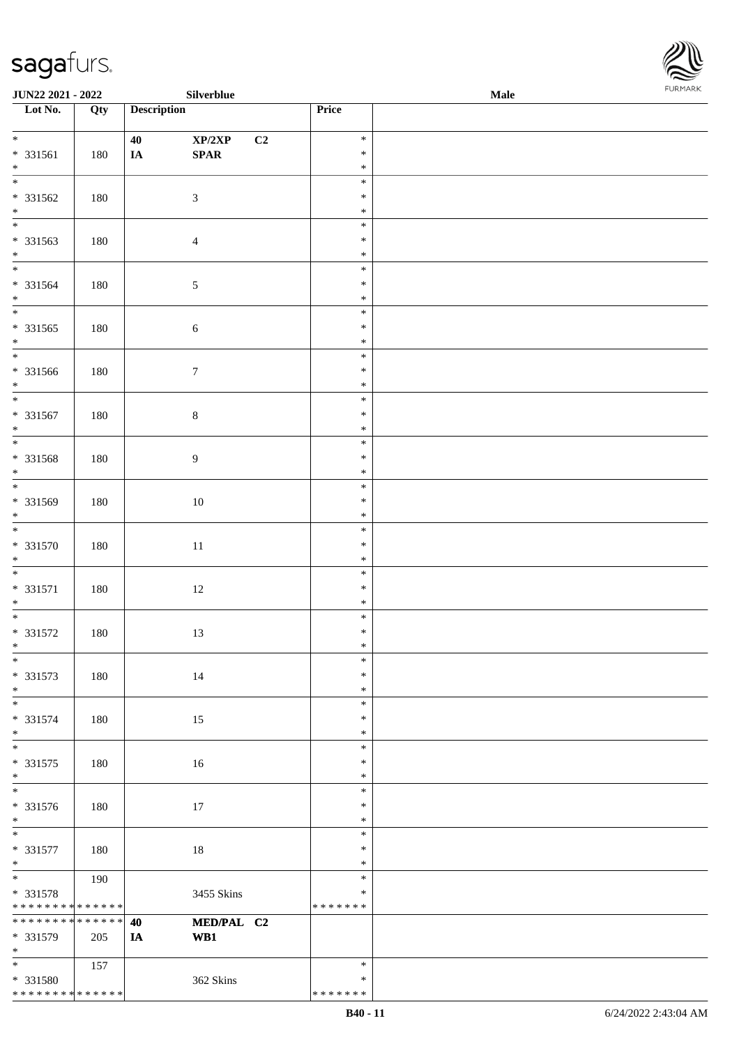

| JUN22 2021 - 2022            |     |                    | Silverblue                       |               | Male | . |
|------------------------------|-----|--------------------|----------------------------------|---------------|------|---|
| Lot No.                      | Qty | <b>Description</b> |                                  | Price         |      |   |
|                              |     |                    |                                  |               |      |   |
| $\overline{\ }$              |     | 40                 | $\mathbf{XP}/2\mathbf{XP}$<br>C2 | $\ast$        |      |   |
| $* 331561$                   | 180 | IA                 | $\pmb{\quad \text{SPAR} \quad}$  | $\ast$        |      |   |
| $\ast$                       |     |                    |                                  | $\ast$        |      |   |
| $\overline{\phantom{0}}$     |     |                    |                                  | $\ast$        |      |   |
| * 331562                     | 180 |                    | $\mathfrak{Z}$                   | $\ast$        |      |   |
| $\ast$                       |     |                    |                                  | $\ast$        |      |   |
| $\overline{\phantom{0}}$     |     |                    |                                  | $\ast$        |      |   |
| * 331563                     | 180 |                    | $\overline{4}$                   | $\ast$        |      |   |
| $\ast$                       |     |                    |                                  | $\ast$        |      |   |
| $\overline{\phantom{0}}$     |     |                    |                                  | $\ast$        |      |   |
| * 331564                     | 180 |                    | $\sqrt{5}$                       | $\ast$        |      |   |
| $\ast$                       |     |                    |                                  | $\ast$        |      |   |
| $\overline{\phantom{0}}$     |     |                    |                                  | $\ast$        |      |   |
| $* 331565$                   | 180 |                    | $\sqrt{6}$                       | $\ast$        |      |   |
| $\ast$                       |     |                    |                                  | $\ast$        |      |   |
| $_{\ast}^{-}$                |     |                    |                                  | $\ast$        |      |   |
| $* 331566$                   | 180 |                    | $\boldsymbol{7}$                 | $\ast$        |      |   |
| $\ast$                       |     |                    |                                  | $\ast$        |      |   |
| $\overline{\ast}$            |     |                    |                                  | $\ast$        |      |   |
| * 331567                     | 180 |                    | $\,8\,$                          | $\ast$        |      |   |
| $\ast$                       |     |                    |                                  | $\ast$        |      |   |
| $\overline{\phantom{0}}$     |     |                    |                                  | $\ast$        |      |   |
| * 331568                     | 180 |                    | $\overline{9}$                   | $\ast$        |      |   |
| $\ast$                       |     |                    |                                  | $\ast$        |      |   |
| $\overline{\phantom{a}^*}$   |     |                    |                                  | $\ast$        |      |   |
| * 331569                     | 180 |                    | $10\,$                           | $\ast$        |      |   |
| $*$                          |     |                    |                                  | $\ast$        |      |   |
| $\overline{\phantom{a}^*}$   |     |                    |                                  | $\ast$        |      |   |
| * 331570                     | 180 |                    | $11\,$                           | $\ast$        |      |   |
| $*$                          |     |                    |                                  | $\ast$        |      |   |
| $\overline{\ast}$            |     |                    |                                  | $\ast$        |      |   |
| $* 331571$                   | 180 |                    | $12\,$                           | $\ast$        |      |   |
| $\ast$                       |     |                    |                                  | $\ast$        |      |   |
| $*$                          |     |                    |                                  | $\ast$        |      |   |
| $* 331572$                   | 180 |                    | 13                               | $\ast$        |      |   |
| $*$                          |     |                    |                                  | $\ast$        |      |   |
| $*$                          |     |                    |                                  | $\ast$        |      |   |
| $* 331573$                   | 180 |                    | 14                               | $\ast$        |      |   |
| $\ast$                       |     |                    |                                  | $\ast$        |      |   |
| $\ast$                       |     |                    |                                  | $\ast$        |      |   |
| * 331574                     | 180 |                    | 15                               | $\ast$        |      |   |
| $\ast$                       |     |                    |                                  | $\ast$        |      |   |
| $*$                          |     |                    |                                  | $\ast$        |      |   |
| $* 331575$                   | 180 |                    | 16                               | $\ast$        |      |   |
| $\ast$                       |     |                    |                                  | $\ast$        |      |   |
| $\overline{\phantom{a}^*}$   |     |                    |                                  | $\ast$        |      |   |
| * 331576                     | 180 |                    | 17                               | $\ast$        |      |   |
| $*$                          |     |                    |                                  | $\ast$        |      |   |
| $\ast$                       |     |                    |                                  | $\ast$        |      |   |
| $* 331577$                   | 180 |                    | 18                               | $\ast$        |      |   |
| $*$                          |     |                    |                                  | $\ast$        |      |   |
| $\overline{\phantom{a}^*}$   | 190 |                    |                                  | $\ast$        |      |   |
| * 331578                     |     |                    | 3455 Skins                       | $\ast$        |      |   |
| ******** <mark>******</mark> |     |                    |                                  | * * * * * * * |      |   |
| ******** <mark>******</mark> |     | 40                 | MED/PAL C2                       |               |      |   |
| * 331579                     | 205 | IA                 | WB1                              |               |      |   |
| $*$                          |     |                    |                                  |               |      |   |
| $*$                          | 157 |                    |                                  | $\ast$        |      |   |
| * 331580                     |     |                    | 362 Skins                        | $\ast$        |      |   |
| * * * * * * * * * * * * * *  |     |                    |                                  | * * * * * * * |      |   |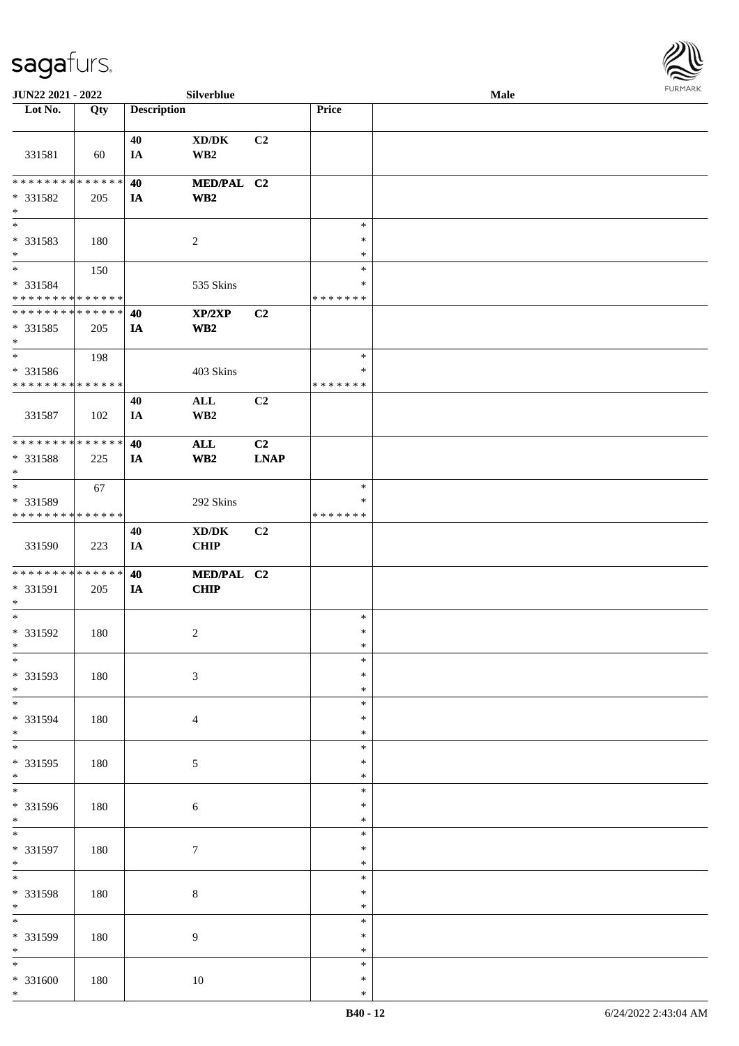

| JUN22 2021 - 2022                  |     |                    | Silverblue                          |             |                  | Male |  |
|------------------------------------|-----|--------------------|-------------------------------------|-------------|------------------|------|--|
| Lot No.                            | Qty | <b>Description</b> |                                     |             | Price            |      |  |
|                                    |     |                    |                                     |             |                  |      |  |
|                                    |     | 40                 | $\bold{X}\bold{D}/\bold{D}\bold{K}$ | C2          |                  |      |  |
| 331581                             | 60  | IA                 | WB <sub>2</sub>                     |             |                  |      |  |
|                                    |     |                    |                                     |             |                  |      |  |
| * * * * * * * * * * * * * * *      |     | 40                 | MED/PAL C2                          |             |                  |      |  |
| * 331582                           | 205 | IA                 | WB <sub>2</sub>                     |             |                  |      |  |
| $\ast$                             |     |                    |                                     |             |                  |      |  |
| $\overline{\phantom{a}^*}$         |     |                    |                                     |             | $\ast$           |      |  |
|                                    |     |                    |                                     |             | $\ast$           |      |  |
| * 331583                           | 180 |                    | $\sqrt{2}$                          |             |                  |      |  |
| $\ast$<br>$\overline{\ast}$        |     |                    |                                     |             | $\ast$           |      |  |
|                                    | 150 |                    |                                     |             | $\ast$           |      |  |
| * 331584                           |     |                    | 535 Skins                           |             | *                |      |  |
| * * * * * * * * * * * * * * *      |     |                    |                                     |             | * * * * * * *    |      |  |
| **************                     |     | 40                 | XP/2XP                              | C2          |                  |      |  |
| * 331585                           | 205 | IA                 | WB <sub>2</sub>                     |             |                  |      |  |
| $\ast$                             |     |                    |                                     |             |                  |      |  |
| $\ast$                             | 198 |                    |                                     |             | $\ast$           |      |  |
| * 331586                           |     |                    | 403 Skins                           |             | $\ast$           |      |  |
| * * * * * * * * * * * * * *        |     |                    |                                     |             | * * * * * * *    |      |  |
|                                    |     | 40                 | $\mathbf{ALL}$                      | C2          |                  |      |  |
| 331587                             | 102 | IA                 | WB <sub>2</sub>                     |             |                  |      |  |
|                                    |     |                    |                                     |             |                  |      |  |
| **************                     |     | 40                 | <b>ALL</b>                          | C2          |                  |      |  |
| * 331588                           | 225 | IA                 | WB2                                 | <b>LNAP</b> |                  |      |  |
| $\ast$                             |     |                    |                                     |             |                  |      |  |
| $\ast$                             | 67  |                    |                                     |             | $\ast$           |      |  |
| * 331589                           |     |                    | 292 Skins                           |             | ∗                |      |  |
| * * * * * * * * * * * * * *        |     |                    |                                     |             | * * * * * * *    |      |  |
|                                    |     | 40                 | $\bold{X}\bold{D}/\bold{D}\bold{K}$ | C2          |                  |      |  |
| 331590                             | 223 | IA                 | <b>CHIP</b>                         |             |                  |      |  |
|                                    |     |                    |                                     |             |                  |      |  |
| **************                     |     | 40                 | MED/PAL C2                          |             |                  |      |  |
| * 331591                           |     |                    |                                     |             |                  |      |  |
| $\ast$                             | 205 | IA                 | <b>CHIP</b>                         |             |                  |      |  |
| $\ast$                             |     |                    |                                     |             | $\ast$           |      |  |
|                                    |     |                    |                                     |             |                  |      |  |
| $* 331592$                         | 180 |                    | $\overline{c}$                      |             | $\ast$           |      |  |
| $*$<br>$\ast$                      |     |                    |                                     |             | $\ast$<br>$\ast$ |      |  |
|                                    |     |                    |                                     |             |                  |      |  |
| * 331593                           | 180 |                    | $\sqrt{3}$                          |             | $\ast$           |      |  |
| $\ast$<br>$\overline{\phantom{0}}$ |     |                    |                                     |             | $\ast$           |      |  |
|                                    |     |                    |                                     |             | $\ast$           |      |  |
| * 331594                           | 180 |                    | $\overline{4}$                      |             | $\ast$           |      |  |
| $\ast$                             |     |                    |                                     |             | ∗                |      |  |
| $\overline{\phantom{a}^*}$         |     |                    |                                     |             | $\ast$           |      |  |
| * 331595                           | 180 |                    | $\sqrt{5}$                          |             | ∗                |      |  |
| $*$                                |     |                    |                                     |             | $\ast$           |      |  |
| $\overline{\phantom{a}^*}$         |     |                    |                                     |             | $\ast$           |      |  |
| * 331596                           | 180 |                    | $\sqrt{6}$                          |             | ∗                |      |  |
| $*$                                |     |                    |                                     |             | $\ast$           |      |  |
| $\overline{\phantom{0}}$           |     |                    |                                     |             | $\ast$           |      |  |
| * 331597                           | 180 |                    | $\boldsymbol{7}$                    |             | $\ast$           |      |  |
| $\ast$                             |     |                    |                                     |             | $\ast$           |      |  |
| $*$                                |     |                    |                                     |             | $\ast$           |      |  |
| * 331598                           | 180 |                    | $\,8\,$                             |             | $\ast$           |      |  |
| $\ast$                             |     |                    |                                     |             | $\ast$           |      |  |
| $_{\ast}$                          |     |                    |                                     |             | $\ast$           |      |  |
| * 331599                           | 180 |                    | $\overline{9}$                      |             | *                |      |  |
| $\ast$                             |     |                    |                                     |             | $\ast$           |      |  |
| $\ast$                             |     |                    |                                     |             | $\ast$           |      |  |
| * 331600                           | 180 |                    | 10                                  |             | $\ast$           |      |  |
| $\ast$                             |     |                    |                                     |             | $\ast$           |      |  |
|                                    |     |                    |                                     |             |                  |      |  |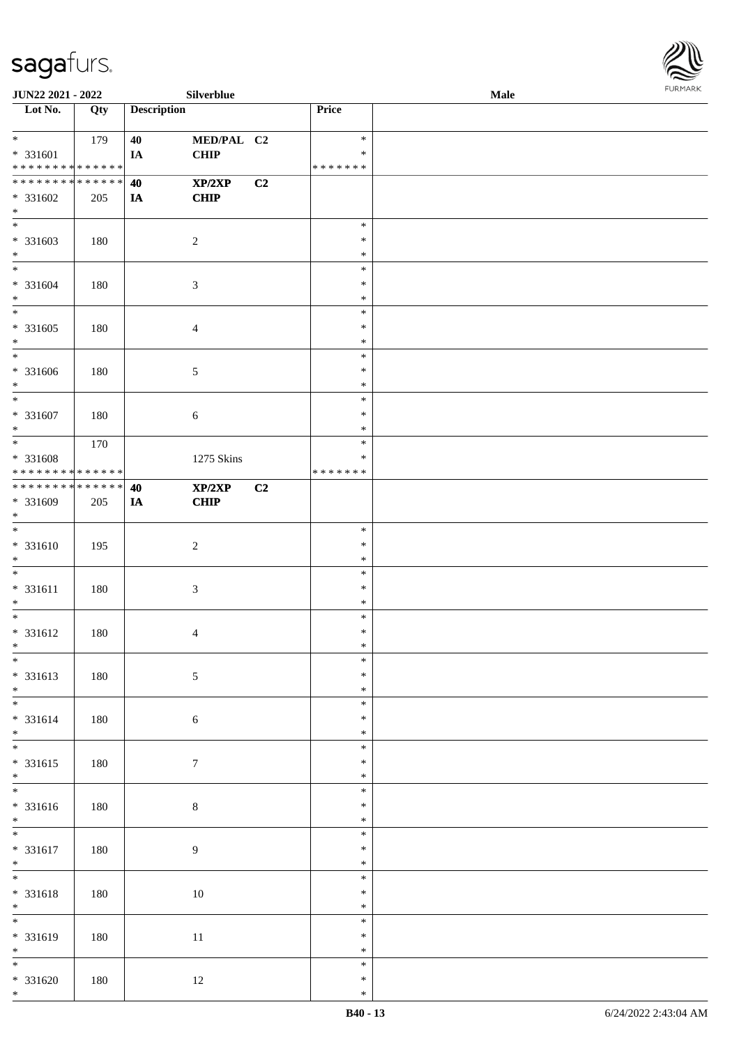

| <b>JUN22 2021 - 2022</b>                |     |                    | Silverblue       |    |                         | .<br><b>Male</b> |  |
|-----------------------------------------|-----|--------------------|------------------|----|-------------------------|------------------|--|
| Lot No.                                 | Qty | <b>Description</b> |                  |    | Price                   |                  |  |
|                                         |     |                    |                  |    |                         |                  |  |
| $*$                                     | 179 | 40                 | MED/PAL C2       |    | $\ast$                  |                  |  |
| * 331601<br>* * * * * * * * * * * * * * |     | IA                 | <b>CHIP</b>      |    | $\ast$<br>* * * * * * * |                  |  |
| * * * * * * * * * * * * * * *           |     | 40                 | XP/2XP           | C2 |                         |                  |  |
| * 331602<br>$*$                         | 205 | IA                 | <b>CHIP</b>      |    |                         |                  |  |
| $\overline{\ast}$                       |     |                    |                  |    | $\ast$                  |                  |  |
| * 331603                                | 180 |                    | $\sqrt{2}$       |    | $\ast$                  |                  |  |
| $*$<br>$*$                              |     |                    |                  |    | $\ast$<br>$\ast$        |                  |  |
| * 331604                                | 180 |                    | 3                |    | $\ast$                  |                  |  |
| $*$                                     |     |                    |                  |    | $\ast$                  |                  |  |
| $\overline{\ }$                         |     |                    |                  |    | $\ast$                  |                  |  |
| $* 331605$                              | 180 |                    | 4                |    | $\ast$                  |                  |  |
| $*$                                     |     |                    |                  |    | $\ast$                  |                  |  |
| $*$                                     |     |                    |                  |    | $\ast$                  |                  |  |
| $* 331606$                              | 180 |                    | 5                |    | $\ast$                  |                  |  |
| $*$<br>$\ast$                           |     |                    |                  |    | $\ast$<br>$\ast$        |                  |  |
| $* 331607$                              | 180 |                    | 6                |    | $\ast$                  |                  |  |
| $*$                                     |     |                    |                  |    | $\ast$                  |                  |  |
|                                         | 170 |                    |                  |    | $\ast$                  |                  |  |
| * 331608                                |     |                    | 1275 Skins       |    | $\ast$                  |                  |  |
| * * * * * * * * * * * * * *             |     |                    |                  |    | * * * * * * *           |                  |  |
| * * * * * * * * * * * * * * *           |     | 40                 | XP/2XP           | C2 |                         |                  |  |
| * 331609<br>$*$                         | 205 | IA                 | <b>CHIP</b>      |    |                         |                  |  |
| $*$                                     |     |                    |                  |    | $\ast$                  |                  |  |
| $* 331610$                              | 195 |                    | $\boldsymbol{2}$ |    | $\ast$                  |                  |  |
| $*$                                     |     |                    |                  |    | $\ast$                  |                  |  |
| $*$                                     |     |                    |                  |    | $\ast$                  |                  |  |
| $* 331611$                              | 180 |                    | 3                |    | $\ast$                  |                  |  |
| $*$<br>$*$                              |     |                    |                  |    | $\ast$<br>$\ast$        |                  |  |
| $* 331612$                              | 180 |                    | 4                |    | $\ast$                  |                  |  |
| $*$                                     |     |                    |                  |    | $\ast$                  |                  |  |
| $\ast$                                  |     |                    |                  |    | $\ast$                  |                  |  |
| * 331613                                | 180 |                    | $\sqrt{5}$       |    | $\ast$                  |                  |  |
| $*$                                     |     |                    |                  |    | $\ast$                  |                  |  |
| $\overline{\mathbf{r}}$                 |     |                    |                  |    | $\ast$                  |                  |  |
| * 331614<br>$*$                         | 180 |                    | $\sqrt{6}$       |    | $\ast$<br>$\ast$        |                  |  |
| $\overline{\ast}$                       |     |                    |                  |    | $\ast$                  |                  |  |
| $* 331615$                              | 180 |                    | $\boldsymbol{7}$ |    | $\ast$                  |                  |  |
| $*$                                     |     |                    |                  |    | $\ast$                  |                  |  |
| $\overline{\phantom{0}}$                |     |                    |                  |    | $\ast$                  |                  |  |
| * 331616                                | 180 |                    | $8\,$            |    | $\ast$                  |                  |  |
| $*$<br>$\overline{\phantom{0}}$         |     |                    |                  |    | $\ast$<br>$\ast$        |                  |  |
| * 331617                                | 180 |                    | $\overline{9}$   |    | $\ast$                  |                  |  |
| $*$                                     |     |                    |                  |    | $\ast$                  |                  |  |
| $*$                                     |     |                    |                  |    | $\ast$                  |                  |  |
| * 331618                                | 180 |                    | $10\,$           |    | $\ast$                  |                  |  |
| $*$<br>$\overline{\ast}$                |     |                    |                  |    | $\ast$                  |                  |  |
|                                         |     |                    |                  |    | $\ast$<br>$\ast$        |                  |  |
| $* 331619$<br>$*$                       | 180 |                    | 11               |    | $\ast$                  |                  |  |
| $\overline{\ast}$                       |     |                    |                  |    | $\ast$                  |                  |  |
| * 331620                                | 180 |                    | 12               |    | $\ast$                  |                  |  |
| $*$                                     |     |                    |                  |    | $\ast$                  |                  |  |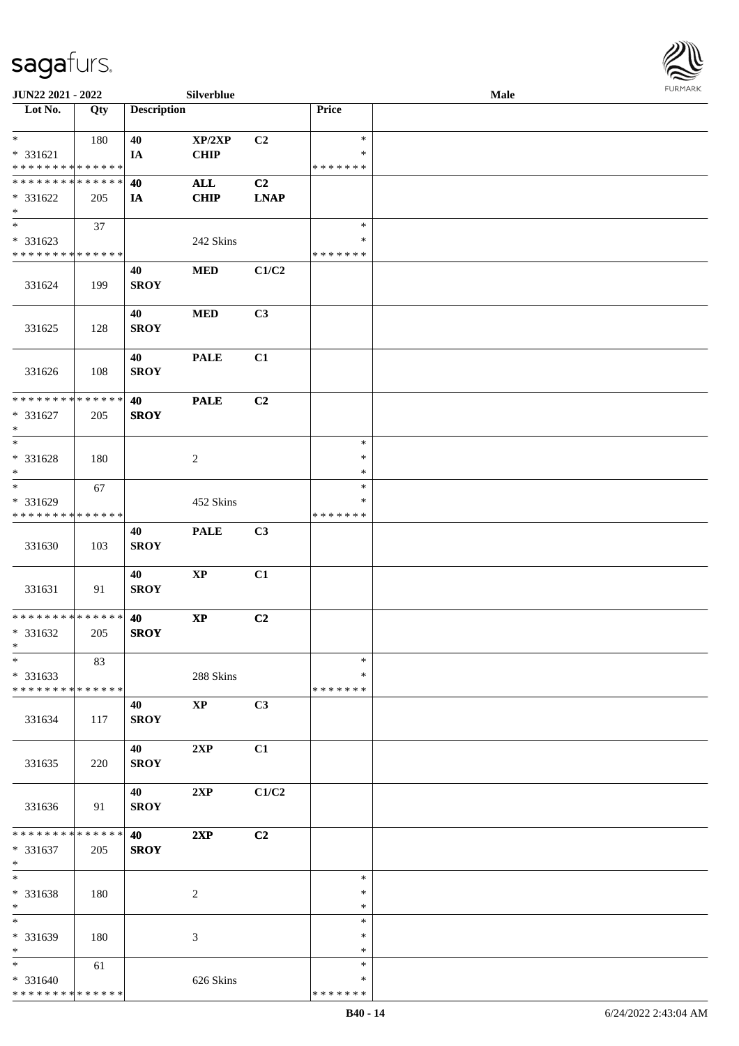

| JUN22 2021 - 2022            |     |                    | Silverblue             |             |               | <b>Male</b> |  |
|------------------------------|-----|--------------------|------------------------|-------------|---------------|-------------|--|
| Lot No.                      | Qty | <b>Description</b> |                        |             | Price         |             |  |
|                              |     |                    |                        |             |               |             |  |
| $\ast$                       | 180 | 40                 | XP/2XP                 | C2          | $\ast$        |             |  |
| $* 331621$                   |     | IA                 | CHIP                   |             | *             |             |  |
| * * * * * * * * * * * * * *  |     |                    |                        |             | * * * * * * * |             |  |
| * * * * * * * * * * * * * *  |     | 40                 | $\mathbf{ALL}$         | C2          |               |             |  |
| $* 331622$                   | 205 | IA                 | <b>CHIP</b>            | <b>LNAP</b> |               |             |  |
| $\ast$                       |     |                    |                        |             |               |             |  |
| $\overline{\phantom{a}^*}$   | 37  |                    |                        |             | $\ast$        |             |  |
| * 331623                     |     |                    | 242 Skins              |             | $\ast$        |             |  |
| * * * * * * * * * * * * * *  |     |                    |                        |             | * * * * * * * |             |  |
|                              |     | 40                 | $\bf MED$              | C1/C2       |               |             |  |
| 331624                       | 199 | <b>SROY</b>        |                        |             |               |             |  |
|                              |     |                    |                        |             |               |             |  |
|                              |     | 40                 | <b>MED</b>             | C3          |               |             |  |
| 331625                       | 128 | <b>SROY</b>        |                        |             |               |             |  |
|                              |     |                    |                        |             |               |             |  |
|                              |     | 40                 | <b>PALE</b>            | C1          |               |             |  |
| 331626                       | 108 | <b>SROY</b>        |                        |             |               |             |  |
|                              |     |                    |                        |             |               |             |  |
| ******** <mark>******</mark> |     | 40                 | <b>PALE</b>            | C2          |               |             |  |
| $* 331627$                   | 205 | <b>SROY</b>        |                        |             |               |             |  |
| $\ast$                       |     |                    |                        |             |               |             |  |
| $\ast$                       |     |                    |                        |             | $\ast$        |             |  |
| * 331628                     | 180 |                    | $\sqrt{2}$             |             | $\ast$        |             |  |
| $\ast$                       |     |                    |                        |             | $\ast$        |             |  |
| $\ast$                       | 67  |                    |                        |             | $\ast$        |             |  |
| * 331629                     |     |                    | 452 Skins              |             | ∗             |             |  |
| * * * * * * * * * * * * * *  |     |                    |                        |             | * * * * * * * |             |  |
|                              |     | 40                 | <b>PALE</b>            | C3          |               |             |  |
| 331630                       | 103 | <b>SROY</b>        |                        |             |               |             |  |
|                              |     |                    |                        |             |               |             |  |
|                              |     | 40                 | $\bold{XP}$            | C1          |               |             |  |
| 331631                       | 91  | <b>SROY</b>        |                        |             |               |             |  |
|                              |     |                    |                        |             |               |             |  |
| **************               |     | 40                 | $\bold{XP}$            | C2          |               |             |  |
| $* 331632$                   | 205 | <b>SROY</b>        |                        |             |               |             |  |
| $*$                          |     |                    |                        |             |               |             |  |
| $\ast$                       | 83  |                    |                        |             | $\ast$        |             |  |
| $* 331633$                   |     |                    | 288 Skins              |             | *             |             |  |
| * * * * * * * * * * * * * *  |     |                    |                        |             | * * * * * * * |             |  |
|                              |     | 40                 | $\mathbf{X}\mathbf{P}$ | C3          |               |             |  |
| 331634                       | 117 | <b>SROY</b>        |                        |             |               |             |  |
|                              |     |                    |                        |             |               |             |  |
|                              |     | 40                 | 2XP                    | C1          |               |             |  |
| 331635                       | 220 | <b>SROY</b>        |                        |             |               |             |  |
|                              |     |                    |                        |             |               |             |  |
|                              |     | <b>40</b>          | 2XP                    | C1/C2       |               |             |  |
| 331636                       | 91  | <b>SROY</b>        |                        |             |               |             |  |
|                              |     |                    |                        |             |               |             |  |
| ******** <mark>******</mark> |     | 40                 | 2XP                    | C2          |               |             |  |
| $* 331637$                   | 205 | <b>SROY</b>        |                        |             |               |             |  |
| $*$                          |     |                    |                        |             |               |             |  |
| $\ast$                       |     |                    |                        |             | $\ast$        |             |  |
| * 331638                     | 180 |                    | $\sqrt{2}$             |             | $\ast$        |             |  |
| $\ast$                       |     |                    |                        |             | $\ast$        |             |  |
| $\overline{\ast}$            |     |                    |                        |             | $\ast$        |             |  |
| $* 331639$                   | 180 |                    | $\mathfrak{Z}$         |             | *             |             |  |
| $*$                          |     |                    |                        |             | $\ast$        |             |  |
| $\ast$                       | 61  |                    |                        |             | $\ast$        |             |  |
| * 331640                     |     |                    | 626 Skins              |             | *             |             |  |
| * * * * * * * * * * * * * *  |     |                    |                        |             | * * * * * * * |             |  |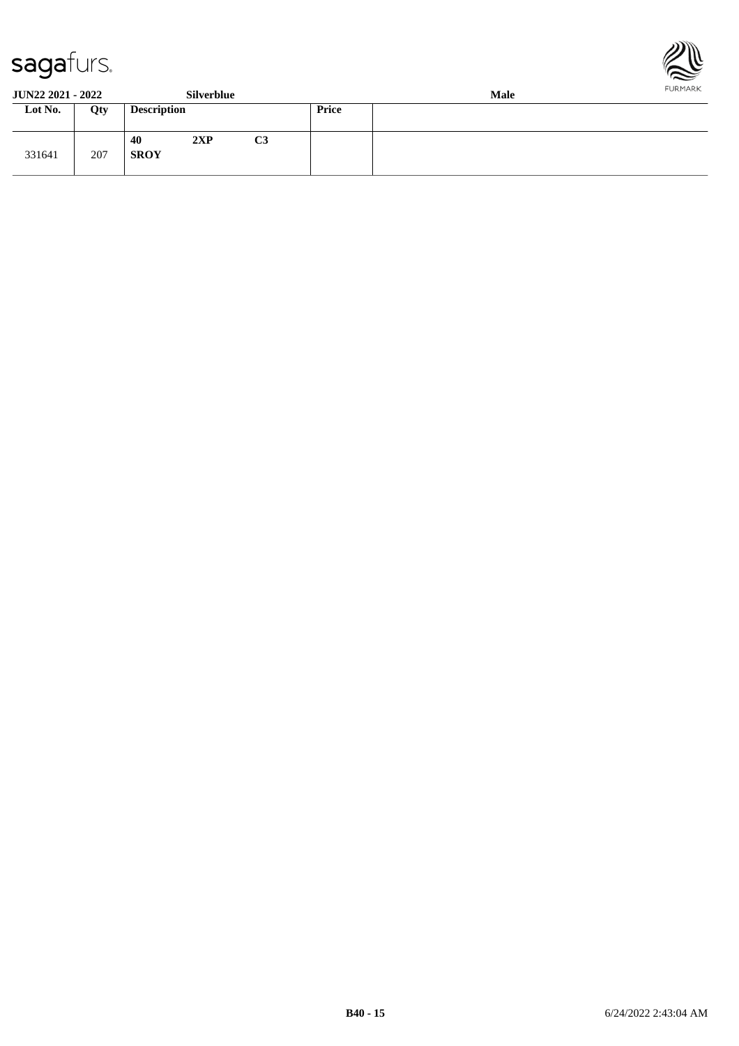



**JUN22 2021 - 2022 Silverblue Male**

| JUR <i>ee Evel - Evee</i> |     |                    | <b>DITTEL DIUT</b> |                |       | waar |
|---------------------------|-----|--------------------|--------------------|----------------|-------|------|
| Lot No.                   | Qty | <b>Description</b> |                    |                | Price |      |
| 331641                    | 207 | 40<br><b>SROY</b>  | 2XP                | C <sub>3</sub> |       |      |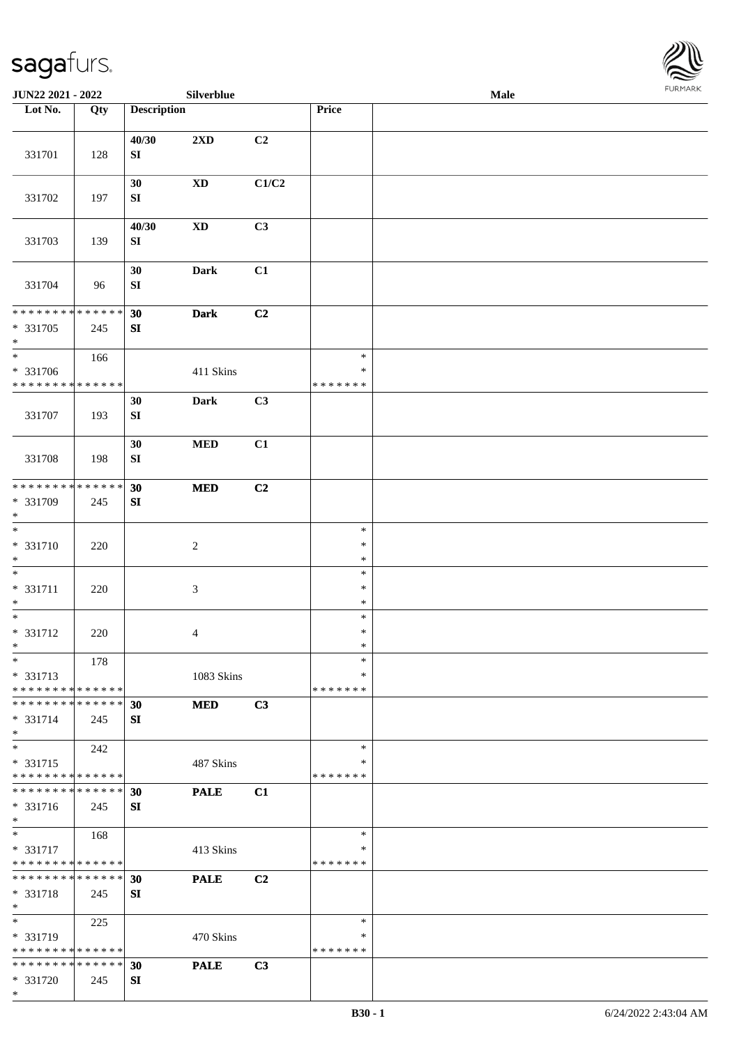

| JUN22 2021 - 2022                                            |     |                     | Silverblue             |       |                    | <b>Male</b> |  |
|--------------------------------------------------------------|-----|---------------------|------------------------|-------|--------------------|-------------|--|
| Lot No.                                                      | Qty | <b>Description</b>  |                        |       | Price              |             |  |
|                                                              |     |                     |                        |       |                    |             |  |
| 331701                                                       | 128 | 40/30<br>${\bf SI}$ | 2XD                    | C2    |                    |             |  |
| 331702                                                       | 197 | 30<br>SI            | $\mathbf{X}\mathbf{D}$ | C1/C2 |                    |             |  |
| 331703                                                       | 139 | 40/30<br>${\bf SI}$ | $\mathbf{X}\mathbf{D}$ | C3    |                    |             |  |
| 331704                                                       | 96  | 30<br>${\bf SI}$    | Dark                   | C1    |                    |             |  |
| * * * * * * * * * * * * * *                                  |     | 30                  | <b>Dark</b>            | C2    |                    |             |  |
| * 331705<br>$\ast$                                           | 245 | ${\bf SI}$          |                        |       |                    |             |  |
| $\ast$<br>* 331706<br>* * * * * * * * * * * * * *            | 166 |                     | 411 Skins              |       | $\ast$<br>$\ast$   |             |  |
|                                                              |     |                     |                        |       | * * * * * * *      |             |  |
| 331707                                                       | 193 | 30<br>${\bf SI}$    | Dark                   | C3    |                    |             |  |
|                                                              |     | 30                  | $\bf MED$              | C1    |                    |             |  |
| 331708                                                       | 198 | ${\bf SI}$          |                        |       |                    |             |  |
| * * * * * * * * * * * * * *                                  |     | 30                  | $\bf MED$              | C2    |                    |             |  |
| * 331709<br>$*$                                              | 245 | ${\bf SI}$          |                        |       |                    |             |  |
| $\overline{\phantom{a}^*}$                                   |     |                     |                        |       | $\ast$             |             |  |
| * 331710                                                     | 220 |                     | $\sqrt{2}$             |       | $\ast$             |             |  |
| $\ast$                                                       |     |                     |                        |       | $\ast$             |             |  |
| $*$                                                          |     |                     |                        |       | $\ast$             |             |  |
| $* 331711$                                                   | 220 |                     | $\mathfrak{Z}$         |       | $\ast$             |             |  |
| $\ast$                                                       |     |                     |                        |       | $\ast$             |             |  |
| $*$                                                          |     |                     |                        |       | $\ast$<br>$\ast$   |             |  |
| $* 331712$<br>$*$                                            | 220 |                     | 4                      |       | $\ast$             |             |  |
| $\ast$                                                       | 178 |                     |                        |       | $\ast$             |             |  |
| * 331713                                                     |     |                     | 1083 Skins             |       | *                  |             |  |
| * * * * * * * * <mark>* * * * * * *</mark>                   |     |                     |                        |       | * * * * * * *      |             |  |
| * * * * * * * * * * * * * * *                                |     | 30                  | <b>MED</b>             | C3    |                    |             |  |
| * 331714                                                     | 245 | SI                  |                        |       |                    |             |  |
| $\ast$                                                       |     |                     |                        |       |                    |             |  |
| $\ast$                                                       | 242 |                     |                        |       | $\ast$             |             |  |
| * 331715<br>* * * * * * * * * * * * * *                      |     |                     | 487 Skins              |       | ∗<br>* * * * * * * |             |  |
| * * * * * * * * * * * * * *                                  |     | 30                  | <b>PALE</b>            | C1    |                    |             |  |
| * 331716                                                     | 245 | SI                  |                        |       |                    |             |  |
| $*$                                                          |     |                     |                        |       |                    |             |  |
| $\ast$                                                       | 168 |                     |                        |       | $\ast$             |             |  |
| * 331717                                                     |     |                     | 413 Skins              |       | *                  |             |  |
| * * * * * * * * * * * * * *                                  |     |                     |                        |       | * * * * * * *      |             |  |
| * * * * * * * * * * * * * *                                  |     | 30                  | <b>PALE</b>            | C2    |                    |             |  |
| * 331718                                                     | 245 | SI                  |                        |       |                    |             |  |
| $*$                                                          |     |                     |                        |       |                    |             |  |
| $*$                                                          | 225 |                     |                        |       | $\ast$             |             |  |
| * 331719                                                     |     |                     | 470 Skins              |       | ∗<br>* * * * * * * |             |  |
| * * * * * * * * * * * * * *<br>* * * * * * * * * * * * * * * |     |                     |                        |       |                    |             |  |
| * 331720                                                     | 245 | 30<br>SI            | <b>PALE</b>            | C3    |                    |             |  |
| $\ast$                                                       |     |                     |                        |       |                    |             |  |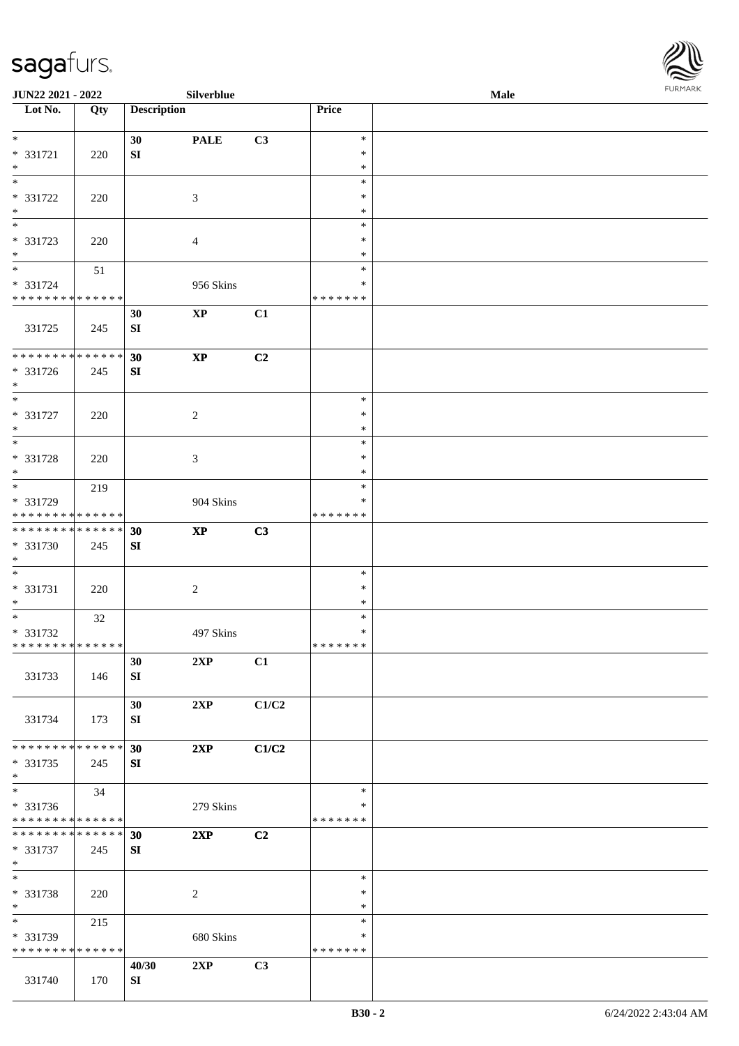

| JUN22 2021 - 2022                  |     |                    | Silverblue             |       |                  | <b>Male</b> |  |
|------------------------------------|-----|--------------------|------------------------|-------|------------------|-------------|--|
| Lot No.                            | Qty | <b>Description</b> |                        |       | Price            |             |  |
|                                    |     |                    |                        |       |                  |             |  |
| $*$                                |     | 30                 | <b>PALE</b>            | C3    | $\ast$           |             |  |
| * 331721                           | 220 | ${\bf S}{\bf I}$   |                        |       | $\ast$           |             |  |
| $\ast$<br>$\overline{\phantom{0}}$ |     |                    |                        |       | $\ast$           |             |  |
|                                    |     |                    |                        |       | $\ast$           |             |  |
| * 331722<br>$\ast$                 | 220 |                    | 3                      |       | ∗<br>$\ast$      |             |  |
| $\overline{\phantom{0}}$           |     |                    |                        |       | $\ast$           |             |  |
| * 331723                           |     |                    |                        |       | $\ast$           |             |  |
| $*$                                | 220 |                    | $\overline{4}$         |       | $\ast$           |             |  |
| $*$                                | 51  |                    |                        |       | $\ast$           |             |  |
| * 331724                           |     |                    | 956 Skins              |       | $\ast$           |             |  |
| * * * * * * * * * * * * * *        |     |                    |                        |       | * * * * * * *    |             |  |
|                                    |     | 30                 | $\mathbf{XP}$          | C1    |                  |             |  |
| 331725                             | 245 | SI                 |                        |       |                  |             |  |
|                                    |     |                    |                        |       |                  |             |  |
| * * * * * * * * * * * * * *        |     | 30                 | $\bold{XP}$            | C2    |                  |             |  |
| $* 331726$                         | 245 | ${\bf SI}$         |                        |       |                  |             |  |
| $*$                                |     |                    |                        |       |                  |             |  |
| $\ast$                             |     |                    |                        |       | $\ast$           |             |  |
| $* 331727$                         | 220 |                    | $\overline{c}$         |       | $\ast$           |             |  |
| $*$                                |     |                    |                        |       | $\ast$           |             |  |
| $\overline{\ast}$                  |     |                    |                        |       | $\ast$           |             |  |
| * 331728                           | 220 |                    | 3                      |       | $\ast$           |             |  |
| $\ast$                             |     |                    |                        |       | *                |             |  |
| $*$                                | 219 |                    |                        |       | $\ast$           |             |  |
| * 331729                           |     |                    | 904 Skins              |       | $\ast$           |             |  |
| * * * * * * * * * * * * * *        |     |                    |                        |       | * * * * * * *    |             |  |
| ******** <mark>******</mark>       |     | 30                 | $\mathbf{X}\mathbf{P}$ | C3    |                  |             |  |
| * 331730                           | 245 | SI                 |                        |       |                  |             |  |
| $*$<br>$*$                         |     |                    |                        |       |                  |             |  |
|                                    |     |                    |                        |       | $\ast$<br>$\ast$ |             |  |
| * 331731<br>$*$                    | 220 |                    | $\boldsymbol{2}$       |       | $\ast$           |             |  |
| $*$                                |     |                    |                        |       | $\ast$           |             |  |
| * 331732                           | 32  |                    | 497 Skins              |       | $\ast$           |             |  |
| ******** <mark>******</mark>       |     |                    |                        |       | *******          |             |  |
|                                    |     | 30                 | 2XP                    | C1    |                  |             |  |
| 331733                             | 146 | SI                 |                        |       |                  |             |  |
|                                    |     |                    |                        |       |                  |             |  |
|                                    |     | 30                 | 2XP                    | C1/C2 |                  |             |  |
| 331734                             | 173 | SI                 |                        |       |                  |             |  |
|                                    |     |                    |                        |       |                  |             |  |
| * * * * * * * * * * * * * * *      |     | 30                 | 2XP                    | C1/C2 |                  |             |  |
| * 331735                           | 245 | SI                 |                        |       |                  |             |  |
| $*$                                |     |                    |                        |       |                  |             |  |
| $*$                                | 34  |                    |                        |       | $\ast$           |             |  |
| * 331736                           |     |                    | 279 Skins              |       | ∗                |             |  |
| * * * * * * * * * * * * * *        |     |                    |                        |       | * * * * * * *    |             |  |
| * * * * * * * * * * * * * * *      |     | 30                 | 2XP                    | C2    |                  |             |  |
| * 331737                           | 245 | SI                 |                        |       |                  |             |  |
| $*$                                |     |                    |                        |       |                  |             |  |
| $*$                                |     |                    |                        |       | $\ast$           |             |  |
| * 331738                           | 220 |                    | $\overline{c}$         |       | $\ast$           |             |  |
| $*$                                |     |                    |                        |       | $\ast$           |             |  |
| $*$                                | 215 |                    |                        |       | $\ast$           |             |  |
| * 331739                           |     |                    | 680 Skins              |       | ∗                |             |  |
| * * * * * * * * * * * * * *        |     |                    |                        |       | * * * * * * *    |             |  |
|                                    |     | 40/30              | 2XP                    | C3    |                  |             |  |
| 331740                             | 170 | SI                 |                        |       |                  |             |  |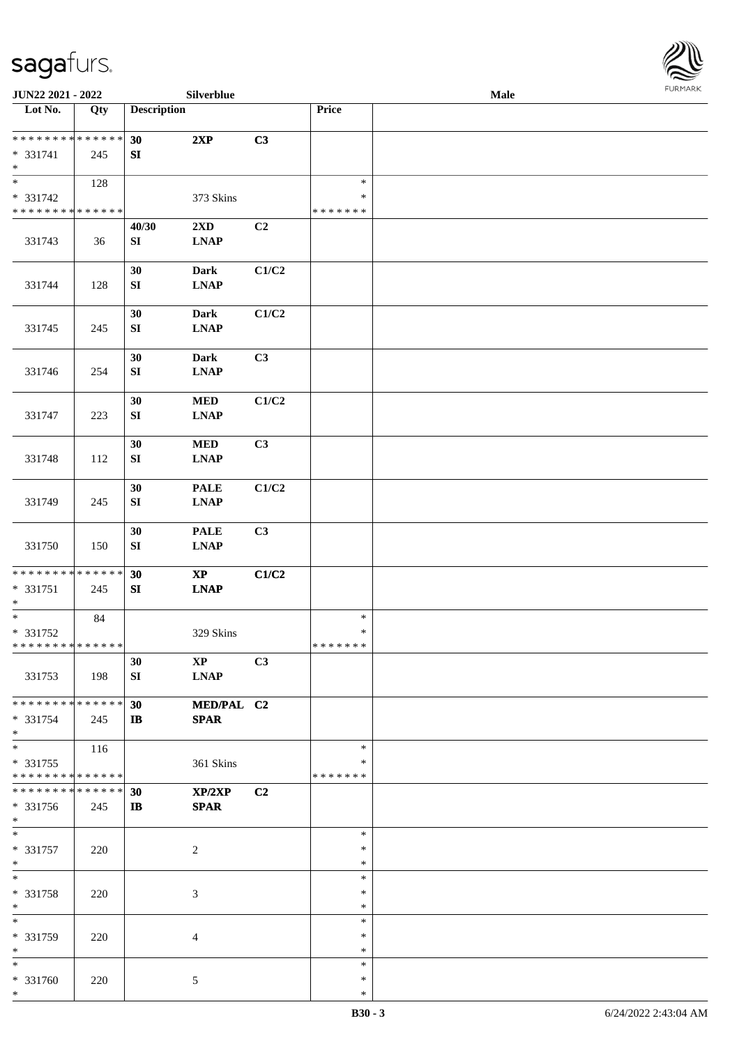

| JUN22 2021 - 2022                                                   |                   |                        | Silverblue                                                |       |                                   | Male |  |
|---------------------------------------------------------------------|-------------------|------------------------|-----------------------------------------------------------|-------|-----------------------------------|------|--|
| Lot No.                                                             | $\overline{Q}$ ty | <b>Description</b>     |                                                           |       | Price                             |      |  |
| ******** <mark>******</mark><br>* 331741<br>$\ast$                  | 245               | 30<br>${\bf SI}$       | 2XP                                                       | C3    |                                   |      |  |
| $\overline{\phantom{0}}$<br>* 331742<br>* * * * * * * * * * * * * * | 128               |                        | 373 Skins                                                 |       | $\ast$<br>∗<br>* * * * * * *      |      |  |
| 331743                                                              | 36                | 40/30<br>${\bf SI}$    | 2XD<br><b>LNAP</b>                                        | C2    |                                   |      |  |
| 331744                                                              | 128               | 30<br>${\bf SI}$       | <b>Dark</b><br><b>LNAP</b>                                | C1/C2 |                                   |      |  |
| 331745                                                              | 245               | 30<br>SI               | <b>Dark</b><br><b>LNAP</b>                                | C1/C2 |                                   |      |  |
| 331746                                                              | 254               | 30<br>${\bf SI}$       | <b>Dark</b><br><b>LNAP</b>                                | C3    |                                   |      |  |
| 331747                                                              | 223               | 30<br>${\bf SI}$       | $\bf MED$<br><b>LNAP</b>                                  | C1/C2 |                                   |      |  |
| 331748                                                              | 112               | 30<br>${\bf S}{\bf I}$ | $\bf MED$<br><b>LNAP</b>                                  | C3    |                                   |      |  |
| 331749                                                              | 245               | 30<br>${\bf SI}$       | <b>PALE</b><br><b>LNAP</b>                                | C1/C2 |                                   |      |  |
| 331750                                                              | 150               | 30<br>${\bf S}{\bf I}$ | <b>PALE</b><br>$\mathbf{L}\mathbf{N}\mathbf{A}\mathbf{P}$ | C3    |                                   |      |  |
| * * * * * * * * * * * * * *<br>* 331751<br>$\ast$                   | 245               | 30<br>SI               | $\mathbf{X}\mathbf{P}$<br><b>LNAP</b>                     | C1/C2 |                                   |      |  |
| $\ast$<br>* 331752<br>* * * * * * * * * * * * * *                   | 84                |                        | 329 Skins                                                 |       | $\ast$<br>$\ast$<br>* * * * * * * |      |  |
| 331753                                                              | 198               | 30<br>SI               | $\mathbf{X}\mathbf{P}$<br><b>LNAP</b>                     | C3    |                                   |      |  |
| * * * * * * * * * * * * * *<br>* 331754<br>$*$                      | 245               | 30<br>$\mathbf{I}$     | MED/PAL C2<br><b>SPAR</b>                                 |       |                                   |      |  |
| $\ast$<br>* 331755<br>* * * * * * * * * * * * * *                   | 116               |                        | 361 Skins                                                 |       | $\ast$<br>∗<br>* * * * * * *      |      |  |
| * * * * * * * * * * * * * *<br>* 331756<br>$*$                      | 245               | 30<br>$\mathbf{I}$     | XP/2XP<br><b>SPAR</b>                                     | C2    |                                   |      |  |
| $*$<br>$* 331757$<br>$*$                                            | 220               |                        | $\overline{c}$                                            |       | $\ast$<br>$\ast$<br>$\ast$        |      |  |
| $\ast$<br>* 331758<br>$\ast$                                        | 220               |                        | 3                                                         |       | $\ast$<br>$\ast$<br>$\ast$        |      |  |
| $\ast$<br>* 331759<br>$*$                                           | 220               |                        | $\overline{4}$                                            |       | $\ast$<br>$\ast$<br>$\ast$        |      |  |
| $*$<br>* 331760<br>$*$                                              | 220               |                        | $5\phantom{.0}$                                           |       | $\ast$<br>$\ast$<br>$\ast$        |      |  |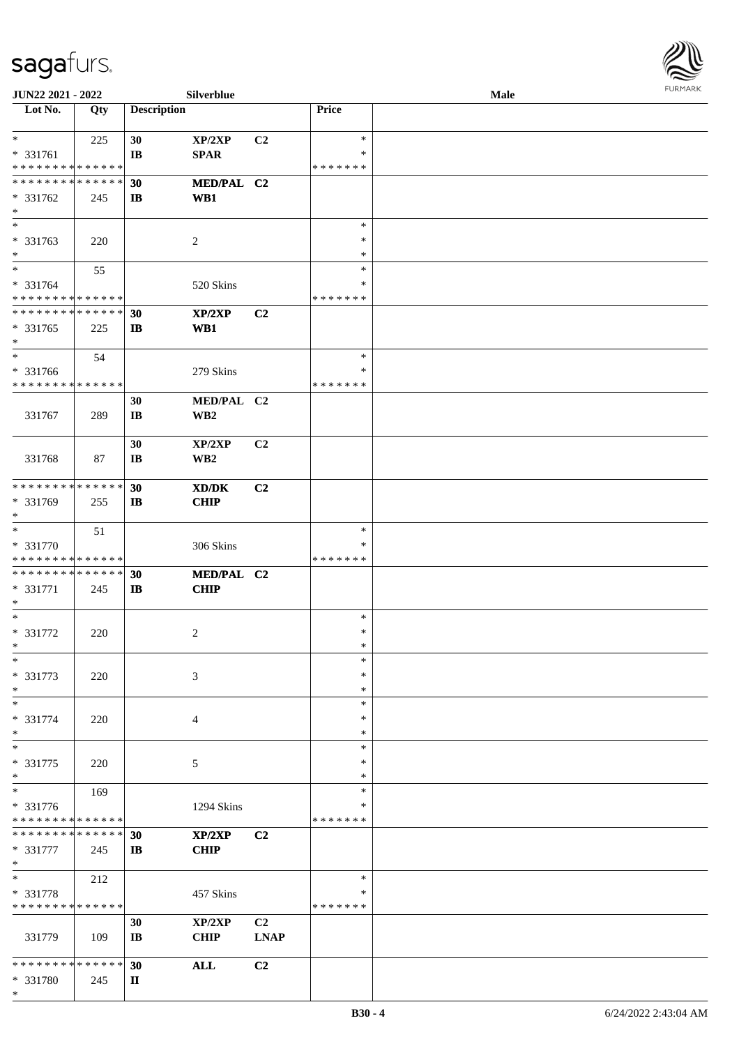

| JUN22 2021 - 2022             |     |                        | Silverblue      |                |               | Male |  |
|-------------------------------|-----|------------------------|-----------------|----------------|---------------|------|--|
| Lot No.                       | Qty | <b>Description</b>     |                 |                | Price         |      |  |
|                               |     |                        |                 |                |               |      |  |
| $*$                           | 225 | 30                     | XP/2XP          | C <sub>2</sub> | $\ast$        |      |  |
| * 331761                      |     | IB                     | <b>SPAR</b>     |                | ∗             |      |  |
| * * * * * * * * * * * * * *   |     |                        |                 |                | * * * * * * * |      |  |
| * * * * * * * * * * * * * *   |     | 30                     | MED/PAL C2      |                |               |      |  |
| $* 331762$                    | 245 | $\mathbf{I}$           | WB1             |                |               |      |  |
| $\ast$                        |     |                        |                 |                |               |      |  |
| $\ast$                        |     |                        |                 |                | $\ast$        |      |  |
| * 331763                      | 220 |                        | $\overline{2}$  |                | $\ast$        |      |  |
| $\ast$                        |     |                        |                 |                | $\ast$        |      |  |
| $*$                           | 55  |                        |                 |                | ∗             |      |  |
| * 331764                      |     |                        | 520 Skins       |                | ∗             |      |  |
| * * * * * * * * * * * * * *   |     |                        |                 |                | * * * * * * * |      |  |
| * * * * * * * * * * * * * *   |     | 30                     | XP/2XP          | C2             |               |      |  |
| * 331765                      | 225 | $\mathbf{I}$           | WB1             |                |               |      |  |
| $\ast$                        |     |                        |                 |                |               |      |  |
| $\ast$                        | 54  |                        |                 |                | $\ast$        |      |  |
| * 331766                      |     |                        | 279 Skins       |                | $\ast$        |      |  |
| * * * * * * * * * * * * * *   |     |                        |                 |                | * * * * * * * |      |  |
|                               |     | 30                     | MED/PAL C2      |                |               |      |  |
| 331767                        | 289 | $\mathbf{I}\mathbf{B}$ | WB <sub>2</sub> |                |               |      |  |
|                               |     |                        |                 |                |               |      |  |
|                               |     | 30                     | XP/2XP          | C2             |               |      |  |
| 331768                        | 87  | $\mathbf{I}\mathbf{B}$ | WB <sub>2</sub> |                |               |      |  |
|                               |     |                        |                 |                |               |      |  |
| * * * * * * * * * * * * * *   |     | 30                     | XD/DK           | C2             |               |      |  |
| * 331769                      | 255 | $\mathbf{I}$           | <b>CHIP</b>     |                |               |      |  |
| $*$                           |     |                        |                 |                |               |      |  |
| $\ast$                        | 51  |                        |                 |                | $\ast$        |      |  |
| * 331770                      |     |                        | 306 Skins       |                | ∗             |      |  |
| * * * * * * * * * * * * * *   |     |                        |                 |                | * * * * * * * |      |  |
| * * * * * * * * * * * * * *   |     | 30                     | MED/PAL C2      |                |               |      |  |
| * 331771                      | 245 | $\mathbf{I}$           | <b>CHIP</b>     |                |               |      |  |
| $*$                           |     |                        |                 |                |               |      |  |
| $\ast$                        |     |                        |                 |                | $\ast$        |      |  |
| $* 331772$                    | 220 |                        | 2               |                | $\ast$        |      |  |
| $*$                           |     |                        |                 |                | $\ast$        |      |  |
| $\ast$                        |     |                        |                 |                | $\ast$        |      |  |
| * 331773                      | 220 |                        | 3               |                | ∗             |      |  |
| $\ast$                        |     |                        |                 |                | $\ast$        |      |  |
| $\ast$                        |     |                        |                 |                | $\ast$        |      |  |
| * 331774                      | 220 |                        | 4               |                | ∗             |      |  |
| $\ast$                        |     |                        |                 |                | ∗             |      |  |
| $\ast$                        |     |                        |                 |                | $\ast$        |      |  |
| * 331775                      | 220 |                        | 5               |                | $\ast$        |      |  |
| $*$                           |     |                        |                 |                | *             |      |  |
| $\ast$                        | 169 |                        |                 |                | $\ast$        |      |  |
| * 331776                      |     |                        | 1294 Skins      |                | *             |      |  |
| * * * * * * * * * * * * * *   |     |                        |                 |                | * * * * * * * |      |  |
| * * * * * * * * * * * * * * * |     | 30                     | XP/2XP          | C <sub>2</sub> |               |      |  |
| * 331777                      | 245 | $\mathbf{I}$           | <b>CHIP</b>     |                |               |      |  |
| $*$                           |     |                        |                 |                |               |      |  |
| $\ast$                        | 212 |                        |                 |                | $\ast$        |      |  |
| * 331778                      |     |                        | 457 Skins       |                | $\ast$        |      |  |
| * * * * * * * * * * * * * *   |     |                        |                 |                | * * * * * * * |      |  |
|                               |     | 30                     | XP/2XP          | C2             |               |      |  |
| 331779                        | 109 | $\mathbf{I}\mathbf{B}$ | <b>CHIP</b>     | <b>LNAP</b>    |               |      |  |
|                               |     |                        |                 |                |               |      |  |
| * * * * * * * * * * * * * *   |     | 30                     | <b>ALL</b>      | C2             |               |      |  |
| * 331780                      | 245 | П                      |                 |                |               |      |  |
| $*$                           |     |                        |                 |                |               |      |  |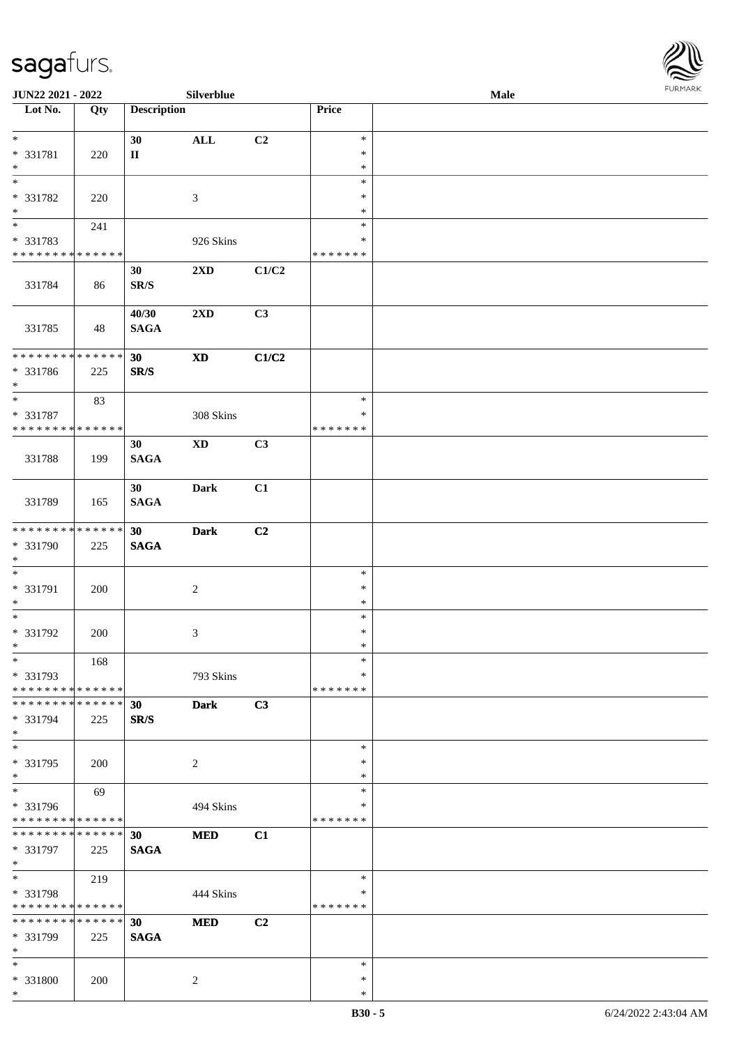

| JUN22 2021 - 2022             |     |                          | Silverblue                 |       |               | Male |  |
|-------------------------------|-----|--------------------------|----------------------------|-------|---------------|------|--|
| Lot No.                       | Qty | <b>Description</b>       |                            |       | Price         |      |  |
|                               |     |                          |                            |       |               |      |  |
| $\ast$                        |     | 30                       | $\mathbf{ALL}$             | C2    | $\ast$        |      |  |
| * 331781                      | 220 | $\rm II$                 |                            |       | $\ast$        |      |  |
| $\ast$                        |     |                          |                            |       | $\ast$        |      |  |
| $*$                           |     |                          |                            |       | $\ast$        |      |  |
| * 331782                      | 220 |                          | $\mathfrak{Z}$             |       | *             |      |  |
| $\ast$                        |     |                          |                            |       | ∗             |      |  |
| $\overline{\phantom{a}^*}$    | 241 |                          |                            |       | $\ast$        |      |  |
| * 331783                      |     |                          | 926 Skins                  |       | $\ast$        |      |  |
| * * * * * * * * * * * * * *   |     |                          |                            |       | * * * * * * * |      |  |
|                               |     |                          |                            |       |               |      |  |
|                               |     | 30                       | 2XD                        | C1/C2 |               |      |  |
| 331784                        | 86  | $\mathbf{SR}/\mathbf{S}$ |                            |       |               |      |  |
|                               |     |                          |                            |       |               |      |  |
|                               |     | 40/30                    | 2XD                        | C3    |               |      |  |
| 331785                        | 48  | <b>SAGA</b>              |                            |       |               |      |  |
|                               |     |                          |                            |       |               |      |  |
| * * * * * * * * * * * * * *   |     | 30                       | $\boldsymbol{\mathrm{XD}}$ | C1/C2 |               |      |  |
| * 331786                      | 225 | SR/S                     |                            |       |               |      |  |
| $\ast$                        |     |                          |                            |       |               |      |  |
| $\ast$                        | 83  |                          |                            |       | $\ast$        |      |  |
| * 331787                      |     |                          | 308 Skins                  |       | ∗             |      |  |
| * * * * * * * * * * * * * *   |     |                          |                            |       | * * * * * * * |      |  |
|                               |     | 30                       | $\mathbf{X}\mathbf{D}$     | C3    |               |      |  |
| 331788                        | 199 | <b>SAGA</b>              |                            |       |               |      |  |
|                               |     |                          |                            |       |               |      |  |
|                               |     | 30                       | <b>Dark</b>                | C1    |               |      |  |
|                               |     |                          |                            |       |               |      |  |
| 331789                        | 165 | <b>SAGA</b>              |                            |       |               |      |  |
|                               |     |                          |                            |       |               |      |  |
| * * * * * * * * * * * * * *   |     | 30                       | <b>Dark</b>                | C2    |               |      |  |
| * 331790                      | 225 | <b>SAGA</b>              |                            |       |               |      |  |
| $\ast$                        |     |                          |                            |       |               |      |  |
| $\ast$                        |     |                          |                            |       | $\ast$        |      |  |
| $* 331791$                    | 200 |                          | $\sqrt{2}$                 |       | $\ast$        |      |  |
| $\ast$                        |     |                          |                            |       | $\ast$        |      |  |
| $\ast$                        |     |                          |                            |       | $\ast$        |      |  |
| * 331792                      | 200 |                          | 3                          |       | $\ast$        |      |  |
| $*$                           |     |                          |                            |       | $\ast$        |      |  |
| $*$                           | 168 |                          |                            |       | $\ast$        |      |  |
| * 331793                      |     |                          | 793 Skins                  |       | *             |      |  |
| * * * * * * * * * * * * * *   |     |                          |                            |       | * * * * * * * |      |  |
| * * * * * * * * * * * * * * * |     | 30                       | <b>Dark</b>                | C3    |               |      |  |
| * 331794                      | 225 | SR/S                     |                            |       |               |      |  |
| $*$                           |     |                          |                            |       |               |      |  |
| $\ast$                        |     |                          |                            |       | $\ast$        |      |  |
| * 331795                      |     |                          |                            |       | ∗             |      |  |
| $\ast$                        | 200 |                          | $\overline{c}$             |       | $\ast$        |      |  |
| $\overline{\phantom{1}}$      |     |                          |                            |       | $\ast$        |      |  |
|                               | 69  |                          |                            |       |               |      |  |
| * 331796                      |     |                          | 494 Skins                  |       | ∗             |      |  |
| * * * * * * * * * * * * * *   |     |                          |                            |       | * * * * * * * |      |  |
| * * * * * * * * * * * * * * * |     | 30                       | $\bf MED$                  | C1    |               |      |  |
| * 331797                      | 225 | <b>SAGA</b>              |                            |       |               |      |  |
| $*$                           |     |                          |                            |       |               |      |  |
| $\ast$                        | 219 |                          |                            |       | $\ast$        |      |  |
| * 331798                      |     |                          | 444 Skins                  |       | $\ast$        |      |  |
| * * * * * * * * * * * * * *   |     |                          |                            |       | * * * * * * * |      |  |
| * * * * * * * * * * * * * *   |     | 30                       | <b>MED</b>                 | C2    |               |      |  |
| * 331799                      | 225 | <b>SAGA</b>              |                            |       |               |      |  |
| $\ast$                        |     |                          |                            |       |               |      |  |
| $*$                           |     |                          |                            |       | $\ast$        |      |  |
| * 331800                      | 200 |                          | 2                          |       | $\ast$        |      |  |
| $\ast$                        |     |                          |                            |       | $\ast$        |      |  |
|                               |     |                          |                            |       |               |      |  |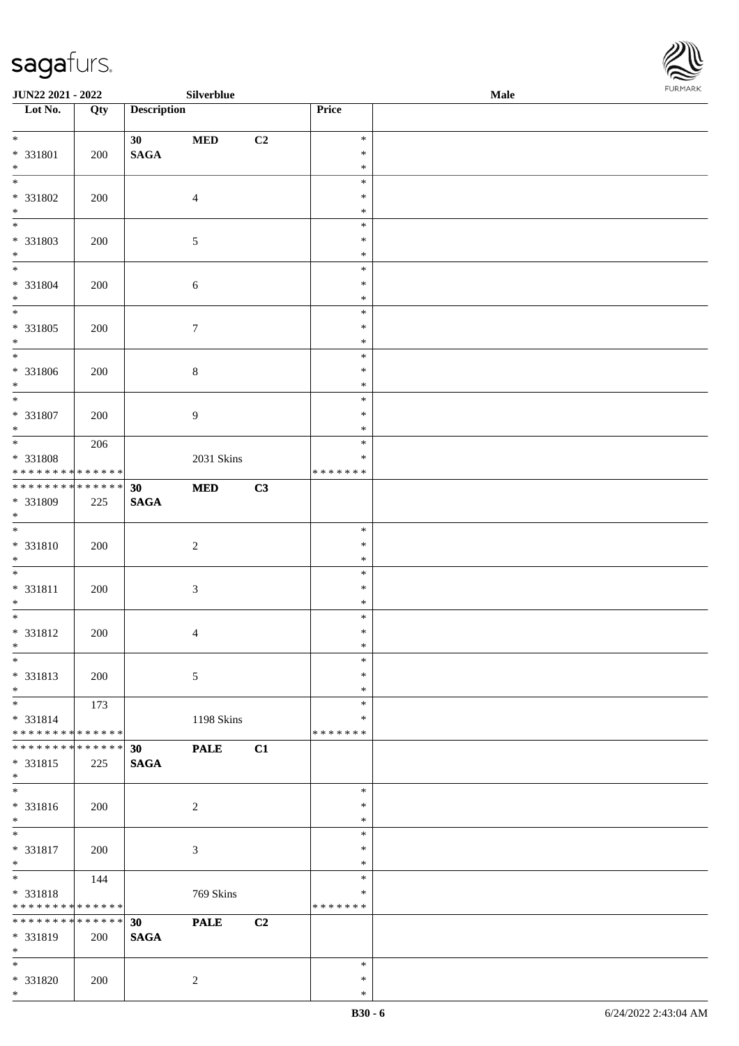\*



| <b>JUN22 2021 - 2022</b>                                                                             |            |                       | Silverblue                |    |                             | <b>Male</b> |  |
|------------------------------------------------------------------------------------------------------|------------|-----------------------|---------------------------|----|-----------------------------|-------------|--|
| Lot No.                                                                                              | Qty        | <b>Description</b>    |                           |    | Price                       |             |  |
| $*$<br>* 331801<br>$\ast$                                                                            | 200        | 30<br>$\mathbf{SAGA}$ | $\bf MED$                 | C2 | $\ast$<br>$\ast$<br>$\ast$  |             |  |
| $\overline{\phantom{0}}$<br>* 331802<br>$*$                                                          | 200        |                       | $\overline{4}$            |    | $\ast$<br>$\ast$<br>$\ast$  |             |  |
| * 331803<br>$*$                                                                                      | 200        |                       | $\mathfrak{S}$            |    | $\ast$<br>$\ast$<br>$\ast$  |             |  |
| $\overline{\ast}$<br>* 331804<br>$*$                                                                 | 200        |                       | $\sqrt{6}$                |    | $\ast$<br>$\ast$<br>$\ast$  |             |  |
| * 331805<br>$\ast$<br>$\overline{\phantom{0}}$                                                       | 200        |                       | $\boldsymbol{7}$          |    | $\ast$<br>$\ast$<br>$\ast$  |             |  |
| * 331806<br>$\ast$<br>$\overline{\ast}$                                                              | 200        |                       | $\,8\,$                   |    | $\ast$<br>$\ast$<br>$\ast$  |             |  |
| * 331807<br>$*$<br>$\overline{\ast}$                                                                 | 200        |                       | $\overline{9}$            |    | $\ast$<br>$\ast$<br>$\ast$  |             |  |
| * 331808<br>* * * * * * * * <mark>* * * * * * *</mark>                                               | 206        |                       | 2031 Skins                |    | $\ast$<br>$\ast$<br>******* |             |  |
| ******** <mark>******</mark><br>* 331809<br>$\ast$                                                   | 225        | 30<br>$\mathbf{SAGA}$ | <b>MED</b>                | C3 | $\ast$                      |             |  |
| * 331810<br>$*$<br>$\ddot{x}$                                                                        | 200        |                       | $\overline{c}$            |    | $\ast$<br>$\ast$<br>$\ast$  |             |  |
| * 331811<br>$\ast$                                                                                   | 200        |                       | $\sqrt{3}$                |    | $\ast$<br>$\ast$<br>$\ast$  |             |  |
| * 331812<br>$\ast$<br>$\ast$                                                                         | 200        |                       | $\overline{4}$            |    | $\ast$<br>$\ast$<br>$\ast$  |             |  |
| * 331813<br>$*$<br>$*$                                                                               | 200<br>173 |                       | 5                         |    | $\ast$<br>$\ast$<br>$\ast$  |             |  |
| $* 331814$<br>* * * * * * * * <mark>* * * * * * *</mark><br>* * * * * * * * * * * * * * *            |            | 30                    | 1198 Skins<br><b>PALE</b> | C1 | ∗<br>* * * * * * *          |             |  |
| * 331815<br>$*$<br>$\overline{\phantom{0}}$                                                          | 225        | $\mathbf{SAGA}$       |                           |    | $\ast$                      |             |  |
| * 331816<br>$*$<br>$\overline{\mathbf{r}^*}$                                                         | 200        |                       | $\overline{2}$            |    | $\ast$<br>$\ast$<br>$\ast$  |             |  |
| * 331817<br>$*$<br>$*$                                                                               | 200<br>144 |                       | $\mathfrak{Z}$            |    | $\ast$<br>$\ast$<br>$\ast$  |             |  |
| * 331818<br>* * * * * * * * <mark>* * * * * * *</mark><br>* * * * * * * * <mark>* * * * * * *</mark> |            | 30                    | 769 Skins<br><b>PALE</b>  | C2 | $\ast$<br>*******           |             |  |
| * 331819<br>$*$                                                                                      | 200        | <b>SAGA</b>           |                           |    | $\ast$                      |             |  |
| * 331820<br>$\ast$                                                                                   | 200        |                       | 2                         |    | $\ast$<br>$\ast$            |             |  |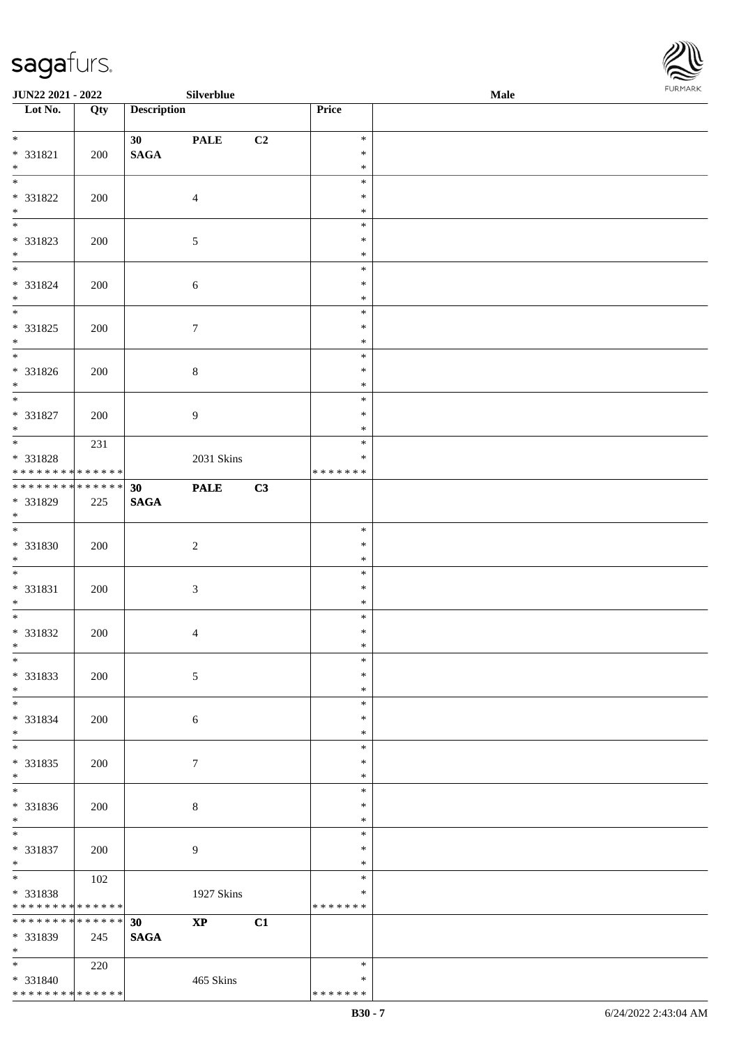\* \* \* \* \* \* \* \* <mark>\* \* \* \* \* \* \*</mark>



| JUN22 2021 - 2022                                              |     |                       | Silverblue       |                |                  | Male | <b>FURMARK</b> |
|----------------------------------------------------------------|-----|-----------------------|------------------|----------------|------------------|------|----------------|
| $\overline{\phantom{1}}$ Lot No.                               | Qty | <b>Description</b>    |                  |                | Price            |      |                |
| $*$                                                            |     | 30                    | <b>PALE</b>      | C <sub>2</sub> | $\ast$           |      |                |
| * 331821<br>$\ast$                                             | 200 | $\mathbf{SAGA}$       |                  |                | $\ast$<br>$\ast$ |      |                |
| $\overline{\ast}$                                              |     |                       |                  |                | $\ast$           |      |                |
| * 331822                                                       | 200 |                       | $\overline{4}$   |                | $\ast$           |      |                |
| $*$<br>$\overline{\phantom{0}}$                                |     |                       |                  |                | $\ast$<br>$\ast$ |      |                |
| * 331823                                                       | 200 |                       | $\sqrt{5}$       |                | $\ast$           |      |                |
| $*$<br>$*$                                                     |     |                       |                  |                | $\ast$<br>$\ast$ |      |                |
| * 331824                                                       | 200 |                       | 6                |                | $\ast$           |      |                |
| $*$<br>$\overline{\phantom{0}}$                                |     |                       |                  |                | $\ast$<br>$\ast$ |      |                |
| * 331825                                                       | 200 |                       | $\boldsymbol{7}$ |                | $\ast$           |      |                |
| $*$<br>$\overline{\phantom{0}}$                                |     |                       |                  |                | $\ast$<br>$\ast$ |      |                |
| $* 331826$                                                     | 200 |                       | 8                |                | $\ast$           |      |                |
| $*$                                                            |     |                       |                  |                | $\ast$<br>$\ast$ |      |                |
| * 331827                                                       | 200 |                       | 9                |                | $\ast$           |      |                |
| $\ast$                                                         |     |                       |                  |                | $\ast$<br>$\ast$ |      |                |
| * 331828                                                       | 231 |                       | 2031 Skins       |                | $\ast$           |      |                |
| * * * * * * * * * * * * * *                                    |     |                       |                  |                | * * * * * * *    |      |                |
| ******** <mark>******</mark><br>* 331829                       | 225 | 30<br>$\mathbf{SAGA}$ | <b>PALE</b>      | C3             |                  |      |                |
| $*$                                                            |     |                       |                  |                |                  |      |                |
| * 331830                                                       | 200 |                       | $\sqrt{2}$       |                | $\ast$<br>$\ast$ |      |                |
| $*$                                                            |     |                       |                  |                | $\ast$           |      |                |
| * 331831                                                       | 200 |                       | 3                |                | $\ast$<br>$\ast$ |      |                |
| $*$                                                            |     |                       |                  |                | $\ast$           |      |                |
| * 331832                                                       | 200 |                       | 4                |                | $\ast$<br>$\ast$ |      |                |
| $\ast$                                                         |     |                       |                  |                | $\ast$           |      |                |
| $\overline{\phantom{a}^*}$                                     |     |                       |                  |                | $\ast$<br>$\ast$ |      |                |
| * 331833<br>$*$                                                | 200 |                       | 5                |                | $\ast$           |      |                |
| $*$                                                            |     |                       |                  |                | $\ast$           |      |                |
| * 331834<br>$*$                                                | 200 |                       | $\sqrt{6}$       |                | $\ast$<br>$\ast$ |      |                |
|                                                                |     |                       |                  |                | $\ast$           |      |                |
| * 331835<br>$*$                                                | 200 |                       | $\tau$           |                | $\ast$<br>$\ast$ |      |                |
| $\overline{\ast}$                                              |     |                       |                  |                | $\ast$           |      |                |
| * 331836<br>$*$                                                | 200 |                       | $\,8\,$          |                | $\ast$<br>$\ast$ |      |                |
| $\overline{\phantom{0}}$                                       |     |                       |                  |                | $\ast$           |      |                |
| * 331837<br>$*$                                                | 200 |                       | 9                |                | $\ast$<br>$\ast$ |      |                |
| $\overline{\phantom{0}}$                                       | 102 |                       |                  |                | $\ast$           |      |                |
| $* 331838$                                                     |     |                       | 1927 Skins       |                | ∗                |      |                |
| * * * * * * * * * * * * * * *<br>* * * * * * * * * * * * * * * |     | 30                    | $\bold{XP}$      | C1             | * * * * * * *    |      |                |
| * 331839                                                       | 245 | $\mathbf{SAGA}$       |                  |                |                  |      |                |
| $\ast$<br>$*$                                                  | 220 |                       |                  |                | $\ast$           |      |                |
| $* 331840$                                                     |     |                       | 465 Skins        |                | $\ast$           |      |                |

\* \* \* \* \* \* \*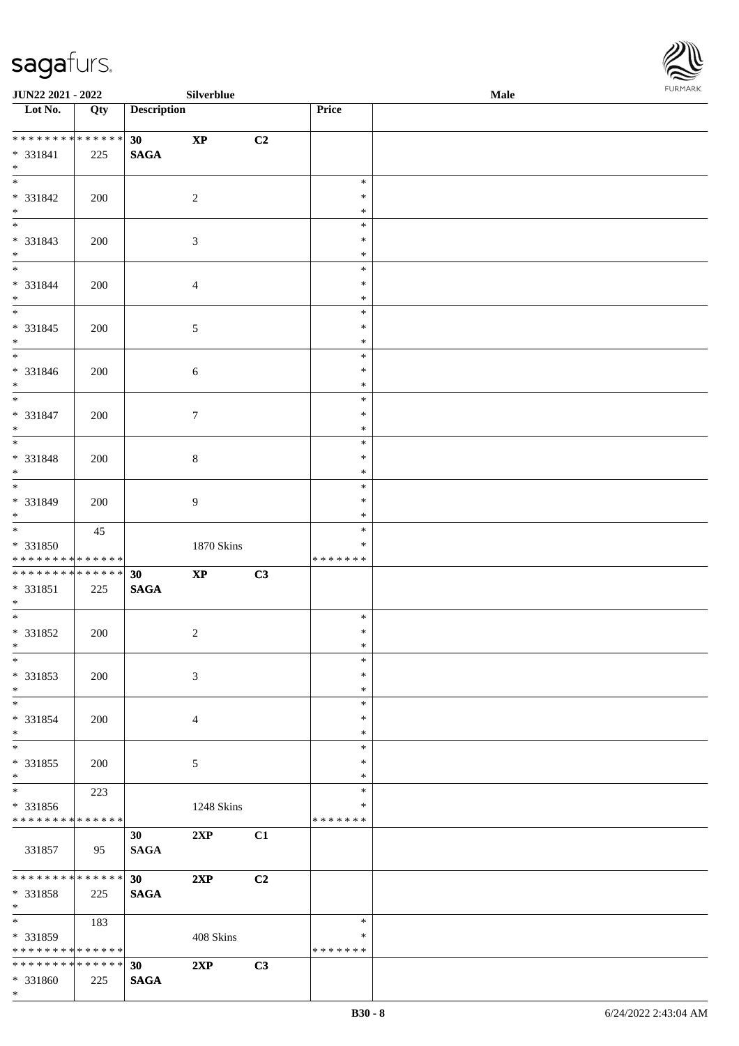\*



| <b>JUN22 2021 - 2022</b>                   |     |                    | Silverblue             |                |               | <b>Male</b> |  |
|--------------------------------------------|-----|--------------------|------------------------|----------------|---------------|-------------|--|
| Lot No.                                    | Qty | <b>Description</b> |                        |                | Price         |             |  |
|                                            |     |                    |                        |                |               |             |  |
| **************                             |     | 30 <sup>°</sup>    | $\bold{XP}$            | C2             |               |             |  |
| * 331841                                   | 225 | $\mathbf{SAGA}$    |                        |                |               |             |  |
| $*$<br>$\overline{\ast}$                   |     |                    |                        |                | $\ast$        |             |  |
| * 331842                                   |     |                    |                        |                | $\ast$        |             |  |
| $*$                                        | 200 |                    | $\overline{2}$         |                | $\ast$        |             |  |
|                                            |     |                    |                        |                | $\ast$        |             |  |
| * 331843                                   |     |                    | $\mathfrak{Z}$         |                | $\ast$        |             |  |
| $*$                                        | 200 |                    |                        |                | $\ast$        |             |  |
| $*$                                        |     |                    |                        |                | $\ast$        |             |  |
| * 331844                                   | 200 |                    | $\overline{4}$         |                | $\ast$        |             |  |
| $*$                                        |     |                    |                        |                | $\ast$        |             |  |
| $\overline{\mathbf{r}}$                    |     |                    |                        |                | $\ast$        |             |  |
| * 331845                                   | 200 |                    | $\sqrt{5}$             |                | $\ast$        |             |  |
| $\ast$                                     |     |                    |                        |                | $\ast$        |             |  |
|                                            |     |                    |                        |                | $\ast$        |             |  |
| * 331846                                   | 200 |                    | $\sqrt{6}$             |                | $\ast$        |             |  |
| $\ast$                                     |     |                    |                        |                | $\ast$        |             |  |
| $\overline{\mathbf{r}}$                    |     |                    |                        |                | $\ast$        |             |  |
| * 331847                                   | 200 |                    | $\tau$                 |                | $\ast$        |             |  |
| $*$                                        |     |                    |                        |                | $\ast$        |             |  |
| $\overline{\mathbf{r}}$                    |     |                    |                        |                | $\ast$        |             |  |
| * 331848                                   | 200 |                    | $\,8\,$                |                | $\ast$        |             |  |
| $\ast$                                     |     |                    |                        |                | $\ast$        |             |  |
|                                            |     |                    |                        |                | $\ast$        |             |  |
| * 331849                                   | 200 |                    | $\overline{9}$         |                | $\ast$        |             |  |
| $\ast$                                     |     |                    |                        |                | $\ast$        |             |  |
| $*$                                        | 45  |                    |                        |                | $\ast$        |             |  |
| * 331850                                   |     |                    | 1870 Skins             |                | $\ast$        |             |  |
| * * * * * * * * <mark>* * * * * *</mark>   |     |                    |                        |                | *******       |             |  |
| ******** <mark>******</mark>               |     | 30                 | $\mathbf{X}\mathbf{P}$ | C3             |               |             |  |
| * 331851                                   | 225 | $\mathbf{SAGA}$    |                        |                |               |             |  |
| $\ast$<br>$\overline{\ast}$                |     |                    |                        |                | $\ast$        |             |  |
| * 331852                                   |     |                    | $\overline{c}$         |                | $\ast$        |             |  |
| $*$                                        | 200 |                    |                        |                | $\ast$        |             |  |
| $\ast$                                     |     |                    |                        |                | $\ast$        |             |  |
| * 331853                                   | 200 |                    | $\mathfrak{Z}$         |                | $\ast$        |             |  |
| $*$                                        |     |                    |                        |                | $\ast$        |             |  |
| $\ast$                                     |     |                    |                        |                | $\ast$        |             |  |
| * 331854                                   | 200 |                    | $\overline{4}$         |                | $\ast$        |             |  |
| $\ast$                                     |     |                    |                        |                | $\ast$        |             |  |
| $*$                                        |     |                    |                        |                | $\ast$        |             |  |
| * 331855                                   | 200 |                    | 5                      |                | $\ast$        |             |  |
| $*$                                        |     |                    |                        |                | $\ast$        |             |  |
| $\overline{\mathbf{r}^*}$                  | 223 |                    |                        |                | $\ast$        |             |  |
| * 331856                                   |     |                    | 1248 Skins             |                | ∗             |             |  |
| * * * * * * * * <mark>* * * * * *</mark>   |     |                    |                        |                | *******       |             |  |
|                                            |     | 30 <sup>2</sup>    | 2XP                    | C1             |               |             |  |
| 331857                                     | 95  | <b>SAGA</b>        |                        |                |               |             |  |
|                                            |     |                    |                        |                |               |             |  |
| * * * * * * * * * * * * * * *              |     | 30                 | 2XP                    | C <sub>2</sub> |               |             |  |
| * 331858<br>$*$                            | 225 | <b>SAGA</b>        |                        |                |               |             |  |
| $\overline{\mathbf{r}}$                    | 183 |                    |                        |                | $\ast$        |             |  |
| * 331859                                   |     |                    | 408 Skins              |                | ∗             |             |  |
| * * * * * * * * <mark>* * * * * * *</mark> |     |                    |                        |                | * * * * * * * |             |  |
| * * * * * * * * <mark>* * * * * * *</mark> |     | 30                 | 2XP                    | C3             |               |             |  |
| * 331860                                   | 225 | <b>SAGA</b>        |                        |                |               |             |  |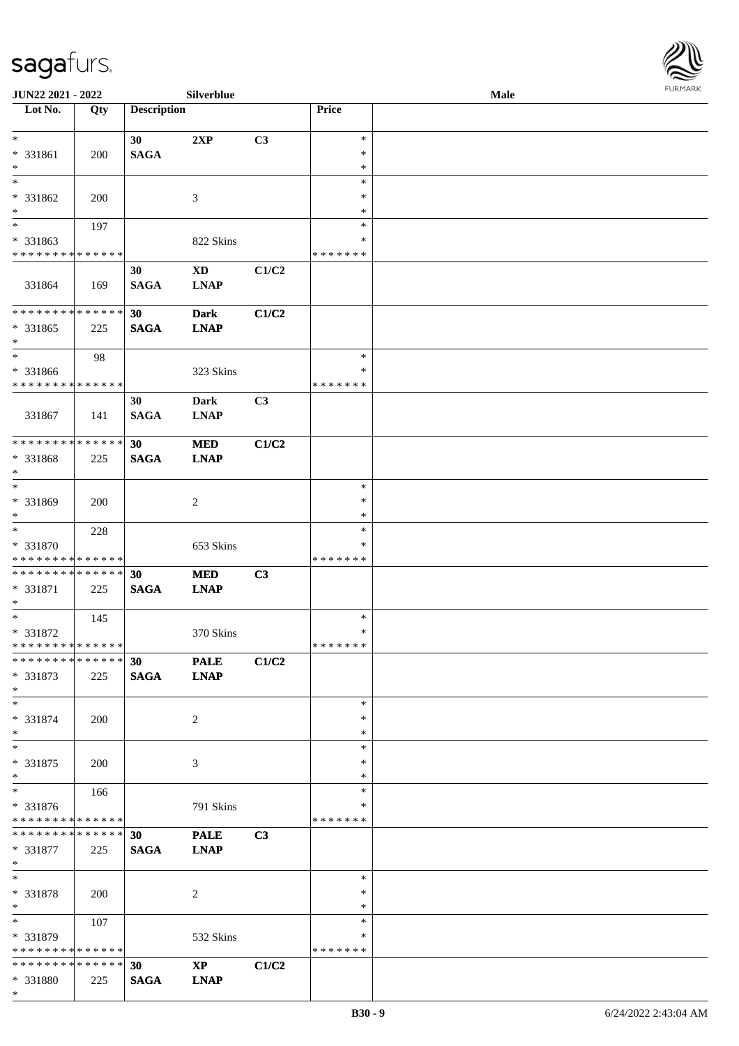

| JUN22 2021 - 2022             |     |                    | Silverblue             |       |               | <b>Male</b> |  |
|-------------------------------|-----|--------------------|------------------------|-------|---------------|-------------|--|
| Lot No.                       | Qty | <b>Description</b> |                        |       | Price         |             |  |
|                               |     |                    |                        |       |               |             |  |
| $*$                           |     | 30                 | 2XP                    | C3    | $\ast$        |             |  |
| * 331861                      | 200 | <b>SAGA</b>        |                        |       | $\ast$        |             |  |
| $\ast$                        |     |                    |                        |       | $\ast$        |             |  |
| $\ast$                        |     |                    |                        |       | $\ast$        |             |  |
|                               |     |                    |                        |       |               |             |  |
| * 331862                      | 200 |                    | 3                      |       | ∗             |             |  |
| $\ast$                        |     |                    |                        |       | ∗             |             |  |
| $\overline{\ast}$             | 197 |                    |                        |       | $\ast$        |             |  |
| * 331863                      |     |                    | 822 Skins              |       | ∗             |             |  |
| * * * * * * * * * * * * * *   |     |                    |                        |       | * * * * * * * |             |  |
|                               |     | 30                 | $\mathbf{X}\mathbf{D}$ | C1/C2 |               |             |  |
| 331864                        | 169 | <b>SAGA</b>        | <b>LNAP</b>            |       |               |             |  |
|                               |     |                    |                        |       |               |             |  |
| * * * * * * * * * * * * * *   |     |                    |                        |       |               |             |  |
|                               |     | 30                 | <b>Dark</b>            | C1/C2 |               |             |  |
| * 331865                      | 225 | <b>SAGA</b>        | <b>LNAP</b>            |       |               |             |  |
| $\ast$                        |     |                    |                        |       |               |             |  |
| $\ast$                        | 98  |                    |                        |       | $\ast$        |             |  |
| * 331866                      |     |                    | 323 Skins              |       | $\ast$        |             |  |
| * * * * * * * * * * * * * *   |     |                    |                        |       | * * * * * * * |             |  |
|                               |     | 30                 | <b>Dark</b>            | C3    |               |             |  |
| 331867                        | 141 | <b>SAGA</b>        | <b>LNAP</b>            |       |               |             |  |
|                               |     |                    |                        |       |               |             |  |
| * * * * * * * * * * * * * *   |     |                    |                        |       |               |             |  |
|                               |     | 30                 | <b>MED</b>             | C1/C2 |               |             |  |
| * 331868                      | 225 | <b>SAGA</b>        | <b>LNAP</b>            |       |               |             |  |
| $\ast$                        |     |                    |                        |       |               |             |  |
| $\ast$                        |     |                    |                        |       | $\ast$        |             |  |
| * 331869                      | 200 |                    | 2                      |       | $\ast$        |             |  |
| $*$                           |     |                    |                        |       | $\ast$        |             |  |
| $\ast$                        | 228 |                    |                        |       | $\ast$        |             |  |
| * 331870                      |     |                    | 653 Skins              |       | ∗             |             |  |
| * * * * * * * * * * * * * *   |     |                    |                        |       | * * * * * * * |             |  |
| * * * * * * * * * * * * * *   |     |                    |                        |       |               |             |  |
|                               |     | 30                 | <b>MED</b>             | C3    |               |             |  |
| * 331871                      | 225 | <b>SAGA</b>        | <b>LNAP</b>            |       |               |             |  |
| $*$                           |     |                    |                        |       |               |             |  |
| $*$                           | 145 |                    |                        |       | $\ast$        |             |  |
| * 331872                      |     |                    | 370 Skins              |       | $\ast$        |             |  |
| * * * * * * * * * * * * * *   |     |                    |                        |       | *******       |             |  |
| * * * * * * * * * * * * * *   |     | <b>30</b>          | <b>PALE</b>            | C1/C2 |               |             |  |
| * 331873                      | 225 | <b>SAGA</b>        | <b>LNAP</b>            |       |               |             |  |
| $*$                           |     |                    |                        |       |               |             |  |
| $*$                           |     |                    |                        |       | $\ast$        |             |  |
|                               |     |                    |                        |       | ∗             |             |  |
| * 331874                      | 200 |                    | $\overline{2}$         |       |               |             |  |
| $*$                           |     |                    |                        |       | ∗             |             |  |
| $*$                           |     |                    |                        |       | $\ast$        |             |  |
| * 331875                      | 200 |                    | 3                      |       | ∗             |             |  |
| $*$                           |     |                    |                        |       | $\ast$        |             |  |
| $\overline{\phantom{0}}$      | 166 |                    |                        |       | $\ast$        |             |  |
| * 331876                      |     |                    | 791 Skins              |       | ∗             |             |  |
| * * * * * * * * * * * * * *   |     |                    |                        |       | * * * * * * * |             |  |
| * * * * * * * * * * * * * * * |     | 30                 | <b>PALE</b>            | C3    |               |             |  |
|                               |     |                    |                        |       |               |             |  |
| * 331877                      | 225 | <b>SAGA</b>        | <b>LNAP</b>            |       |               |             |  |
| $*$                           |     |                    |                        |       |               |             |  |
| $*$                           |     |                    |                        |       | $\ast$        |             |  |
| * 331878                      | 200 |                    | 2                      |       | $\ast$        |             |  |
| $*$                           |     |                    |                        |       | $\ast$        |             |  |
| $\ast$                        | 107 |                    |                        |       | ∗             |             |  |
| * 331879                      |     |                    | 532 Skins              |       | ∗             |             |  |
| * * * * * * * * * * * * * *   |     |                    |                        |       | * * * * * * * |             |  |
| * * * * * * * * * * * * * * * |     | 30                 | $\mathbf{X}\mathbf{P}$ | C1/C2 |               |             |  |
|                               |     |                    |                        |       |               |             |  |
| * 331880                      | 225 | <b>SAGA</b>        | <b>LNAP</b>            |       |               |             |  |
| $*$                           |     |                    |                        |       |               |             |  |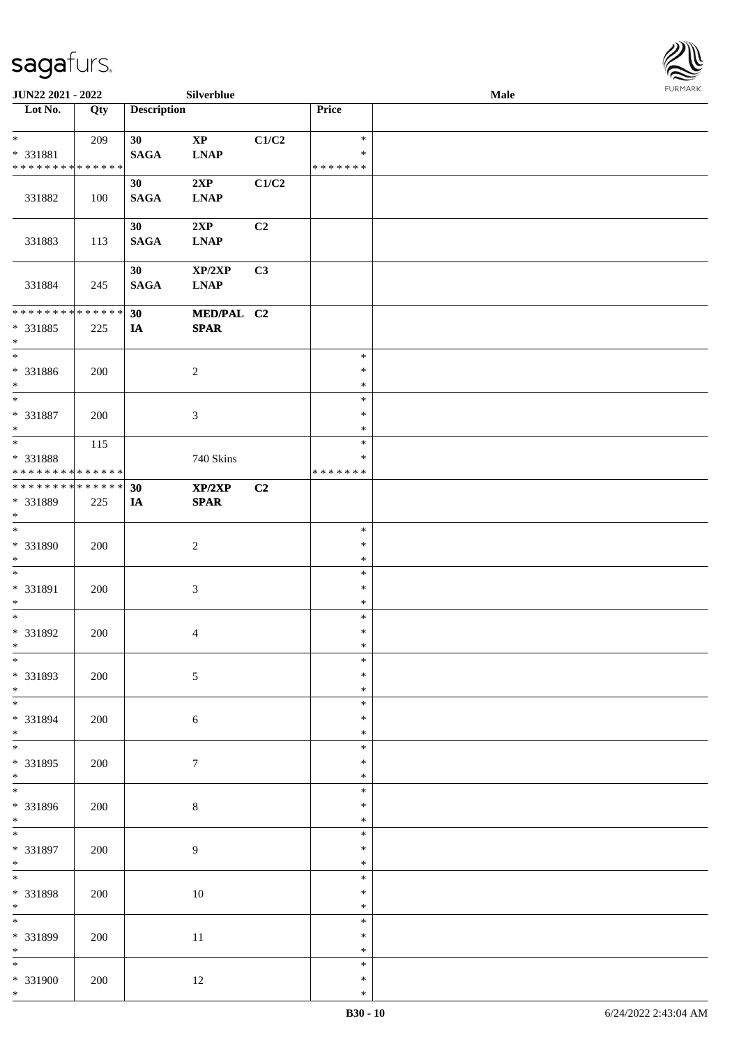

| <b>JUN22 2021 - 2022</b>                         |     |                    | Silverblue                            |       |                                   | Male |  |
|--------------------------------------------------|-----|--------------------|---------------------------------------|-------|-----------------------------------|------|--|
| Lot No.                                          | Qty | <b>Description</b> |                                       |       | Price                             |      |  |
| $*$<br>* 331881<br>* * * * * * * * * * * * * *   | 209 | 30<br><b>SAGA</b>  | $\mathbf{X}\mathbf{P}$<br><b>LNAP</b> | C1/C2 | $\ast$<br>$\ast$<br>* * * * * * * |      |  |
| 331882                                           | 100 | 30<br><b>SAGA</b>  | 2XP<br><b>LNAP</b>                    | C1/C2 |                                   |      |  |
| 331883                                           | 113 | 30<br><b>SAGA</b>  | 2XP<br><b>LNAP</b>                    | C2    |                                   |      |  |
| 331884                                           | 245 | 30<br><b>SAGA</b>  | XP/2XP<br><b>LNAP</b>                 | C3    |                                   |      |  |
| * * * * * * * * * * * * * *                      |     | 30                 | MED/PAL C2                            |       |                                   |      |  |
| * 331885<br>$\ast$                               | 225 | IA                 | <b>SPAR</b>                           |       |                                   |      |  |
| $\overline{\phantom{0}}$<br>* 331886<br>$*$      | 200 |                    | $\sqrt{2}$                            |       | $\ast$<br>$\ast$<br>$\ast$        |      |  |
| * 331887<br>$*$                                  | 200 |                    | 3                                     |       | $\ast$<br>$\ast$<br>$\ast$        |      |  |
| * 331888<br>* * * * * * * * * * * * * *          | 115 |                    | 740 Skins                             |       | $\ast$<br>$\ast$<br>* * * * * * * |      |  |
| * * * * * * * * * * * * * * *<br>* 331889<br>$*$ | 225 | 30<br>IA           | XP/2XP<br><b>SPAR</b>                 | C2    |                                   |      |  |
| $\overline{\ast}$<br>* 331890<br>$*$             | 200 |                    | $\overline{2}$                        |       | $\ast$<br>$\ast$<br>$\ast$        |      |  |
| $*$<br>* 331891<br>$*$                           | 200 |                    | $\mathfrak{Z}$                        |       | $\ast$<br>$\ast$<br>$\ast$        |      |  |
| $*$<br>* 331892<br>$*$                           | 200 |                    | $\overline{4}$                        |       | $\ast$<br>$\ast$<br>$\ast$        |      |  |
| $\overline{\ast}$<br>* 331893<br>$*$             | 200 |                    | $\sqrt{5}$                            |       | $\ast$<br>$\ast$<br>$\ast$        |      |  |
| * 331894<br>$*$                                  | 200 |                    | $\sqrt{6}$                            |       | $\ast$<br>$\ast$<br>$\ast$        |      |  |
| * 331895<br>$*$                                  | 200 |                    | $\tau$                                |       | $\ast$<br>$\ast$<br>$\ast$        |      |  |
| * 331896<br>$*$                                  | 200 |                    | $\,8\,$                               |       | $\ast$<br>$\ast$<br>$\ast$        |      |  |
| $*$<br>* 331897<br>$*$                           | 200 |                    | $\overline{9}$                        |       | $\ast$<br>$\ast$<br>$\ast$        |      |  |
| * 331898<br>$*$                                  | 200 |                    | $10\,$                                |       | $\ast$<br>$\ast$<br>$\ast$        |      |  |
| * 331899<br>$*$                                  | 200 |                    | $11\,$                                |       | $\ast$<br>$\ast$<br>$\ast$        |      |  |
| $*$<br>* 331900<br>$*$                           | 200 |                    | 12                                    |       | $\ast$<br>$\ast$<br>$\ast$        |      |  |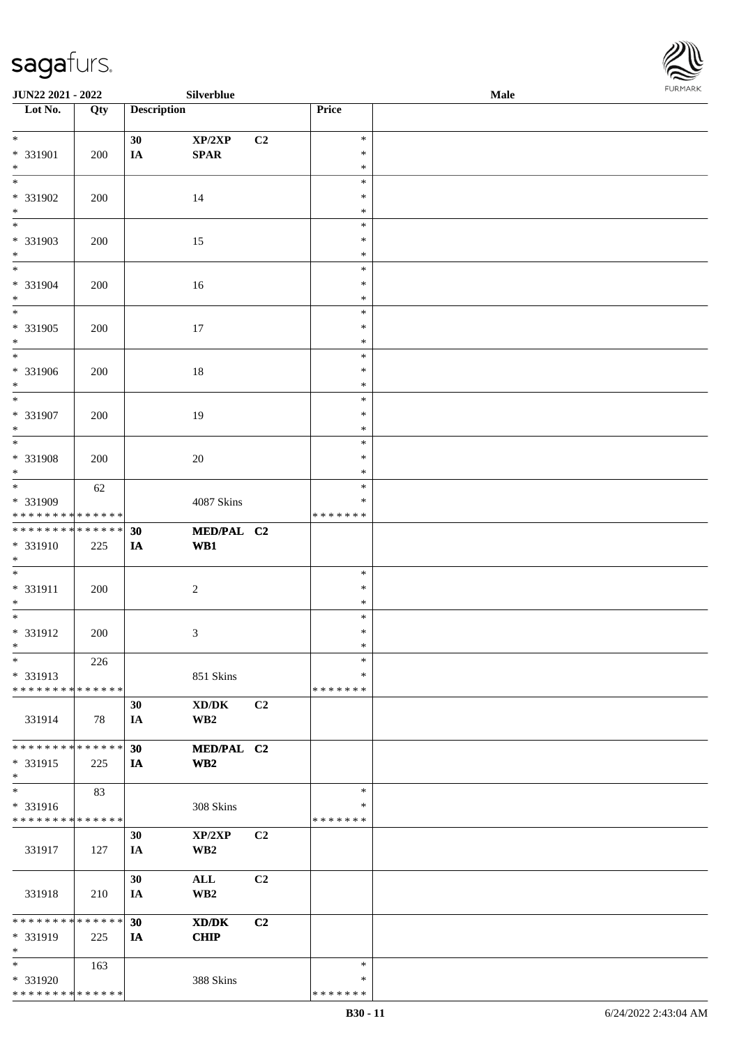

| JUN22 2021 - 2022           |        |                    | Silverblue                      |                |               | <b>Male</b> |
|-----------------------------|--------|--------------------|---------------------------------|----------------|---------------|-------------|
| Lot No.                     | Qty    | <b>Description</b> |                                 |                | Price         |             |
|                             |        |                    |                                 |                |               |             |
| $\ast$                      |        | 30                 | XP/2XP                          | C <sub>2</sub> | $\ast$        |             |
| * 331901                    | 200    | $I\!\!A$           | $\pmb{\quad \text{SPAR} \quad}$ |                | $\ast$        |             |
| $\ast$                      |        |                    |                                 |                | $\ast$        |             |
| $\overline{\phantom{a}^*}$  |        |                    |                                 |                | $\ast$        |             |
| * 331902                    | 200    |                    | 14                              |                | $\ast$        |             |
| $\ast$                      |        |                    |                                 |                | $\ast$        |             |
| $\overline{\phantom{0}}$    |        |                    |                                 |                |               |             |
|                             |        |                    |                                 |                | $\ast$        |             |
| * 331903                    | 200    |                    | 15                              |                | $\ast$        |             |
| $\ast$                      |        |                    |                                 |                | $\ast$        |             |
| $\ast$                      |        |                    |                                 |                | $\ast$        |             |
| * 331904                    | 200    |                    | $16\,$                          |                | $\ast$        |             |
| $\ast$                      |        |                    |                                 |                | $\ast$        |             |
| $\overline{\phantom{1}}$    |        |                    |                                 |                | $\ast$        |             |
| * 331905                    | 200    |                    | 17                              |                | $\ast$        |             |
| $\ast$                      |        |                    |                                 |                | $\ast$        |             |
| $\overline{\phantom{a}^*}$  |        |                    |                                 |                | $\ast$        |             |
| * 331906                    | 200    |                    | $18\,$                          |                | $\ast$        |             |
| $\ast$                      |        |                    |                                 |                | $\ast$        |             |
| $_{\ast}$                   |        |                    |                                 |                | $\ast$        |             |
|                             |        |                    |                                 |                | $\ast$        |             |
| * 331907                    | 200    |                    | 19                              |                |               |             |
| $\ast$                      |        |                    |                                 |                | $\ast$        |             |
| $\ast$                      |        |                    |                                 |                | $\ast$        |             |
| * 331908                    | 200    |                    | 20                              |                | $\ast$        |             |
| $\ast$                      |        |                    |                                 |                | $\ast$        |             |
| $\overline{\ast}$           | 62     |                    |                                 |                | $\ast$        |             |
| * 331909                    |        |                    | 4087 Skins                      |                | $\ast$        |             |
| * * * * * * * * * * * * * * |        |                    |                                 |                | * * * * * * * |             |
| **************              |        | 30                 | MED/PAL C2                      |                |               |             |
| * 331910                    | 225    | IA                 | W <sub>B1</sub>                 |                |               |             |
| $*$                         |        |                    |                                 |                |               |             |
| $\ast$                      |        |                    |                                 |                | $\ast$        |             |
| * 331911                    | 200    |                    | $\overline{c}$                  |                | $\ast$        |             |
| $*$                         |        |                    |                                 |                | $\ast$        |             |
| $\ast$                      |        |                    |                                 |                | $\ast$        |             |
| * 331912                    |        |                    |                                 |                | $\ast$        |             |
| $*$                         | 200    |                    | $\mathfrak{Z}$                  |                |               |             |
|                             |        |                    |                                 |                | $\ast$        |             |
| $\ast$                      | 226    |                    |                                 |                | $\ast$        |             |
| * 331913                    |        |                    | 851 Skins                       |                | $\ast$        |             |
| * * * * * * * * * * * * * * |        |                    |                                 |                | * * * * * * * |             |
|                             |        | 30                 | XD/DK                           | C2             |               |             |
| 331914                      | 78     | IA                 | WB <sub>2</sub>                 |                |               |             |
|                             |        |                    |                                 |                |               |             |
| * * * * * * * * * * * * * * |        | 30                 | MED/PAL C2                      |                |               |             |
| * 331915                    | 225    | IA                 | $\mathbf{W}\mathbf{B2}$         |                |               |             |
| $\ast$                      |        |                    |                                 |                |               |             |
| $\overline{\phantom{1}}$    | 83     |                    |                                 |                | $\ast$        |             |
| * 331916                    |        |                    | 308 Skins                       |                | ∗             |             |
| * * * * * * * * * * * * * * |        |                    |                                 |                | * * * * * * * |             |
|                             |        | 30                 | XP/2XP                          | C <sub>2</sub> |               |             |
| 331917                      | 127    | IA                 | WB <sub>2</sub>                 |                |               |             |
|                             |        |                    |                                 |                |               |             |
|                             |        | 30                 |                                 | C2             |               |             |
|                             |        |                    | $\mathbf{ALL}$                  |                |               |             |
| 331918                      | 210    | IA                 | $\mathbf{W}\mathbf{B2}$         |                |               |             |
|                             |        |                    |                                 |                |               |             |
| * * * * * * * *             | ****** | 30                 | XD/DK                           | C2             |               |             |
| * 331919                    | 225    | IA                 | <b>CHIP</b>                     |                |               |             |
| $\ast$                      |        |                    |                                 |                |               |             |
| $*$                         | 163    |                    |                                 |                | $\ast$        |             |
| * 331920                    |        |                    | 388 Skins                       |                | ∗             |             |
| * * * * * * * * * * * * * * |        |                    |                                 |                | * * * * * * * |             |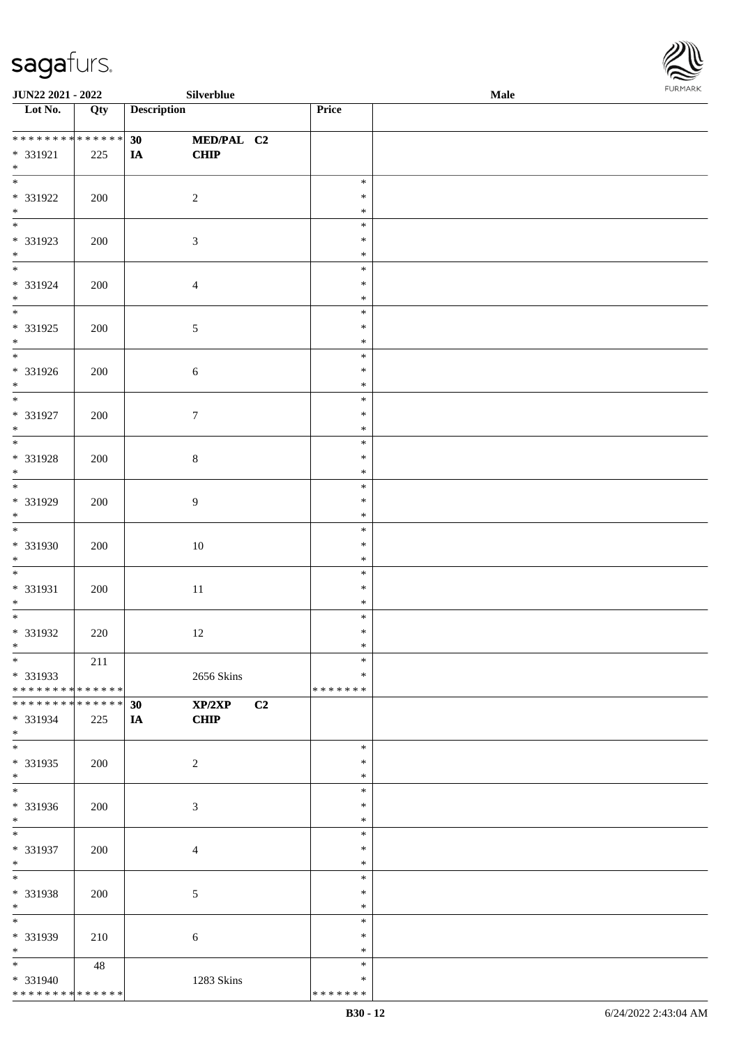

| JUN22 2021 - 2022                          |     | Silverblue         |               | <b>Male</b> |
|--------------------------------------------|-----|--------------------|---------------|-------------|
| Lot No.                                    | Qty | <b>Description</b> | Price         |             |
|                                            |     |                    |               |             |
| **************                             |     | MED/PAL C2<br>30   |               |             |
| * 331921                                   | 225 | <b>CHIP</b><br>IA  |               |             |
| $\ast$                                     |     |                    |               |             |
|                                            |     |                    | $\ast$        |             |
|                                            |     |                    |               |             |
| * 331922                                   | 200 | $\sqrt{2}$         | $\ast$        |             |
| $\ast$                                     |     |                    | $\ast$        |             |
| $\overline{\phantom{0}}$                   |     |                    | $\ast$        |             |
| * 331923                                   | 200 | $\mathfrak{Z}$     | $\ast$        |             |
| $*$                                        |     |                    | $\ast$        |             |
| $\overline{\phantom{0}}$                   |     |                    | $\ast$        |             |
| * 331924                                   | 200 | $\overline{4}$     | $\ast$        |             |
| $*$                                        |     |                    | $\ast$        |             |
| $\overline{\ast}$                          |     |                    | $\ast$        |             |
|                                            |     |                    |               |             |
| * 331925                                   | 200 | 5                  | $\ast$        |             |
| $\ast$                                     |     |                    | $\ast$        |             |
| $\overline{\phantom{a}^*}$                 |     |                    | $\ast$        |             |
| * 331926                                   | 200 | 6                  | $\ast$        |             |
| $*$                                        |     |                    | $\ast$        |             |
| $\overline{\phantom{a}^*}$                 |     |                    | $\ast$        |             |
| $* 331927$                                 | 200 | $\tau$             | $\ast$        |             |
| $\ast$                                     |     |                    | $\ast$        |             |
| $\overline{\ast}$                          |     |                    | $\ast$        |             |
|                                            |     |                    |               |             |
| * 331928                                   | 200 | 8                  | $\ast$        |             |
| $\ast$<br>$\overline{\phantom{0}}$         |     |                    | $\ast$        |             |
|                                            |     |                    | $\ast$        |             |
| * 331929                                   | 200 | $\boldsymbol{9}$   | $\ast$        |             |
| $*$                                        |     |                    | $\ast$        |             |
|                                            |     |                    | $\ast$        |             |
| * 331930                                   | 200 | $10\,$             | $\ast$        |             |
| $*$                                        |     |                    | $\ast$        |             |
| $*$                                        |     |                    | $\ast$        |             |
| * 331931                                   |     |                    | $\ast$        |             |
|                                            | 200 | $11\,$             |               |             |
| $*$                                        |     |                    | $\ast$        |             |
| $*$                                        |     |                    | $\ast$        |             |
| $* 331932$                                 | 220 | $12\,$             | $\ast$        |             |
| $*$                                        |     |                    | $\ast$        |             |
| $*$                                        | 211 |                    | $\ast$        |             |
| * 331933                                   |     | 2656 Skins         | ∗             |             |
| * * * * * * * * <mark>* * * * * * *</mark> |     |                    | * * * * * * * |             |
| * * * * * * * * * * * * * * *              |     | XP/2XP<br>30       | C2            |             |
| * 331934                                   | 225 | <b>CHIP</b><br>IA  |               |             |
| $*$                                        |     |                    |               |             |
| $\overline{\phantom{a}^*}$                 |     |                    | $\ast$        |             |
| * 331935                                   |     |                    | $\ast$        |             |
|                                            | 200 | $\overline{c}$     |               |             |
| $*$<br>$\overline{\phantom{0}}$            |     |                    | $\ast$        |             |
|                                            |     |                    | $\ast$        |             |
| * 331936                                   | 200 | 3                  | $\ast$        |             |
| $*$                                        |     |                    | $\ast$        |             |
| $*$                                        |     |                    | $\ast$        |             |
| * 331937                                   | 200 | 4                  | $\ast$        |             |
| $*$                                        |     |                    | $\ast$        |             |
| $\ast$                                     |     |                    | $\ast$        |             |
| * 331938                                   | 200 | 5                  | $\ast$        |             |
| $*$                                        |     |                    | $\ast$        |             |
| $\overline{\phantom{0}}$                   |     |                    |               |             |
|                                            |     |                    | $\ast$        |             |
| * 331939                                   | 210 | 6                  | $\ast$        |             |
| $*$                                        |     |                    | $\ast$        |             |
| $\overline{\ast}$                          | 48  |                    | $\ast$        |             |
| * 331940                                   |     | 1283 Skins         | $\ast$        |             |
| * * * * * * * * * * * * * *                |     |                    | * * * * * * * |             |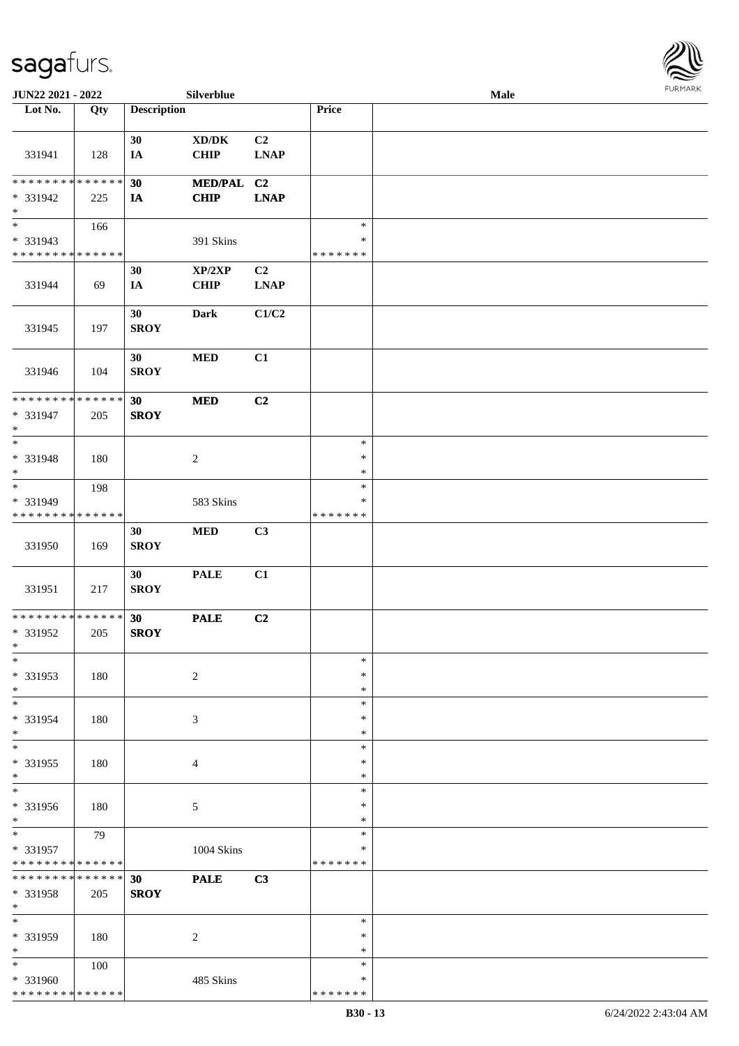

| JUN22 2021 - 2022                                                   |                    |                    | Silverblue                                  |                   |                                   | Male | <b>FURMARK</b> |
|---------------------------------------------------------------------|--------------------|--------------------|---------------------------------------------|-------------------|-----------------------------------|------|----------------|
| Lot No.                                                             | Qty                | <b>Description</b> |                                             |                   | Price                             |      |                |
| 331941                                                              | 128                | 30<br>IA           | $\bold{X}\bold{D}/\bold{D}\bold{K}$<br>CHIP | C2<br><b>LNAP</b> |                                   |      |                |
| * * * * * * * * * * * * * *<br>* 331942<br>$*$                      | 225                | 30<br>IA           | MED/PAL C2<br><b>CHIP</b>                   | <b>LNAP</b>       |                                   |      |                |
| $_{\ast}^{-}$<br>* 331943<br>* * * * * * * * * * * * * *            | 166                |                    | 391 Skins                                   |                   | $\ast$<br>∗<br>* * * * * * *      |      |                |
| 331944                                                              | 69                 | 30<br>IA           | XP/2XP<br><b>CHIP</b>                       | C2<br><b>LNAP</b> |                                   |      |                |
| 331945                                                              | 197                | 30<br><b>SROY</b>  | <b>Dark</b>                                 | C1/C2             |                                   |      |                |
| 331946                                                              | 104                | 30<br><b>SROY</b>  | <b>MED</b>                                  | C1                |                                   |      |                |
| ******** <mark>******</mark><br>* 331947<br>$\ast$                  | 205                | 30<br><b>SROY</b>  | <b>MED</b>                                  | C2                |                                   |      |                |
| $\overline{\phantom{a}^*}$<br>* 331948<br>$\ast$                    | 180                |                    | $\overline{c}$                              |                   | $\ast$<br>$\ast$<br>$\ast$        |      |                |
| $\overline{\phantom{0}}$<br>* 331949<br>* * * * * * * * * * * * * * | 198                |                    | 583 Skins                                   |                   | $\ast$<br>$\ast$<br>* * * * * * * |      |                |
| 331950                                                              | 169                | 30<br><b>SROY</b>  | $\bf MED$                                   | C3                |                                   |      |                |
| 331951                                                              | 217                | 30<br><b>SROY</b>  | <b>PALE</b>                                 | C1                |                                   |      |                |
| **************<br>* 331952<br>$\ast$                                | 205                | 30<br><b>SROY</b>  | <b>PALE</b>                                 | C2                |                                   |      |                |
| $\ast$<br>* 331953<br>$\ast$                                        | 180                |                    | $\overline{c}$                              |                   | $\ast$<br>∗<br>$\ast$             |      |                |
| $*$<br>* 331954<br>$\ast$                                           | 180                |                    | 3                                           |                   | $\ast$<br>$\ast$<br>$\ast$        |      |                |
| $_{\ast}^{-}$<br>* 331955<br>$\ast$                                 | 180                |                    | 4                                           |                   | $\ast$<br>∗<br>$\ast$             |      |                |
| $\overline{\ast}$<br>* 331956<br>$\ast$                             | 180                |                    | 5                                           |                   | $\ast$<br>$\ast$<br>$\ast$        |      |                |
| $\ast$<br>* 331957<br>* * * * * * * * * * * * * *                   | 79                 |                    | 1004 Skins                                  |                   | $\ast$<br>$\ast$<br>*******       |      |                |
| * * * * * * * *<br>* 331958<br>$\ast$                               | * * * * * *<br>205 | 30<br><b>SROY</b>  | <b>PALE</b>                                 | C3                |                                   |      |                |
| $\ast$<br>* 331959<br>$\ast$                                        | 180                |                    | $\overline{c}$                              |                   | $\ast$<br>∗<br>$\ast$             |      |                |
| $*$<br>* 331960<br>**************                                   | 100                |                    | 485 Skins                                   |                   | $\ast$<br>∗<br>* * * * * * *      |      |                |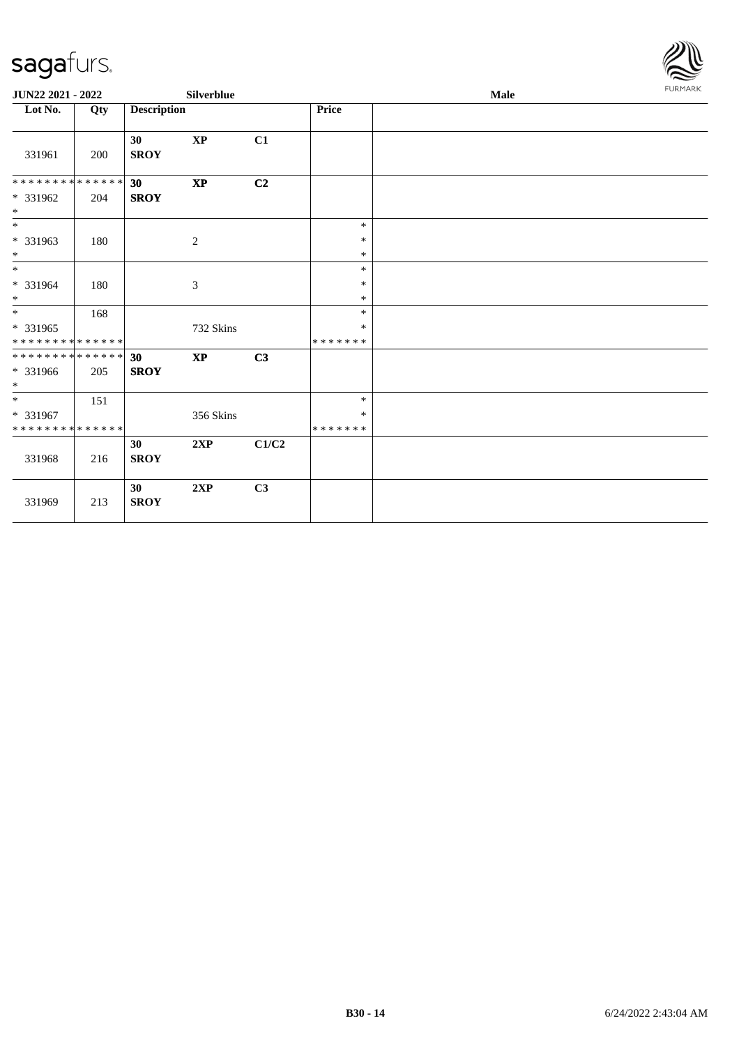

| JUN22 2021 - 2022                                            |     |                    | Silverblue                  |       |                                   | Male | <b>FURMARK</b> |
|--------------------------------------------------------------|-----|--------------------|-----------------------------|-------|-----------------------------------|------|----------------|
| Lot No.                                                      | Qty | <b>Description</b> |                             |       | Price                             |      |                |
| 331961                                                       | 200 | 30<br><b>SROY</b>  | <b>XP</b>                   | C1    |                                   |      |                |
| * * * * * * * * * * * * * * *<br>* 331962<br>$*$             | 204 | 30<br><b>SROY</b>  | $\mathbf{X}\mathbf{P}$      | C2    |                                   |      |                |
| $\overline{\phantom{0}}$<br>* 331963<br>$*$                  | 180 |                    | $\sqrt{2}$                  |       | $\ast$<br>$\ast$<br>$\ast$        |      |                |
| $\overline{\ast}$<br>* 331964<br>$*$                         | 180 |                    | $\ensuremath{\mathfrak{Z}}$ |       | $\ast$<br>$\ast$<br>$\ast$        |      |                |
| $\overline{\ }$<br>$* 331965$<br>* * * * * * * * * * * * * * | 168 |                    | 732 Skins                   |       | $\ast$<br>$\ast$<br>* * * * * * * |      |                |
| ******** <mark>******</mark><br>* 331966<br>$*$              | 205 | 30<br><b>SROY</b>  | $\mathbf{X}\mathbf{P}$      | C3    |                                   |      |                |
| $*$<br>* 331967<br>* * * * * * * * * * * * * *               | 151 |                    | 356 Skins                   |       | $\ast$<br>$\ast$<br>* * * * * * * |      |                |
| 331968                                                       | 216 | 30<br><b>SROY</b>  | 2XP                         | C1/C2 |                                   |      |                |
| 331969                                                       | 213 | 30<br><b>SROY</b>  | 2XP                         | C3    |                                   |      |                |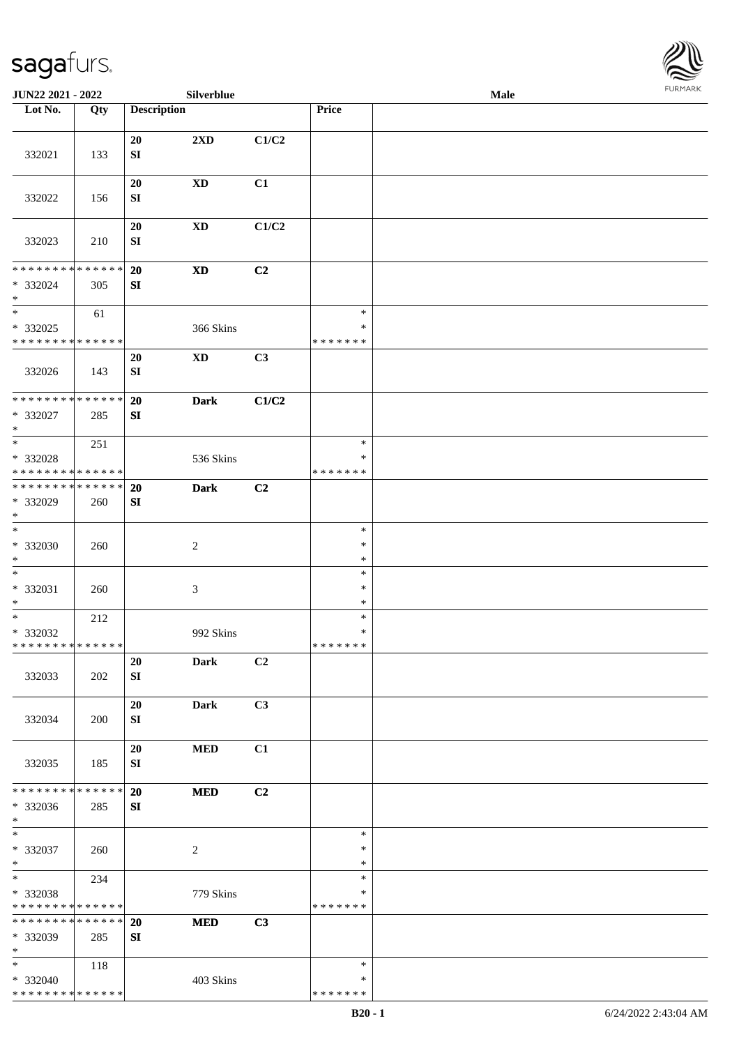

| JUN22 2021 - 2022                                                       |     |                        | Silverblue                 |       |                                   | Male | FURMARK |
|-------------------------------------------------------------------------|-----|------------------------|----------------------------|-------|-----------------------------------|------|---------|
| Lot No.                                                                 | Qty | <b>Description</b>     |                            |       | Price                             |      |         |
| 332021                                                                  | 133 | 20<br>SI               | 2XD                        | C1/C2 |                                   |      |         |
| 332022                                                                  | 156 | 20<br>${\bf S}{\bf I}$ | $\mathbf{X}\mathbf{D}$     | C1    |                                   |      |         |
| 332023                                                                  | 210 | 20<br>${\bf S}{\bf I}$ | $\mathbf{X}\mathbf{D}$     | C1/C2 |                                   |      |         |
| * * * * * * * * * * * * * *<br>* 332024<br>$\ast$                       | 305 | 20<br>SI               | $\boldsymbol{\mathrm{XD}}$ | C2    |                                   |      |         |
| $\ast$<br>* 332025<br>* * * * * * * * * * * * * *                       | 61  |                        | 366 Skins                  |       | $\ast$<br>$\ast$<br>* * * * * * * |      |         |
| 332026                                                                  | 143 | 20<br>SI               | $\mathbf{X}\mathbf{D}$     | C3    |                                   |      |         |
| **************<br>* 332027<br>$\ast$                                    | 285 | 20<br>SI               | <b>Dark</b>                | C1/C2 |                                   |      |         |
| $\overline{\ast}$<br>* 332028<br>* * * * * * * * * * * * * *            | 251 |                        | 536 Skins                  |       | $\ast$<br>$\ast$<br>* * * * * * * |      |         |
| * * * * * * * * * * * * * *<br>* 332029<br>$\ast$                       | 260 | 20<br>SI               | <b>Dark</b>                | C2    |                                   |      |         |
| $\ast$<br>$* 332030$<br>$\ast$                                          | 260 |                        | $\boldsymbol{2}$           |       | $\ast$<br>$\ast$<br>$\ast$        |      |         |
| $\ast$<br>$* 332031$<br>$\ast$                                          | 260 |                        | $\mathfrak{Z}$             |       | $\ast$<br>$\ast$<br>$\ast$        |      |         |
| $\overline{\phantom{a}^*}$<br>* 332032<br>* * * * * * * * * * * * * * * | 212 |                        | 992 Skins                  |       | $\ast$<br>$\ast$<br>* * * * * * * |      |         |
| 332033                                                                  | 202 | 20<br>SI               | Dark                       | C2    |                                   |      |         |
| 332034                                                                  | 200 | 20<br>SI               | Dark                       | C3    |                                   |      |         |
| 332035                                                                  | 185 | 20<br>SI               | <b>MED</b>                 | C1    |                                   |      |         |
| * * * * * * * * * * * * * *<br>* 332036<br>$\ast$                       | 285 | 20<br>SI               | <b>MED</b>                 | C2    |                                   |      |         |
| $\ast$<br>$* 332037$<br>$\ast$                                          | 260 |                        | 2                          |       | $\ast$<br>$\ast$<br>$\ast$        |      |         |
| $\ast$<br>* 332038<br>* * * * * * * * * * * * * *                       | 234 |                        | 779 Skins                  |       | $\ast$<br>*<br>* * * * * * *      |      |         |
| * * * * * * * * * * * * * * *<br>* 332039<br>$\ast$                     | 285 | 20<br>SI               | <b>MED</b>                 | C3    |                                   |      |         |
| $\ast$<br>* 332040<br>* * * * * * * * * * * * * *                       | 118 |                        | 403 Skins                  |       | $\ast$<br>*<br>* * * * * * *      |      |         |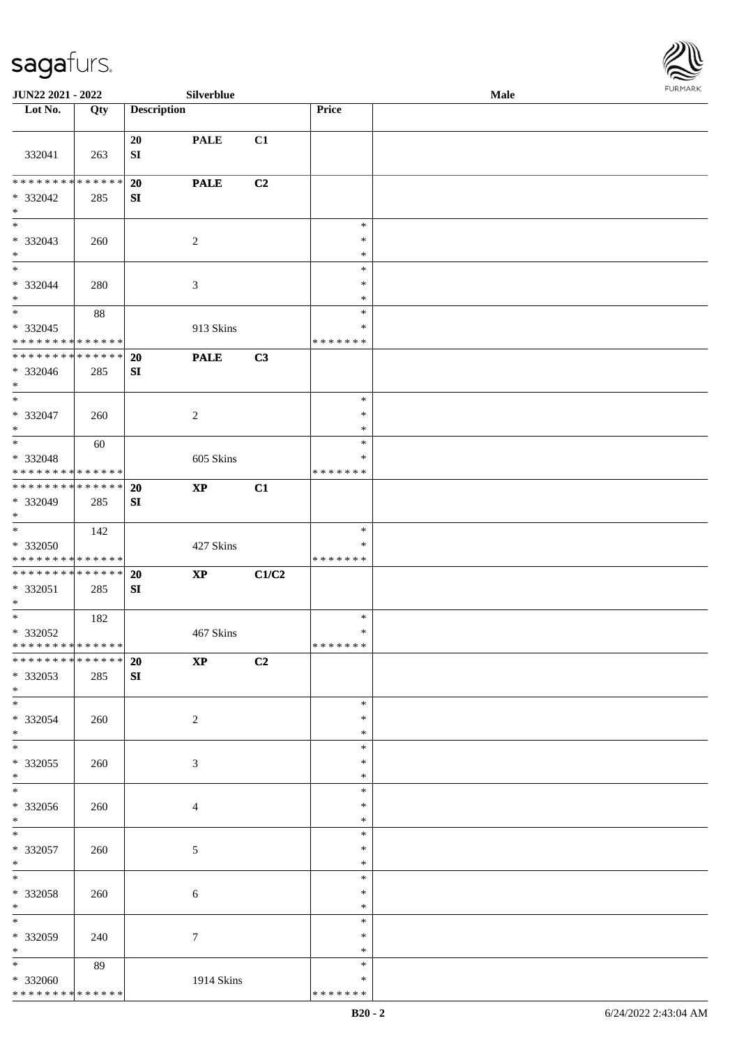\* \* \* \* \* \* \* \* \* \* \* \* \* \* \*



| <b>JUN22 2021 - 2022</b>                                                                 |     |                               | Silverblue                 |       |                   | Male |  |
|------------------------------------------------------------------------------------------|-----|-------------------------------|----------------------------|-------|-------------------|------|--|
| Lot No.                                                                                  | Qty | <b>Description</b>            |                            |       | Price             |      |  |
| 332041                                                                                   | 263 | 20<br>${\bf SI}$              | <b>PALE</b>                | C1    |                   |      |  |
|                                                                                          |     |                               |                            |       |                   |      |  |
| * * * * * * * * * * * * * * *                                                            |     | 20                            | <b>PALE</b>                | C2    |                   |      |  |
| * 332042<br>$\ast$                                                                       | 285 | SI                            |                            |       |                   |      |  |
|                                                                                          |     |                               |                            |       | $\ast$            |      |  |
| * 332043                                                                                 | 260 |                               | 2                          |       | $\ast$            |      |  |
| $*$<br>$*$                                                                               |     |                               |                            |       | $\ast$            |      |  |
| * 332044                                                                                 | 280 |                               | $\mathfrak{Z}$             |       | $\ast$<br>$\ast$  |      |  |
| $*$                                                                                      |     |                               |                            |       | $\ast$            |      |  |
| $*$                                                                                      | 88  |                               |                            |       | $\ast$            |      |  |
| * 332045<br>* * * * * * * * * * * * * *                                                  |     |                               | 913 Skins                  |       | $\ast$<br>******* |      |  |
| * * * * * * * * * * * * * *                                                              |     | 20                            | <b>PALE</b>                | C3    |                   |      |  |
| * 332046<br>$*$                                                                          | 285 | SI                            |                            |       |                   |      |  |
| $\frac{1}{\ast}$                                                                         |     |                               |                            |       | $\ast$            |      |  |
| $* 332047$<br>$*$                                                                        | 260 |                               | 2                          |       | $\ast$<br>$\ast$  |      |  |
| $*$                                                                                      | 60  |                               |                            |       | $\ast$            |      |  |
| * 332048<br>* * * * * * * * <mark>* * * * * *</mark>                                     |     |                               | 605 Skins                  |       | ∗<br>*******      |      |  |
| * * * * * * * * <mark>* * * * * *</mark>                                                 |     | <b>20</b>                     | $\boldsymbol{\mathrm{XP}}$ | C1    |                   |      |  |
| * 332049<br>$*$                                                                          | 285 | SI                            |                            |       |                   |      |  |
|                                                                                          | 142 |                               |                            |       | $\ast$            |      |  |
| * 332050                                                                                 |     |                               | 427 Skins                  |       | ∗                 |      |  |
| * * * * * * * * <mark>* * * * * * *</mark><br>* * * * * * * * <mark>* * * * * * *</mark> |     |                               |                            |       | *******           |      |  |
| * 332051<br>$\ast$                                                                       | 285 | <b>20</b><br>SI               | <b>XP</b>                  | C1/C2 |                   |      |  |
| $*$ $-$                                                                                  | 182 |                               |                            |       | $\ast$            |      |  |
| * 332052                                                                                 |     |                               | 467 Skins                  |       | $\ast$            |      |  |
| * * * * * * * * <mark>* * * * * * *</mark><br>___<br>******** <mark>******</mark>        |     | 20                            |                            |       | *******           |      |  |
| * 332053<br>$*$                                                                          | 285 | $\mathbf{X} \mathbf{P}$<br>SI |                            | C2    |                   |      |  |
| $*$                                                                                      |     |                               |                            |       | $\ast$            |      |  |
| * 332054<br>$*$                                                                          | 260 |                               | $\overline{2}$             |       | $\ast$<br>$\ast$  |      |  |
| $\overline{\mathbf{r}}$                                                                  |     |                               |                            |       | $\ast$            |      |  |
| * 332055                                                                                 | 260 |                               | $\mathfrak{Z}$             |       | $\ast$            |      |  |
| $*$                                                                                      |     |                               |                            |       | $\ast$<br>$\ast$  |      |  |
| * 332056                                                                                 | 260 |                               | $\overline{4}$             |       | $\ast$            |      |  |
| $*$                                                                                      |     |                               |                            |       | $\ast$            |      |  |
| $*$<br>* 332057                                                                          | 260 |                               | $\mathfrak{S}$             |       | $\ast$<br>$\ast$  |      |  |
| $*$                                                                                      |     |                               |                            |       | $\ast$            |      |  |
| * 332058                                                                                 | 260 |                               | 6                          |       | $\ast$<br>$\ast$  |      |  |
| $*$                                                                                      |     |                               |                            |       | $\ast$            |      |  |
| $*$                                                                                      |     |                               |                            |       | $\ast$            |      |  |
| * 332059<br>$*$                                                                          | 240 |                               | $\tau$                     |       | $\ast$<br>$\ast$  |      |  |
| $*$                                                                                      | 89  |                               |                            |       | $\ast$            |      |  |
| * 332060                                                                                 |     |                               | 1914 Skins                 |       | $\ast$            |      |  |

\* \* \* \* \* \* \*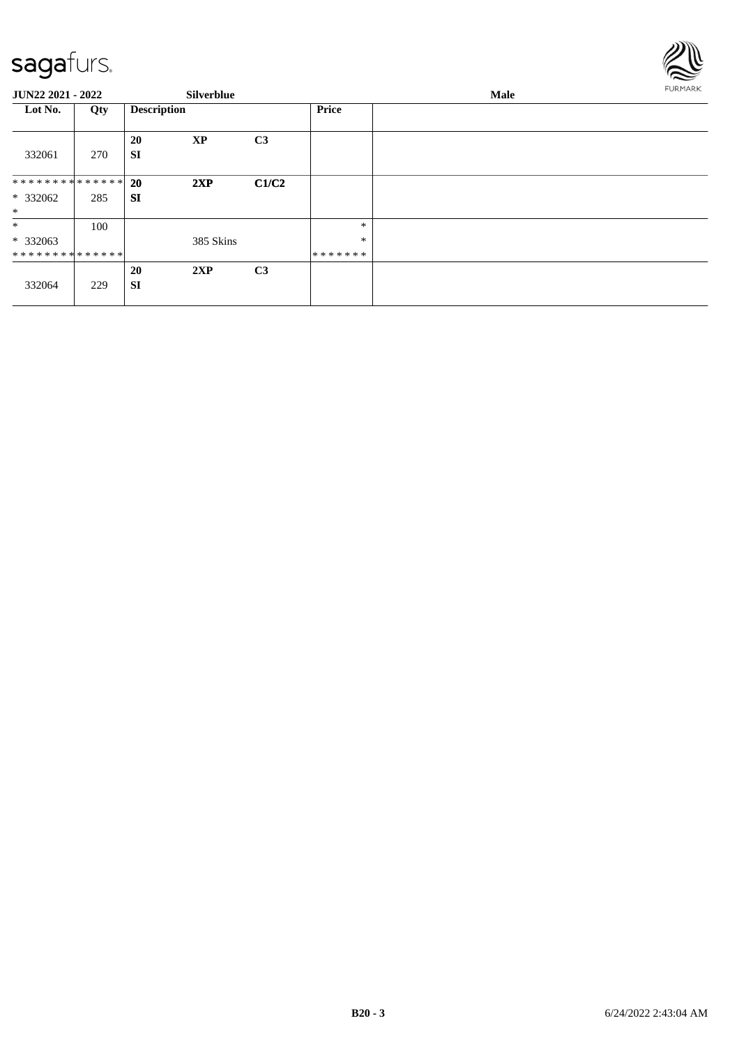

| JUN22 2021 - 2022                                   |     |                        | <b>Silverblue</b> |                |                             | <b>FURMARK</b> |  |
|-----------------------------------------------------|-----|------------------------|-------------------|----------------|-----------------------------|----------------|--|
| Lot No.                                             | Qty | <b>Description</b>     |                   |                | <b>Price</b>                |                |  |
| 332061                                              | 270 | 20<br><b>SI</b>        | <b>XP</b>         | C <sub>3</sub> |                             |                |  |
| ******** <mark>******</mark><br>$*332062$<br>$\ast$ | 285 | <b>20</b><br><b>SI</b> | 2XP               | C1/C2          |                             |                |  |
| $\ast$<br>* 332063<br>**************                | 100 |                        | 385 Skins         |                | $\ast$<br>$\ast$<br>******* |                |  |
| 332064                                              | 229 | <b>20</b><br><b>SI</b> | 2XP               | C <sub>3</sub> |                             |                |  |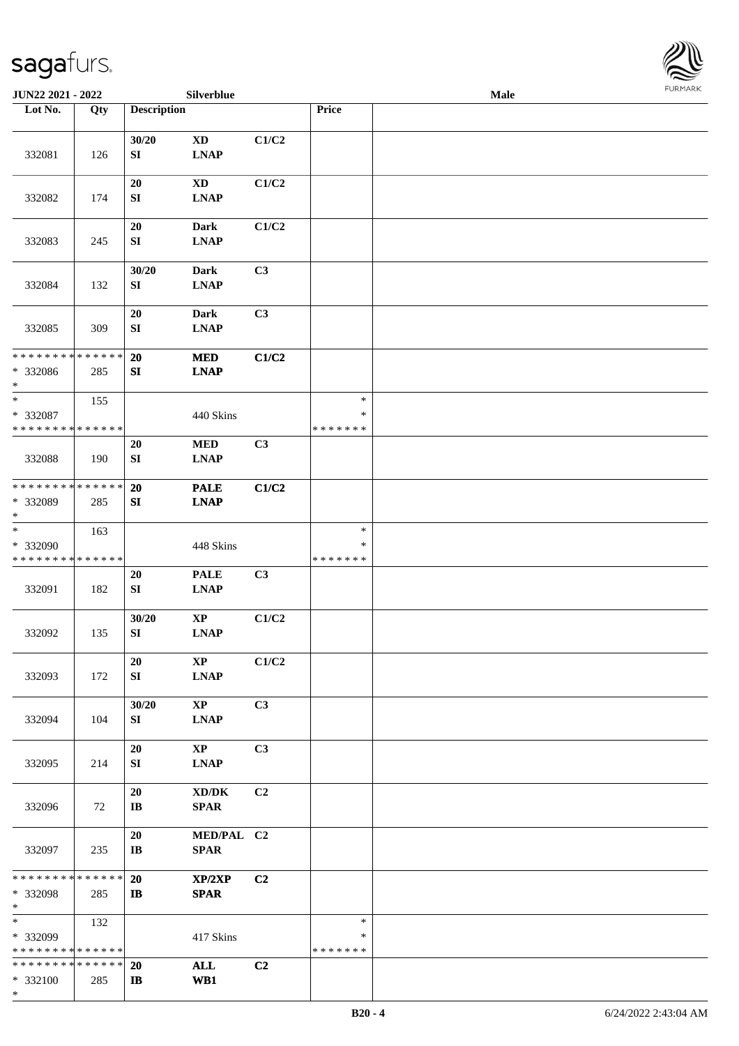

| <b>JUN22 2021 - 2022</b>                          |     |                              | Silverblue                            |                |                              | Male |  |
|---------------------------------------------------|-----|------------------------------|---------------------------------------|----------------|------------------------------|------|--|
| Lot No.                                           | Qty | <b>Description</b>           |                                       |                | Price                        |      |  |
| 332081                                            | 126 | 30/20<br>SI                  | <b>XD</b><br><b>LNAP</b>              | C1/C2          |                              |      |  |
|                                                   |     | 20                           | <b>XD</b>                             | C1/C2          |                              |      |  |
| 332082                                            | 174 | ${\bf SI}$<br>$20\,$         | <b>LNAP</b><br><b>Dark</b>            | C1/C2          |                              |      |  |
| 332083                                            | 245 | ${\bf SI}$<br>30/20          | <b>LNAP</b><br><b>Dark</b>            | C3             |                              |      |  |
| 332084                                            | 132 | ${\bf SI}$                   | <b>LNAP</b>                           |                |                              |      |  |
| 332085                                            | 309 | 20<br>SI                     | Dark<br><b>LNAP</b>                   | C3             |                              |      |  |
| * * * * * * * * * * * * * *<br>* 332086<br>$*$    | 285 | 20<br>${\bf S}{\bf I}$       | <b>MED</b><br><b>LNAP</b>             | C1/C2          |                              |      |  |
| $\ast$<br>* 332087<br>* * * * * * * * * * * * * * | 155 |                              | 440 Skins                             |                | $\ast$<br>∗<br>* * * * * * * |      |  |
| 332088                                            | 190 | 20<br>SI                     | $\bf MED$<br><b>LNAP</b>              | C3             |                              |      |  |
| * * * * * * * * * * * * * *<br>* 332089<br>$*$    | 285 | 20<br>SI                     | <b>PALE</b><br><b>LNAP</b>            | C1/C2          |                              |      |  |
| $\ast$<br>* 332090<br>* * * * * * * * * * * * * * | 163 |                              | 448 Skins                             |                | $\ast$<br>∗<br>* * * * * * * |      |  |
| 332091                                            | 182 | 20<br>${\bf S}{\bf I}$       | <b>PALE</b><br><b>LNAP</b>            | C3             |                              |      |  |
| 332092                                            | 135 | 30/20<br>${\bf SI}$          | $\bold{XP}$<br><b>LNAP</b>            | C1/C2          |                              |      |  |
| 332093                                            | 172 | 20<br>SI                     | $\mathbf{X}\mathbf{P}$<br><b>LNAP</b> | C1/C2          |                              |      |  |
| 332094                                            | 104 | 30/20<br>SI                  | $\mathbf{X}\mathbf{P}$<br><b>LNAP</b> | C3             |                              |      |  |
| 332095                                            | 214 | 20<br>SI                     | $\mathbf{X}\mathbf{P}$<br><b>LNAP</b> | C <sub>3</sub> |                              |      |  |
| 332096                                            | 72  | 20<br>$\mathbf{I}\mathbf{B}$ | XD/DK<br><b>SPAR</b>                  | C <sub>2</sub> |                              |      |  |
| 332097                                            | 235 | 20<br>$\mathbf{I}\mathbf{B}$ | MED/PAL C2<br><b>SPAR</b>             |                |                              |      |  |
| * * * * * * * * * * * * * *<br>* 332098<br>$*$    | 285 | 20<br>$\mathbf{I}$           | XP/2XP<br><b>SPAR</b>                 | C2             |                              |      |  |
| $*$<br>* 332099<br>* * * * * * * * * * * * * *    | 132 |                              | 417 Skins                             |                | $\ast$<br>∗<br>* * * * * * * |      |  |
| * * * * * * * * * * * * * *<br>* 332100<br>$\ast$ | 285 | <b>20</b><br>$\mathbf{I}$    | <b>ALL</b><br>WB1                     | C2             |                              |      |  |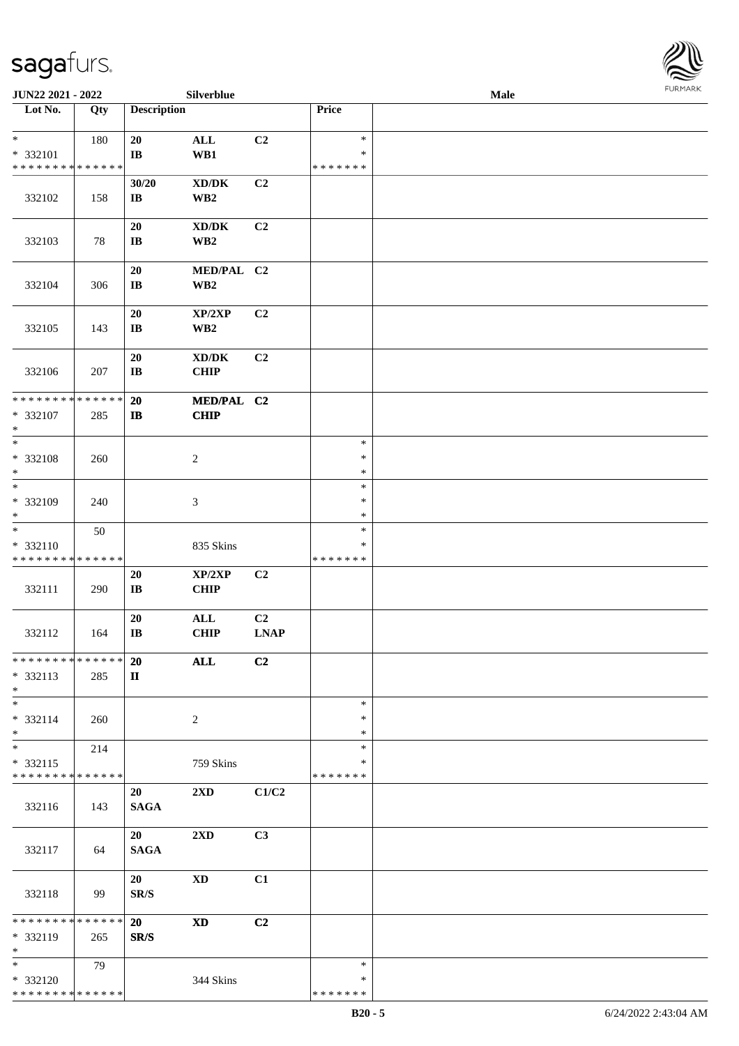

| JUN22 2021 - 2022                                                   |     |                                  | Silverblue                                             |                               |                                   | Male |  |
|---------------------------------------------------------------------|-----|----------------------------------|--------------------------------------------------------|-------------------------------|-----------------------------------|------|--|
| Lot No.                                                             | Qty | <b>Description</b>               |                                                        |                               | Price                             |      |  |
| $\ast$<br>* 332101                                                  | 180 | 20<br>IB                         | $\mathbf{ALL}$<br>WB1                                  | C2                            | $\ast$<br>$\ast$                  |      |  |
| * * * * * * * * <mark>* * * * * * *</mark><br>332102                | 158 | 30/20<br>$\mathbf{I}\mathbf{B}$  | $\bold{X}\bold{D}/\bold{D}\bold{K}$<br>WB2             | C2                            | * * * * * * *                     |      |  |
| 332103                                                              | 78  | 20<br>$\mathbf{I}\mathbf{B}$     | $\bold{X}\bold{D}/\bold{D}\bold{K}$<br>WB <sub>2</sub> | C <sub>2</sub>                |                                   |      |  |
| 332104                                                              | 306 | 20<br>$\mathbf{I}\mathbf{B}$     | MED/PAL C2<br>WB <sub>2</sub>                          |                               |                                   |      |  |
| 332105                                                              | 143 | 20<br>$\mathbf{I}\mathbf{B}$     | XP/2XP<br>WB <sub>2</sub>                              | C2                            |                                   |      |  |
| 332106                                                              | 207 | 20<br>$\mathbf{I}\mathbf{B}$     | $\bold{X}\bold{D}/\bold{D}\bold{K}$<br><b>CHIP</b>     | C <sub>2</sub>                |                                   |      |  |
| **************<br>* 332107<br>$\ast$                                | 285 | <b>20</b><br>$\mathbf{I}$        | MED/PAL C2<br><b>CHIP</b>                              |                               |                                   |      |  |
| $\ast$<br>* 332108<br>$\ast$                                        | 260 |                                  | $\sqrt{2}$                                             |                               | $\ast$<br>$\ast$<br>$\ast$        |      |  |
| $_{\ast}$<br>* 332109<br>$\ast$                                     | 240 |                                  | 3                                                      |                               | $\ast$<br>$\ast$<br>$\ast$        |      |  |
| $_{\ast}$<br>* 332110<br>* * * * * * * * * * * * * *                | 50  |                                  | 835 Skins                                              |                               | $\ast$<br>∗<br>* * * * * * *      |      |  |
| 332111                                                              | 290 | $20\,$<br>$\mathbf{I}\mathbf{B}$ | XP/2XP<br><b>CHIP</b>                                  | C2                            |                                   |      |  |
| 332112                                                              | 164 | 20<br>$\mathbf{IB}$              | $\mathbf{ALL}$<br>CHIP                                 | C <sub>2</sub><br><b>LNAP</b> |                                   |      |  |
| * * * * * * * * * * * * * *<br>* 332113<br>$*$                      | 285 | <b>20</b><br>П                   | $\mathbf{ALL}$                                         | C2                            |                                   |      |  |
| $\ast$<br>$* 332114$<br>$*$                                         | 260 |                                  | $\overline{2}$                                         |                               | $\ast$<br>$\ast$<br>$\ast$        |      |  |
| $\overline{\phantom{0}}$<br>* 332115<br>* * * * * * * * * * * * * * | 214 |                                  | 759 Skins                                              |                               | $\ast$<br>∗<br>* * * * * * *      |      |  |
| 332116                                                              | 143 | 20<br><b>SAGA</b>                | 2XD                                                    | C1/C2                         |                                   |      |  |
| 332117                                                              | 64  | 20<br><b>SAGA</b>                | 2XD                                                    | C3                            |                                   |      |  |
| 332118                                                              | 99  | 20<br>SR/S                       | <b>XD</b>                                              | C1                            |                                   |      |  |
| ******** <mark>******</mark><br>* 332119<br>$*$                     | 265 | 20<br>SR/S                       | $\mathbf{X}\mathbf{D}$                                 | C2                            |                                   |      |  |
| $*$<br>* 332120<br>* * * * * * * * * * * * * *                      | 79  |                                  | 344 Skins                                              |                               | $\ast$<br>$\ast$<br>* * * * * * * |      |  |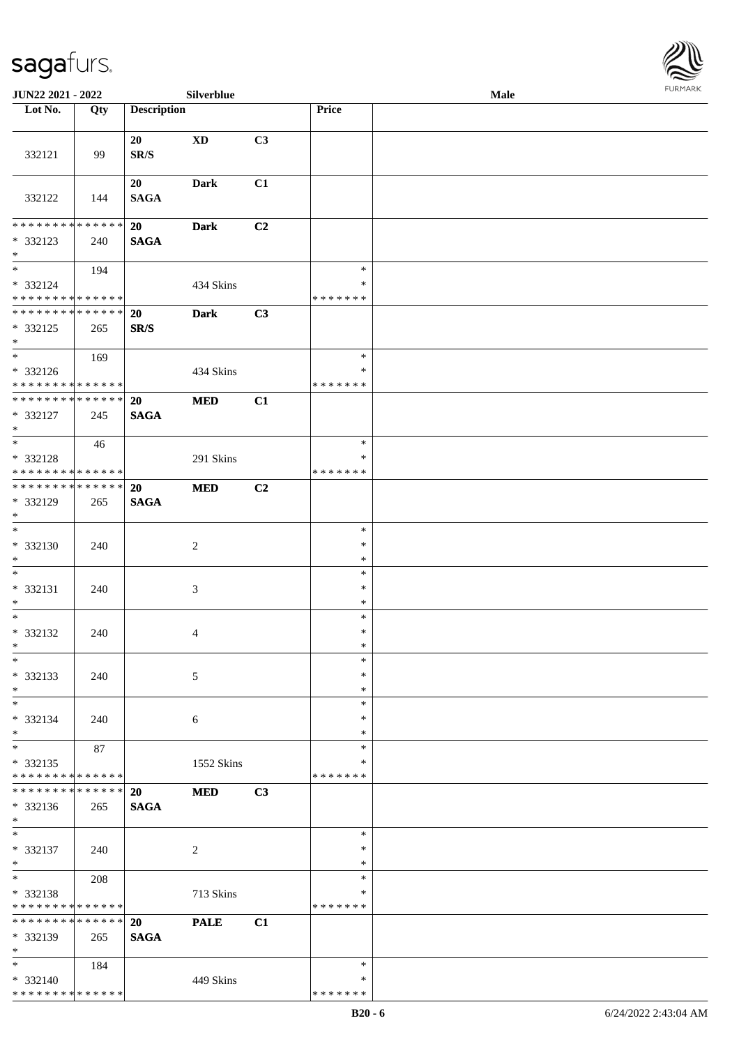

| JUN22 2021 - 2022                                                   |     |                       | Silverblue             |    |                                   | Male |  |
|---------------------------------------------------------------------|-----|-----------------------|------------------------|----|-----------------------------------|------|--|
| Lot No.                                                             | Qty | <b>Description</b>    |                        |    | Price                             |      |  |
| 332121                                                              | 99  | 20<br>SR/S            | $\mathbf{X}\mathbf{D}$ | C3 |                                   |      |  |
| 332122                                                              | 144 | 20<br><b>SAGA</b>     | <b>Dark</b>            | C1 |                                   |      |  |
| * * * * * * * * * * * * * *                                         |     | 20                    | <b>Dark</b>            | C2 |                                   |      |  |
| * 332123<br>$*$                                                     | 240 | <b>SAGA</b>           |                        |    |                                   |      |  |
| $\overline{\phantom{0}}$<br>* 332124<br>* * * * * * * * * * * * * * | 194 |                       | 434 Skins              |    | $\ast$<br>$\ast$<br>* * * * * * * |      |  |
| ******** <mark>******</mark>                                        |     | 20                    | <b>Dark</b>            | C3 |                                   |      |  |
| * 332125<br>$*$<br>$\overline{\ast}$                                | 265 | SR/S                  |                        |    |                                   |      |  |
|                                                                     | 169 |                       |                        |    | $\ast$                            |      |  |
| * 332126<br>* * * * * * * * * * * * * *                             |     |                       | 434 Skins              |    | $\ast$<br>* * * * * * *           |      |  |
| **************                                                      |     | 20                    | <b>MED</b>             | C1 |                                   |      |  |
| * 332127<br>$\ast$                                                  | 245 | <b>SAGA</b>           |                        |    |                                   |      |  |
| $\overline{\ast}$                                                   | 46  |                       |                        |    | $\ast$                            |      |  |
| * 332128<br>* * * * * * * * * * * * * *                             |     |                       | 291 Skins              |    | ∗<br>* * * * * * *                |      |  |
| **************<br>* 332129<br>$*$                                   | 265 | 20<br><b>SAGA</b>     | <b>MED</b>             | C2 |                                   |      |  |
| $\overline{\phantom{0}}$<br>* 332130<br>$*$                         | 240 |                       | $\sqrt{2}$             |    | $\ast$<br>$\ast$<br>$\ast$        |      |  |
| $\ast$<br>* 332131<br>$*$                                           | 240 |                       | $\mathfrak{Z}$         |    | $\ast$<br>$\ast$<br>$\ast$        |      |  |
| $\ast$<br>* 332132<br>$*$                                           | 240 |                       | $\overline{4}$         |    | $\ast$<br>$\ast$<br>$\ast$        |      |  |
| $\ast$<br>* 332133<br>$\ast$                                        | 240 |                       | 5                      |    | $\ast$<br>$\ast$<br>$\ast$        |      |  |
| $\ast$<br>* 332134<br>$\ast$                                        | 240 |                       | 6                      |    | $\ast$<br>∗<br>∗                  |      |  |
| $\frac{1}{\ast}$<br>* 332135<br>* * * * * * * * * * * * * *         | 87  |                       | 1552 Skins             |    | $\ast$<br>∗<br>* * * * * * *      |      |  |
| * * * * * * * * * * * * * *<br>* 332136<br>$*$                      | 265 | 20<br>$\mathbf{SAGA}$ | <b>MED</b>             | C3 |                                   |      |  |
| $\ast$<br>$* 332137$<br>$*$                                         | 240 |                       | $\overline{c}$         |    | $\ast$<br>$\ast$<br>$\ast$        |      |  |
| $\ast$<br>* 332138<br>* * * * * * * * * * * * * *                   | 208 |                       | 713 Skins              |    | $\ast$<br>$\ast$<br>* * * * * * * |      |  |
| * * * * * * * * * * * * * *<br>* 332139<br>$\ast$                   | 265 | 20<br><b>SAGA</b>     | <b>PALE</b>            | C1 |                                   |      |  |
| $*$<br>* 332140<br>* * * * * * * * * * * * * *                      | 184 |                       | 449 Skins              |    | $\ast$<br>∗<br>* * * * * * *      |      |  |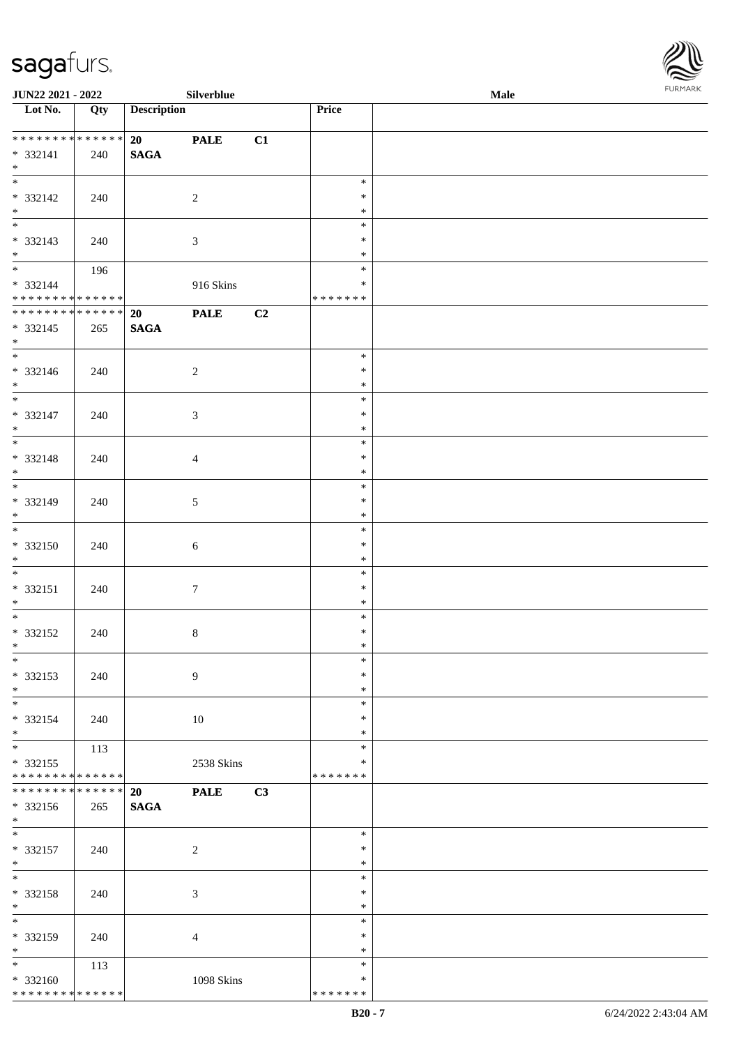

| JUN22 2021 - 2022                        |     |                    | Silverblue       |    |                         | Male |  |
|------------------------------------------|-----|--------------------|------------------|----|-------------------------|------|--|
| $\overline{\phantom{1}}$ Lot No.         | Qty | <b>Description</b> |                  |    | Price                   |      |  |
|                                          |     |                    |                  |    |                         |      |  |
| **************                           |     | 20                 | <b>PALE</b>      | C1 |                         |      |  |
| $* 332141$<br>$*$                        | 240 | $\mathbf{SAGA}$    |                  |    |                         |      |  |
|                                          |     |                    |                  |    | $\ast$                  |      |  |
| * 332142                                 | 240 |                    | $\overline{c}$   |    | $\ast$                  |      |  |
|                                          |     |                    |                  |    | $\ast$                  |      |  |
| $*$ $*$                                  |     |                    |                  |    | $\ast$                  |      |  |
| * 332143                                 | 240 |                    | $\mathfrak{Z}$   |    | $\ast$                  |      |  |
| $\ast$                                   |     |                    |                  |    | $\ast$                  |      |  |
|                                          | 196 |                    |                  |    | $\ast$                  |      |  |
| * 332144                                 |     |                    | 916 Skins        |    | $\ast$                  |      |  |
| ******** <mark>******</mark>             |     |                    |                  |    | * * * * * * *           |      |  |
| **************                           |     | 20                 | <b>PALE</b>      | C2 |                         |      |  |
| $* 332145$<br>$*$                        | 265 | <b>SAGA</b>        |                  |    |                         |      |  |
| $\overline{\phantom{0}}$                 |     |                    |                  |    | $\ast$                  |      |  |
| $* 332146$                               | 240 |                    | $\overline{c}$   |    | $\ast$                  |      |  |
| $\ast$                                   |     |                    |                  |    | $\ast$                  |      |  |
| $\overline{\phantom{a}^*}$               |     |                    |                  |    | $\ast$                  |      |  |
| $* 332147$                               | 240 |                    | $\mathfrak{Z}$   |    | $\ast$                  |      |  |
| $\ast$<br>$\overline{\phantom{0}}$       |     |                    |                  |    | $\ast$                  |      |  |
|                                          |     |                    |                  |    | $\ast$                  |      |  |
| * 332148                                 | 240 |                    | $\overline{4}$   |    | $\ast$                  |      |  |
| $\ast$<br>$\overline{\phantom{0}}$       |     |                    |                  |    | $\ast$<br>$\ast$        |      |  |
| * 332149                                 | 240 |                    | $\sqrt{5}$       |    | $\ast$                  |      |  |
| $*$                                      |     |                    |                  |    | $\ast$                  |      |  |
| $\overline{\phantom{0}}$                 |     |                    |                  |    | $\ast$                  |      |  |
| $* 332150$                               | 240 |                    | $\sqrt{6}$       |    | $\ast$                  |      |  |
| $*$                                      |     |                    |                  |    | $\ast$                  |      |  |
| $*$                                      |     |                    |                  |    | $\ast$                  |      |  |
| $* 332151$                               | 240 |                    | $\boldsymbol{7}$ |    | $\ast$                  |      |  |
| $*$<br>$\overline{\ast}$                 |     |                    |                  |    | $\ast$<br>$\ast$        |      |  |
| $* 332152$                               | 240 |                    | $\,8\,$          |    | $\ast$                  |      |  |
| $*$                                      |     |                    |                  |    | $\ast$                  |      |  |
| $*$                                      |     |                    |                  |    | $\ast$                  |      |  |
| * 332153                                 | 240 |                    | 9                |    | $\ast$                  |      |  |
| $*$                                      |     |                    |                  |    | $\ast$                  |      |  |
| $\overline{\phantom{a}^*}$               |     |                    |                  |    | $\ast$                  |      |  |
| * 332154                                 | 240 |                    | 10               |    | *                       |      |  |
| $*$<br>$\overline{\phantom{0}}$          | 113 |                    |                  |    | *<br>$\ast$             |      |  |
| * 332155                                 |     |                    | 2538 Skins       |    | $\ast$                  |      |  |
| * * * * * * * * * * * * * *              |     |                    |                  |    | * * * * * * *           |      |  |
| **************                           |     | 20                 | <b>PALE</b>      | C3 |                         |      |  |
| * 332156                                 | 265 | $\mathbf{SAGA}$    |                  |    |                         |      |  |
| $*$                                      |     |                    |                  |    |                         |      |  |
| $\ast$                                   |     |                    |                  |    | $\ast$                  |      |  |
| $* 332157$<br>$*$                        | 240 |                    | $\sqrt{2}$       |    | $\ast$<br>$\ast$        |      |  |
| $_{\ast}^{-}$                            |     |                    |                  |    | $\ast$                  |      |  |
| * 332158                                 | 240 |                    | 3                |    | $\ast$                  |      |  |
| $\ast$                                   |     |                    |                  |    | $\ast$                  |      |  |
| $\overline{\phantom{a}^*}$               |     |                    |                  |    | $\ast$                  |      |  |
| * 332159                                 | 240 |                    | $\overline{4}$   |    | ∗                       |      |  |
| $\ast$                                   |     |                    |                  |    | $\ast$                  |      |  |
| $*$                                      | 113 |                    |                  |    | $\ast$                  |      |  |
| * 332160<br>******** <mark>******</mark> |     |                    | 1098 Skins       |    | $\ast$<br>* * * * * * * |      |  |
|                                          |     |                    |                  |    |                         |      |  |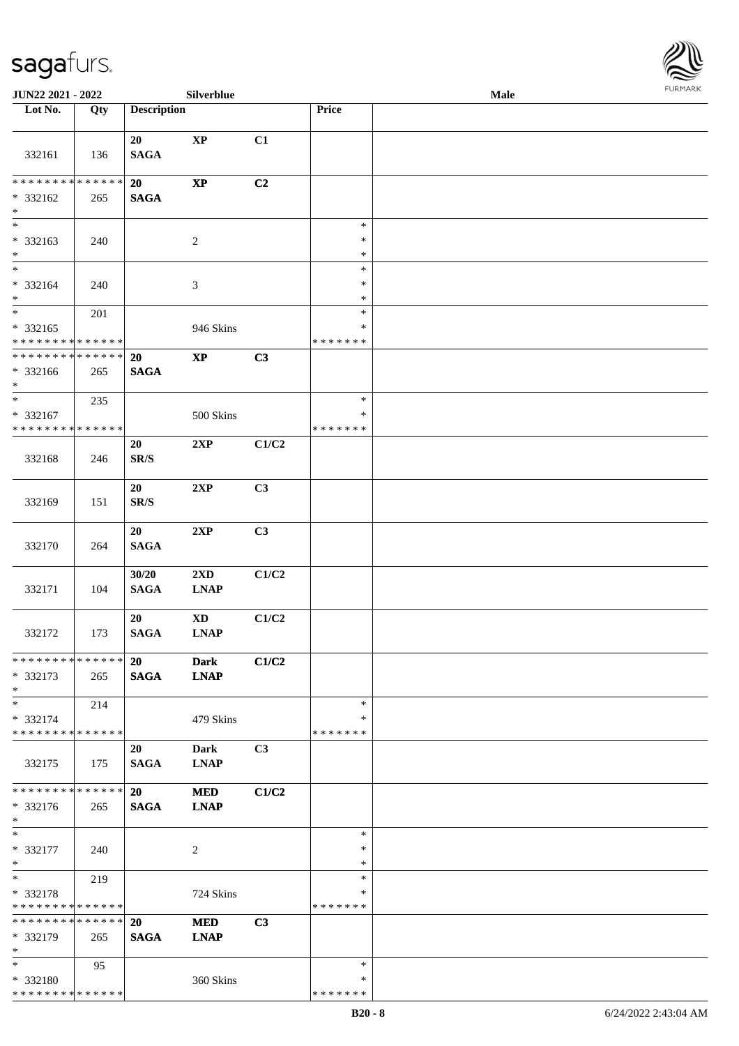

| <b>JUN22 2021 - 2022</b>                                                    |     |                                | Silverblue                             |                |                                   | <b>Male</b> |  |
|-----------------------------------------------------------------------------|-----|--------------------------------|----------------------------------------|----------------|-----------------------------------|-------------|--|
| Lot No.                                                                     | Qty | <b>Description</b>             |                                        |                | Price                             |             |  |
|                                                                             |     |                                |                                        |                |                                   |             |  |
| 332161                                                                      | 136 | 20<br><b>SAGA</b>              | $\bold{XP}$                            | C1             |                                   |             |  |
| * * * * * * * * <mark>* * * * * *</mark><br>* 332162<br>$\ast$              | 265 | 20<br><b>SAGA</b>              | $\bold{XP}$                            | C2             |                                   |             |  |
| * 332163<br>$\ast$                                                          | 240 |                                | $\overline{c}$                         |                | $\ast$<br>$\ast$<br>$\ast$        |             |  |
| $*$<br>* 332164<br>$*$                                                      | 240 |                                | $\mathfrak{Z}$                         |                | $\ast$<br>$\ast$<br>$\ast$        |             |  |
| $\overline{\ast}$<br>* 332165<br>* * * * * * * * <mark>* * * * * *</mark>   | 201 |                                | 946 Skins                              |                | $\ast$<br>$\ast$<br>*******       |             |  |
| * * * * * * * * <mark>* * * * * *</mark><br>* 332166<br>$\ast$              | 265 | <b>20</b><br><b>SAGA</b>       | $\bold{XP}$                            | C3             |                                   |             |  |
| $\overline{\ast}$<br>* 332167<br>* * * * * * * * <mark>* * * * * *</mark> * | 235 |                                | 500 Skins                              |                | $\ast$<br>$\ast$<br>* * * * * * * |             |  |
| 332168                                                                      | 246 | 20<br>$\mathbf{SR}/\mathbf{S}$ | 2XP                                    | C1/C2          |                                   |             |  |
| 332169                                                                      | 151 | 20<br>$\mathbf{SR}/\mathbf{S}$ | 2XP                                    | C3             |                                   |             |  |
| 332170                                                                      | 264 | 20<br><b>SAGA</b>              | 2XP                                    | C3             |                                   |             |  |
| 332171                                                                      | 104 | 30/20<br><b>SAGA</b>           | $2\mathbf{X}\mathbf{D}$<br><b>LNAP</b> | C1/C2          |                                   |             |  |
| 332172                                                                      | 173 | 20<br><b>SAGA</b>              | $\mathbf{X}\mathbf{D}$<br><b>LNAP</b>  | C1/C2          |                                   |             |  |
| * * * * * * * * * * * * * * *<br>* 332173<br>$*$                            | 265 | 20<br><b>SAGA</b>              | <b>Dark</b><br><b>LNAP</b>             | C1/C2          |                                   |             |  |
| $*$ $-$<br>* 332174<br>* * * * * * * * <mark>* * * * * * *</mark>           | 214 |                                | 479 Skins                              |                | $\ast$<br>∗<br>*******            |             |  |
| 332175                                                                      | 175 | 20<br><b>SAGA</b>              | <b>Dark</b><br><b>LNAP</b>             | C <sub>3</sub> |                                   |             |  |
| * * * * * * * * <mark>* * * * * * *</mark><br>* 332176<br>$*$               | 265 | 20<br><b>SAGA</b>              | <b>MED</b><br><b>LNAP</b>              | C1/C2          |                                   |             |  |
| $*$<br>* 332177<br>$*$                                                      | 240 |                                | 2                                      |                | $\ast$<br>$\ast$<br>$\ast$        |             |  |
| $*$<br>* 332178<br>* * * * * * * * <mark>* * * * * *</mark>                 | 219 |                                | 724 Skins                              |                | $\ast$<br>$\ast$<br>* * * * * * * |             |  |
| * * * * * * * * * * * * * * *<br>* 332179<br>$\ast$                         | 265 | <b>20</b><br><b>SAGA</b>       | <b>MED</b><br><b>LNAP</b>              | C3             |                                   |             |  |
| $*$<br>* 332180<br>* * * * * * * * * * * * * *                              | 95  |                                | 360 Skins                              |                | $\ast$<br>∗<br>* * * * * * *      |             |  |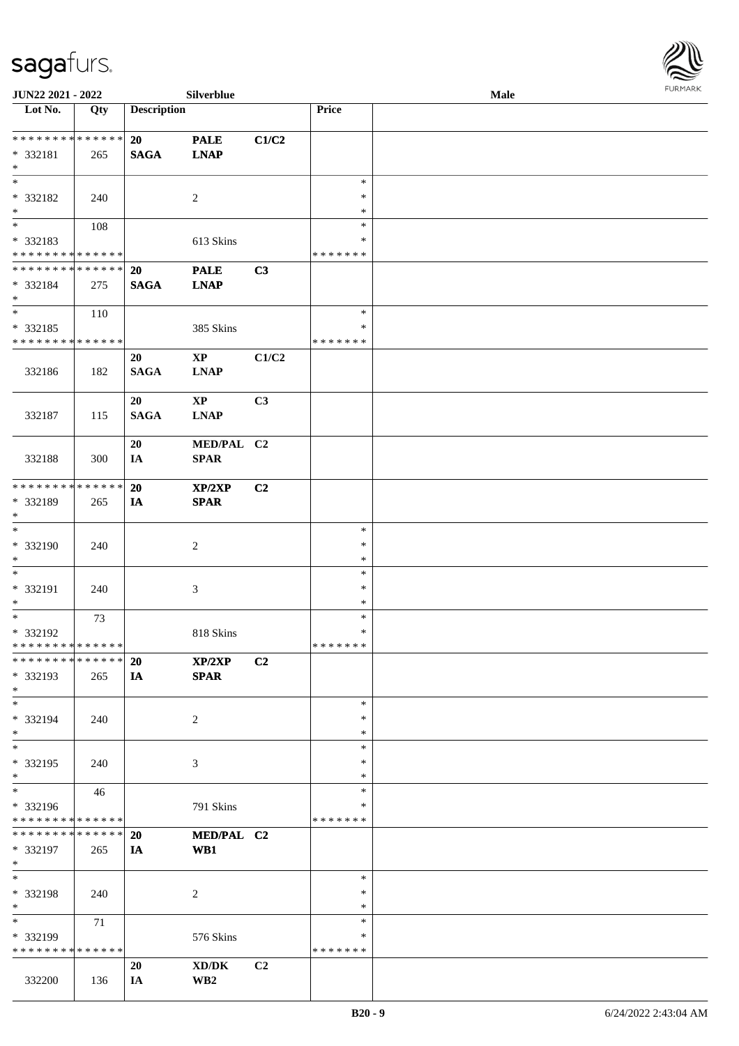

| JUN22 2021 - 2022               |             |                    | <b>Silverblue</b>      |       |               | <b>Male</b> |  |
|---------------------------------|-------------|--------------------|------------------------|-------|---------------|-------------|--|
| Lot No.                         | Qty         | <b>Description</b> |                        |       | Price         |             |  |
|                                 |             |                    |                        |       |               |             |  |
| ******** <mark>******</mark>    |             | 20                 | <b>PALE</b>            | C1/C2 |               |             |  |
| * 332181                        | 265         | <b>SAGA</b>        | <b>LNAP</b>            |       |               |             |  |
| $\ast$                          |             |                    |                        |       |               |             |  |
| $\ast$                          |             |                    |                        |       | $\ast$        |             |  |
|                                 |             |                    |                        |       |               |             |  |
| * 332182                        | 240         |                    | $\sqrt{2}$             |       | $\ast$        |             |  |
| $\ast$                          |             |                    |                        |       | $\ast$        |             |  |
| $\overline{\phantom{1}}$        | 108         |                    |                        |       | $\ast$        |             |  |
| * 332183                        |             |                    | 613 Skins              |       | $\ast$        |             |  |
| * * * * * * * * * * * * * *     |             |                    |                        |       | * * * * * * * |             |  |
| * * * * * * * * * * * * * *     |             | 20                 | <b>PALE</b>            | C3    |               |             |  |
| * 332184                        | 275         | $\mathbf{SAGA}$    | <b>LNAP</b>            |       |               |             |  |
| $\ast$                          |             |                    |                        |       |               |             |  |
| $\ast$                          |             |                    |                        |       | $\ast$        |             |  |
|                                 | 110         |                    |                        |       |               |             |  |
| $* 332185$                      |             |                    | 385 Skins              |       | $\ast$        |             |  |
| * * * * * * * * * * * * * *     |             |                    |                        |       | * * * * * * * |             |  |
|                                 |             | 20                 | $\mathbf{XP}$          | C1/C2 |               |             |  |
| 332186                          | 182         | <b>SAGA</b>        | <b>LNAP</b>            |       |               |             |  |
|                                 |             |                    |                        |       |               |             |  |
|                                 |             | 20                 | $\mathbf{X}\mathbf{P}$ | C3    |               |             |  |
| 332187                          | 115         | <b>SAGA</b>        | <b>LNAP</b>            |       |               |             |  |
|                                 |             |                    |                        |       |               |             |  |
|                                 |             | 20                 | MED/PAL C2             |       |               |             |  |
|                                 |             |                    |                        |       |               |             |  |
| 332188                          | 300         | IA                 | <b>SPAR</b>            |       |               |             |  |
|                                 |             |                    |                        |       |               |             |  |
| * * * * * * * *                 | * * * * * * | 20                 | XP/2XP                 | C2    |               |             |  |
| * 332189                        | 265         | IA                 | SPAR                   |       |               |             |  |
| $\ast$                          |             |                    |                        |       |               |             |  |
| $\ast$                          |             |                    |                        |       | $\ast$        |             |  |
| * 332190                        | 240         |                    | $\boldsymbol{2}$       |       | $\ast$        |             |  |
| $\ast$                          |             |                    |                        |       | $\ast$        |             |  |
| $\ast$                          |             |                    |                        |       | $\ast$        |             |  |
| * 332191                        | 240         |                    | $\mathfrak{Z}$         |       | $\ast$        |             |  |
| $\ast$                          |             |                    |                        |       | $\ast$        |             |  |
| $\ast$                          |             |                    |                        |       |               |             |  |
|                                 | 73          |                    |                        |       | $\ast$        |             |  |
| * 332192                        |             |                    | 818 Skins              |       | $\ast$        |             |  |
| **************                  |             |                    |                        |       | *******       |             |  |
| * * * * * * * * * * * * * *     |             | <b>20</b>          | XP/2XP                 | C2    |               |             |  |
| * 332193                        | 265         | IA                 | <b>SPAR</b>            |       |               |             |  |
| $*$                             |             |                    |                        |       |               |             |  |
| $\ast$                          |             |                    |                        |       | $\ast$        |             |  |
| * 332194                        | 240         |                    | $\sqrt{2}$             |       | ∗             |             |  |
| $*$                             |             |                    |                        |       | ∗             |             |  |
| $\ast$                          |             |                    |                        |       | $\ast$        |             |  |
| * 332195                        |             |                    |                        |       | $\ast$        |             |  |
|                                 | 240         |                    | 3                      |       |               |             |  |
| $*$<br>$\overline{\phantom{1}}$ |             |                    |                        |       | $\ast$        |             |  |
|                                 | 46          |                    |                        |       | $\ast$        |             |  |
| * 332196                        |             |                    | 791 Skins              |       | ∗             |             |  |
| * * * * * * * * * * * * * *     |             |                    |                        |       | * * * * * * * |             |  |
| * * * * * * * * * * * * * * *   |             | 20                 | MED/PAL C2             |       |               |             |  |
| * 332197                        | 265         | <b>IA</b>          | WB1                    |       |               |             |  |
| $*$                             |             |                    |                        |       |               |             |  |
| $\ast$                          |             |                    |                        |       | $\ast$        |             |  |
| * 332198                        | 240         |                    | $\sqrt{2}$             |       | $\ast$        |             |  |
| $*$                             |             |                    |                        |       | $\ast$        |             |  |
| $\ast$                          |             |                    |                        |       | $\ast$        |             |  |
|                                 | 71          |                    |                        |       |               |             |  |
| * 332199                        |             |                    | 576 Skins              |       | ∗             |             |  |
| * * * * * * * * * * * * * *     |             |                    |                        |       | * * * * * * * |             |  |
|                                 |             | 20                 | XD/DK                  | C2    |               |             |  |
| 332200                          | 136         | IA                 | WB2                    |       |               |             |  |
|                                 |             |                    |                        |       |               |             |  |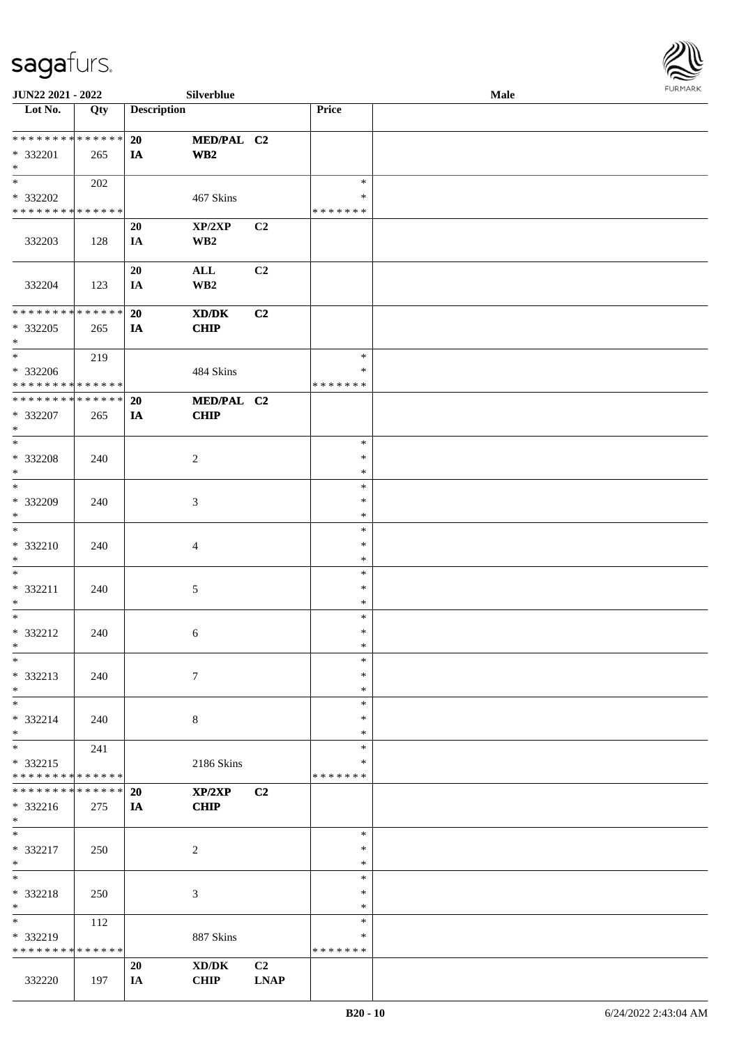

| JUN22 2021 - 2022                                                   |     |                    | Silverblue                                                                                                          |                               |                                   | Male | <b>FURMARK</b> |
|---------------------------------------------------------------------|-----|--------------------|---------------------------------------------------------------------------------------------------------------------|-------------------------------|-----------------------------------|------|----------------|
| $\overline{\phantom{1}}$ Lot No.                                    | Qty | <b>Description</b> |                                                                                                                     |                               | Price                             |      |                |
| **************<br>* 332201<br>$\ast$                                | 265 | 20<br>IA           | MED/PAL C2<br>$\mathbf{W}\mathbf{B2}$                                                                               |                               |                                   |      |                |
| $\ast$<br>* 332202<br>* * * * * * * * * * * * * *                   | 202 |                    | 467 Skins                                                                                                           |                               | $\ast$<br>$\ast$<br>* * * * * * * |      |                |
| 332203                                                              | 128 | 20<br>IA           | XP/2XP<br>WB2                                                                                                       | C2                            |                                   |      |                |
| 332204                                                              | 123 | 20<br>IA           | $\mathbf{ALL}$<br>WB2                                                                                               | C <sub>2</sub>                |                                   |      |                |
| **************<br>* 332205<br>$\ast$                                | 265 | 20<br>IA           | $\boldsymbol{\text{X}}\boldsymbol{\text{D}}\boldsymbol{/}\boldsymbol{\text{D}}\boldsymbol{\text{K}}$<br><b>CHIP</b> | C2                            |                                   |      |                |
| $\overline{\phantom{0}}$<br>* 332206<br>* * * * * * * * * * * * * * | 219 |                    | 484 Skins                                                                                                           |                               | $\ast$<br>∗<br>* * * * * * *      |      |                |
| **************<br>* 332207<br>$\ast$                                | 265 | 20<br><b>IA</b>    | MED/PAL C2<br><b>CHIP</b>                                                                                           |                               |                                   |      |                |
| $\ast$<br>* 332208<br>$\ast$<br>$\overline{\phantom{0}}$            | 240 |                    | $\overline{c}$                                                                                                      |                               | $\ast$<br>$\ast$<br>$\ast$        |      |                |
| * 332209<br>$\ast$                                                  | 240 |                    | $\mathfrak{Z}$                                                                                                      |                               | $\ast$<br>$\ast$<br>$\ast$        |      |                |
| $\ast$<br>* 332210<br>$\ast$                                        | 240 |                    | 4                                                                                                                   |                               | $\ast$<br>$\ast$<br>$\ast$        |      |                |
| $\ast$<br>* 332211<br>$\ast$                                        | 240 |                    | 5                                                                                                                   |                               | $\ast$<br>$\ast$<br>$\ast$        |      |                |
| $\ast$<br>* 332212<br>$\ast$                                        | 240 |                    | 6                                                                                                                   |                               | $\ast$<br>$\ast$<br>$\ast$        |      |                |
| $\ast$<br>* 332213<br>$\ast$                                        | 240 |                    | $\tau$                                                                                                              |                               | $\ast$<br>∗<br>$\ast$             |      |                |
| $\ast$<br>* 332214<br>$\ast$                                        | 240 |                    | 8                                                                                                                   |                               | $\ast$<br>$\ast$<br>$\ast$        |      |                |
| $_{\ast}$<br>* 332215<br>* * * * * * * * * * * * * *                | 241 |                    | 2186 Skins                                                                                                          |                               | $\ast$<br>∗<br>* * * * * * *      |      |                |
| * * * * * * * * * * * * * *<br>* 332216<br>$\ast$                   | 275 | 20<br>IA           | XP/2XP<br><b>CHIP</b>                                                                                               | C <sub>2</sub>                |                                   |      |                |
| $\ast$<br>$* 332217$<br>$\ast$                                      | 250 |                    | 2                                                                                                                   |                               | $\ast$<br>$\ast$<br>$\ast$        |      |                |
| $\ast$<br>* 332218<br>$\ast$                                        | 250 |                    | 3                                                                                                                   |                               | $\ast$<br>∗<br>$\ast$             |      |                |
| $\ast$<br>* 332219<br>* * * * * * * * * * * * * *                   | 112 |                    | 887 Skins                                                                                                           |                               | $\ast$<br>∗<br>* * * * * * *      |      |                |
| 332220                                                              | 197 | 20<br>IA           | XD/DK<br>CHIP                                                                                                       | C <sub>2</sub><br><b>LNAP</b> |                                   |      |                |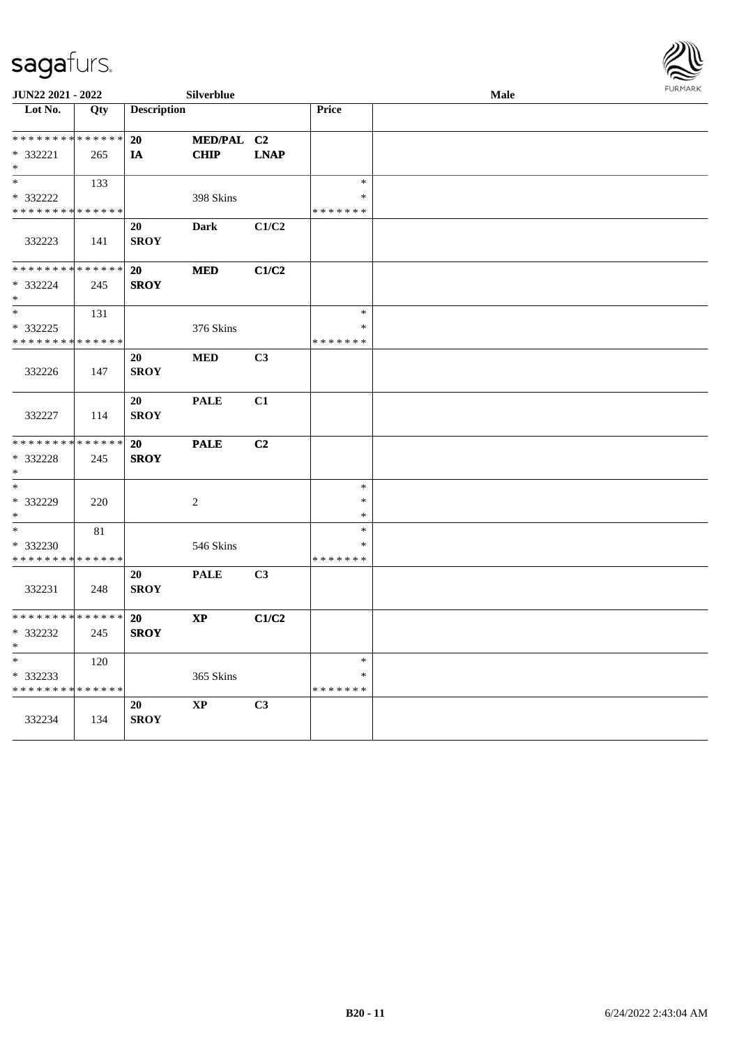| le | <b>FURMARK</b> |  |
|----|----------------|--|
|    |                |  |
|    |                |  |
|    |                |  |
|    |                |  |
|    |                |  |

| JUN22 2021 - 2022                |     |                    | Silverblue             |                |               | Male | <b>FURMARK</b> |
|----------------------------------|-----|--------------------|------------------------|----------------|---------------|------|----------------|
| $\overline{\phantom{1}}$ Lot No. | Qty | <b>Description</b> |                        |                | Price         |      |                |
|                                  |     |                    |                        |                |               |      |                |
| **************                   |     | 20                 | MED/PAL C2             |                |               |      |                |
| * 332221<br>$\ast$               | 265 | IA                 | <b>CHIP</b>            | <b>LNAP</b>    |               |      |                |
| $\ast$                           | 133 |                    |                        |                | $\ast$        |      |                |
| * 332222                         |     |                    | 398 Skins              |                | *             |      |                |
| * * * * * * * * * * * * * *      |     |                    |                        |                | * * * * * * * |      |                |
| 332223                           | 141 | 20<br><b>SROY</b>  | <b>Dark</b>            | C1/C2          |               |      |                |
| **************                   |     | <b>20</b>          | <b>MED</b>             | C1/C2          |               |      |                |
| * 332224<br>$\ast$               | 245 | <b>SROY</b>        |                        |                |               |      |                |
| $\ast$                           | 131 |                    |                        |                | $\ast$        |      |                |
| * 332225                         |     |                    | 376 Skins              |                | $\ast$        |      |                |
| * * * * * * * * * * * * * *      |     |                    |                        |                | * * * * * * * |      |                |
|                                  |     | 20                 | <b>MED</b>             | C <sub>3</sub> |               |      |                |
| 332226                           | 147 | <b>SROY</b>        |                        |                |               |      |                |
|                                  |     | 20                 | <b>PALE</b>            | C1             |               |      |                |
| 332227                           | 114 | <b>SROY</b>        |                        |                |               |      |                |
| * * * * * * * * * * * * * *      |     | <b>20</b>          | <b>PALE</b>            | C <sub>2</sub> |               |      |                |
| * 332228                         | 245 | <b>SROY</b>        |                        |                |               |      |                |
| $\ast$                           |     |                    |                        |                |               |      |                |
| $\overline{\ast}$                |     |                    |                        |                | $\ast$        |      |                |
| * 332229                         | 220 |                    | $\sqrt{2}$             |                | $\ast$        |      |                |
| $\ast$                           |     |                    |                        |                | $\ast$        |      |                |
| $\overline{\phantom{1}}$         | 81  |                    |                        |                | $\ast$        |      |                |
| * 332230                         |     |                    | 546 Skins              |                | $\ast$        |      |                |
| * * * * * * * * * * * * * *      |     |                    |                        |                | * * * * * * * |      |                |
|                                  |     | 20                 | <b>PALE</b>            | C <sub>3</sub> |               |      |                |
| 332231                           | 248 | <b>SROY</b>        |                        |                |               |      |                |
| **************                   |     |                    |                        |                |               |      |                |
| * 332232                         |     | 20<br><b>SROY</b>  | $\bold{XP}$            | C1/C2          |               |      |                |
| $\ast$                           | 245 |                    |                        |                |               |      |                |
| $\ast$                           | 120 |                    |                        |                | $\ast$        |      |                |
| * 332233                         |     |                    | 365 Skins              |                | *             |      |                |
| * * * * * * * * * * * * * *      |     |                    |                        |                | * * * * * * * |      |                |
|                                  |     | 20                 | $\mathbf{X}\mathbf{P}$ | C3             |               |      |                |
| 332234                           | 134 | <b>SROY</b>        |                        |                |               |      |                |
|                                  |     |                    |                        |                |               |      |                |
|                                  |     |                    |                        |                |               |      |                |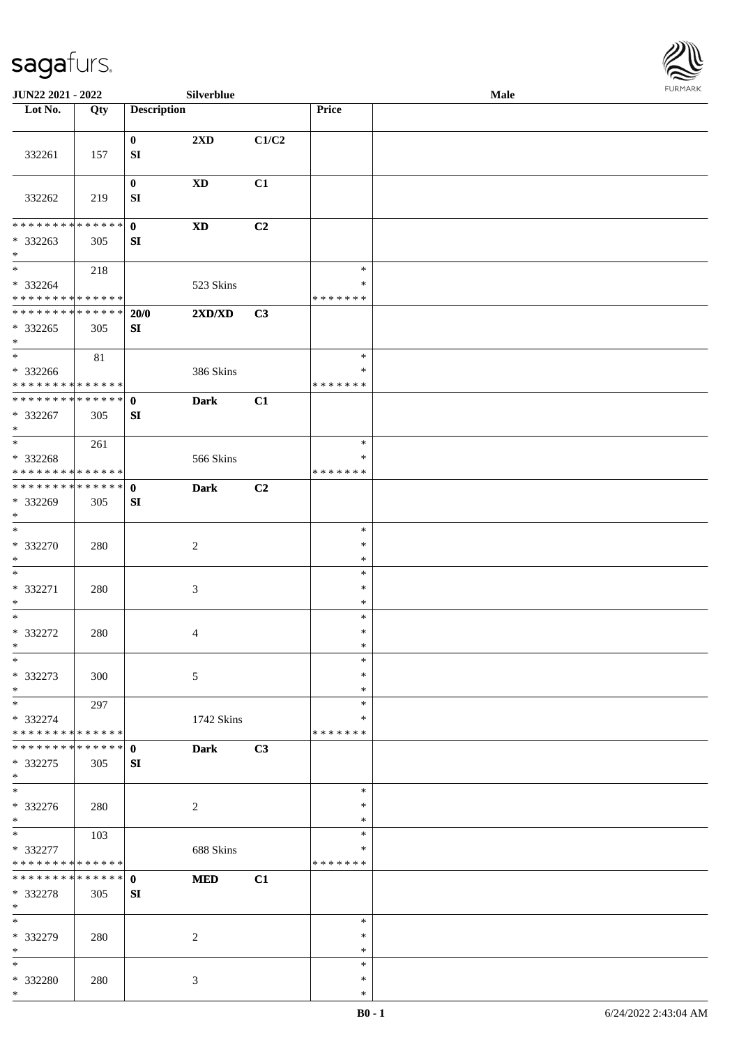

| JUN22 2021 - 2022                                    |     |                              | Silverblue             |       |                                   | Male |  |
|------------------------------------------------------|-----|------------------------------|------------------------|-------|-----------------------------------|------|--|
| Lot No.                                              | Qty | <b>Description</b>           |                        |       | Price                             |      |  |
| 332261                                               | 157 | $\bf{0}$<br>${\bf S}{\bf I}$ | 2XD                    | C1/C2 |                                   |      |  |
| 332262                                               | 219 | $\bf{0}$<br>SI               | $\mathbf{X}\mathbf{D}$ | C1    |                                   |      |  |
| * * * * * * * * * * * * * * *                        |     | $\mathbf 0$                  | $\mathbf{X}\mathbf{D}$ | C2    |                                   |      |  |
| * 332263<br>$\ast$                                   | 305 | SI                           |                        |       |                                   |      |  |
| $\ast$<br>* 332264<br>* * * * * * * * * * * * * *    | 218 |                              | 523 Skins              |       | $\ast$<br>$\ast$<br>* * * * * * * |      |  |
| * * * * * * * * * * * * * *                          |     | 20/0                         | 2XD/XD                 | C3    |                                   |      |  |
| * 332265<br>$*$                                      | 305 | ${\bf SI}$                   |                        |       |                                   |      |  |
| $\ast$<br>$* 332266$<br>******** <mark>******</mark> | 81  |                              | 386 Skins              |       | $\ast$<br>$\ast$<br>* * * * * * * |      |  |
| **************                                       |     | $\mathbf{0}$                 | <b>Dark</b>            | C1    |                                   |      |  |
| * 332267<br>$*$                                      | 305 | SI                           |                        |       |                                   |      |  |
| $*$                                                  | 261 |                              |                        |       | $\ast$                            |      |  |
| * 332268<br>* * * * * * * * * * * * * *              |     |                              | 566 Skins              |       | ∗<br>* * * * * * *                |      |  |
| **************<br>* 332269<br>$*$                    | 305 | $\mathbf 0$<br>${\bf SI}$    | <b>Dark</b>            | C2    |                                   |      |  |
| $\ast$<br>$* 332270$<br>$*$                          | 280 |                              | $\boldsymbol{2}$       |       | $\ast$<br>$\ast$<br>$\ast$        |      |  |
| $*$<br>* 332271<br>$*$                               | 280 |                              | $\mathfrak{Z}$         |       | $\ast$<br>$\ast$<br>$\ast$        |      |  |
| $*$<br>$* 332272$<br>$*$                             | 280 |                              | 4                      |       | $\ast$<br>$\ast$<br>$\ast$        |      |  |
| $\ast$<br>* 332273<br>$*$                            | 300 |                              | 5                      |       | $\ast$<br>$\ast$<br>$\ast$        |      |  |
| $*$<br>* 332274<br>* * * * * * * * * * * * * *       | 297 |                              | 1742 Skins             |       | $\ast$<br>∗<br>* * * * * * *      |      |  |
| * * * * * * * * * * * * * * *<br>* 332275<br>$*$     | 305 | $\mathbf{0}$<br>SI           | <b>Dark</b>            | C3    |                                   |      |  |
| $\overline{\phantom{0}}$<br>$* 332276$<br>$*$        | 280 |                              | $\overline{c}$         |       | $\ast$<br>∗<br>$\ast$             |      |  |
| $*$<br>* 332277<br>* * * * * * * * * * * * * *       | 103 |                              | 688 Skins              |       | $\ast$<br>$\ast$<br>* * * * * * * |      |  |
| * * * * * * * * * * * * * * *<br>* 332278<br>$*$     | 305 | $\mathbf{0}$<br>SI           | <b>MED</b>             | C1    |                                   |      |  |
| $\ast$<br>* 332279<br>$*$                            | 280 |                              | 2                      |       | $\ast$<br>∗<br>$\ast$             |      |  |
| $*$<br>* 332280<br>$*$                               | 280 |                              | 3                      |       | $\ast$<br>$\ast$<br>$\ast$        |      |  |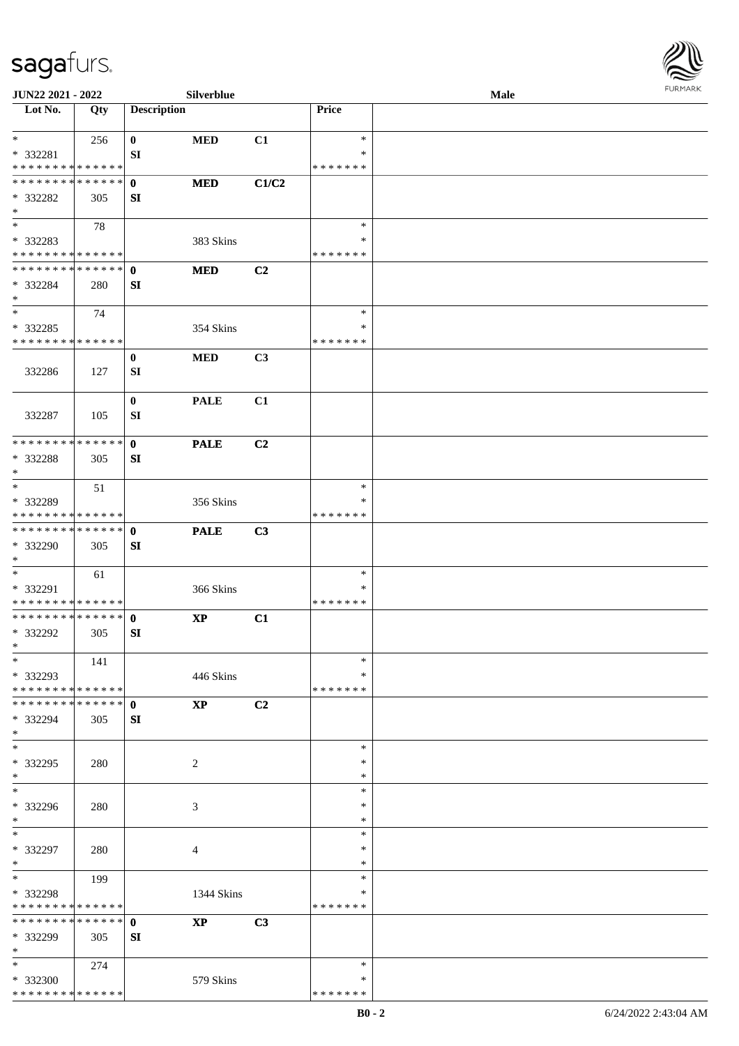

| JUN22 2021 - 2022                       |     |                    | Silverblue             |                |                  | Male | <b>FURMARK</b> |
|-----------------------------------------|-----|--------------------|------------------------|----------------|------------------|------|----------------|
| $\overline{\phantom{1}}$ Lot No.        | Qty | <b>Description</b> |                        |                | Price            |      |                |
| $*$                                     | 256 | $\bf{0}$           | <b>MED</b>             | C1             | $\ast$           |      |                |
| * 332281                                |     | SI                 |                        |                | ∗                |      |                |
| * * * * * * * * * * * * * *             |     |                    |                        |                | * * * * * * *    |      |                |
| * * * * * * * * * * * * * *             |     | $\mathbf{0}$       | <b>MED</b>             | C1/C2          |                  |      |                |
| $* 332282$<br>$\ast$                    | 305 | SI                 |                        |                |                  |      |                |
| $\ast$                                  | 78  |                    |                        |                | $\ast$           |      |                |
| * 332283                                |     |                    | 383 Skins              |                | ∗                |      |                |
| * * * * * * * * * * * * * *             |     |                    |                        |                | * * * * * * *    |      |                |
| * * * * * * * * * * * * * * *           |     | $\mathbf 0$        | <b>MED</b>             | C2             |                  |      |                |
| * 332284                                | 280 | SI                 |                        |                |                  |      |                |
| $*$                                     |     |                    |                        |                |                  |      |                |
| $\ast$                                  | 74  |                    |                        |                | $\ast$           |      |                |
| * 332285                                |     |                    | 354 Skins              |                | $\ast$           |      |                |
| * * * * * * * * * * * * * *             |     |                    |                        |                | * * * * * * *    |      |                |
| 332286                                  | 127 | $\bf{0}$<br>SI     | <b>MED</b>             | C <sub>3</sub> |                  |      |                |
|                                         |     |                    |                        |                |                  |      |                |
|                                         |     | $\bf{0}$           | <b>PALE</b>            | C1             |                  |      |                |
| 332287                                  | 105 | SI                 |                        |                |                  |      |                |
|                                         |     |                    |                        |                |                  |      |                |
| * * * * * * * * * * * * * *             |     | $\mathbf{0}$       | <b>PALE</b>            | C <sub>2</sub> |                  |      |                |
| * 332288                                | 305 | SI                 |                        |                |                  |      |                |
| $\ast$<br>$\overline{\phantom{a}^*}$    |     |                    |                        |                |                  |      |                |
|                                         | 51  |                    |                        |                | $\ast$<br>∗      |      |                |
| * 332289<br>* * * * * * * * * * * * * * |     |                    | 356 Skins              |                | * * * * * * *    |      |                |
| * * * * * * * * * * * * * *             |     | $\mathbf{0}$       | <b>PALE</b>            | C3             |                  |      |                |
| * 332290                                | 305 | SI                 |                        |                |                  |      |                |
| $\ast$                                  |     |                    |                        |                |                  |      |                |
| $*$                                     | 61  |                    |                        |                | $\ast$           |      |                |
| * 332291                                |     |                    | 366 Skins              |                | $\ast$           |      |                |
| * * * * * * * * * * * * * *             |     |                    |                        |                | * * * * * * *    |      |                |
| **************                          |     | $\mathbf{0}$       | $\bold{XP}$            | C1             |                  |      |                |
| * 332292<br>$\ast$                      | 305 | ${\bf SI}$         |                        |                |                  |      |                |
| $\ast$                                  | 141 |                    |                        |                | $\ast$           |      |                |
| * 332293                                |     |                    | 446 Skins              |                | *                |      |                |
| * * * * * * * * * * * * * *             |     |                    |                        |                | * * * * * * *    |      |                |
| * * * * * * * * * * * * * * *           |     | $\mathbf 0$        | $\mathbf{X}\mathbf{P}$ | C2             |                  |      |                |
| * 332294                                | 305 | SI                 |                        |                |                  |      |                |
| $\ast$                                  |     |                    |                        |                |                  |      |                |
| $\ast$                                  |     |                    |                        |                | $\ast$           |      |                |
| * 332295                                | 280 |                    | $\overline{c}$         |                | ∗                |      |                |
| $\ast$<br>$_{\ast}^{-}$                 |     |                    |                        |                | $\ast$<br>$\ast$ |      |                |
| * 332296                                | 280 |                    |                        |                | $\ast$           |      |                |
| $\ast$                                  |     |                    | 3                      |                | $\ast$           |      |                |
| $\ast$                                  |     |                    |                        |                | $\ast$           |      |                |
| * 332297                                | 280 |                    | 4                      |                | $\ast$           |      |                |
| $\ast$                                  |     |                    |                        |                | $\ast$           |      |                |
| $\ast$                                  | 199 |                    |                        |                | $\ast$           |      |                |
| * 332298                                |     |                    | 1344 Skins             |                | ∗                |      |                |
| * * * * * * * * * * * * * *             |     |                    |                        |                | * * * * * * *    |      |                |
| * * * * * * * * * * * * * * *           |     | $\mathbf{0}$       | <b>XP</b>              | C3             |                  |      |                |
| * 332299<br>$\ast$                      | 305 | SI                 |                        |                |                  |      |                |
| $*$                                     | 274 |                    |                        |                | $\ast$           |      |                |
| * 332300                                |     |                    | 579 Skins              |                | ∗                |      |                |
| ******** <mark>******</mark>            |     |                    |                        |                | * * * * * * *    |      |                |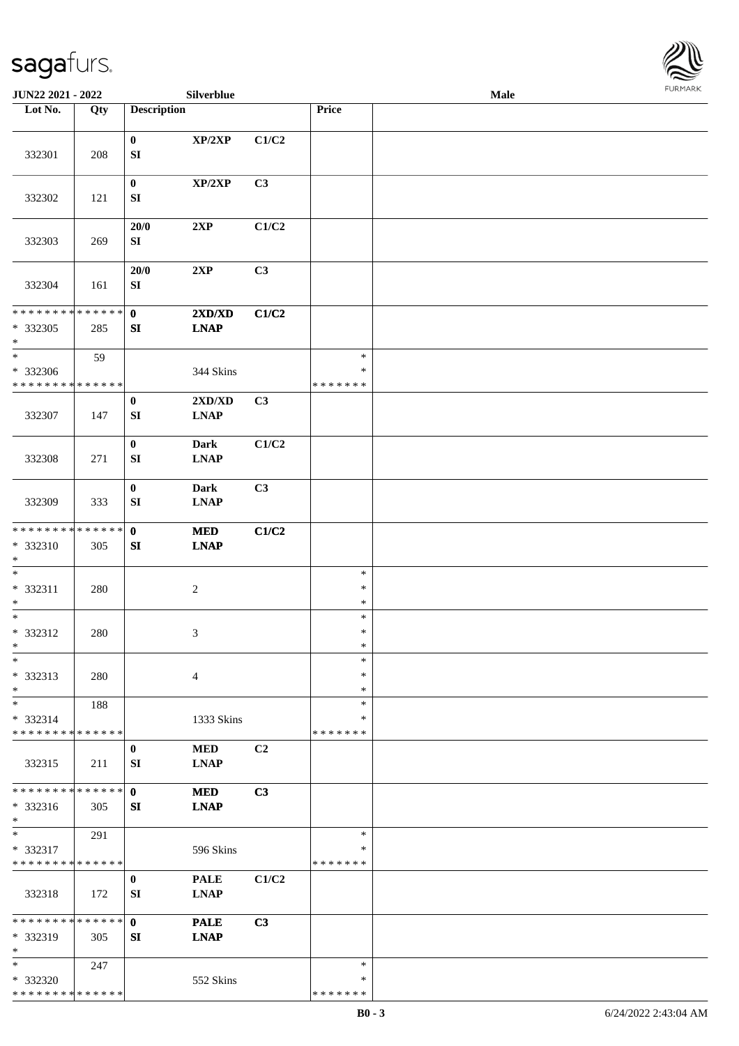

| JUN22 2021 - 2022                                 |     |                                      | Silverblue                 |       |                              | Male |  |
|---------------------------------------------------|-----|--------------------------------------|----------------------------|-------|------------------------------|------|--|
| Lot No.                                           | Qty | <b>Description</b>                   |                            |       | Price                        |      |  |
|                                                   |     |                                      |                            |       |                              |      |  |
| 332301                                            | 208 | $\bf{0}$<br>${\bf SI}$               | XP/2XP                     | C1/C2 |                              |      |  |
| 332302                                            | 121 | $\bf{0}$<br>${\bf S}{\bf I}$         | XP/2XP                     | C3    |                              |      |  |
| 332303                                            | 269 | 20/0<br>${\bf S}{\bf I}$             | 2XP                        | C1/C2 |                              |      |  |
| 332304                                            | 161 | $20/0$<br>${\bf SI}$                 | 2XP                        | C3    |                              |      |  |
| ******** <mark>******</mark>                      |     | $\mathbf{0}$                         | 2XD/XD                     | C1/C2 |                              |      |  |
| $*332305$<br>$\ast$                               | 285 | SI                                   | <b>LNAP</b>                |       |                              |      |  |
| $\ast$                                            | 59  |                                      |                            |       | $\ast$                       |      |  |
| * 332306<br>* * * * * * * * * * * * * *           |     |                                      | 344 Skins                  |       | $\ast$<br>* * * * * * *      |      |  |
| 332307                                            | 147 | $\bf{0}$<br>${\bf S}{\bf I}$         | 2XD/XD<br><b>LNAP</b>      | C3    |                              |      |  |
| 332308                                            | 271 | $\bf{0}$<br>${\bf S}{\bf I}$         | <b>Dark</b><br><b>LNAP</b> | C1/C2 |                              |      |  |
| 332309                                            | 333 | $\boldsymbol{0}$<br>${\bf S}{\bf I}$ | <b>Dark</b><br><b>LNAP</b> | C3    |                              |      |  |
| * * * * * * * * * * * * * *                       |     | $\mathbf{0}$                         | $\bf MED$                  | C1/C2 |                              |      |  |
| * 332310<br>$\ast$                                | 305 | SI                                   | <b>LNAP</b>                |       |                              |      |  |
| $\ast$<br>* 332311<br>$\ast$                      | 280 |                                      | $\sqrt{2}$                 |       | $\ast$<br>$\ast$<br>$\ast$   |      |  |
| $\ast$<br>* 332312<br>$*$                         | 280 |                                      | $\mathfrak{Z}$             |       | $\ast$<br>$\ast$<br>$\ast$   |      |  |
| $\ast$<br>* 332313<br>$\ast$                      | 280 |                                      | $\overline{4}$             |       | $\ast$<br>∗<br>$\ast$        |      |  |
| $\ast$<br>* 332314<br>* * * * * * * * * * * * * * | 188 |                                      | 1333 Skins                 |       | $\ast$<br>∗<br>* * * * * * * |      |  |
| 332315                                            | 211 | $\bf{0}$<br>SI                       | <b>MED</b><br><b>LNAP</b>  | C2    |                              |      |  |
| * * * * * * * * * * * * * *<br>* 332316<br>$*$    | 305 | $\mathbf{0}$<br>SI                   | <b>MED</b><br><b>LNAP</b>  | C3    |                              |      |  |
| $\ast$<br>* 332317<br>* * * * * * * * * * * * * * | 291 |                                      | 596 Skins                  |       | $\ast$<br>*<br>* * * * * * * |      |  |
|                                                   |     |                                      |                            |       |                              |      |  |
| 332318                                            | 172 | $\bf{0}$<br>SI                       | <b>PALE</b><br><b>LNAP</b> | C1/C2 |                              |      |  |
| * * * * * * * * * * * * * *                       |     | $\mathbf{0}$                         | <b>PALE</b>                | C3    |                              |      |  |
| * 332319<br>$\ast$                                | 305 | SI                                   | <b>LNAP</b>                |       |                              |      |  |
| $*$                                               | 247 |                                      |                            |       | $\ast$                       |      |  |
| * 332320                                          |     |                                      | 552 Skins                  |       | ∗                            |      |  |
| * * * * * * * * * * * * * *                       |     |                                      |                            |       | * * * * * * *                |      |  |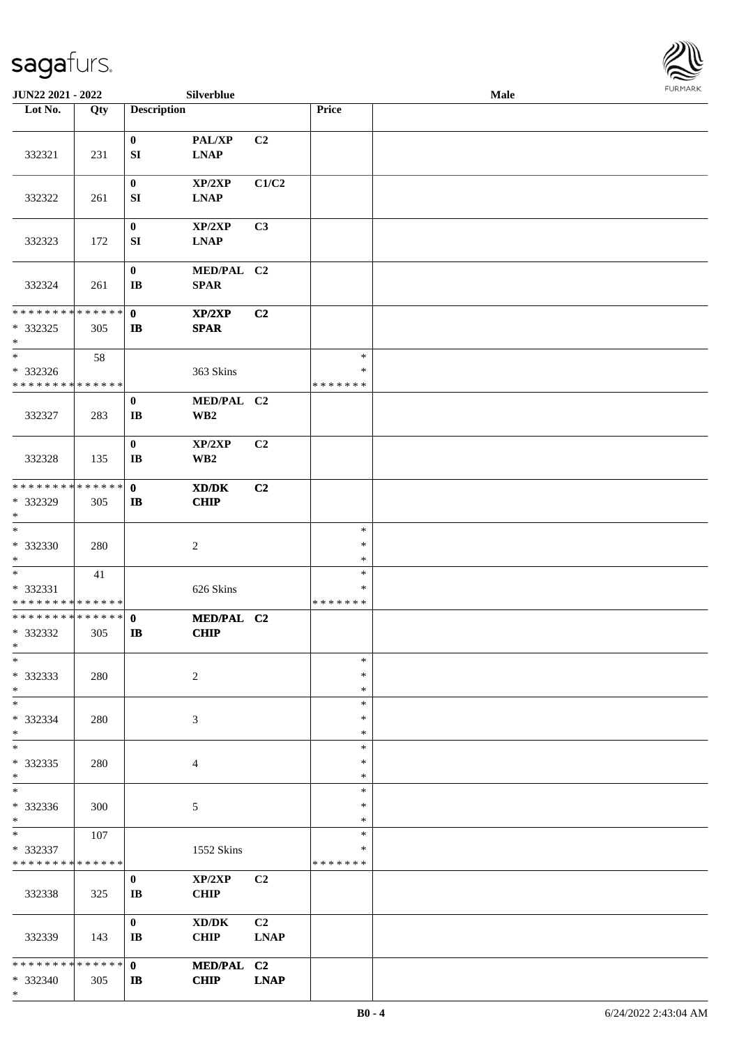

| JUN22 2021 - 2022                                                   |     |                              | Silverblue                                         |                               |                                   | <b>Male</b> |  |  |  |  |
|---------------------------------------------------------------------|-----|------------------------------|----------------------------------------------------|-------------------------------|-----------------------------------|-------------|--|--|--|--|
| Lot No.                                                             | Qty | <b>Description</b>           |                                                    |                               | Price                             |             |  |  |  |  |
| 332321                                                              | 231 | $\bf{0}$<br>SI               | PAL/XP<br><b>LNAP</b>                              | C2                            |                                   |             |  |  |  |  |
| 332322                                                              | 261 | $\pmb{0}$<br>SI              | XP/2XP<br><b>LNAP</b>                              | C1/C2                         |                                   |             |  |  |  |  |
| 332323                                                              | 172 | $\pmb{0}$<br>SI              | XP/2XP<br><b>LNAP</b>                              | C3                            |                                   |             |  |  |  |  |
| 332324                                                              | 261 | $\bf{0}$<br>IB               | MED/PAL C2<br><b>SPAR</b>                          |                               |                                   |             |  |  |  |  |
| **************<br>* 332325<br>$\ast$                                | 305 | $\mathbf{0}$<br>$\mathbf{I}$ | XP/2XP<br>SPAR                                     | C <sub>2</sub>                |                                   |             |  |  |  |  |
| $\overline{\phantom{1}}$<br>* 332326<br>* * * * * * * * * * * * * * | 58  |                              | 363 Skins                                          |                               | $\ast$<br>∗<br>* * * * * * *      |             |  |  |  |  |
| 332327                                                              | 283 | $\bf{0}$<br>IB               | MED/PAL C2<br>WB <sub>2</sub>                      |                               |                                   |             |  |  |  |  |
| 332328                                                              | 135 | $\bf{0}$<br>IB               | XP/2XP<br>WB <sub>2</sub>                          | C2                            |                                   |             |  |  |  |  |
| * * * * * * * * * * * * * *<br>* 332329<br>$\ast$                   | 305 | $\mathbf{0}$<br>$\mathbf{I}$ | XD/DK<br><b>CHIP</b>                               | C2                            |                                   |             |  |  |  |  |
| $\ast$<br>* 332330<br>$\ast$                                        | 280 |                              | $\sqrt{2}$                                         |                               | $\ast$<br>$\ast$<br>$\ast$        |             |  |  |  |  |
| $\ast$<br>* 332331<br>**************                                | 41  |                              | 626 Skins                                          |                               | $\ast$<br>$\ast$<br>* * * * * * * |             |  |  |  |  |
| **************<br>* 332332<br>$\ast$                                | 305 | $\mathbf{0}$<br>$\mathbf{I}$ | MED/PAL C2<br><b>CHIP</b>                          |                               |                                   |             |  |  |  |  |
| $\ast$<br>* 332333<br>$\ast$                                        | 280 |                              | $\overline{c}$                                     |                               | $\ast$<br>$\ast$<br>$\ast$        |             |  |  |  |  |
| $\ast$<br>* 332334<br>$\ast$                                        | 280 |                              | $\mathfrak{Z}$                                     |                               | $\ast$<br>$\ast$<br>$\ast$        |             |  |  |  |  |
| $\overline{\ast}$<br>* 332335<br>$\ast$                             | 280 |                              | $\overline{4}$                                     |                               | $\ast$<br>$\ast$<br>$\ast$        |             |  |  |  |  |
| $\overline{\phantom{a}^*}$<br>* 332336<br>$\ast$                    | 300 |                              | $\sqrt{5}$                                         |                               | $\ast$<br>$\ast$<br>$\ast$        |             |  |  |  |  |
| $\ast$<br>* 332337<br>* * * * * * * * * * * * * *                   | 107 |                              | 1552 Skins                                         |                               | $\ast$<br>*<br>* * * * * * *      |             |  |  |  |  |
| 332338                                                              | 325 | $\bf{0}$<br>IB               | XP/2XP<br><b>CHIP</b>                              | C2                            |                                   |             |  |  |  |  |
| 332339                                                              | 143 | $\bf{0}$<br>IB               | $\bold{X}\bold{D}/\bold{D}\bold{K}$<br><b>CHIP</b> | C <sub>2</sub><br><b>LNAP</b> |                                   |             |  |  |  |  |
| * * * * * * * * * * * * * *<br>* 332340<br>$\ast$                   | 305 | $\mathbf 0$<br>IB            | MED/PAL C2<br><b>CHIP</b>                          | <b>LNAP</b>                   |                                   |             |  |  |  |  |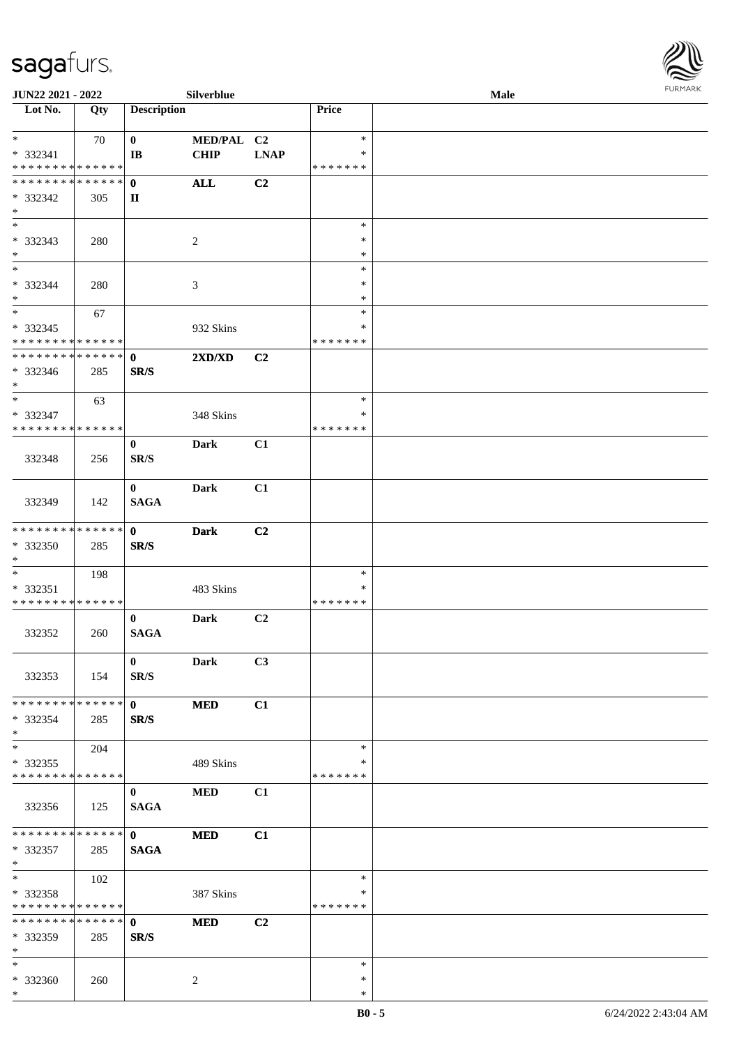

| JUN22 2021 - 2022                                  |     |                             | Silverblue                       |             |                                   | <b>Male</b> |  |
|----------------------------------------------------|-----|-----------------------------|----------------------------------|-------------|-----------------------------------|-------------|--|
| Lot No.                                            | Qty | <b>Description</b>          |                                  |             | Price                             |             |  |
| $*$<br>* 332341<br>* * * * * * * * * * * * * *     | 70  | $\bf{0}$<br>IB              | MED/PAL C2<br><b>CHIP</b>        | <b>LNAP</b> | $\ast$<br>*<br>* * * * * * *      |             |  |
| * * * * * * * * * * * * * * *<br>* 332342<br>$*$   | 305 | $\mathbf{0}$<br>П           | <b>ALL</b>                       | C2          |                                   |             |  |
| $\overline{\phantom{0}}$<br>* 332343<br>$\ast$     | 280 |                             | $\sqrt{2}$                       |             | $\ast$<br>$\ast$<br>$\ast$        |             |  |
| $*$<br>* 332344<br>$*$                             | 280 |                             | $\mathfrak{Z}$                   |             | $\ast$<br>$\ast$<br>$\ast$        |             |  |
| $\ast$<br>$*332345$<br>* * * * * * * * * * * * * * | 67  |                             | 932 Skins                        |             | $\ast$<br>*<br>* * * * * * *      |             |  |
| * * * * * * * * * * * * * *<br>* 332346<br>$*$     | 285 | $\mathbf 0$<br>SR/S         | $2{\bf X}{\bf D}/{\bf X}{\bf D}$ | C2          |                                   |             |  |
| $\ast$<br>* 332347<br>* * * * * * * * * * * * * *  | 63  |                             | 348 Skins                        |             | $\ast$<br>*<br>* * * * * * *      |             |  |
| 332348                                             | 256 | $\bf{0}$<br>SR/S            | Dark                             | C1          |                                   |             |  |
| 332349                                             | 142 | $\bf{0}$<br><b>SAGA</b>     | Dark                             | C1          |                                   |             |  |
| * * * * * * * * * * * * * *<br>* 332350<br>$*$     | 285 | $\mathbf{0}$<br>SR/S        | <b>Dark</b>                      | C2          |                                   |             |  |
| $*$<br>* 332351<br>* * * * * * * * * * * * * *     | 198 |                             | 483 Skins                        |             | $\ast$<br>$\ast$<br>* * * * * * * |             |  |
| 332352                                             | 260 | $\bf{0}$<br><b>SAGA</b>     | Dark                             | C2          |                                   |             |  |
| 332353                                             | 154 | $\mathbf{0}$<br>SR/S        | <b>Dark</b>                      | C3          |                                   |             |  |
| * * * * * * * * * * * * * * *<br>* 332354<br>$*$   | 285 | $\mathbf{0}$<br>SR/S        | <b>MED</b>                       | C1          |                                   |             |  |
| $*$<br>$*332355$<br>* * * * * * * * * * * * * *    | 204 |                             | 489 Skins                        |             | $\ast$<br>∗<br>* * * * * * *      |             |  |
| 332356                                             | 125 | $\bf{0}$<br><b>SAGA</b>     | <b>MED</b>                       | C1          |                                   |             |  |
| * * * * * * * * * * * * * * *<br>* 332357<br>$*$   | 285 | $\mathbf{0}$<br><b>SAGA</b> | <b>MED</b>                       | C1          |                                   |             |  |
| $*$<br>* 332358<br>* * * * * * * * * * * * * *     | 102 |                             | 387 Skins                        |             | $\ast$<br>∗<br>* * * * * * *      |             |  |
| **************<br>* 332359<br>$*$                  | 285 | $\mathbf{0}$<br>SR/S        | <b>MED</b>                       | C2          |                                   |             |  |
| $*$<br>* 332360<br>$*$                             | 260 |                             | 2                                |             | $\ast$<br>$\ast$<br>∗             |             |  |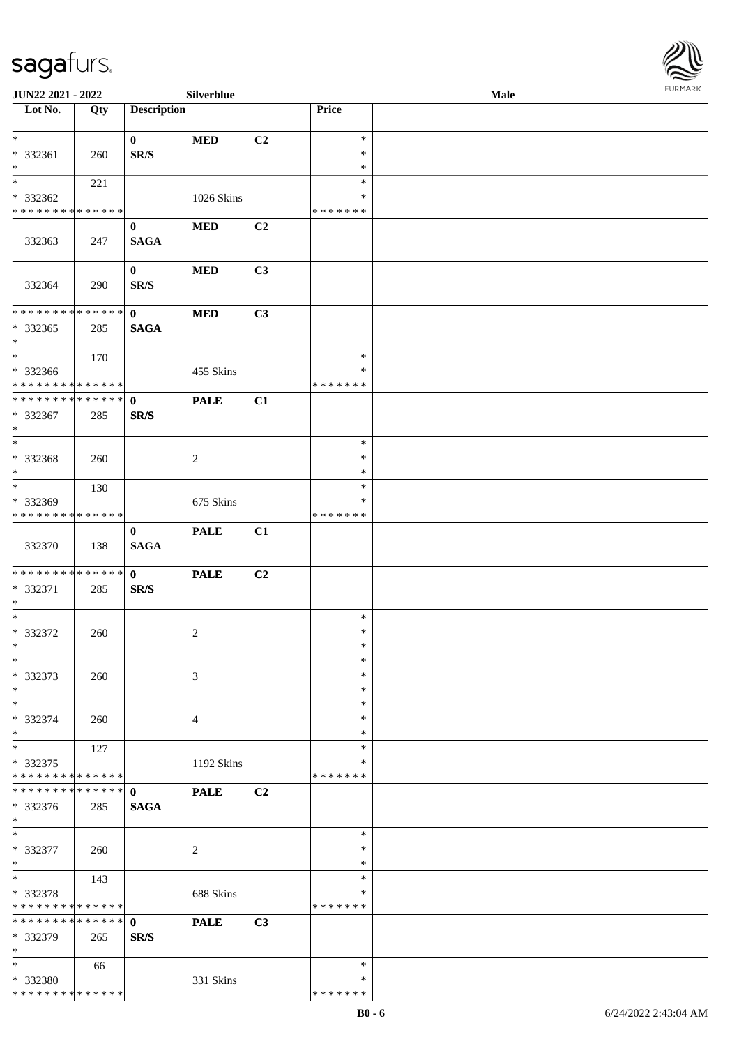

| JUN22 2021 - 2022                       |     |                    | Silverblue     |                |               | Male |  |
|-----------------------------------------|-----|--------------------|----------------|----------------|---------------|------|--|
| Lot No.                                 | Qty | <b>Description</b> |                |                | <b>Price</b>  |      |  |
|                                         |     |                    |                |                |               |      |  |
| $\ast$                                  |     | $\mathbf{0}$       | $\bf MED$      | C2             | $\ast$        |      |  |
| * 332361                                | 260 | SR/S               |                |                | $\ast$        |      |  |
| $\ast$                                  |     |                    |                |                | $\ast$        |      |  |
| $\overline{\phantom{0}}$                | 221 |                    |                |                | $\ast$        |      |  |
| * 332362                                |     |                    | 1026 Skins     |                | *             |      |  |
| * * * * * * * * * * * * * *             |     |                    |                |                | * * * * * * * |      |  |
|                                         |     | $\bf{0}$           | $\bf MED$      | C <sub>2</sub> |               |      |  |
| 332363                                  | 247 | <b>SAGA</b>        |                |                |               |      |  |
|                                         |     |                    |                |                |               |      |  |
|                                         |     | $\bf{0}$           | $\bf MED$      | C3             |               |      |  |
| 332364                                  | 290 | SR/S               |                |                |               |      |  |
|                                         |     |                    |                |                |               |      |  |
| ******** <mark>******</mark>            |     | $\mathbf{0}$       | $\bf MED$      | C3             |               |      |  |
| $*332365$                               | 285 | <b>SAGA</b>        |                |                |               |      |  |
| $\ast$                                  |     |                    |                |                |               |      |  |
| $\ast$                                  | 170 |                    |                |                | $\ast$        |      |  |
| * 332366                                |     |                    | 455 Skins      |                | $\ast$        |      |  |
| * * * * * * * * * * * * * * *           |     |                    |                |                | * * * * * * * |      |  |
| **************                          |     | $\mathbf{0}$       | <b>PALE</b>    | C1             |               |      |  |
| $* 332367$                              | 285 | SR/S               |                |                |               |      |  |
| $\ast$                                  |     |                    |                |                |               |      |  |
| $\ast$                                  |     |                    |                |                | $\ast$        |      |  |
| * 332368                                | 260 |                    | $\sqrt{2}$     |                | $\ast$        |      |  |
| $\ast$                                  |     |                    |                |                | $\ast$        |      |  |
| $\overline{\ast}$                       | 130 |                    |                |                | $\ast$        |      |  |
| * 332369                                |     |                    | 675 Skins      |                | ∗             |      |  |
| * * * * * * * * * * * * * *             |     |                    |                |                | * * * * * * * |      |  |
|                                         |     | $\bf{0}$           | <b>PALE</b>    | C1             |               |      |  |
| 332370                                  | 138 | <b>SAGA</b>        |                |                |               |      |  |
|                                         |     |                    |                |                |               |      |  |
| **************                          |     | $\mathbf{0}$       | <b>PALE</b>    | C2             |               |      |  |
| * 332371                                | 285 | SR/S               |                |                |               |      |  |
| $*$                                     |     |                    |                |                |               |      |  |
| $\ast$                                  |     |                    |                |                | $\ast$        |      |  |
| $* 332372$                              | 260 |                    | $\overline{c}$ |                | $\ast$        |      |  |
| $*$                                     |     |                    |                |                | $\ast$        |      |  |
| $\ast$                                  |     |                    |                |                | $\ast$        |      |  |
| * 332373                                | 260 |                    | 3              |                | $\ast$        |      |  |
| $\ast$                                  |     |                    |                |                | $\ast$        |      |  |
| $\ast$                                  |     |                    |                |                | $\ast$        |      |  |
| * 332374                                | 260 |                    | $\overline{4}$ |                | *             |      |  |
| $\ast$                                  |     |                    |                |                | ∗             |      |  |
| $\ast$                                  | 127 |                    |                |                | $\ast$        |      |  |
| * 332375                                |     |                    | 1192 Skins     |                | ∗             |      |  |
| * * * * * * * * * * * * * *             |     |                    |                |                | * * * * * * * |      |  |
| **************                          |     | $\mathbf{0}$       | <b>PALE</b>    | C2             |               |      |  |
| * 332376                                | 285 | <b>SAGA</b>        |                |                |               |      |  |
| $*$                                     |     |                    |                |                |               |      |  |
| $\ast$                                  |     |                    |                |                | $\ast$        |      |  |
| * 332377                                | 260 |                    | $\overline{c}$ |                | $\ast$        |      |  |
| $\ast$                                  |     |                    |                |                | $\ast$        |      |  |
| $\ast$                                  | 143 |                    |                |                | $\ast$        |      |  |
| * 332378                                |     |                    | 688 Skins      |                | $\ast$        |      |  |
| * * * * * * * * * * * * * *             |     |                    |                |                | * * * * * * * |      |  |
| * * * * * * * * * * * * * * *           |     | $\mathbf{0}$       | <b>PALE</b>    | C3             |               |      |  |
| * 332379                                |     | SR/S               |                |                |               |      |  |
| $\ast$                                  | 265 |                    |                |                |               |      |  |
| $*$                                     |     |                    |                |                | $\ast$        |      |  |
|                                         | 66  |                    |                |                | ∗             |      |  |
| * 332380<br>* * * * * * * * * * * * * * |     |                    | 331 Skins      |                | * * * * * * * |      |  |
|                                         |     |                    |                |                |               |      |  |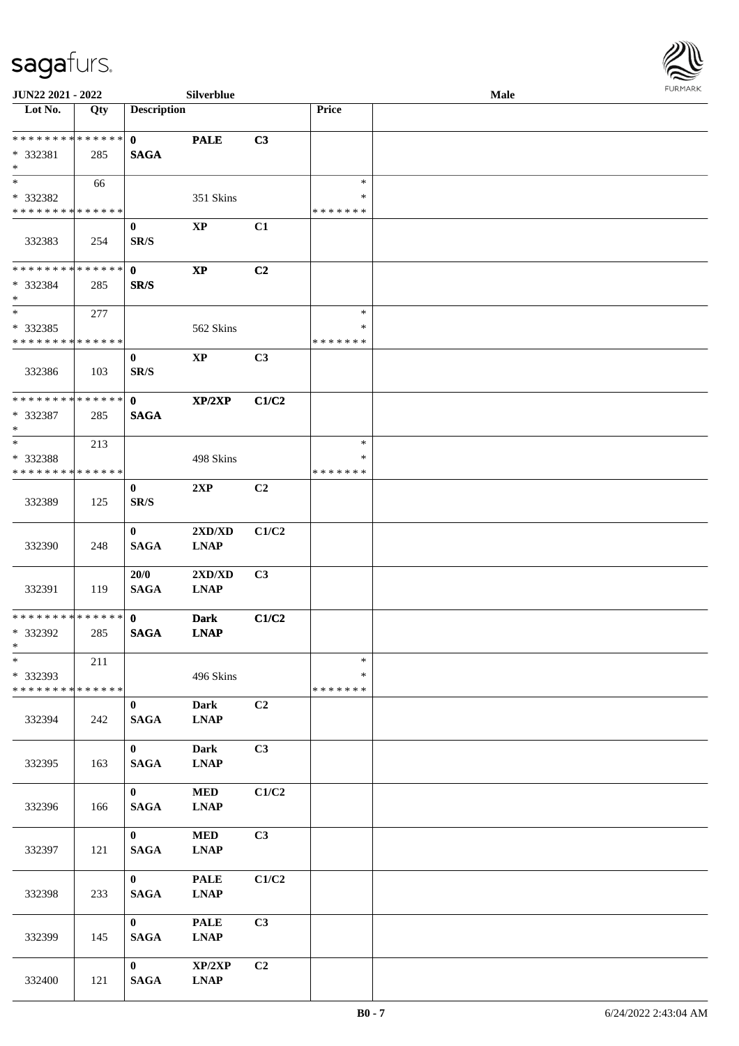

| JUN22 2021 - 2022                                  |     |                                 | Silverblue                 |                |                                   | Male |  |
|----------------------------------------------------|-----|---------------------------------|----------------------------|----------------|-----------------------------------|------|--|
| Lot No.                                            | Qty | <b>Description</b>              |                            |                | Price                             |      |  |
| ******** <mark>******</mark><br>* 332381<br>$\ast$ | 285 | $\mathbf{0}$<br><b>SAGA</b>     | <b>PALE</b>                | C3             |                                   |      |  |
| $\ast$<br>* 332382<br>* * * * * * * * * * * * * *  | 66  |                                 | 351 Skins                  |                | $\ast$<br>∗<br>* * * * * * *      |      |  |
| 332383                                             | 254 | $\bf{0}$<br>SR/S                | <b>XP</b>                  | C1             |                                   |      |  |
| * * * * * * * * * * * * * *<br>* 332384<br>$\ast$  | 285 | $\mathbf{0}$<br>SR/S            | $\mathbf{X}\mathbf{P}$     | C2             |                                   |      |  |
| $\ast$<br>$*332385$<br>* * * * * * * * * * * * * * | 277 |                                 | 562 Skins                  |                | $\ast$<br>$\ast$<br>* * * * * * * |      |  |
| 332386                                             | 103 | $\bf{0}$<br>SR/S                | $\mathbf{XP}$              | C3             |                                   |      |  |
| **************<br>* 332387<br>$*$                  | 285 | $\mathbf{0}$<br><b>SAGA</b>     | $\mathbf{XP}/2\mathbf{XP}$ | C1/C2          |                                   |      |  |
| $*$<br>* 332388<br>* * * * * * * * * * * * * *     | 213 |                                 | 498 Skins                  |                | $\ast$<br>∗<br>* * * * * * *      |      |  |
| 332389                                             | 125 | $\bf{0}$<br>SR/S                | 2XP                        | C <sub>2</sub> |                                   |      |  |
| 332390                                             | 248 | $\bf{0}$<br><b>SAGA</b>         | 2XD/XD<br><b>LNAP</b>      | C1/C2          |                                   |      |  |
| 332391                                             | 119 | 20/0<br><b>SAGA</b>             | 2XD/XD<br><b>LNAP</b>      | C <sub>3</sub> |                                   |      |  |
| * * * * * * * * * * * * * *<br>* 332392<br>$*$     | 285 | $\mathbf{0}$<br><b>SAGA</b>     | <b>Dark</b><br><b>LNAP</b> | C1/C2          |                                   |      |  |
| $\ast$<br>* 332393<br>* * * * * * * * * * * * * *  | 211 |                                 | 496 Skins                  |                | $\ast$<br>$\ast$<br>* * * * * * * |      |  |
| 332394                                             | 242 | $\bf{0}$<br><b>SAGA</b>         | <b>Dark</b><br><b>LNAP</b> | C <sub>2</sub> |                                   |      |  |
| 332395                                             | 163 | $\mathbf{0}$<br><b>SAGA</b>     | <b>Dark</b><br><b>LNAP</b> | C3             |                                   |      |  |
| 332396                                             | 166 | $\mathbf{0}$<br>$\mathbf{SAGA}$ | $\bf MED$<br><b>LNAP</b>   | C1/C2          |                                   |      |  |
| 332397                                             | 121 | $\mathbf{0}$<br><b>SAGA</b>     | $\bf MED$<br><b>LNAP</b>   | C3             |                                   |      |  |
| 332398                                             | 233 | $\mathbf{0}$<br><b>SAGA</b>     | <b>PALE</b><br><b>LNAP</b> | C1/C2          |                                   |      |  |
| 332399                                             | 145 | $\mathbf{0}$<br><b>SAGA</b>     | <b>PALE</b><br><b>LNAP</b> | C3             |                                   |      |  |
| 332400                                             | 121 | $\mathbf{0}$<br><b>SAGA</b>     | XP/2XP<br><b>LNAP</b>      | C2             |                                   |      |  |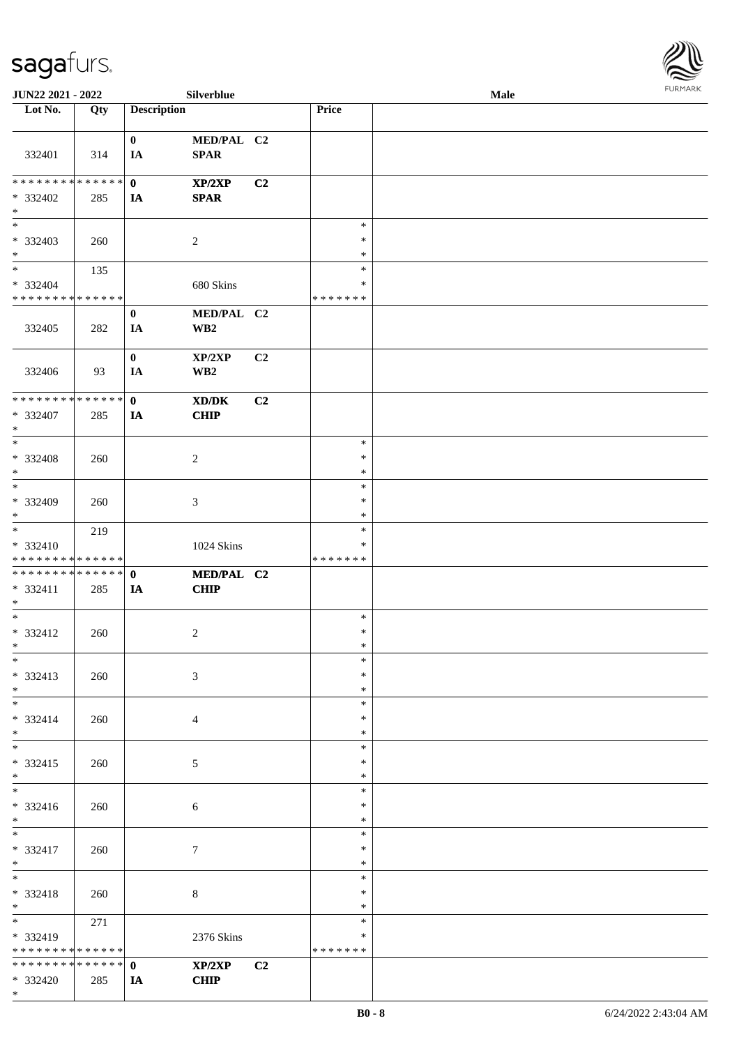

| JUN22 2021 - 2022                  |             |                    | Silverblue                                                                                           |                |               | Male |  |
|------------------------------------|-------------|--------------------|------------------------------------------------------------------------------------------------------|----------------|---------------|------|--|
| Lot No.                            | Qty         | <b>Description</b> |                                                                                                      |                | Price         |      |  |
|                                    |             |                    |                                                                                                      |                |               |      |  |
|                                    |             | $\bf{0}$           | MED/PAL C2                                                                                           |                |               |      |  |
| 332401                             | 314         | IA                 | <b>SPAR</b>                                                                                          |                |               |      |  |
|                                    |             |                    |                                                                                                      |                |               |      |  |
| * * * * * * * * * * * * * * *      |             | $\mathbf{0}$       | XP/2XP                                                                                               | C <sub>2</sub> |               |      |  |
|                                    |             |                    |                                                                                                      |                |               |      |  |
| * 332402                           | 285         | IA                 | <b>SPAR</b>                                                                                          |                |               |      |  |
| $\ast$<br>$\overline{\phantom{0}}$ |             |                    |                                                                                                      |                |               |      |  |
|                                    |             |                    |                                                                                                      |                | $\ast$        |      |  |
| * 332403                           | 260         |                    | $\overline{2}$                                                                                       |                | $\ast$        |      |  |
| $\ast$                             |             |                    |                                                                                                      |                | $\ast$        |      |  |
| $\overline{\ast}$                  | 135         |                    |                                                                                                      |                | $\ast$        |      |  |
| * 332404                           |             |                    | 680 Skins                                                                                            |                | $\ast$        |      |  |
| * * * * * * * * * * * * * *        |             |                    |                                                                                                      |                | * * * * * * * |      |  |
|                                    |             | $\bf{0}$           | MED/PAL C2                                                                                           |                |               |      |  |
| 332405                             | 282         | IA                 | WB <sub>2</sub>                                                                                      |                |               |      |  |
|                                    |             |                    |                                                                                                      |                |               |      |  |
|                                    |             | $\bf{0}$           | XP/2XP                                                                                               | C2             |               |      |  |
| 332406                             | 93          | IA                 | WB <sub>2</sub>                                                                                      |                |               |      |  |
|                                    |             |                    |                                                                                                      |                |               |      |  |
| ******** <mark>******</mark>       |             | $\mathbf{0}$       |                                                                                                      |                |               |      |  |
|                                    |             |                    | $\boldsymbol{\text{X}}\boldsymbol{\text{D}}\boldsymbol{/}\boldsymbol{\text{D}}\boldsymbol{\text{K}}$ | C2             |               |      |  |
| * 332407                           | 285         | IA                 | CHIP                                                                                                 |                |               |      |  |
| $\ast$                             |             |                    |                                                                                                      |                |               |      |  |
| $\ast$                             |             |                    |                                                                                                      |                | $\ast$        |      |  |
| * 332408                           | 260         |                    | $\overline{c}$                                                                                       |                | $\ast$        |      |  |
| $\ast$                             |             |                    |                                                                                                      |                | $\ast$        |      |  |
| $\ast$                             |             |                    |                                                                                                      |                | $\ast$        |      |  |
| * 332409                           | 260         |                    | 3                                                                                                    |                | $\ast$        |      |  |
| $\ast$                             |             |                    |                                                                                                      |                | *             |      |  |
| $\overline{\phantom{a}^*}$         | 219         |                    |                                                                                                      |                | $\ast$        |      |  |
| * 332410                           |             |                    | 1024 Skins                                                                                           |                | $\ast$        |      |  |
| * * * * * * * * * * * * * *        |             |                    |                                                                                                      |                | * * * * * * * |      |  |
| * * * * * * * * * * * * * * *      |             | $\mathbf 0$        | MED/PAL C2                                                                                           |                |               |      |  |
|                                    |             |                    |                                                                                                      |                |               |      |  |
| * 332411<br>$*$                    | 285         | IA                 | <b>CHIP</b>                                                                                          |                |               |      |  |
| $\ast$                             |             |                    |                                                                                                      |                |               |      |  |
|                                    |             |                    |                                                                                                      |                | $\ast$        |      |  |
| $* 332412$                         | 260         |                    | $\overline{c}$                                                                                       |                | $\ast$        |      |  |
| $*$                                |             |                    |                                                                                                      |                | $\ast$        |      |  |
| $*$                                |             |                    |                                                                                                      |                | $\ast$        |      |  |
| * 332413                           | 260         |                    | 3                                                                                                    |                | *             |      |  |
| $*$                                |             |                    |                                                                                                      |                | $\ast$        |      |  |
| $\overline{\phantom{0}}$           |             |                    |                                                                                                      |                | $\ast$        |      |  |
| * 332414                           | 260         |                    | $\overline{4}$                                                                                       |                | *             |      |  |
| $*$                                |             |                    |                                                                                                      |                | $\ast$        |      |  |
| $\overline{\phantom{0}}$           |             |                    |                                                                                                      |                | $\ast$        |      |  |
| * 332415                           | 260         |                    | $\mathfrak{S}$                                                                                       |                | $\ast$        |      |  |
| $*$                                |             |                    |                                                                                                      |                | $\ast$        |      |  |
| $\overline{\phantom{0}}$           |             |                    |                                                                                                      |                | $\ast$        |      |  |
| * 332416                           | 260         |                    | 6                                                                                                    |                | *             |      |  |
| $*$                                |             |                    |                                                                                                      |                | $\ast$        |      |  |
| $*$                                |             |                    |                                                                                                      |                | $\ast$        |      |  |
|                                    |             |                    |                                                                                                      |                | $\ast$        |      |  |
| * 332417                           | 260         |                    | $\tau$                                                                                               |                |               |      |  |
| $*$<br>$*$                         |             |                    |                                                                                                      |                | $\ast$        |      |  |
|                                    |             |                    |                                                                                                      |                | $\ast$        |      |  |
| * 332418                           | 260         |                    | 8                                                                                                    |                | $\ast$        |      |  |
| $*$                                |             |                    |                                                                                                      |                | *             |      |  |
| $\overline{\phantom{0}}$           | 271         |                    |                                                                                                      |                | $\ast$        |      |  |
| * 332419                           |             |                    | 2376 Skins                                                                                           |                | ∗             |      |  |
| * * * * * * * *                    | * * * * * * |                    |                                                                                                      |                | * * * * * * * |      |  |
| * * * * * * * * * * * * * * *      |             | $\mathbf{0}$       | XP/2XP                                                                                               | C2             |               |      |  |
| * 332420                           | 285         | IA                 | <b>CHIP</b>                                                                                          |                |               |      |  |
| $*$                                |             |                    |                                                                                                      |                |               |      |  |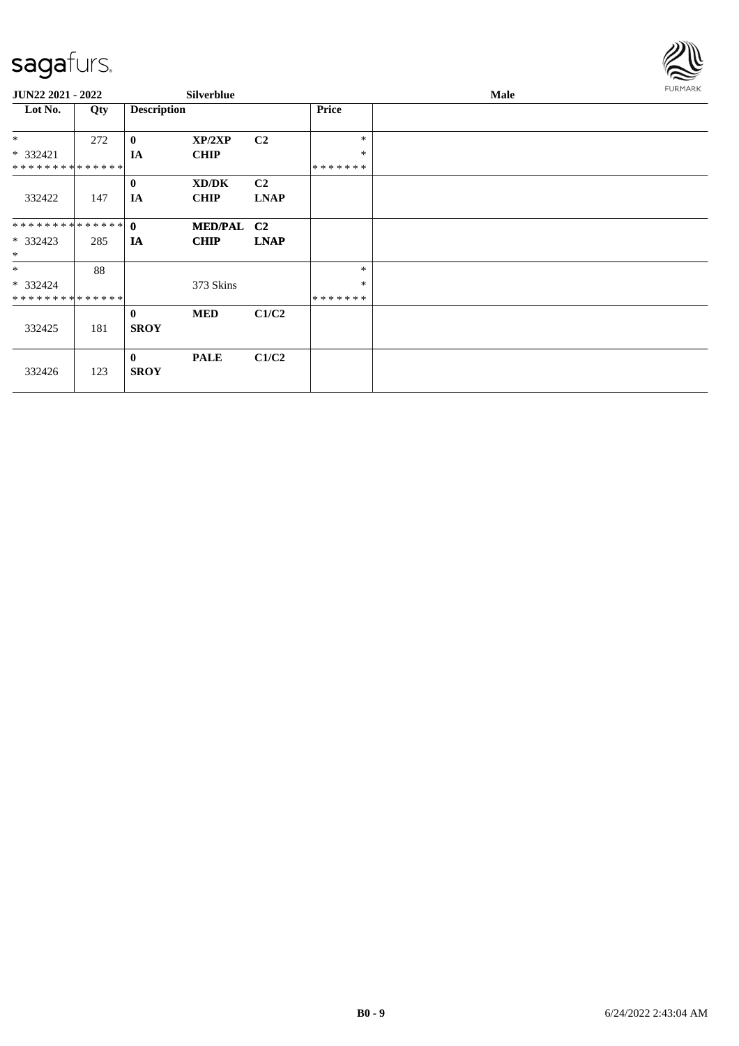

| <b>JUN22 2021 - 2022</b>     |     | <b>Silverblue</b>       |             |                |              | Male |  |  |  |  |
|------------------------------|-----|-------------------------|-------------|----------------|--------------|------|--|--|--|--|
| Lot No.                      | Qty | <b>Description</b>      |             |                | <b>Price</b> |      |  |  |  |  |
| $*$                          | 272 | $\bf{0}$                | XP/2XP      | C <sub>2</sub> | $\ast$       |      |  |  |  |  |
| * 332421                     |     | IA                      | <b>CHIP</b> |                | $\ast$       |      |  |  |  |  |
| ******** <mark>******</mark> |     |                         |             |                | *******      |      |  |  |  |  |
|                              |     | $\bf{0}$                | XD/DK       | C <sub>2</sub> |              |      |  |  |  |  |
| 332422                       | 147 | IA                      | <b>CHIP</b> | <b>LNAP</b>    |              |      |  |  |  |  |
| **************               |     | $\mathbf{0}$            | MED/PAL C2  |                |              |      |  |  |  |  |
| $*332423$<br>$*$             | 285 | IA                      | <b>CHIP</b> | <b>LNAP</b>    |              |      |  |  |  |  |
| $*$                          | 88  |                         |             |                | $\ast$       |      |  |  |  |  |
| * 332424                     |     |                         | 373 Skins   |                | $\ast$       |      |  |  |  |  |
| * * * * * * * * * * * * * *  |     |                         |             |                | *******      |      |  |  |  |  |
|                              |     | $\mathbf{0}$            | <b>MED</b>  | C1/C2          |              |      |  |  |  |  |
| 332425                       | 181 | <b>SROY</b>             |             |                |              |      |  |  |  |  |
| 332426                       | 123 | $\bf{0}$<br><b>SROY</b> | <b>PALE</b> | C1/C2          |              |      |  |  |  |  |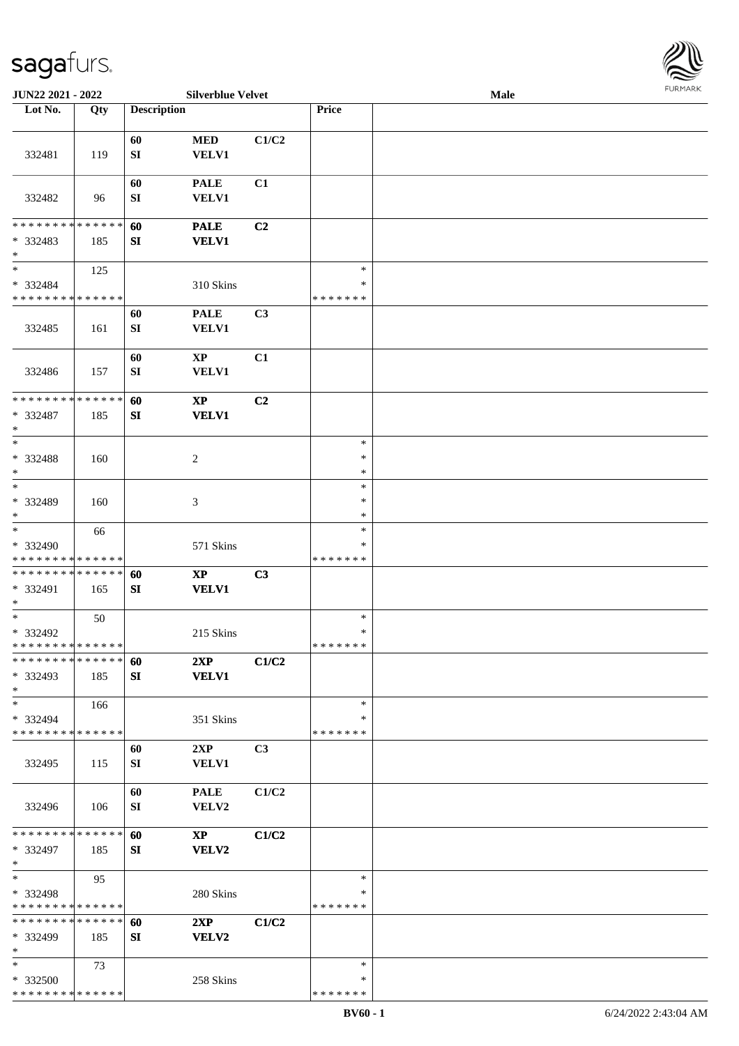

| JUN22 2021 - 2022           |        |                    | <b>Silverblue Velvet</b> |                |               | <b>Male</b> |  |
|-----------------------------|--------|--------------------|--------------------------|----------------|---------------|-------------|--|
| Lot No.                     | Qty    | <b>Description</b> |                          |                | Price         |             |  |
|                             |        |                    |                          |                |               |             |  |
|                             |        | 60                 | $\bf MED$                | C1/C2          |               |             |  |
|                             |        |                    |                          |                |               |             |  |
| 332481                      | 119    | ${\bf SI}$         | <b>VELV1</b>             |                |               |             |  |
|                             |        |                    |                          |                |               |             |  |
|                             |        | 60                 | <b>PALE</b>              | C1             |               |             |  |
| 332482                      | 96     | SI                 | <b>VELV1</b>             |                |               |             |  |
|                             |        |                    |                          |                |               |             |  |
| * * * * * * * * * * * * * * |        | 60                 | <b>PALE</b>              | C2             |               |             |  |
| * 332483                    | 185    | ${\bf SI}$         | <b>VELV1</b>             |                |               |             |  |
| $\ast$                      |        |                    |                          |                |               |             |  |
| $\ast$                      |        |                    |                          |                |               |             |  |
|                             | 125    |                    |                          |                | $\ast$        |             |  |
| * 332484                    |        |                    | 310 Skins                |                | $\ast$        |             |  |
| * * * * * * * * * * * * * * |        |                    |                          |                | * * * * * * * |             |  |
|                             |        | 60                 | <b>PALE</b>              | C <sub>3</sub> |               |             |  |
| 332485                      | 161    | SI                 | VELV1                    |                |               |             |  |
|                             |        |                    |                          |                |               |             |  |
|                             |        | 60                 | $\bold{XP}$              | C1             |               |             |  |
|                             |        |                    |                          |                |               |             |  |
| 332486                      | 157    | SI                 | <b>VELV1</b>             |                |               |             |  |
|                             |        |                    |                          |                |               |             |  |
| * * * * * * * *             | ****** | 60                 | $\bold{XP}$              | C <sub>2</sub> |               |             |  |
| * 332487                    | 185    | ${\bf SI}$         | <b>VELV1</b>             |                |               |             |  |
| $\ast$                      |        |                    |                          |                |               |             |  |
| $\ast$                      |        |                    |                          |                | $\ast$        |             |  |
| * 332488                    | 160    |                    | $\overline{c}$           |                | $\ast$        |             |  |
| $\ast$                      |        |                    |                          |                | $\ast$        |             |  |
| $\ast$                      |        |                    |                          |                | $\ast$        |             |  |
|                             |        |                    |                          |                |               |             |  |
| * 332489                    | 160    |                    | 3                        |                | $\ast$        |             |  |
| $\ast$                      |        |                    |                          |                | $\ast$        |             |  |
| $\ast$                      | 66     |                    |                          |                | $\ast$        |             |  |
| * 332490                    |        |                    | 571 Skins                |                | ∗             |             |  |
| * * * * * * * * * * * * * * |        |                    |                          |                | * * * * * * * |             |  |
| **************              |        | 60                 | $\bold{XP}$              | C3             |               |             |  |
| * 332491                    | 165    | SI                 | <b>VELV1</b>             |                |               |             |  |
| $\ast$                      |        |                    |                          |                |               |             |  |
| $\ast$                      |        |                    |                          |                | $\ast$        |             |  |
|                             | 50     |                    |                          |                |               |             |  |
| * 332492                    |        |                    | 215 Skins                |                | $\ast$        |             |  |
| **************              |        |                    |                          |                | *******       |             |  |
| * * * * * * * * * * * * * * |        | 60                 | 2XP                      | C1/C2          |               |             |  |
| * 332493                    | 185    | SI                 | <b>VELV1</b>             |                |               |             |  |
| $\ast$                      |        |                    |                          |                |               |             |  |
| $\ast$                      | 166    |                    |                          |                | $\ast$        |             |  |
| * 332494                    |        |                    | 351 Skins                |                | ∗             |             |  |
| * * * * * * * * * * * * * * |        |                    |                          |                | * * * * * * * |             |  |
|                             |        |                    |                          |                |               |             |  |
|                             |        | 60                 | 2XP                      | C <sub>3</sub> |               |             |  |
| 332495                      | 115    | SI                 | VELV1                    |                |               |             |  |
|                             |        |                    |                          |                |               |             |  |
|                             |        | 60                 | <b>PALE</b>              | C1/C2          |               |             |  |
| 332496                      | 106    | SI                 | VELV2                    |                |               |             |  |
|                             |        |                    |                          |                |               |             |  |
| * * * * * * * * * * * * * * |        | 60                 | $\mathbf{X}\mathbf{P}$   | C1/C2          |               |             |  |
| * 332497                    | 185    | SI                 | VELV2                    |                |               |             |  |
| $\ast$                      |        |                    |                          |                |               |             |  |
| $\ast$                      |        |                    |                          |                | $\ast$        |             |  |
|                             | 95     |                    |                          |                |               |             |  |
| * 332498                    |        |                    | 280 Skins                |                | $\ast$        |             |  |
| * * * * * * * * * * * * * * |        |                    |                          |                | * * * * * * * |             |  |
| * * * * * * * * * * * * * * |        | 60                 | 2XP                      | C1/C2          |               |             |  |
| * 332499                    | 185    | SI                 | <b>VELV2</b>             |                |               |             |  |
| $\ast$                      |        |                    |                          |                |               |             |  |
| $*$                         | 73     |                    |                          |                | $\ast$        |             |  |
| * 332500                    |        |                    | 258 Skins                |                | ∗             |             |  |
| * * * * * * * * * * * * * * |        |                    |                          |                | * * * * * * * |             |  |
|                             |        |                    |                          |                |               |             |  |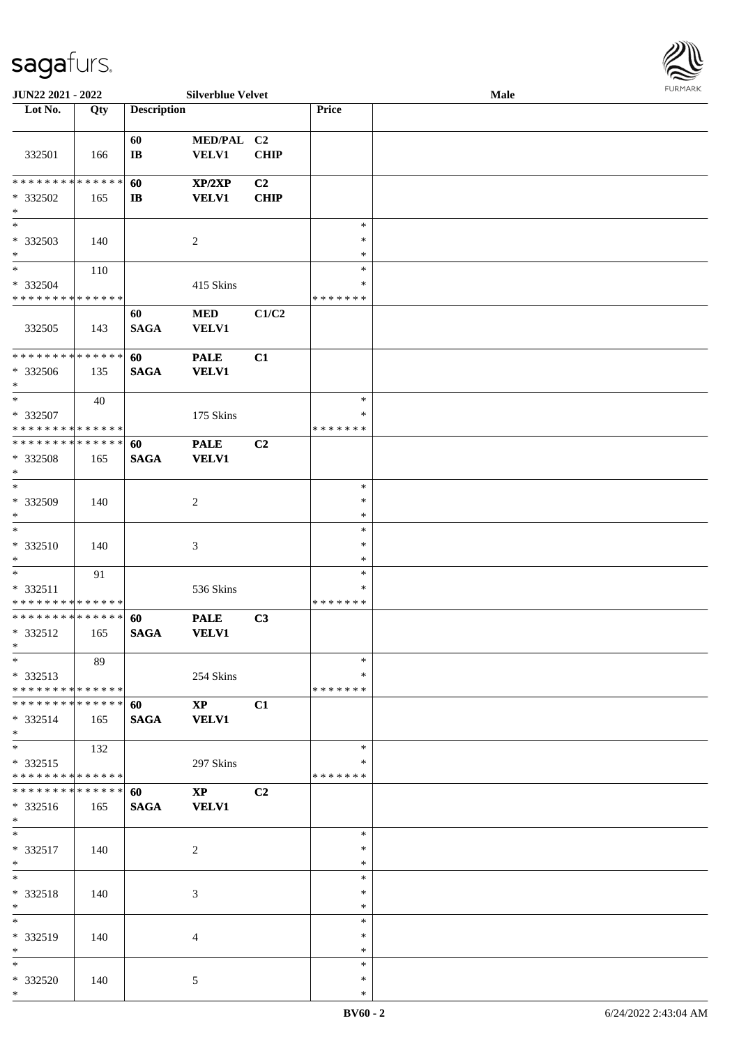

| JUN22 2021 - 2022             |     |                    | <b>Silverblue Velvet</b> |             |               | Male | 10111111111 |
|-------------------------------|-----|--------------------|--------------------------|-------------|---------------|------|-------------|
| Lot No.                       | Qty | <b>Description</b> |                          |             | Price         |      |             |
|                               |     |                    |                          |             |               |      |             |
|                               |     | 60                 | MED/PAL C2               |             |               |      |             |
| 332501                        | 166 | $\bf I\bf B$       | <b>VELV1</b>             | <b>CHIP</b> |               |      |             |
|                               |     |                    |                          |             |               |      |             |
| * * * * * * * * * * * * * *   |     | 60                 | XP/2XP                   | C2          |               |      |             |
| * 332502                      | 165 | $\mathbf{I}$       | <b>VELV1</b>             | <b>CHIP</b> |               |      |             |
| $\ast$                        |     |                    |                          |             |               |      |             |
| $\overline{\phantom{0}}$      |     |                    |                          |             | $\ast$        |      |             |
| * 332503                      | 140 |                    | $\overline{c}$           |             | $\ast$        |      |             |
| $\ast$                        |     |                    |                          |             | $\ast$        |      |             |
| $*$                           | 110 |                    |                          |             | $\ast$        |      |             |
| * 332504                      |     |                    | 415 Skins                |             | $\ast$        |      |             |
| * * * * * * * * * * * * * *   |     |                    |                          |             | *******       |      |             |
|                               |     |                    | $\bf MED$                | C1/C2       |               |      |             |
|                               |     | 60                 |                          |             |               |      |             |
| 332505                        | 143 | <b>SAGA</b>        | <b>VELV1</b>             |             |               |      |             |
| * * * * * * * * * * * * * *   |     |                    |                          |             |               |      |             |
|                               |     | 60                 | <b>PALE</b>              | C1          |               |      |             |
| * 332506                      | 135 | <b>SAGA</b>        | <b>VELV1</b>             |             |               |      |             |
| $*$                           |     |                    |                          |             |               |      |             |
| $\ast$                        | 40  |                    |                          |             | $\ast$        |      |             |
| * 332507                      |     |                    | 175 Skins                |             | $\ast$        |      |             |
| * * * * * * * * * * * * * *   |     |                    |                          |             | * * * * * * * |      |             |
| * * * * * * * * * * * * * *   |     | 60                 | <b>PALE</b>              | C2          |               |      |             |
| * 332508                      | 165 | <b>SAGA</b>        | <b>VELV1</b>             |             |               |      |             |
| $\ast$                        |     |                    |                          |             |               |      |             |
| $*$                           |     |                    |                          |             | $\ast$        |      |             |
| * 332509                      | 140 |                    | 2                        |             | ∗             |      |             |
| $\ast$                        |     |                    |                          |             | $\ast$        |      |             |
| $\ast$                        |     |                    |                          |             | $\ast$        |      |             |
| * 332510                      | 140 |                    | 3                        |             | $\ast$        |      |             |
| $\ast$                        |     |                    |                          |             | $\ast$        |      |             |
| $\ast$                        | 91  |                    |                          |             | $\ast$        |      |             |
| * 332511                      |     |                    | 536 Skins                |             | ∗             |      |             |
| * * * * * * * * * * * * * *   |     |                    |                          |             | *******       |      |             |
| * * * * * * * * * * * * * * * |     | 60                 | <b>PALE</b>              | C3          |               |      |             |
| * 332512                      | 165 | <b>SAGA</b>        | <b>VELV1</b>             |             |               |      |             |
| $*$ $*$                       |     |                    |                          |             |               |      |             |
| $*$                           | 89  |                    |                          |             | $\ast$        |      |             |
| * 332513                      |     |                    | 254 Skins                |             | *             |      |             |
| * * * * * * * * * * * * * * * |     |                    |                          |             | * * * * * * * |      |             |
| * * * * * * * * * * * * * *   |     | 60                 | $\bold{XP}$              | C1          |               |      |             |
| * 332514                      | 165 | <b>SAGA</b>        | <b>VELV1</b>             |             |               |      |             |
| $*$                           |     |                    |                          |             |               |      |             |
| $*$                           | 132 |                    |                          |             | $\ast$        |      |             |
| * 332515                      |     |                    | 297 Skins                |             | ∗             |      |             |
| * * * * * * * * * * * * * * * |     |                    |                          |             | * * * * * * * |      |             |
| * * * * * * * * * * * * * * * |     | 60                 | $\mathbf{X}\mathbf{P}$   | C2          |               |      |             |
| * 332516                      | 165 | <b>SAGA</b>        | <b>VELV1</b>             |             |               |      |             |
| $*$                           |     |                    |                          |             |               |      |             |
| $\ast$                        |     |                    |                          |             | $\ast$        |      |             |
| * 332517                      |     |                    |                          |             | $\ast$        |      |             |
| $*$                           | 140 |                    | $\sqrt{2}$               |             | $\ast$        |      |             |
| $*$                           |     |                    |                          |             | $\ast$        |      |             |
|                               |     |                    |                          |             |               |      |             |
| * 332518                      | 140 |                    | 3                        |             | $\ast$        |      |             |
| $*$<br>$\ast$                 |     |                    |                          |             | $\ast$        |      |             |
|                               |     |                    |                          |             | $\ast$        |      |             |
| * 332519                      | 140 |                    | 4                        |             | $\ast$        |      |             |
| $*$                           |     |                    |                          |             | $\ast$        |      |             |
| $*$                           |     |                    |                          |             | $\ast$        |      |             |
| * 332520                      | 140 |                    | 5                        |             | $\ast$        |      |             |
| $*$                           |     |                    |                          |             | $\ast$        |      |             |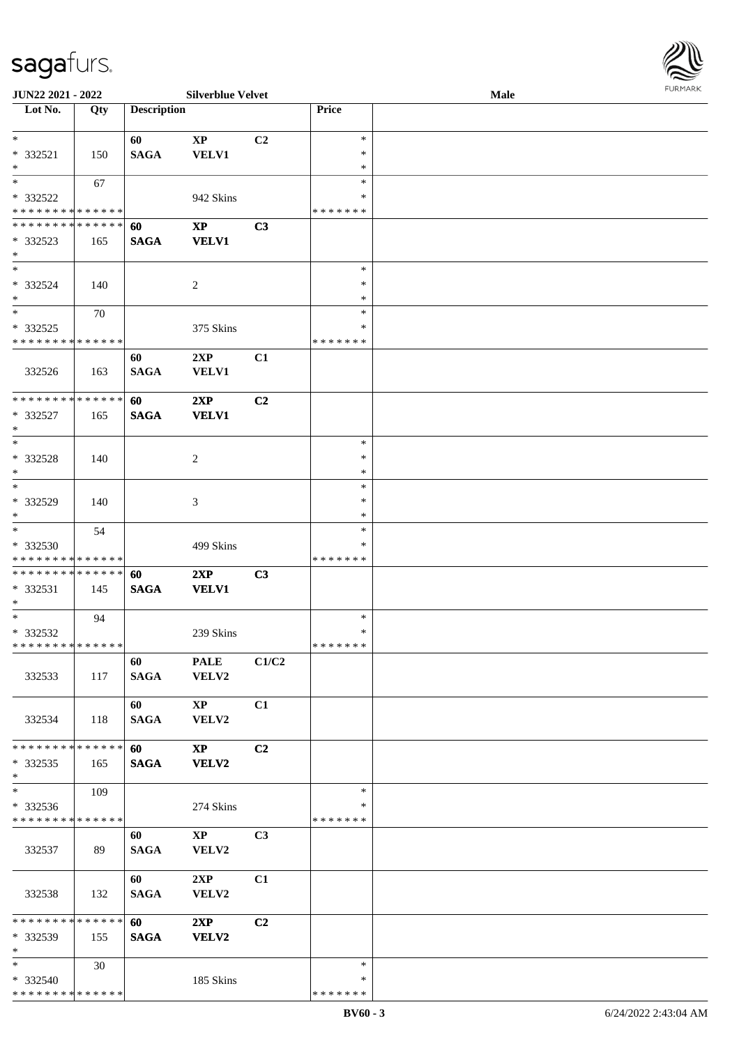

| JUN22 2021 - 2022                          |     |                    | <b>Silverblue Velvet</b> |                |               | Male | <b>FURPIARA</b> |
|--------------------------------------------|-----|--------------------|--------------------------|----------------|---------------|------|-----------------|
| Lot No.                                    | Qty | <b>Description</b> |                          |                | Price         |      |                 |
|                                            |     |                    |                          |                |               |      |                 |
| $*$                                        |     | 60                 | $\bold{XP}$              | C <sub>2</sub> | $\ast$        |      |                 |
| * 332521                                   | 150 | <b>SAGA</b>        | VELV1                    |                | ∗             |      |                 |
| $*$                                        |     |                    |                          |                | $\ast$        |      |                 |
| $*$                                        | 67  |                    |                          |                | $\ast$        |      |                 |
| $* 332522$                                 |     |                    | 942 Skins                |                | ∗             |      |                 |
| * * * * * * * * * * * * * *                |     |                    |                          |                | * * * * * * * |      |                 |
| * * * * * * * * * * * * * *                |     | 60                 | $\bold{XP}$              | C3             |               |      |                 |
| * 332523                                   | 165 | <b>SAGA</b>        | <b>VELV1</b>             |                |               |      |                 |
| $\ast$                                     |     |                    |                          |                |               |      |                 |
| $*$                                        |     |                    |                          |                | $\ast$        |      |                 |
| $* 332524$                                 | 140 |                    | 2                        |                | ∗             |      |                 |
| $*$                                        |     |                    |                          |                | $\ast$        |      |                 |
| $\overline{\phantom{0}}$                   | 70  |                    |                          |                | $\ast$        |      |                 |
| $* 332525$                                 |     |                    | 375 Skins                |                | ∗             |      |                 |
| * * * * * * * * * * * * * *                |     |                    |                          |                | * * * * * * * |      |                 |
|                                            |     | 60                 | 2XP                      | C1             |               |      |                 |
| 332526                                     | 163 | <b>SAGA</b>        | <b>VELV1</b>             |                |               |      |                 |
|                                            |     |                    |                          |                |               |      |                 |
| * * * * * * * * * * * * * *                |     | 60                 | 2XP                      | C <sub>2</sub> |               |      |                 |
| * 332527                                   | 165 | <b>SAGA</b>        | <b>VELV1</b>             |                |               |      |                 |
| $*$                                        |     |                    |                          |                |               |      |                 |
| $*$                                        |     |                    |                          |                | $\ast$        |      |                 |
| * 332528                                   | 140 |                    | 2                        |                | $\ast$        |      |                 |
| $*$                                        |     |                    |                          |                | $\ast$        |      |                 |
| $*$                                        |     |                    |                          |                | ∗             |      |                 |
| $* 332529$                                 | 140 |                    | 3                        |                | $\ast$        |      |                 |
| $*$                                        |     |                    |                          |                | $\ast$        |      |                 |
| $*$                                        | 54  |                    |                          |                | $\ast$        |      |                 |
| $* 332530$                                 |     |                    | 499 Skins                |                | ∗             |      |                 |
| * * * * * * * * * * * * * *                |     |                    |                          |                | * * * * * * * |      |                 |
| * * * * * * * * * * * * * * *              |     | 60                 | 2XP                      | C3             |               |      |                 |
| $* 332531$                                 | 145 | <b>SAGA</b>        | <b>VELV1</b>             |                |               |      |                 |
| $*$                                        |     |                    |                          |                |               |      |                 |
| $*$                                        | 94  |                    |                          |                | $\ast$        |      |                 |
| * 332532                                   |     |                    | 239 Skins                |                | ∗             |      |                 |
| * * * * * * * * <mark>* * * * * * *</mark> |     |                    |                          |                | * * * * * * * |      |                 |
|                                            |     | 60                 | <b>PALE</b>              | C1/C2          |               |      |                 |
| 332533                                     | 117 | <b>SAGA</b>        | <b>VELV2</b>             |                |               |      |                 |
|                                            |     |                    |                          |                |               |      |                 |
|                                            |     | 60                 | $\mathbf{X}\mathbf{P}$   | C1             |               |      |                 |
| 332534                                     | 118 | <b>SAGA</b>        | VELV2                    |                |               |      |                 |
|                                            |     |                    |                          |                |               |      |                 |
| * * * * * * * * * * * * * * *              |     | <b>60</b>          | $\mathbf{X}\mathbf{P}$   | C2             |               |      |                 |
| $*332535$                                  | 165 | <b>SAGA</b>        | <b>VELV2</b>             |                |               |      |                 |
| $*$                                        |     |                    |                          |                |               |      |                 |
| $*$                                        | 109 |                    |                          |                | $\ast$        |      |                 |
| * 332536                                   |     |                    | 274 Skins                |                | ∗             |      |                 |
| * * * * * * * * * * * * * * *              |     |                    |                          |                | * * * * * * * |      |                 |
|                                            |     | 60                 | $\mathbf{X}\mathbf{P}$   | C <sub>3</sub> |               |      |                 |
| 332537                                     | 89  | SAGA               | VELV2                    |                |               |      |                 |
|                                            |     |                    |                          |                |               |      |                 |
|                                            |     | 60                 | 2XP                      | C1             |               |      |                 |
| 332538                                     | 132 | <b>SAGA</b>        | VELV2                    |                |               |      |                 |
|                                            |     |                    |                          |                |               |      |                 |
| * * * * * * * * * * * * * * *              |     | 60                 | 2XP                      | C2             |               |      |                 |
| * 332539                                   | 155 | <b>SAGA</b>        | VELV2                    |                |               |      |                 |
| $*$ $*$                                    |     |                    |                          |                |               |      |                 |
| $*$ $*$                                    | 30  |                    |                          |                | $\ast$        |      |                 |
| * 332540                                   |     |                    | 185 Skins                |                | ∗             |      |                 |
| * * * * * * * * * * * * * *                |     |                    |                          |                | * * * * * * * |      |                 |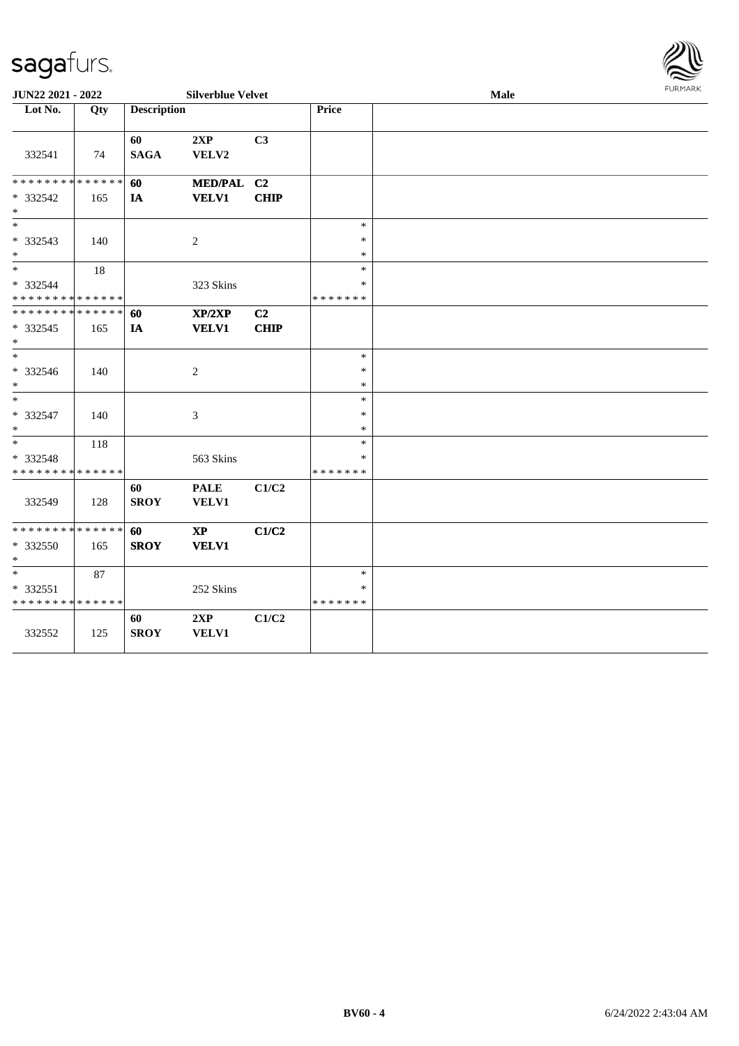#### sag

\* \* \* \* \* \* \* \* \* \* \* \* \* \*

332552 125

| sagaturs.                               |     |                    |                             |                |              |      |               |
|-----------------------------------------|-----|--------------------|-----------------------------|----------------|--------------|------|---------------|
| JUN22 2021 - 2022                       |     |                    | <b>Silverblue Velvet</b>    |                |              | Male | <b>FURMAR</b> |
| Lot No.                                 | Qty | <b>Description</b> |                             |                | Price        |      |               |
| 332541                                  | 74  | 60<br><b>SAGA</b>  | 2XP<br>VELV2                | C3             |              |      |               |
| ******** <mark>******</mark>            |     | 60                 | MED/PAL C2                  |                |              |      |               |
| * 332542<br>$\ast$                      | 165 | IA                 | <b>VELV1</b>                | <b>CHIP</b>    |              |      |               |
| $\ast$                                  |     |                    |                             |                | $\ast$       |      |               |
| * 332543<br>$\ast$                      | 140 |                    | $\boldsymbol{2}$            |                | *<br>$\ast$  |      |               |
| $\ast$                                  | 18  |                    |                             |                | $\ast$       |      |               |
| * 332544<br>* * * * * * * * * * * * * * |     |                    | 323 Skins                   |                | *<br>******* |      |               |
| ******** <mark>******</mark>            |     | 60                 | XP/2XP                      | C <sub>2</sub> |              |      |               |
| $* 332545$<br>$\ast$                    | 165 | IA                 | <b>VELV1</b>                | <b>CHIP</b>    |              |      |               |
| $\ast$                                  |     |                    |                             |                | $\ast$       |      |               |
| * 332546<br>$\ast$                      | 140 |                    | $\boldsymbol{2}$            |                | *<br>*       |      |               |
| $\ast$                                  |     |                    |                             |                | $\ast$       |      |               |
| $* 332547$<br>$\ast$                    | 140 |                    | 3                           |                | $\ast$<br>*  |      |               |
| $\ast$                                  | 118 |                    |                             |                | $\ast$       |      |               |
| * 332548<br>* * * * * * * * * * * * * * |     |                    | 563 Skins                   |                | *<br>******* |      |               |
| 332549                                  | 128 | 60<br><b>SROY</b>  | <b>PALE</b><br><b>VELV1</b> | C1/C2          |              |      |               |
| * * * * * * * * * * * * * *             |     | 60                 | $\bold{XP}$                 | C1/C2          |              |      |               |
| * 332550<br>$\ast$                      | 165 | <b>SROY</b>        | <b>VELV1</b>                |                |              |      |               |
| $\overline{\phantom{0}}$                | 87  |                    |                             |                | $\ast$       |      |               |
| * 332551                                |     |                    | 252 Skins                   |                | $\ast$       |      |               |

\* \* \* \* \* \* \*

**60 2XP C1/C2 SROY VELV1**

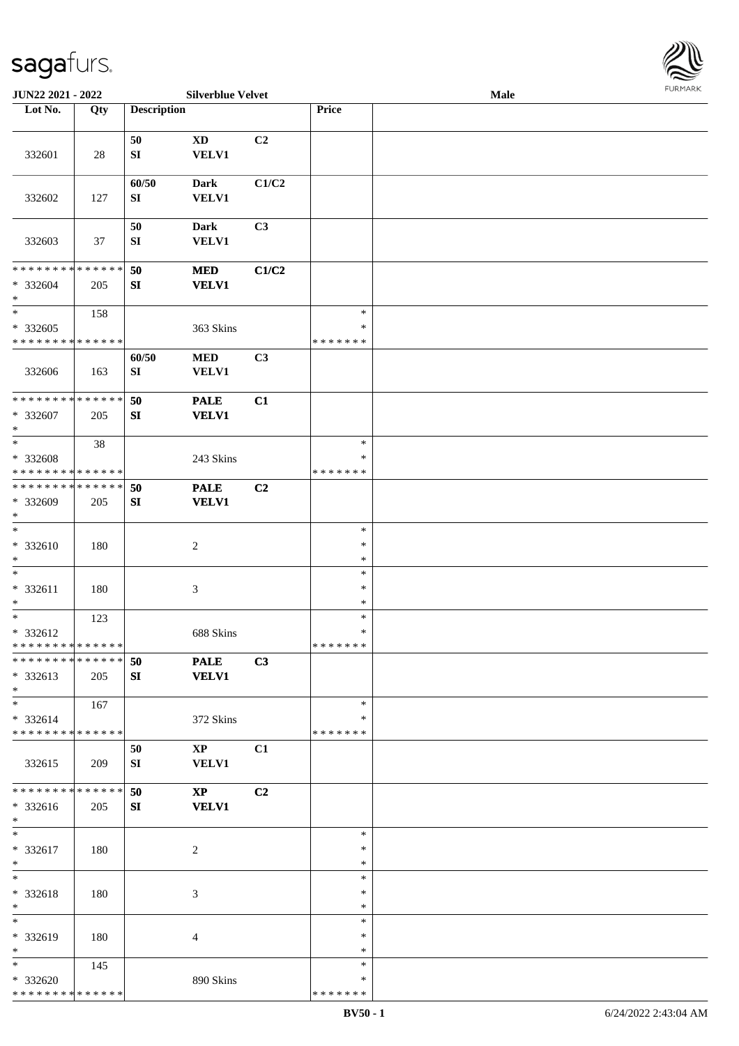

| JUN22 2021 - 2022             |     |                    | <b>Silverblue Velvet</b> |                |               | Male |  |
|-------------------------------|-----|--------------------|--------------------------|----------------|---------------|------|--|
| Lot No.                       | Qty | <b>Description</b> |                          |                | Price         |      |  |
|                               |     |                    |                          |                |               |      |  |
|                               |     | 50                 | $\mathbf{X}\mathbf{D}$   | C2             |               |      |  |
| 332601                        | 28  | ${\bf SI}$         | <b>VELV1</b>             |                |               |      |  |
|                               |     |                    |                          |                |               |      |  |
|                               |     | 60/50              | <b>Dark</b>              | C1/C2          |               |      |  |
| 332602                        |     |                    |                          |                |               |      |  |
|                               | 127 | SI                 | <b>VELV1</b>             |                |               |      |  |
|                               |     |                    |                          |                |               |      |  |
|                               |     | 50                 | <b>Dark</b>              | C <sub>3</sub> |               |      |  |
| 332603                        | 37  | ${\bf SI}$         | <b>VELV1</b>             |                |               |      |  |
|                               |     |                    |                          |                |               |      |  |
| * * * * * * * * * * * * * *   |     | 50                 | <b>MED</b>               | C1/C2          |               |      |  |
| * 332604                      | 205 | ${\bf SI}$         | <b>VELV1</b>             |                |               |      |  |
| $\ast$                        |     |                    |                          |                |               |      |  |
| $\ast$                        | 158 |                    |                          |                | $\ast$        |      |  |
| $* 332605$                    |     |                    | 363 Skins                |                | $\ast$        |      |  |
| * * * * * * * * * * * * * *   |     |                    |                          |                | * * * * * * * |      |  |
|                               |     | 60/50              | $\bf MED$                | C3             |               |      |  |
| 332606                        |     | SI                 | <b>VELV1</b>             |                |               |      |  |
|                               | 163 |                    |                          |                |               |      |  |
| ******** <mark>******</mark>  |     |                    |                          |                |               |      |  |
|                               |     | 50                 | <b>PALE</b>              | C1             |               |      |  |
| * 332607                      | 205 | SI                 | <b>VELV1</b>             |                |               |      |  |
| $\ast$                        |     |                    |                          |                |               |      |  |
| $\ast$                        | 38  |                    |                          |                | $\ast$        |      |  |
| * 332608                      |     |                    | 243 Skins                |                | ∗             |      |  |
| * * * * * * * * * * * * * *   |     |                    |                          |                | * * * * * * * |      |  |
| * * * * * * * * * * * * * *   |     | 50                 | <b>PALE</b>              | C2             |               |      |  |
| * 332609                      | 205 | ${\bf SI}$         | <b>VELV1</b>             |                |               |      |  |
| $\ast$                        |     |                    |                          |                |               |      |  |
| $\ast$                        |     |                    |                          |                | $\ast$        |      |  |
| $* 332610$                    | 180 |                    | $\boldsymbol{2}$         |                | $\ast$        |      |  |
| $\ast$                        |     |                    |                          |                | $\ast$        |      |  |
| $\ast$                        |     |                    |                          |                | $\ast$        |      |  |
|                               |     |                    |                          |                |               |      |  |
| * 332611                      | 180 |                    | $\mathfrak{Z}$           |                | $\ast$        |      |  |
| $\ast$                        |     |                    |                          |                | $\ast$        |      |  |
| $\ast$                        | 123 |                    |                          |                | $\ast$        |      |  |
| * 332612                      |     |                    | 688 Skins                |                | $\ast$        |      |  |
| **************                |     |                    |                          |                | *******       |      |  |
| * * * * * * * * * * * * * * * |     | 50                 | <b>PALE</b>              | C3             |               |      |  |
| * 332613                      | 205 | SI                 | <b>VELV1</b>             |                |               |      |  |
| $*$                           |     |                    |                          |                |               |      |  |
| $*$                           | 167 |                    |                          |                | $\ast$        |      |  |
| * 332614                      |     |                    | 372 Skins                |                | ∗             |      |  |
| * * * * * * * * * * * * * *   |     |                    |                          |                | * * * * * * * |      |  |
|                               |     | 50                 | $\mathbf{X}\mathbf{P}$   | C1             |               |      |  |
| 332615                        | 209 |                    | <b>VELV1</b>             |                |               |      |  |
|                               |     | SI                 |                          |                |               |      |  |
| * * * * * * * * * * * * * *   |     |                    |                          |                |               |      |  |
|                               |     | 50                 | $\mathbf{X}\mathbf{P}$   | C2             |               |      |  |
| * 332616                      | 205 | SI                 | <b>VELV1</b>             |                |               |      |  |
| $*$                           |     |                    |                          |                |               |      |  |
| $*$                           |     |                    |                          |                | $\ast$        |      |  |
| * 332617                      | 180 |                    | $\overline{c}$           |                | $\ast$        |      |  |
| $*$                           |     |                    |                          |                | $\ast$        |      |  |
| $\ast$                        |     |                    |                          |                | $\ast$        |      |  |
| * 332618                      | 180 |                    | 3                        |                | $\ast$        |      |  |
| $\ast$                        |     |                    |                          |                | $\ast$        |      |  |
| $\ast$                        |     |                    |                          |                | $\ast$        |      |  |
| * 332619                      | 180 |                    | 4                        |                | ∗             |      |  |
| $*$                           |     |                    |                          |                | ∗             |      |  |
| $*$                           | 145 |                    |                          |                | $\ast$        |      |  |
|                               |     |                    |                          |                | *             |      |  |
| * 332620                      |     |                    | 890 Skins                |                |               |      |  |
| * * * * * * * * * * * * * *   |     |                    |                          |                | * * * * * * * |      |  |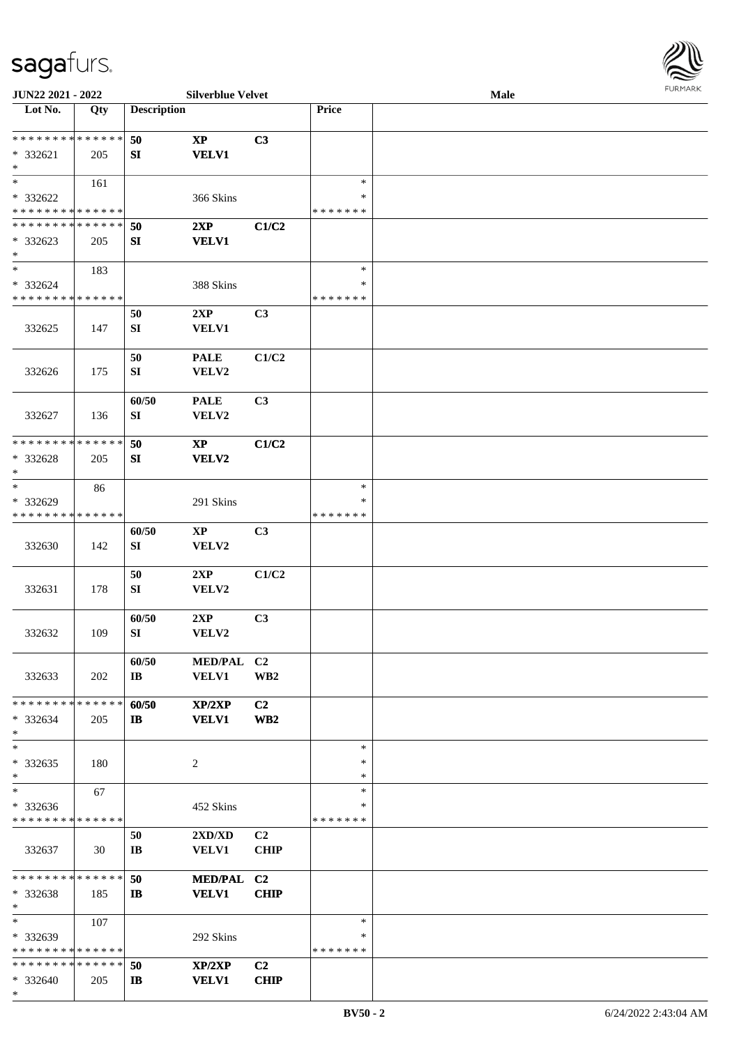

| JUN22 2021 - 2022                       |     |                        | <b>Silverblue Velvet</b>         |                 |                  | Male |  |
|-----------------------------------------|-----|------------------------|----------------------------------|-----------------|------------------|------|--|
| Lot No.                                 | Qty | <b>Description</b>     |                                  |                 | Price            |      |  |
|                                         |     |                        |                                  |                 |                  |      |  |
| * * * * * * * * * * * * * *             |     | 50                     | $\bold{XP}$                      | C3              |                  |      |  |
| * 332621                                | 205 | SI                     | <b>VELV1</b>                     |                 |                  |      |  |
| $\ast$                                  |     |                        |                                  |                 |                  |      |  |
| $\ast$                                  | 161 |                        |                                  |                 | $\ast$           |      |  |
| * 332622                                |     |                        | 366 Skins                        |                 | ∗                |      |  |
| * * * * * * * * * * * * * *             |     |                        |                                  |                 | * * * * * * *    |      |  |
| * * * * * * * * * * * * * *             |     | 50                     | 2XP                              | C1/C2           |                  |      |  |
| * 332623                                | 205 | ${\bf SI}$             | <b>VELV1</b>                     |                 |                  |      |  |
| $\ast$                                  |     |                        |                                  |                 |                  |      |  |
| $\ast$                                  | 183 |                        |                                  |                 | $\ast$<br>$\ast$ |      |  |
| * 332624<br>* * * * * * * * * * * * * * |     |                        | 388 Skins                        |                 | * * * * * * *    |      |  |
|                                         |     |                        |                                  |                 |                  |      |  |
|                                         |     | 50                     | 2XP                              | C3              |                  |      |  |
| 332625                                  | 147 | SI                     | VELV1                            |                 |                  |      |  |
|                                         |     | 50                     | <b>PALE</b>                      | C1/C2           |                  |      |  |
| 332626                                  | 175 | SI                     | VELV2                            |                 |                  |      |  |
|                                         |     |                        |                                  |                 |                  |      |  |
|                                         |     | 60/50                  | <b>PALE</b>                      | C3              |                  |      |  |
| 332627                                  | 136 | SI                     | VELV2                            |                 |                  |      |  |
|                                         |     |                        |                                  |                 |                  |      |  |
| * * * * * * * * * * * * * *             |     | 50                     | $\bold{XP}$                      | C1/C2           |                  |      |  |
| * 332628                                | 205 | SI                     | VELV2                            |                 |                  |      |  |
| $\ast$                                  |     |                        |                                  |                 |                  |      |  |
| $\ast$                                  | 86  |                        |                                  |                 | $\ast$           |      |  |
| * 332629                                |     |                        | 291 Skins                        |                 | $\ast$           |      |  |
| * * * * * * * * * * * * * *             |     |                        |                                  |                 | * * * * * * *    |      |  |
|                                         |     | 60/50                  | $\bold{XP}$                      | C3              |                  |      |  |
| 332630                                  | 142 | SI                     | VELV2                            |                 |                  |      |  |
|                                         |     |                        |                                  |                 |                  |      |  |
|                                         |     | 50                     | 2XP                              | C1/C2           |                  |      |  |
| 332631                                  | 178 | SI                     | VELV2                            |                 |                  |      |  |
|                                         |     |                        |                                  |                 |                  |      |  |
|                                         |     | 60/50                  | 2XP                              | C3              |                  |      |  |
| 332632                                  | 109 | SI                     | VELV2                            |                 |                  |      |  |
|                                         |     | 60/50                  | MED/PAL C2                       |                 |                  |      |  |
| 332633                                  | 202 | $\bf{IB}$              | <b>VELV1</b>                     | WB <sub>2</sub> |                  |      |  |
|                                         |     |                        |                                  |                 |                  |      |  |
| * * * * * * * * * * * * * * *           |     | 60/50                  | XP/2XP                           | C <sub>2</sub>  |                  |      |  |
| * 332634                                | 205 | $\mathbf{I}$           | <b>VELV1</b>                     | WB <sub>2</sub> |                  |      |  |
| $\ast$                                  |     |                        |                                  |                 |                  |      |  |
| $\ast$                                  |     |                        |                                  |                 | $\ast$           |      |  |
| * 332635                                | 180 |                        | 2                                |                 | $\ast$           |      |  |
| $\ast$                                  |     |                        |                                  |                 | *                |      |  |
| $\ast$                                  | 67  |                        |                                  |                 | $\ast$           |      |  |
| $* 332636$                              |     |                        | 452 Skins                        |                 | ∗                |      |  |
| * * * * * * * * * * * * * *             |     |                        |                                  |                 | * * * * * * *    |      |  |
|                                         |     | 50                     | $2{\bf X}{\bf D}/{\bf X}{\bf D}$ | C2              |                  |      |  |
| 332637                                  | 30  | $\mathbf{I}\mathbf{B}$ | <b>VELV1</b>                     | <b>CHIP</b>     |                  |      |  |
|                                         |     |                        |                                  |                 |                  |      |  |
| * * * * * * * * * * * * * *             |     | 50                     | MED/PAL C2                       |                 |                  |      |  |
| * 332638                                | 185 | $\mathbf{I}$           | <b>VELV1</b>                     | <b>CHIP</b>     |                  |      |  |
| $\ast$<br>$*$                           |     |                        |                                  |                 | $\ast$           |      |  |
|                                         | 107 |                        |                                  |                 | ∗                |      |  |
| * 332639<br>* * * * * * * * * * * * * * |     |                        | 292 Skins                        |                 | * * * * * * *    |      |  |
| * * * * * * * * * * * * * * *           |     | 50                     | XP/2XP                           | C <sub>2</sub>  |                  |      |  |
| * 332640                                | 205 | $\mathbf{I}$           | <b>VELV1</b>                     | <b>CHIP</b>     |                  |      |  |
| $*$                                     |     |                        |                                  |                 |                  |      |  |
|                                         |     |                        |                                  |                 |                  |      |  |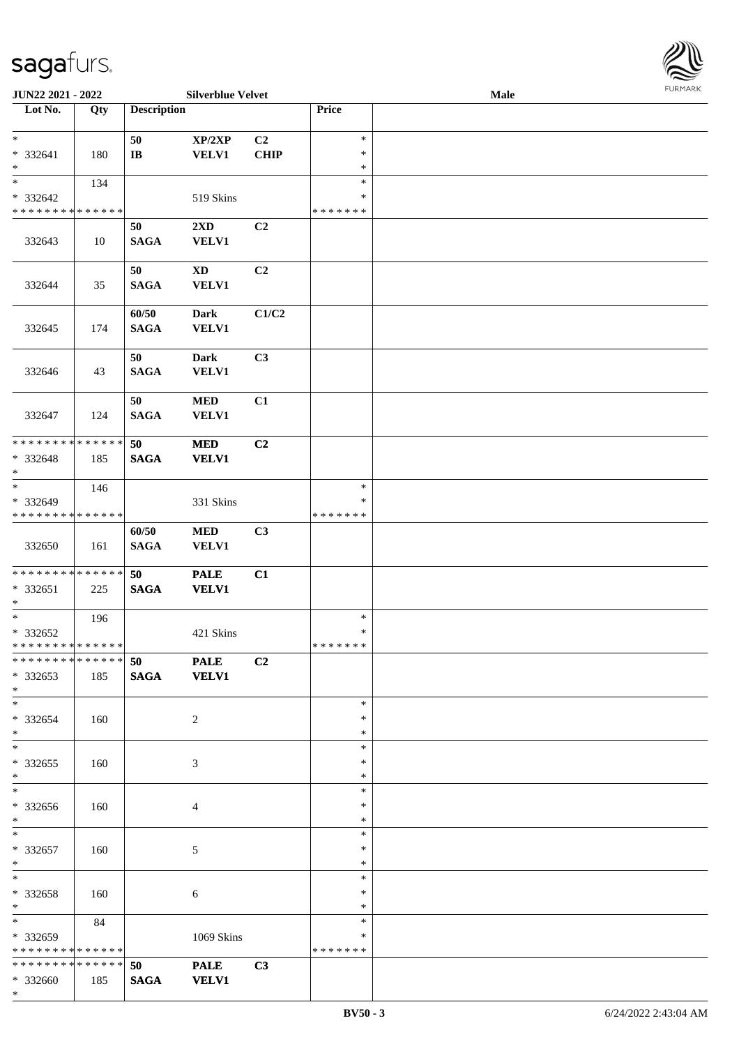

| JUN22 2021 - 2022             |     |                    | <b>Silverblue Velvet</b> |                |               | <b>Male</b> |  |
|-------------------------------|-----|--------------------|--------------------------|----------------|---------------|-------------|--|
| Lot No.                       | Qty | <b>Description</b> |                          |                | Price         |             |  |
|                               |     |                    |                          |                |               |             |  |
| $*$                           |     | 50                 | XP/2XP                   | C <sub>2</sub> | $\ast$        |             |  |
| * 332641                      | 180 | $\bf I\bf B$       | <b>VELV1</b>             | <b>CHIP</b>    | $\ast$        |             |  |
| $\ast$                        |     |                    |                          |                | $\ast$        |             |  |
| $*$                           | 134 |                    |                          |                | $\ast$        |             |  |
| $* 332642$                    |     |                    | 519 Skins                |                | ∗             |             |  |
| * * * * * * * * * * * * * *   |     |                    |                          |                | * * * * * * * |             |  |
|                               |     | 50                 | 2XD                      | C2             |               |             |  |
|                               |     |                    |                          |                |               |             |  |
| 332643                        | 10  | <b>SAGA</b>        | <b>VELV1</b>             |                |               |             |  |
|                               |     |                    |                          |                |               |             |  |
|                               |     | 50                 | $\mathbf{X}\mathbf{D}$   | C2             |               |             |  |
| 332644                        | 35  | <b>SAGA</b>        | <b>VELV1</b>             |                |               |             |  |
|                               |     |                    |                          |                |               |             |  |
|                               |     | 60/50              | Dark                     | C1/C2          |               |             |  |
| 332645                        | 174 | <b>SAGA</b>        | VELV1                    |                |               |             |  |
|                               |     |                    |                          |                |               |             |  |
|                               |     | 50                 | <b>Dark</b>              | C3             |               |             |  |
| 332646                        | 43  | <b>SAGA</b>        | <b>VELV1</b>             |                |               |             |  |
|                               |     |                    |                          |                |               |             |  |
|                               |     | 50                 | <b>MED</b>               | C1             |               |             |  |
|                               |     |                    |                          |                |               |             |  |
| 332647                        | 124 | <b>SAGA</b>        | VELV1                    |                |               |             |  |
|                               |     |                    |                          |                |               |             |  |
| * * * * * * * * * * * * * *   |     | 50                 | <b>MED</b>               | C2             |               |             |  |
| * 332648                      | 185 | <b>SAGA</b>        | <b>VELV1</b>             |                |               |             |  |
| $*$                           |     |                    |                          |                |               |             |  |
| $*$                           | 146 |                    |                          |                | $\ast$        |             |  |
| * 332649                      |     |                    | 331 Skins                |                | $\ast$        |             |  |
| * * * * * * * * * * * * * *   |     |                    |                          |                | * * * * * * * |             |  |
|                               |     | 60/50              | <b>MED</b>               | C3             |               |             |  |
| 332650                        | 161 | <b>SAGA</b>        | <b>VELV1</b>             |                |               |             |  |
|                               |     |                    |                          |                |               |             |  |
| * * * * * * * * * * * * * *   |     | 50                 | <b>PALE</b>              | C1             |               |             |  |
|                               |     |                    |                          |                |               |             |  |
| * 332651                      | 225 | <b>SAGA</b>        | <b>VELV1</b>             |                |               |             |  |
| $*$                           |     |                    |                          |                |               |             |  |
| $*$                           | 196 |                    |                          |                | $\ast$        |             |  |
| * 332652                      |     |                    | 421 Skins                |                | $\ast$        |             |  |
| * * * * * * * * * * * * * * * |     |                    |                          |                | *******       |             |  |
| ******** <mark>******</mark>  |     | 50                 | <b>PALE</b>              | C <sub>2</sub> |               |             |  |
| * 332653                      | 185 | <b>SAGA</b>        | <b>VELV1</b>             |                |               |             |  |
| $*$                           |     |                    |                          |                |               |             |  |
| $*$                           |     |                    |                          |                | $\ast$        |             |  |
| * 332654                      | 160 |                    | 2                        |                | *             |             |  |
| $*$                           |     |                    |                          |                | *             |             |  |
|                               |     |                    |                          |                | $\ast$        |             |  |
| * 332655                      |     |                    |                          |                | $\ast$        |             |  |
| $*$                           | 160 |                    | 3                        |                | $\ast$        |             |  |
|                               |     |                    |                          |                |               |             |  |
| $*$                           |     |                    |                          |                | $\ast$        |             |  |
| $* 332656$                    | 160 |                    | 4                        |                | *             |             |  |
| $*$                           |     |                    |                          |                | $\ast$        |             |  |
| $*$                           |     |                    |                          |                | $\ast$        |             |  |
| * 332657                      | 160 |                    | 5                        |                | $\ast$        |             |  |
| $*$                           |     |                    |                          |                | $\ast$        |             |  |
| $*$                           |     |                    |                          |                | $\ast$        |             |  |
| * 332658                      | 160 |                    | 6                        |                | $\ast$        |             |  |
| $*$                           |     |                    |                          |                | $\ast$        |             |  |
| $*$ and $*$                   |     |                    |                          |                | $\ast$        |             |  |
|                               | 84  |                    |                          |                |               |             |  |
| * 332659                      |     |                    | 1069 Skins               |                | ∗             |             |  |
| * * * * * * * * * * * * * *   |     |                    |                          |                | * * * * * * * |             |  |
| * * * * * * * * * * * * * * * |     | 50                 | <b>PALE</b>              | C3             |               |             |  |
| * 332660                      | 185 | <b>SAGA</b>        | <b>VELV1</b>             |                |               |             |  |
| $*$                           |     |                    |                          |                |               |             |  |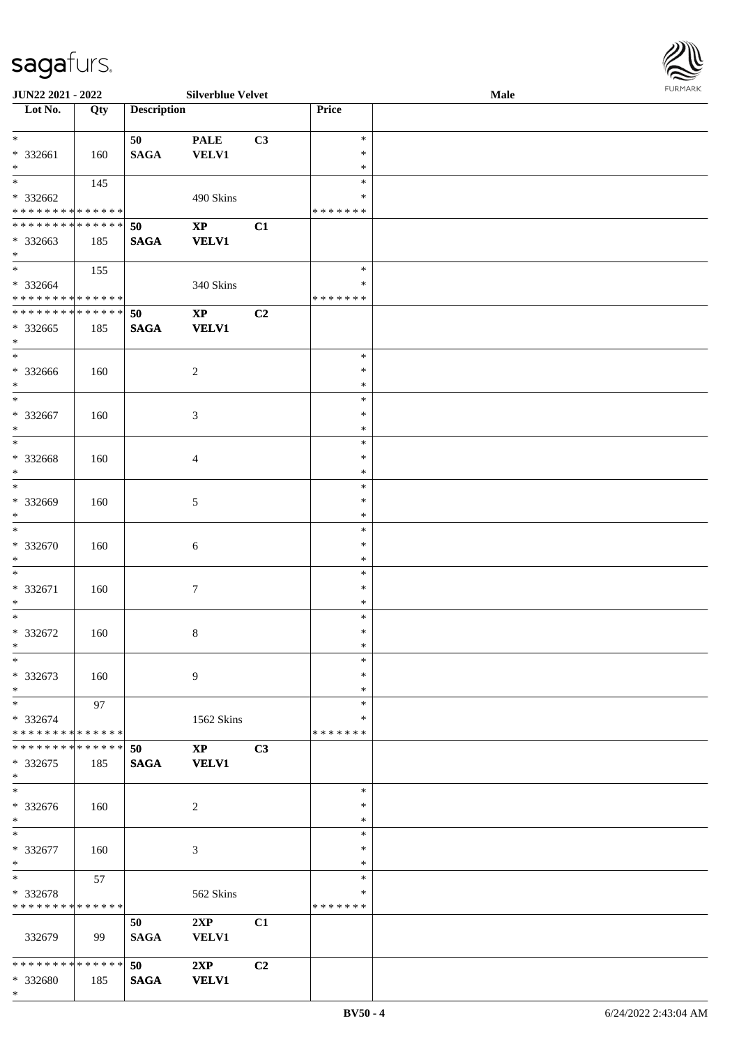| JUN22 2021 - 2022             |     |                    | <b>Silverblue Velvet</b> |                |               | <b>Male</b> |  |
|-------------------------------|-----|--------------------|--------------------------|----------------|---------------|-------------|--|
| Lot No.                       | Qty | <b>Description</b> |                          |                | Price         |             |  |
|                               |     |                    |                          |                |               |             |  |
| $\ast$                        |     | 50                 | <b>PALE</b>              | C3             | $\ast$        |             |  |
| * 332661                      | 160 | <b>SAGA</b>        | <b>VELV1</b>             |                | $\ast$        |             |  |
| $\ast$                        |     |                    |                          |                | $\ast$        |             |  |
| $*$                           | 145 |                    |                          |                | $\ast$        |             |  |
| * 332662                      |     |                    | 490 Skins                |                | ∗             |             |  |
| * * * * * * * * * * * * * *   |     |                    |                          |                | * * * * * * * |             |  |
| **************                |     | 50                 | $\mathbf{X}\mathbf{P}$   | C1             |               |             |  |
|                               |     |                    |                          |                |               |             |  |
| * 332663                      | 185 | <b>SAGA</b>        | <b>VELV1</b>             |                |               |             |  |
| $*$<br>$\overline{\ast}$      |     |                    |                          |                |               |             |  |
|                               | 155 |                    |                          |                | $\ast$        |             |  |
| * 332664                      |     |                    | 340 Skins                |                | $\ast$        |             |  |
| * * * * * * * * * * * * * * * |     |                    |                          |                | * * * * * * * |             |  |
| * * * * * * * * * * * * * *   |     | 50                 | $\mathbf{X}\mathbf{P}$   | C <sub>2</sub> |               |             |  |
| $*332665$                     | 185 | <b>SAGA</b>        | <b>VELV1</b>             |                |               |             |  |
| $\ast$                        |     |                    |                          |                |               |             |  |
| $\ast$                        |     |                    |                          |                | $\ast$        |             |  |
| $*332666$                     | 160 |                    | $\sqrt{2}$               |                | $\ast$        |             |  |
| $\ast$                        |     |                    |                          |                | $\ast$        |             |  |
| $\ast$                        |     |                    |                          |                | $\ast$        |             |  |
|                               |     |                    |                          |                |               |             |  |
| $* 332667$                    | 160 |                    | 3                        |                | $\ast$        |             |  |
| $\ast$                        |     |                    |                          |                | $\ast$        |             |  |
| $\ast$                        |     |                    |                          |                | $\ast$        |             |  |
| * 332668                      | 160 |                    | 4                        |                | $\ast$        |             |  |
| $\ast$                        |     |                    |                          |                | $\ast$        |             |  |
| $\ast$                        |     |                    |                          |                | $\ast$        |             |  |
| * 332669                      | 160 |                    | 5                        |                | $\ast$        |             |  |
| $\ast$                        |     |                    |                          |                | $\ast$        |             |  |
| $\overline{\phantom{a}^*}$    |     |                    |                          |                | $\ast$        |             |  |
| $* 332670$                    |     |                    |                          |                | $\ast$        |             |  |
|                               | 160 |                    | 6                        |                |               |             |  |
| $\ast$                        |     |                    |                          |                | $\ast$        |             |  |
| $\ast$                        |     |                    |                          |                | $\ast$        |             |  |
| * 332671                      | 160 |                    | $\tau$                   |                | $\ast$        |             |  |
| $\ast$                        |     |                    |                          |                | $\ast$        |             |  |
| $\ast$                        |     |                    |                          |                | $\ast$        |             |  |
| $* 332672$                    | 160 |                    | 8                        |                | $\ast$        |             |  |
| $*$                           |     |                    |                          |                | $\ast$        |             |  |
| $\ast$                        |     |                    |                          |                | $\ast$        |             |  |
| * 332673                      | 160 |                    | $\overline{9}$           |                | $\ast$        |             |  |
| $\ast$                        |     |                    |                          |                | $\ast$        |             |  |
| $\ast$                        |     |                    |                          |                | $\ast$        |             |  |
|                               | 97  |                    |                          |                |               |             |  |
| * 332674                      |     |                    | 1562 Skins               |                | ∗             |             |  |
| * * * * * * * * * * * * * *   |     |                    |                          |                | * * * * * * * |             |  |
| **************                |     | 50                 | $\mathbf{X}\mathbf{P}$   | C3             |               |             |  |
| * 332675                      | 185 | <b>SAGA</b>        | <b>VELV1</b>             |                |               |             |  |
| $\ast$                        |     |                    |                          |                |               |             |  |
| $\ast$                        |     |                    |                          |                | $\ast$        |             |  |
| * 332676                      | 160 |                    | $\overline{c}$           |                | $\ast$        |             |  |
| $*$                           |     |                    |                          |                | $\ast$        |             |  |
| $\ast$                        |     |                    |                          |                | $\ast$        |             |  |
|                               |     |                    |                          |                | $\ast$        |             |  |
| * 332677                      | 160 |                    | 3                        |                | $\ast$        |             |  |
| $*$                           |     |                    |                          |                |               |             |  |
| $\ast$                        | 57  |                    |                          |                | $\ast$        |             |  |
| * 332678                      |     |                    | 562 Skins                |                | $\ast$        |             |  |
| * * * * * * * * * * * * * *   |     |                    |                          |                | * * * * * * * |             |  |
|                               |     | 50                 | 2XP                      | C1             |               |             |  |
| 332679                        | 99  | <b>SAGA</b>        | <b>VELV1</b>             |                |               |             |  |
|                               |     |                    |                          |                |               |             |  |
| * * * * * * * * * * * * * * * |     | 50                 | 2XP                      | C2             |               |             |  |
| * 332680                      | 185 | <b>SAGA</b>        | <b>VELV1</b>             |                |               |             |  |
|                               |     |                    |                          |                |               |             |  |

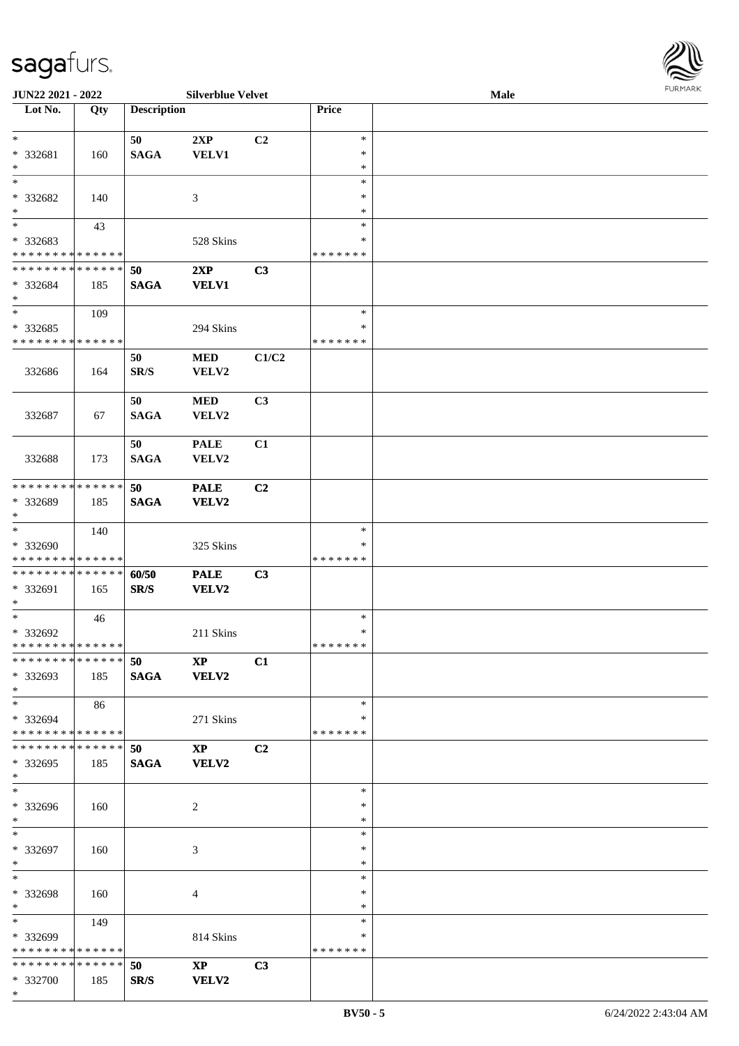| URMARK<br>F |
|-------------|

| JUN22 2021 - 2022                                            |     |                    | <b>Silverblue Velvet</b>        |                |                                   | Male | <b>FURMARK</b> |
|--------------------------------------------------------------|-----|--------------------|---------------------------------|----------------|-----------------------------------|------|----------------|
| Lot No.                                                      | Qty | <b>Description</b> |                                 |                | Price                             |      |                |
| $\ast$<br>* 332681<br>$*$                                    | 160 | 50<br><b>SAGA</b>  | 2XP<br><b>VELV1</b>             | C <sub>2</sub> | $\ast$<br>$\ast$<br>$\ast$        |      |                |
| $*$<br>* 332682<br>$*$                                       | 140 |                    | 3                               |                | $\ast$<br>$\ast$<br>$\ast$        |      |                |
| $*$<br>* 332683<br>* * * * * * * * * * * * * *               | 43  |                    | 528 Skins                       |                | $\ast$<br>$\ast$<br>* * * * * * * |      |                |
| * * * * * * * * * * * * * *<br>* 332684<br>$*$               | 185 | 50<br><b>SAGA</b>  | 2XP<br><b>VELV1</b>             | C3             |                                   |      |                |
| $*$<br>* 332685<br>* * * * * * * * * * * * * *               | 109 |                    | 294 Skins                       |                | $\ast$<br>∗<br>* * * * * * *      |      |                |
| 332686                                                       | 164 | 50<br>SR/S         | <b>MED</b><br>VELV2             | C1/C2          |                                   |      |                |
| 332687                                                       | 67  | 50<br><b>SAGA</b>  | <b>MED</b><br>VELV2             | C <sub>3</sub> |                                   |      |                |
| 332688                                                       | 173 | 50<br><b>SAGA</b>  | <b>PALE</b><br>VELV2            | C1             |                                   |      |                |
| * * * * * * * * * * * * * *<br>* 332689<br>$*$               | 185 | 50<br><b>SAGA</b>  | <b>PALE</b><br>VELV2            | C2             |                                   |      |                |
| $*$<br>* 332690<br>* * * * * * * * * * * * * *               | 140 |                    | 325 Skins                       |                | $\ast$<br>∗<br>* * * * * * *      |      |                |
| * * * * * * * * * * * * * *<br>* 332691<br>$*$               | 165 | 60/50<br>SR/S      | <b>PALE</b><br>VELV2            | C3             |                                   |      |                |
| $\overline{\ast}$<br>* 332692<br>* * * * * * * * * * * * * * | 46  |                    | 211 Skins                       |                | $\ast$<br>$\ast$<br>* * * * * * * |      |                |
| * * * * * * * * * * * * * * *<br>* 332693<br>$*$             | 185 | 50<br><b>SAGA</b>  | $\mathbf{X}\mathbf{P}$<br>VELV2 | C1             |                                   |      |                |
| $*$<br>* 332694<br>* * * * * * * * * * * * * * *             | 86  |                    | 271 Skins                       |                | $\ast$<br>$\ast$<br>* * * * * * * |      |                |
| * * * * * * * * * * * * * * *<br>$*332695$<br>$*$            | 185 | 50<br><b>SAGA</b>  | $\mathbf{XP}$<br><b>VELV2</b>   | C2             |                                   |      |                |
| $\ast$<br>* 332696<br>$*$                                    | 160 |                    | 2                               |                | $\ast$<br>∗<br>$\ast$             |      |                |
| $*$<br>* 332697<br>$*$                                       | 160 |                    | 3                               |                | $\ast$<br>∗<br>∗                  |      |                |
| $*$<br>* 332698<br>$*$                                       | 160 |                    | 4                               |                | $\ast$<br>$\ast$<br>$\ast$        |      |                |
| $*$<br>* 332699<br>* * * * * * * * * * * * * *               | 149 |                    | 814 Skins                       |                | $\ast$<br>∗<br>* * * * * * *      |      |                |
| * * * * * * * * * * * * * * *<br>* 332700<br>$*$             | 185 | 50<br>SR/S         | $\mathbf{X}\mathbf{P}$<br>VELV2 | C3             |                                   |      |                |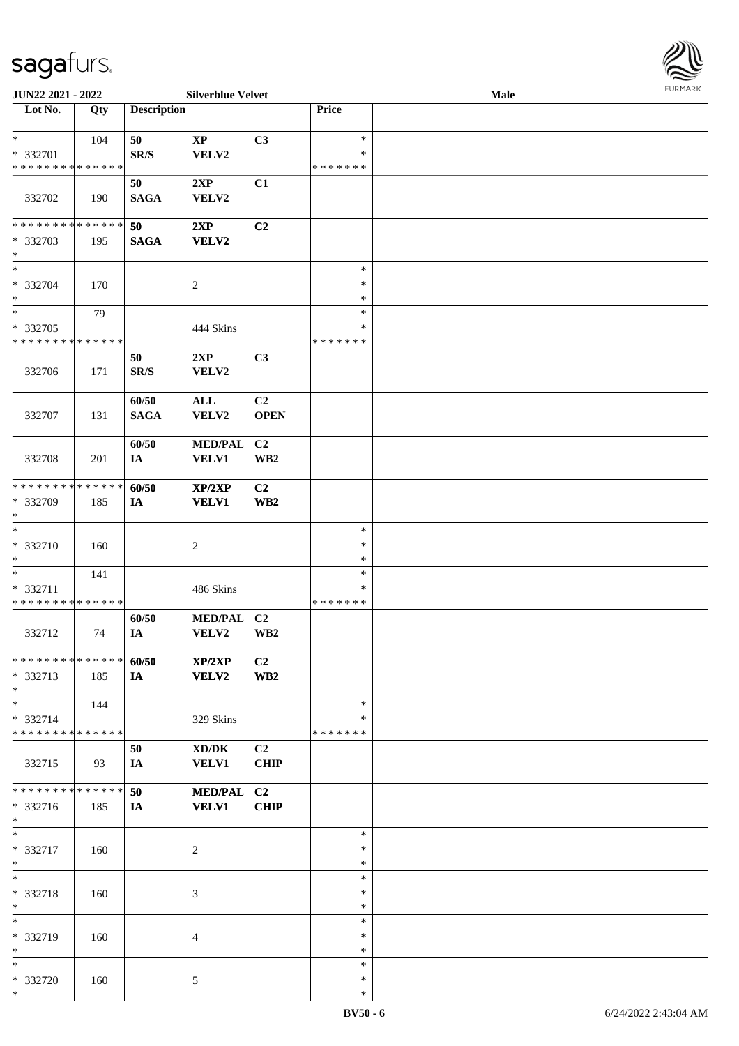

| JUN22 2021 - 2022                                   |     |                      | <b>Silverblue Velvet</b>       |                                           |                                   | Male |  |
|-----------------------------------------------------|-----|----------------------|--------------------------------|-------------------------------------------|-----------------------------------|------|--|
| Lot No.                                             | Qty | <b>Description</b>   |                                |                                           | Price                             |      |  |
| $\ast$<br>* 332701<br>* * * * * * * * * * * * * *   | 104 | 50<br>SR/S           | $\bold{XP}$<br>VELV2           | C3                                        | $\ast$<br>$\ast$<br>* * * * * * * |      |  |
| 332702                                              | 190 | 50<br><b>SAGA</b>    | 2XP<br>VELV2                   | C1                                        |                                   |      |  |
| * * * * * * * * * * * * * *<br>* 332703<br>$\ast$   | 195 | 50<br><b>SAGA</b>    | 2XP<br><b>VELV2</b>            | C2                                        |                                   |      |  |
| $\ast$<br>* 332704<br>$\ast$                        | 170 |                      | $\overline{c}$                 |                                           | $\ast$<br>$\ast$<br>$\ast$        |      |  |
| $\ast$<br>$* 332705$<br>* * * * * * * * * * * * * * | 79  |                      | 444 Skins                      |                                           | $\ast$<br>$\ast$<br>* * * * * * * |      |  |
| 332706                                              | 171 | 50<br>SR/S           | 2XP<br>VELV2                   | C3                                        |                                   |      |  |
| 332707                                              | 131 | 60/50<br><b>SAGA</b> | $\mathbf{ALL}$<br>VELV2        | C <sub>2</sub><br><b>OPEN</b>             |                                   |      |  |
| 332708                                              | 201 | 60/50<br>IA          | <b>MED/PAL</b><br><b>VELV1</b> | C <sub>2</sub><br>$\mathbf{W}\mathbf{B2}$ |                                   |      |  |
| * * * * * * * * * * * * * *<br>* 332709<br>$\ast$   | 185 | 60/50<br>IA          | XP/2XP<br><b>VELV1</b>         | C2<br>WB2                                 |                                   |      |  |
| $\ast$<br>* 332710<br>$*$                           | 160 |                      | $\sqrt{2}$                     |                                           | $\ast$<br>$\ast$<br>$\ast$        |      |  |
| $\ast$<br>* 332711<br>* * * * * * * * * * * * * *   | 141 |                      | 486 Skins                      |                                           | $\ast$<br>*<br>* * * * * * *      |      |  |
| 332712                                              | 74  | 60/50<br>IA          | <b>MED/PAL</b><br>VELV2        | C <sub>2</sub><br>$\mathbf{W}\mathbf{B2}$ |                                   |      |  |
| * * * * * * * * * * * * * *<br>* 332713<br>$*$      | 185 | 60/50<br>IA          | XP/2XP<br><b>VELV2</b>         | C <sub>2</sub><br>WB <sub>2</sub>         |                                   |      |  |
| $*$<br>* 332714<br>* * * * * * * * * * * * * *      | 144 |                      | 329 Skins                      |                                           | $\ast$<br>*<br>* * * * * * *      |      |  |
| 332715                                              | 93  | 50<br>IA             | XD/DK<br><b>VELV1</b>          | C <sub>2</sub><br><b>CHIP</b>             |                                   |      |  |
| * * * * * * * * * * * * * *<br>* 332716<br>$*$      | 185 | 50<br>IA             | MED/PAL C2<br><b>VELV1</b>     | <b>CHIP</b>                               |                                   |      |  |
| $\ast$<br>* 332717<br>$*$                           | 160 |                      | $\overline{c}$                 |                                           | $\ast$<br>$\ast$<br>$\ast$        |      |  |
| $\ast$<br>* 332718<br>$*$                           | 160 |                      | 3                              |                                           | $\ast$<br>$\ast$<br>$\ast$        |      |  |
| $\overline{\ast}$<br>* 332719<br>$*$                | 160 |                      | 4                              |                                           | $\ast$<br>∗<br>$\ast$             |      |  |
| $*$<br>* 332720<br>$*$                              | 160 |                      | 5                              |                                           | $\ast$<br>$\ast$<br>$\ast$        |      |  |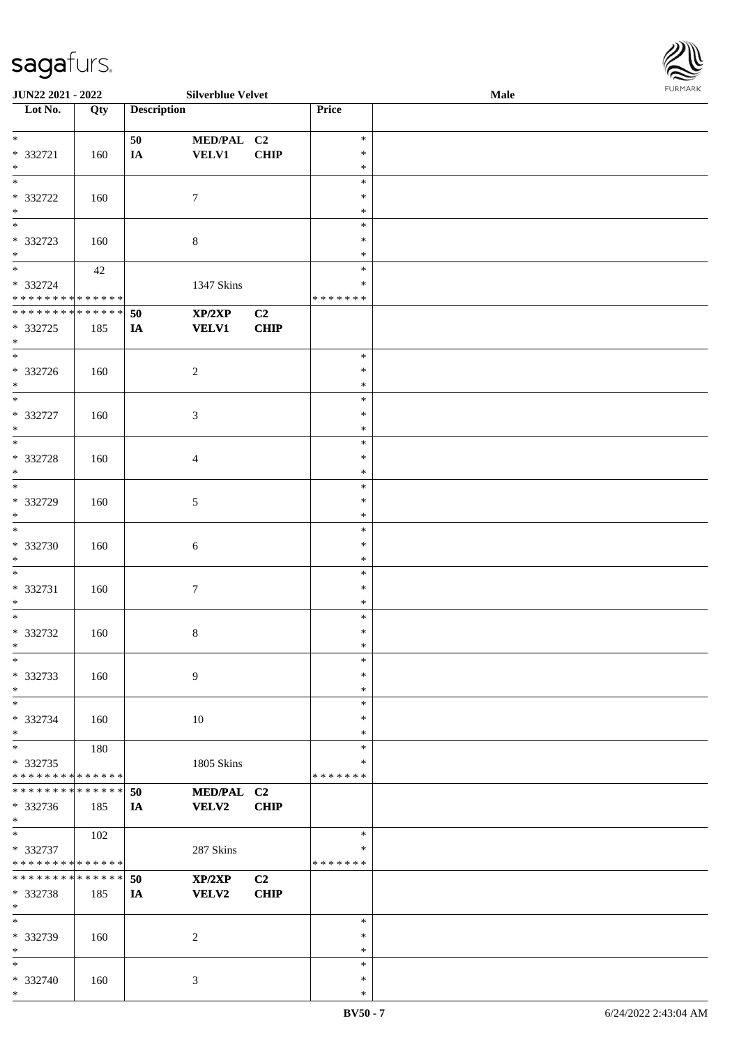| <b>JUN22 2021 - 2022</b>                   |     |                    | <b>Silverblue Velvet</b> |                |               | Male |  |
|--------------------------------------------|-----|--------------------|--------------------------|----------------|---------------|------|--|
| Lot No.                                    | Qty | <b>Description</b> |                          |                | Price         |      |  |
|                                            |     |                    |                          |                |               |      |  |
| $*$                                        |     | 50                 | MED/PAL C2               |                | $\ast$        |      |  |
| * 332721                                   | 160 | IA                 | <b>VELV1</b>             | CHIP           | $\ast$        |      |  |
| $\ast$                                     |     |                    |                          |                | $\ast$        |      |  |
|                                            |     |                    |                          |                | $\ast$        |      |  |
| * 332722                                   | 160 |                    | $\tau$                   |                | $\ast$        |      |  |
| $\ast$                                     |     |                    |                          |                | $\ast$        |      |  |
| $\overline{\phantom{0}}$                   |     |                    |                          |                | $\ast$        |      |  |
|                                            |     |                    |                          |                | $\ast$        |      |  |
| * 332723                                   | 160 |                    | $\,8\,$                  |                |               |      |  |
| $\ast$                                     |     |                    |                          |                | $\ast$        |      |  |
| $*$                                        | 42  |                    |                          |                | $\ast$        |      |  |
| * 332724                                   |     |                    | 1347 Skins               |                | $\ast$        |      |  |
| * * * * * * * * <mark>* * * * * *</mark>   |     |                    |                          |                | * * * * * * * |      |  |
| * * * * * * * * * * * * * * *              |     | 50                 | XP/2XP                   | C2             |               |      |  |
| * 332725                                   | 185 | <b>IA</b>          | <b>VELV1</b>             | <b>CHIP</b>    |               |      |  |
| $\ast$                                     |     |                    |                          |                |               |      |  |
| $\overline{\phantom{0}}$                   |     |                    |                          |                | $\ast$        |      |  |
| * 332726                                   | 160 |                    | $\overline{c}$           |                | $\ast$        |      |  |
|                                            |     |                    |                          |                | $\ast$        |      |  |
| $*$<br>$\overline{\ast}$                   |     |                    |                          |                |               |      |  |
|                                            |     |                    |                          |                | $\ast$        |      |  |
| * 332727                                   | 160 |                    | $\mathfrak{Z}$           |                | $\ast$        |      |  |
| $*$                                        |     |                    |                          |                | $\ast$        |      |  |
|                                            |     |                    |                          |                | $\ast$        |      |  |
| * 332728                                   | 160 |                    | $\overline{4}$           |                | $\ast$        |      |  |
| $\ast$                                     |     |                    |                          |                | $\ast$        |      |  |
| $\overline{\ }$                            |     |                    |                          |                | $\ast$        |      |  |
| * 332729                                   |     |                    |                          |                | $\ast$        |      |  |
|                                            | 160 |                    | $\sqrt{5}$               |                |               |      |  |
| $\ast$                                     |     |                    |                          |                | $\ast$        |      |  |
| $\ast$                                     |     |                    |                          |                | $\ast$        |      |  |
| * 332730                                   | 160 |                    | 6                        |                | $\ast$        |      |  |
| $*$                                        |     |                    |                          |                | $\ast$        |      |  |
| $\ast$                                     |     |                    |                          |                | $\ast$        |      |  |
| * 332731                                   | 160 |                    | $\boldsymbol{7}$         |                | $\ast$        |      |  |
| $\ast$                                     |     |                    |                          |                | $\ast$        |      |  |
| $\ast$                                     |     |                    |                          |                | $\ast$        |      |  |
| * 332732                                   |     |                    |                          |                | $\ast$        |      |  |
|                                            | 160 |                    | 8                        |                |               |      |  |
| $*$                                        |     |                    |                          |                | $\ast$        |      |  |
| $\ast$                                     |     |                    |                          |                | $\ast$        |      |  |
| * 332733                                   | 160 |                    | 9                        |                | $\ast$        |      |  |
| $*$                                        |     |                    |                          |                | $\ast$        |      |  |
| $\ast$                                     |     |                    |                          |                | $\ast$        |      |  |
| * 332734                                   | 160 |                    | 10                       |                | $\ast$        |      |  |
| $\ast$                                     |     |                    |                          |                | ∗             |      |  |
| $\ddot{x}$                                 | 180 |                    |                          |                | $\ast$        |      |  |
| * 332735                                   |     |                    | 1805 Skins               |                | ∗             |      |  |
| * * * * * * * * <mark>* * * * * * *</mark> |     |                    |                          |                | *******       |      |  |
|                                            |     |                    |                          |                |               |      |  |
| * * * * * * * * <mark>* * * * * * *</mark> |     | 50                 | MED/PAL C2               |                |               |      |  |
| * 332736                                   | 185 | IA                 | <b>VELV2</b>             | CHIP           |               |      |  |
| $*$                                        |     |                    |                          |                |               |      |  |
| $\overline{\mathbf{r}^*}$                  | 102 |                    |                          |                | $\ast$        |      |  |
| * 332737                                   |     |                    | 287 Skins                |                | ∗             |      |  |
| * * * * * * * * <mark>* * * * * * *</mark> |     |                    |                          |                | *******       |      |  |
| * * * * * * * * <mark>* * * * * *</mark>   |     | 50                 | XP/2XP                   | C <sub>2</sub> |               |      |  |
|                                            |     |                    |                          |                |               |      |  |
| * 332738                                   | 185 | IA                 | <b>VELV2</b>             | CHIP           |               |      |  |
| $*$                                        |     |                    |                          |                |               |      |  |
| $*$                                        |     |                    |                          |                | $\ast$        |      |  |
| * 332739                                   | 160 |                    | 2                        |                | $\ast$        |      |  |
| $*$                                        |     |                    |                          |                | $\ast$        |      |  |
| $\ast$                                     |     |                    |                          |                | $\ast$        |      |  |
| * 332740                                   | 160 |                    | $\mathfrak{Z}$           |                | $\ast$        |      |  |

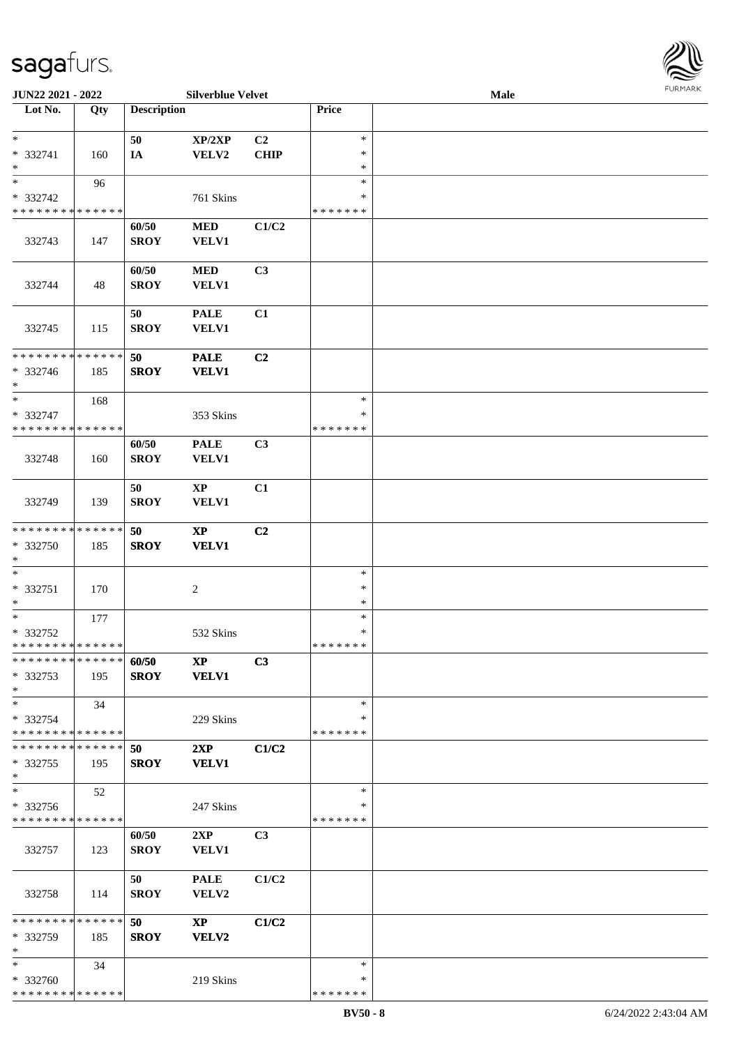

| JUN22 2021 - 2022             |     |                    | <b>Silverblue Velvet</b> |                |               | Male |  |
|-------------------------------|-----|--------------------|--------------------------|----------------|---------------|------|--|
| Lot No.                       | Qty | <b>Description</b> |                          |                | Price         |      |  |
|                               |     |                    |                          |                |               |      |  |
| $\ast$                        |     | 50                 | XP/2XP                   | C <sub>2</sub> | $\ast$        |      |  |
| $* 332741$                    | 160 | IA                 | ${\bf VELV2}$            | <b>CHIP</b>    | $\ast$        |      |  |
| $\ast$                        |     |                    |                          |                | $\ast$        |      |  |
| $\ast$                        | 96  |                    |                          |                | $\ast$        |      |  |
| * 332742                      |     |                    | 761 Skins                |                | ∗             |      |  |
| * * * * * * * * * * * * * *   |     |                    |                          |                | * * * * * * * |      |  |
|                               |     | 60/50              | $\bf MED$                | C1/C2          |               |      |  |
|                               |     |                    |                          |                |               |      |  |
| 332743                        | 147 | <b>SROY</b>        | VELV1                    |                |               |      |  |
|                               |     |                    |                          |                |               |      |  |
|                               |     | 60/50              | $\bf MED$                | C3             |               |      |  |
| 332744                        | 48  | <b>SROY</b>        | VELV1                    |                |               |      |  |
|                               |     |                    |                          |                |               |      |  |
|                               |     | 50                 | <b>PALE</b>              | C1             |               |      |  |
| 332745                        | 115 | <b>SROY</b>        | VELV1                    |                |               |      |  |
|                               |     |                    |                          |                |               |      |  |
| * * * * * * * * * * * * * *   |     | 50                 | <b>PALE</b>              | C2             |               |      |  |
| * 332746                      | 185 | <b>SROY</b>        | <b>VELV1</b>             |                |               |      |  |
| $\ast$                        |     |                    |                          |                |               |      |  |
| $\ast$                        | 168 |                    |                          |                | $\ast$        |      |  |
| * 332747                      |     |                    | 353 Skins                |                | ∗             |      |  |
| * * * * * * * * * * * * * *   |     |                    |                          |                | * * * * * * * |      |  |
|                               |     |                    |                          |                |               |      |  |
|                               |     | 60/50              | <b>PALE</b>              | C3             |               |      |  |
| 332748                        | 160 | <b>SROY</b>        | VELV1                    |                |               |      |  |
|                               |     |                    |                          |                |               |      |  |
|                               |     | 50                 | $\mathbf{X}\mathbf{P}$   | C1             |               |      |  |
| 332749                        | 139 | <b>SROY</b>        | VELV1                    |                |               |      |  |
|                               |     |                    |                          |                |               |      |  |
| **************                |     | 50                 | $\bold{XP}$              | C <sub>2</sub> |               |      |  |
| * 332750                      | 185 | <b>SROY</b>        | <b>VELV1</b>             |                |               |      |  |
| $\ast$                        |     |                    |                          |                |               |      |  |
| $\ast$                        |     |                    |                          |                | $\ast$        |      |  |
| * 332751                      | 170 |                    | $\boldsymbol{2}$         |                | $\ast$        |      |  |
| $\ast$                        |     |                    |                          |                | $\ast$        |      |  |
| $\ast$                        | 177 |                    |                          |                | $\ast$        |      |  |
| * 332752                      |     |                    | 532 Skins                |                | $\ast$        |      |  |
| **************                |     |                    |                          |                | *******       |      |  |
| * * * * * * * * * * * * * *   |     | 60/50              | $\mathbf{X}\mathbf{P}$   | C3             |               |      |  |
| * 332753                      |     | <b>SROY</b>        | <b>VELV1</b>             |                |               |      |  |
|                               | 195 |                    |                          |                |               |      |  |
| $*$                           |     |                    |                          |                |               |      |  |
| $\ast$                        | 34  |                    |                          |                | $\ast$        |      |  |
| * 332754                      |     |                    | 229 Skins                |                | ∗             |      |  |
| * * * * * * * * * * * * * *   |     |                    |                          |                | * * * * * * * |      |  |
| * * * * * * * * * * * * * * * |     | 50                 | 2XP                      | C1/C2          |               |      |  |
| $*332755$                     | 195 | <b>SROY</b>        | <b>VELV1</b>             |                |               |      |  |
| $\ast$                        |     |                    |                          |                |               |      |  |
| $\ast$                        | 52  |                    |                          |                | $\ast$        |      |  |
| * 332756                      |     |                    | 247 Skins                |                | ∗             |      |  |
| * * * * * * * * * * * * * *   |     |                    |                          |                | * * * * * * * |      |  |
|                               |     | 60/50              | 2XP                      | C <sub>3</sub> |               |      |  |
| 332757                        | 123 | <b>SROY</b>        | <b>VELV1</b>             |                |               |      |  |
|                               |     |                    |                          |                |               |      |  |
|                               |     | 50                 | <b>PALE</b>              | C1/C2          |               |      |  |
| 332758                        | 114 | <b>SROY</b>        | VELV2                    |                |               |      |  |
|                               |     |                    |                          |                |               |      |  |
| * * * * * * * * * * * * * * * |     |                    |                          |                |               |      |  |
|                               |     | 50                 | $\mathbf{X}\mathbf{P}$   | C1/C2          |               |      |  |
| * 332759                      | 185 | <b>SROY</b>        | VELV2                    |                |               |      |  |
| $\ast$                        |     |                    |                          |                |               |      |  |
| $*$                           | 34  |                    |                          |                | $\ast$        |      |  |
| * 332760                      |     |                    | 219 Skins                |                | ∗             |      |  |
| * * * * * * * * * * * * * *   |     |                    |                          |                | * * * * * * * |      |  |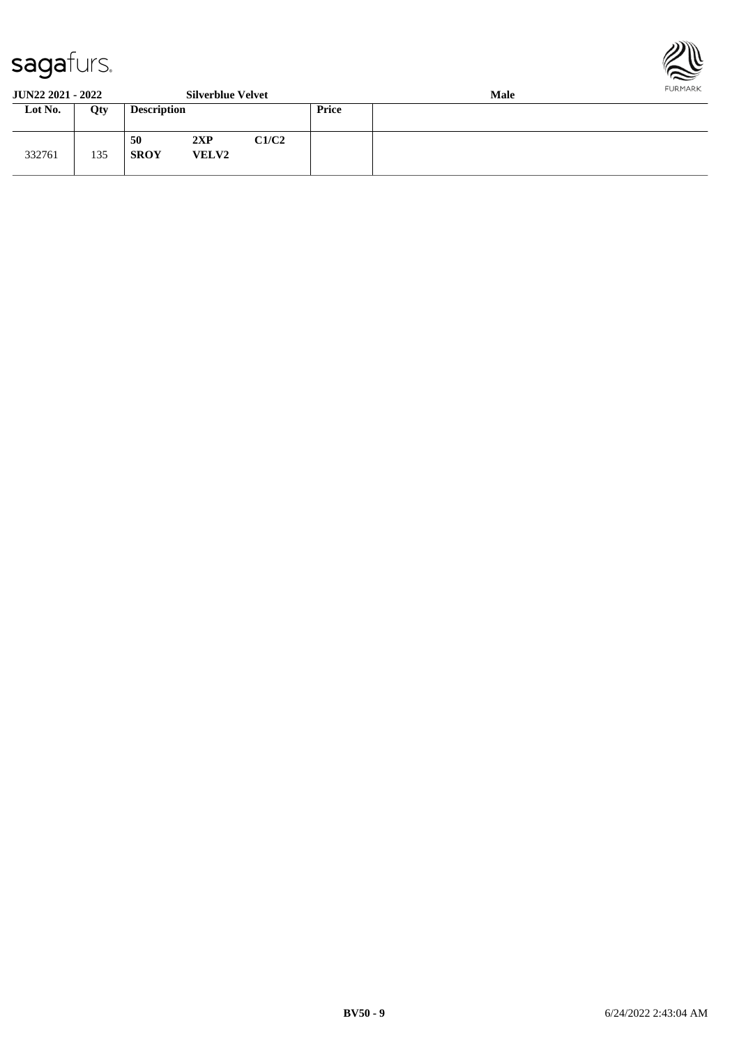

**JUN22 2021 - 2022 Silverblue Velvet Male**

| J VI 1 <i>22 202</i> 1 - 2022 |     |                    | <b>DRIVEDIUC TUITE</b> |       |              | waa |  |  |  |
|-------------------------------|-----|--------------------|------------------------|-------|--------------|-----|--|--|--|
| Lot No.                       | Qty | <b>Description</b> |                        |       | <b>Price</b> |     |  |  |  |
| 332761                        | 135 | 50<br><b>SROY</b>  | 2XP<br><b>VELV2</b>    | C1/C2 |              |     |  |  |  |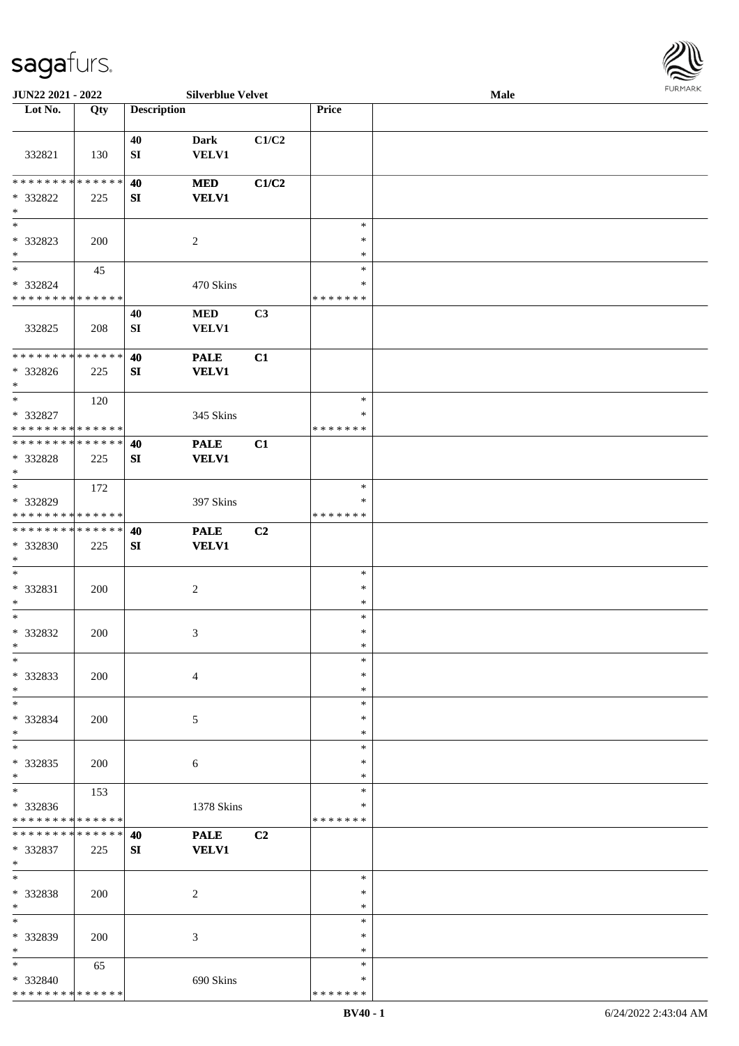

| JUN22 2021 - 2022                                                     |     |                    | <b>Silverblue Velvet</b>    |                |                                   | Male | <b>FURMARK</b> |
|-----------------------------------------------------------------------|-----|--------------------|-----------------------------|----------------|-----------------------------------|------|----------------|
| Lot No.                                                               | Qty | <b>Description</b> |                             |                | Price                             |      |                |
| 332821                                                                | 130 | 40<br>SI           | <b>Dark</b><br><b>VELV1</b> | C1/C2          |                                   |      |                |
| * * * * * * * * * * * * * *<br>* 332822<br>$\ast$                     | 225 | 40<br>SI           | <b>MED</b><br><b>VELV1</b>  | C1/C2          |                                   |      |                |
| $\overline{\phantom{a}^*}$<br>* 332823<br>$*$                         | 200 |                    | $\overline{c}$              |                | $\ast$<br>$\ast$<br>$\ast$        |      |                |
| $\ast$<br>* 332824<br>* * * * * * * * * * * * * *                     | 45  |                    | 470 Skins                   |                | $\ast$<br>$\ast$<br>* * * * * * * |      |                |
| 332825                                                                | 208 | 40<br>SI           | $\bf MED$<br><b>VELV1</b>   | C3             |                                   |      |                |
| ******** <mark>******</mark><br>* 332826<br>$\ast$                    | 225 | 40<br>SI           | <b>PALE</b><br><b>VELV1</b> | C1             |                                   |      |                |
| $*$<br>* 332827<br>* * * * * * * * * * * * * *                        | 120 |                    | 345 Skins                   |                | $\ast$<br>$\ast$<br>* * * * * * * |      |                |
| * * * * * * * * * * * * * *<br>* 332828<br>$\ast$                     | 225 | 40<br>SI           | <b>PALE</b><br><b>VELV1</b> | C1             |                                   |      |                |
| $\overline{\phantom{a}^*}$<br>* 332829<br>* * * * * * * * * * * * * * | 172 |                    | 397 Skins                   |                | $\ast$<br>∗<br>* * * * * * *      |      |                |
| **************<br>* 332830<br>$\ast$                                  | 225 | 40<br>SI           | <b>PALE</b><br><b>VELV1</b> | C <sub>2</sub> |                                   |      |                |
| $\ast$<br>* 332831<br>$\ast$                                          | 200 |                    | $\sqrt{2}$                  |                | $\ast$<br>$\ast$<br>$\ast$        |      |                |
| $\ast$<br>* 332832<br>$\ast$                                          | 200 |                    | 3                           |                | $\ast$<br>$\ast$<br>$\ast$        |      |                |
| $\ast$<br>* 332833<br>$\ast$                                          | 200 |                    | $\overline{4}$              |                | $\ast$<br>∗<br>$\ast$             |      |                |
| $*$<br>* 332834<br>$\ast$                                             | 200 |                    | 5                           |                | $\ast$<br>$\ast$<br>$\ast$        |      |                |
| $_{\ast}^{-}$<br>$* 332835$<br>$\ast$                                 | 200 |                    | 6                           |                | $\ast$<br>∗<br>$\ast$             |      |                |
| $\overline{\phantom{a}}$<br>* 332836<br>* * * * * * * * * * * * * *   | 153 |                    | 1378 Skins                  |                | $\ast$<br>$\ast$<br>* * * * * * * |      |                |
| * * * * * * * * * * * * * *<br>* 332837<br>$\ast$                     | 225 | 40<br>SI           | <b>PALE</b><br><b>VELV1</b> | C <sub>2</sub> |                                   |      |                |
| $\ast$<br>* 332838<br>$\ast$                                          | 200 |                    | 2                           |                | $\ast$<br>∗<br>$\ast$             |      |                |
| $_{\ast}^{-}$<br>* 332839<br>$\ast$                                   | 200 |                    | 3                           |                | $\ast$<br>$\ast$<br>$\ast$        |      |                |
| $\ast$<br>* 332840<br>* * * * * * * * * * * * * *                     | 65  |                    | 690 Skins                   |                | $\ast$<br>∗<br>* * * * * * *      |      |                |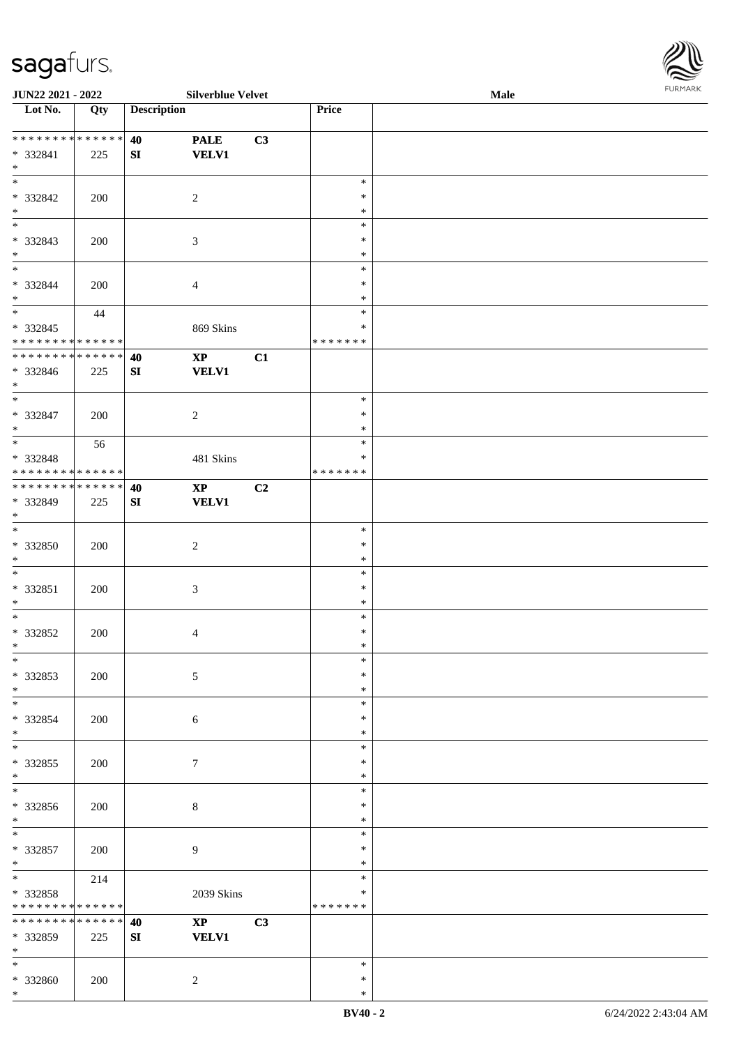

| JUN22 2021 - 2022           |     |                    | <b>Silverblue Velvet</b> |    |               | Male |
|-----------------------------|-----|--------------------|--------------------------|----|---------------|------|
| Lot No.                     | Qty | <b>Description</b> |                          |    | Price         |      |
|                             |     |                    |                          |    |               |      |
| * * * * * * * * * * * * * * |     | 40                 | <b>PALE</b>              | C3 |               |      |
| * 332841                    | 225 | ${\bf SI}$         | <b>VELV1</b>             |    |               |      |
| $\ast$                      |     |                    |                          |    |               |      |
| $\overline{\phantom{a}^*}$  |     |                    |                          |    | $\ast$        |      |
| * 332842                    | 200 |                    | $\overline{2}$           |    | $\ast$        |      |
| $\ast$                      |     |                    |                          |    | $\ast$        |      |
| $\overline{\phantom{0}}$    |     |                    |                          |    | $\ast$        |      |
|                             |     |                    |                          |    | $\ast$        |      |
| * 332843<br>$\ast$          | 200 |                    | $\mathfrak{Z}$           |    |               |      |
| $\overline{\phantom{0}}$    |     |                    |                          |    | $\ast$        |      |
|                             |     |                    |                          |    | $\ast$        |      |
| * 332844                    | 200 |                    | $\overline{4}$           |    | $\ast$        |      |
| $\ast$                      |     |                    |                          |    | $\ast$        |      |
| $\overline{\phantom{a}^*}$  | 44  |                    |                          |    | $\ast$        |      |
| $* 332845$                  |     |                    | 869 Skins                |    | $\ast$        |      |
| * * * * * * * * * * * * * * |     |                    |                          |    | * * * * * * * |      |
| **************              |     | 40                 | $\mathbf{X}\mathbf{P}$   | C1 |               |      |
| * 332846                    | 225 | SI                 | <b>VELV1</b>             |    |               |      |
| $*$                         |     |                    |                          |    |               |      |
| $\overline{\phantom{0}}$    |     |                    |                          |    | $\ast$        |      |
| $* 332847$                  |     |                    |                          |    | $\ast$        |      |
| $*$                         | 200 |                    | $\sqrt{2}$               |    | $\ast$        |      |
| $\overline{\ast}$           |     |                    |                          |    |               |      |
|                             | 56  |                    |                          |    | $\ast$        |      |
| * 332848                    |     |                    | 481 Skins                |    | $\ast$        |      |
| * * * * * * * * * * * * * * |     |                    |                          |    | * * * * * * * |      |
| **************              |     | 40                 | $\bold{XP}$              | C2 |               |      |
| * 332849                    | 225 | SI                 | <b>VELV1</b>             |    |               |      |
| $*$                         |     |                    |                          |    |               |      |
| $\overline{\phantom{a}^*}$  |     |                    |                          |    | $\ast$        |      |
| $* 332850$                  | 200 |                    | $\sqrt{2}$               |    | $\ast$        |      |
| $*$                         |     |                    |                          |    | $\ast$        |      |
| $\ast$                      |     |                    |                          |    | $\ast$        |      |
|                             |     |                    |                          |    | $\ast$        |      |
| * 332851                    | 200 |                    | $\mathfrak{Z}$           |    |               |      |
| $\ast$                      |     |                    |                          |    | $\ast$        |      |
| $\ast$                      |     |                    |                          |    | $\ast$        |      |
| $* 332852$                  | 200 |                    | $\overline{4}$           |    | $\ast$        |      |
| $*$                         |     |                    |                          |    | $\ast$        |      |
| $*$                         |     |                    |                          |    | $\ast$        |      |
| * 332853                    | 200 |                    | 5                        |    | ∗             |      |
| $*$                         |     |                    |                          |    | $\ast$        |      |
| $\ast$                      |     |                    |                          |    | $\ast$        |      |
| * 332854                    | 200 |                    | 6                        |    | *             |      |
| $*$                         |     |                    |                          |    | $\ast$        |      |
| $\overline{\ast}$           |     |                    |                          |    | $\ast$        |      |
| $*332855$                   | 200 |                    |                          |    | $\ast$        |      |
| $*$                         |     |                    | 7                        |    | $\ast$        |      |
| $\overline{\phantom{a}^*}$  |     |                    |                          |    |               |      |
|                             |     |                    |                          |    | $\ast$        |      |
| * 332856                    | 200 |                    | $\,8\,$                  |    | ∗             |      |
| $*$                         |     |                    |                          |    | $\ast$        |      |
| $*$                         |     |                    |                          |    | $\ast$        |      |
| * 332857                    | 200 |                    | 9                        |    | $\ast$        |      |
| $*$                         |     |                    |                          |    | $\ast$        |      |
| $\ast$                      | 214 |                    |                          |    | $\ast$        |      |
| * 332858                    |     |                    | 2039 Skins               |    | $\ast$        |      |
| * * * * * * * * * * * * * * |     |                    |                          |    | * * * * * * * |      |
| * * * * * * * * * * * * * * |     | 40                 | $\mathbf{X}\mathbf{P}$   | C3 |               |      |
|                             |     |                    |                          |    |               |      |
| * 332859                    | 225 | SI                 | <b>VELV1</b>             |    |               |      |
| $\ast$                      |     |                    |                          |    |               |      |
| $*$                         |     |                    |                          |    | $\ast$        |      |
| * 332860                    | 200 |                    | $\overline{2}$           |    | $\ast$        |      |
| $\ast$                      |     |                    |                          |    | $\ast$        |      |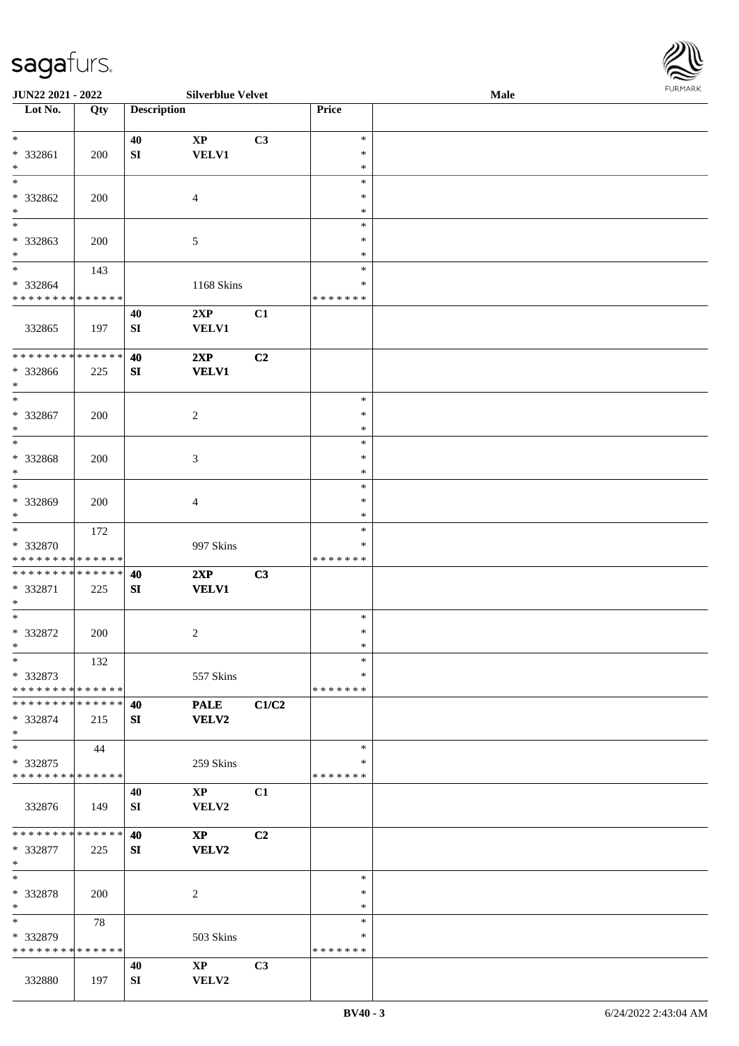| <b>JUN22 2021 - 2022</b>                                                    |     |                    | <b>Silverblue Velvet</b> |                |               | Male | <b>FUNITANN</b> |
|-----------------------------------------------------------------------------|-----|--------------------|--------------------------|----------------|---------------|------|-----------------|
| Lot No.                                                                     | Qty | <b>Description</b> |                          |                | Price         |      |                 |
|                                                                             |     |                    |                          |                |               |      |                 |
| $\ast$                                                                      |     | 40                 | $\mathbf{X}\mathbf{P}$   | C3             | $\ast$        |      |                 |
| * 332861                                                                    | 200 | SI                 | <b>VELV1</b>             |                | $\ast$        |      |                 |
| $\ast$                                                                      |     |                    |                          |                | $\ast$        |      |                 |
| $\overline{\ast}$                                                           |     |                    |                          |                | $\ast$        |      |                 |
| * 332862                                                                    | 200 |                    | $\overline{4}$           |                | $\ast$        |      |                 |
| $\ast$                                                                      |     |                    |                          |                | $\ast$        |      |                 |
| $\ast$                                                                      |     |                    |                          |                | $\ast$        |      |                 |
| * 332863                                                                    | 200 |                    | $\sqrt{5}$               |                | $\ast$        |      |                 |
| $\ast$                                                                      |     |                    |                          |                | $\ast$        |      |                 |
| $\ddot{x}$                                                                  | 143 |                    |                          |                | $\ast$        |      |                 |
| * 332864                                                                    |     |                    | 1168 Skins               |                | *             |      |                 |
| * * * * * * * * * * * * * *                                                 |     |                    |                          |                | * * * * * * * |      |                 |
|                                                                             |     | 40                 | 2XP                      | C1             |               |      |                 |
| 332865                                                                      | 197 | SI                 | <b>VELV1</b>             |                |               |      |                 |
|                                                                             |     |                    |                          |                |               |      |                 |
| * * * * * * * * <mark>* * * * * *</mark>                                    |     | 40                 | 2XP                      | C <sub>2</sub> |               |      |                 |
| * 332866                                                                    | 225 | SI                 | <b>VELV1</b>             |                |               |      |                 |
| $\ast$                                                                      |     |                    |                          |                |               |      |                 |
| $\ddot{x}$                                                                  |     |                    |                          |                | $\ast$        |      |                 |
| * 332867                                                                    | 200 |                    | 2                        |                | $\ast$        |      |                 |
| $*$                                                                         |     |                    |                          |                | $\ast$        |      |                 |
|                                                                             |     |                    |                          |                | $\ast$        |      |                 |
| * 332868                                                                    | 200 |                    | 3                        |                | $\ast$        |      |                 |
| $*$                                                                         |     |                    |                          |                | $\ast$        |      |                 |
| $\overline{\ast}$                                                           |     |                    |                          |                | $\ast$        |      |                 |
| * 332869                                                                    |     |                    |                          |                | $\ast$        |      |                 |
| $\ast$                                                                      | 200 |                    | 4                        |                | $\ast$        |      |                 |
| $\overline{\ast}$                                                           |     |                    |                          |                | $\ast$        |      |                 |
|                                                                             | 172 |                    |                          |                | ∗             |      |                 |
| * 332870                                                                    |     |                    | 997 Skins                |                |               |      |                 |
| * * * * * * * * <mark>* * * * * * *</mark><br>* * * * * * * * * * * * * * * |     |                    |                          |                | * * * * * * * |      |                 |
|                                                                             |     | 40                 | 2XP                      | C3             |               |      |                 |
| * 332871                                                                    | 225 | SI                 | <b>VELV1</b>             |                |               |      |                 |
| $*$                                                                         |     |                    |                          |                |               |      |                 |
| $\ast$                                                                      |     |                    |                          |                | $\ast$        |      |                 |
| * 332872                                                                    | 200 |                    | 2                        |                | $\ast$        |      |                 |
| $\ast$                                                                      |     |                    |                          |                | $\ast$        |      |                 |
| $\ast$                                                                      | 132 |                    |                          |                | $\ast$        |      |                 |
| * 332873                                                                    |     |                    | 557 Skins                |                | ∗             |      |                 |
| * * * * * * * * * * * * * * <mark>*</mark>                                  |     |                    |                          |                | *******       |      |                 |
| * * * * * * * * <mark>* * * * * *</mark>                                    |     | 40                 | <b>PALE</b>              | C1/C2          |               |      |                 |
| * 332874                                                                    | 215 | SI                 | <b>VELV2</b>             |                |               |      |                 |
| $\ast$                                                                      |     |                    |                          |                |               |      |                 |
| $\ast$                                                                      | 44  |                    |                          |                | $\ast$        |      |                 |
| * 332875                                                                    |     |                    | 259 Skins                |                | ∗             |      |                 |
| * * * * * * * * <mark>* * * * * * *</mark>                                  |     |                    |                          |                | *******       |      |                 |
|                                                                             |     | 40                 | $\mathbf{XP}$            | C1             |               |      |                 |
| 332876                                                                      | 149 | SI                 | <b>VELV2</b>             |                |               |      |                 |
|                                                                             |     |                    |                          |                |               |      |                 |
| * * * * * * * * <mark>* * * * * *</mark>                                    |     | 40                 | $\mathbf{X}\mathbf{P}$   | C2             |               |      |                 |
| * 332877                                                                    | 225 | SI                 | VELV2                    |                |               |      |                 |
| $*$                                                                         |     |                    |                          |                |               |      |                 |
| $*$                                                                         |     |                    |                          |                | $\ast$        |      |                 |
| * 332878                                                                    | 200 |                    | 2                        |                | $\ast$        |      |                 |
| $\ast$                                                                      |     |                    |                          |                | $\ast$        |      |                 |
| $\overline{\ast}$                                                           | 78  |                    |                          |                | $\ast$        |      |                 |
| * 332879                                                                    |     |                    | 503 Skins                |                | ∗             |      |                 |
| * * * * * * * * * * * * * * *                                               |     |                    |                          |                | *******       |      |                 |
|                                                                             |     | 40                 | $\mathbf{XP}$            | C3             |               |      |                 |
| 332880                                                                      | 197 | SI                 | VELV2                    |                |               |      |                 |

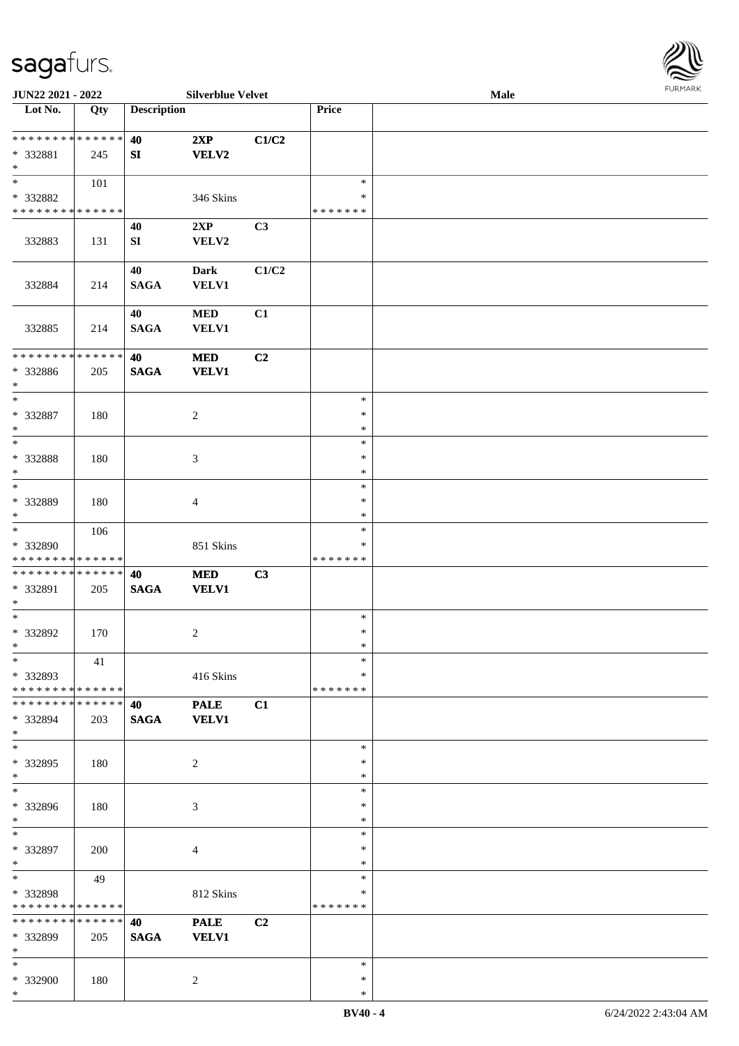

| JUN22 2021 - 2022                                   |     |                        | <b>Silverblue Velvet</b>    |                |                                   | Male | . |
|-----------------------------------------------------|-----|------------------------|-----------------------------|----------------|-----------------------------------|------|---|
| Lot No.                                             | Qty | <b>Description</b>     |                             |                | Price                             |      |   |
| **************<br>* 332881<br>$\ast$                | 245 | 40<br>${\bf S}{\bf I}$ | 2XP<br><b>VELV2</b>         | C1/C2          |                                   |      |   |
| $\ast$<br>* 332882<br>* * * * * * * * * * * * * *   | 101 |                        | 346 Skins                   |                | $\ast$<br>$\ast$<br>* * * * * * * |      |   |
| 332883                                              | 131 | 40<br>SI               | 2XP<br>VELV2                | C3             |                                   |      |   |
| 332884                                              | 214 | 40<br><b>SAGA</b>      | <b>Dark</b><br><b>VELV1</b> | C1/C2          |                                   |      |   |
| 332885                                              | 214 | 40<br><b>SAGA</b>      | $\bf MED$<br><b>VELV1</b>   | C1             |                                   |      |   |
| * * * * * * * * * * * * * *<br>$* 332886$<br>$\ast$ | 205 | 40<br><b>SAGA</b>      | <b>MED</b><br><b>VELV1</b>  | C <sub>2</sub> |                                   |      |   |
| $\ast$<br>* 332887<br>$\ast$                        | 180 |                        | $\overline{c}$              |                | $\ast$<br>$\ast$<br>$\ast$        |      |   |
| $\ast$<br>* 332888<br>$\ast$                        | 180 |                        | $\mathfrak{Z}$              |                | $\ast$<br>$\ast$<br>$\ast$        |      |   |
| $\ast$<br>* 332889<br>$*$                           | 180 |                        | 4                           |                | $\ast$<br>$\ast$<br>$\ast$        |      |   |
| $*$<br>* 332890<br>* * * * * * * * * * * * * *      | 106 |                        | 851 Skins                   |                | $\ast$<br>*<br>* * * * * * *      |      |   |
| * * * * * * * * * * * * * *<br>* 332891<br>$*$      | 205 | 40<br>$\mathbf{SAGA}$  | $\bf MED$<br><b>VELV1</b>   | C3             |                                   |      |   |
| $*$<br>$* 332892$<br>$*$                            | 170 |                        | $\overline{c}$              |                | $\ast$<br>$\ast$<br>$\ast$        |      |   |
| $*$<br>* 332893<br>* * * * * * * * * * * * * *      | 41  |                        | 416 Skins                   |                | $\ast$<br>∗<br>* * * * * * *      |      |   |
| * * * * * * * * * * * * * *<br>* 332894<br>$*$      | 203 | 40<br><b>SAGA</b>      | <b>PALE</b><br><b>VELV1</b> | C1             |                                   |      |   |
| $*$<br>* 332895<br>$*$                              | 180 |                        | 2                           |                | $\ast$<br>∗<br>$\ast$             |      |   |
| $*$<br>* 332896<br>$*$                              | 180 |                        | 3                           |                | $\ast$<br>$\ast$<br>*             |      |   |
| $\overline{\phantom{0}}$<br>* 332897<br>$*$         | 200 |                        | $\overline{4}$              |                | $\ast$<br>$\ast$<br>$\ast$        |      |   |
| $*$<br>* 332898<br>* * * * * * * * * * * * * *      | 49  |                        | 812 Skins                   |                | $\ast$<br>$\ast$<br>* * * * * * * |      |   |
| * * * * * * * * * * * * * *<br>* 332899<br>$*$      | 205 | 40<br><b>SAGA</b>      | <b>PALE</b><br><b>VELV1</b> | C <sub>2</sub> |                                   |      |   |
| $\ast$<br>* 332900<br>$*$                           | 180 |                        | 2                           |                | $\ast$<br>$\ast$<br>$\ast$        |      |   |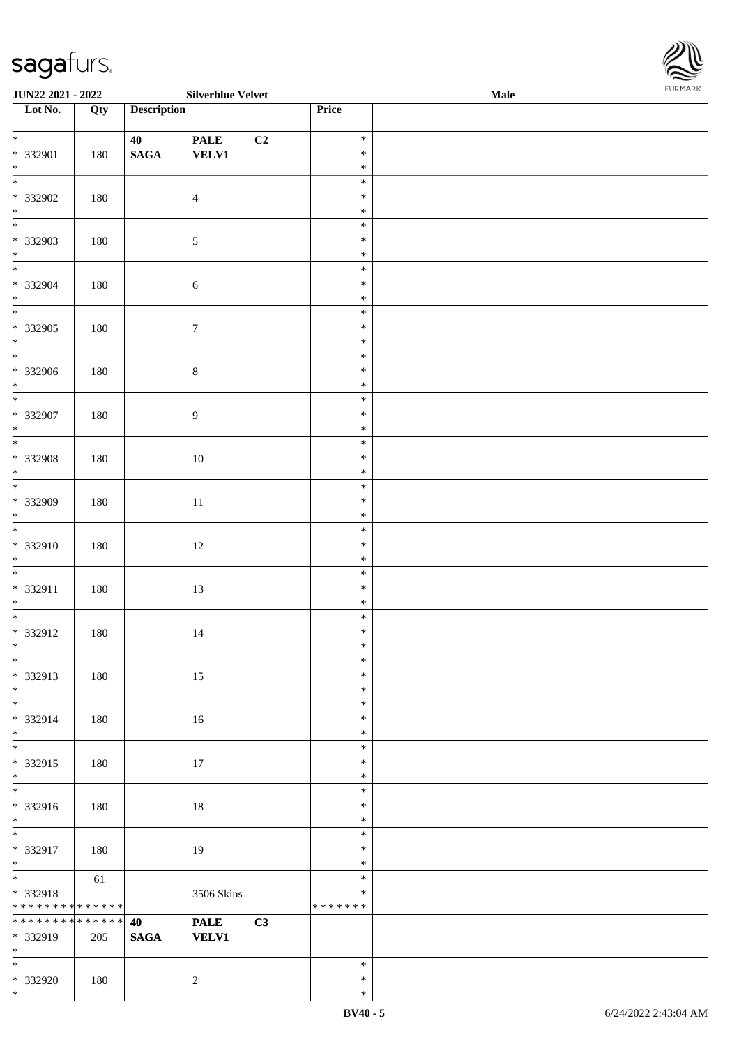| JUN22 2021 - 2022                    |     |                    | <b>Silverblue Velvet</b>                  |    |                  | Male | FURMARK |
|--------------------------------------|-----|--------------------|-------------------------------------------|----|------------------|------|---------|
| Lot No.                              | Qty | <b>Description</b> |                                           |    | Price            |      |         |
| $*$                                  |     | 40                 | $\ensuremath{\mathop{\bf PALE}\nolimits}$ | C2 | $\ast$           |      |         |
| * 332901                             | 180 | $\mathbf{SAGA}$    | <b>VELV1</b>                              |    | $\ast$           |      |         |
| $\ast$<br>$\overline{\phantom{0}}$   |     |                    |                                           |    | $\ast$           |      |         |
|                                      |     |                    |                                           |    | $\ast$           |      |         |
| * 332902<br>$*$                      | 180 |                    | $\overline{4}$                            |    | $\ast$<br>$\ast$ |      |         |
| $\overline{\phantom{0}}$             |     |                    |                                           |    | $\ast$           |      |         |
| * 332903                             | 180 |                    | $\sqrt{5}$                                |    | $\ast$           |      |         |
| $*$                                  |     |                    |                                           |    | $\ast$           |      |         |
| $\overline{\phantom{0}}$             |     |                    |                                           |    | $\ast$           |      |         |
| * 332904                             | 180 |                    | 6                                         |    | $\ast$           |      |         |
| $*$                                  |     |                    |                                           |    | $\ast$<br>$\ast$ |      |         |
| $*332905$                            | 180 |                    | $\boldsymbol{7}$                          |    | $\ast$           |      |         |
| $\ast$                               |     |                    |                                           |    | $\ast$           |      |         |
| $\overline{\phantom{0}}$             |     |                    |                                           |    | $\ast$           |      |         |
| * 332906                             | 180 |                    | $8\,$                                     |    | $\ast$           |      |         |
| $\ast$                               |     |                    |                                           |    | $\ast$           |      |         |
|                                      |     |                    |                                           |    | $\ast$           |      |         |
| * 332907<br>$\ast$                   | 180 |                    | $\boldsymbol{9}$                          |    | $\ast$<br>$\ast$ |      |         |
| $\overline{\phantom{0}}$             |     |                    |                                           |    | $\ast$           |      |         |
| * 332908                             | 180 |                    | $10\,$                                    |    | $\ast$           |      |         |
| $\ast$                               |     |                    |                                           |    | $\ast$           |      |         |
| $\overline{\phantom{0}}$             |     |                    |                                           |    | $\ast$           |      |         |
| * 332909                             | 180 |                    | $11\,$                                    |    | $\ast$           |      |         |
| $\ast$<br>$\overline{\ast}$          |     |                    |                                           |    | $\ast$<br>$\ast$ |      |         |
| * 332910                             | 180 |                    | 12                                        |    | $\ast$           |      |         |
|                                      |     |                    |                                           |    | $\ast$           |      |         |
| $*$ $*$                              |     |                    |                                           |    | $\ast$           |      |         |
| * 332911                             | 180 |                    | 13                                        |    | $\ast$           |      |         |
| $\ast$<br>$\overline{\phantom{a}^*}$ |     |                    |                                           |    | $\ast$           |      |         |
|                                      |     |                    |                                           |    | $\ast$           |      |         |
| * 332912<br>$\ast$                   | 180 |                    | 14                                        |    | $\ast$<br>$\ast$ |      |         |
| $\overline{\phantom{0}}$             |     |                    |                                           |    | $\ast$           |      |         |
| * 332913                             | 180 |                    | 15                                        |    | $\ast$           |      |         |
| $\ast$                               |     |                    |                                           |    | $\ast$           |      |         |
| $\overline{\phantom{0}}$             |     |                    |                                           |    | $\ast$           |      |         |
| * 332914                             | 180 |                    | 16                                        |    | $\ast$           |      |         |
| $*$<br>$\frac{1}{*}$                 |     |                    |                                           |    | $\ast$<br>$\ast$ |      |         |
| * 332915                             | 180 |                    | $17\,$                                    |    | $\ast$           |      |         |
| $\ast$                               |     |                    |                                           |    | $\ast$           |      |         |
| $\overline{\ast}$                    |     |                    |                                           |    | $\ast$           |      |         |
| * 332916                             | 180 |                    | $18\,$                                    |    | $\ast$           |      |         |
| $*$                                  |     |                    |                                           |    | $\ast$           |      |         |
| $\overline{\phantom{a}^*}$           |     |                    |                                           |    | $\ast$           |      |         |
| * 332917<br>$*$                      | 180 |                    | 19                                        |    | $\ast$<br>$\ast$ |      |         |
| $\overline{\phantom{a}^*}$           | 61  |                    |                                           |    | $\ast$           |      |         |
| * 332918                             |     |                    | 3506 Skins                                |    | $\ast$           |      |         |
| ******** <mark>******</mark>         |     |                    |                                           |    | * * * * * * *    |      |         |
| * * * * * * * * * * * * * *          |     | 40                 | <b>PALE</b>                               | C3 |                  |      |         |
| * 332919                             | 205 | <b>SAGA</b>        | <b>VELV1</b>                              |    |                  |      |         |
| $\ast$<br>$_{\ast}^{-}$              |     |                    |                                           |    | $\ast$           |      |         |
| * 332920                             | 180 |                    | $\overline{2}$                            |    | $\ast$           |      |         |
|                                      |     |                    |                                           |    |                  |      |         |

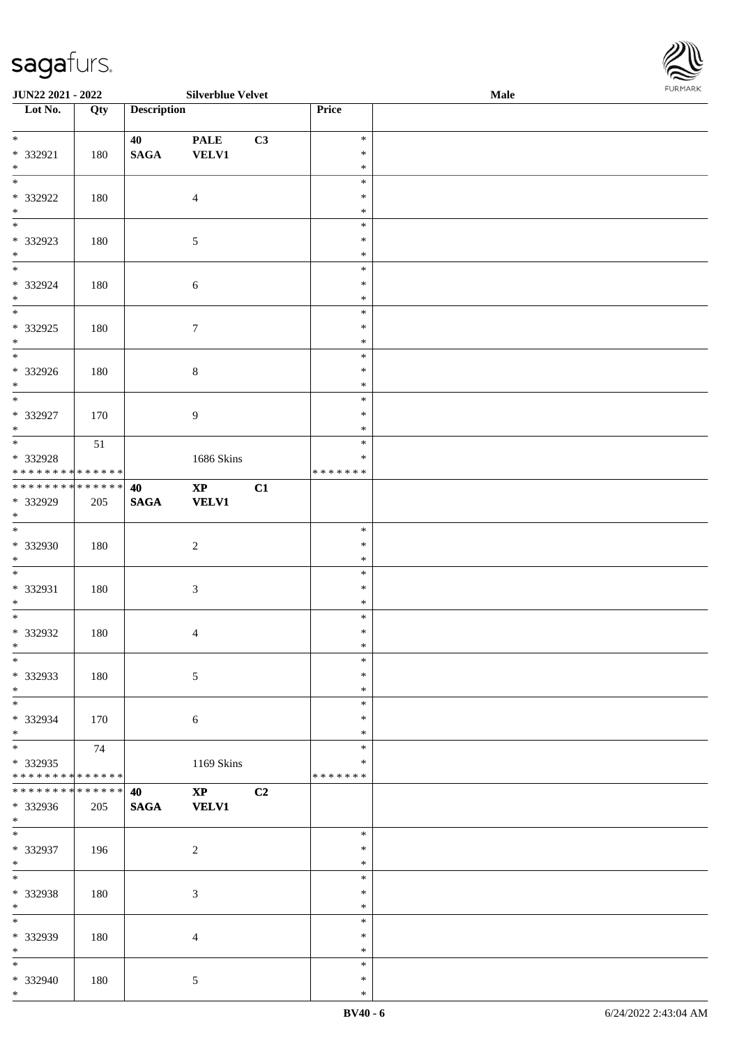> \* \* \*

| JUN22 2021 - 2022                                                     |     |                    | <b>Silverblue Velvet</b>            |                                   | Male | <b>FURMARK</b> |
|-----------------------------------------------------------------------|-----|--------------------|-------------------------------------|-----------------------------------|------|----------------|
| $\overline{\phantom{1}}$ Lot No.                                      | Qty | <b>Description</b> |                                     | Price                             |      |                |
| $\ast$<br>* 332921<br>$\ast$                                          | 180 | 40<br><b>SAGA</b>  | <b>PALE</b><br>C3<br><b>VELV1</b>   | $\ast$<br>$\ast$<br>$\ast$        |      |                |
| $\ast$<br>* 332922<br>$\ast$                                          | 180 |                    | $\overline{4}$                      | $\ast$<br>$\ast$<br>$\ast$        |      |                |
| $\overline{\phantom{a}^*}$<br>* 332923<br>$\ast$                      | 180 |                    | $5\,$                               | $\ast$<br>$\ast$<br>$\ast$        |      |                |
| $\overline{\phantom{1}}$<br>* 332924<br>$\ast$                        | 180 |                    | $\sqrt{6}$                          | $\ast$<br>$\ast$<br>$\ast$        |      |                |
| $\overline{\phantom{a}^*}$<br>$*332925$<br>$\ast$                     | 180 |                    | $\boldsymbol{7}$                    | $\ast$<br>$\ast$<br>$\ast$        |      |                |
| $\overline{\phantom{1}}$<br>$* 332926$<br>$\ast$                      | 180 |                    | $8\,$                               | $\ast$<br>$\ast$<br>$\ast$        |      |                |
| $\overline{\ast}$<br>* 332927<br>$\ast$                               | 170 |                    | $\overline{9}$                      | $\ast$<br>$\ast$<br>$\ast$        |      |                |
| $_{\ast}$<br>* 332928<br>**************                               | 51  |                    | 1686 Skins                          | $\ast$<br>$\ast$<br>* * * * * * * |      |                |
| **************                                                        |     | 40                 | $\mathbf{XP}$<br>C1                 |                                   |      |                |
| * 332929<br>$\ast$                                                    | 205 | <b>SAGA</b>        | <b>VELV1</b>                        |                                   |      |                |
| $\overline{\phantom{a}^*}$<br>* 332930<br>$\ast$                      | 180 |                    | $\sqrt{2}$                          | $\ast$<br>$\ast$<br>$\ast$        |      |                |
| $\overline{\phantom{0}}$<br>* 332931<br>$\ast$                        | 180 |                    | $\sqrt{3}$                          | $\ast$<br>$\ast$<br>$\ast$        |      |                |
| $\overline{\ast}$<br>* 332932<br>$\ast$                               | 180 |                    | $\overline{4}$                      | $\ast$<br>$\ast$<br>$\ast$        |      |                |
| $\overline{\phantom{a}^*}$<br>* 332933<br>$\ast$                      | 180 |                    | $5\,$                               | $\ast$<br>$\ast$<br>$\ast$        |      |                |
| $\ast$<br>* 332934<br>$\ast$                                          | 170 |                    | $\sqrt{6}$                          | $\ast$<br>$\ast$<br>$\ast$        |      |                |
| $\overline{\phantom{a}^*}$<br>* 332935<br>* * * * * * * * * * * * * * | 74  |                    | 1169 Skins                          | $\ast$<br>∗<br>* * * * * * *      |      |                |
| **************<br>* 332936<br>$\ast$                                  | 205 | 40<br><b>SAGA</b>  | $\mathbf{XP}$<br>C2<br><b>VELV1</b> |                                   |      |                |
| $\overline{\phantom{a}^*}$<br>* 332937<br>$\ast$                      | 196 |                    | $\sqrt{2}$                          | $\ast$<br>$\ast$<br>$\ast$        |      |                |
| $\overline{\ast}$<br>* 332938<br>$\ast$                               | 180 |                    | $\mathfrak{Z}$                      | $\ast$<br>$\ast$<br>$\ast$        |      |                |
| $\overline{\phantom{a}^*}$<br>* 332939<br>$\ast$                      | 180 |                    | $\overline{4}$                      | $\ast$<br>$\ast$<br>$\ast$        |      |                |
| $\ast$<br>* 332940                                                    | 180 |                    | 5                                   | $\ast$<br>$\ast$                  |      |                |

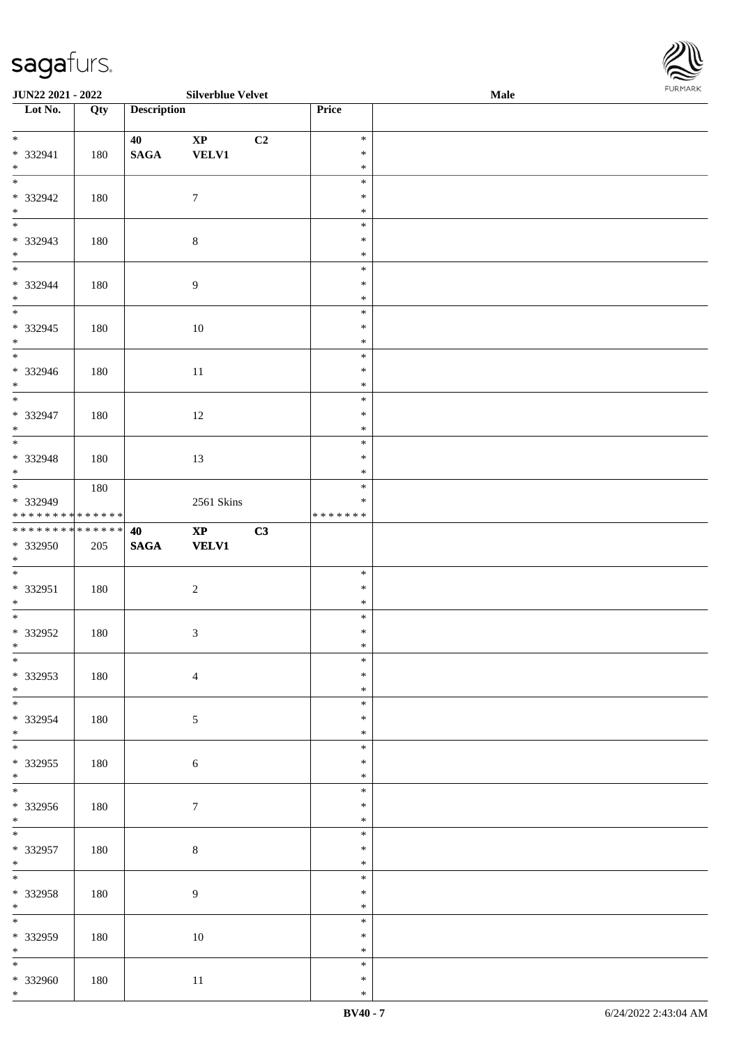| <b>JUN22 2021 - 2022</b>                               |     |                    | <b>Silverblue Velvet</b>               |    |                                      | Male |  |
|--------------------------------------------------------|-----|--------------------|----------------------------------------|----|--------------------------------------|------|--|
| Lot No.                                                | Qty | <b>Description</b> |                                        |    | <b>Price</b>                         |      |  |
| $*$<br>* 332941                                        | 180 | 40<br><b>SAGA</b>  | $\mathbf{X}\mathbf{P}$<br><b>VELV1</b> | C2 | $\ast$<br>$\ast$                     |      |  |
| $*$<br>* 332942<br>$*$                                 | 180 |                    | $\overline{7}$                         |    | $\ast$<br>$\ast$<br>$\ast$<br>$\ast$ |      |  |
| * 332943<br>$*$                                        | 180 |                    | $\,8\,$                                |    | $\ast$<br>$\ast$<br>$\ast$           |      |  |
| $*$<br>* 332944<br>$*$                                 | 180 |                    | $\boldsymbol{9}$                       |    | $\ast$<br>$\ast$<br>$\ast$           |      |  |
| * 332945<br>$*$                                        | 180 |                    | 10                                     |    | $\ast$<br>$\ast$<br>$\ast$           |      |  |
| * 332946<br>$*$                                        | 180 |                    | 11                                     |    | $\ast$<br>$\ast$<br>$\ast$           |      |  |
| * 332947<br>$*$                                        | 180 |                    | 12                                     |    | $\ast$<br>$\ast$<br>$\ast$           |      |  |
| $\overline{\ast}$<br>* 332948<br>$*$                   | 180 |                    | 13                                     |    | $\ast$<br>$\ast$<br>$\ast$           |      |  |
| * 332949<br>* * * * * * * * <mark>* * * * * * *</mark> | 180 |                    | 2561 Skins                             |    | $\ast$<br>$\ast$<br>* * * * * * *    |      |  |
| ******** <mark>******</mark><br>* 332950<br>$*$        | 205 | 40<br><b>SAGA</b>  | $\mathbf{XP}$<br><b>VELV1</b>          | C3 |                                      |      |  |
| $*$<br>* 332951<br>$*$                                 | 180 |                    | $\sqrt{2}$                             |    | $\ast$<br>$\ast$<br>$\ast$           |      |  |
| * 332952<br>$\ddot{x}$                                 | 180 |                    | $\sqrt{3}$                             |    | $\ast$<br>$\ast$<br>$\ast$           |      |  |
| $\overline{\ast}$<br>* 332953<br>$*$                   | 180 |                    | $\overline{4}$                         |    | $\ast$<br>$\ast$<br>$\ast$           |      |  |
| * 332954<br>$*$                                        | 180 |                    | $\sqrt{5}$                             |    | $\ast$<br>∗<br>$\ast$                |      |  |
| $\ddot{x}$<br>* 332955<br>$*$<br>$\ddot{x}$            | 180 |                    | $\sqrt{6}$                             |    | $\ast$<br>$\ast$<br>$\ast$           |      |  |
| * 332956<br>$*$<br>$\overline{\ast}$                   | 180 |                    | $7\phantom{.0}$                        |    | $\ast$<br>$\ast$<br>$\ast$           |      |  |
| * 332957<br>$*$<br>$\ddot{x}$                          | 180 |                    | $\,8\,$                                |    | $\ast$<br>$\ast$<br>$\ast$           |      |  |
| * 332958<br>$*$                                        | 180 |                    | $\overline{9}$                         |    | $\ast$<br>$\ast$<br>$\ast$           |      |  |
| $\overline{\mathbf{r}}$<br>* 332959<br>$*$             | 180 |                    | 10                                     |    | $\ast$<br>$\ast$<br>$\ast$           |      |  |
| * 332960                                               | 180 |                    | 11                                     |    | $\ast$<br>$\ast$                     |      |  |

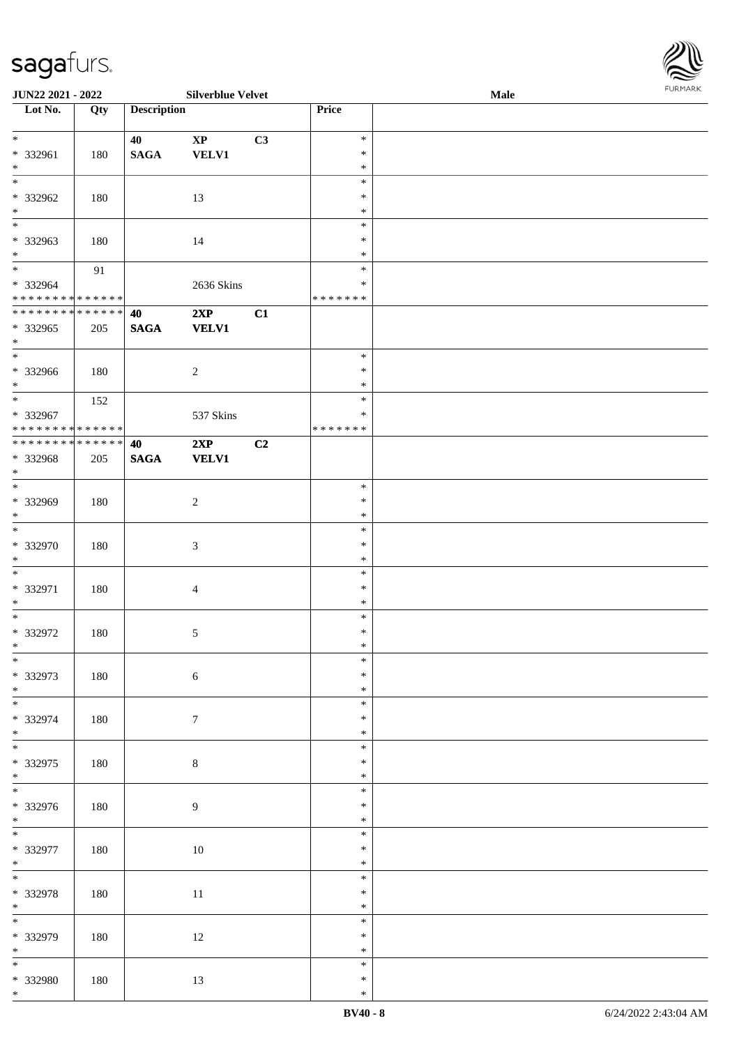| <b>JUN22 2021 - 2022</b>                               |     |                    | <b>Silverblue Velvet</b> |    |               | Male | <b>FUNITANN</b> |
|--------------------------------------------------------|-----|--------------------|--------------------------|----|---------------|------|-----------------|
| Lot No.                                                | Qty | <b>Description</b> |                          |    | <b>Price</b>  |      |                 |
|                                                        |     |                    |                          |    |               |      |                 |
| $*$                                                    |     | 40                 | $\mathbf{X}\mathbf{P}$   | C3 | $\ast$        |      |                 |
| * 332961                                               | 180 | <b>SAGA</b>        | <b>VELV1</b>             |    | $\ast$        |      |                 |
| $*$                                                    |     |                    |                          |    | $\ast$        |      |                 |
|                                                        |     |                    |                          |    | $\ast$        |      |                 |
| * 332962                                               | 180 |                    | 13                       |    | $\ast$        |      |                 |
| $*$                                                    |     |                    |                          |    | $\ast$        |      |                 |
| $\overline{\ast}$                                      |     |                    |                          |    | $\ast$        |      |                 |
|                                                        |     |                    |                          |    |               |      |                 |
| * 332963                                               | 180 |                    | 14                       |    | $\ast$        |      |                 |
| $\ast$                                                 |     |                    |                          |    | $\ast$        |      |                 |
| $*$                                                    | 91  |                    |                          |    | $\ast$        |      |                 |
| * 332964                                               |     |                    | 2636 Skins               |    | $\ast$        |      |                 |
| * * * * * * * * <mark>* * * * * * *</mark>             |     |                    |                          |    | * * * * * * * |      |                 |
| **************                                         |     | 40                 | 2XP                      | C1 |               |      |                 |
| * 332965                                               | 205 | <b>SAGA</b>        | <b>VELV1</b>             |    |               |      |                 |
| $*$                                                    |     |                    |                          |    |               |      |                 |
| $\overline{\phantom{0}}$                               |     |                    |                          |    | $\ast$        |      |                 |
| * 332966                                               | 180 |                    | 2                        |    | $\ast$        |      |                 |
| $*$                                                    |     |                    |                          |    | $\ast$        |      |                 |
| $\ddot{x}$                                             |     |                    |                          |    | $\ast$        |      |                 |
|                                                        | 152 |                    |                          |    | $\ast$        |      |                 |
| * 332967<br>* * * * * * * * <mark>* * * * * * *</mark> |     |                    | 537 Skins                |    |               |      |                 |
|                                                        |     |                    |                          |    | * * * * * * * |      |                 |
| * * * * * * * * * * * * * * *                          |     | 40                 | 2XP                      | C2 |               |      |                 |
| * 332968                                               | 205 | <b>SAGA</b>        | <b>VELV1</b>             |    |               |      |                 |
| $*$                                                    |     |                    |                          |    |               |      |                 |
|                                                        |     |                    |                          |    | $\ast$        |      |                 |
| * 332969                                               | 180 |                    | 2                        |    | $\ast$        |      |                 |
| $\ast$                                                 |     |                    |                          |    | $\ast$        |      |                 |
| $\overline{\phantom{0}}$                               |     |                    |                          |    | $\ast$        |      |                 |
| * 332970                                               | 180 |                    | $\mathfrak{Z}$           |    | $\ast$        |      |                 |
| $\ast$                                                 |     |                    |                          |    | $\ast$        |      |                 |
| $\overline{\ }$                                        |     |                    |                          |    | $\ast$        |      |                 |
|                                                        |     |                    |                          |    |               |      |                 |
| * 332971                                               | 180 |                    | 4                        |    | $\ast$        |      |                 |
| $*$                                                    |     |                    |                          |    | $\ast$        |      |                 |
| $\overline{\ast}$                                      |     |                    |                          |    | $\ast$        |      |                 |
| * 332972                                               | 180 |                    | $\sqrt{5}$               |    | $\ast$        |      |                 |
| $\ddot{x}$                                             |     |                    |                          |    | $*$           |      |                 |
| $\overline{\ast}$                                      |     |                    |                          |    | $\ast$        |      |                 |
| * 332973                                               | 180 |                    | $6\,$                    |    | $\ast$        |      |                 |
|                                                        |     |                    |                          |    | $\ast$        |      |                 |
| $*$<br>$*$                                             |     |                    |                          |    | $\ast$        |      |                 |
| * 332974                                               | 180 |                    | $\tau$                   |    | $\ast$        |      |                 |
|                                                        |     |                    |                          |    | $\ast$        |      |                 |
| $*$<br>$\overline{\phantom{0}}$                        |     |                    |                          |    |               |      |                 |
|                                                        |     |                    |                          |    | $\ast$        |      |                 |
| * 332975                                               | 180 |                    | $\,8\,$                  |    | ∗             |      |                 |
| $*$                                                    |     |                    |                          |    | $\ast$        |      |                 |
|                                                        |     |                    |                          |    | $\ast$        |      |                 |
| * 332976                                               | 180 |                    | 9                        |    | ∗             |      |                 |
| $*$                                                    |     |                    |                          |    | $\ast$        |      |                 |
| $\overline{\mathbf{r}}$                                |     |                    |                          |    | $\ast$        |      |                 |
| * 332977                                               | 180 |                    | 10                       |    | $\ast$        |      |                 |
| $*$                                                    |     |                    |                          |    | $\ast$        |      |                 |
| $\overline{\ast}$                                      |     |                    |                          |    | $\ast$        |      |                 |
|                                                        |     |                    |                          |    | $\ast$        |      |                 |
| * 332978                                               | 180 |                    | 11                       |    |               |      |                 |
| $*$<br>$\overline{\ast}$                               |     |                    |                          |    | $\ast$        |      |                 |
|                                                        |     |                    |                          |    | $\ast$        |      |                 |
| * 332979                                               | 180 |                    | 12                       |    | $\ast$        |      |                 |
| $*$                                                    |     |                    |                          |    | $\ast$        |      |                 |
| $\overline{\mathbf{r}}$                                |     |                    |                          |    | $\ast$        |      |                 |
| * 332980                                               | 180 |                    | 13                       |    | $\ast$        |      |                 |
| $*$                                                    |     |                    |                          |    | $\ast$        |      |                 |

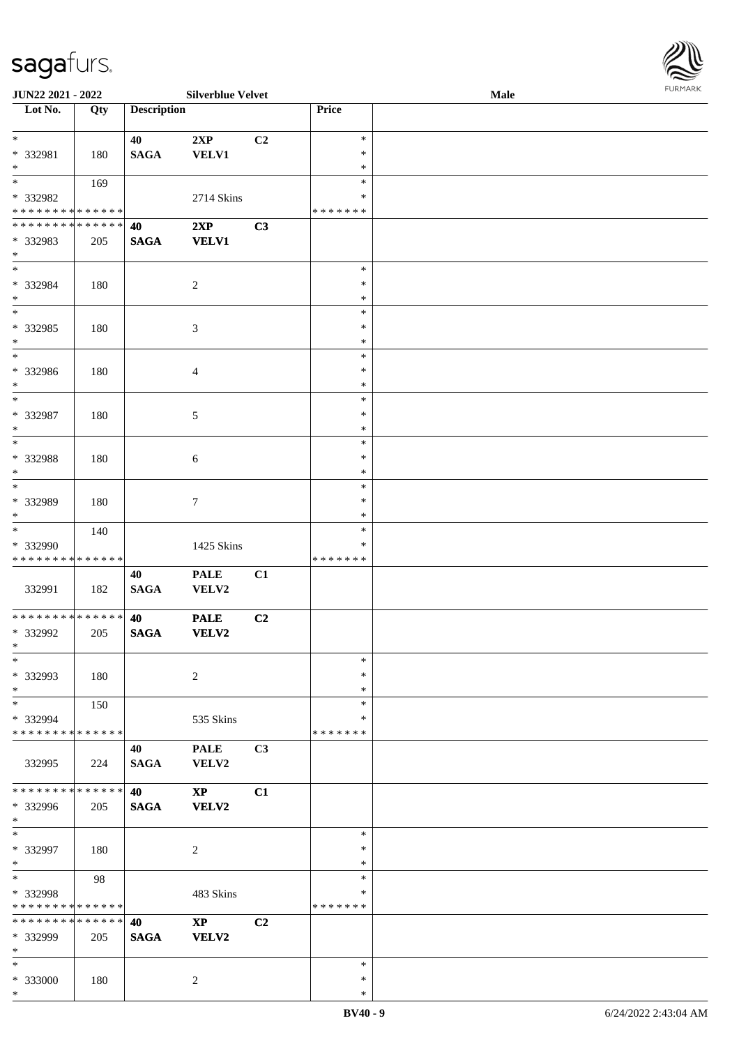

| JUN22 2021 - 2022            |     |                    | <b>Silverblue Velvet</b> |    |         | Male |
|------------------------------|-----|--------------------|--------------------------|----|---------|------|
| Lot No.                      | Qty | <b>Description</b> |                          |    | Price   |      |
|                              |     |                    |                          |    |         |      |
| $*$                          |     | 40                 | 2XP                      | C2 | $\ast$  |      |
| * 332981                     | 180 | <b>SAGA</b>        | VELV1                    |    | $\ast$  |      |
|                              |     |                    |                          |    |         |      |
| $*$                          |     |                    |                          |    | $\ast$  |      |
| $*$                          | 169 |                    |                          |    | $\ast$  |      |
| * 332982                     |     |                    | 2714 Skins               |    | ∗       |      |
| * * * * * * * * * * * * * *  |     |                    |                          |    | ******* |      |
| * * * * * * * * * * * * * *  |     | 40                 | 2XP                      | C3 |         |      |
| * 332983                     | 205 | <b>SAGA</b>        | <b>VELV1</b>             |    |         |      |
| $\ast$                       |     |                    |                          |    |         |      |
| $*$                          |     |                    |                          |    |         |      |
|                              |     |                    |                          |    | $\ast$  |      |
| * 332984                     | 180 |                    | $\boldsymbol{2}$         |    | $\ast$  |      |
| $*$                          |     |                    |                          |    | $\ast$  |      |
| $*$                          |     |                    |                          |    | $\ast$  |      |
| * 332985                     | 180 |                    | 3                        |    | $\ast$  |      |
| $\ast$                       |     |                    |                          |    | $\ast$  |      |
| $\ast$                       |     |                    |                          |    | $\ast$  |      |
|                              |     |                    |                          |    |         |      |
| * 332986                     | 180 |                    | 4                        |    | $\ast$  |      |
| $\ast$                       |     |                    |                          |    | $\ast$  |      |
| $\ast$                       |     |                    |                          |    | $\ast$  |      |
| $* 332987$                   | 180 |                    | 5                        |    | $\ast$  |      |
| $*$                          |     |                    |                          |    | $\ast$  |      |
| $*$                          |     |                    |                          |    | $\ast$  |      |
|                              |     |                    |                          |    |         |      |
| * 332988                     | 180 |                    | $\sqrt{6}$               |    | $\ast$  |      |
| $*$                          |     |                    |                          |    | $\ast$  |      |
| $*$                          |     |                    |                          |    | $\ast$  |      |
| * 332989                     | 180 |                    | $\tau$                   |    | $\ast$  |      |
| $*$                          |     |                    |                          |    | $\ast$  |      |
| $\ast$                       | 140 |                    |                          |    | $\ast$  |      |
| * 332990                     |     |                    | 1425 Skins               |    | $\ast$  |      |
| * * * * * * * * * * * * * *  |     |                    |                          |    | ******* |      |
|                              |     |                    |                          |    |         |      |
|                              |     | 40                 | <b>PALE</b>              | C1 |         |      |
| 332991                       | 182 | <b>SAGA</b>        | VELV2                    |    |         |      |
|                              |     |                    |                          |    |         |      |
| ******** <mark>******</mark> |     | 40                 | <b>PALE</b>              | C2 |         |      |
| * 332992                     | 205 | <b>SAGA</b>        | VELV2                    |    |         |      |
| $*$                          |     |                    |                          |    |         |      |
| $\ast$                       |     |                    |                          |    | $\ast$  |      |
|                              |     |                    |                          |    | $\ast$  |      |
| * 332993                     | 180 |                    | $\overline{c}$           |    |         |      |
| $\ast$                       |     |                    |                          |    | $\ast$  |      |
| $\ast$                       | 150 |                    |                          |    | $\ast$  |      |
| * 332994                     |     |                    | 535 Skins                |    | ∗       |      |
| * * * * * * * * * * * * * *  |     |                    |                          |    | ******* |      |
|                              |     | 40                 | <b>PALE</b>              | C3 |         |      |
| 332995                       | 224 | <b>SAGA</b>        | VELV2                    |    |         |      |
|                              |     |                    |                          |    |         |      |
|                              |     |                    |                          |    |         |      |
| * * * * * * * * * * * * * *  |     | 40                 | $\mathbf{X}\mathbf{P}$   | C1 |         |      |
| * 332996                     | 205 | $\mathbf{SAGA}$    | VELV2                    |    |         |      |
| $*$                          |     |                    |                          |    |         |      |
| $\ast$                       |     |                    |                          |    | $\ast$  |      |
| * 332997                     | 180 |                    | $\overline{c}$           |    | $\ast$  |      |
| $*$                          |     |                    |                          |    | $\ast$  |      |
| $*$                          | 98  |                    |                          |    | $\ast$  |      |
|                              |     |                    |                          |    |         |      |
| * 332998                     |     |                    | 483 Skins                |    | $\ast$  |      |
| * * * * * * * * * * * * * *  |     |                    |                          |    | ******* |      |
| * * * * * * * * * * * * * *  |     | 40                 | $\bold{XP}$              | C2 |         |      |
| * 332999                     | 205 | <b>SAGA</b>        | VELV2                    |    |         |      |
| $\ast$                       |     |                    |                          |    |         |      |
| $\ast$                       |     |                    |                          |    | $\ast$  |      |
| * 333000                     | 180 |                    |                          |    | $\ast$  |      |
|                              |     |                    | 2                        |    |         |      |
| $\ast$                       |     |                    |                          |    | $\ast$  |      |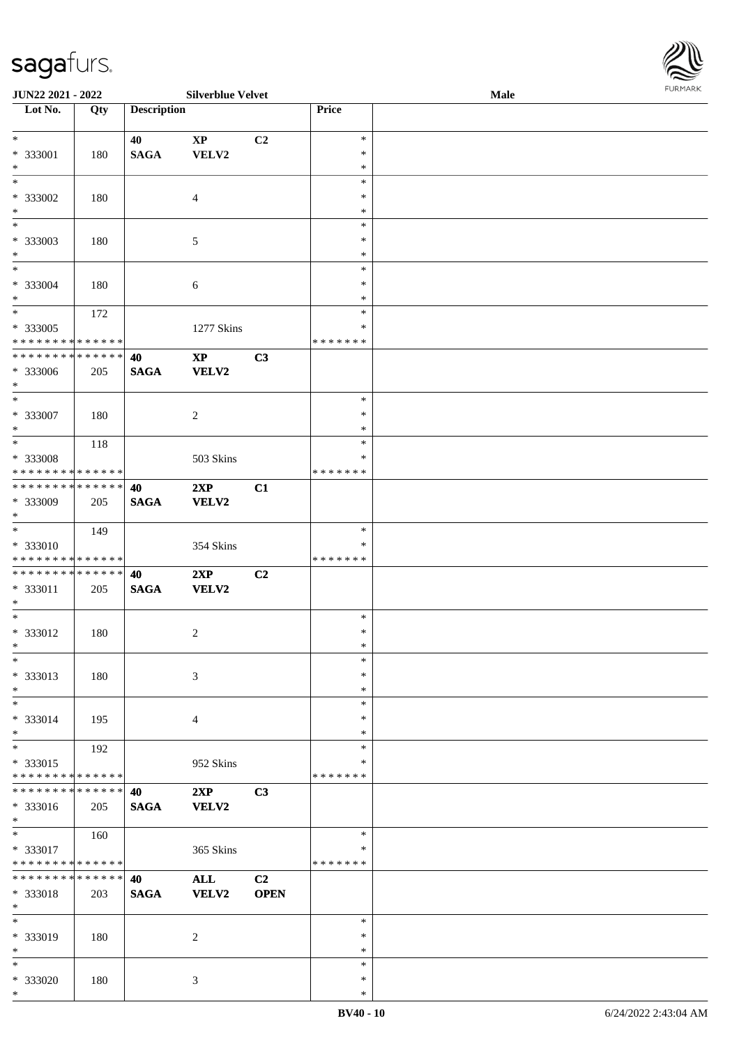| <b>JUN22 2021 - 2022</b>                             |     |                    | <b>Silverblue Velvet</b> |                |                  | Male | $1 \cup 1$ , $1 \cup 1$ |
|------------------------------------------------------|-----|--------------------|--------------------------|----------------|------------------|------|-------------------------|
| Lot No.                                              | Qty | <b>Description</b> |                          |                | Price            |      |                         |
|                                                      |     |                    |                          |                |                  |      |                         |
| $*$                                                  |     | 40                 | $\mathbf{XP}$            | C2             | $\ast$           |      |                         |
| * 333001                                             | 180 | <b>SAGA</b>        | VELV2                    |                | $\ast$           |      |                         |
| $*$                                                  |     |                    |                          |                | $\ast$           |      |                         |
|                                                      |     |                    |                          |                | $\ast$           |      |                         |
| * 333002                                             | 180 |                    | $\overline{4}$           |                | $\ast$           |      |                         |
| $*$                                                  |     |                    |                          |                | $\ast$           |      |                         |
|                                                      |     |                    |                          |                | $\ast$           |      |                         |
| * 333003                                             | 180 |                    | 5                        |                | $\ast$           |      |                         |
| $\ast$<br>$\overline{\ast}$                          |     |                    |                          |                | $\ast$           |      |                         |
|                                                      |     |                    |                          |                | $\ast$           |      |                         |
| * 333004                                             | 180 |                    | 6                        |                | $\ast$           |      |                         |
| $\ast$<br>$*$                                        |     |                    |                          |                | $\ast$<br>$\ast$ |      |                         |
|                                                      | 172 |                    |                          |                | ∗                |      |                         |
| * 333005<br>* * * * * * * * <mark>* * * * * *</mark> |     |                    | 1277 Skins               |                | * * * * * * *    |      |                         |
| * * * * * * * * <mark>* * * * * * *</mark>           |     |                    | $\mathbf{XP}$            | C3             |                  |      |                         |
| * 333006                                             |     | 40                 |                          |                |                  |      |                         |
| $\ast$                                               | 205 | <b>SAGA</b>        | <b>VELV2</b>             |                |                  |      |                         |
| $*$                                                  |     |                    |                          |                | $\ast$           |      |                         |
| * 333007                                             | 180 |                    | $\overline{c}$           |                | $\ast$           |      |                         |
| $\ast$                                               |     |                    |                          |                | $\ast$           |      |                         |
|                                                      | 118 |                    |                          |                | $\ast$           |      |                         |
| * 333008                                             |     |                    | 503 Skins                |                | ∗                |      |                         |
| * * * * * * * * <mark>* * * * * *</mark>             |     |                    |                          |                | * * * * * * *    |      |                         |
| * * * * * * * * <mark>* * * * * * *</mark>           |     | 40                 | 2XP                      | C1             |                  |      |                         |
| * 333009                                             | 205 | <b>SAGA</b>        | <b>VELV2</b>             |                |                  |      |                         |
| $*$                                                  |     |                    |                          |                |                  |      |                         |
| $\overline{\phantom{0}}$                             | 149 |                    |                          |                | $\ast$           |      |                         |
| * 333010                                             |     |                    | 354 Skins                |                | ∗                |      |                         |
| * * * * * * * * <mark>* * * * * * *</mark>           |     |                    |                          |                | * * * * * * *    |      |                         |
| * * * * * * * * <mark>* * * * * * *</mark>           |     | 40                 | 2XP                      | C2             |                  |      |                         |
| * 333011                                             | 205 | <b>SAGA</b>        | <b>VELV2</b>             |                |                  |      |                         |
| $*$                                                  |     |                    |                          |                |                  |      |                         |
| $*$                                                  |     |                    |                          |                | $\ast$           |      |                         |
| * 333012                                             | 180 |                    | $\overline{c}$           |                | $\ast$           |      |                         |
| $\ddot{x}$                                           |     |                    |                          |                | $\ast$           |      |                         |
| $\ast$                                               |     |                    |                          |                | $\ast$           |      |                         |
| * 333013                                             | 180 |                    | $\mathfrak{Z}$           |                | $\ast$           |      |                         |
| $\ast$                                               |     |                    |                          |                | $\ast$           |      |                         |
| $\ast$                                               |     |                    |                          |                | $\ast$           |      |                         |
| * 333014                                             | 195 |                    | $\overline{4}$           |                | ∗                |      |                         |
| $*$                                                  |     |                    |                          |                | $\ast$           |      |                         |
| $\ast$                                               | 192 |                    |                          |                | $\ast$           |      |                         |
| * 333015                                             |     |                    | 952 Skins                |                | ∗                |      |                         |
| * * * * * * * * <mark>* * * * * *</mark>             |     |                    |                          |                | *******          |      |                         |
| * * * * * * * * * * * * * * <mark>*</mark>           |     | 40                 | 2XP                      | C <sub>3</sub> |                  |      |                         |
| * 333016                                             | 205 | <b>SAGA</b>        | VELV2                    |                |                  |      |                         |
| $*$                                                  |     |                    |                          |                |                  |      |                         |
| $*$                                                  | 160 |                    |                          |                | $\ast$           |      |                         |
| * 333017                                             |     |                    | 365 Skins                |                | ∗                |      |                         |
| * * * * * * * * <mark>* * * * * *</mark>             |     |                    |                          |                | *******          |      |                         |
| * * * * * * * * * * * * * * <mark>*</mark>           |     | 40                 | ALL                      | C2             |                  |      |                         |
| * 333018<br>$\ast$                                   | 203 | <b>SAGA</b>        | <b>VELV2</b>             | <b>OPEN</b>    |                  |      |                         |
| $*$                                                  |     |                    |                          |                | $\ast$           |      |                         |
| * 333019                                             |     |                    | 2                        |                | $\ast$           |      |                         |
| $*$                                                  | 180 |                    |                          |                | $\ast$           |      |                         |
| $\ast$                                               |     |                    |                          |                | $\ast$           |      |                         |
| * 333020                                             | 180 |                    | $\mathbf{3}$             |                | $\ast$           |      |                         |
|                                                      |     |                    |                          |                |                  |      |                         |

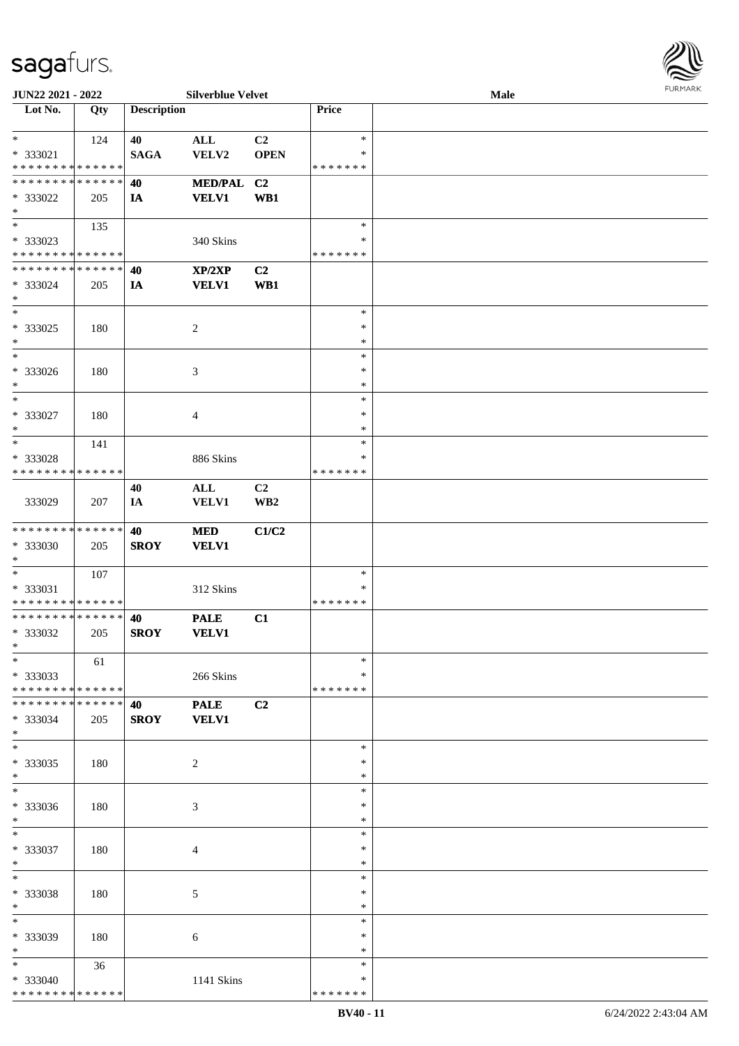

| JUN22 2021 - 2022             |     |                    | <b>Silverblue Velvet</b> |                         |               | Male |  |
|-------------------------------|-----|--------------------|--------------------------|-------------------------|---------------|------|--|
| Lot No.                       | Qty | <b>Description</b> |                          |                         | Price         |      |  |
|                               |     |                    |                          |                         |               |      |  |
| $\ast$                        | 124 | 40                 | $\mathbf{ALL}$           | C2                      | $\ast$        |      |  |
| * 333021                      |     | <b>SAGA</b>        | VELV2                    | <b>OPEN</b>             | ∗             |      |  |
| * * * * * * * * * * * * * *   |     |                    |                          |                         | * * * * * * * |      |  |
| * * * * * * * * * * * * * *   |     | 40                 | <b>MED/PAL</b>           |                         |               |      |  |
|                               |     |                    |                          | C <sub>2</sub>          |               |      |  |
| * 333022                      | 205 | IA                 | <b>VELV1</b>             | WB1                     |               |      |  |
| $\ast$                        |     |                    |                          |                         |               |      |  |
| $\overline{\phantom{a}^*}$    | 135 |                    |                          |                         | $\ast$        |      |  |
| * 333023                      |     |                    | 340 Skins                |                         | $\ast$        |      |  |
| * * * * * * * * * * * * * *   |     |                    |                          |                         | * * * * * * * |      |  |
| * * * * * * * * * * * * * *   |     | 40                 | XP/2XP                   | C2                      |               |      |  |
| * 333024                      | 205 | IA                 | <b>VELV1</b>             | WB1                     |               |      |  |
| $\ast$                        |     |                    |                          |                         |               |      |  |
| $\ast$                        |     |                    |                          |                         | $\ast$        |      |  |
|                               |     |                    |                          |                         |               |      |  |
| * 333025                      | 180 |                    | $\boldsymbol{2}$         |                         | $\ast$        |      |  |
| $\ast$                        |     |                    |                          |                         | $\ast$        |      |  |
| $\ast$                        |     |                    |                          |                         | $\ast$        |      |  |
| * 333026                      | 180 |                    | 3                        |                         | $\ast$        |      |  |
| $\ast$                        |     |                    |                          |                         | $\ast$        |      |  |
| $\ast$                        |     |                    |                          |                         | $\ast$        |      |  |
| * 333027                      | 180 |                    | $\overline{4}$           |                         | $\ast$        |      |  |
| $\ast$                        |     |                    |                          |                         | $\ast$        |      |  |
| $\ast$                        | 141 |                    |                          |                         | $\ast$        |      |  |
|                               |     |                    |                          |                         |               |      |  |
| * 333028                      |     |                    | 886 Skins                |                         | ∗             |      |  |
| * * * * * * * * * * * * * *   |     |                    |                          |                         | * * * * * * * |      |  |
|                               |     | 40                 | $\mathbf{ALL}$           | C <sub>2</sub>          |               |      |  |
| 333029                        | 207 | IA                 | VELV1                    | $\mathbf{W}\mathbf{B2}$ |               |      |  |
|                               |     |                    |                          |                         |               |      |  |
| * * * * * * * * * * * * * *   |     | 40                 | $\bf MED$                | C1/C2                   |               |      |  |
| * 333030                      | 205 | <b>SROY</b>        | <b>VELV1</b>             |                         |               |      |  |
| $\ast$                        |     |                    |                          |                         |               |      |  |
| $\ast$                        |     |                    |                          |                         | $\ast$        |      |  |
|                               | 107 |                    |                          |                         |               |      |  |
| * 333031                      |     |                    | 312 Skins                |                         | $\ast$        |      |  |
| * * * * * * * * * * * * * *   |     |                    |                          |                         | * * * * * * * |      |  |
| ******** <mark>******</mark>  |     | 40                 | <b>PALE</b>              | C1                      |               |      |  |
| * 333032                      | 205 | <b>SROY</b>        | <b>VELV1</b>             |                         |               |      |  |
| $*$                           |     |                    |                          |                         |               |      |  |
| $*$                           | 61  |                    |                          |                         | $\ast$        |      |  |
| * 333033                      |     |                    | 266 Skins                |                         | ∗             |      |  |
| * * * * * * * * * * * * * *   |     |                    |                          |                         | * * * * * * * |      |  |
| * * * * * * * * * * * * * * * |     |                    | <b>PALE</b>              | C2                      |               |      |  |
|                               |     | 40                 |                          |                         |               |      |  |
| * 333034                      | 205 | <b>SROY</b>        | <b>VELV1</b>             |                         |               |      |  |
| $*$                           |     |                    |                          |                         |               |      |  |
| $\overline{\phantom{1}}$      |     |                    |                          |                         | $\ast$        |      |  |
| * 333035                      | 180 |                    | $\sqrt{2}$               |                         | $\ast$        |      |  |
| $*$                           |     |                    |                          |                         | $\ast$        |      |  |
| $\overline{\phantom{1}}$      |     |                    |                          |                         | $\ast$        |      |  |
| * 333036                      | 180 |                    | 3                        |                         | ∗             |      |  |
| $*$                           |     |                    |                          |                         | $\ast$        |      |  |
| $\ast$                        |     |                    |                          |                         | $\ast$        |      |  |
| * 333037                      |     |                    |                          |                         | $\ast$        |      |  |
|                               | 180 |                    | 4                        |                         |               |      |  |
| $*$                           |     |                    |                          |                         | $\ast$        |      |  |
| $\ast$                        |     |                    |                          |                         | $\ast$        |      |  |
| * 333038                      | 180 |                    | 5                        |                         | $\ast$        |      |  |
| $*$                           |     |                    |                          |                         | $\ast$        |      |  |
| $\overline{\phantom{a}^*}$    |     |                    |                          |                         | $\ast$        |      |  |
| * 333039                      | 180 |                    | 6                        |                         | ∗             |      |  |
| $*$                           |     |                    |                          |                         | $\ast$        |      |  |
| $*$                           | 36  |                    |                          |                         | $\ast$        |      |  |
| * 333040                      |     |                    | 1141 Skins               |                         | ∗             |      |  |
| * * * * * * * * * * * * * *   |     |                    |                          |                         | * * * * * * * |      |  |
|                               |     |                    |                          |                         |               |      |  |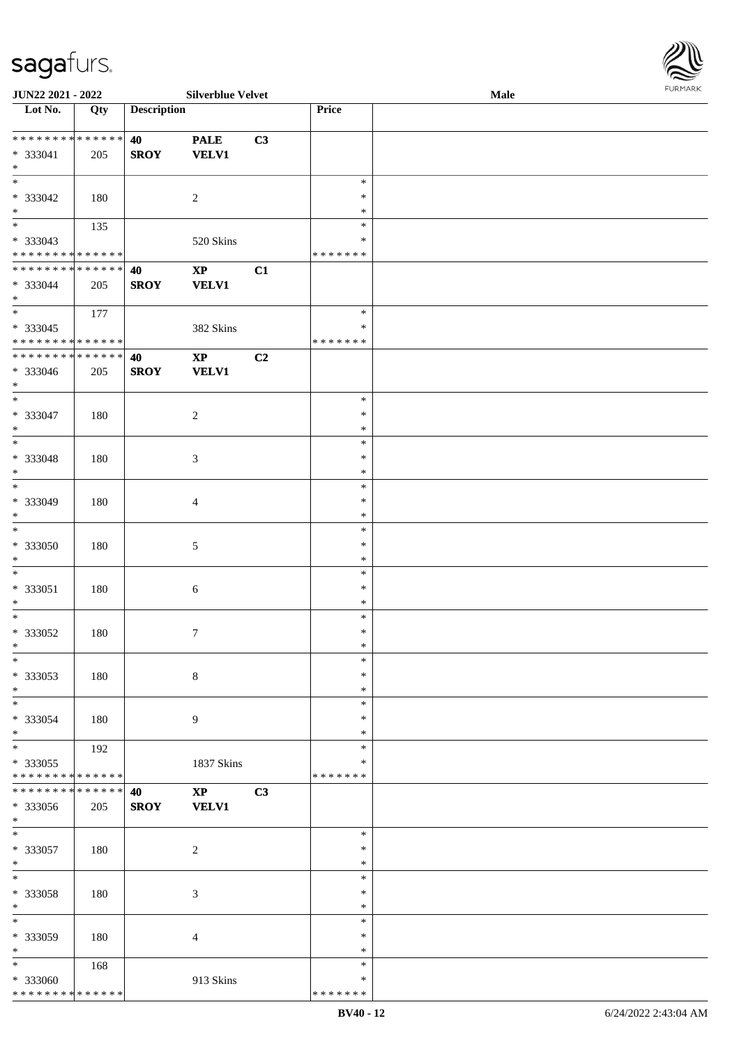\* \* \* \* \* \* \* \* \* \* \* \* \* \*

| JUN22 2021 - 2022            |     |                    | <b>Silverblue Velvet</b> |    |               | <b>Male</b> |  |
|------------------------------|-----|--------------------|--------------------------|----|---------------|-------------|--|
| Lot No.                      | Qty | <b>Description</b> |                          |    | Price         |             |  |
|                              |     |                    |                          |    |               |             |  |
| * * * * * * * * * * * * * *  |     | 40                 | <b>PALE</b>              | C3 |               |             |  |
| * 333041                     | 205 | <b>SROY</b>        | <b>VELV1</b>             |    |               |             |  |
| $*$                          |     |                    |                          |    |               |             |  |
| $\overline{\phantom{0}}$     |     |                    |                          |    | $\ast$        |             |  |
|                              |     |                    |                          |    |               |             |  |
| * 333042                     | 180 |                    | $\sqrt{2}$               |    | $\ast$        |             |  |
| $\ast$                       |     |                    |                          |    | $\ast$        |             |  |
| $\overline{\phantom{0}}$     | 135 |                    |                          |    | $\ast$        |             |  |
| * 333043                     |     |                    | 520 Skins                |    | $\ast$        |             |  |
| * * * * * * * * * * * * * *  |     |                    |                          |    | * * * * * * * |             |  |
| * * * * * * * * * * * * * *  |     | 40                 | $\bold{XP}$              | C1 |               |             |  |
| * 333044                     | 205 | <b>SROY</b>        | <b>VELV1</b>             |    |               |             |  |
| $*$                          |     |                    |                          |    |               |             |  |
| $\overline{\ast}$            |     |                    |                          |    |               |             |  |
|                              | 177 |                    |                          |    | $\ast$        |             |  |
| $* 333045$                   |     |                    | 382 Skins                |    | $\ast$        |             |  |
| * * * * * * * * * * * * * *  |     |                    |                          |    | * * * * * * * |             |  |
| * * * * * * * * * * * * * *  |     | 40                 | $\bold{XP}$              | C2 |               |             |  |
| * 333046                     | 205 | <b>SROY</b>        | <b>VELV1</b>             |    |               |             |  |
| $\ast$                       |     |                    |                          |    |               |             |  |
| $\ast$                       |     |                    |                          |    | $\ast$        |             |  |
|                              |     |                    |                          |    |               |             |  |
| * 333047                     | 180 |                    | $\sqrt{2}$               |    | $\ast$        |             |  |
| $\ast$                       |     |                    |                          |    | $\ast$        |             |  |
| $*$                          |     |                    |                          |    | $\ast$        |             |  |
| * 333048                     | 180 |                    | $\mathfrak{Z}$           |    | $\ast$        |             |  |
| $\ast$                       |     |                    |                          |    | $\ast$        |             |  |
| $\ast$                       |     |                    |                          |    | $\ast$        |             |  |
| * 333049                     |     |                    |                          |    | $\ast$        |             |  |
|                              | 180 |                    | $\overline{4}$           |    |               |             |  |
| $\ast$                       |     |                    |                          |    | $\ast$        |             |  |
| $\ast$                       |     |                    |                          |    | $\ast$        |             |  |
| $* 333050$                   | 180 |                    | $\sqrt{5}$               |    | $\ast$        |             |  |
| $*$                          |     |                    |                          |    | $\ast$        |             |  |
| $*$                          |     |                    |                          |    | $\ast$        |             |  |
| * 333051                     | 180 |                    | $\sqrt{6}$               |    | $\ast$        |             |  |
| $*$                          |     |                    |                          |    | $\ast$        |             |  |
| $*$                          |     |                    |                          |    | $\ast$        |             |  |
|                              |     |                    |                          |    |               |             |  |
| $* 333052$                   | 180 |                    | $\tau$                   |    | $\ast$        |             |  |
| $*$                          |     |                    |                          |    | $\ast$        |             |  |
| $\ast$                       |     |                    |                          |    | $\ast$        |             |  |
| * 333053                     | 180 |                    | $8\,$                    |    | $\ast$        |             |  |
| $*$                          |     |                    |                          |    | $\ast$        |             |  |
| $\ast$                       |     |                    |                          |    | $\ast$        |             |  |
| * 333054                     | 180 |                    | 9                        |    | $\ast$        |             |  |
| $*$                          |     |                    |                          |    | $\ast$        |             |  |
| $\overline{\ast}$            |     |                    |                          |    |               |             |  |
|                              | 192 |                    |                          |    | $\ast$        |             |  |
| * 333055                     |     |                    | 1837 Skins               |    | ∗             |             |  |
| ******** <mark>******</mark> |     |                    |                          |    | * * * * * * * |             |  |
| * * * * * * * * * * * * * *  |     | 40                 | $\mathbf{X}\mathbf{P}$   | C3 |               |             |  |
| * 333056                     | 205 | <b>SROY</b>        | <b>VELV1</b>             |    |               |             |  |
| $*$                          |     |                    |                          |    |               |             |  |
| $*$                          |     |                    |                          |    | $\ast$        |             |  |
| $* 333057$                   | 180 |                    | $\sqrt{2}$               |    | $\ast$        |             |  |
| $*$                          |     |                    |                          |    | $\ast$        |             |  |
|                              |     |                    |                          |    |               |             |  |
| $\ast$                       |     |                    |                          |    | $\ast$        |             |  |
| * 333058                     | 180 |                    | $\mathfrak{Z}$           |    | $\ast$        |             |  |
| $\ast$                       |     |                    |                          |    | $\ast$        |             |  |
| $\ast$                       |     |                    |                          |    | $\ast$        |             |  |
| * 333059                     | 180 |                    | $\overline{4}$           |    | $\ast$        |             |  |
| $*$                          |     |                    |                          |    | $\ast$        |             |  |
| $*$                          |     |                    |                          |    | $\ast$        |             |  |
|                              | 168 |                    |                          |    |               |             |  |
| * 333060                     |     |                    | 913 Skins                |    | $\ast$        |             |  |

\* \* \* \* \* \* \*

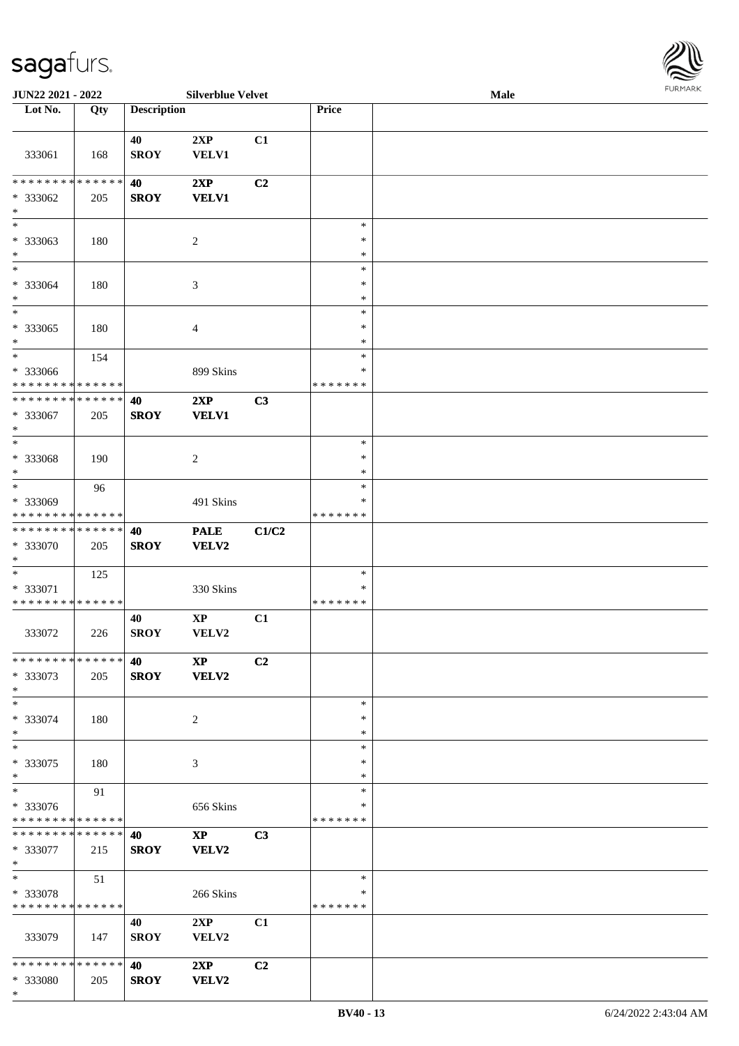

| <b>JUN22 2021 - 2022</b>                                         |     |                    | <b>Silverblue Velvet</b>        |                |                                   | <b>Male</b> |  |
|------------------------------------------------------------------|-----|--------------------|---------------------------------|----------------|-----------------------------------|-------------|--|
| Lot No.                                                          | Qty | <b>Description</b> |                                 |                | Price                             |             |  |
| 333061                                                           | 168 | 40<br><b>SROY</b>  | 2XP<br>VELV1                    | C1             |                                   |             |  |
|                                                                  |     |                    |                                 |                |                                   |             |  |
| * * * * * * * * * * * * * * *<br>* 333062<br>$\ast$              | 205 | 40<br><b>SROY</b>  | 2XP<br><b>VELV1</b>             | C2             |                                   |             |  |
| $\overline{\phantom{0}}$<br>* 333063<br>$*$                      | 180 |                    | $\overline{c}$                  |                | $\ast$<br>$\ast$<br>$\ast$        |             |  |
| $*$<br>* 333064<br>$\ast$                                        | 180 |                    | 3                               |                | $\ast$<br>$\ast$<br>$\ast$        |             |  |
| $\overline{\ast}$<br>* 333065<br>$*$                             | 180 |                    | $\overline{4}$                  |                | $\ast$<br>$\ast$<br>$\ast$        |             |  |
| $\ast$<br>* 333066<br>* * * * * * * * * * * * * *                | 154 |                    | 899 Skins                       |                | $\ast$<br>$\ast$<br>* * * * * * * |             |  |
| * * * * * * * * * * * * * *<br>* 333067<br>$*$                   | 205 | 40<br><b>SROY</b>  | 2XP<br><b>VELV1</b>             | C3             |                                   |             |  |
| $*$<br>* 333068<br>$\ast$                                        | 190 |                    | $\overline{2}$                  |                | $\ast$<br>$\ast$<br>$\ast$        |             |  |
| $*$<br>* 333069<br>* * * * * * * * * * * * * *                   | 96  |                    | 491 Skins                       |                | $\ast$<br>$\ast$<br>* * * * * * * |             |  |
| * * * * * * * * * * * * * * *<br>* 333070<br>$*$                 | 205 | 40<br><b>SROY</b>  | <b>PALE</b><br>VELV2            | C1/C2          |                                   |             |  |
| $*$<br>* 333071<br>* * * * * * * * * * * * * *                   | 125 |                    | 330 Skins                       |                | $\ast$<br>$\ast$<br>* * * * * * * |             |  |
| 333072                                                           | 226 | 40<br><b>SROY</b>  | $\bold{XP}$<br>VELV2            | C1             |                                   |             |  |
| * * * * * * * * * * * * * * *<br>* 333073<br>$*$                 | 205 | 40<br><b>SROY</b>  | <b>XP</b><br><b>VELV2</b>       | C <sub>2</sub> |                                   |             |  |
| $*$<br>* 333074<br>$*$                                           | 180 |                    | 2                               |                | $\ast$<br>∗<br>$\ast$             |             |  |
| $*$<br>* 333075<br>$*$                                           | 180 |                    | 3                               |                | $\ast$<br>$\ast$<br>$\ast$        |             |  |
| $*$<br>* 333076<br>* * * * * * * * * * * * * *                   | 91  |                    | 656 Skins                       |                | $\ast$<br>∗<br>*******            |             |  |
| * * * * * * * * <mark>* * * * * * *</mark><br>* 333077<br>$*$    | 215 | 40<br><b>SROY</b>  | $\mathbf{X}\mathbf{P}$<br>VELV2 | C <sub>3</sub> |                                   |             |  |
| $*$<br>* 333078<br>* * * * * * * * * * * * * * *                 | 51  |                    | 266 Skins                       |                | $\ast$<br>$\ast$<br>* * * * * * * |             |  |
| 333079                                                           | 147 | 40<br><b>SROY</b>  | 2XP<br>VELV2                    | C1             |                                   |             |  |
| * * * * * * * * <mark>* * * * * * *</mark><br>* 333080<br>$\ast$ | 205 | 40<br><b>SROY</b>  | 2XP<br>VELV2                    | C2             |                                   |             |  |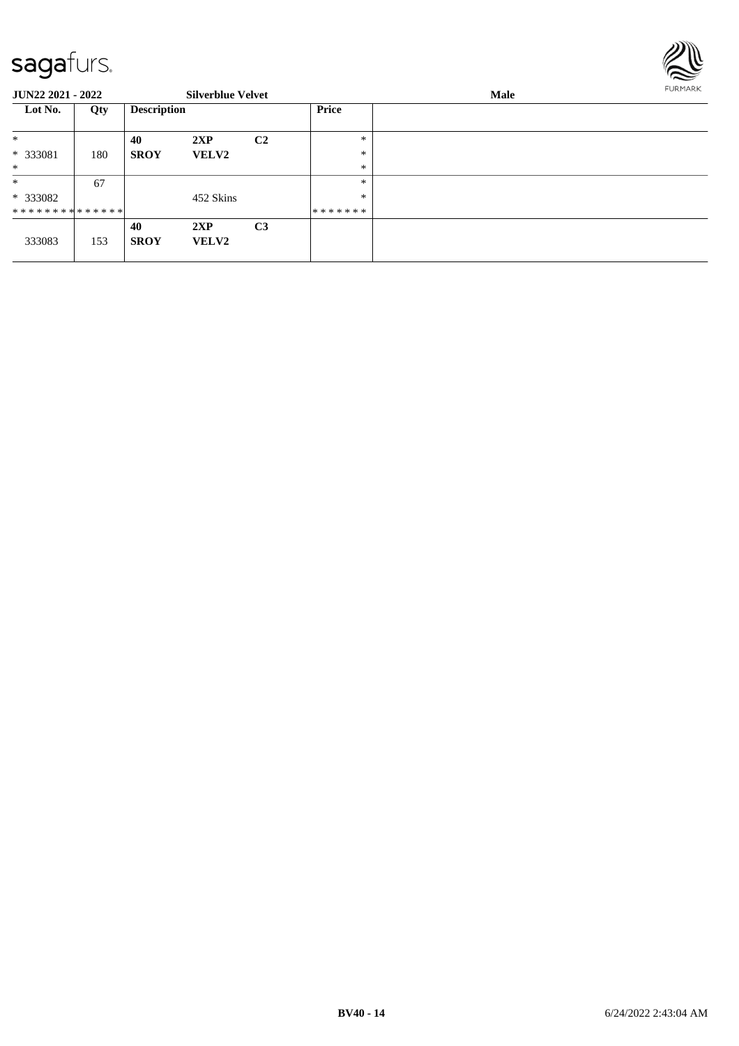

| <b>JUN22 2021 - 2022</b>    |     |                    | <b>Silverblue Velvet</b> |                |         | Male | <b>FURMARK</b> |
|-----------------------------|-----|--------------------|--------------------------|----------------|---------|------|----------------|
| Lot No.                     | Qty | <b>Description</b> |                          |                | Price   |      |                |
| $\ast$                      |     | 40                 | 2XP                      | C <sub>2</sub> | ∗       |      |                |
| * 333081                    | 180 | <b>SROY</b>        | <b>VELV2</b>             |                | $\ast$  |      |                |
| $*$                         |     |                    |                          |                | $\ast$  |      |                |
| $\ast$                      | 67  |                    |                          |                | $\ast$  |      |                |
| * 333082                    |     |                    | 452 Skins                |                | $\ast$  |      |                |
| * * * * * * * * * * * * * * |     |                    |                          |                | ******* |      |                |
| 333083                      | 153 | 40<br><b>SROY</b>  | 2XP<br><b>VELV2</b>      | C <sub>3</sub> |         |      |                |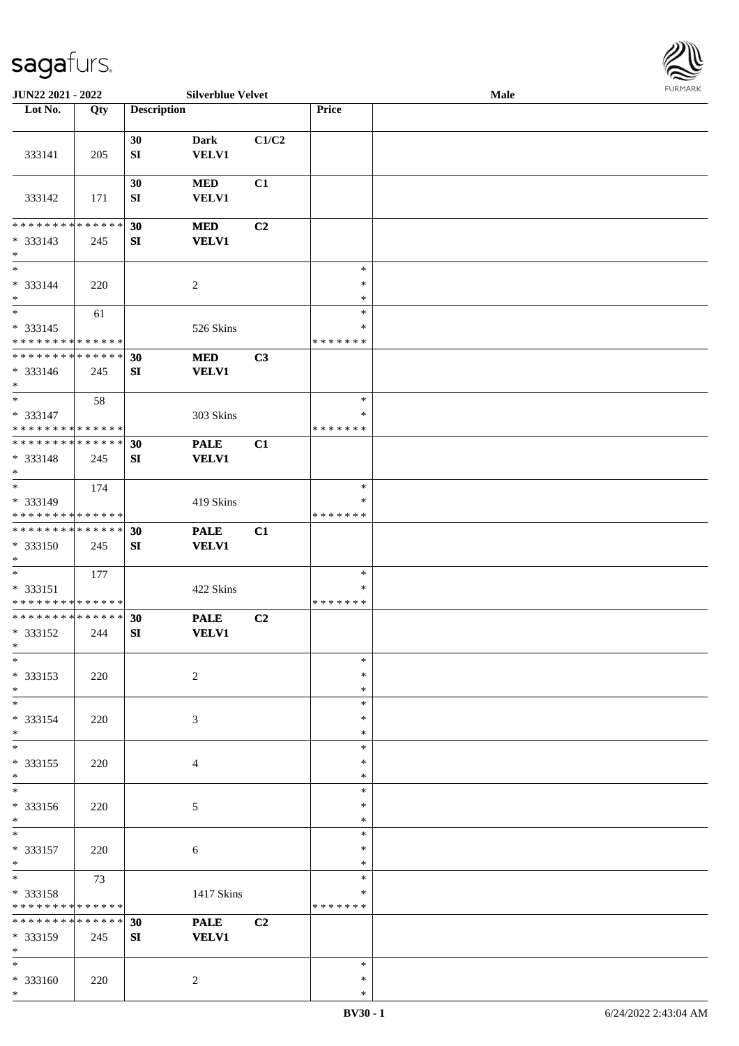

| JUN22 2021 - 2022               |     |                    | <b>Silverblue Velvet</b> |       |               | Male |  |
|---------------------------------|-----|--------------------|--------------------------|-------|---------------|------|--|
| Lot No.                         | Qty | <b>Description</b> |                          |       | Price         |      |  |
|                                 |     |                    |                          |       |               |      |  |
|                                 |     | 30                 | Dark                     | C1/C2 |               |      |  |
| 333141                          | 205 | ${\bf SI}$         | VELV1                    |       |               |      |  |
|                                 |     |                    |                          |       |               |      |  |
|                                 |     | 30                 | <b>MED</b>               | C1    |               |      |  |
| 333142                          | 171 | SI                 | <b>VELV1</b>             |       |               |      |  |
|                                 |     |                    |                          |       |               |      |  |
| * * * * * * * * * * * * * *     |     | 30                 | <b>MED</b>               | C2    |               |      |  |
| * 333143                        | 245 | ${\bf SI}$         | <b>VELV1</b>             |       |               |      |  |
| $*$                             |     |                    |                          |       |               |      |  |
| $\ast$                          |     |                    |                          |       | $\ast$        |      |  |
| * 333144                        |     |                    |                          |       | $\ast$        |      |  |
| $\ast$                          | 220 |                    | $\overline{c}$           |       | $\ast$        |      |  |
| $*$                             |     |                    |                          |       | $\ast$        |      |  |
|                                 | 61  |                    |                          |       |               |      |  |
| $* 333145$                      |     |                    | 526 Skins                |       | $\ast$        |      |  |
| * * * * * * * * * * * * * *     |     |                    |                          |       | *******       |      |  |
| * * * * * * * * * * * * * *     |     | 30                 | <b>MED</b>               | C3    |               |      |  |
| $* 333146$                      | 245 | ${\bf S}{\bf I}$   | <b>VELV1</b>             |       |               |      |  |
| $*$                             |     |                    |                          |       |               |      |  |
| $\ast$                          | 58  |                    |                          |       | $\ast$        |      |  |
| * 333147                        |     |                    | 303 Skins                |       | $\ast$        |      |  |
| * * * * * * * * * * * * * *     |     |                    |                          |       | *******       |      |  |
| * * * * * * * * * * * * * *     |     | 30                 | <b>PALE</b>              | C1    |               |      |  |
| * 333148                        | 245 | SI                 | <b>VELV1</b>             |       |               |      |  |
| $*$                             |     |                    |                          |       |               |      |  |
| $*$                             | 174 |                    |                          |       | $\ast$        |      |  |
| * 333149                        |     |                    | 419 Skins                |       | $\ast$        |      |  |
| * * * * * * * * * * * * * *     |     |                    |                          |       | * * * * * * * |      |  |
| * * * * * * * * * * * * * *     |     | 30                 | <b>PALE</b>              | C1    |               |      |  |
| * 333150                        | 245 | SI                 | <b>VELV1</b>             |       |               |      |  |
| $*$                             |     |                    |                          |       |               |      |  |
| $*$                             | 177 |                    |                          |       | $\ast$        |      |  |
| * 333151                        |     |                    | 422 Skins                |       | $\ast$        |      |  |
| * * * * * * * * * * * * * *     |     |                    |                          |       | *******       |      |  |
| * * * * * * * * * * * * * *     |     | 30                 | <b>PALE</b>              | C2    |               |      |  |
| * 333152                        | 244 | SI                 | <b>VELV1</b>             |       |               |      |  |
| $*$                             |     |                    |                          |       |               |      |  |
| $*$                             |     |                    |                          |       | $\ast$        |      |  |
|                                 |     |                    |                          |       | $\ast$        |      |  |
| * 333153<br>$*$                 | 220 |                    | $\overline{c}$           |       |               |      |  |
| $\overline{\phantom{0}}$        |     |                    |                          |       | $\ast$        |      |  |
|                                 |     |                    |                          |       | $\ast$        |      |  |
| * 333154                        | 220 |                    | 3                        |       | $\ast$        |      |  |
| $*$                             |     |                    |                          |       | $\ast$        |      |  |
| $\ast$                          |     |                    |                          |       | $\ast$        |      |  |
| * 333155                        | 220 |                    | 4                        |       | $\ast$        |      |  |
| $*$<br>$\overline{\phantom{0}}$ |     |                    |                          |       | $\ast$        |      |  |
|                                 |     |                    |                          |       | $\ast$        |      |  |
| * 333156                        | 220 |                    | 5                        |       | $\ast$        |      |  |
| $*$                             |     |                    |                          |       | $\ast$        |      |  |
| $\overline{\phantom{0}}$        |     |                    |                          |       | $\ast$        |      |  |
| * 333157                        | 220 |                    | 6                        |       | $\ast$        |      |  |
| $*$                             |     |                    |                          |       | $\ast$        |      |  |
| $*$                             | 73  |                    |                          |       | $\ast$        |      |  |
| * 333158                        |     |                    | 1417 Skins               |       | $\ast$        |      |  |
| * * * * * * * * * * * * * *     |     |                    |                          |       | * * * * * * * |      |  |
| * * * * * * * * * * * * * *     |     | 30                 | <b>PALE</b>              | C2    |               |      |  |
| * 333159                        | 245 | SI                 | <b>VELV1</b>             |       |               |      |  |
| $*$                             |     |                    |                          |       |               |      |  |
| $*$                             |     |                    |                          |       | $\ast$        |      |  |
| * 333160                        | 220 |                    | 2                        |       | $\ast$        |      |  |
| $*$                             |     |                    |                          |       | $\ast$        |      |  |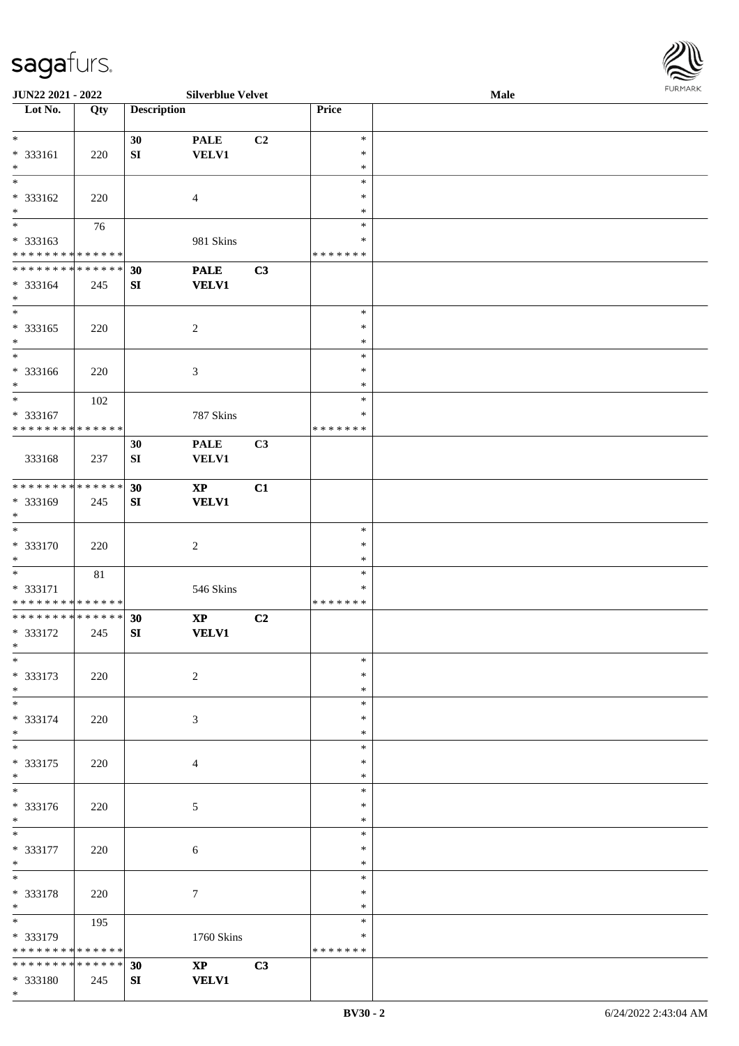

| JUN22 2021 - 2022                          |        |                    | <b>Silverblue Velvet</b>       |                |               | <b>Male</b> |  |
|--------------------------------------------|--------|--------------------|--------------------------------|----------------|---------------|-------------|--|
| Lot No.                                    | Qty    | <b>Description</b> |                                |                | Price         |             |  |
|                                            |        |                    |                                |                |               |             |  |
| $\ast$                                     |        | 30                 | <b>PALE</b>                    | C <sub>2</sub> | $\ast$        |             |  |
| * 333161                                   | 220    | ${\bf SI}$         | <b>VELV1</b>                   |                | $\ast$        |             |  |
| $*$                                        |        |                    |                                |                | $\ast$        |             |  |
| $\overline{\ }$                            |        |                    |                                |                | $\ast$        |             |  |
| * 333162                                   | 220    |                    | $\overline{4}$                 |                | $\ast$        |             |  |
| $\ast$                                     |        |                    |                                |                | $\ast$        |             |  |
| $\overline{\phantom{0}}$                   |        |                    |                                |                |               |             |  |
|                                            | 76     |                    |                                |                | $\ast$        |             |  |
| * 333163                                   |        |                    | 981 Skins                      |                | $\ast$        |             |  |
| * * * * * * * * * * * * * *                |        |                    |                                |                | * * * * * * * |             |  |
| * * * * * * * * * * * * * *                |        | 30                 | <b>PALE</b>                    | C3             |               |             |  |
| * 333164                                   | 245    | ${\bf SI}$         | <b>VELV1</b>                   |                |               |             |  |
| $*$                                        |        |                    |                                |                |               |             |  |
| $*$                                        |        |                    |                                |                | $\ast$        |             |  |
| * 333165                                   | 220    |                    | $\sqrt{2}$                     |                | $\ast$        |             |  |
| $*$                                        |        |                    |                                |                | $\ast$        |             |  |
| $\overline{\ast}$                          |        |                    |                                |                | $\ast$        |             |  |
| * 333166                                   | 220    |                    | 3                              |                | $\ast$        |             |  |
| $*$                                        |        |                    |                                |                | $\ast$        |             |  |
| $*$                                        |        |                    |                                |                | $\ast$        |             |  |
|                                            | 102    |                    |                                |                |               |             |  |
| * 333167                                   |        |                    | 787 Skins                      |                | $\ast$        |             |  |
| * * * * * * * * * * * * * *                |        |                    |                                |                | *******       |             |  |
|                                            |        | 30                 | <b>PALE</b>                    | C3             |               |             |  |
| 333168                                     | 237    | SI                 | <b>VELV1</b>                   |                |               |             |  |
|                                            |        |                    |                                |                |               |             |  |
| * * * * * * * * * * * * * *                |        | 30                 | $\boldsymbol{X}\boldsymbol{P}$ | C1             |               |             |  |
| * 333169                                   | 245    | ${\bf SI}$         | <b>VELV1</b>                   |                |               |             |  |
| $*$                                        |        |                    |                                |                |               |             |  |
| $*$                                        |        |                    |                                |                | $\ast$        |             |  |
| $* 333170$                                 |        |                    |                                |                | $\ast$        |             |  |
|                                            | 220    |                    | $\boldsymbol{2}$               |                | $\ast$        |             |  |
| $*$                                        |        |                    |                                |                |               |             |  |
| $*$                                        | $81\,$ |                    |                                |                | $\ast$        |             |  |
| * 333171                                   |        |                    | 546 Skins                      |                | $\ast$        |             |  |
| * * * * * * * * <mark>* * * * * * *</mark> |        |                    |                                |                | *******       |             |  |
| * * * * * * * * * * * * * *                |        | 30                 | $\bold{XP}$                    | C2             |               |             |  |
| * 333172                                   | 245    | SI                 | <b>VELV1</b>                   |                |               |             |  |
| $*$                                        |        |                    |                                |                |               |             |  |
| $*$                                        |        |                    |                                |                | $\ast$        |             |  |
| * 333173                                   | 220    |                    | $\sqrt{2}$                     |                | $\ast$        |             |  |
| $*$                                        |        |                    |                                |                | $\ast$        |             |  |
| $*$                                        |        |                    |                                |                | $\ast$        |             |  |
| * 333174                                   | 220    |                    | 3                              |                | $\ast$        |             |  |
| $*$                                        |        |                    |                                |                | $\ast$        |             |  |
| $*$                                        |        |                    |                                |                | $\ast$        |             |  |
|                                            |        |                    |                                |                | $\ast$        |             |  |
| * 333175                                   | 220    |                    | 4                              |                |               |             |  |
| $*$<br>$\overline{\phantom{0}}$            |        |                    |                                |                | $\ast$        |             |  |
|                                            |        |                    |                                |                | $\ast$        |             |  |
| $* 333176$                                 | 220    |                    | 5                              |                | $\ast$        |             |  |
| $*$                                        |        |                    |                                |                | $\ast$        |             |  |
| $*$                                        |        |                    |                                |                | $\ast$        |             |  |
| * 333177                                   | 220    |                    | $\sqrt{6}$                     |                | $\ast$        |             |  |
| $*$                                        |        |                    |                                |                | $\ast$        |             |  |
| $*$                                        |        |                    |                                |                | $\ast$        |             |  |
| * 333178                                   | 220    |                    | $\tau$                         |                | $\ast$        |             |  |
| $*$                                        |        |                    |                                |                | $\ast$        |             |  |
|                                            |        |                    |                                |                | $\ast$        |             |  |
|                                            | 195    |                    |                                |                |               |             |  |
| * 333179                                   |        |                    | 1760 Skins                     |                | ∗             |             |  |
| * * * * * * * * * * * * * *                |        |                    |                                |                | *******       |             |  |
| * * * * * * * * * * * * * * *              |        | 30                 | $\mathbf{XP}$                  | C3             |               |             |  |
| * 333180                                   | 245    | SI                 | <b>VELV1</b>                   |                |               |             |  |
| $*$                                        |        |                    |                                |                |               |             |  |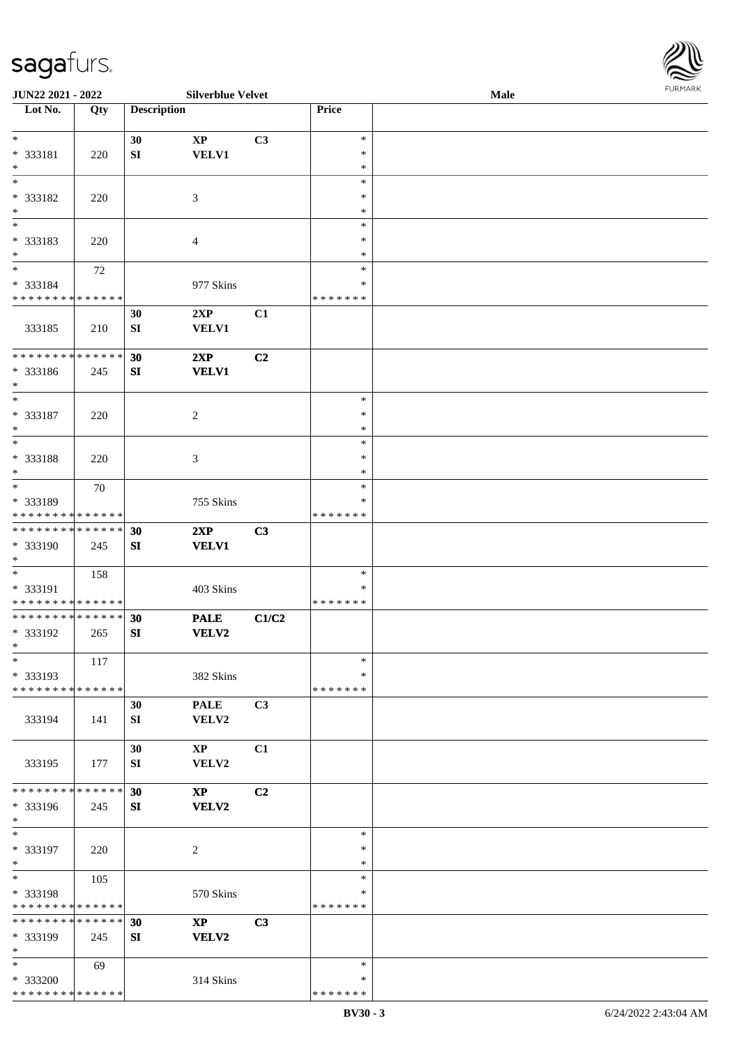\* \* \* \* \* \* \* \* \* \* \* \* \* \* \*

| <b>JUN22 2021 - 2022</b>                               |        |                    | <b>Silverblue Velvet</b> |                |                   | Male | $1 \times 1$ |
|--------------------------------------------------------|--------|--------------------|--------------------------|----------------|-------------------|------|--------------|
| Lot No.                                                | Qty    | <b>Description</b> |                          |                | Price             |      |              |
|                                                        |        |                    |                          |                |                   |      |              |
| $\ast$                                                 |        | 30                 | $\mathbf{XP}$            | C3             | $\ast$            |      |              |
| * 333181                                               | 220    | SI                 | VELV1                    |                | $\ast$            |      |              |
| $\ast$                                                 |        |                    |                          |                | $\ast$            |      |              |
|                                                        |        |                    |                          |                | $\ast$            |      |              |
| * 333182                                               | 220    |                    | 3                        |                | $\ast$            |      |              |
| $*$                                                    |        |                    |                          |                | $\ast$            |      |              |
|                                                        |        |                    |                          |                | $\ast$            |      |              |
| * 333183                                               | 220    |                    | $\overline{4}$           |                | $\ast$            |      |              |
| $\ast$<br>$\overline{\ast}$                            |        |                    |                          |                | ∗                 |      |              |
|                                                        | $72\,$ |                    |                          |                | $\ast$            |      |              |
| * 333184<br>* * * * * * * * <mark>* * * * * * *</mark> |        |                    | 977 Skins                |                | $\ast$<br>******* |      |              |
|                                                        |        |                    |                          |                |                   |      |              |
|                                                        |        | 30                 | 2XP                      | C1             |                   |      |              |
| 333185                                                 | 210    | SI                 | <b>VELV1</b>             |                |                   |      |              |
| * * * * * * * * <mark>* * * * * * *</mark>             |        | 30                 | 2XP                      | C2             |                   |      |              |
| * 333186                                               |        | SI                 | <b>VELV1</b>             |                |                   |      |              |
| $\ast$                                                 | 245    |                    |                          |                |                   |      |              |
| $\ddot{x}$                                             |        |                    |                          |                | $\ast$            |      |              |
| * 333187                                               | 220    |                    | $\overline{c}$           |                | $\ast$            |      |              |
| $\ast$                                                 |        |                    |                          |                | $\ast$            |      |              |
|                                                        |        |                    |                          |                | $\ast$            |      |              |
| * 333188                                               | 220    |                    | 3                        |                | ∗                 |      |              |
| $*$                                                    |        |                    |                          |                | $\ast$            |      |              |
| $*$                                                    | 70     |                    |                          |                | $\ast$            |      |              |
| * 333189                                               |        |                    | 755 Skins                |                | ∗                 |      |              |
| * * * * * * * * * * * * * * *                          |        |                    |                          |                | *******           |      |              |
| * * * * * * * * <mark>* * * * * * *</mark>             |        | 30                 | 2XP                      | C <sub>3</sub> |                   |      |              |
| * 333190                                               | 245    | SI                 | <b>VELV1</b>             |                |                   |      |              |
| $\ast$                                                 |        |                    |                          |                |                   |      |              |
|                                                        | 158    |                    |                          |                | $\ast$            |      |              |
| * 333191                                               |        |                    | 403 Skins                |                | ∗                 |      |              |
| * * * * * * * * <mark>* * * * * *</mark>               |        |                    |                          |                | *******           |      |              |
| * * * * * * * * <mark>* * * * * *</mark>               |        | 30                 | <b>PALE</b>              | C1/C2          |                   |      |              |
| * 333192                                               | 265    | SI                 | <b>VELV2</b>             |                |                   |      |              |
| $\ast$                                                 |        |                    |                          |                |                   |      |              |
| $\ast$                                                 | 117    |                    |                          |                | $\ast$            |      |              |
| * 333193                                               |        |                    | 382 Skins                |                | $\ast$            |      |              |
| * * * * * * * * <mark>* * * * * *</mark>               |        |                    |                          |                | * * * * * * *     |      |              |
|                                                        |        | 30                 | <b>PALE</b>              | C3             |                   |      |              |
| 333194                                                 | 141    | SI                 | VELV2                    |                |                   |      |              |
|                                                        |        |                    |                          |                |                   |      |              |
| 333195                                                 |        | 30                 | $\mathbf{X}\mathbf{P}$   | C1             |                   |      |              |
|                                                        | 177    | SI                 | VELV2                    |                |                   |      |              |
| * * * * * * * * <mark>* * * * * *</mark>               |        | 30                 | $\mathbf{X}\mathbf{P}$   | C2             |                   |      |              |
| * 333196                                               | 245    | SI                 | <b>VELV2</b>             |                |                   |      |              |
| $*$                                                    |        |                    |                          |                |                   |      |              |
| $\ast$                                                 |        |                    |                          |                | $\ast$            |      |              |
| * 333197                                               | 220    |                    | 2                        |                | $\ast$            |      |              |
| $*$                                                    |        |                    |                          |                | $\ast$            |      |              |
| $*$                                                    | 105    |                    |                          |                | $\ast$            |      |              |
| * 333198                                               |        |                    | 570 Skins                |                | $\ast$            |      |              |
| * * * * * * * * <mark>* * * * * *</mark>               |        |                    |                          |                | *******           |      |              |
| * * * * * * * * <mark>* * * * * *</mark>               |        | 30                 | $\mathbf{X}\mathbf{P}$   | C3             |                   |      |              |
| * 333199                                               | 245    | SI                 | <b>VELV2</b>             |                |                   |      |              |
| $\ast$                                                 |        |                    |                          |                |                   |      |              |
| $\ast$                                                 | 69     |                    |                          |                | $\ast$            |      |              |
| * 333200                                               |        |                    | 314 Skins                |                | $\ast$            |      |              |

\* \* \* \* \* \* \*

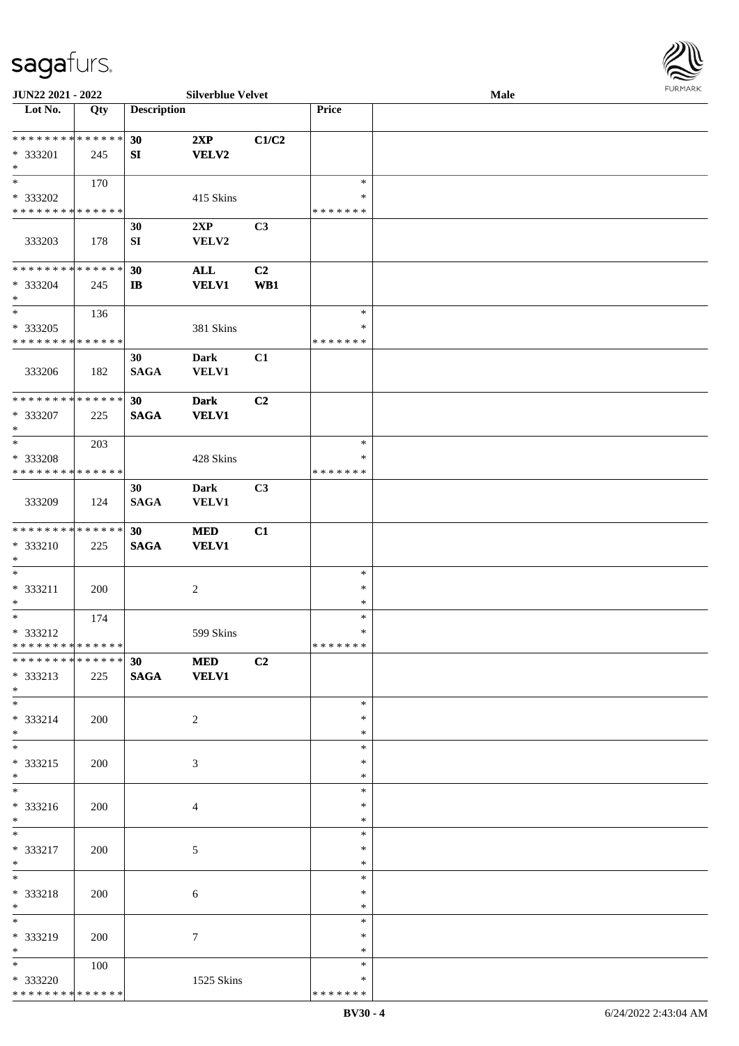

| JUN22 2021 - 2022               |     |                    | <b>Silverblue Velvet</b> |                |               | Male |  |
|---------------------------------|-----|--------------------|--------------------------|----------------|---------------|------|--|
| Lot No.                         | Qty | <b>Description</b> |                          |                | Price         |      |  |
| **************                  |     | 30                 | 2XP                      | C1/C2          |               |      |  |
| * 333201                        | 245 | SI                 | <b>VELV2</b>             |                |               |      |  |
| $\ast$                          |     |                    |                          |                |               |      |  |
| $\overline{\ast}$               | 170 |                    |                          |                | $\ast$        |      |  |
|                                 |     |                    |                          |                | ∗             |      |  |
| * 333202                        |     |                    | 415 Skins                |                |               |      |  |
| * * * * * * * * * * * * * *     |     |                    |                          |                | * * * * * * * |      |  |
|                                 |     | 30                 | 2XP                      | C3             |               |      |  |
| 333203                          | 178 | ${\bf S}{\bf I}$   | VELV2                    |                |               |      |  |
|                                 |     |                    |                          |                |               |      |  |
| **************                  |     | 30                 | ALL                      | C <sub>2</sub> |               |      |  |
| * 333204                        | 245 | $\mathbf{I}$       | <b>VELV1</b>             | WB1            |               |      |  |
| $\ast$                          |     |                    |                          |                |               |      |  |
| $\ast$                          | 136 |                    |                          |                | $\ast$        |      |  |
| $* 333205$                      |     |                    | 381 Skins                |                | $\ast$        |      |  |
| * * * * * * * * * * * * * *     |     |                    |                          |                | * * * * * * * |      |  |
|                                 |     | 30                 | <b>Dark</b>              | C1             |               |      |  |
|                                 |     |                    |                          |                |               |      |  |
| 333206                          | 182 | <b>SAGA</b>        | <b>VELV1</b>             |                |               |      |  |
|                                 |     |                    |                          |                |               |      |  |
| **************                  |     | 30                 | <b>Dark</b>              | C2             |               |      |  |
| $* 333207$                      | 225 | <b>SAGA</b>        | <b>VELV1</b>             |                |               |      |  |
| $\ast$                          |     |                    |                          |                |               |      |  |
| $\ast$                          | 203 |                    |                          |                | $\ast$        |      |  |
| * 333208                        |     |                    | 428 Skins                |                | *             |      |  |
| * * * * * * * * * * * * * *     |     |                    |                          |                | * * * * * * * |      |  |
|                                 |     | 30                 | <b>Dark</b>              | C <sub>3</sub> |               |      |  |
| 333209                          | 124 | <b>SAGA</b>        | <b>VELV1</b>             |                |               |      |  |
|                                 |     |                    |                          |                |               |      |  |
| **************                  |     | 30                 | <b>MED</b>               | C1             |               |      |  |
|                                 |     |                    |                          |                |               |      |  |
| * 333210                        | 225 | <b>SAGA</b>        | <b>VELV1</b>             |                |               |      |  |
| $\ast$                          |     |                    |                          |                |               |      |  |
| $\ast$                          |     |                    |                          |                | $\ast$        |      |  |
| * 333211                        | 200 |                    | $\sqrt{2}$               |                | $\ast$        |      |  |
| $\ast$                          |     |                    |                          |                | $\ast$        |      |  |
| $\ast$                          | 174 |                    |                          |                | $\ast$        |      |  |
| * 333212                        |     |                    | 599 Skins                |                | $\ast$        |      |  |
| **************                  |     |                    |                          |                | *******       |      |  |
| * * * * * * * * * * * * * * *   |     | <b>30 MED</b>      |                          | C2             |               |      |  |
| * 333213                        | 225 | SAGA VELV1         |                          |                |               |      |  |
| $*$                             |     |                    |                          |                |               |      |  |
| $\overline{\phantom{0}}$        |     |                    |                          |                | $\ast$        |      |  |
| * 333214                        | 200 |                    | $\overline{2}$           |                | *             |      |  |
| $*$                             |     |                    |                          |                | *             |      |  |
| $\overline{\phantom{0}}$        |     |                    |                          |                |               |      |  |
|                                 |     |                    |                          |                | $\ast$        |      |  |
| * 333215                        | 200 |                    | 3                        |                | ∗             |      |  |
| $*$<br>$\overline{\phantom{0}}$ |     |                    |                          |                | $\ast$        |      |  |
|                                 |     |                    |                          |                | $\ast$        |      |  |
| * 333216                        | 200 |                    | $\overline{4}$           |                | *             |      |  |
| $*$                             |     |                    |                          |                | $\ast$        |      |  |
| $*$                             |     |                    |                          |                | $\ast$        |      |  |
| * 333217                        | 200 |                    | 5                        |                | $\ast$        |      |  |
| $*$                             |     |                    |                          |                | $\ast$        |      |  |
| $*$                             |     |                    |                          |                | $\ast$        |      |  |
| * 333218                        | 200 |                    | 6                        |                | $\ast$        |      |  |
| $*$                             |     |                    |                          |                | $\ast$        |      |  |
| $\overline{\phantom{0}}$        |     |                    |                          |                |               |      |  |
|                                 |     |                    |                          |                | $\ast$        |      |  |
| * 333219                        | 200 |                    | $\tau$                   |                | *             |      |  |
| $*$                             |     |                    |                          |                | $\ast$        |      |  |
| $*$                             | 100 |                    |                          |                | $\ast$        |      |  |
| * 333220                        |     |                    | 1525 Skins               |                | *             |      |  |
| * * * * * * * * * * * * * *     |     |                    |                          |                | * * * * * * * |      |  |
|                                 |     |                    |                          |                |               |      |  |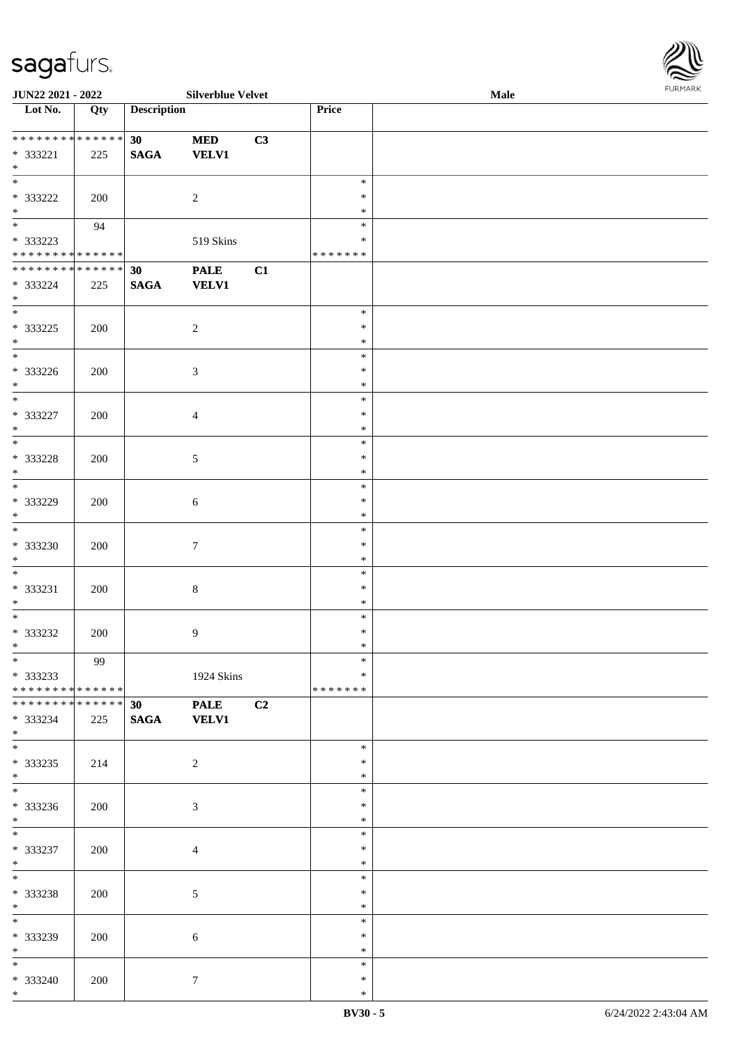| <b>JUN22 2021 - 2022</b>                   |                   |                    | <b>Silverblue Velvet</b> |    |               | Male | 1.9151 B.0515 |
|--------------------------------------------|-------------------|--------------------|--------------------------|----|---------------|------|---------------|
| Lot No.                                    | $\overline{Q}$ ty | <b>Description</b> |                          |    | Price         |      |               |
|                                            |                   |                    |                          |    |               |      |               |
| ******** <mark>******</mark>               |                   | 30 <sup>°</sup>    | <b>MED</b>               | C3 |               |      |               |
| * 333221                                   | 225               | <b>SAGA</b>        | <b>VELV1</b>             |    |               |      |               |
| $*$                                        |                   |                    |                          |    |               |      |               |
|                                            |                   |                    |                          |    | $\ast$        |      |               |
| * 333222                                   | 200               |                    | 2                        |    | $\ast$        |      |               |
| $*$                                        |                   |                    |                          |    | $\ast$        |      |               |
|                                            | 94                |                    |                          |    | $\ast$        |      |               |
| * 333223                                   |                   |                    | 519 Skins                |    | *             |      |               |
| * * * * * * * * <mark>* * * * * * *</mark> |                   |                    |                          |    | * * * * * * * |      |               |
| * * * * * * * * * * * * * *                |                   | 30                 | <b>PALE</b>              | C1 |               |      |               |
|                                            |                   |                    |                          |    |               |      |               |
| * 333224                                   | 225               | <b>SAGA</b>        | <b>VELV1</b>             |    |               |      |               |
| $*$<br>$\overline{\phantom{0}}$            |                   |                    |                          |    | $\ast$        |      |               |
|                                            |                   |                    |                          |    |               |      |               |
| * 333225                                   | 200               |                    | $\overline{2}$           |    | $\ast$        |      |               |
| $*$<br>$\overline{\phantom{0}}$            |                   |                    |                          |    | $\ast$        |      |               |
|                                            |                   |                    |                          |    | $\ast$        |      |               |
| * 333226                                   | 200               |                    | $\mathfrak{Z}$           |    | $\ast$        |      |               |
| $*$                                        |                   |                    |                          |    | $\ast$        |      |               |
|                                            |                   |                    |                          |    | $\ast$        |      |               |
| * 333227                                   | 200               |                    | $\overline{4}$           |    | $\ast$        |      |               |
| $*$                                        |                   |                    |                          |    | $\ast$        |      |               |
|                                            |                   |                    |                          |    | $\ast$        |      |               |
| * 333228                                   | 200               |                    | $\mathfrak{S}$           |    | $\ast$        |      |               |
| $\ast$                                     |                   |                    |                          |    | $\ast$        |      |               |
| $\overline{\phantom{0}}$                   |                   |                    |                          |    | $\ast$        |      |               |
| * 333229                                   | 200               |                    | 6                        |    | $\ast$        |      |               |
| $\ast$                                     |                   |                    |                          |    | $\ast$        |      |               |
| $*$                                        |                   |                    |                          |    | $\ast$        |      |               |
| * 333230                                   | 200               |                    | $\tau$                   |    | $\ast$        |      |               |
| $\ast$                                     |                   |                    |                          |    | $\ast$        |      |               |
| $\ast$                                     |                   |                    |                          |    | $\ast$        |      |               |
| $* 333231$                                 |                   |                    |                          |    | $\ast$        |      |               |
| $*$                                        | 200               |                    | $\,8\,$                  |    | $\ast$        |      |               |
| $\ast$                                     |                   |                    |                          |    | $\ast$        |      |               |
|                                            |                   |                    |                          |    | $\ast$        |      |               |
| * 333232                                   | 200               |                    | $\overline{9}$           |    |               |      |               |
| $\ddot{x}$                                 |                   |                    |                          |    | $\ast$        |      |               |
| $*$                                        | 99                |                    |                          |    | $\ast$        |      |               |
| * 333233                                   |                   |                    | 1924 Skins               |    | $\ast$        |      |               |
| * * * * * * * * <mark>* * * * * *</mark> * |                   |                    |                          |    | * * * * * * * |      |               |
| * * * * * * * * <mark>* * * * * * *</mark> |                   | 30                 | PALE C2                  |    |               |      |               |
| * 333234                                   | 225               | <b>SAGA</b>        | <b>VELV1</b>             |    |               |      |               |
| $*$ $-$                                    |                   |                    |                          |    |               |      |               |
| $*$                                        |                   |                    |                          |    | $\ast$        |      |               |
| * 333235                                   | 214               |                    | 2                        |    | $\ast$        |      |               |
| $*$                                        |                   |                    |                          |    | $\ast$        |      |               |
| $\overline{\mathbf{r}}$                    |                   |                    |                          |    | $\ast$        |      |               |
| * 333236                                   | 200               |                    | 3                        |    | $\ast$        |      |               |
| $\ddot{x}$                                 |                   |                    |                          |    | $\ast$        |      |               |
| $\ddot{x}$                                 |                   |                    |                          |    | $\ast$        |      |               |
| * 333237                                   | 200               |                    | $\overline{4}$           |    | $\ast$        |      |               |
| $*$                                        |                   |                    |                          |    | $\ast$        |      |               |
| $*$                                        |                   |                    |                          |    | $\ast$        |      |               |
| * 333238                                   | 200               |                    | 5                        |    | $\ast$        |      |               |
| $*$                                        |                   |                    |                          |    | $\ast$        |      |               |
| $\overline{\mathbf{r}}$                    |                   |                    |                          |    | $\ast$        |      |               |
| * 333239                                   | 200               |                    | 6                        |    | $\ast$        |      |               |
| $*$ $-$                                    |                   |                    |                          |    | $\ast$        |      |               |
| $*$                                        |                   |                    |                          |    | $\ast$        |      |               |
| * 333240                                   | 200               |                    | $7\phantom{.0}$          |    | $\ast$        |      |               |
|                                            |                   |                    |                          |    |               |      |               |

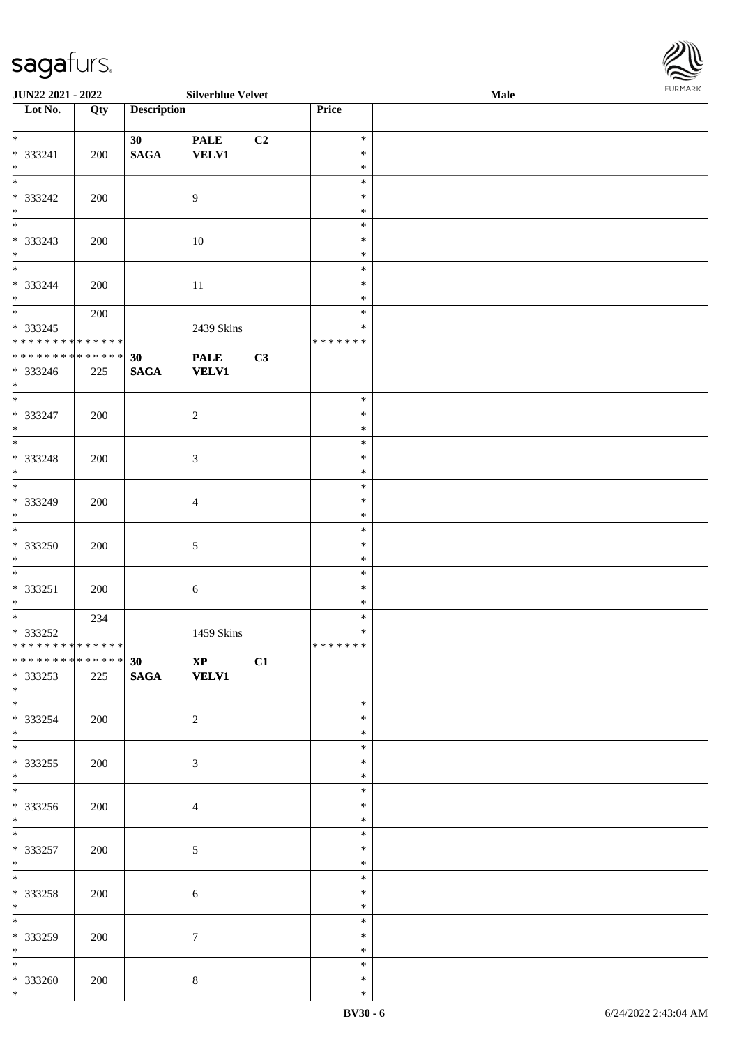| <b>JUN22 2021 - 2022</b>                                                          |     |                    | <b>Silverblue Velvet</b>    |    |                                   | Male | 1.9151 B.0515 |
|-----------------------------------------------------------------------------------|-----|--------------------|-----------------------------|----|-----------------------------------|------|---------------|
| Lot No.                                                                           | Qty | <b>Description</b> |                             |    | Price                             |      |               |
| $\ddot{x}$<br>$* 333241$<br>$*$                                                   | 200 | 30<br><b>SAGA</b>  | <b>PALE</b><br><b>VELV1</b> | C2 | $\ast$<br>$\ast$<br>$\ast$        |      |               |
| $\overline{\ast}$<br>* 333242<br>$*$                                              | 200 |                    | 9                           |    | $\ast$<br>$\ast$<br>$\ast$        |      |               |
| * 333243<br>$\ast$<br>$*$                                                         | 200 |                    | 10                          |    | $\ast$<br>$\ast$<br>$\ast$        |      |               |
| * 333244<br>$*$                                                                   | 200 |                    | 11                          |    | $\ast$<br>$\ast$<br>$\ast$        |      |               |
| $\overline{\mathbf{r}}$<br>$* 333245$<br>* * * * * * * * <mark>* * * * * *</mark> | 200 |                    | 2439 Skins                  |    | $\ast$<br>$\ast$<br>* * * * * * * |      |               |
| * * * * * * * * <mark>* * * * * * *</mark><br>* 333246<br>$*$                     | 225 | 30<br><b>SAGA</b>  | <b>PALE</b><br><b>VELV1</b> | C3 |                                   |      |               |
| * 333247<br>$*$                                                                   | 200 |                    | 2                           |    | $\ast$<br>$\ast$<br>$\ast$        |      |               |
| $* 333248$<br>$*$                                                                 | 200 |                    | $\mathfrak{Z}$              |    | $\ast$<br>$\ast$<br>$\ast$        |      |               |
| * 333249<br>$\ast$                                                                | 200 |                    | $\overline{4}$              |    | $\ast$<br>$\ast$<br>$\ast$        |      |               |
| $*$<br>* 333250<br>$*$                                                            | 200 |                    | $\mathfrak{S}$              |    | $\ast$<br>$\ast$<br>$\ast$        |      |               |
| $\ast$<br>$* 333251$<br>$*$                                                       | 200 |                    | $\boldsymbol{6}$            |    | $\ast$<br>$\ast$<br>$\ast$        |      |               |
| $\overline{\mathbf{r}}$<br>$* 333252$<br>* * * * * * * * * * * * * * *            | 234 |                    | 1459 Skins                  |    | $\ast$<br>$\ast$<br>*******       |      |               |
| * 333253<br>$*$ $-$                                                               | 225 | 30                 | $\mathbf{XP}$<br>SAGA VELV1 | C1 |                                   |      |               |
| * 333254<br>$*$ $-$                                                               | 200 |                    | 2                           |    | $\ast$<br>$\ast$<br>$\ast$        |      |               |
| $\ddot{x}$<br>* 333255<br>$\ast$                                                  | 200 |                    | 3                           |    | $\ast$<br>$\ast$<br>$\ast$        |      |               |
| * 333256<br>$\ddot{x}$                                                            | 200 |                    | $\overline{4}$              |    | $\ast$<br>$\ast$<br>$\ast$        |      |               |
| $*$<br>* 333257<br>$*$                                                            | 200 |                    | 5                           |    | $\ast$<br>$\ast$<br>$\ast$        |      |               |
| $*$<br>* 333258<br>$*$<br>$*$                                                     | 200 |                    | 6                           |    | $\ast$<br>$\ast$<br>$\ast$        |      |               |
| * 333259<br>$*$ $*$                                                               | 200 |                    | $7\phantom{.0}$             |    | $\ast$<br>$\ast$<br>$\ast$        |      |               |
| $*$<br>* 333260                                                                   | 200 |                    | 8                           |    | $\ast$<br>$\ast$                  |      |               |

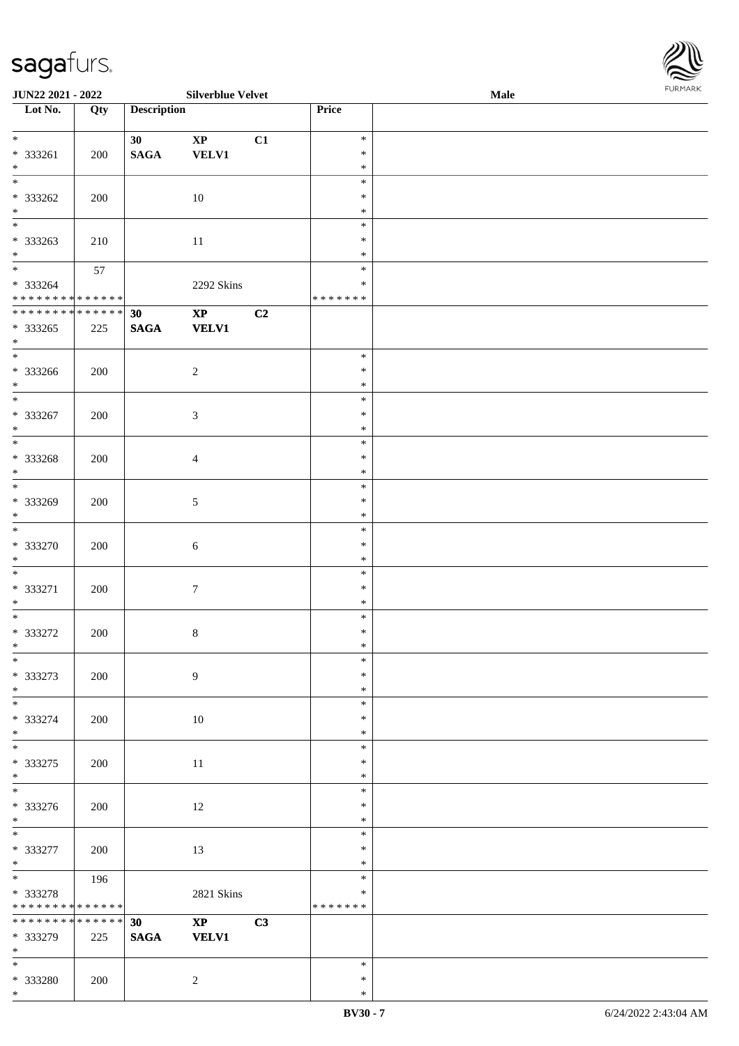| <b>JUN22 2021 - 2022</b>                                             |     |                                | <b>Silverblue Velvet</b>               |    |                                   | Male | <b>FUNITANN</b> |
|----------------------------------------------------------------------|-----|--------------------------------|----------------------------------------|----|-----------------------------------|------|-----------------|
| Lot No.                                                              | Qty | <b>Description</b>             |                                        |    | Price                             |      |                 |
| $*$<br>* 333261                                                      | 200 | 30 <sup>°</sup><br><b>SAGA</b> | $\mathbf{X}\mathbf{P}$<br><b>VELV1</b> | C1 | $\ast$<br>$\ast$                  |      |                 |
| $*$                                                                  |     |                                |                                        |    | $\ast$<br>$\ast$                  |      |                 |
| * 333262<br>$*$                                                      | 200 |                                | 10                                     |    | $\ast$<br>$\ast$                  |      |                 |
| * 333263<br>$\ast$                                                   | 210 |                                | 11                                     |    | $\ast$<br>$\ast$<br>$\ast$        |      |                 |
| $\ddot{x}$<br>* 333264<br>* * * * * * * * <mark>* * * * * * *</mark> | 57  |                                | 2292 Skins                             |    | $\ast$<br>$\ast$<br>* * * * * * * |      |                 |
| **************                                                       |     | 30                             | $\mathbf{X}\mathbf{P}$                 | C2 |                                   |      |                 |
| * 333265<br>$*$                                                      | 225 | <b>SAGA</b>                    | <b>VELV1</b>                           |    |                                   |      |                 |
| * 333266<br>$*$                                                      | 200 |                                | $\overline{2}$                         |    | $\ast$<br>$\ast$<br>$\ast$        |      |                 |
| $*$<br>* 333267<br>$*$                                               | 200 |                                | $\sqrt{3}$                             |    | $\ast$<br>$\ast$<br>$\ast$        |      |                 |
| * 333268<br>$*$                                                      | 200 |                                | $\overline{4}$                         |    | $\ast$<br>$\ast$<br>$\ast$        |      |                 |
| * 333269<br>$\ast$                                                   | 200 |                                | $\sqrt{5}$                             |    | $\ast$<br>$\ast$<br>$\ast$        |      |                 |
| $\overline{\ast}$<br>* 333270<br>$\ast$                              | 200 |                                | 6                                      |    | $\ast$<br>$\ast$<br>$\ast$        |      |                 |
| * 333271<br>$*$                                                      | 200 |                                | $7\phantom{.0}$                        |    | $\ast$<br>$\ast$<br>$\ast$        |      |                 |
| $\overline{\ast}$<br>* 333272<br>$\ddot{x}$                          | 200 |                                | $\,8\,$                                |    | $\ast$<br>$\ast$<br>$*$           |      |                 |
| $\ast$<br>* 333273<br>$*$                                            | 200 |                                | $\overline{9}$                         |    | $\ast$<br>$\ast$<br>$\ast$        |      |                 |
| * 333274<br>$*$                                                      | 200 |                                | 10                                     |    | $\ast$<br>$\ast$<br>$\ast$        |      |                 |
| * 333275<br>$\ast$                                                   | 200 |                                | 11                                     |    | $\ast$<br>$\ast$<br>$\ast$        |      |                 |
| * 333276<br>$\ast$                                                   | 200 |                                | 12                                     |    | $\ast$<br>$\ast$<br>$\ast$        |      |                 |
| $\overline{\ast}$<br>* 333277<br>$*$                                 | 200 |                                | 13                                     |    | $\ast$<br>$\ast$<br>$\ast$        |      |                 |
| $*$<br>* 333278<br>* * * * * * * * <mark>* * * * * *</mark>          | 196 |                                | <b>2821 Skins</b>                      |    | $\ast$<br>$\ast$<br>* * * * * * * |      |                 |
| * * * * * * * * <mark>* * * * * * *</mark><br>* 333279<br>$*$ $-$    | 225 | 30<br><b>SAGA</b>              | $\mathbf{X}\mathbf{P}$<br><b>VELV1</b> | C3 |                                   |      |                 |
| $*$ and $*$<br>* 333280                                              | 200 |                                | $\overline{2}$                         |    | $\ast$<br>$\ast$                  |      |                 |

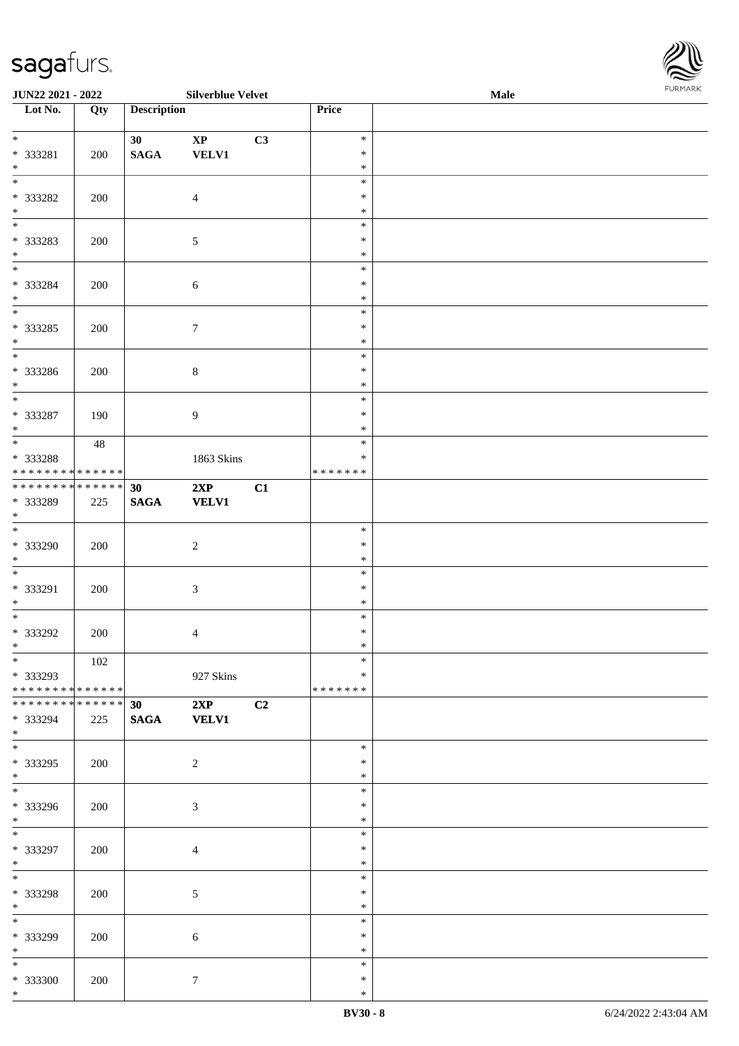| <b>JUN22 2021 - 2022</b>                                                               |     |                    | <b>Silverblue Velvet</b> |    |                    | <b>Male</b> |  |
|----------------------------------------------------------------------------------------|-----|--------------------|--------------------------|----|--------------------|-------------|--|
| Lot No.                                                                                | Qty | <b>Description</b> |                          |    | Price              |             |  |
|                                                                                        |     |                    |                          |    |                    |             |  |
| $*$                                                                                    |     | 30 <sup>°</sup>    | $\mathbf{X}\mathbf{P}$   | C3 | $\ast$             |             |  |
| * 333281                                                                               | 200 | <b>SAGA</b>        | <b>VELV1</b>             |    | $\ast$             |             |  |
| $*$<br>$\overline{\ast}$                                                               |     |                    |                          |    | $\ast$             |             |  |
|                                                                                        |     |                    |                          |    | $\ast$             |             |  |
| * 333282                                                                               | 200 |                    | $\overline{4}$           |    | $\ast$             |             |  |
| $\ast$                                                                                 |     |                    |                          |    | $\ast$             |             |  |
|                                                                                        |     |                    |                          |    | $\ast$             |             |  |
| * 333283                                                                               | 200 |                    | $\mathfrak{S}$           |    | $\ast$             |             |  |
| $\ast$<br>$*$                                                                          |     |                    |                          |    | $\ast$<br>$\ast$   |             |  |
|                                                                                        |     |                    |                          |    | $\ast$             |             |  |
| * 333284<br>$*$                                                                        | 200 |                    | 6                        |    | $\ast$             |             |  |
|                                                                                        |     |                    |                          |    | $\ast$             |             |  |
| * 333285                                                                               | 200 |                    | $7\phantom{.0}$          |    | $\ast$             |             |  |
| $*$                                                                                    |     |                    |                          |    | $\ast$             |             |  |
|                                                                                        |     |                    |                          |    | $\ast$             |             |  |
| * 333286                                                                               | 200 |                    | $\,8\,$                  |    | $\ast$             |             |  |
| $*$                                                                                    |     |                    |                          |    | $\ast$             |             |  |
|                                                                                        |     |                    |                          |    | $\ast$             |             |  |
| * 333287                                                                               | 190 |                    | 9                        |    | $\ast$             |             |  |
| $*$                                                                                    |     |                    |                          |    | $\ast$             |             |  |
|                                                                                        | 48  |                    |                          |    | $\ast$             |             |  |
| * 333288                                                                               |     |                    | 1863 Skins               |    | $\ast$             |             |  |
| * * * * * * * * <mark>* * * * * *</mark>                                               |     |                    |                          |    | * * * * * * *      |             |  |
| * * * * * * * * <mark>* * * * * *</mark> *                                             |     | 30                 | 2XP                      | C1 |                    |             |  |
| * 333289                                                                               | 225 | <b>SAGA</b>        | <b>VELV1</b>             |    |                    |             |  |
| $\ast$                                                                                 |     |                    |                          |    |                    |             |  |
|                                                                                        |     |                    |                          |    | $\ast$             |             |  |
| * 333290                                                                               | 200 |                    | 2                        |    | $\ast$             |             |  |
| $*$                                                                                    |     |                    |                          |    | $\ast$             |             |  |
| $\overline{\ }$                                                                        |     |                    |                          |    | $\ast$             |             |  |
| * 333291                                                                               | 200 |                    | $\mathfrak{Z}$           |    | $\ast$             |             |  |
| $*$<br>$*$                                                                             |     |                    |                          |    | $\ast$             |             |  |
|                                                                                        |     |                    |                          |    | $\ast$             |             |  |
| * 333292                                                                               | 200 |                    | $\overline{4}$           |    | $\ast$             |             |  |
| $\ddot{x}$<br>$\ast$                                                                   |     |                    |                          |    | $\ast$             |             |  |
|                                                                                        | 102 |                    |                          |    | $\ast$             |             |  |
| * 333293                                                                               |     |                    | 927 Skins                |    | ∗<br>* * * * * * * |             |  |
| * * * * * * * * <mark>* * * * * *</mark><br>* * * * * * * * <mark>* * * * * * *</mark> |     |                    |                          |    |                    |             |  |
| * 333294                                                                               |     | 30                 | 2XP                      | C2 |                    |             |  |
| $\ast$                                                                                 | 225 | <b>SAGA</b>        | <b>VELV1</b>             |    |                    |             |  |
| $\ddot{x}$                                                                             |     |                    |                          |    | $\ast$             |             |  |
| * 333295                                                                               | 200 |                    | 2                        |    | $\ast$             |             |  |
| $*$                                                                                    |     |                    |                          |    | $\ast$             |             |  |
| $\overline{\ast}$                                                                      |     |                    |                          |    | $\ast$             |             |  |
| * 333296                                                                               | 200 |                    | 3                        |    | $\ast$             |             |  |
| $*$                                                                                    |     |                    |                          |    | $\ast$             |             |  |
| $\overline{\ast}$                                                                      |     |                    |                          |    | $\ast$             |             |  |
| * 333297                                                                               | 200 |                    | $\overline{4}$           |    | $\ast$             |             |  |
| $*$                                                                                    |     |                    |                          |    | $\ast$             |             |  |
| $*$                                                                                    |     |                    |                          |    | $\ast$             |             |  |
| * 333298                                                                               | 200 |                    | 5                        |    | $\ast$             |             |  |
| $*$ $-$                                                                                |     |                    |                          |    | $\ast$             |             |  |
|                                                                                        |     |                    |                          |    | $\ast$             |             |  |
| * 333299                                                                               | 200 |                    | 6                        |    | $\ast$             |             |  |
| $*$                                                                                    |     |                    |                          |    | $\ast$             |             |  |
| $\ast$                                                                                 |     |                    |                          |    | $\ast$             |             |  |
| * 333300                                                                               | 200 |                    | $7\phantom{.0}$          |    | $\ast$             |             |  |

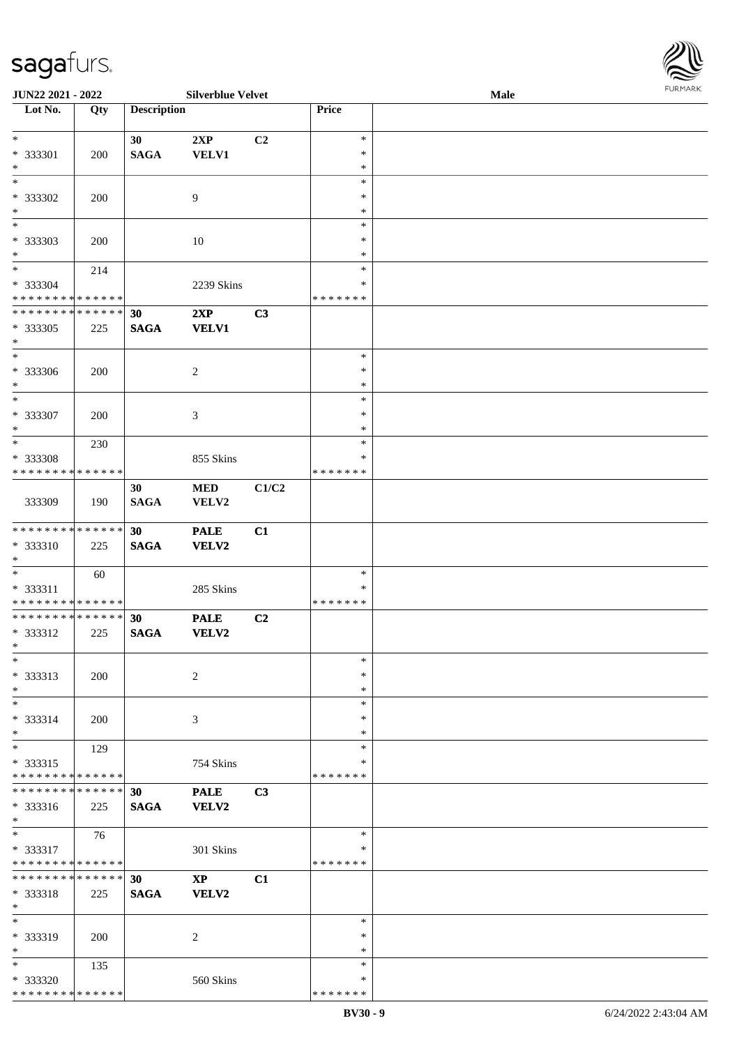\* \* \* \* \* \* \* \* \* \* \* \* \* \* \*

| JUN22 2021 - 2022                                                                      |     |                    | <b>Silverblue Velvet</b> |       |                  | <b>Male</b> | 10111111111 |
|----------------------------------------------------------------------------------------|-----|--------------------|--------------------------|-------|------------------|-------------|-------------|
| $\overline{\text{Lot No}}$ .                                                           | Qty | <b>Description</b> |                          |       | Price            |             |             |
| $*$                                                                                    |     |                    |                          |       | $\ast$           |             |             |
| * 333301                                                                               | 200 | 30<br><b>SAGA</b>  | 2XP<br><b>VELV1</b>      | C2    | $\ast$           |             |             |
| $*$                                                                                    |     |                    |                          |       | $\ast$           |             |             |
| $*$                                                                                    |     |                    |                          |       | $\ast$           |             |             |
| * 333302                                                                               | 200 |                    | 9                        |       | $\ast$           |             |             |
| $*$                                                                                    |     |                    |                          |       | $\ast$           |             |             |
|                                                                                        |     |                    |                          |       | $\ast$           |             |             |
| * 333303<br>$*$                                                                        | 200 |                    | 10                       |       | $\ast$           |             |             |
| $*$                                                                                    | 214 |                    |                          |       | $\ast$<br>$\ast$ |             |             |
| * 333304                                                                               |     |                    | 2239 Skins               |       | $\ast$           |             |             |
| * * * * * * * * * * * * * *                                                            |     |                    |                          |       | * * * * * * *    |             |             |
| * * * * * * * * <mark>* * * * * * *</mark>                                             |     | 30                 | 2XP                      | C3    |                  |             |             |
| * 333305                                                                               | 225 | <b>SAGA</b>        | <b>VELV1</b>             |       |                  |             |             |
| $*$                                                                                    |     |                    |                          |       |                  |             |             |
| $*$                                                                                    |     |                    |                          |       | $\ast$           |             |             |
| * 333306<br>$*$                                                                        | 200 |                    | 2                        |       | $\ast$<br>$\ast$ |             |             |
| $*$                                                                                    |     |                    |                          |       | $\ast$           |             |             |
| * 333307                                                                               | 200 |                    | 3                        |       | $\ast$           |             |             |
| $*$                                                                                    |     |                    |                          |       | $\ast$           |             |             |
| $*$                                                                                    | 230 |                    |                          |       | $\ast$           |             |             |
| * 333308                                                                               |     |                    | 855 Skins                |       | $\ast$           |             |             |
| * * * * * * * * <mark>* * * * * *</mark>                                               |     |                    |                          |       | * * * * * * *    |             |             |
|                                                                                        |     | 30                 | <b>MED</b>               | C1/C2 |                  |             |             |
| 333309                                                                                 | 190 | <b>SAGA</b>        | VELV2                    |       |                  |             |             |
| * * * * * * * * * * * * * *                                                            |     | 30                 | <b>PALE</b>              | C1    |                  |             |             |
| * 333310                                                                               | 225 | <b>SAGA</b>        | <b>VELV2</b>             |       |                  |             |             |
| $*$                                                                                    |     |                    |                          |       |                  |             |             |
| $*$                                                                                    | 60  |                    |                          |       | $\ast$           |             |             |
| * 333311                                                                               |     |                    | 285 Skins                |       | $\ast$           |             |             |
| * * * * * * * * <mark>* * * * * *</mark><br>* * * * * * * * <mark>* * * * * * *</mark> |     | 30                 | <b>PALE</b>              | C2    | *******          |             |             |
| * 333312                                                                               | 225 | <b>SAGA</b>        | <b>VELV2</b>             |       |                  |             |             |
| $*$ $-$                                                                                |     |                    |                          |       |                  |             |             |
| $*$                                                                                    |     |                    |                          |       | $\ast$           |             |             |
| * 333313                                                                               | 200 |                    | 2                        |       | $\ast$           |             |             |
| $*$                                                                                    |     |                    |                          |       | $\ast$           |             |             |
| $*$                                                                                    |     |                    |                          |       | $\ast$           |             |             |
| * 333314<br>$*$                                                                        | 200 |                    | 3                        |       | $\ast$<br>$\ast$ |             |             |
| $*$                                                                                    | 129 |                    |                          |       | $\ast$           |             |             |
| * 333315                                                                               |     |                    | 754 Skins                |       | *                |             |             |
| * * * * * * * * * * * * * *                                                            |     |                    |                          |       | *******          |             |             |
| * * * * * * * * * * * * * * *                                                          |     | 30                 | <b>PALE</b>              | C3    |                  |             |             |
| * 333316                                                                               | 225 | <b>SAGA</b>        | <b>VELV2</b>             |       |                  |             |             |
| $*$<br>$*$                                                                             |     |                    |                          |       | $\ast$           |             |             |
| $* 333317$                                                                             | 76  |                    | 301 Skins                |       | ∗                |             |             |
| * * * * * * * * <mark>* * * * * *</mark>                                               |     |                    |                          |       | *******          |             |             |
| * * * * * * * * * * * * * * *                                                          |     | 30                 | $\mathbf{XP}$            | C1    |                  |             |             |
| $* 333318$                                                                             | 225 | <b>SAGA</b>        | <b>VELV2</b>             |       |                  |             |             |
| $\ast$                                                                                 |     |                    |                          |       |                  |             |             |
| $*$                                                                                    |     |                    |                          |       | $\ast$           |             |             |
| * 333319                                                                               | 200 |                    | 2                        |       | $\ast$           |             |             |
| $\ast$<br>$*$                                                                          | 135 |                    |                          |       | $\ast$<br>$\ast$ |             |             |
| * 333320                                                                               |     |                    | 560 Skins                |       | $\ast$           |             |             |
|                                                                                        |     |                    |                          |       |                  |             |             |

\* \* \* \* \* \* \*

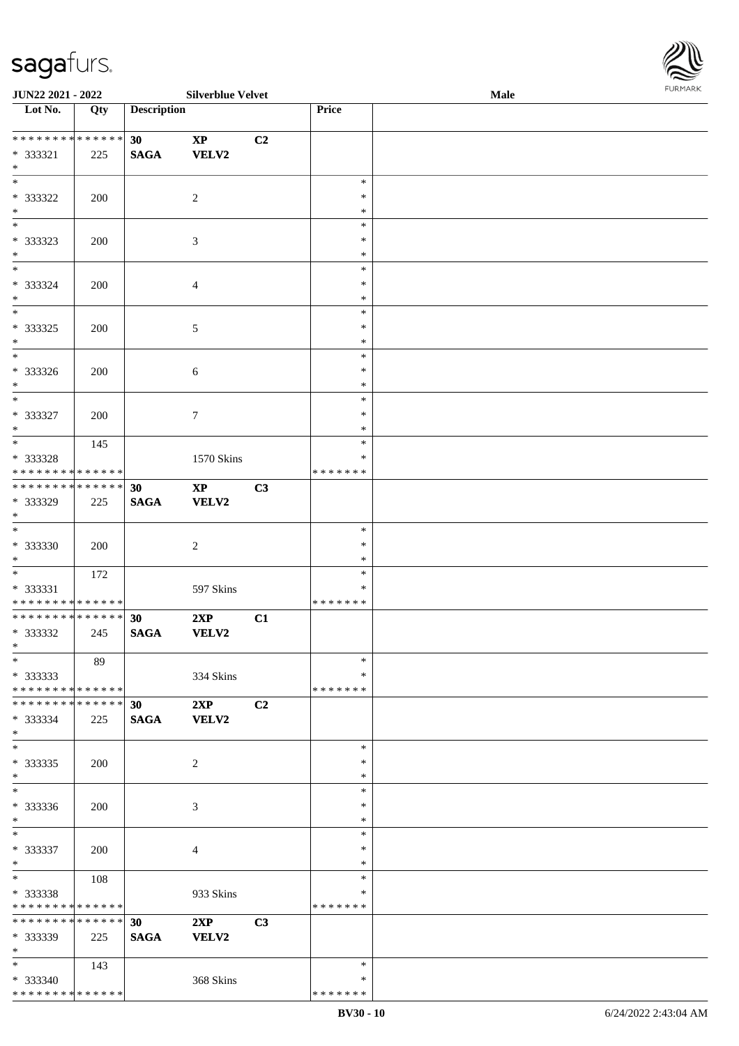\* \* \* \* \* \* \* \* \* \* \* \* \* \* \*

| <b>JUN22 2021 - 2022</b>                                                         |     |                                | <b>Silverblue Velvet</b>               |    |                                   | <b>Male</b> | $1 \times 1$ |
|----------------------------------------------------------------------------------|-----|--------------------------------|----------------------------------------|----|-----------------------------------|-------------|--------------|
| Lot No.                                                                          | Qty | <b>Description</b>             |                                        |    | Price                             |             |              |
|                                                                                  |     |                                |                                        |    |                                   |             |              |
| $* 333321$<br>$*$                                                                | 225 | 30<br><b>SAGA</b>              | $\mathbf{X}\mathbf{P}$<br><b>VELV2</b> | C2 |                                   |             |              |
| * 333322<br>$*$                                                                  | 200 |                                | 2                                      |    | $\ast$<br>$\ast$<br>$\ast$        |             |              |
| * 333323<br>$\ast$                                                               | 200 |                                | 3                                      |    | $\ast$<br>$\ast$<br>$\ast$        |             |              |
| $\overline{\ast}$<br>* 333324<br>$\ast$                                          | 200 |                                | $\overline{4}$                         |    | $\ast$<br>$\ast$<br>$\ast$        |             |              |
| $\overline{\ }$<br>* 333325<br>$*$                                               | 200 |                                | $\mathfrak{S}$                         |    | $\ast$<br>$\ast$<br>$\ast$        |             |              |
| $*$<br>* 333326<br>$*$                                                           | 200 |                                | 6                                      |    | $\ast$<br>$\ast$<br>$\ast$        |             |              |
| $*$<br>* 333327<br>$*$                                                           | 200 |                                | $\tau$                                 |    | $\ast$<br>$\ast$<br>$\ast$        |             |              |
| $\overline{\phantom{0}}$<br>* 333328<br>* * * * * * * * <mark>* * * * * *</mark> | 145 |                                | 1570 Skins                             |    | $\ast$<br>∗<br>* * * * * * *      |             |              |
| * * * * * * * * <mark>* * * * * * *</mark><br>* 333329<br>$\ast$                 | 225 | 30<br><b>SAGA</b>              | $\mathbf{X}\mathbf{P}$<br><b>VELV2</b> | C3 |                                   |             |              |
| $\overline{\ast}$<br>* 333330<br>$\ast$                                          | 200 |                                | 2                                      |    | $\ast$<br>$\ast$<br>$\ast$        |             |              |
| * 333331<br>* * * * * * * * <mark>* * * * * *</mark>                             | 172 |                                | 597 Skins                              |    | $\ast$<br>∗<br>*******            |             |              |
| * * * * * * * * <mark>* * * * * * *</mark><br>* 333332<br>$\ast$                 | 245 | 30<br><b>SAGA</b>              | 2XP<br><b>VELV2</b>                    | C1 |                                   |             |              |
| $*$<br>* 333333<br>* * * * * * * * <mark>* * * * * * *</mark>                    | 89  |                                | 334 Skins                              |    | $\ast$<br>$\ast$<br>* * * * * * * |             |              |
| * * * * * * * * <mark>* * * * * * *</mark><br>* 333334<br>$\ast$                 | 225 | 30<br><b>SAGA</b>              | 2XP<br><b>VELV2</b>                    | C2 |                                   |             |              |
| $*$ $-$<br>* 333335<br>$\ast$                                                    | 200 |                                | 2                                      |    | $\ast$<br>$\ast$<br>$\ast$        |             |              |
| $*$<br>* 333336<br>$*$                                                           | 200 |                                | 3                                      |    | $\ast$<br>$\ast$<br>$\ast$        |             |              |
| $\ast$<br>* 333337<br>$*$                                                        | 200 |                                | $\overline{4}$                         |    | $\ast$<br>$\ast$<br>$\ast$        |             |              |
| $*$<br>* 333338<br>* * * * * * * * <mark>* * * * * *</mark>                      | 108 |                                | 933 Skins                              |    | $\ast$<br>∗<br>*******            |             |              |
| * * * * * * * * * * * * * * <mark>*</mark><br>* 333339<br>$*$                    | 225 | 30 <sup>7</sup><br><b>SAGA</b> | 2XP<br><b>VELV2</b>                    | C3 |                                   |             |              |
| $*$ and $*$<br>* 333340                                                          | 143 |                                | 368 Skins                              |    | $\ast$<br>$\ast$                  |             |              |

\* \* \* \* \* \* \*

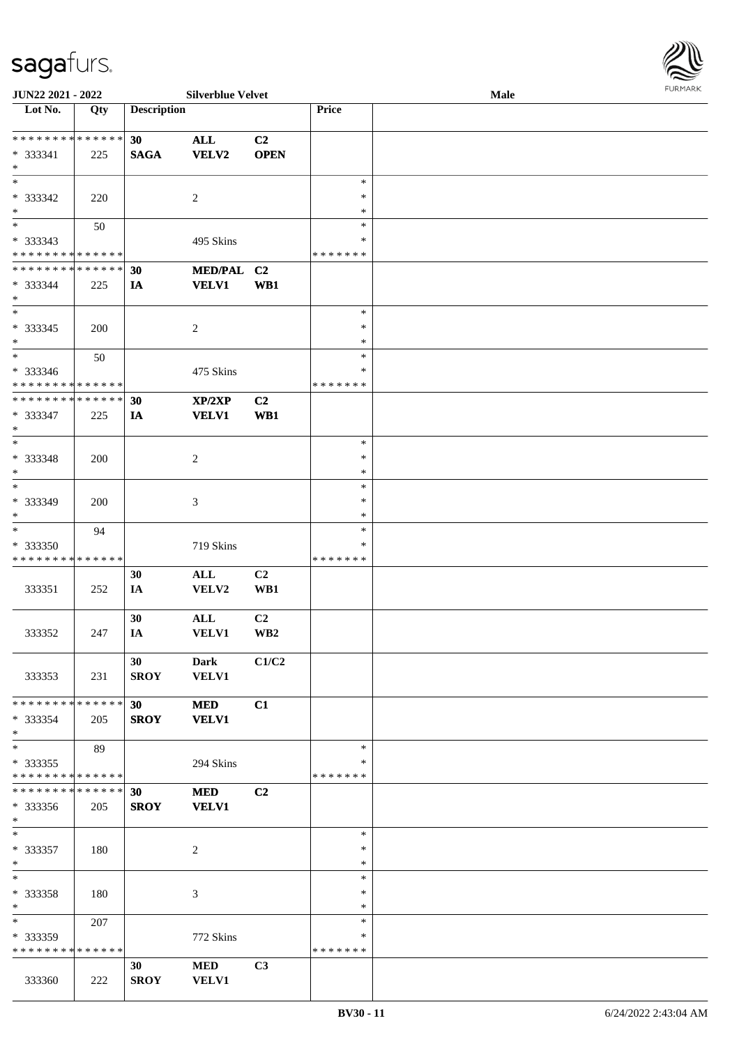

| JUN22 2021 - 2022                    |     |                    | <b>Silverblue Velvet</b> |                         |               | Male |  |
|--------------------------------------|-----|--------------------|--------------------------|-------------------------|---------------|------|--|
| $\overline{\phantom{1}}$ Lot No.     | Qty | <b>Description</b> |                          |                         | Price         |      |  |
|                                      |     |                    |                          |                         |               |      |  |
| **************                       |     | 30                 | <b>ALL</b>               | C2                      |               |      |  |
| * 333341                             | 225 | <b>SAGA</b>        | <b>VELV2</b>             | <b>OPEN</b>             |               |      |  |
| $\ast$                               |     |                    |                          |                         |               |      |  |
| $\ast$                               |     |                    |                          |                         | $\ast$        |      |  |
|                                      |     |                    |                          |                         | $\ast$        |      |  |
| * 333342                             | 220 |                    | $\overline{2}$           |                         |               |      |  |
| $\ast$                               |     |                    |                          |                         | $\ast$        |      |  |
| $\overline{\phantom{1}}$             | 50  |                    |                          |                         | $\ast$        |      |  |
| $* 333343$                           |     |                    | 495 Skins                |                         | $\ast$        |      |  |
| * * * * * * * * * * * * * *          |     |                    |                          |                         | * * * * * * * |      |  |
| **************                       |     | 30                 | MED/PAL C2               |                         |               |      |  |
| $* 333344$                           | 225 | IA                 | <b>VELV1</b>             | WB1                     |               |      |  |
| $\ast$                               |     |                    |                          |                         |               |      |  |
| $\ast$                               |     |                    |                          |                         | $\ast$        |      |  |
|                                      |     |                    |                          |                         | $\ast$        |      |  |
| $* 333345$                           | 200 |                    | $\sqrt{2}$               |                         |               |      |  |
| $\ast$                               |     |                    |                          |                         | $\ast$        |      |  |
| $\overline{\phantom{1}}$             | 50  |                    |                          |                         | $\ast$        |      |  |
| * 333346                             |     |                    | 475 Skins                |                         | $\ast$        |      |  |
| * * * * * * * * * * * * * *          |     |                    |                          |                         | * * * * * * * |      |  |
| **************                       |     | 30                 | XP/2XP                   | C2                      |               |      |  |
| * 333347                             | 225 | IA                 | <b>VELV1</b>             | WB1                     |               |      |  |
| $\ast$                               |     |                    |                          |                         |               |      |  |
| $*$                                  |     |                    |                          |                         | $\ast$        |      |  |
| * 333348                             | 200 |                    | $\sqrt{2}$               |                         | $\ast$        |      |  |
| $\ast$                               |     |                    |                          |                         | $\ast$        |      |  |
| $\ast$                               |     |                    |                          |                         | $\ast$        |      |  |
|                                      |     |                    |                          |                         |               |      |  |
| * 333349                             | 200 |                    | 3                        |                         | $\ast$        |      |  |
| $\ast$<br>$\overline{\phantom{a}^*}$ |     |                    |                          |                         | *             |      |  |
|                                      | 94  |                    |                          |                         | $\ast$        |      |  |
| * 333350                             |     |                    | 719 Skins                |                         | $\ast$        |      |  |
| * * * * * * * * * * * * * *          |     |                    |                          |                         | * * * * * * * |      |  |
|                                      |     | 30                 | $\mathbf{ALL}$           | C2                      |               |      |  |
| 333351                               | 252 | IA                 | VELV2                    | WB1                     |               |      |  |
|                                      |     |                    |                          |                         |               |      |  |
|                                      |     | 30                 | $\mathbf{ALL}$           | C <sub>2</sub>          |               |      |  |
| 333352                               | 247 | IA                 | <b>VELV1</b>             | $\mathbf{W}\mathbf{B2}$ |               |      |  |
|                                      |     |                    |                          |                         |               |      |  |
|                                      |     | 30                 | Dark                     | C1/C2                   |               |      |  |
| 333353                               | 231 | <b>SROY</b>        | <b>VELV1</b>             |                         |               |      |  |
|                                      |     |                    |                          |                         |               |      |  |
| * * * * * * * * * * * * * * *        |     |                    |                          |                         |               |      |  |
|                                      |     | 30 <sup>1</sup>    | <b>MED</b>               | C1                      |               |      |  |
| * 333354                             | 205 | <b>SROY</b>        | <b>VELV1</b>             |                         |               |      |  |
| $*$<br>$\overline{\phantom{a}^*}$    |     |                    |                          |                         |               |      |  |
|                                      | 89  |                    |                          |                         | $\ast$        |      |  |
| $*333355$                            |     |                    | 294 Skins                |                         | *             |      |  |
| * * * * * * * * * * * * * *          |     |                    |                          |                         | * * * * * * * |      |  |
| * * * * * * * * * * * * * *          |     | 30                 | <b>MED</b>               | C2                      |               |      |  |
| * 333356                             | 205 | <b>SROY</b>        | <b>VELV1</b>             |                         |               |      |  |
| $*$                                  |     |                    |                          |                         |               |      |  |
| $\ast$                               |     |                    |                          |                         | $\ast$        |      |  |
| * 333357                             | 180 |                    | $\overline{c}$           |                         | $\ast$        |      |  |
| $*$                                  |     |                    |                          |                         | $\ast$        |      |  |
| $\ast$                               |     |                    |                          |                         | $\ast$        |      |  |
| * 333358                             | 180 |                    | 3                        |                         | $\ast$        |      |  |
| $*$                                  |     |                    |                          |                         | $\ast$        |      |  |
| $\ast$                               | 207 |                    |                          |                         | $\ast$        |      |  |
| * 333359                             |     |                    |                          |                         | ∗             |      |  |
| * * * * * * * * * * * * * *          |     |                    | 772 Skins                |                         | * * * * * * * |      |  |
|                                      |     |                    |                          |                         |               |      |  |
|                                      |     | 30                 | $\bf MED$                | C3                      |               |      |  |
| 333360                               | 222 | <b>SROY</b>        | <b>VELV1</b>             |                         |               |      |  |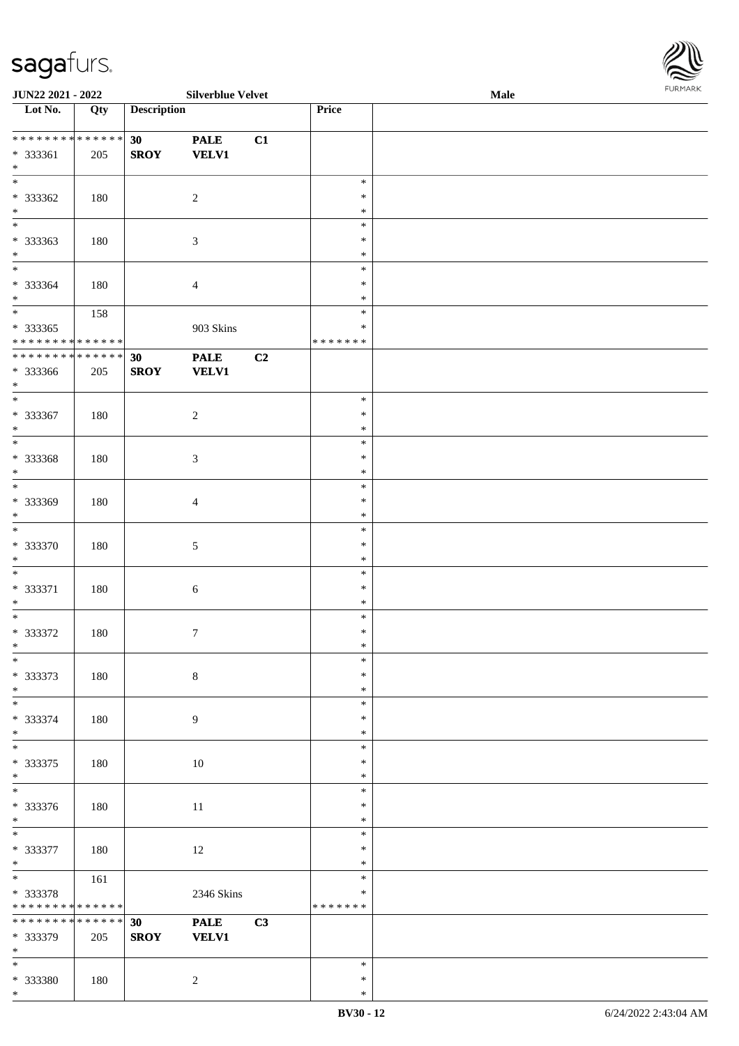| JUN22 2021 - 2022                                             |     |                    | <b>Silverblue Velvet</b>    |    |                                   | <b>Male</b> |  |
|---------------------------------------------------------------|-----|--------------------|-----------------------------|----|-----------------------------------|-------------|--|
| Lot No.                                                       | Qty | <b>Description</b> |                             |    | Price                             |             |  |
| * * * * * * * * * * * * * *<br>* 333361<br>$*$                | 205 | 30<br><b>SROY</b>  | <b>PALE</b><br><b>VELV1</b> | C1 |                                   |             |  |
| * 333362<br>$\ast$                                            | 180 |                    | $\overline{c}$              |    | $\ast$<br>$\ast$<br>$\ast$        |             |  |
| $\overline{\phantom{0}}$<br>* 333363<br>$*$                   | 180 |                    | $\sqrt{3}$                  |    | $\ast$<br>$\ast$<br>$\ast$        |             |  |
| $\overline{\ast}$<br>* 333364<br>$*$                          | 180 |                    | $\overline{4}$              |    | $\ast$<br>$\ast$<br>$\ast$        |             |  |
| $\overline{\ast}$<br>$*333365$<br>* * * * * * * * * * * * * * | 158 |                    | 903 Skins                   |    | $\ast$<br>$\ast$<br>* * * * * * * |             |  |
| * * * * * * * * * * * * * *<br>* 333366<br>$*$                | 205 | 30<br><b>SROY</b>  | <b>PALE</b><br><b>VELV1</b> | C2 |                                   |             |  |
| $\ast$<br>$* 333367$<br>$*$                                   | 180 |                    | $\sqrt{2}$                  |    | $\ast$<br>$\ast$<br>$\ast$        |             |  |
| $\overline{\ast}$<br>* 333368<br>$\ast$                       | 180 |                    | $\mathfrak{Z}$              |    | $\ast$<br>$\ast$<br>$\ast$        |             |  |
| $*$<br>* 333369<br>$*$                                        | 180 |                    | $\overline{4}$              |    | $\ast$<br>$\ast$<br>$\ast$        |             |  |
| $*$<br>$* 333370$<br>$*$                                      | 180 |                    | $\sqrt{5}$                  |    | $\ast$<br>$\ast$<br>$\ast$        |             |  |
| $*$<br>* 333371<br>$*$                                        | 180 |                    | $6\,$                       |    | $\ast$<br>$\ast$<br>$\ast$        |             |  |
| $*$<br>* 333372<br>$*$                                        | 180 |                    | $\boldsymbol{7}$            |    | $\ast$<br>$\ast$<br>$*$           |             |  |
| $\ast$<br>* 333373<br>$*$                                     | 180 |                    | $\,8\,$                     |    | $\ast$<br>$\ast$<br>$\ast$        |             |  |
| * 333374<br>$*$                                               | 180 |                    | $\overline{9}$              |    | $\ast$<br>$\ast$<br>$\ast$        |             |  |
| $\overline{\ast}$<br>* 333375<br>$*$                          | 180 |                    | 10                          |    | $\ast$<br>$\ast$<br>$\ast$        |             |  |
| $\overline{\phantom{0}}$<br>* 333376<br>$*$                   | 180 |                    | 11                          |    | $\ast$<br>$\ast$<br>$\ast$        |             |  |
| $*$<br>* 333377<br>$*$                                        | 180 |                    | 12                          |    | $\ast$<br>$\ast$<br>$\ast$        |             |  |
| $*$<br>* 333378<br>* * * * * * * * * * * * * *                | 161 |                    | 2346 Skins                  |    | $\ast$<br>$\ast$<br>*******       |             |  |
| ******** <mark>******</mark><br>* 333379<br>$*$               | 205 | 30<br><b>SROY</b>  | <b>PALE</b><br><b>VELV1</b> | C3 |                                   |             |  |
| $*$<br>* 333380                                               | 180 |                    | $\overline{c}$              |    | $\ast$<br>$\ast$                  |             |  |

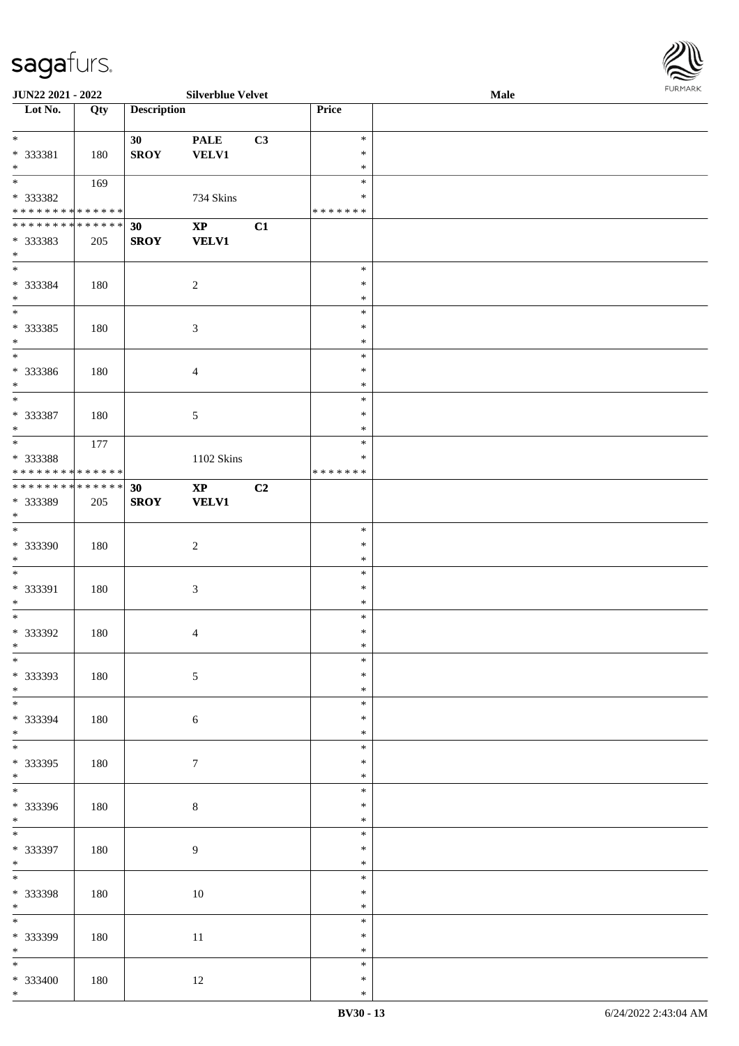\*

**JUN22 2021 - 2022 Silverblue Velvet Male**

| $\overline{\phantom{1}}$ Lot No.   | Qty | <b>Description</b> |                                  |    | Price            |  |
|------------------------------------|-----|--------------------|----------------------------------|----|------------------|--|
|                                    |     |                    |                                  |    |                  |  |
| $\overline{\phantom{a}}$           |     | 30                 | $\ensuremath{\mathop{\bf PALE}}$ | C3 | $\ast$           |  |
| * 333381                           | 180 | <b>SROY</b>        | <b>VELV1</b>                     |    | $\ast$           |  |
| $*$                                |     |                    |                                  |    | $\ast$           |  |
| $\overline{\phantom{0}}$           | 169 |                    |                                  |    | $\ast$           |  |
| * 333382                           |     |                    | 734 Skins                        |    | $\ast$           |  |
| * * * * * * * * * * * * * *        |     |                    |                                  |    | *******          |  |
| **************                     |     | 30                 | $\bold{XP}$                      | C1 |                  |  |
| * 333383                           | 205 | <b>SROY</b>        | <b>VELV1</b>                     |    |                  |  |
| $*$                                |     |                    |                                  |    |                  |  |
| $\ast$                             |     |                    |                                  |    | $\ast$           |  |
| * 333384<br>$*$                    | 180 |                    | $\sqrt{2}$                       |    | $\ast$           |  |
| $\overline{\phantom{0}}$           |     |                    |                                  |    | $\ast$<br>$\ast$ |  |
|                                    |     |                    |                                  |    | $\ast$           |  |
| $* 333385$<br>$\ast$               | 180 |                    | $\mathfrak{Z}$                   |    | $\ast$           |  |
| $\overline{\phantom{0}}$           |     |                    |                                  |    | $\ast$           |  |
| * 333386                           | 180 |                    | $\overline{4}$                   |    | $\ast$           |  |
| $\ast$                             |     |                    |                                  |    | $\ast$           |  |
| $\overline{\phantom{a}^*}$         |     |                    |                                  |    | $\ast$           |  |
| * 333387                           | 180 |                    | $\sqrt{5}$                       |    | $\ast$           |  |
| $\ast$                             |     |                    |                                  |    | $\ast$           |  |
| $*$                                | 177 |                    |                                  |    | $\ast$           |  |
| * 333388                           |     |                    | 1102 Skins                       |    | $\ast$           |  |
| * * * * * * * * * * * * * * *      |     |                    |                                  |    | * * * * * * *    |  |
| ******** <mark>******</mark>       |     | 30                 | $\bold{XP}$                      | C2 |                  |  |
| * 333389                           | 205 | <b>SROY</b>        | <b>VELV1</b>                     |    |                  |  |
| $*$                                |     |                    |                                  |    |                  |  |
| $\overline{\phantom{a}^*}$         |     |                    |                                  |    | $\ast$           |  |
| * 333390                           | 180 |                    | $\boldsymbol{2}$                 |    | $\ast$           |  |
| $\ast$                             |     |                    |                                  |    | $\ast$           |  |
| $\ast$                             |     |                    |                                  |    | $\ast$           |  |
| * 333391                           | 180 |                    | $\sqrt{3}$                       |    | $\ast$           |  |
| $\ast$                             |     |                    |                                  |    | $\ast$           |  |
| $\overline{\ast}$                  |     |                    |                                  |    | $\ast$           |  |
| * 333392                           | 180 |                    | $\overline{4}$                   |    | $\ast$           |  |
| $*$                                |     |                    |                                  |    | $\ast$           |  |
| $*$                                |     |                    |                                  |    | *                |  |
| * 333393                           | 180 |                    | $\sqrt{5}$                       |    | $\ast$           |  |
| $*$                                |     |                    |                                  |    | $\ast$           |  |
| $\overline{\phantom{0}}$           |     |                    |                                  |    | $\ast$           |  |
| * 333394                           | 180 |                    | $6\,$                            |    | $\ast$           |  |
| $*$                                |     |                    |                                  |    | $\ast$           |  |
| $\overline{\phantom{a}^*}$         |     |                    |                                  |    | $\ast$           |  |
| * 333395                           | 180 |                    | $\boldsymbol{7}$                 |    | $\ast$           |  |
| $*$<br>$\overline{\phantom{a}^*}$  |     |                    |                                  |    | $\ast$           |  |
|                                    |     |                    |                                  |    | $\ast$           |  |
| $* 333396$                         | 180 |                    | $\,8\,$                          |    | ∗                |  |
| $*$                                |     |                    |                                  |    | $\ast$           |  |
|                                    |     |                    |                                  |    | $\ast$           |  |
| * 333397                           | 180 |                    | 9                                |    | $\ast$           |  |
| $\ast$<br>$\overline{\phantom{0}}$ |     |                    |                                  |    | $\ast$           |  |
|                                    |     |                    |                                  |    | $\ast$           |  |
| * 333398<br>$*$                    | 180 |                    | $10\,$                           |    | $\ast$           |  |
| $\overline{\phantom{0}}$           |     |                    |                                  |    | $\ast$<br>$\ast$ |  |
|                                    |     |                    |                                  |    |                  |  |
| * 333399<br>$*$                    | 180 |                    | $11\,$                           |    | ∗                |  |
| $*$                                |     |                    |                                  |    | $\ast$<br>$\ast$ |  |
| $* 333400$                         |     |                    |                                  |    | $\ast$           |  |
|                                    | 180 |                    | $12\,$                           |    |                  |  |

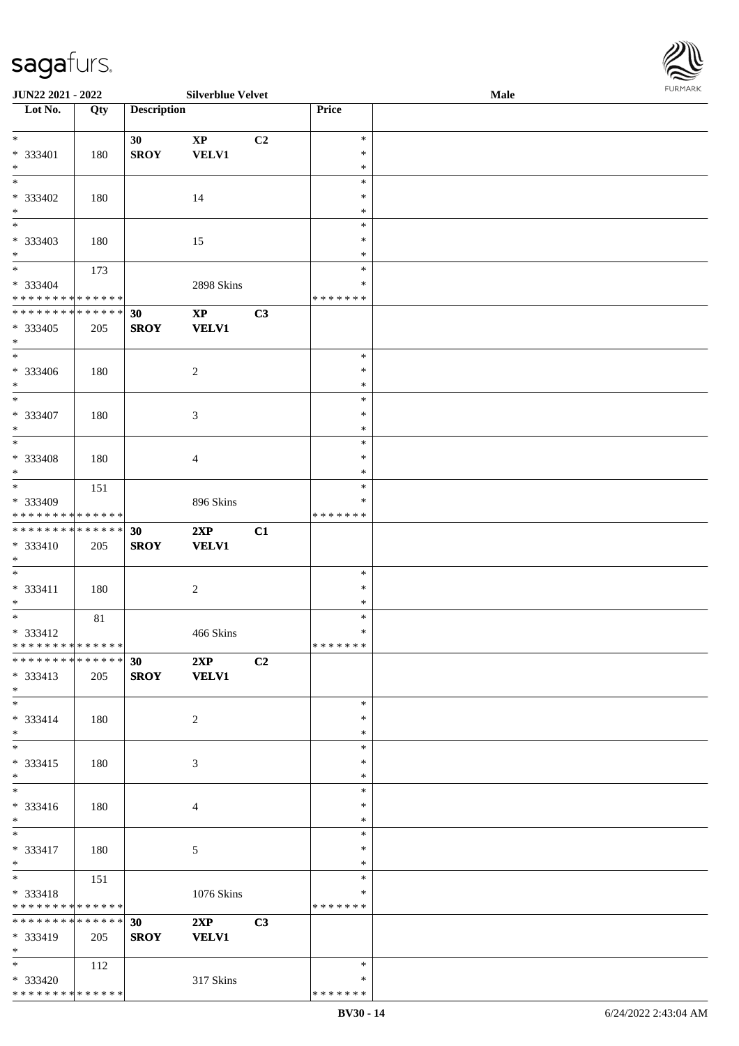\* \* \* \* \* \* \* \* \* \* \* \* \* \* \*

| <b>JUN22 2021 - 2022</b>                   |     |                    | <b>Silverblue Velvet</b> |    |               | Male | <b>FURPIARR</b> |
|--------------------------------------------|-----|--------------------|--------------------------|----|---------------|------|-----------------|
| Lot No.                                    | Qty | <b>Description</b> |                          |    | Price         |      |                 |
|                                            |     |                    |                          |    |               |      |                 |
| $\ddot{x}$                                 |     | 30 <sup>°</sup>    | $\mathbf{X}\mathbf{P}$   | C2 | $\ast$        |      |                 |
| $* 333401$                                 | 180 | <b>SROY</b>        | <b>VELV1</b>             |    | $\ast$        |      |                 |
| $*$                                        |     |                    |                          |    | $\ast$        |      |                 |
| $\ast$                                     |     |                    |                          |    | $\ast$        |      |                 |
| * 333402                                   | 180 |                    | 14                       |    | $\ast$        |      |                 |
| $*$                                        |     |                    |                          |    | $\ast$        |      |                 |
|                                            |     |                    |                          |    | $\ast$        |      |                 |
| * 333403                                   | 180 |                    | 15                       |    | $\ast$        |      |                 |
| $*$                                        |     |                    |                          |    | $\ast$        |      |                 |
| $\ddot{x}$                                 | 173 |                    |                          |    | $\ast$        |      |                 |
| * 333404                                   |     |                    | 2898 Skins               |    | ∗             |      |                 |
| * * * * * * * * * * * * * *                |     |                    |                          |    | *******       |      |                 |
| * * * * * * * * <mark>* * * * * * *</mark> |     | 30                 | $\mathbf{XP}$            | C3 |               |      |                 |
| * 333405                                   | 205 | <b>SROY</b>        | <b>VELV1</b>             |    |               |      |                 |
| $\ast$                                     |     |                    |                          |    |               |      |                 |
|                                            |     |                    |                          |    | $\ast$        |      |                 |
| * 333406                                   | 180 |                    | $\overline{c}$           |    | $\ast$        |      |                 |
| $*$                                        |     |                    |                          |    | $\ast$        |      |                 |
| $*$                                        |     |                    |                          |    | $\ast$        |      |                 |
| * 333407                                   | 180 |                    | 3                        |    | $\ast$        |      |                 |
| $*$                                        |     |                    |                          |    | $\ast$        |      |                 |
| $\overline{\ }$                            |     |                    |                          |    | $\ast$        |      |                 |
| * 333408                                   | 180 |                    | $\overline{4}$           |    | $\ast$        |      |                 |
| $*$                                        |     |                    |                          |    | $\ast$        |      |                 |
| $\overline{\phantom{0}}$                   | 151 |                    |                          |    | $\ast$        |      |                 |
| * 333409                                   |     |                    | 896 Skins                |    | ∗             |      |                 |
| * * * * * * * * <mark>* * * * * *</mark>   |     |                    |                          |    | * * * * * * * |      |                 |
| * * * * * * * * <mark>* * * * * * *</mark> |     | 30                 | 2XP                      | C1 |               |      |                 |
| * 333410                                   | 205 | <b>SROY</b>        | <b>VELV1</b>             |    |               |      |                 |
| $\ast$                                     |     |                    |                          |    |               |      |                 |
|                                            |     |                    |                          |    | $\ast$        |      |                 |
| $* 333411$                                 | 180 |                    | $\overline{c}$           |    | $\ast$        |      |                 |
| $\ast$                                     |     |                    |                          |    | $\ast$        |      |                 |
|                                            | 81  |                    |                          |    | $\ast$        |      |                 |
| $* 333412$                                 |     |                    | 466 Skins                |    | $\ast$        |      |                 |
| * * * * * * * * <mark>* * * * * * *</mark> |     |                    |                          |    | *******       |      |                 |
| * * * * * * * * <mark>* * * * * * *</mark> |     | 30 <sup>7</sup>    | 2XP                      | C2 |               |      |                 |
| $* 333413$                                 | 205 | <b>SROY</b>        | <b>VELV1</b>             |    |               |      |                 |
| $\ast$                                     |     |                    |                          |    |               |      |                 |
| $*$                                        |     |                    |                          |    | $\ast$        |      |                 |
| $* 333414$                                 | 180 |                    | 2                        |    | $\ast$        |      |                 |
| $*$                                        |     |                    |                          |    | $\ast$        |      |                 |
|                                            |     |                    |                          |    | $\ast$        |      |                 |
| * 333415                                   | 180 |                    | 3                        |    | $\ast$        |      |                 |
| $*$                                        |     |                    |                          |    | $\ast$        |      |                 |
| $*$                                        |     |                    |                          |    | $\ast$        |      |                 |
| $* 333416$                                 | 180 |                    | $\overline{4}$           |    | $\ast$        |      |                 |
| $\ast$                                     |     |                    |                          |    | $\ast$        |      |                 |
| $\overline{\mathbf{r}}$                    |     |                    |                          |    | $\ast$        |      |                 |
| * 333417                                   | 180 |                    | 5                        |    | $\ast$        |      |                 |
| $\ast$                                     |     |                    |                          |    | $\ast$        |      |                 |
| $*$                                        | 151 |                    |                          |    | $\ast$        |      |                 |
| * 333418                                   |     |                    | 1076 Skins               |    | ∗             |      |                 |
| * * * * * * * * <mark>* * * * * *</mark>   |     |                    |                          |    | *******       |      |                 |
| * * * * * * * * <mark>* * * * * * *</mark> |     | 30 <sup>1</sup>    | 2XP                      | C3 |               |      |                 |
| * 333419                                   | 205 | <b>SROY</b>        | <b>VELV1</b>             |    |               |      |                 |
| $*$                                        |     |                    |                          |    |               |      |                 |
| $\ast$                                     | 112 |                    |                          |    | $\ast$        |      |                 |
| * 333420                                   |     |                    | 317 Skins                |    | $\ast$        |      |                 |
|                                            |     |                    |                          |    |               |      |                 |

\* \* \* \* \* \* \*

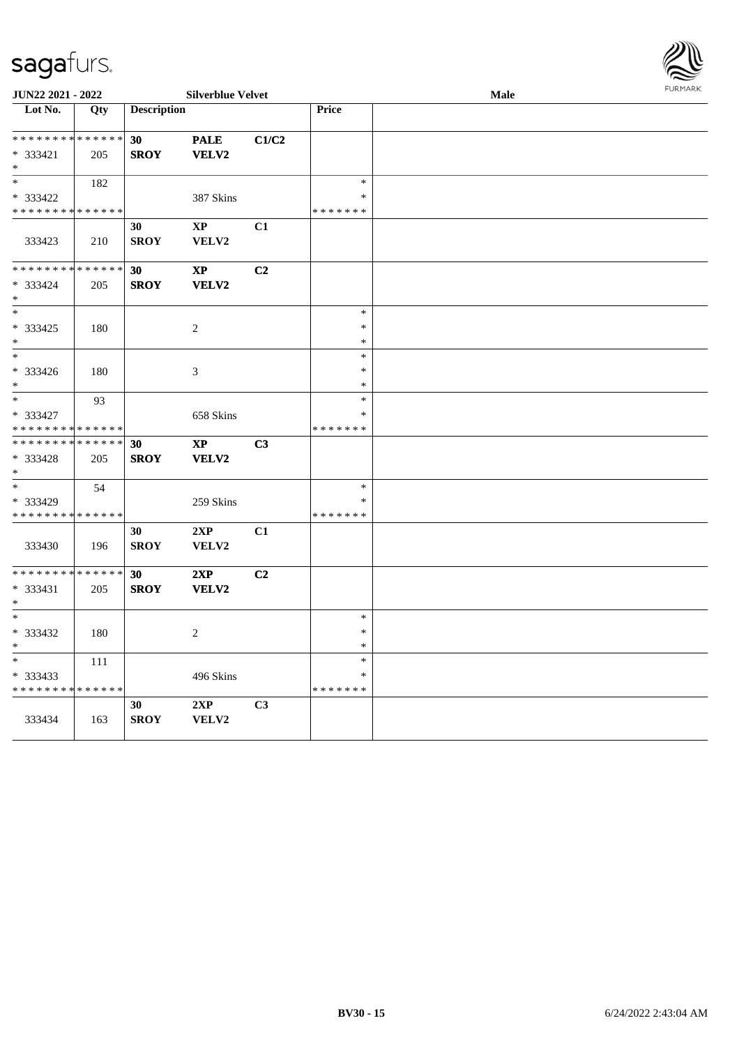| JUN22 2021 - 2022            | <b>Silverblue Velvet</b> |                    |                             |                |               | <b>Male</b> | <b>FURMARK</b> |
|------------------------------|--------------------------|--------------------|-----------------------------|----------------|---------------|-------------|----------------|
| Lot No.                      | Qty                      | <b>Description</b> |                             |                | Price         |             |                |
| ******** <mark>******</mark> |                          | 30                 | <b>PALE</b>                 | C1/C2          |               |             |                |
| $* 333421$                   | 205                      | <b>SROY</b>        | VELV2                       |                |               |             |                |
| $\ast$                       |                          |                    |                             |                |               |             |                |
| $\ast$                       | 182                      |                    |                             |                | $\ast$        |             |                |
| * 333422                     |                          |                    | 387 Skins                   |                | $\ast$        |             |                |
| * * * * * * * * * * * * * *  |                          |                    |                             |                | * * * * * * * |             |                |
| 333423                       | 210                      | 30<br><b>SROY</b>  | $\bold{XP}$<br><b>VELV2</b> | C1             |               |             |                |
|                              |                          |                    |                             |                |               |             |                |
| **************               |                          | 30                 | $\bold{XP}$                 | C2             |               |             |                |
| $* 333424$                   | 205                      | <b>SROY</b>        | <b>VELV2</b>                |                |               |             |                |
| $\ast$                       |                          |                    |                             |                |               |             |                |
| $\ast$                       |                          |                    |                             |                | $\ast$        |             |                |
| $* 333425$                   | 180                      |                    | $\boldsymbol{2}$            |                | $\ast$        |             |                |
| $\ast$                       |                          |                    |                             |                | $\ast$        |             |                |
| $\ast$                       |                          |                    |                             |                | $\ast$        |             |                |
| * 333426                     | 180                      |                    | $\mathfrak{Z}$              |                | $\ast$        |             |                |
| $\ast$                       |                          |                    |                             |                | $\ast$        |             |                |
| $\ast$                       | 93                       |                    |                             |                | $\ast$        |             |                |
| * 333427                     |                          |                    | 658 Skins                   |                | $\ast$        |             |                |
| * * * * * * * * * * * * * *  |                          |                    |                             |                | * * * * * * * |             |                |
| **************               |                          | 30                 | $\mathbf{X}\mathbf{P}$      | C3             |               |             |                |
| $* 333428$                   | 205                      | <b>SROY</b>        | VELV2                       |                |               |             |                |
| $\ast$                       |                          |                    |                             |                |               |             |                |
| $\ast$                       | 54                       |                    |                             |                | $\ast$        |             |                |
| * 333429                     |                          |                    | 259 Skins                   |                | $\ast$        |             |                |
| * * * * * * * * * * * * * *  |                          |                    |                             |                | * * * * * * * |             |                |
|                              |                          | 30                 | 2XP                         | C1             |               |             |                |
| 333430                       | 196                      | <b>SROY</b>        | ${\bf VELV2}$               |                |               |             |                |
| * * * * * * * * * * * * * *  |                          | 30                 | 2XP                         | C2             |               |             |                |
| $* 333431$                   | 205                      | <b>SROY</b>        | VELV2                       |                |               |             |                |
| $\ast$                       |                          |                    |                             |                |               |             |                |
| $\ast$                       |                          |                    |                             |                | $\ast$        |             |                |
| $* 333432$                   | 180                      |                    | $\sqrt{2}$                  |                | $\ast$        |             |                |
| $\ast$                       |                          |                    |                             |                | $\ast$        |             |                |
| $\ast$                       | 111                      |                    |                             |                | $\ast$        |             |                |
| $* 333433$                   |                          |                    | 496 Skins                   |                | $\ast$        |             |                |
| * * * * * * * * * * * * * *  |                          |                    |                             |                | * * * * * * * |             |                |
|                              |                          | 30                 | 2XP                         | C <sub>3</sub> |               |             |                |
| 333434                       | 163                      | <b>SROY</b>        | VELV2                       |                |               |             |                |

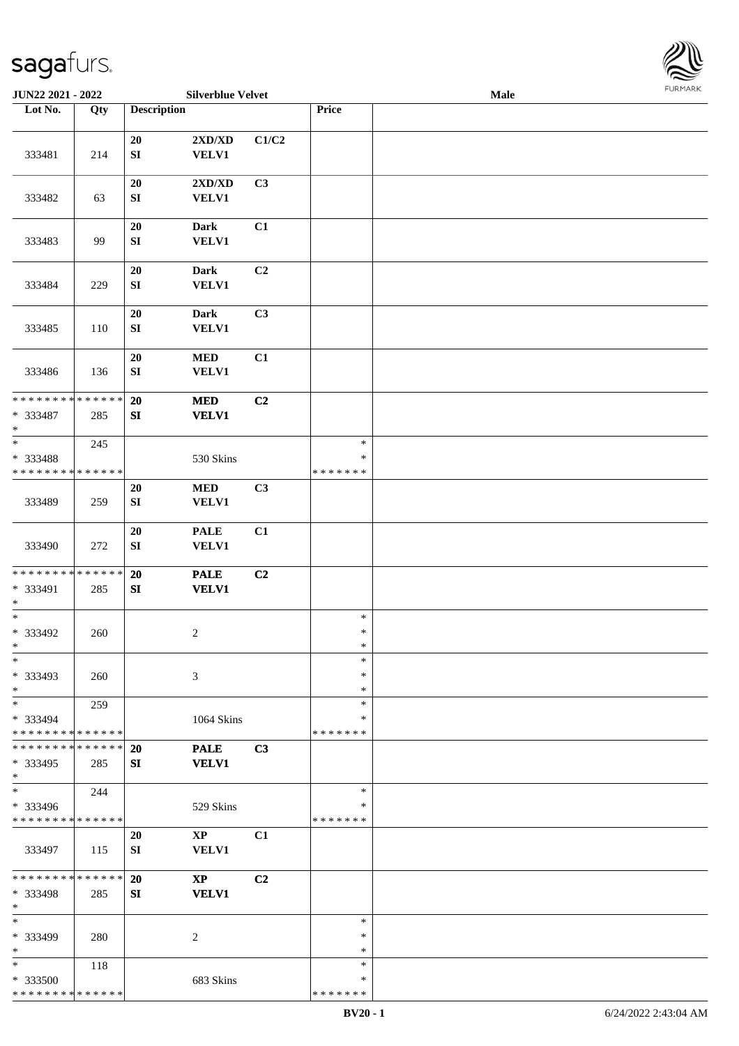

| JUN22 2021 - 2022           |        |                    | <b>Silverblue Velvet</b> |                |               | <b>Male</b> |  |
|-----------------------------|--------|--------------------|--------------------------|----------------|---------------|-------------|--|
| Lot No.                     | Qty    | <b>Description</b> |                          |                | Price         |             |  |
|                             |        |                    |                          |                |               |             |  |
|                             |        | 20                 | 2XD/XD                   | C1/C2          |               |             |  |
|                             |        |                    |                          |                |               |             |  |
| 333481                      | 214    | ${\bf SI}$         | <b>VELV1</b>             |                |               |             |  |
|                             |        |                    |                          |                |               |             |  |
|                             |        | 20                 | 2XD/XD                   | C3             |               |             |  |
| 333482                      | 63     | ${\bf SI}$         | <b>VELV1</b>             |                |               |             |  |
|                             |        |                    |                          |                |               |             |  |
|                             |        | $20\,$             | <b>Dark</b>              | C1             |               |             |  |
| 333483                      | 99     | ${\bf SI}$         | VELV1                    |                |               |             |  |
|                             |        |                    |                          |                |               |             |  |
|                             |        |                    |                          |                |               |             |  |
|                             |        | 20                 | <b>Dark</b>              | C <sub>2</sub> |               |             |  |
| 333484                      | 229    | ${\bf SI}$         | <b>VELV1</b>             |                |               |             |  |
|                             |        |                    |                          |                |               |             |  |
|                             |        | 20                 | <b>Dark</b>              | C <sub>3</sub> |               |             |  |
| 333485                      | 110    | ${\bf SI}$         | <b>VELV1</b>             |                |               |             |  |
|                             |        |                    |                          |                |               |             |  |
|                             |        | 20                 | $\bf MED$                | C1             |               |             |  |
| 333486                      | 136    | ${\bf SI}$         | <b>VELV1</b>             |                |               |             |  |
|                             |        |                    |                          |                |               |             |  |
|                             |        |                    |                          |                |               |             |  |
| * * * * * * * *             | ****** | 20                 | $\bf MED$                | C <sub>2</sub> |               |             |  |
| * 333487                    | 285    | ${\bf SI}$         | <b>VELV1</b>             |                |               |             |  |
| $\ast$                      |        |                    |                          |                |               |             |  |
| $\ast$                      | 245    |                    |                          |                | $\ast$        |             |  |
| * 333488                    |        |                    | 530 Skins                |                | $\ast$        |             |  |
| * * * * * * * * * * * * * * |        |                    |                          |                | * * * * * * * |             |  |
|                             |        | 20                 | $\bf MED$                | C3             |               |             |  |
|                             |        |                    |                          |                |               |             |  |
| 333489                      | 259    | ${\bf SI}$         | <b>VELV1</b>             |                |               |             |  |
|                             |        |                    |                          |                |               |             |  |
|                             |        | $20\,$             | <b>PALE</b>              | C1             |               |             |  |
| 333490                      | 272    | ${\bf SI}$         | <b>VELV1</b>             |                |               |             |  |
|                             |        |                    |                          |                |               |             |  |
| * * * * * * * * * * * * * * |        | 20                 | <b>PALE</b>              | C <sub>2</sub> |               |             |  |
| * 333491                    | 285    | SI                 | <b>VELV1</b>             |                |               |             |  |
| $\ast$                      |        |                    |                          |                |               |             |  |
| $\ast$                      |        |                    |                          |                | $\ast$        |             |  |
|                             |        |                    |                          |                | $\ast$        |             |  |
| $* 333492$                  | 260    |                    | $\overline{c}$           |                |               |             |  |
| $*$                         |        |                    |                          |                | $\ast$        |             |  |
| $\ast$                      |        |                    |                          |                | $\ast$        |             |  |
| * 333493                    | 260    |                    | 3                        |                | $\ast$        |             |  |
| $\ast$                      |        |                    |                          |                | $\ast$        |             |  |
| $\ast$                      | 259    |                    |                          |                | $\ast$        |             |  |
| * 333494                    |        |                    | 1064 Skins               |                | ∗             |             |  |
| * * * * * * * * * * * * * * |        |                    |                          |                | * * * * * * * |             |  |
| * * * * * * * * * * * * * * |        | 20                 | <b>PALE</b>              | C3             |               |             |  |
| * 333495                    |        | SI                 | <b>VELV1</b>             |                |               |             |  |
|                             | 285    |                    |                          |                |               |             |  |
| $\ast$                      |        |                    |                          |                |               |             |  |
| $\ast$                      | 244    |                    |                          |                | $\ast$        |             |  |
| * 333496                    |        |                    | 529 Skins                |                | ∗             |             |  |
| * * * * * * * * * * * * * * |        |                    |                          |                | * * * * * * * |             |  |
|                             |        | 20                 | $\mathbf{X}\mathbf{P}$   | C1             |               |             |  |
| 333497                      | 115    | SI                 | <b>VELV1</b>             |                |               |             |  |
|                             |        |                    |                          |                |               |             |  |
| * * * * * * * * * * * * * * |        | 20                 | $\mathbf{X}\mathbf{P}$   | C <sub>2</sub> |               |             |  |
| * 333498                    | 285    | SI                 | <b>VELV1</b>             |                |               |             |  |
|                             |        |                    |                          |                |               |             |  |
| $\ast$                      |        |                    |                          |                |               |             |  |
| $\ast$                      |        |                    |                          |                | $\ast$        |             |  |
| * 333499                    | 280    |                    | 2                        |                | ∗             |             |  |
| $\ast$                      |        |                    |                          |                | $\ast$        |             |  |
| $*$                         | 118    |                    |                          |                | $\ast$        |             |  |
| * 333500                    |        |                    | 683 Skins                |                | ∗             |             |  |
| * * * * * * * * * * * * * * |        |                    |                          |                | * * * * * * * |             |  |
|                             |        |                    |                          |                |               |             |  |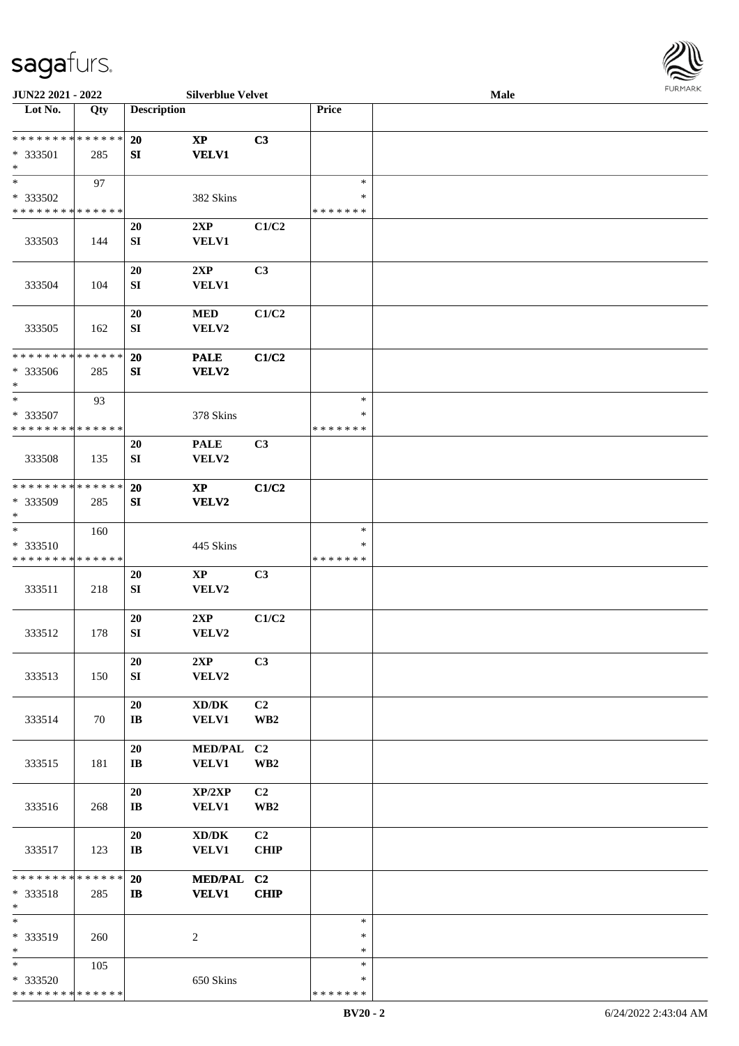

| JUN22 2021 - 2022                  |     |                              | <b>Silverblue Velvet</b>                            |                         |               | <b>Male</b> |  |
|------------------------------------|-----|------------------------------|-----------------------------------------------------|-------------------------|---------------|-------------|--|
| Lot No.                            | Qty | <b>Description</b>           |                                                     |                         | Price         |             |  |
|                                    |     |                              |                                                     |                         |               |             |  |
| **************                     |     | 20                           | $\mathbf{X}\mathbf{P}$                              | C3                      |               |             |  |
| * 333501                           | 285 | SI                           | <b>VELV1</b>                                        |                         |               |             |  |
| $\ast$<br>$\overline{\phantom{0}}$ |     |                              |                                                     |                         |               |             |  |
|                                    | 97  |                              |                                                     |                         | $\ast$        |             |  |
| * 333502                           |     |                              | 382 Skins                                           |                         | ∗             |             |  |
| * * * * * * * * * * * * * *        |     |                              |                                                     |                         | * * * * * * * |             |  |
|                                    |     | 20                           | 2XP<br><b>VELV1</b>                                 | C1/C2                   |               |             |  |
| 333503                             | 144 | SI                           |                                                     |                         |               |             |  |
|                                    |     | 20                           | 2XP                                                 | C3                      |               |             |  |
| 333504                             | 104 | SI                           | <b>VELV1</b>                                        |                         |               |             |  |
|                                    |     |                              |                                                     |                         |               |             |  |
|                                    |     | 20                           | $\bf MED$                                           | C1/C2                   |               |             |  |
| 333505                             | 162 | SI                           | VELV2                                               |                         |               |             |  |
|                                    |     |                              |                                                     |                         |               |             |  |
| * * * * * * * * * * * * * *        |     | 20                           | <b>PALE</b>                                         | C1/C2                   |               |             |  |
| * 333506                           | 285 | SI                           | VELV2                                               |                         |               |             |  |
| $\ast$                             |     |                              |                                                     |                         |               |             |  |
| $\ast$                             | 93  |                              |                                                     |                         | $\ast$        |             |  |
| * 333507                           |     |                              | 378 Skins                                           |                         | ∗             |             |  |
| * * * * * * * * * * * * * * *      |     |                              |                                                     |                         | * * * * * * * |             |  |
|                                    |     | 20                           | <b>PALE</b>                                         | C3                      |               |             |  |
| 333508                             | 135 | SI                           | VELV2                                               |                         |               |             |  |
| * * * * * * * * * * * * * *        |     | 20                           | $\mathbf{X}\mathbf{P}$                              | C1/C2                   |               |             |  |
| * 333509                           | 285 | SI                           | VELV2                                               |                         |               |             |  |
| $\ast$                             |     |                              |                                                     |                         |               |             |  |
| $\ast$                             | 160 |                              |                                                     |                         | $\ast$        |             |  |
| * 333510                           |     |                              | 445 Skins                                           |                         | ∗             |             |  |
| * * * * * * * * * * * * * *        |     |                              |                                                     |                         | * * * * * * * |             |  |
|                                    |     | 20                           | $\mathbf{X}\mathbf{P}$                              | C3                      |               |             |  |
| 333511                             | 218 | SI                           | VELV2                                               |                         |               |             |  |
|                                    |     |                              |                                                     |                         |               |             |  |
|                                    |     | 20                           | 2XP                                                 | C1/C2                   |               |             |  |
| 333512                             | 178 | ${\bf S}{\bf I}$             | VELV2                                               |                         |               |             |  |
|                                    |     | 20                           | 2XP                                                 | C3                      |               |             |  |
| 333513                             | 150 | SI                           | VELV2                                               |                         |               |             |  |
|                                    |     |                              |                                                     |                         |               |             |  |
|                                    |     | 20                           | $\bold{X}\bold{D}/\bold{D}\bold{K}$                 | C2                      |               |             |  |
| 333514                             | 70  | $\mathbf{I}\mathbf{B}$       | <b>VELV1</b>                                        | WB <sub>2</sub>         |               |             |  |
|                                    |     |                              |                                                     |                         |               |             |  |
|                                    |     | 20                           | <b>MED/PAL</b>                                      | C2                      |               |             |  |
| 333515                             | 181 | $\bf I\bf B$                 | VELV1                                               | $\mathbf{W}\mathbf{B2}$ |               |             |  |
|                                    |     |                              |                                                     |                         |               |             |  |
|                                    |     | 20                           | XP/2XP                                              | C2                      |               |             |  |
| 333516                             | 268 | $\mathbf{I}\mathbf{B}$       | <b>VELV1</b>                                        | WB <sub>2</sub>         |               |             |  |
|                                    |     |                              |                                                     | C <sub>2</sub>          |               |             |  |
| 333517                             | 123 | 20<br>$\mathbf{I}\mathbf{B}$ | $\bold{X}\bold{D}/\bold{D}\bold{K}$<br><b>VELV1</b> | <b>CHIP</b>             |               |             |  |
|                                    |     |                              |                                                     |                         |               |             |  |
| * * * * * * * * * * * * * *        |     | 20                           | <b>MED/PAL</b>                                      | C2                      |               |             |  |
| * 333518                           | 285 | $\bf I\bf B$                 | <b>VELV1</b>                                        | <b>CHIP</b>             |               |             |  |
| $\ast$                             |     |                              |                                                     |                         |               |             |  |
| $\ast$                             |     |                              |                                                     |                         | $\ast$        |             |  |
| * 333519                           | 260 |                              | 2                                                   |                         | ∗             |             |  |
| $\ast$                             |     |                              |                                                     |                         | $\ast$        |             |  |
| $*$                                | 105 |                              |                                                     |                         | $\ast$        |             |  |
| * 333520                           |     |                              | 650 Skins                                           |                         | ∗             |             |  |
| * * * * * * * * * * * * * *        |     |                              |                                                     |                         | * * * * * * * |             |  |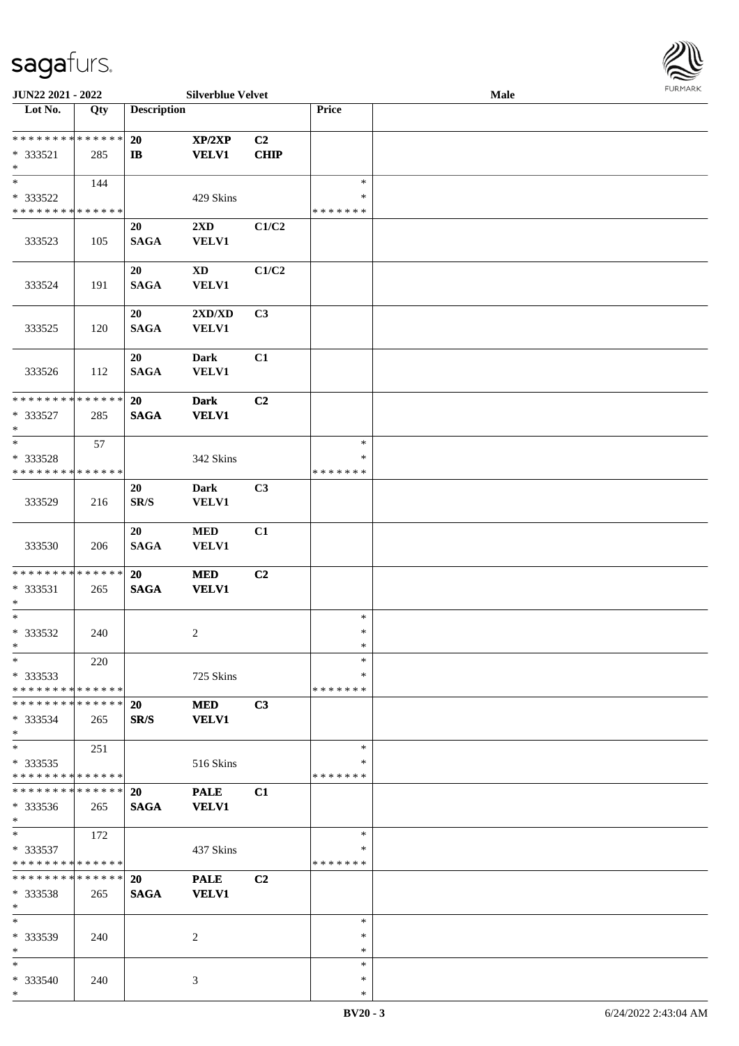

| JUN22 2021 - 2022             |     |                          | <b>Silverblue Velvet</b> |                |               | <b>Male</b> |  |
|-------------------------------|-----|--------------------------|--------------------------|----------------|---------------|-------------|--|
| Lot No.                       | Qty | <b>Description</b>       |                          |                | Price         |             |  |
|                               |     |                          |                          |                |               |             |  |
| **************                |     | <b>20</b>                | XP/2XP                   | C2             |               |             |  |
| * 333521                      | 285 | $\mathbf{I}$             | <b>VELV1</b>             | <b>CHIP</b>    |               |             |  |
| $\ast$                        |     |                          |                          |                |               |             |  |
| $\ast$                        | 144 |                          |                          |                | $\ast$        |             |  |
| * 333522                      |     |                          | 429 Skins                |                | ∗             |             |  |
| * * * * * * * * * * * * * *   |     |                          |                          |                | * * * * * * * |             |  |
|                               |     |                          |                          |                |               |             |  |
|                               |     | 20                       | 2XD                      | C1/C2          |               |             |  |
| 333523                        | 105 | <b>SAGA</b>              | VELV1                    |                |               |             |  |
|                               |     |                          |                          |                |               |             |  |
|                               |     | 20                       | $\mathbf{X}\mathbf{D}$   | C1/C2          |               |             |  |
| 333524                        | 191 | <b>SAGA</b>              | <b>VELV1</b>             |                |               |             |  |
|                               |     |                          |                          |                |               |             |  |
|                               |     | 20                       | 2XD/XD                   | C3             |               |             |  |
| 333525                        | 120 | <b>SAGA</b>              | <b>VELV1</b>             |                |               |             |  |
|                               |     |                          |                          |                |               |             |  |
|                               |     | 20                       | <b>Dark</b>              | C1             |               |             |  |
|                               |     | <b>SAGA</b>              | <b>VELV1</b>             |                |               |             |  |
| 333526                        | 112 |                          |                          |                |               |             |  |
| * * * * * * * * * * * * * *   |     |                          |                          |                |               |             |  |
|                               |     | 20                       | <b>Dark</b>              | C <sub>2</sub> |               |             |  |
| * 333527                      | 285 | <b>SAGA</b>              | <b>VELV1</b>             |                |               |             |  |
| $\ast$                        |     |                          |                          |                |               |             |  |
| $\ast$                        | 57  |                          |                          |                | $\ast$        |             |  |
| * 333528                      |     |                          | 342 Skins                |                | ∗             |             |  |
| * * * * * * * * * * * * * *   |     |                          |                          |                | * * * * * * * |             |  |
|                               |     | 20                       | <b>Dark</b>              | C3             |               |             |  |
| 333529                        | 216 | $\mathbf{SR}/\mathbf{S}$ | VELV1                    |                |               |             |  |
|                               |     |                          |                          |                |               |             |  |
|                               |     | 20                       | $\bf MED$                | C1             |               |             |  |
|                               |     | <b>SAGA</b>              |                          |                |               |             |  |
| 333530                        | 206 |                          | <b>VELV1</b>             |                |               |             |  |
|                               |     |                          |                          |                |               |             |  |
| * * * * * * * * * * * * * *   |     | 20                       | <b>MED</b>               | C <sub>2</sub> |               |             |  |
| * 333531                      | 265 | <b>SAGA</b>              | <b>VELV1</b>             |                |               |             |  |
| $\ast$                        |     |                          |                          |                |               |             |  |
| $\ast$                        |     |                          |                          |                | $\ast$        |             |  |
| $* 333532$                    | 240 |                          | $\overline{c}$           |                | $\ast$        |             |  |
| $*$                           |     |                          |                          |                | $\ast$        |             |  |
| $*$                           | 220 |                          |                          |                | $\ast$        |             |  |
| $*333533$                     |     |                          | 725 Skins                |                | ∗             |             |  |
| * * * * * * * * * * * * * *   |     |                          |                          |                | * * * * * * * |             |  |
| * * * * * * * * * * * * * * * |     | 20                       | <b>MED</b>               | C3             |               |             |  |
| $* 333534$                    | 265 | SR/S                     | <b>VELV1</b>             |                |               |             |  |
| $*$                           |     |                          |                          |                |               |             |  |
| $\ast$                        | 251 |                          |                          |                | $\ast$        |             |  |
| $*333535$                     |     |                          | 516 Skins                |                | ∗             |             |  |
| * * * * * * * * * * * * * *   |     |                          |                          |                | * * * * * * * |             |  |
| * * * * * * * * * * * * * *   |     |                          |                          |                |               |             |  |
|                               |     | <b>20</b>                | <b>PALE</b>              | C1             |               |             |  |
| $* 333536$                    | 265 | <b>SAGA</b>              | <b>VELV1</b>             |                |               |             |  |
| $*$                           |     |                          |                          |                |               |             |  |
| $*$                           | 172 |                          |                          |                | $\ast$        |             |  |
| * 333537                      |     |                          | 437 Skins                |                | ∗             |             |  |
| * * * * * * * * * * * * * *   |     |                          |                          |                | * * * * * * * |             |  |
| * * * * * * * * * * * * * *   |     | <b>20</b>                | <b>PALE</b>              | C <sub>2</sub> |               |             |  |
| $*333538$                     | 265 | <b>SAGA</b>              | <b>VELV1</b>             |                |               |             |  |
| $\ast$                        |     |                          |                          |                |               |             |  |
| $*$                           |     |                          |                          |                | $\ast$        |             |  |
| * 333539                      | 240 |                          | 2                        |                | ∗             |             |  |
| $\ast$                        |     |                          |                          |                | $\ast$        |             |  |
| $\ast$                        |     |                          |                          |                | $\ast$        |             |  |
|                               |     |                          |                          |                | $\ast$        |             |  |
| * 333540                      | 240 |                          | 3                        |                |               |             |  |
| $*$                           |     |                          |                          |                | $\ast$        |             |  |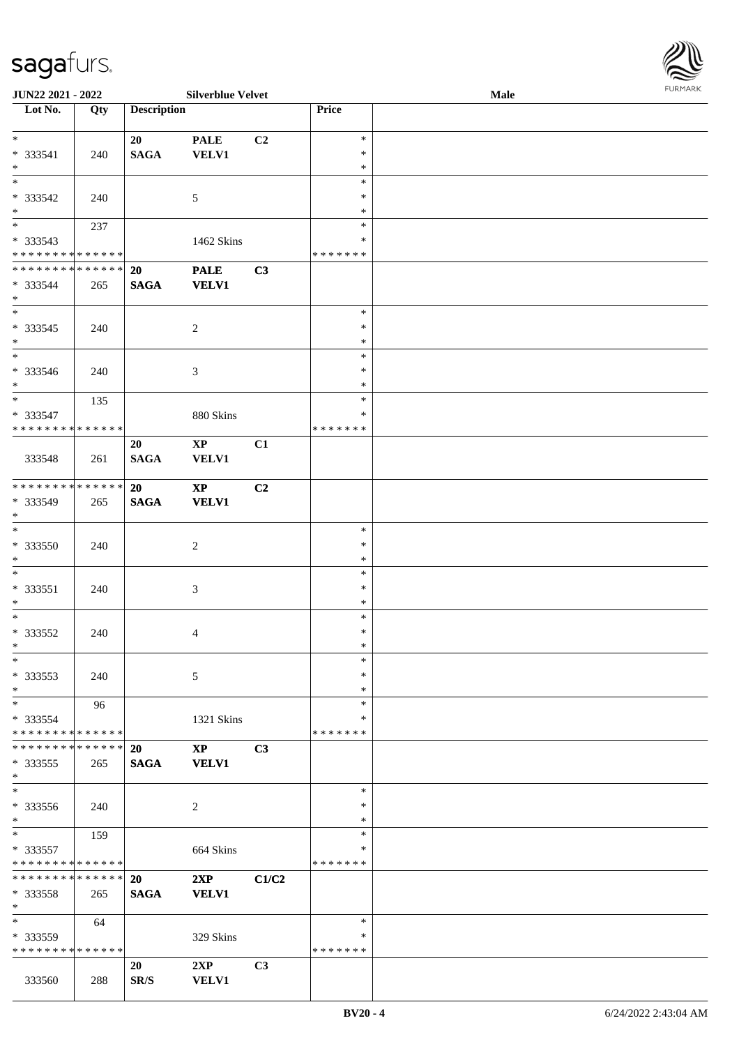

| JUN22 2021 - 2022                         |     |                    | <b>Silverblue Velvet</b> |       |               | Male | 10111111111 |
|-------------------------------------------|-----|--------------------|--------------------------|-------|---------------|------|-------------|
| $\overline{\phantom{a}}$ Lot No.          | Qty | <b>Description</b> |                          |       | Price         |      |             |
|                                           |     |                    |                          |       |               |      |             |
| $*$                                       |     | 20                 | <b>PALE</b>              | C2    | $\ast$        |      |             |
| * 333541                                  | 240 | <b>SAGA</b>        | <b>VELV1</b>             |       | $\ast$        |      |             |
| $*$                                       |     |                    |                          |       | $\ast$        |      |             |
| $*$                                       |     |                    |                          |       | $\ast$        |      |             |
| * 333542                                  | 240 |                    | $\sqrt{5}$               |       | $\ast$        |      |             |
| $*$                                       |     |                    |                          |       | $\ast$        |      |             |
|                                           | 237 |                    |                          |       | $\ast$        |      |             |
| * 333543                                  |     |                    | 1462 Skins               |       | *             |      |             |
| * * * * * * * * * * * * * *               |     |                    |                          |       | *******       |      |             |
| * * * * * * * * * * * * * * *             |     | 20                 | <b>PALE</b>              | C3    |               |      |             |
| * 333544                                  | 265 | <b>SAGA</b>        | <b>VELV1</b>             |       |               |      |             |
| $*$                                       |     |                    |                          |       |               |      |             |
| $\overline{\ }$                           |     |                    |                          |       | $\ast$        |      |             |
| $*333545$                                 | 240 |                    | $\overline{2}$           |       | $\ast$        |      |             |
| $*$                                       |     |                    |                          |       | $\ast$        |      |             |
| $\overline{\phantom{0}}$                  |     |                    |                          |       | $\ast$        |      |             |
| $* 333546$                                | 240 |                    |                          |       | $\ast$        |      |             |
| $*$                                       |     |                    | 3                        |       | $\ast$        |      |             |
| $*$                                       | 135 |                    |                          |       | $\ast$        |      |             |
|                                           |     |                    |                          |       | $\ast$        |      |             |
| $* 333547$<br>* * * * * * * * * * * * * * |     |                    | 880 Skins                |       | *******       |      |             |
|                                           |     |                    |                          |       |               |      |             |
|                                           |     | 20                 | $\bold{XP}$              | C1    |               |      |             |
| 333548                                    | 261 | <b>SAGA</b>        | <b>VELV1</b>             |       |               |      |             |
|                                           |     |                    |                          |       |               |      |             |
| * * * * * * * * * * * * * * *             |     | <b>20</b>          | $\mathbf{X}\mathbf{P}$   | C2    |               |      |             |
| * 333549                                  | 265 | <b>SAGA</b>        | <b>VELV1</b>             |       |               |      |             |
| $*$                                       |     |                    |                          |       |               |      |             |
| $*$                                       |     |                    |                          |       | $\ast$        |      |             |
| * 333550                                  | 240 |                    | $\sqrt{2}$               |       | $\ast$        |      |             |
| $*$                                       |     |                    |                          |       | $\ast$        |      |             |
| $*$                                       |     |                    |                          |       | $\ast$        |      |             |
| $* 333551$                                | 240 |                    | $\mathfrak{Z}$           |       | $\ast$        |      |             |
| $*$                                       |     |                    |                          |       | $\ast$        |      |             |
| $*$                                       |     |                    |                          |       | $\ast$        |      |             |
| $* 333552$                                | 240 |                    | $\overline{4}$           |       | $\ast$        |      |             |
| $*$ $-$                                   |     |                    |                          |       | $\ast$        |      |             |
| $*$                                       |     |                    |                          |       | $\ast$        |      |             |
| * 333553                                  | 240 |                    | 5                        |       | $\ast$        |      |             |
| $*$                                       |     |                    |                          |       | $\ast$        |      |             |
| $\ast$                                    | 96  |                    |                          |       | $\ast$        |      |             |
| * 333554                                  |     |                    | 1321 Skins               |       | ∗             |      |             |
| * * * * * * * * * * * * * * *             |     |                    |                          |       | *******       |      |             |
| * * * * * * * * * * * * * * *             |     | 20                 | <b>XP</b>                | C3    |               |      |             |
| * 333555                                  | 265 | <b>SAGA</b>        | <b>VELV1</b>             |       |               |      |             |
| $*$                                       |     |                    |                          |       |               |      |             |
| $*$                                       |     |                    |                          |       | $\ast$        |      |             |
| * 333556                                  | 240 |                    | 2                        |       | $\ast$        |      |             |
| $*$                                       |     |                    |                          |       | $\ast$        |      |             |
| $*$                                       | 159 |                    |                          |       | $\ast$        |      |             |
| * 333557                                  |     |                    | 664 Skins                |       | ∗             |      |             |
| * * * * * * * * * * * * * * *             |     |                    |                          |       | *******       |      |             |
| * * * * * * * * * * * * * * *             |     | <b>20</b>          | 2XP                      | C1/C2 |               |      |             |
| $*333558$                                 | 265 | <b>SAGA</b>        | <b>VELV1</b>             |       |               |      |             |
| $*$                                       |     |                    |                          |       |               |      |             |
| $*$ and $*$                               | 64  |                    |                          |       | $\ast$        |      |             |
|                                           |     |                    |                          |       | ∗             |      |             |
| * 333559<br>* * * * * * * * * * * * * *   |     |                    | 329 Skins                |       | * * * * * * * |      |             |
|                                           |     |                    |                          |       |               |      |             |
|                                           |     | 20                 | 2XP                      | C3    |               |      |             |
| 333560                                    | 288 | SR/S               | <b>VELV1</b>             |       |               |      |             |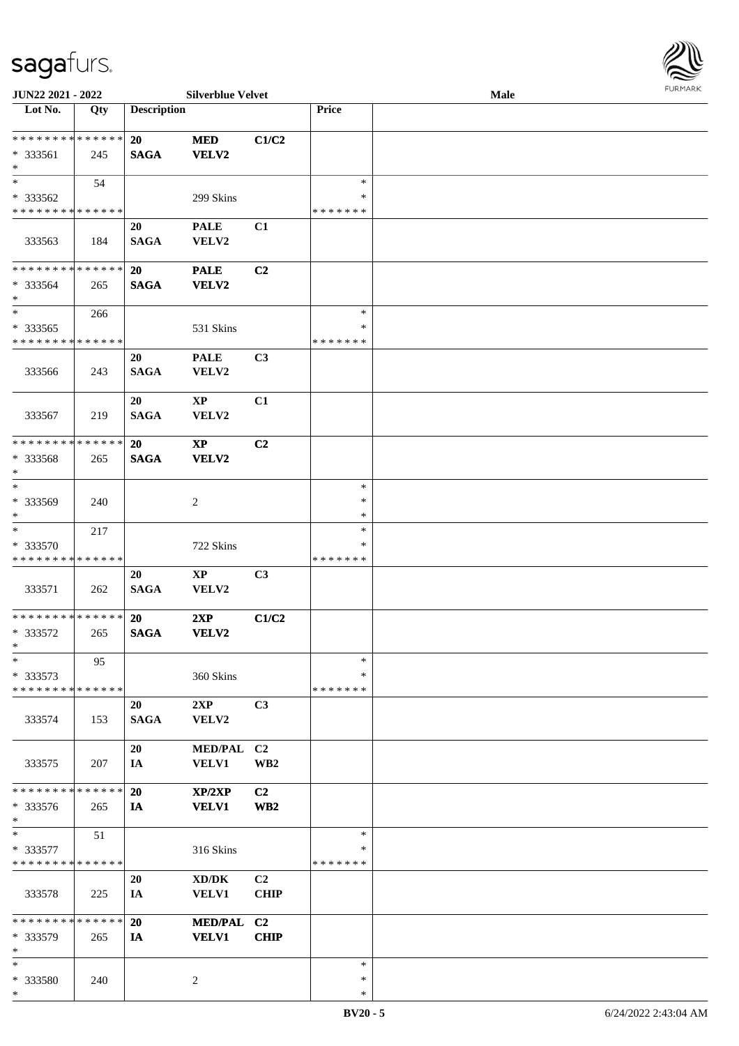

| JUN22 2021 - 2022                       |     |                    | <b>Silverblue Velvet</b> |                 |               | Male | <b>FUNITANN</b> |
|-----------------------------------------|-----|--------------------|--------------------------|-----------------|---------------|------|-----------------|
| Lot No.                                 | Qty | <b>Description</b> |                          |                 | Price         |      |                 |
|                                         |     |                    |                          |                 |               |      |                 |
| ******** <mark>******</mark>            |     | <b>20</b>          | <b>MED</b>               | C1/C2           |               |      |                 |
| * 333561<br>$\ast$                      | 245 | <b>SAGA</b>        | <b>VELV2</b>             |                 |               |      |                 |
| $\ast$                                  | 54  |                    |                          |                 | $\ast$        |      |                 |
| * 333562                                |     |                    | 299 Skins                |                 | ∗             |      |                 |
| * * * * * * * * * * * * * *             |     |                    |                          |                 | * * * * * * * |      |                 |
|                                         |     | 20                 | <b>PALE</b>              | C1              |               |      |                 |
| 333563                                  | 184 | <b>SAGA</b>        | VELV2                    |                 |               |      |                 |
|                                         |     |                    |                          |                 |               |      |                 |
| * * * * * * * * * * * * * *             |     | <b>20</b>          | <b>PALE</b>              | C <sub>2</sub>  |               |      |                 |
| * 333564                                | 265 | <b>SAGA</b>        | <b>VELV2</b>             |                 |               |      |                 |
| $\ast$                                  |     |                    |                          |                 |               |      |                 |
| $\overline{\phantom{0}}$                | 266 |                    |                          |                 | $\ast$        |      |                 |
| * 333565                                |     |                    | 531 Skins                |                 | $\ast$        |      |                 |
| * * * * * * * * * * * * * *             |     |                    |                          |                 | * * * * * * * |      |                 |
|                                         |     | 20                 | <b>PALE</b>              | C3              |               |      |                 |
| 333566                                  | 243 | <b>SAGA</b>        | VELV2                    |                 |               |      |                 |
|                                         |     | 20                 | $\mathbf{X}\mathbf{P}$   | C1              |               |      |                 |
| 333567                                  | 219 | <b>SAGA</b>        | VELV2                    |                 |               |      |                 |
|                                         |     |                    |                          |                 |               |      |                 |
| * * * * * * * * * * * * * *             |     | 20                 | $\mathbf{X}\mathbf{P}$   | C2              |               |      |                 |
| $*333568$                               | 265 | <b>SAGA</b>        | <b>VELV2</b>             |                 |               |      |                 |
| $\ast$                                  |     |                    |                          |                 |               |      |                 |
| $\ast$                                  |     |                    |                          |                 | $\ast$        |      |                 |
| * 333569                                | 240 |                    | $\overline{2}$           |                 | $\ast$        |      |                 |
| $\ast$                                  |     |                    |                          |                 | $\ast$        |      |                 |
| $\ast$                                  | 217 |                    |                          |                 | $\ast$<br>∗   |      |                 |
| * 333570<br>* * * * * * * * * * * * * * |     |                    | 722 Skins                |                 | * * * * * * * |      |                 |
|                                         |     | 20                 | $\mathbf{X}\mathbf{P}$   | C <sub>3</sub>  |               |      |                 |
| 333571                                  | 262 | <b>SAGA</b>        | VELV2                    |                 |               |      |                 |
|                                         |     |                    |                          |                 |               |      |                 |
| ******** <mark>*****</mark> *           |     | <b>20</b>          | 2XP                      | C1/C2           |               |      |                 |
| * 333572                                | 265 | <b>SAGA</b>        | VELV2                    |                 |               |      |                 |
| $\ast$                                  |     |                    |                          |                 |               |      |                 |
| $\ast$                                  | 95  |                    |                          |                 | $\ast$        |      |                 |
| $*333573$                               |     |                    | 360 Skins                |                 | ∗             |      |                 |
| * * * * * * * * * * * * * *             |     |                    |                          |                 | * * * * * * * |      |                 |
| 333574                                  | 153 | 20<br><b>SAGA</b>  | 2XP<br>VELV2             | C3              |               |      |                 |
|                                         |     |                    |                          |                 |               |      |                 |
|                                         |     | 20                 | MED/PAL C2               |                 |               |      |                 |
| 333575                                  | 207 | IA                 | <b>VELV1</b>             | WB <sub>2</sub> |               |      |                 |
|                                         |     |                    |                          |                 |               |      |                 |
| * * * * * * * * * * * * * *             |     | <b>20</b>          | XP/2XP                   | C2              |               |      |                 |
| $* 333576$                              | 265 | IA                 | <b>VELV1</b>             | WB <sub>2</sub> |               |      |                 |
| $\ast$                                  |     |                    |                          |                 |               |      |                 |
| $\ast$                                  | 51  |                    |                          |                 | $\ast$        |      |                 |
| * 333577                                |     |                    | 316 Skins                |                 | ∗             |      |                 |
| * * * * * * * * * * * * * *             |     | 20                 |                          | C2              | * * * * * * * |      |                 |
| 333578                                  | 225 | IA                 | XD/DK<br><b>VELV1</b>    | <b>CHIP</b>     |               |      |                 |
|                                         |     |                    |                          |                 |               |      |                 |
| ******** <mark>******</mark>            |     | 20                 | MED/PAL C2               |                 |               |      |                 |
| * 333579                                | 265 | IA                 | <b>VELV1</b>             | <b>CHIP</b>     |               |      |                 |
| $\ast$                                  |     |                    |                          |                 |               |      |                 |
| $\ast$                                  |     |                    |                          |                 | $\ast$        |      |                 |
| * 333580                                | 240 |                    | 2                        |                 | $\ast$        |      |                 |
| $\ast$                                  |     |                    |                          |                 | ∗             |      |                 |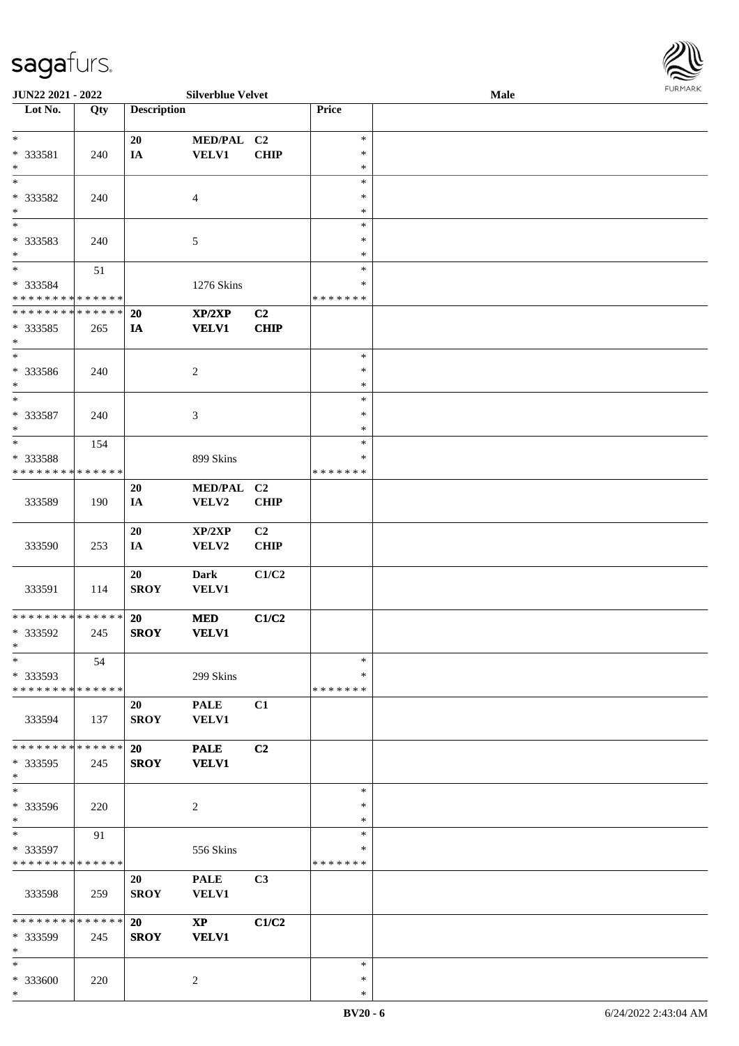\*

| JUN22 2021 - 2022                          |     |                          | <b>Silverblue Velvet</b>   |                |                  | Male | 1.91511111515 |
|--------------------------------------------|-----|--------------------------|----------------------------|----------------|------------------|------|---------------|
| Lot No.                                    | Qty | <b>Description</b>       |                            |                | Price            |      |               |
|                                            |     |                          |                            |                |                  |      |               |
| $\ast$                                     |     | 20                       | MED/PAL C2                 |                | $\ast$           |      |               |
| * 333581<br>$*$                            | 240 | IA                       | <b>VELV1</b>               | <b>CHIP</b>    | $\ast$<br>$\ast$ |      |               |
| $*$                                        |     |                          |                            |                | $\ast$           |      |               |
| * 333582                                   |     |                          |                            |                | $\ast$           |      |               |
| $\ast$                                     | 240 |                          | $\overline{4}$             |                | $\ast$           |      |               |
| $\frac{1}{1}$                              |     |                          |                            |                | $\ast$           |      |               |
| * 333583                                   | 240 |                          | $\mathfrak{S}$             |                | $\ast$           |      |               |
| $*$                                        |     |                          |                            |                | $\ast$           |      |               |
|                                            | 51  |                          |                            |                | $\ast$           |      |               |
| * 333584                                   |     |                          | 1276 Skins                 |                | $\ast$           |      |               |
| * * * * * * * * * * * * * *                |     |                          |                            |                | * * * * * * *    |      |               |
| * * * * * * * * <mark>* * * * * * *</mark> |     | 20                       | XP/2XP                     | C2             |                  |      |               |
| * 333585                                   | 265 | IA                       | <b>VELV1</b>               | <b>CHIP</b>    |                  |      |               |
| $*$                                        |     |                          |                            |                |                  |      |               |
| $\ast$                                     |     |                          |                            |                | $\ast$           |      |               |
| * 333586                                   | 240 |                          | $\overline{c}$             |                | $\ast$           |      |               |
| $*$<br>$*$                                 |     |                          |                            |                | $\ast$           |      |               |
|                                            |     |                          |                            |                | $\ast$<br>$\ast$ |      |               |
| * 333587<br>$*$                            | 240 |                          | 3                          |                | $\ast$           |      |               |
| $*$                                        | 154 |                          |                            |                | $\ast$           |      |               |
| * 333588                                   |     |                          | 899 Skins                  |                | ∗                |      |               |
| * * * * * * * * * * * * * *                |     |                          |                            |                | * * * * * * *    |      |               |
|                                            |     | 20                       | <b>MED/PAL</b>             | C <sub>2</sub> |                  |      |               |
| 333589                                     | 190 | IA                       | VELV2                      | <b>CHIP</b>    |                  |      |               |
|                                            |     |                          |                            |                |                  |      |               |
|                                            |     | 20                       | XP/2XP                     | C2             |                  |      |               |
| 333590                                     | 253 | IA                       | VELV2                      | <b>CHIP</b>    |                  |      |               |
|                                            |     |                          |                            |                |                  |      |               |
|                                            |     | 20                       | <b>Dark</b>                | C1/C2          |                  |      |               |
| 333591                                     | 114 | <b>SROY</b>              | <b>VELV1</b>               |                |                  |      |               |
| * * * * * * * * * * * * * *                |     |                          |                            |                |                  |      |               |
| * 333592                                   | 245 | <b>20</b><br><b>SROY</b> | <b>MED</b><br><b>VELV1</b> | C1/C2          |                  |      |               |
| $*$ $-$                                    |     |                          |                            |                |                  |      |               |
| $\ast$                                     | 54  |                          |                            |                | $\ast$           |      |               |
| * 333593                                   |     |                          | 299 Skins                  |                | $\ast$           |      |               |
| * * * * * * * * <mark>* * * * * * *</mark> |     |                          |                            |                | * * * * * * *    |      |               |
|                                            |     | 20                       | <b>PALE</b>                | C1             |                  |      |               |
| 333594                                     | 137 | <b>SROY</b>              | <b>VELV1</b>               |                |                  |      |               |
|                                            |     |                          |                            |                |                  |      |               |
| * * * * * * * * <mark>* * * * * *</mark>   |     | <b>20</b>                | <b>PALE</b>                | C2             |                  |      |               |
| * 333595                                   | 245 | <b>SROY</b>              | <b>VELV1</b>               |                |                  |      |               |
| $\ast$<br>$\ast$                           |     |                          |                            |                | $\ast$           |      |               |
|                                            |     |                          |                            |                | $\ast$           |      |               |
| * 333596<br>$\ast$                         | 220 |                          | 2                          |                | $\ast$           |      |               |
| $*$                                        | 91  |                          |                            |                | $\ast$           |      |               |
| * 333597                                   |     |                          | 556 Skins                  |                | ∗                |      |               |
| * * * * * * * * * * * * * *                |     |                          |                            |                | *******          |      |               |
|                                            |     | 20                       | <b>PALE</b>                | C3             |                  |      |               |
| 333598                                     | 259 | <b>SROY</b>              | <b>VELV1</b>               |                |                  |      |               |
|                                            |     |                          |                            |                |                  |      |               |
| * * * * * * * * <mark>* * * * * *</mark>   |     | <b>20</b>                | $\mathbf{XP}$              | C1/C2          |                  |      |               |
| * 333599                                   | 245 | <b>SROY</b>              | <b>VELV1</b>               |                |                  |      |               |
| $*$                                        |     |                          |                            |                |                  |      |               |
| $\ast$                                     |     |                          |                            |                | $\ast$           |      |               |
| * 333600                                   | 220 |                          | 2                          |                | $\ast$           |      |               |

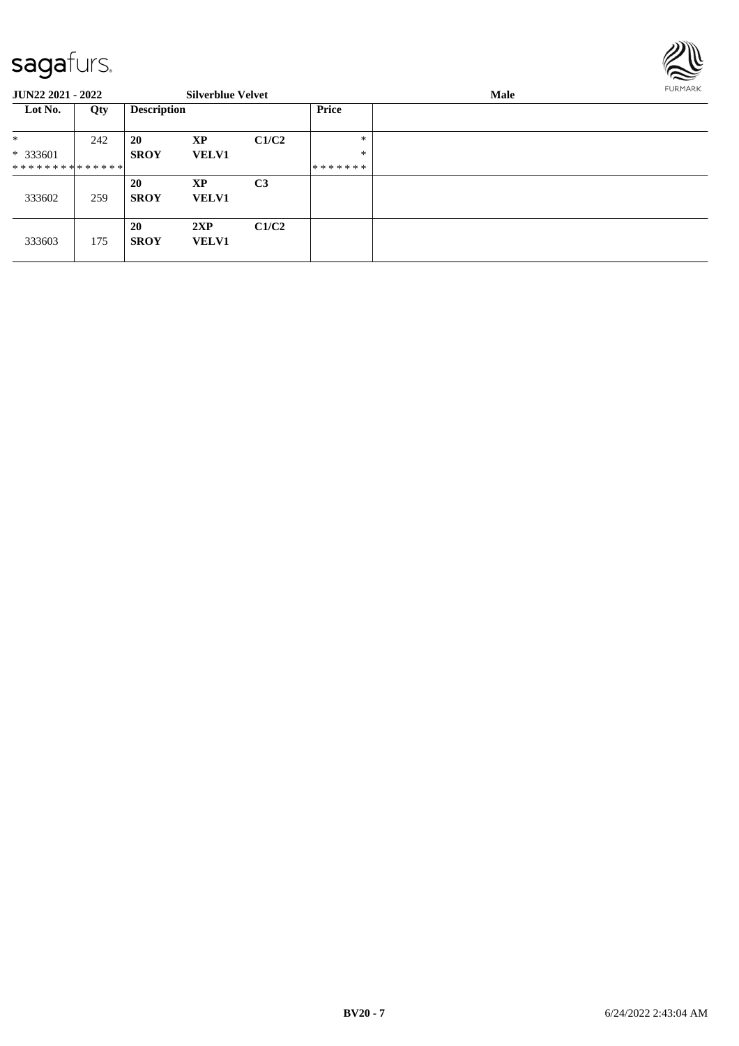

| <b>JUN22 2021 - 2022</b>    |     |                    | <b>Silverblue Velvet</b>  |                |                  | Male |  |  |  |
|-----------------------------|-----|--------------------|---------------------------|----------------|------------------|------|--|--|--|
| Lot No.                     | Qty | <b>Description</b> |                           |                | <b>Price</b>     |      |  |  |  |
| *<br>$*333601$              | 242 | 20<br><b>SROY</b>  | XP<br><b>VELV1</b>        | C1/C2          | $\ast$<br>$\ast$ |      |  |  |  |
| * * * * * * * * * * * * * * |     |                    |                           |                | *******          |      |  |  |  |
| 333602                      | 259 | 20<br><b>SROY</b>  | <b>XP</b><br><b>VELV1</b> | C <sub>3</sub> |                  |      |  |  |  |
| 333603                      | 175 | 20<br><b>SROY</b>  | 2XP<br><b>VELV1</b>       | C1/C2          |                  |      |  |  |  |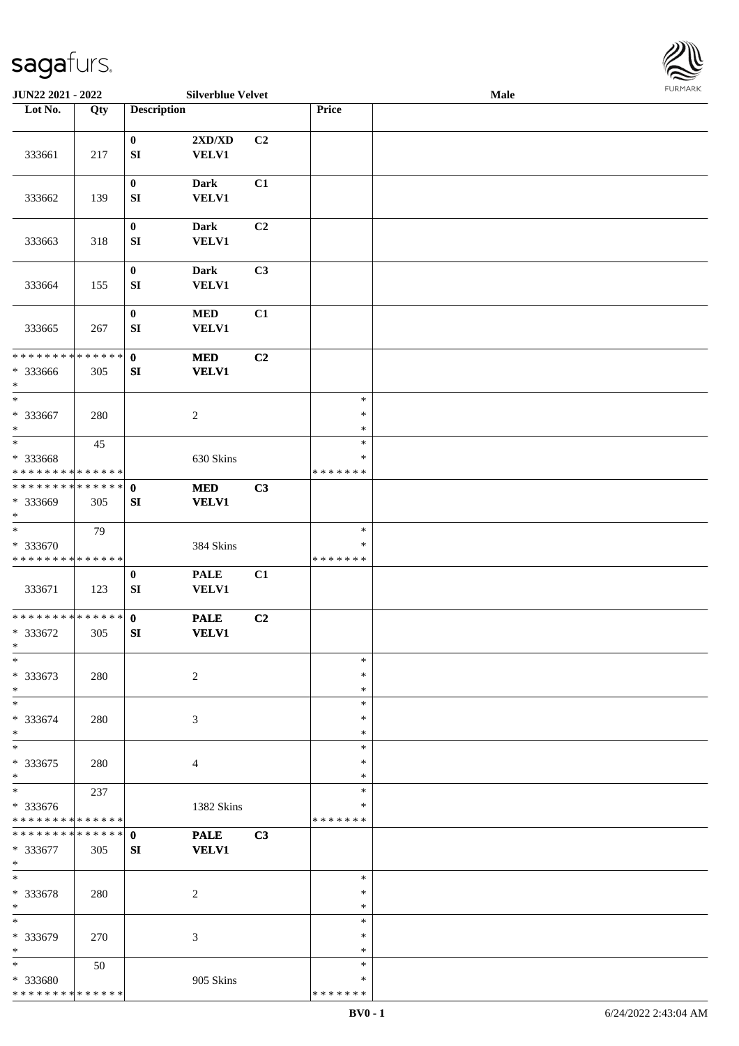

| JUN22 2021 - 2022           |     |                    | <b>Silverblue Velvet</b>    |                |               | Male |  |
|-----------------------------|-----|--------------------|-----------------------------|----------------|---------------|------|--|
| Lot No.                     | Qty | <b>Description</b> |                             |                | Price         |      |  |
|                             |     |                    |                             |                |               |      |  |
|                             |     | $\bf{0}$           | 2XD/XD                      | C <sub>2</sub> |               |      |  |
| 333661                      | 217 | ${\bf SI}$         | VELV1                       |                |               |      |  |
|                             |     |                    |                             |                |               |      |  |
|                             |     | $\bf{0}$           | <b>Dark</b>                 | C1             |               |      |  |
| 333662                      | 139 | ${\bf SI}$         | <b>VELV1</b>                |                |               |      |  |
|                             |     |                    |                             |                |               |      |  |
|                             |     | $\boldsymbol{0}$   | <b>Dark</b>                 | C2             |               |      |  |
|                             |     |                    |                             |                |               |      |  |
| 333663                      | 318 | ${\bf SI}$         | <b>VELV1</b>                |                |               |      |  |
|                             |     |                    |                             |                |               |      |  |
|                             |     | $\bf{0}$           | <b>Dark</b>                 | C3             |               |      |  |
| 333664                      | 155 | ${\bf SI}$         | VELV1                       |                |               |      |  |
|                             |     |                    |                             |                |               |      |  |
|                             |     | $\boldsymbol{0}$   | $\bf MED$                   | C1             |               |      |  |
| 333665                      | 267 | SI                 | VELV1                       |                |               |      |  |
|                             |     |                    |                             |                |               |      |  |
| * * * * * * * * * * * * * * |     | $\mathbf{0}$       | $\bf MED$                   | C2             |               |      |  |
| * 333666                    | 305 | ${\bf SI}$         | <b>VELV1</b>                |                |               |      |  |
| $\ast$                      |     |                    |                             |                |               |      |  |
| $\ast$                      |     |                    |                             |                | $\ast$        |      |  |
| $* 333667$                  | 280 |                    | $\boldsymbol{2}$            |                | $\ast$        |      |  |
| $\ast$                      |     |                    |                             |                | $\ast$        |      |  |
| $\ast$                      | 45  |                    |                             |                | $\ast$        |      |  |
| * 333668                    |     |                    | 630 Skins                   |                | $\ast$        |      |  |
| * * * * * * * * * * * * * * |     |                    |                             |                | * * * * * * * |      |  |
| **************              |     | $\mathbf 0$        | <b>MED</b>                  | C3             |               |      |  |
| * 333669                    | 305 | SI                 | <b>VELV1</b>                |                |               |      |  |
| $\ast$                      |     |                    |                             |                |               |      |  |
| $_{\ast}$                   | 79  |                    |                             |                | $\ast$        |      |  |
| * 333670                    |     |                    | 384 Skins                   |                | $\ast$        |      |  |
| * * * * * * * * * * * * * * |     |                    |                             |                | * * * * * * * |      |  |
|                             |     | $\bf{0}$           | <b>PALE</b>                 | C1             |               |      |  |
| 333671                      | 123 | SI                 | VELV1                       |                |               |      |  |
|                             |     |                    |                             |                |               |      |  |
| **************              |     | $\mathbf{0}$       | <b>PALE</b>                 | C2             |               |      |  |
| * 333672                    | 305 | SI                 | <b>VELV1</b>                |                |               |      |  |
| $*$                         |     |                    |                             |                |               |      |  |
| $\ast$                      |     |                    |                             |                | $\ast$        |      |  |
| * 333673                    | 280 |                    | $\overline{2}$              |                | ∗             |      |  |
| $\ast$                      |     |                    |                             |                | $\ast$        |      |  |
| $\ast$                      |     |                    |                             |                | $\ast$        |      |  |
| * 333674                    | 280 |                    | 3                           |                | *             |      |  |
| $\ast$                      |     |                    |                             |                | *             |      |  |
| $\ast$                      |     |                    |                             |                | $\ast$        |      |  |
| * 333675                    | 280 |                    | 4                           |                | $\ast$        |      |  |
| $\ast$                      |     |                    |                             |                | *             |      |  |
| $\ast$                      | 237 |                    |                             |                | $\ast$        |      |  |
| * 333676                    |     |                    | 1382 Skins                  |                | *             |      |  |
| * * * * * * * * * * * * * * |     |                    |                             |                | * * * * * * * |      |  |
| **************              |     | $\mathbf{0}$       |                             | C3             |               |      |  |
| * 333677                    |     | SI                 | <b>PALE</b><br><b>VELV1</b> |                |               |      |  |
| $*$                         | 305 |                    |                             |                |               |      |  |
| $\ast$                      |     |                    |                             |                | $\ast$        |      |  |
|                             |     |                    |                             |                | $\ast$        |      |  |
| * 333678<br>$\ast$          | 280 |                    | $\overline{c}$              |                | *             |      |  |
| $\ast$                      |     |                    |                             |                | $\ast$        |      |  |
|                             |     |                    |                             |                |               |      |  |
| * 333679                    | 270 |                    | 3                           |                | ∗             |      |  |
| $\ast$                      |     |                    |                             |                | *             |      |  |
| $*$                         | 50  |                    |                             |                | $\ast$        |      |  |
| * 333680                    |     |                    | 905 Skins                   |                | *             |      |  |
| * * * * * * * * * * * * * * |     |                    |                             |                | * * * * * * * |      |  |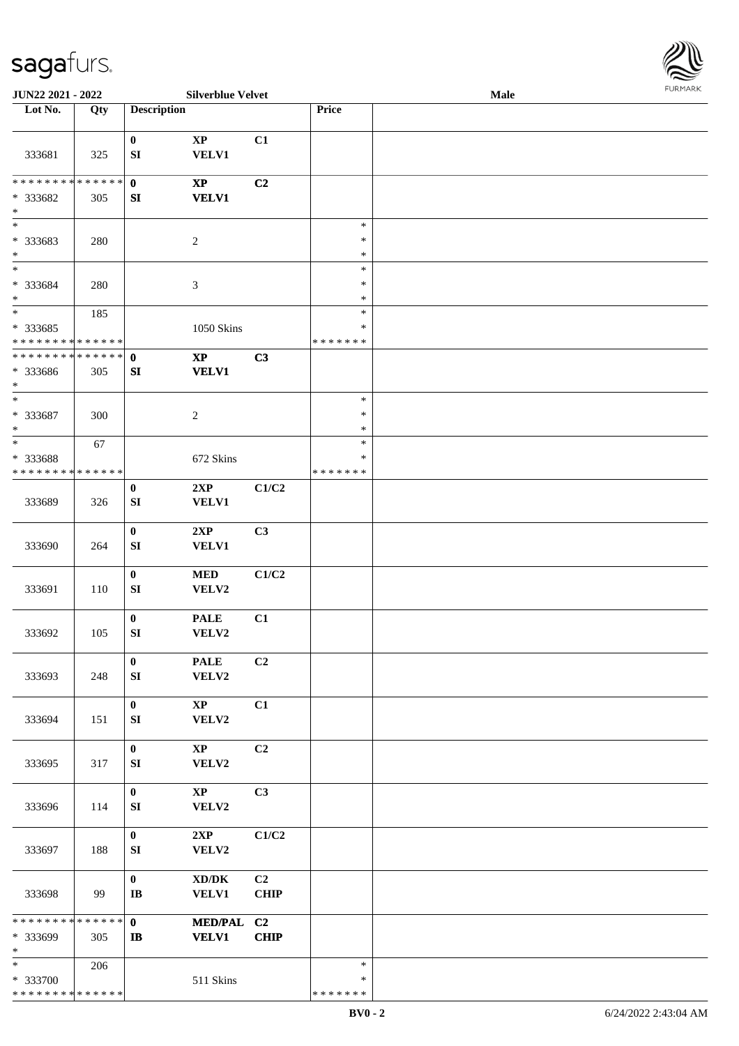

| JUN22 2021 - 2022                         |     |                                      | <b>Silverblue Velvet</b>                            |                               |                         | <b>Male</b> |  |
|-------------------------------------------|-----|--------------------------------------|-----------------------------------------------------|-------------------------------|-------------------------|-------------|--|
| Lot No.                                   | Qty | <b>Description</b>                   |                                                     |                               | Price                   |             |  |
|                                           |     |                                      |                                                     |                               |                         |             |  |
| 333681                                    | 325 | $\bf{0}$<br>SI                       | $\bold{XP}$<br><b>VELV1</b>                         | C1                            |                         |             |  |
| * * * * * * * * * * * * * * *             |     | $\mathbf 0$                          | $\mathbf{X}\mathbf{P}$                              | C2                            |                         |             |  |
| * 333682<br>$\ast$                        | 305 | SI                                   | <b>VELV1</b>                                        |                               |                         |             |  |
| $_{\ast}$<br>* 333683                     | 280 |                                      | $\sqrt{2}$                                          |                               | $\ast$<br>$\ast$        |             |  |
| $\ast$                                    |     |                                      |                                                     |                               | $\ast$                  |             |  |
| $\overline{\ast}$                         |     |                                      |                                                     |                               | $\ast$                  |             |  |
| * 333684<br>$\ast$                        | 280 |                                      | $\ensuremath{\mathfrak{Z}}$                         |                               | $\ast$<br>$\ast$        |             |  |
| $\ast$                                    | 185 |                                      |                                                     |                               | $\ast$                  |             |  |
| * 333685                                  |     |                                      | <b>1050 Skins</b>                                   |                               | $\ast$                  |             |  |
| * * * * * * * * * * * * * *               |     |                                      |                                                     |                               | * * * * * * *           |             |  |
| * * * * * * * * * * * * * * *<br>* 333686 |     | $\mathbf 0$                          | $\bold{XP}$                                         | C3                            |                         |             |  |
| $\ast$                                    | 305 | SI                                   | <b>VELV1</b>                                        |                               |                         |             |  |
| $\ast$                                    |     |                                      |                                                     |                               | $\ast$                  |             |  |
| $* 333687$<br>$\ast$                      | 300 |                                      | $\sqrt{2}$                                          |                               | $\ast$<br>$\ast$        |             |  |
| $\ast$                                    | 67  |                                      |                                                     |                               | $\ast$                  |             |  |
| * 333688                                  |     |                                      | 672 Skins                                           |                               | ∗                       |             |  |
| * * * * * * * * * * * * * *               |     |                                      |                                                     |                               | * * * * * * *           |             |  |
| 333689                                    | 326 | $\bf{0}$<br>${\bf SI}$               | 2XP<br><b>VELV1</b>                                 | C1/C2                         |                         |             |  |
| 333690                                    | 264 | $\boldsymbol{0}$<br>${\bf S}{\bf I}$ | 2XP<br>VELV1                                        | C3                            |                         |             |  |
| 333691                                    | 110 | $\boldsymbol{0}$<br>SI               | $\bf MED$<br>VELV2                                  | C1/C2                         |                         |             |  |
|                                           |     | $\boldsymbol{0}$                     | <b>PALE</b>                                         | C1                            |                         |             |  |
| 333692                                    | 105 | ${\bf S}{\bf I}$                     | VELV2                                               |                               |                         |             |  |
| 333693                                    |     | $\bf{0}$                             | <b>PALE</b><br>${\bf VELV2}$                        | C <sub>2</sub>                |                         |             |  |
|                                           | 248 | ${\bf S}{\bf I}$                     |                                                     |                               |                         |             |  |
| 333694                                    | 151 | $\bf{0}$<br>SI                       | $\mathbf{X}\mathbf{P}$<br>VELV2                     | C1                            |                         |             |  |
| 333695                                    | 317 | $\boldsymbol{0}$<br>SI               | $\mathbf{X}\mathbf{P}$<br>VELV2                     | C2                            |                         |             |  |
| 333696                                    | 114 | $\bf{0}$<br>${\bf S}{\bf I}$         | $\mathbf{X}\mathbf{P}$<br>VELV2                     | C3                            |                         |             |  |
| 333697                                    | 188 | $\bf{0}$<br>SI                       | 2XP<br>VELV2                                        | C1/C2                         |                         |             |  |
| 333698                                    | 99  | $\bf{0}$<br>$\bf I\bf B$             | $\bold{X}\bold{D}/\bold{D}\bold{K}$<br><b>VELV1</b> | C <sub>2</sub><br><b>CHIP</b> |                         |             |  |
| ******** <mark>******</mark>              |     | $\mathbf{0}$                         | MED/PAL C2                                          |                               |                         |             |  |
| * 333699<br>$\ast$                        | 305 | $\mathbf{I}$                         | <b>VELV1</b>                                        | <b>CHIP</b>                   |                         |             |  |
| $*$                                       | 206 |                                      |                                                     |                               | $\ast$                  |             |  |
| * 333700<br>* * * * * * * * * * * * * *   |     |                                      | 511 Skins                                           |                               | $\ast$<br>* * * * * * * |             |  |
|                                           |     |                                      |                                                     |                               |                         |             |  |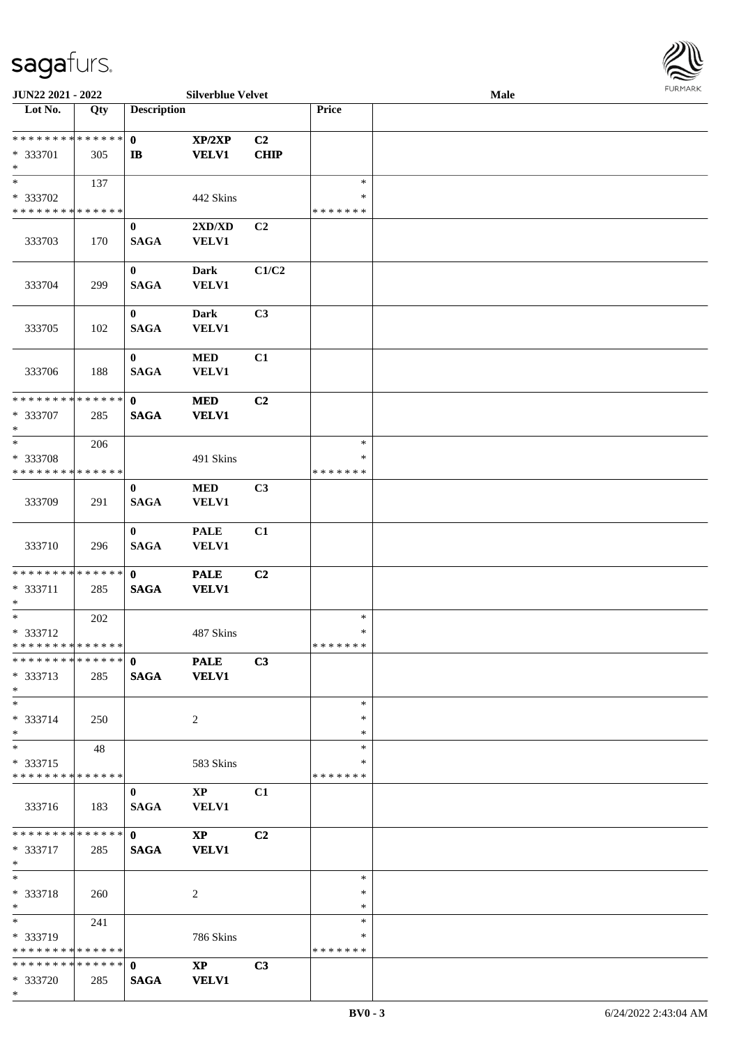

| JUN22 2021 - 2022             |     |                       | <b>Silverblue Velvet</b> |                |               | Male |  |
|-------------------------------|-----|-----------------------|--------------------------|----------------|---------------|------|--|
| Lot No.                       | Qty | <b>Description</b>    |                          |                | Price         |      |  |
|                               |     |                       |                          |                |               |      |  |
| * * * * * * * * * * * * * * * |     | $\mathbf{0}$          | XP/2XP                   | C <sub>2</sub> |               |      |  |
| * 333701                      | 305 | $\mathbf{I}$ <b>B</b> | <b>VELV1</b>             | <b>CHIP</b>    |               |      |  |
| $\ast$                        |     |                       |                          |                |               |      |  |
| $\overline{\phantom{0}}$      | 137 |                       |                          |                | $\ast$        |      |  |
| * 333702                      |     |                       | 442 Skins                |                | $\ast$        |      |  |
| * * * * * * * * * * * * * *   |     |                       |                          |                | * * * * * * * |      |  |
|                               |     |                       |                          |                |               |      |  |
|                               |     | $\bf{0}$              | 2XD/XD                   | C2             |               |      |  |
| 333703                        | 170 | <b>SAGA</b>           | <b>VELV1</b>             |                |               |      |  |
|                               |     |                       |                          |                |               |      |  |
|                               |     | $\bf{0}$              | <b>Dark</b>              | C1/C2          |               |      |  |
| 333704                        | 299 | <b>SAGA</b>           | VELV1                    |                |               |      |  |
|                               |     |                       |                          |                |               |      |  |
|                               |     | $\mathbf{0}$          | <b>Dark</b>              | C3             |               |      |  |
| 333705                        | 102 | <b>SAGA</b>           | VELV1                    |                |               |      |  |
|                               |     |                       |                          |                |               |      |  |
|                               |     | $\bf{0}$              | $\bf MED$                | C1             |               |      |  |
| 333706                        | 188 | <b>SAGA</b>           | <b>VELV1</b>             |                |               |      |  |
|                               |     |                       |                          |                |               |      |  |
| **************                |     | $\mathbf{0}$          |                          |                |               |      |  |
|                               |     |                       | <b>MED</b>               | C2             |               |      |  |
| * 333707                      | 285 | <b>SAGA</b>           | <b>VELV1</b>             |                |               |      |  |
| $\ast$                        |     |                       |                          |                |               |      |  |
| $\ast$                        | 206 |                       |                          |                | $\ast$        |      |  |
| * 333708                      |     |                       | 491 Skins                |                | ∗             |      |  |
| * * * * * * * * * * * * * *   |     |                       |                          |                | * * * * * * * |      |  |
|                               |     | $\bf{0}$              | <b>MED</b>               | C3             |               |      |  |
| 333709                        | 291 | <b>SAGA</b>           | VELV1                    |                |               |      |  |
|                               |     |                       |                          |                |               |      |  |
|                               |     | $\mathbf{0}$          | <b>PALE</b>              | C1             |               |      |  |
| 333710                        | 296 | <b>SAGA</b>           | VELV1                    |                |               |      |  |
|                               |     |                       |                          |                |               |      |  |
| **************                |     | $\mathbf{0}$          | <b>PALE</b>              | C <sub>2</sub> |               |      |  |
| * 333711                      |     | <b>SAGA</b>           | <b>VELV1</b>             |                |               |      |  |
| $\ast$                        | 285 |                       |                          |                |               |      |  |
| $\ast$                        |     |                       |                          |                | $\ast$        |      |  |
|                               | 202 |                       |                          |                | $\ast$        |      |  |
| * 333712<br>**************    |     |                       | 487 Skins                |                |               |      |  |
| ************** 0              |     |                       |                          |                | *******       |      |  |
|                               |     |                       | <b>PALE</b>              | C3             |               |      |  |
| * 333713                      | 285 | <b>SAGA</b>           | <b>VELV1</b>             |                |               |      |  |
| $*$                           |     |                       |                          |                |               |      |  |
| $*$                           |     |                       |                          |                | $\ast$        |      |  |
| * 333714                      | 250 |                       | $\overline{2}$           |                | *             |      |  |
| $*$                           |     |                       |                          |                | *             |      |  |
| $\ast$                        | 48  |                       |                          |                | $\ast$        |      |  |
| * 333715                      |     |                       | 583 Skins                |                | ∗             |      |  |
| * * * * * * * * * * * * * *   |     |                       |                          |                | *******       |      |  |
|                               |     | $\bf{0}$              | $\mathbf{XP}$            | C1             |               |      |  |
| 333716                        | 183 | <b>SAGA</b>           | VELV1                    |                |               |      |  |
|                               |     |                       |                          |                |               |      |  |
| * * * * * * * * * * * * * * * |     | $\mathbf{0}$          | $\mathbf{X}\mathbf{P}$   | C <sub>2</sub> |               |      |  |
| * 333717                      | 285 | <b>SAGA</b>           | <b>VELV1</b>             |                |               |      |  |
| $*$                           |     |                       |                          |                |               |      |  |
| $*$                           |     |                       |                          |                | $\ast$        |      |  |
| * 333718                      |     |                       | 2                        |                | $\ast$        |      |  |
| $*$                           | 260 |                       |                          |                | *             |      |  |
|                               |     |                       |                          |                | $\ast$        |      |  |
|                               | 241 |                       |                          |                |               |      |  |
| * 333719                      |     |                       | 786 Skins                |                | ∗             |      |  |
| * * * * * * * * * * * * * *   |     |                       |                          |                | * * * * * * * |      |  |
| * * * * * * * * * * * * * * * |     | $\mathbf{0}$          | $\mathbf{X}\mathbf{P}$   | C <sub>3</sub> |               |      |  |
| * 333720                      | 285 | <b>SAGA</b>           | <b>VELV1</b>             |                |               |      |  |
| $*$                           |     |                       |                          |                |               |      |  |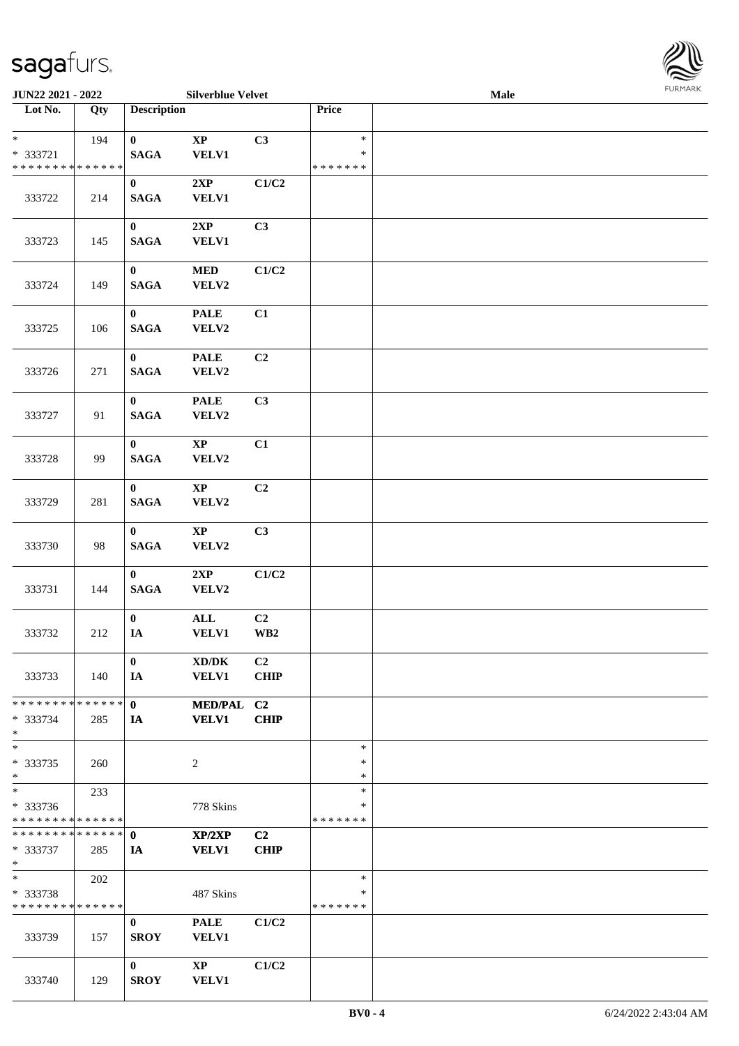

| <b>JUN22 2021 - 2022</b>                          |     |                               | <b>Silverblue Velvet</b>        |                               |                                   | <b>Male</b> |  |
|---------------------------------------------------|-----|-------------------------------|---------------------------------|-------------------------------|-----------------------------------|-------------|--|
| Lot No.                                           | Qty | <b>Description</b>            |                                 |                               | Price                             |             |  |
| $\ast$<br>* 333721<br>* * * * * * * * * * * * * * | 194 | $\mathbf{0}$<br><b>SAGA</b>   | $\bold{XP}$<br><b>VELV1</b>     | C3                            | $\ast$<br>$\ast$<br>* * * * * * * |             |  |
| 333722                                            | 214 | $\bf{0}$<br><b>SAGA</b>       | 2XP<br><b>VELV1</b>             | C1/C2                         |                                   |             |  |
| 333723                                            | 145 | $\mathbf{0}$<br><b>SAGA</b>   | 2XP<br><b>VELV1</b>             | C3                            |                                   |             |  |
| 333724                                            | 149 | $\mathbf{0}$<br><b>SAGA</b>   | $\bf MED$<br>VELV2              | C1/C2                         |                                   |             |  |
| 333725                                            | 106 | $\mathbf{0}$<br><b>SAGA</b>   | <b>PALE</b><br>VELV2            | C1                            |                                   |             |  |
| 333726                                            | 271 | $\mathbf{0}$<br><b>SAGA</b>   | <b>PALE</b><br>VELV2            | C <sub>2</sub>                |                                   |             |  |
| 333727                                            | 91  | $\bf{0}$<br><b>SAGA</b>       | <b>PALE</b><br>VELV2            | C3                            |                                   |             |  |
| 333728                                            | 99  | $\bf{0}$<br><b>SAGA</b>       | $\mathbf{X}\mathbf{P}$<br>VELV2 | C1                            |                                   |             |  |
| 333729                                            | 281 | $\bf{0}$<br><b>SAGA</b>       | $\mathbf{X}\mathbf{P}$<br>VELV2 | C2                            |                                   |             |  |
| 333730                                            | 98  | $\mathbf{0}$<br><b>SAGA</b>   | $\bold{XP}$<br>VELV2            | C3                            |                                   |             |  |
| 333731                                            | 144 | $\mathbf{0}$<br><b>SAGA</b>   | 2XP<br>VELV2                    | C1/C2                         |                                   |             |  |
| 333732                                            | 212 | $\mathbf{0}$<br>$\mathbf{IA}$ | $\mathbf{ALL}$<br><b>VELV1</b>  | C2<br>$\mathbf{W}\mathbf{B2}$ |                                   |             |  |
| 333733                                            | 140 | $\mathbf{0}$<br>IA            | XD/DK<br><b>VELV1</b>           | C2<br><b>CHIP</b>             |                                   |             |  |
| * * * * * * * * * * * * * * *<br>* 333734<br>$*$  | 285 | $\mathbf{0}$<br>IA            | MED/PAL C2<br><b>VELV1</b>      | <b>CHIP</b>                   |                                   |             |  |
| $*$<br>* 333735<br>$*$                            | 260 |                               | 2                               |                               | $\ast$<br>$\ast$<br>$\ast$        |             |  |
| $*$<br>* 333736<br>* * * * * * * * * * * * * * *  | 233 |                               | 778 Skins                       |                               | $\ast$<br>∗<br>*******            |             |  |
| * * * * * * * * * * * * * * *<br>* 333737<br>$*$  | 285 | $\mathbf{0}$<br>IA            | XP/2XP<br><b>VELV1</b>          | C2<br><b>CHIP</b>             |                                   |             |  |
| $*$<br>* 333738<br>* * * * * * * * * * * * * *    | 202 |                               | 487 Skins                       |                               | $\ast$<br>$\ast$<br>* * * * * * * |             |  |
| 333739                                            | 157 | $\bf{0}$<br><b>SROY</b>       | <b>PALE</b><br>VELV1            | C1/C2                         |                                   |             |  |
| 333740                                            | 129 | $\mathbf{0}$<br><b>SROY</b>   | $\mathbf{X}\mathbf{P}$<br>VELV1 | C1/C2                         |                                   |             |  |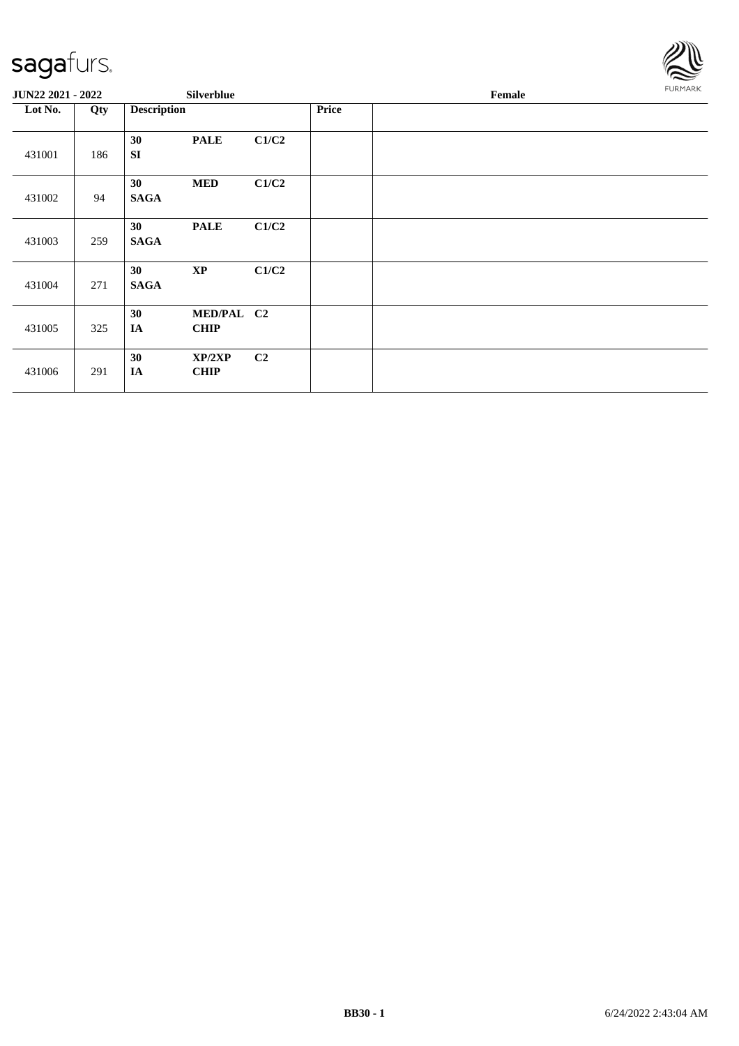

| <b>JUN22 2021 - 2022</b> |     |                     | <b>Silverblue</b>         |       |       | Female | FURMARK |
|--------------------------|-----|---------------------|---------------------------|-------|-------|--------|---------|
| Lot No.                  | Qty | <b>Description</b>  |                           |       | Price |        |         |
| 431001                   | 186 | 30<br><b>SI</b>     | <b>PALE</b>               | C1/C2 |       |        |         |
| 431002                   | 94  | 30<br><b>SAGA</b>   | <b>MED</b>                | C1/C2 |       |        |         |
| 431003                   | 259 | 30<br><b>SAGA</b>   | <b>PALE</b>               | C1/C2 |       |        |         |
| 431004                   | 271 | 30<br><b>SAGA</b>   | $\mathbf{XP}$             | C1/C2 |       |        |         |
| 431005                   | 325 | 30<br>IA            | MED/PAL C2<br><b>CHIP</b> |       |       |        |         |
| 431006                   | 291 | 30<br>$\mathbf{IA}$ | XP/2XP<br><b>CHIP</b>     | C2    |       |        |         |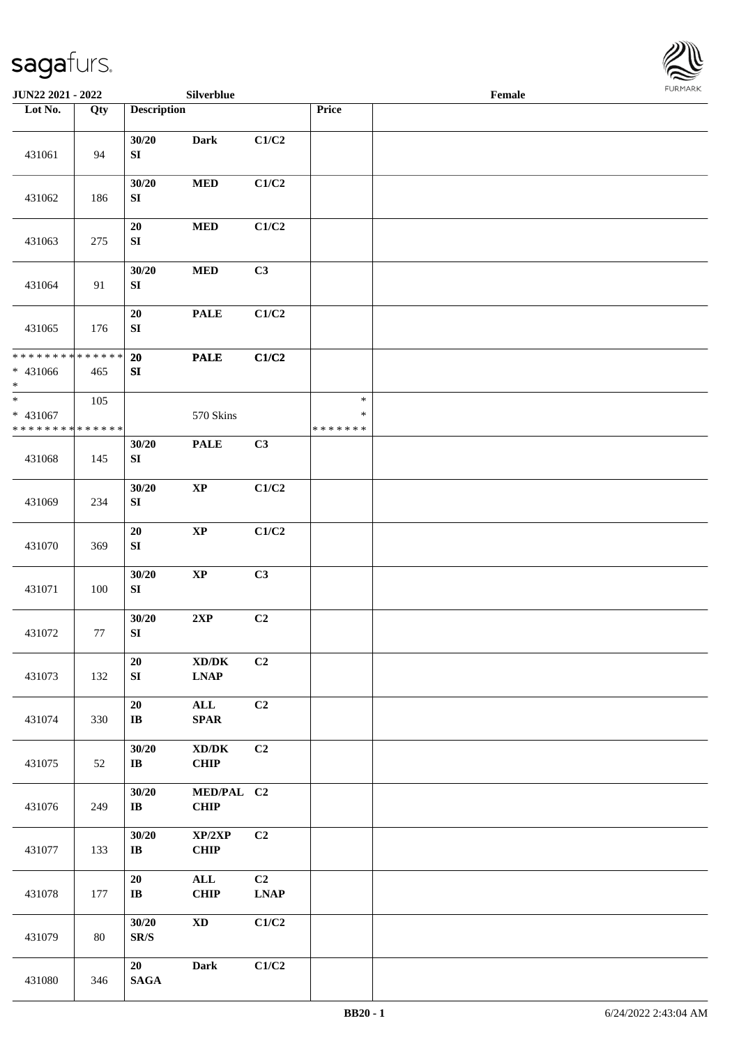

| JUN22 2021 - 2022                                |     |                                   | Silverblue                                                                                |                   |                                   | Female |  |
|--------------------------------------------------|-----|-----------------------------------|-------------------------------------------------------------------------------------------|-------------------|-----------------------------------|--------|--|
| Lot No.                                          | Qty | <b>Description</b>                |                                                                                           |                   | Price                             |        |  |
| 431061                                           | 94  | 30/20<br>SI                       | <b>Dark</b>                                                                               | C1/C2             |                                   |        |  |
| 431062                                           | 186 | 30/20<br>SI                       | $\bf MED$                                                                                 | C1/C2             |                                   |        |  |
| 431063                                           | 275 | 20<br>${\bf S}{\bf I}$            | $\bf MED$                                                                                 | C1/C2             |                                   |        |  |
| 431064                                           | 91  | 30/20<br>${\bf S}{\bf I}$         | $\bf MED$                                                                                 | C3                |                                   |        |  |
| 431065                                           | 176 | 20<br>${\bf SI}$                  | <b>PALE</b>                                                                               | C1/C2             |                                   |        |  |
| * * * * * * * * * * * * * *<br>$* 431066$<br>$*$ | 465 | 20<br>${\bf S}{\bf I}$            | <b>PALE</b>                                                                               | C1/C2             |                                   |        |  |
| $*$<br>* 431067<br>* * * * * * * * * * * * * * * | 105 |                                   | 570 Skins                                                                                 |                   | $\ast$<br>$\ast$<br>* * * * * * * |        |  |
| 431068                                           | 145 | 30/20<br>SI                       | <b>PALE</b>                                                                               | C3                |                                   |        |  |
| 431069                                           | 234 | 30/20<br>${\bf S}{\bf I}$         | $\bold{XP}$                                                                               | C1/C2             |                                   |        |  |
| 431070                                           | 369 | 20<br>${\bf S}{\bf I}$            | $\bold{XP}$                                                                               | C1/C2             |                                   |        |  |
| 431071                                           | 100 | 30/20<br>SI                       | $\bold{XP}$                                                                               | C3                |                                   |        |  |
| 431072                                           | 77  | 30/20<br>${\bf S}{\bf I}$         | 2XP                                                                                       | C2                |                                   |        |  |
| 431073                                           | 132 | 20<br>${\bf S}{\bf I}$            | $\mathbf{X}\mathbf{D}/\mathbf{D}\mathbf{K}$<br>$\mathbf{L}\mathbf{N}\mathbf{A}\mathbf{P}$ | C <sub>2</sub>    |                                   |        |  |
| 431074                                           | 330 | ${\bf 20}$<br>$\bf I\bf B$        | $\mathbf{ALL}$<br><b>SPAR</b>                                                             | C2                |                                   |        |  |
| 431075                                           | 52  | 30/20<br>$\bf{IB}$                | $\bold{X}\bold{D}/\bold{D}\bold{K}$<br>CHIP                                               | C2                |                                   |        |  |
| 431076                                           | 249 | 30/20<br>$\bf{IB}$                | MED/PAL C2<br>CHIP                                                                        |                   |                                   |        |  |
| 431077                                           | 133 | 30/20<br>$\bf I\bf B$             | XP/2XP<br><b>CHIP</b>                                                                     | C <sub>2</sub>    |                                   |        |  |
| 431078                                           | 177 | 20<br>$\bf IB$                    | <b>ALL</b><br><b>CHIP</b>                                                                 | C2<br><b>LNAP</b> |                                   |        |  |
| 431079                                           | 80  | 30/20<br>$\mathbf{SR}/\mathbf{S}$ | $\mathbf{X}\mathbf{D}$                                                                    | C1/C2             |                                   |        |  |
| 431080                                           | 346 | 20<br><b>SAGA</b>                 | <b>Dark</b>                                                                               | C1/C2             |                                   |        |  |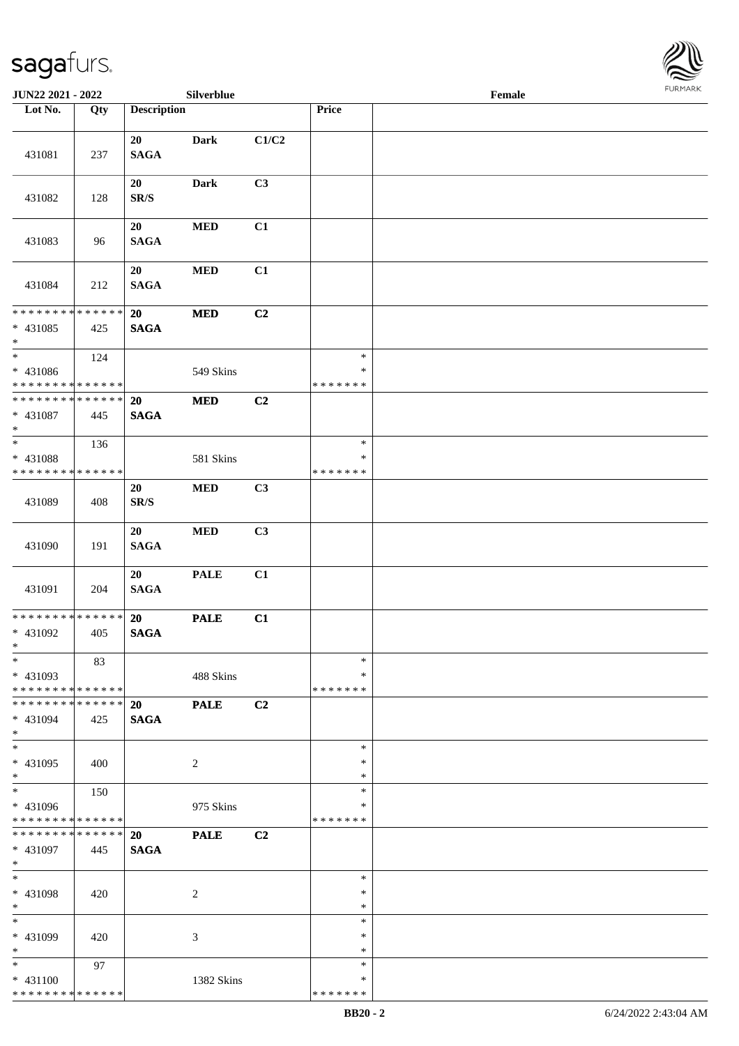

| JUN22 2021 - 2022                                              |     |                    | Silverblue     |                |                    | Female |  |
|----------------------------------------------------------------|-----|--------------------|----------------|----------------|--------------------|--------|--|
| Lot No.                                                        | Qty | <b>Description</b> |                |                | Price              |        |  |
|                                                                |     |                    |                |                |                    |        |  |
|                                                                |     | 20                 | <b>Dark</b>    | C1/C2          |                    |        |  |
| 431081                                                         | 237 | <b>SAGA</b>        |                |                |                    |        |  |
|                                                                |     | 20                 | <b>Dark</b>    | C3             |                    |        |  |
| 431082                                                         | 128 | SR/S               |                |                |                    |        |  |
|                                                                |     |                    |                |                |                    |        |  |
|                                                                |     | 20                 | <b>MED</b>     | C1             |                    |        |  |
| 431083                                                         | 96  | <b>SAGA</b>        |                |                |                    |        |  |
|                                                                |     | 20                 | $\bf MED$      | C1             |                    |        |  |
| 431084                                                         | 212 | <b>SAGA</b>        |                |                |                    |        |  |
|                                                                |     |                    |                |                |                    |        |  |
| * * * * * * * * * * * * * *                                    |     | 20                 | <b>MED</b>     | C <sub>2</sub> |                    |        |  |
| $* 431085$                                                     | 425 | <b>SAGA</b>        |                |                |                    |        |  |
| $*$                                                            |     |                    |                |                |                    |        |  |
| $\ast$                                                         | 124 |                    |                |                | $\ast$<br>$\ast$   |        |  |
| $* 431086$<br>* * * * * * * * * * * * * *                      |     |                    | 549 Skins      |                | * * * * * * *      |        |  |
| * * * * * * * * * * * * * *                                    |     | <b>20</b>          | $\bf MED$      | C <sub>2</sub> |                    |        |  |
| * 431087                                                       | 445 | <b>SAGA</b>        |                |                |                    |        |  |
| $*$                                                            |     |                    |                |                |                    |        |  |
|                                                                | 136 |                    |                |                | $\ast$             |        |  |
| * 431088                                                       |     |                    | 581 Skins      |                | ∗                  |        |  |
| * * * * * * * * * * * * * *                                    |     |                    |                |                | * * * * * * *      |        |  |
| 431089                                                         | 408 | 20<br>SR/S         | $\bf MED$      | C3             |                    |        |  |
|                                                                |     |                    |                |                |                    |        |  |
|                                                                |     | 20                 | $\bf MED$      | C3             |                    |        |  |
| 431090                                                         | 191 | <b>SAGA</b>        |                |                |                    |        |  |
|                                                                |     |                    |                |                |                    |        |  |
|                                                                |     | 20                 | <b>PALE</b>    | C1             |                    |        |  |
| 431091                                                         | 204 | <b>SAGA</b>        |                |                |                    |        |  |
| * * * * * * * * * * * * * * *                                  |     | 20                 | <b>PALE</b>    | C1             |                    |        |  |
| * 431092                                                       | 405 | <b>SAGA</b>        |                |                |                    |        |  |
| $*$                                                            |     |                    |                |                |                    |        |  |
| $\ast$                                                         | 83  |                    |                |                | $\ast$             |        |  |
| * 431093                                                       |     |                    | 488 Skins      |                | ∗                  |        |  |
| * * * * * * * * * * * * * * *<br>* * * * * * * * * * * * * * * |     |                    |                |                | * * * * * * *      |        |  |
| * 431094                                                       | 425 | 20<br><b>SAGA</b>  | <b>PALE</b>    | C2             |                    |        |  |
| $*$                                                            |     |                    |                |                |                    |        |  |
| $*$                                                            |     |                    |                |                | $\ast$             |        |  |
| * 431095                                                       | 400 |                    | $\overline{c}$ |                | $\ast$             |        |  |
| $*$                                                            |     |                    |                |                | $\ast$             |        |  |
| $*$                                                            | 150 |                    |                |                | $\ast$             |        |  |
| * 431096<br>* * * * * * * * * * * * * *                        |     |                    | 975 Skins      |                | ∗<br>* * * * * * * |        |  |
| * * * * * * * * * * * * * * *                                  |     | 20                 | <b>PALE</b>    | C <sub>2</sub> |                    |        |  |
| * 431097                                                       | 445 | <b>SAGA</b>        |                |                |                    |        |  |
| $*$                                                            |     |                    |                |                |                    |        |  |
| $*$                                                            |     |                    |                |                | $\ast$             |        |  |
| * 431098                                                       | 420 |                    | 2              |                | $\ast$             |        |  |
| $*$<br>$*$                                                     |     |                    |                |                | $\ast$             |        |  |
| * 431099                                                       |     |                    |                |                | $\ast$<br>$\ast$   |        |  |
| $*$                                                            | 420 |                    | 3              |                | $\ast$             |        |  |
| $*$                                                            | 97  |                    |                |                | $\ast$             |        |  |
| $* 431100$                                                     |     |                    | 1382 Skins     |                | ∗                  |        |  |
| * * * * * * * * * * * * * *                                    |     |                    |                |                | * * * * * * *      |        |  |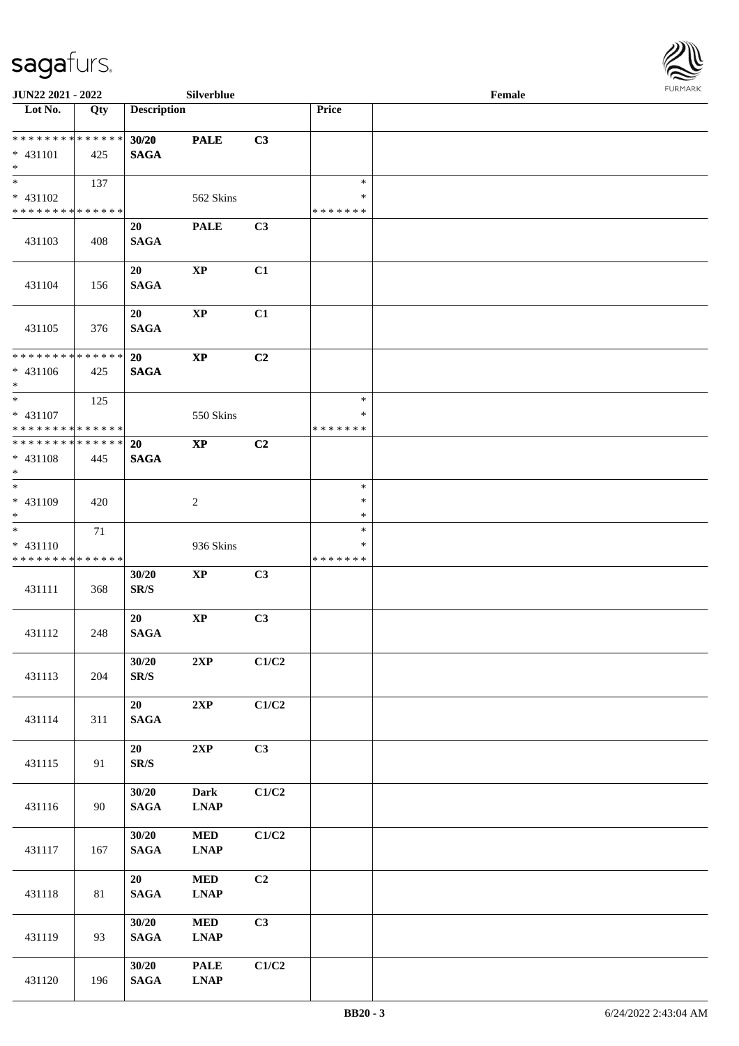

| JUN22 2021 - 2022             |     |                             | Silverblue                   |       |               | Female |  |
|-------------------------------|-----|-----------------------------|------------------------------|-------|---------------|--------|--|
| $\overline{\text{Lot No.}}$   | Qty | <b>Description</b>          |                              |       | Price         |        |  |
| * * * * * * * * * * * * * *   |     | 30/20                       | <b>PALE</b>                  | C3    |               |        |  |
| $* 431101$                    | 425 | <b>SAGA</b>                 |                              |       |               |        |  |
| $*$                           |     |                             |                              |       |               |        |  |
| $*$                           | 137 |                             |                              |       | $\ast$        |        |  |
| * 431102                      |     |                             | 562 Skins                    |       | $\ast$        |        |  |
| * * * * * * * * * * * * * *   |     |                             |                              |       | * * * * * * * |        |  |
|                               |     | 20                          | <b>PALE</b>                  | C3    |               |        |  |
| 431103                        | 408 | <b>SAGA</b>                 |                              |       |               |        |  |
|                               |     |                             |                              |       |               |        |  |
|                               |     | 20                          | $\mathbf{XP}$                | C1    |               |        |  |
| 431104                        | 156 | <b>SAGA</b>                 |                              |       |               |        |  |
|                               |     |                             |                              |       |               |        |  |
|                               |     | 20                          | $\bold{XP}$                  | C1    |               |        |  |
| 431105                        | 376 | <b>SAGA</b>                 |                              |       |               |        |  |
| * * * * * * * * * * * * * * * |     |                             |                              |       |               |        |  |
|                               |     | 20                          | $\bold{XP}$                  | C2    |               |        |  |
| $* 431106$<br>$*$             | 425 | <b>SAGA</b>                 |                              |       |               |        |  |
|                               | 125 |                             |                              |       | $\ast$        |        |  |
| * 431107                      |     |                             | 550 Skins                    |       | ∗             |        |  |
| * * * * * * * * * * * * * * * |     |                             |                              |       | * * * * * * * |        |  |
| * * * * * * * * * * * * * * * |     | 20                          | $\bold{XP}$                  | C2    |               |        |  |
| * 431108                      | 445 | <b>SAGA</b>                 |                              |       |               |        |  |
| $*$                           |     |                             |                              |       |               |        |  |
| $*$                           |     |                             |                              |       | $\ast$        |        |  |
| * 431109                      | 420 |                             | 2                            |       | $\ast$        |        |  |
| $*$                           |     |                             |                              |       | $\ast$        |        |  |
| $*$                           | 71  |                             |                              |       | $\ast$        |        |  |
| $* 431110$                    |     |                             | 936 Skins                    |       | *             |        |  |
| * * * * * * * * * * * * * *   |     |                             |                              |       | * * * * * * * |        |  |
|                               |     | 30/20                       | $\bold{XP}$                  | C3    |               |        |  |
| 431111                        | 368 | SR/S                        |                              |       |               |        |  |
|                               |     |                             | $\mathbf{XP}$                | C3    |               |        |  |
| 431112                        | 248 | 20<br><b>SAGA</b>           |                              |       |               |        |  |
|                               |     |                             |                              |       |               |        |  |
|                               |     | 30/20                       | 2XP                          | C1/C2 |               |        |  |
| 431113                        | 204 | $\mbox{S}\mbox{R}/\mbox{S}$ |                              |       |               |        |  |
|                               |     |                             |                              |       |               |        |  |
|                               |     | 20                          | 2XP                          | C1/C2 |               |        |  |
| 431114                        | 311 | $\mathbf{SAGA}$             |                              |       |               |        |  |
|                               |     |                             |                              |       |               |        |  |
|                               |     | 20                          | $2{\bf XP}$                  | C3    |               |        |  |
| 431115                        | 91  | $\mathbf{SR}/\mathbf{S}$    |                              |       |               |        |  |
|                               |     |                             |                              |       |               |        |  |
|                               |     | 30/20                       | Dark                         | C1/C2 |               |        |  |
| 431116                        | 90  | $\mathbf{SAGA}$             | <b>LNAP</b>                  |       |               |        |  |
|                               |     |                             |                              |       |               |        |  |
|                               |     | 30/20                       | $\bf MED$                    | C1/C2 |               |        |  |
| 431117                        | 167 | $\mathbf{SAGA}$             | <b>LNAP</b>                  |       |               |        |  |
|                               |     | 20                          | <b>MED</b>                   | C2    |               |        |  |
| 431118                        | 81  | $\mathbf{SAGA}$             | <b>LNAP</b>                  |       |               |        |  |
|                               |     |                             |                              |       |               |        |  |
|                               |     | 30/20                       | <b>MED</b>                   | C3    |               |        |  |
| 431119                        | 93  | $\mathbf{SAGA}$             | <b>LNAP</b>                  |       |               |        |  |
|                               |     |                             |                              |       |               |        |  |
|                               |     | 30/20                       | <b>PALE</b>                  | C1/C2 |               |        |  |
| 431120                        | 196 | $\mathbf{SAGA}$             | $\ensuremath{\text{L}N\!AP}$ |       |               |        |  |
|                               |     |                             |                              |       |               |        |  |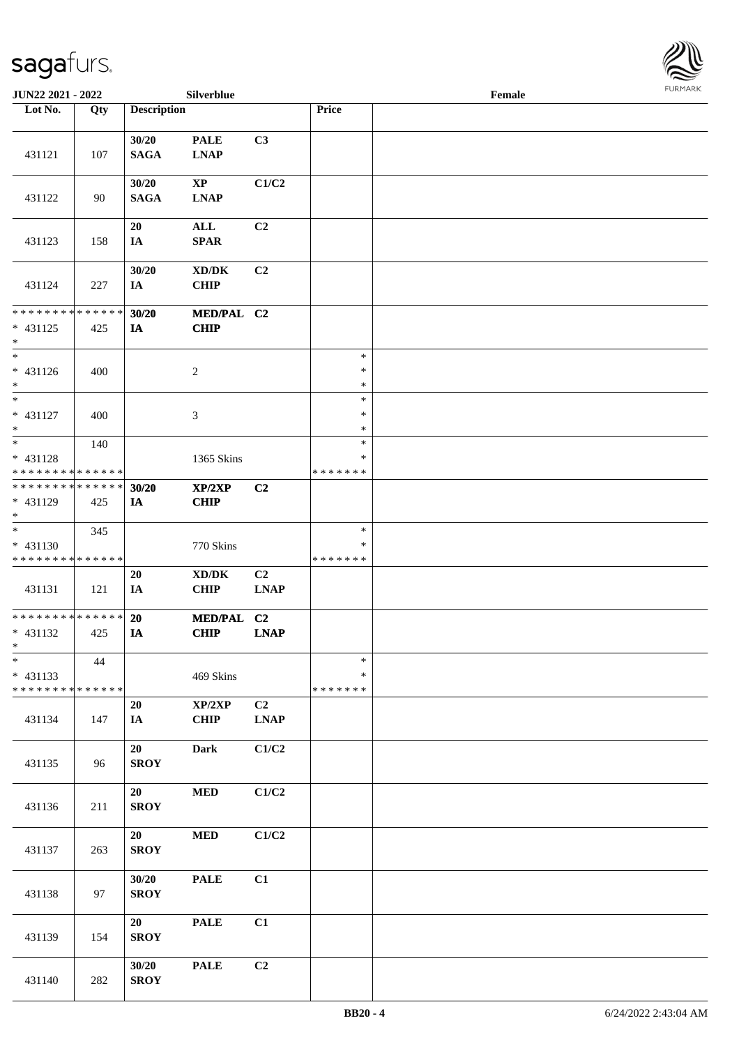

| <b>JUN22 2021 - 2022</b>                               |     |                      | Silverblue                                         |                   |                              | Female |  |
|--------------------------------------------------------|-----|----------------------|----------------------------------------------------|-------------------|------------------------------|--------|--|
| Lot No.                                                | Qty | <b>Description</b>   |                                                    |                   | Price                        |        |  |
| 431121                                                 | 107 | 30/20<br><b>SAGA</b> | <b>PALE</b><br><b>LNAP</b>                         | C3                |                              |        |  |
| 431122                                                 | 90  | 30/20<br><b>SAGA</b> | $\mathbf{X}\mathbf{P}$<br><b>LNAP</b>              | C1/C2             |                              |        |  |
| 431123                                                 | 158 | 20<br>IA             | ALL<br><b>SPAR</b>                                 | C2                |                              |        |  |
| 431124                                                 | 227 | 30/20<br>IA          | XD/DK<br><b>CHIP</b>                               | C <sub>2</sub>    |                              |        |  |
| * * * * * * * * * * * * * *<br>$* 431125$<br>$\ast$    | 425 | 30/20<br>IA          | MED/PAL C2<br><b>CHIP</b>                          |                   |                              |        |  |
| $*$<br>* 431126<br>$*$                                 | 400 |                      | $\overline{c}$                                     |                   | $\ast$<br>$\ast$<br>$\ast$   |        |  |
| $*$<br>* 431127<br>$*$                                 | 400 |                      | 3                                                  |                   | $\ast$<br>$\ast$<br>$\ast$   |        |  |
| * 431128<br>* * * * * * * * * * * * * *                | 140 |                      | 1365 Skins                                         |                   | $\ast$<br>*<br>* * * * * * * |        |  |
| * * * * * * * * * * * * * *<br>* 431129<br>$*$         | 425 | 30/20<br>IA          | XP/2XP<br><b>CHIP</b>                              | C2                |                              |        |  |
| $*$<br>$* 431130$<br>* * * * * * * * * * * * * *       | 345 |                      | 770 Skins                                          |                   | $\ast$<br>∗<br>* * * * * * * |        |  |
| 431131                                                 | 121 | 20<br>IA             | $\bold{X}\bold{D}/\bold{D}\bold{K}$<br><b>CHIP</b> | C2<br><b>LNAP</b> |                              |        |  |
| * * * * * * * * * * * * * * *<br>$* 431132$<br>$*$ $*$ | 425 | 20<br>IA             | <b>MED/PAL</b><br><b>CHIP</b>                      | C2<br><b>LNAP</b> |                              |        |  |
| $\ast$<br>$* 431133$<br>* * * * * * * * * * * * * *    | 44  |                      | 469 Skins                                          |                   | $\ast$<br>*<br>* * * * * * * |        |  |
| 431134                                                 | 147 | 20<br>IA             | $\mathbf{XP}/2\mathbf{XP}$<br><b>CHIP</b>          | C2<br><b>LNAP</b> |                              |        |  |
| 431135                                                 | 96  | 20<br><b>SROY</b>    | <b>Dark</b>                                        | C1/C2             |                              |        |  |
| 431136                                                 | 211 | 20<br><b>SROY</b>    | $\bf MED$                                          | C1/C2             |                              |        |  |
| 431137                                                 | 263 | 20<br><b>SROY</b>    | $\bf MED$                                          | C1/C2             |                              |        |  |
| 431138                                                 | 97  | 30/20<br><b>SROY</b> | <b>PALE</b>                                        | C1                |                              |        |  |
| 431139                                                 | 154 | 20<br><b>SROY</b>    | <b>PALE</b>                                        | C1                |                              |        |  |
| 431140                                                 | 282 | 30/20<br><b>SROY</b> | <b>PALE</b>                                        | C2                |                              |        |  |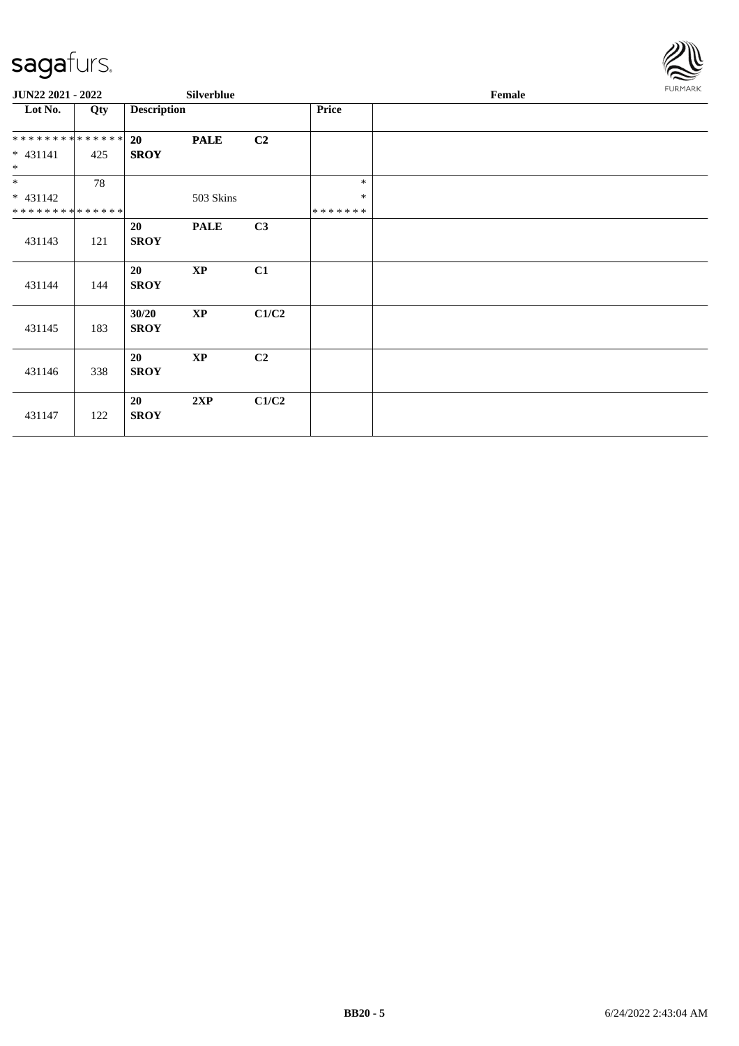

| JUN22 2021 - 2022 |     |                      | <b>Silverblue</b>      |                |         | Female | FURMARK |
|-------------------|-----|----------------------|------------------------|----------------|---------|--------|---------|
| Lot No.           | Qty | <b>Description</b>   |                        |                | Price   |        |         |
| **************    |     | 20                   | <b>PALE</b>            | C <sub>2</sub> |         |        |         |
| $* 431141$<br>$*$ | 425 | <b>SROY</b>          |                        |                |         |        |         |
| $*$               | 78  |                      |                        |                | $\ast$  |        |         |
| $* 431142$        |     |                      | 503 Skins              |                | $\ast$  |        |         |
| **************    |     |                      |                        |                | ******* |        |         |
| 431143            | 121 | 20<br><b>SROY</b>    | <b>PALE</b>            | C3             |         |        |         |
| 431144            | 144 | 20<br><b>SROY</b>    | $\mathbf{X}\mathbf{P}$ | C1             |         |        |         |
| 431145            | 183 | 30/20<br><b>SROY</b> | $\mathbf{X}\mathbf{P}$ | C1/C2          |         |        |         |
| 431146            | 338 | 20<br><b>SROY</b>    | $\mathbf{X}\mathbf{P}$ | C2             |         |        |         |
| 431147            | 122 | 20<br><b>SROY</b>    | 2XP                    | C1/C2          |         |        |         |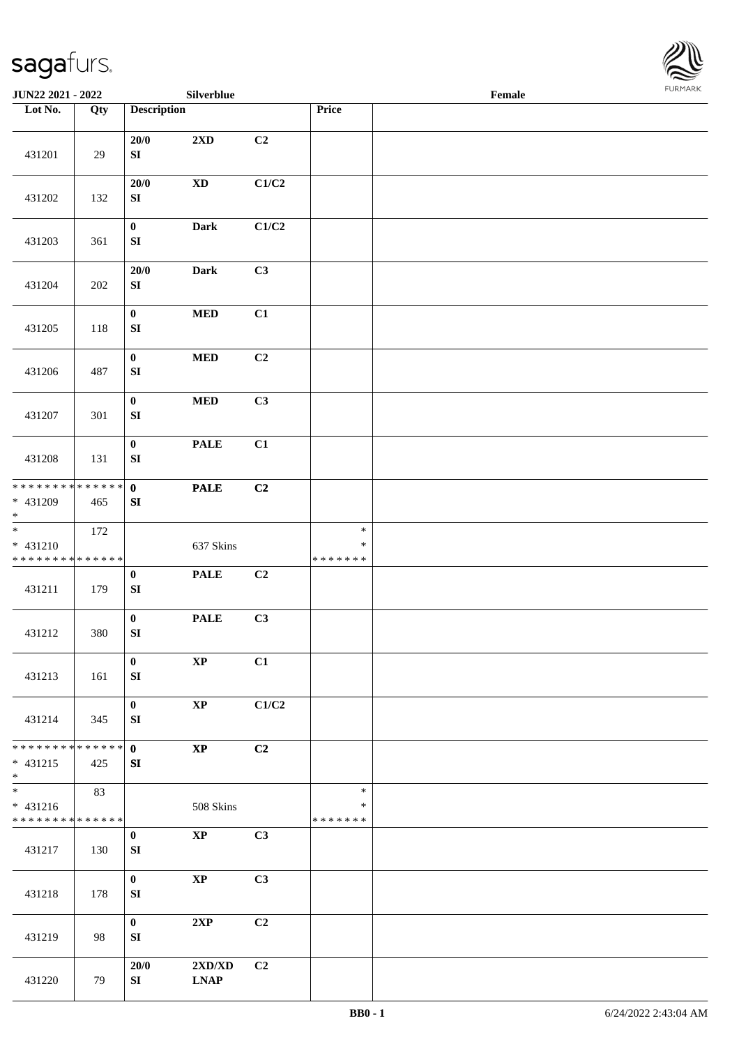

| JUN22 2021 - 2022                                               |     |                                      | Silverblue                                      |                |                                   | Female |  |
|-----------------------------------------------------------------|-----|--------------------------------------|-------------------------------------------------|----------------|-----------------------------------|--------|--|
| Lot No.                                                         | Qty | <b>Description</b>                   |                                                 |                | Price                             |        |  |
| 431201                                                          | 29  | 20/0<br>${\bf S}{\bf I}$             | $2{\bf X}{\bf D}$                               | C <sub>2</sub> |                                   |        |  |
| 431202                                                          | 132 | 20/0<br>${\bf S}{\bf I}$             | $\mathbf{X}\mathbf{D}$                          | C1/C2          |                                   |        |  |
| 431203                                                          | 361 | $\boldsymbol{0}$<br>${\bf SI}$       | Dark                                            | C1/C2          |                                   |        |  |
| 431204                                                          | 202 | $20/0$<br>${\bf SI}$                 | Dark                                            | C3             |                                   |        |  |
| 431205                                                          | 118 | $\mathbf{0}$<br>${\bf SI}$           | $\bf MED$                                       | C1             |                                   |        |  |
| 431206                                                          | 487 | $\mathbf{0}$<br>${\bf SI}$           | $\bf MED$                                       | C2             |                                   |        |  |
| 431207                                                          | 301 | $\bf{0}$<br>${\bf SI}$               | $\bf MED$                                       | C3             |                                   |        |  |
| 431208                                                          | 131 | $\pmb{0}$<br>${\bf SI}$              | <b>PALE</b>                                     | C1             |                                   |        |  |
| * * * * * * * * <mark>* * * * * * *</mark><br>$* 431209$<br>$*$ | 465 | $\mathbf 0$<br>SI                    | <b>PALE</b>                                     | C2             |                                   |        |  |
| $\frac{1}{*}$<br>* 431210<br>* * * * * * * * * * * * * *        | 172 |                                      | 637 Skins                                       |                | $\ast$<br>$\ast$<br>* * * * * * * |        |  |
| 431211                                                          | 179 | $\pmb{0}$<br>${\bf S}{\bf I}$        | <b>PALE</b>                                     | C2             |                                   |        |  |
| 431212                                                          | 380 | $\boldsymbol{0}$<br>${\bf S}{\bf I}$ | <b>PALE</b>                                     | C3             |                                   |        |  |
| 431213                                                          | 161 | $\bf{0}$<br>SI                       | $\bold{XP}$                                     | C1             |                                   |        |  |
| 431214                                                          | 345 | $\bf{0}$<br>SI                       | $\bold{XP}$                                     | C1/C2          |                                   |        |  |
| * * * * * * * * * * * * * * *<br>$* 431215$<br>$*$              | 425 | $\mathbf{0}$<br>SI                   | $\bold{XP}$                                     | C <sub>2</sub> |                                   |        |  |
| $* 431216$<br>* * * * * * * * * * * * * *                       | 83  |                                      | 508 Skins                                       |                | $\ast$<br>∗<br>* * * * * * *      |        |  |
| 431217                                                          | 130 | $\bf{0}$<br>${\bf SI}$               | $\mathbf{XP}$                                   | C3             |                                   |        |  |
| 431218                                                          | 178 | $\mathbf{0}$<br>${\bf SI}$           | $\bold{XP}$                                     | C3             |                                   |        |  |
| 431219                                                          | 98  | $\mathbf{0}$<br>SI                   | 2XP                                             | C2             |                                   |        |  |
| 431220                                                          | 79  | 20/0<br>SI                           | $2{\bf X}{\bf D}/{\bf X}{\bf D}$<br><b>LNAP</b> | C2             |                                   |        |  |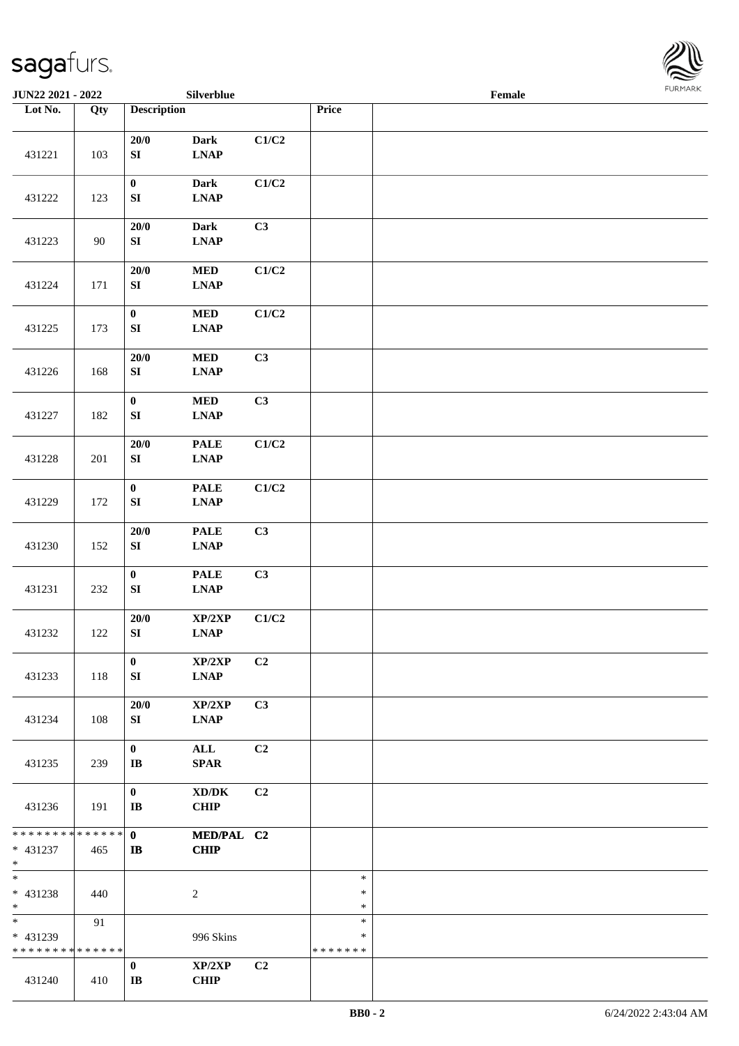

| JUN22 2021 - 2022                                 |     |                                    | Silverblue                                         |                           |                                   | Female | <b>FURMARK</b> |
|---------------------------------------------------|-----|------------------------------------|----------------------------------------------------|---------------------------|-----------------------------------|--------|----------------|
| Lot No.                                           | Qty | <b>Description</b>                 |                                                    |                           | Price                             |        |                |
| 431221                                            | 103 | $20/0$<br>${\bf S}{\bf I}$         | Dark<br><b>LNAP</b>                                | $\mathbf{C1}/\mathbf{C2}$ |                                   |        |                |
| 431222                                            | 123 | $\pmb{0}$<br>${\bf S}{\bf I}$      | <b>Dark</b><br><b>LNAP</b>                         | $\mathbf{C1}/\mathbf{C2}$ |                                   |        |                |
| 431223                                            | 90  | $20/0$<br>${\bf S}{\bf I}$         | Dark<br>$\ensuremath{\text{L}N\!AP}$               | C <sub>3</sub>            |                                   |        |                |
| 431224                                            | 171 | $20/0$<br>${\bf S}{\bf I}$         | $\bf MED$<br><b>LNAP</b>                           | C1/C2                     |                                   |        |                |
| 431225                                            | 173 | $\pmb{0}$<br>${\bf S}{\bf I}$      | $\bf MED$<br><b>LNAP</b>                           | $\mathbf{C1}/\mathbf{C2}$ |                                   |        |                |
| 431226                                            | 168 | $20/0$<br>${\bf S}{\bf I}$         | $\bf MED$<br><b>LNAP</b>                           | C3                        |                                   |        |                |
| 431227                                            | 182 | $\pmb{0}$<br>${\bf S}{\bf I}$      | $\bf MED$<br><b>LNAP</b>                           | C3                        |                                   |        |                |
| 431228                                            | 201 | $20/0$<br>${\bf S}{\bf I}$         | <b>PALE</b><br><b>LNAP</b>                         | $\mathbf{C1}/\mathbf{C2}$ |                                   |        |                |
| 431229                                            | 172 | $\pmb{0}$<br>${\bf S}{\bf I}$      | <b>PALE</b><br>$\ensuremath{\text{L}N\!AP}$        | C1/C2                     |                                   |        |                |
| 431230                                            | 152 | $20/0$<br>${\bf S}{\bf I}$         | <b>PALE</b><br><b>LNAP</b>                         | C3                        |                                   |        |                |
| 431231                                            | 232 | $\pmb{0}$<br>${\bf S}{\bf I}$      | <b>PALE</b><br><b>LNAP</b>                         | C3                        |                                   |        |                |
| 431232                                            | 122 | $20/0$<br>${\bf S}{\bf I}$         | $\mathbf{XP}/2\mathbf{XP}$<br><b>LNAP</b>          | C1/C2                     |                                   |        |                |
| 431233                                            | 118 | $\bf{0}$<br>SI                     | XP/2XP<br><b>LNAP</b>                              | C2                        |                                   |        |                |
| 431234                                            | 108 | 20/0<br>SI                         | XP/2XP<br><b>LNAP</b>                              | C3                        |                                   |        |                |
| 431235                                            | 239 | $\bf{0}$<br>$\mathbf{I}\mathbf{B}$ | ALL<br><b>SPAR</b>                                 | C2                        |                                   |        |                |
| 431236                                            | 191 | $\bf{0}$<br>$\mathbf{I}\mathbf{B}$ | $\bold{X}\bold{D}/\bold{D}\bold{K}$<br><b>CHIP</b> | C2                        |                                   |        |                |
| * * * * * * * * * * * * * *<br>* 431237<br>$*$    | 465 | $\mathbf{0}$<br>$\mathbf{I}$       | MED/PAL C2<br><b>CHIP</b>                          |                           |                                   |        |                |
| $*$<br>* 431238<br>$*$                            | 440 |                                    | 2                                                  |                           | $\ast$<br>∗<br>$\ast$             |        |                |
| $\ast$<br>* 431239<br>* * * * * * * * * * * * * * | 91  |                                    | 996 Skins                                          |                           | $\ast$<br>$\ast$<br>* * * * * * * |        |                |
| 431240                                            | 410 | $\bf{0}$<br>$\mathbf{I}\mathbf{B}$ | XP/2XP<br><b>CHIP</b>                              | C2                        |                                   |        |                |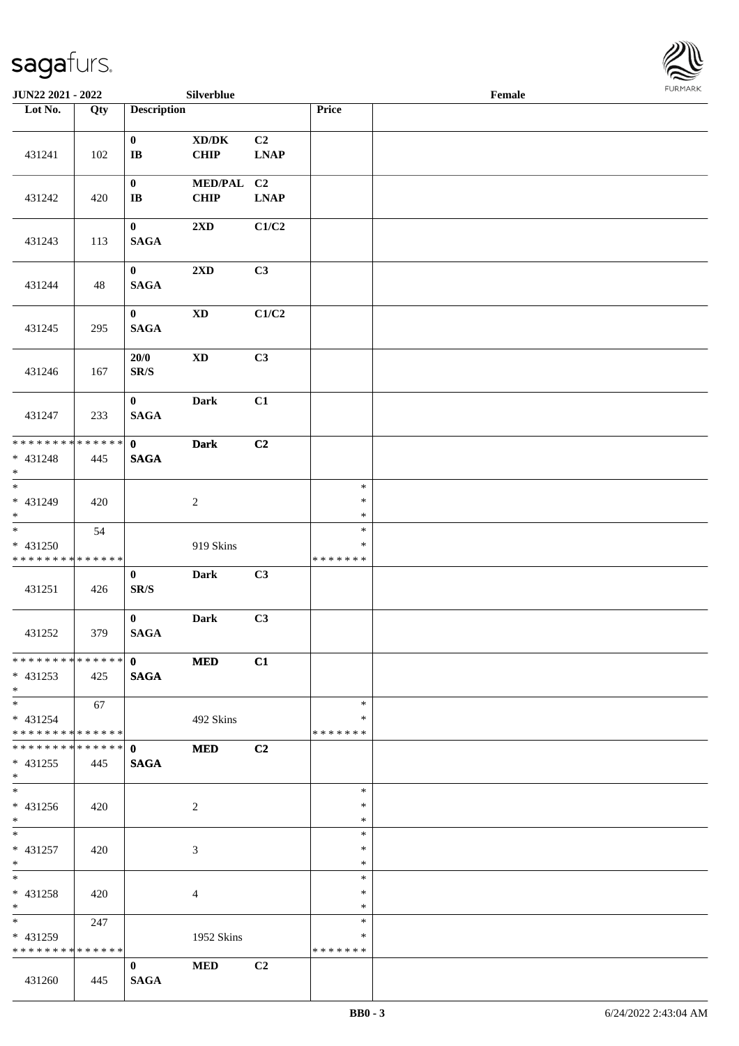

| JUN22 2021 - 2022                                                     |     |                                                                       | Silverblue                                 |                                                  |                                   | Female | FURMARK |
|-----------------------------------------------------------------------|-----|-----------------------------------------------------------------------|--------------------------------------------|--------------------------------------------------|-----------------------------------|--------|---------|
| Lot No.                                                               | Qty | <b>Description</b>                                                    |                                            |                                                  | Price                             |        |         |
| 431241                                                                | 102 | $\bf{0}$<br>$\bf I\bf B$                                              | $\boldsymbol{\text{XD}/\text{DK}}$<br>CHIP | C2<br>$\mathbf{L}\mathbf{N}\mathbf{A}\mathbf{P}$ |                                   |        |         |
| 431242                                                                | 420 | $\bf{0}$<br>$\bf{IB}$                                                 | <b>MED/PAL</b><br><b>CHIP</b>              | C2<br>$\mathbf{L}\mathbf{N}\mathbf{A}\mathbf{P}$ |                                   |        |         |
| 431243                                                                | 113 | $\mathbf{0}$<br>$\mathbf{SAGA}$                                       | $2{\bf X}{\bf D}$                          | C1/C2                                            |                                   |        |         |
| 431244                                                                | 48  | $\mathbf{0}$<br>$\mathbf{SAGA}$                                       | $2{\bf X}{\bf D}$                          | C3                                               |                                   |        |         |
| 431245                                                                | 295 | $\mathbf{0}$<br>$\mathbf{SAGA}$                                       | $\mathbf{X}\mathbf{D}$                     | C1/C2                                            |                                   |        |         |
| 431246                                                                | 167 | 20/0<br>$\mathbf{SR}/\mathbf{S}$                                      | $\mathbf{X}\mathbf{D}$                     | C3                                               |                                   |        |         |
| 431247                                                                | 233 | $\mathbf{0}$<br><b>SAGA</b>                                           | <b>Dark</b>                                | C1                                               |                                   |        |         |
| * * * * * * * * * * * * * * *<br>$* 431248$<br>$\ast$                 | 445 | $\mathbf{0}$<br><b>SAGA</b>                                           | <b>Dark</b>                                | C2                                               |                                   |        |         |
| $\overline{\phantom{0}}$<br>* 431249<br>$\ast$                        | 420 |                                                                       | $\sqrt{2}$                                 |                                                  | $\ast$<br>$\ast$<br>$\ast$        |        |         |
| $\overline{\phantom{a}^*}$<br>* 431250<br>* * * * * * * * * * * * * * | 54  |                                                                       | 919 Skins                                  |                                                  | $\ast$<br>$\ast$<br>* * * * * * * |        |         |
| 431251                                                                | 426 | $\bf{0}$<br>$\ensuremath{\textup{SR}}\xspace/\ensuremath{\textup{S}}$ | <b>Dark</b>                                | C3                                               |                                   |        |         |
| 431252                                                                | 379 | $\bf{0}$<br><b>SAGA</b>                                               | <b>Dark</b>                                | C3                                               |                                   |        |         |
| ************** 0<br>$* 431253$<br>$*$                                 | 425 | <b>SAGA</b>                                                           | <b>MED</b>                                 | C1                                               |                                   |        |         |
| $*$<br>$* 431254$<br>* * * * * * * * * * * * * * *                    | 67  |                                                                       | 492 Skins                                  |                                                  | $\ast$<br>$\ast$<br>* * * * * * * |        |         |
| **************<br>$* 431255$<br>$*$                                   | 445 | $\mathbf{0}$<br><b>SAGA</b>                                           | <b>MED</b>                                 | C2                                               |                                   |        |         |
| $\overline{\phantom{a}^*}$<br>* 431256<br>$*$                         | 420 |                                                                       | $\overline{2}$                             |                                                  | $\ast$<br>$\ast$<br>$\ast$        |        |         |
| $*$<br>$* 431257$<br>$*$                                              | 420 |                                                                       | 3                                          |                                                  | $\ast$<br>$\ast$<br>$\ast$        |        |         |
| $\ast$<br>* 431258<br>$*$                                             | 420 |                                                                       | $\overline{4}$                             |                                                  | $\ast$<br>∗<br>∗                  |        |         |
| $\overline{\phantom{0}}$<br>* 431259<br>* * * * * * * * * * * * * *   | 247 |                                                                       | 1952 Skins                                 |                                                  | $\ast$<br>∗<br>* * * * * * *      |        |         |
| 431260                                                                | 445 | $\bf{0}$<br><b>SAGA</b>                                               | <b>MED</b>                                 | C <sub>2</sub>                                   |                                   |        |         |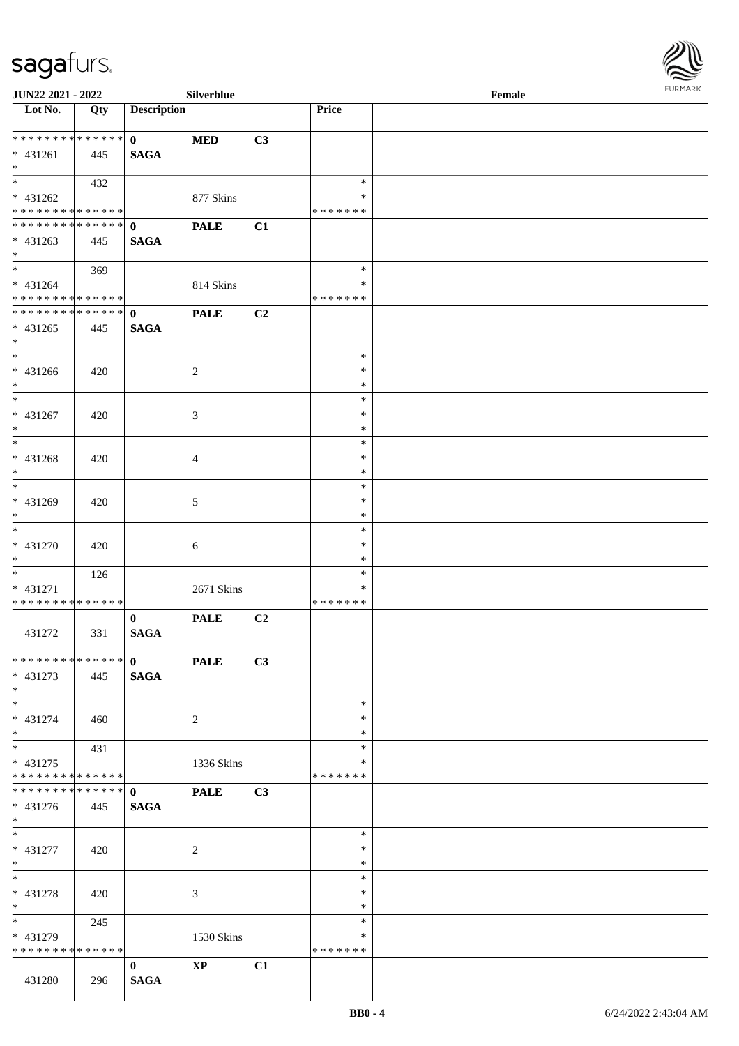

| <b>JUN22 2021 - 2022</b>        |     |                    | Silverblue     |                |                  | Female |  |
|---------------------------------|-----|--------------------|----------------|----------------|------------------|--------|--|
| Lot No.                         | Qty | <b>Description</b> |                |                | Price            |        |  |
|                                 |     |                    |                |                |                  |        |  |
| ******** <mark>******</mark>    |     | $\mathbf{0}$       | <b>MED</b>     | C3             |                  |        |  |
| * 431261                        | 445 | <b>SAGA</b>        |                |                |                  |        |  |
| $*$                             |     |                    |                |                |                  |        |  |
| $\overline{\ast}$               | 432 |                    |                |                | $\ast$           |        |  |
| * 431262                        |     |                    | 877 Skins      |                | ∗                |        |  |
| * * * * * * * * * * * * * * *   |     |                    |                |                | * * * * * * *    |        |  |
| * * * * * * * * * * * * * * *   |     | $\mathbf 0$        | <b>PALE</b>    | C1             |                  |        |  |
| * 431263                        | 445 | <b>SAGA</b>        |                |                |                  |        |  |
| $*$                             |     |                    |                |                |                  |        |  |
| $*$                             | 369 |                    |                |                | $\ast$           |        |  |
| $* 431264$                      |     |                    | 814 Skins      |                | ∗                |        |  |
| * * * * * * * * * * * * * *     |     |                    |                |                | * * * * * * *    |        |  |
| ******** <mark>******</mark>    |     | $\mathbf{0}$       | <b>PALE</b>    | C <sub>2</sub> |                  |        |  |
| $* 431265$                      | 445 | <b>SAGA</b>        |                |                |                  |        |  |
| $*$                             |     |                    |                |                |                  |        |  |
| $\ast$                          |     |                    |                |                | $\ast$           |        |  |
| $* 431266$                      | 420 |                    | 2              |                | $\ast$           |        |  |
| $*$<br>$\overline{\phantom{0}}$ |     |                    |                |                | $\ast$           |        |  |
|                                 |     |                    |                |                | $\ast$           |        |  |
| * 431267                        | 420 |                    | 3              |                | $\ast$           |        |  |
| $*$                             |     |                    |                |                | $\ast$           |        |  |
|                                 |     |                    |                |                | $\ast$           |        |  |
| * 431268                        | 420 |                    | 4              |                | $\ast$           |        |  |
| $*$<br>$*$                      |     |                    |                |                | *                |        |  |
|                                 |     |                    |                |                | $\ast$           |        |  |
| * 431269                        | 420 |                    | 5              |                | $\ast$           |        |  |
| $*$                             |     |                    |                |                | $\ast$<br>$\ast$ |        |  |
|                                 |     |                    |                |                | $\ast$           |        |  |
| $* 431270$<br>$*$               | 420 |                    | 6              |                | $\ast$           |        |  |
| $*$                             |     |                    |                |                | $\ast$           |        |  |
| $* 431271$                      | 126 |                    | 2671 Skins     |                | *                |        |  |
| * * * * * * * * * * * * * *     |     |                    |                |                | * * * * * * *    |        |  |
|                                 |     | $\bf{0}$           | <b>PALE</b>    | C2             |                  |        |  |
| 431272                          | 331 | <b>SAGA</b>        |                |                |                  |        |  |
|                                 |     |                    |                |                |                  |        |  |
| ******** <mark>******</mark>    |     | $\mathbf{0}$       | <b>PALE</b>    | C3             |                  |        |  |
| * 431273                        | 445 | <b>SAGA</b>        |                |                |                  |        |  |
| $*$                             |     |                    |                |                |                  |        |  |
| $*$                             |     |                    |                |                | $\ast$           |        |  |
| * 431274                        | 460 |                    | 2              |                | ∗                |        |  |
| $*$                             |     |                    |                |                | ∗                |        |  |
| $*$                             | 431 |                    |                |                | $\ast$           |        |  |
| $* 431275$                      |     |                    | 1336 Skins     |                | ∗                |        |  |
| * * * * * * * * * * * * * * *   |     |                    |                |                | * * * * * * *    |        |  |
| * * * * * * * * * * * * * * *   |     | $\mathbf{0}$       | <b>PALE</b>    | C <sub>3</sub> |                  |        |  |
| $* 431276$                      | 445 | <b>SAGA</b>        |                |                |                  |        |  |
| $*$                             |     |                    |                |                |                  |        |  |
| $*$                             |     |                    |                |                | $\ast$           |        |  |
| $* 431277$                      | 420 |                    | $\overline{c}$ |                | $\ast$           |        |  |
| $*$                             |     |                    |                |                | $\ast$           |        |  |
| $*$                             |     |                    |                |                | $\ast$           |        |  |
| $* 431278$                      | 420 |                    | 3              |                | $\ast$           |        |  |
| $*$                             |     |                    |                |                | $\ast$           |        |  |
| $*$ and $*$                     | 245 |                    |                |                | $\ast$           |        |  |
| * 431279                        |     |                    | 1530 Skins     |                | ∗                |        |  |
| * * * * * * * * * * * * * *     |     |                    |                |                | * * * * * * *    |        |  |
|                                 |     | $\bf{0}$           | $\mathbf{XP}$  | C1             |                  |        |  |
| 431280                          | 296 | <b>SAGA</b>        |                |                |                  |        |  |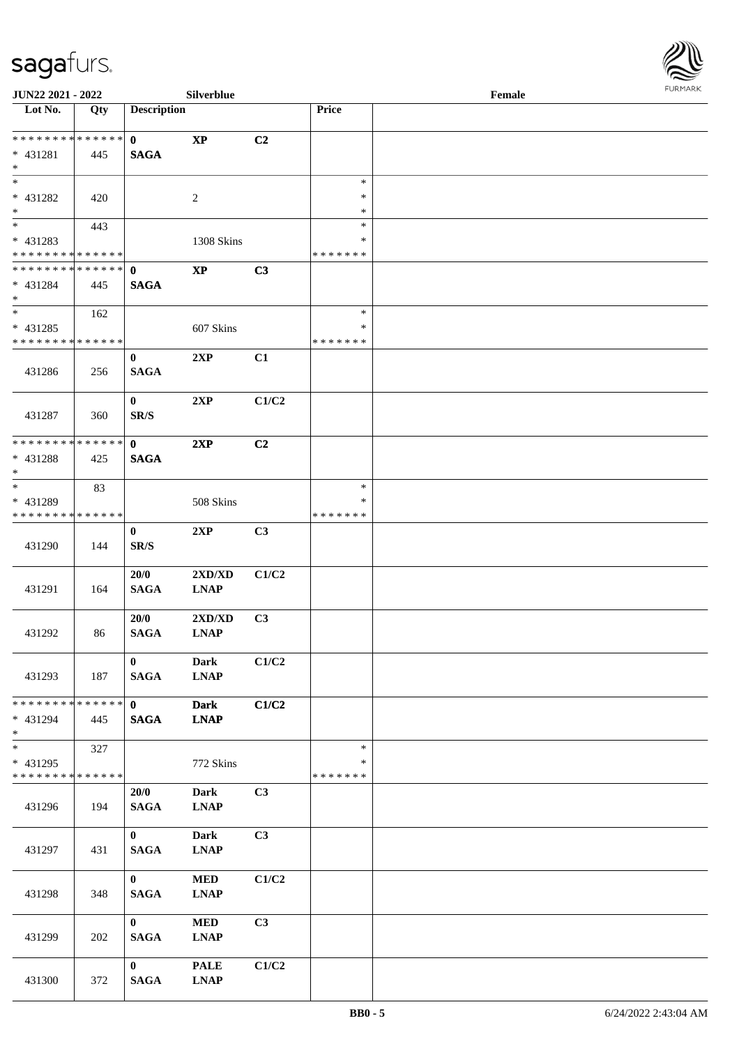

| <b>JUN22 2021 - 2022</b>                   |     |                    | Silverblue             |                |                    | Female |  |
|--------------------------------------------|-----|--------------------|------------------------|----------------|--------------------|--------|--|
| Lot No.                                    | Qty | <b>Description</b> |                        |                | Price              |        |  |
|                                            |     |                    |                        |                |                    |        |  |
| * * * * * * * * * * * * * * *              |     | $\mathbf{0}$       | $\mathbf{X}\mathbf{P}$ | C2             |                    |        |  |
| * 431281                                   | 445 | <b>SAGA</b>        |                        |                |                    |        |  |
| $\ast$                                     |     |                    |                        |                |                    |        |  |
| $*$                                        |     |                    |                        |                | $\ast$             |        |  |
| * 431282                                   | 420 |                    | 2                      |                | *                  |        |  |
| $*$                                        |     |                    |                        |                | *                  |        |  |
|                                            | 443 |                    |                        |                | $\ast$             |        |  |
| * 431283                                   |     |                    | 1308 Skins             |                | $\ast$             |        |  |
| * * * * * * * * * * * * * *                |     |                    |                        |                | * * * * * * *      |        |  |
| * * * * * * * * <mark>* * * * * * *</mark> |     | $\mathbf{0}$       | $\bold{XP}$            | C3             |                    |        |  |
| * 431284                                   | 445 | <b>SAGA</b>        |                        |                |                    |        |  |
| $*$                                        |     |                    |                        |                |                    |        |  |
| $*$                                        | 162 |                    |                        |                | $\ast$             |        |  |
| * 431285                                   |     |                    | 607 Skins              |                | *                  |        |  |
| * * * * * * * * * * * * * *                |     |                    |                        |                | * * * * * * *      |        |  |
|                                            |     | $\bf{0}$           | 2XP                    | C1             |                    |        |  |
| 431286                                     | 256 | <b>SAGA</b>        |                        |                |                    |        |  |
|                                            |     |                    |                        |                |                    |        |  |
|                                            |     | $\mathbf{0}$       | 2XP                    | C1/C2          |                    |        |  |
| 431287                                     | 360 | SR/S               |                        |                |                    |        |  |
|                                            |     |                    |                        |                |                    |        |  |
| * * * * * * * * * * * * * * *              |     | $\mathbf{0}$       | 2XP                    | C <sub>2</sub> |                    |        |  |
| * 431288                                   | 425 | <b>SAGA</b>        |                        |                |                    |        |  |
| $\ast$                                     |     |                    |                        |                |                    |        |  |
| $*$                                        | 83  |                    |                        |                | $\ast$             |        |  |
| * 431289                                   |     |                    | 508 Skins              |                | ∗                  |        |  |
| * * * * * * * * * * * * * *                |     |                    |                        |                | * * * * * * *      |        |  |
|                                            |     | $\bf{0}$           | 2XP                    | C3             |                    |        |  |
| 431290                                     | 144 | SR/S               |                        |                |                    |        |  |
|                                            |     |                    |                        |                |                    |        |  |
|                                            |     | 20/0               | 2XD/XD                 | C1/C2          |                    |        |  |
| 431291                                     | 164 | <b>SAGA</b>        | <b>LNAP</b>            |                |                    |        |  |
|                                            |     |                    |                        |                |                    |        |  |
|                                            |     | 20/0               | 2XD/XD                 | C3             |                    |        |  |
| 431292                                     | 86  | <b>SAGA</b>        | <b>LNAP</b>            |                |                    |        |  |
|                                            |     |                    |                        |                |                    |        |  |
|                                            |     | $\mathbf{0}$       | <b>Dark</b>            | C1/C2          |                    |        |  |
| 431293                                     | 187 | <b>SAGA</b>        | <b>LNAP</b>            |                |                    |        |  |
|                                            |     |                    |                        |                |                    |        |  |
| * * * * * * * * <mark>* * * * * * *</mark> |     | $\mathbf{0}$       | <b>Dark</b>            | C1/C2          |                    |        |  |
| * 431294                                   | 445 | <b>SAGA</b>        | <b>LNAP</b>            |                |                    |        |  |
| $\ast$<br>$*$                              |     |                    |                        |                |                    |        |  |
|                                            | 327 |                    |                        |                | $\ast$             |        |  |
| * 431295<br>* * * * * * * * * * * * * *    |     |                    | 772 Skins              |                | ∗<br>* * * * * * * |        |  |
|                                            |     |                    |                        |                |                    |        |  |
|                                            |     | 20/0               | <b>Dark</b>            | C3             |                    |        |  |
| 431296                                     | 194 | <b>SAGA</b>        | <b>LNAP</b>            |                |                    |        |  |
|                                            |     |                    |                        |                |                    |        |  |
|                                            |     | $\mathbf{0}$       | <b>Dark</b>            | C3             |                    |        |  |
| 431297                                     | 431 | <b>SAGA</b>        | <b>LNAP</b>            |                |                    |        |  |
|                                            |     | $\mathbf{0}$       |                        |                |                    |        |  |
|                                            |     |                    | <b>MED</b>             | C1/C2          |                    |        |  |
| 431298                                     | 348 | <b>SAGA</b>        | <b>LNAP</b>            |                |                    |        |  |
|                                            |     | $\mathbf{0}$       |                        | C3             |                    |        |  |
|                                            |     |                    | <b>MED</b>             |                |                    |        |  |
| 431299                                     | 202 | <b>SAGA</b>        | <b>LNAP</b>            |                |                    |        |  |
|                                            |     | $\mathbf{0}$       |                        | C1/C2          |                    |        |  |
|                                            |     |                    | <b>PALE</b>            |                |                    |        |  |
| 431300                                     | 372 | <b>SAGA</b>        | <b>LNAP</b>            |                |                    |        |  |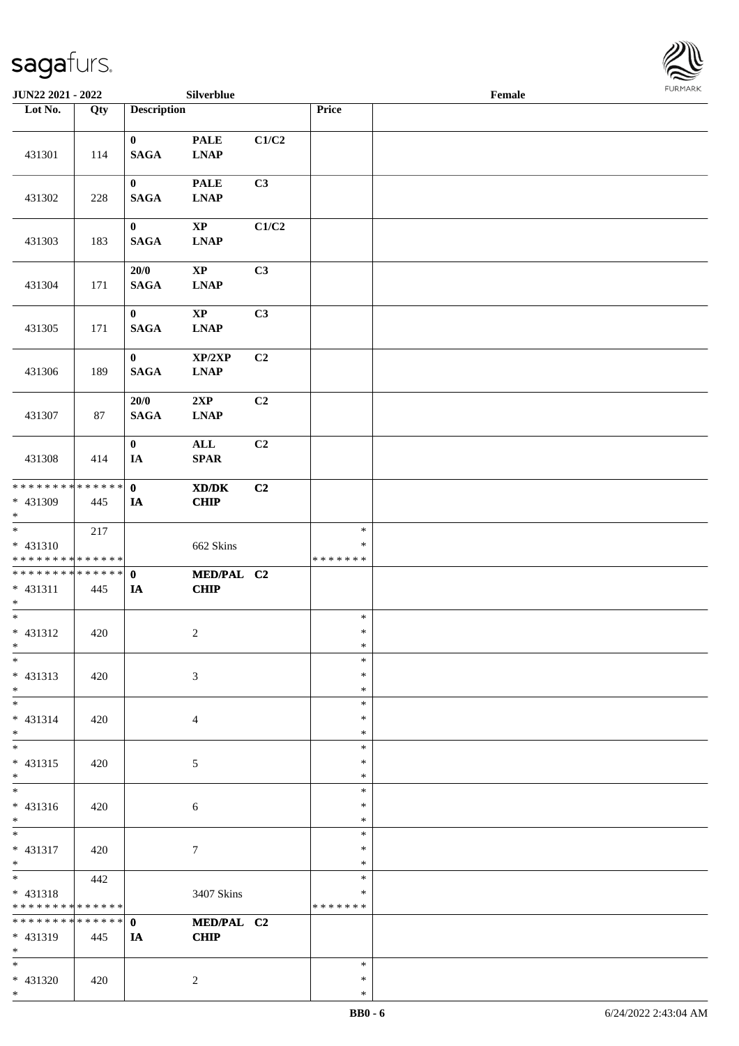\*



| JUN22 2021 - 2022                                  |     |                             | Silverblue                                                |       |                                   | Female |  |
|----------------------------------------------------|-----|-----------------------------|-----------------------------------------------------------|-------|-----------------------------------|--------|--|
| Lot No.                                            | Qty | <b>Description</b>          |                                                           |       | Price                             |        |  |
| 431301                                             | 114 | $\bf{0}$<br><b>SAGA</b>     | <b>PALE</b><br>$\mathbf{L}\mathbf{N}\mathbf{A}\mathbf{P}$ | C1/C2 |                                   |        |  |
| 431302                                             | 228 | $\bf{0}$<br><b>SAGA</b>     | <b>PALE</b><br><b>LNAP</b>                                | C3    |                                   |        |  |
| 431303                                             | 183 | $\bf{0}$<br><b>SAGA</b>     | $\bold{XP}$<br>$\mathbf{L}\mathbf{N}\mathbf{A}\mathbf{P}$ | C1/C2 |                                   |        |  |
| 431304                                             | 171 | 20/0<br><b>SAGA</b>         | $\bold{XP}$<br>$\ensuremath{\text{L}N\!AP}\xspace$        | C3    |                                   |        |  |
| 431305                                             | 171 | $\bf{0}$<br>$\mathbf{SAGA}$ | $\bold{XP}$<br><b>LNAP</b>                                | C3    |                                   |        |  |
| 431306                                             | 189 | $\bf{0}$<br><b>SAGA</b>     | XP/2XP<br><b>LNAP</b>                                     | C2    |                                   |        |  |
| 431307                                             | 87  | 20/0<br><b>SAGA</b>         | 2XP<br>$\mathbf{L}\mathbf{N}\mathbf{A}\mathbf{P}$         | C2    |                                   |        |  |
| 431308                                             | 414 | $\bf{0}$<br>IA              | ALL<br><b>SPAR</b>                                        | C2    |                                   |        |  |
| * * * * * * * * * * * * * * *<br>* 431309<br>$*$   | 445 | $\mathbf 0$<br>IA           | XD/DK<br>CHIP                                             | C2    |                                   |        |  |
| * 431310<br>* * * * * * * * * * * * * * *          | 217 |                             | 662 Skins                                                 |       | $\ast$<br>∗<br>* * * * * * *      |        |  |
| * * * * * * * * * * * * * * *<br>$* 431311$<br>$*$ | 445 | $\mathbf 0$<br>IA           | MED/PAL C2<br><b>CHIP</b>                                 |       |                                   |        |  |
| $*$<br>* 431312<br>$*$                             | 420 |                             | $\overline{c}$                                            |       | $\ast$<br>$\ast$<br>$\ast$        |        |  |
| $\ast$<br>* 431313<br>$*$                          | 420 |                             | 3                                                         |       | $\ast$<br>$\ast$<br>$\ast$        |        |  |
| $*$<br>* 431314<br>$*$                             | 420 |                             | 4                                                         |       | $\ast$<br>∗<br>$\ast$             |        |  |
| $*$<br>$* 431315$<br>$*$                           | 420 |                             | 5                                                         |       | $\ast$<br>$\ast$<br>$\ast$        |        |  |
| $*$<br>* 431316<br>$*$                             | 420 |                             | 6                                                         |       | $\ast$<br>∗<br>$\ast$             |        |  |
| $*$<br>* 431317<br>$*$                             | 420 |                             | 7                                                         |       | $\ast$<br>$\ast$<br>$\ast$        |        |  |
| $*$<br>* 431318<br>* * * * * * * * * * * * * *     | 442 |                             | 3407 Skins                                                |       | $\ast$<br>$\ast$<br>* * * * * * * |        |  |
| * * * * * * * * * * * * * * *<br>* 431319<br>$*$   | 445 | $\mathbf{0}$<br>IA          | MED/PAL C2<br><b>CHIP</b>                                 |       |                                   |        |  |
| $*$<br>* 431320<br>$*$                             | 420 |                             | $\overline{c}$                                            |       | $\ast$<br>$\ast$<br>$\ast$        |        |  |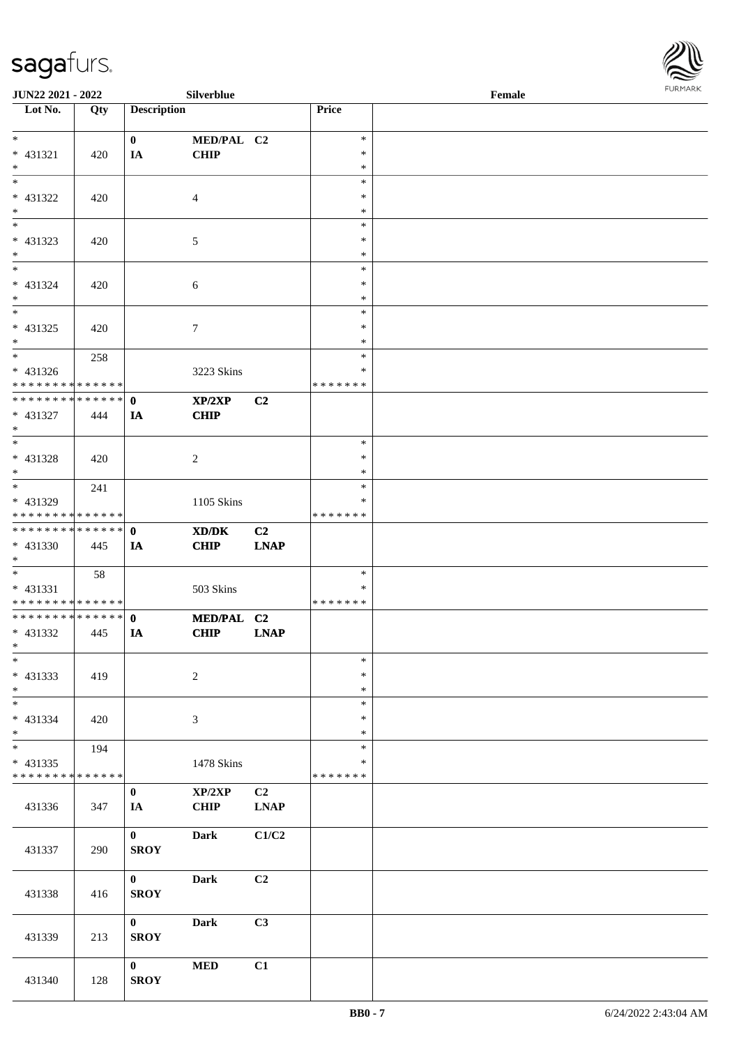

| <b>JUN22 2021 - 2022</b>                   |     |                    | Silverblue      |                |               | Female |  |
|--------------------------------------------|-----|--------------------|-----------------|----------------|---------------|--------|--|
| Lot No.                                    | Qty | <b>Description</b> |                 |                | Price         |        |  |
|                                            |     |                    |                 |                |               |        |  |
| $*$                                        |     | $\mathbf{0}$       | MED/PAL C2      |                | $\ast$        |        |  |
| * 431321                                   | 420 | IA                 | <b>CHIP</b>     |                | $\ast$        |        |  |
| $*$                                        |     |                    |                 |                | $\ast$        |        |  |
|                                            |     |                    |                 |                | $\ast$        |        |  |
| * 431322                                   | 420 |                    | $\overline{4}$  |                | $\ast$        |        |  |
| $*$                                        |     |                    |                 |                | $\ast$        |        |  |
|                                            |     |                    |                 |                | $\ast$        |        |  |
| * 431323                                   | 420 |                    | 5               |                | $\ast$        |        |  |
| $*$                                        |     |                    |                 |                | $\ast$        |        |  |
| $*$                                        |     |                    |                 |                | $\ast$        |        |  |
| * 431324                                   | 420 |                    | 6               |                | $\ast$        |        |  |
| $*$                                        |     |                    |                 |                | $\ast$        |        |  |
|                                            |     |                    |                 |                | $\ast$        |        |  |
| * 431325                                   | 420 |                    | $7\phantom{.0}$ |                | $\ast$        |        |  |
| $*$                                        |     |                    |                 |                | $\ast$        |        |  |
|                                            | 258 |                    |                 |                | $\ast$        |        |  |
| $* 431326$                                 |     |                    | 3223 Skins      |                | $\ast$        |        |  |
| * * * * * * * * <mark>* * * * * * *</mark> |     |                    |                 |                | * * * * * * * |        |  |
| * * * * * * * * * * * * * * <mark>*</mark> |     | $\mathbf{0}$       | XP/2XP          | C <sub>2</sub> |               |        |  |
| * 431327                                   | 444 | IA                 | <b>CHIP</b>     |                |               |        |  |
| $*$                                        |     |                    |                 |                |               |        |  |
|                                            |     |                    |                 |                | $\ast$        |        |  |
| * 431328                                   | 420 |                    |                 |                | $\ast$        |        |  |
| $*$                                        |     |                    | 2               |                | $\ast$        |        |  |
| $\overline{\ast}$                          | 241 |                    |                 |                | $\ast$        |        |  |
| * 431329                                   |     |                    |                 |                | $\ast$        |        |  |
| * * * * * * * * <mark>* * * * * * *</mark> |     |                    | 1105 Skins      |                | * * * * * * * |        |  |
| * * * * * * * * * * * * * * <mark>*</mark> |     | $\mathbf{0}$       |                 |                |               |        |  |
|                                            |     |                    | XD/DK           | C2             |               |        |  |
| * 431330                                   | 445 | IA                 | <b>CHIP</b>     | <b>LNAP</b>    |               |        |  |
| $*$<br>$*$                                 |     |                    |                 |                | $\ast$        |        |  |
|                                            | 58  |                    |                 |                | $\ast$        |        |  |
| * 431331<br>* * * * * * * * * * * * * *    |     |                    | 503 Skins       |                | *******       |        |  |
| * * * * * * * * * * * * * * <mark>*</mark> |     |                    |                 |                |               |        |  |
|                                            |     | $\mathbf{0}$       | MED/PAL C2      |                |               |        |  |
| * 431332                                   | 445 | IA                 | <b>CHIP</b>     | <b>LNAP</b>    |               |        |  |
| $*$ $*$<br>$*$                             |     |                    |                 |                | $\ast$        |        |  |
|                                            |     |                    |                 |                |               |        |  |
| * 431333                                   | 419 |                    | 2               |                | $\ast$        |        |  |
| $*$                                        |     |                    |                 |                | $\ast$        |        |  |
|                                            |     |                    |                 |                | $\ast$        |        |  |
| * 431334                                   | 420 |                    | 3               |                | $\ast$        |        |  |
| $*$                                        |     |                    |                 |                | $\ast$        |        |  |
|                                            | 194 |                    |                 |                | $\ast$        |        |  |
| * 431335                                   |     |                    | 1478 Skins      |                | $\ast$        |        |  |
| * * * * * * * * * * * * * *                |     |                    |                 |                | *******       |        |  |
|                                            |     | $\mathbf{0}$       | XP/2XP          | C2             |               |        |  |
| 431336                                     | 347 | IA                 | <b>CHIP</b>     | <b>LNAP</b>    |               |        |  |
|                                            |     |                    |                 |                |               |        |  |
|                                            |     | $\mathbf{0}$       | Dark            | C1/C2          |               |        |  |
| 431337                                     | 290 | <b>SROY</b>        |                 |                |               |        |  |
|                                            |     |                    |                 |                |               |        |  |
|                                            |     | $\mathbf{0}$       | <b>Dark</b>     | C2             |               |        |  |
| 431338                                     | 416 | <b>SROY</b>        |                 |                |               |        |  |
|                                            |     |                    |                 |                |               |        |  |
|                                            |     | $\mathbf{0}$       | <b>Dark</b>     | C3             |               |        |  |
| 431339                                     | 213 | <b>SROY</b>        |                 |                |               |        |  |
|                                            |     |                    |                 |                |               |        |  |
|                                            |     | $\mathbf{0}$       | <b>MED</b>      | C1             |               |        |  |
| 431340                                     | 128 | <b>SROY</b>        |                 |                |               |        |  |
|                                            |     |                    |                 |                |               |        |  |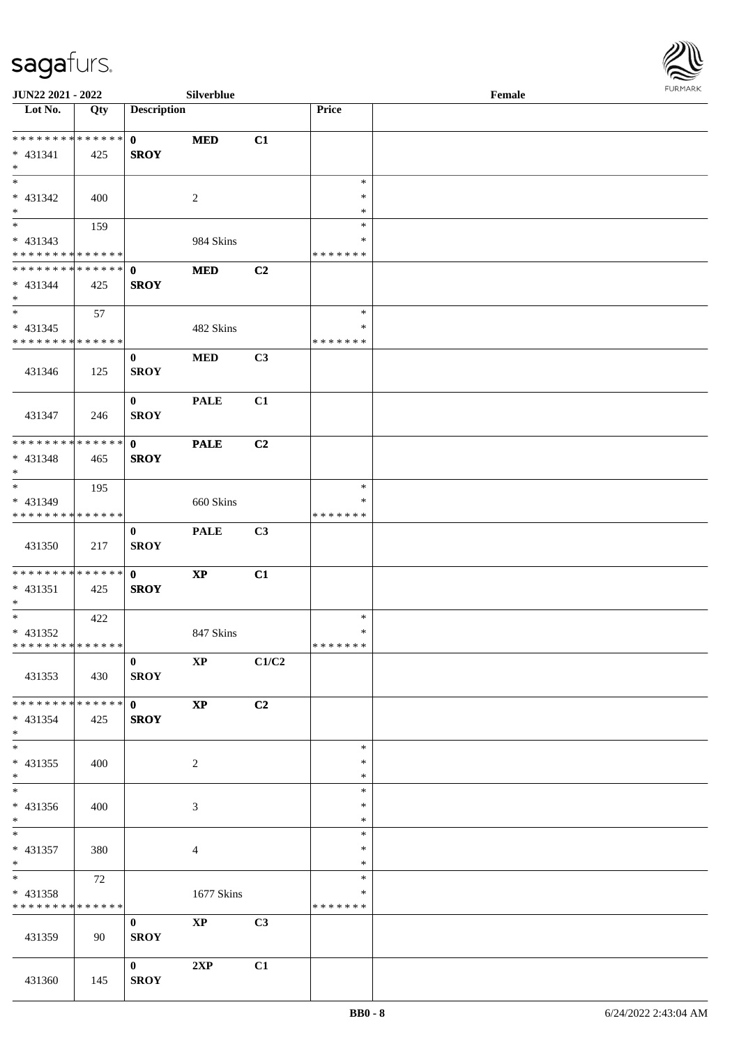

| <b>JUN22 2021 - 2022</b>                |     |                    | <b>Silverblue</b>      |       |                  | Female |  |
|-----------------------------------------|-----|--------------------|------------------------|-------|------------------|--------|--|
| Lot No.                                 | Qty | <b>Description</b> |                        |       | Price            |        |  |
|                                         |     |                    |                        |       |                  |        |  |
| ******** <mark>******</mark>            |     | $\mathbf{0}$       | <b>MED</b>             | C1    |                  |        |  |
| * 431341                                | 425 | <b>SROY</b>        |                        |       |                  |        |  |
| $*$<br>$\overline{\phantom{0}}$         |     |                    |                        |       |                  |        |  |
|                                         |     |                    |                        |       | $\ast$           |        |  |
| * 431342<br>$\ast$                      | 400 |                    | 2                      |       | *                |        |  |
| $\overline{\phantom{0}}$                |     |                    |                        |       | $\ast$<br>$\ast$ |        |  |
|                                         | 159 |                    |                        |       | $\ast$           |        |  |
| * 431343<br>* * * * * * * * * * * * * * |     |                    | 984 Skins              |       | * * * * * * *    |        |  |
| ******** <mark>******</mark>            |     | $\mathbf 0$        | <b>MED</b>             | C2    |                  |        |  |
| $* 431344$                              | 425 | <b>SROY</b>        |                        |       |                  |        |  |
| $*$                                     |     |                    |                        |       |                  |        |  |
| $*$                                     | 57  |                    |                        |       | $\ast$           |        |  |
| $* 431345$                              |     |                    | 482 Skins              |       | $\ast$           |        |  |
| * * * * * * * * * * * * * *             |     |                    |                        |       | * * * * * * *    |        |  |
|                                         |     | $\bf{0}$           | <b>MED</b>             | C3    |                  |        |  |
| 431346                                  | 125 | <b>SROY</b>        |                        |       |                  |        |  |
|                                         |     |                    |                        |       |                  |        |  |
|                                         |     | $\bf{0}$           | <b>PALE</b>            | C1    |                  |        |  |
| 431347                                  | 246 | <b>SROY</b>        |                        |       |                  |        |  |
|                                         |     |                    |                        |       |                  |        |  |
| * * * * * * * * * * * * * * *           |     | $\mathbf{0}$       | <b>PALE</b>            | C2    |                  |        |  |
| * 431348                                | 465 | <b>SROY</b>        |                        |       |                  |        |  |
| $*$                                     |     |                    |                        |       |                  |        |  |
| $*$                                     | 195 |                    |                        |       | $\ast$           |        |  |
| * 431349                                |     |                    | 660 Skins              |       | ∗                |        |  |
| * * * * * * * * * * * * * *             |     |                    |                        |       | * * * * * * *    |        |  |
|                                         |     | $\bf{0}$           | <b>PALE</b>            | C3    |                  |        |  |
| 431350                                  | 217 | <b>SROY</b>        |                        |       |                  |        |  |
|                                         |     |                    |                        |       |                  |        |  |
| * * * * * * * * * * * * * * *           |     | $\mathbf{0}$       | $\bold{XP}$            | C1    |                  |        |  |
| * 431351<br>$*$                         | 425 | <b>SROY</b>        |                        |       |                  |        |  |
| $*$                                     | 422 |                    |                        |       | $\ast$           |        |  |
| * 431352                                |     |                    | 847 Skins              |       | $\ast$           |        |  |
| ******** <mark>******</mark>            |     |                    |                        |       | *******          |        |  |
|                                         |     | $\mathbf{0}$       | $\mathbf{X}\mathbf{P}$ | C1/C2 |                  |        |  |
| 431353                                  | 430 | <b>SROY</b>        |                        |       |                  |        |  |
|                                         |     |                    |                        |       |                  |        |  |
| * * * * * * * * * * * * * * *           |     | $\mathbf{0}$       | $\mathbf{X}\mathbf{P}$ | C2    |                  |        |  |
| * 431354                                | 425 | <b>SROY</b>        |                        |       |                  |        |  |
| $*$                                     |     |                    |                        |       |                  |        |  |
| $*$                                     |     |                    |                        |       | $\ast$           |        |  |
| $* 431355$                              | 400 |                    | $\overline{c}$         |       | ∗                |        |  |
| $*$                                     |     |                    |                        |       | $\ast$           |        |  |
| $\overline{\phantom{0}}$                |     |                    |                        |       | $\ast$           |        |  |
| $* 431356$                              | 400 |                    | 3                      |       | *                |        |  |
| $*$                                     |     |                    |                        |       | $\ast$           |        |  |
| $*$                                     |     |                    |                        |       | $\ast$           |        |  |
| * 431357                                | 380 |                    | $\overline{4}$         |       | $\ast$           |        |  |
| $*$<br>$*$                              |     |                    |                        |       | $\ast$<br>$\ast$ |        |  |
| * 431358                                | 72  |                    | 1677 Skins             |       | $\ast$           |        |  |
| * * * * * * * * * * * * * *             |     |                    |                        |       | * * * * * * *    |        |  |
|                                         |     | $\mathbf{0}$       | <b>XP</b>              | C3    |                  |        |  |
| 431359                                  | 90  | <b>SROY</b>        |                        |       |                  |        |  |
|                                         |     |                    |                        |       |                  |        |  |
|                                         |     | $\mathbf{0}$       | 2XP                    | C1    |                  |        |  |
| 431360                                  | 145 | <b>SROY</b>        |                        |       |                  |        |  |
|                                         |     |                    |                        |       |                  |        |  |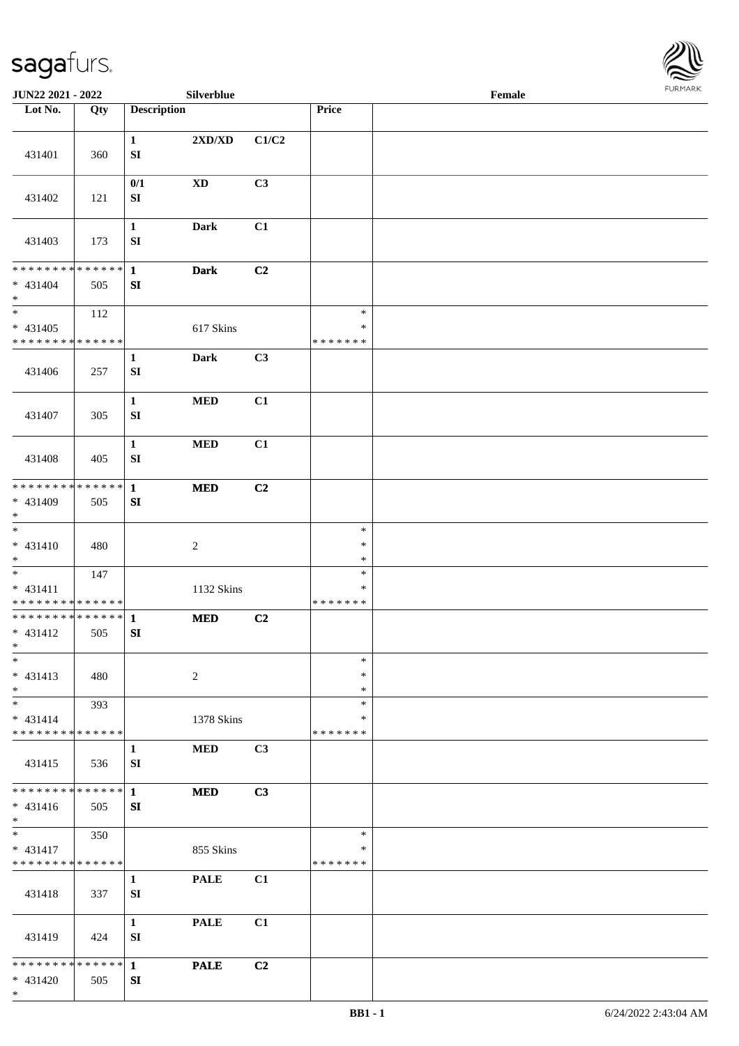

| JUN22 2021 - 2022                                           |     |                                  | Silverblue                                |                |                                   | Female |  |
|-------------------------------------------------------------|-----|----------------------------------|-------------------------------------------|----------------|-----------------------------------|--------|--|
| Lot No.                                                     | Qty | <b>Description</b>               |                                           |                | Price                             |        |  |
| 431401                                                      | 360 | $\mathbf{1}$<br>${\bf S}{\bf I}$ | $2{\bf X}{\bf D}/{\bf X}{\bf D}$          | C1/C2          |                                   |        |  |
| 431402                                                      | 121 | 0/1<br>SI                        | $\mathbf{X}\mathbf{D}$                    | C3             |                                   |        |  |
| 431403                                                      | 173 | $\mathbf{1}$<br>${\bf SI}$       | <b>Dark</b>                               | C1             |                                   |        |  |
| * * * * * * * * * * * * * *<br>$* 431404$<br>$\ast$         | 505 | $\mathbf{1}$<br>SI               | <b>Dark</b>                               | C2             |                                   |        |  |
| $\ast$<br>$* 431405$<br>* * * * * * * * * * * * * *         | 112 |                                  | 617 Skins                                 |                | $\ast$<br>$\ast$<br>* * * * * * * |        |  |
| 431406                                                      | 257 | $\mathbf{1}$<br>${\bf S}{\bf I}$ | <b>Dark</b>                               | C3             |                                   |        |  |
| 431407                                                      | 305 | $\mathbf{1}$<br>${\bf S}{\bf I}$ | $\bf MED$                                 | C1             |                                   |        |  |
| 431408                                                      | 405 | $\mathbf{1}$<br>SI               | $\bf MED$                                 | C1             |                                   |        |  |
| * * * * * * * * * * * * * *<br>* 431409<br>$\ast$           | 505 | $\mathbf{1}$<br>${\bf S}{\bf I}$ | $\bf MED$                                 | C <sub>2</sub> |                                   |        |  |
| $_{\ast}$<br>$* 431410$<br>$*$                              | 480 |                                  | $\sqrt{2}$                                |                | $\ast$<br>$\ast$<br>$\ast$        |        |  |
| $\ast$<br>$* 431411$<br>* * * * * * * * * * * * * *         | 147 |                                  | 1132 Skins                                |                | $\ast$<br>$\ast$<br>* * * * * * * |        |  |
| ******** <mark>******</mark><br>$* 431412$<br>$*$<br>$\ast$ | 505 | $\mathbf{1}$<br>SI               | $\bf MED$                                 | C <sub>2</sub> | $\ast$                            |        |  |
| $* 431413$<br>$*$                                           | 480 |                                  | 2                                         |                | $\ast$<br>$\ast$                  |        |  |
| $\ast$<br>$* 431414$<br>* * * * * * * * * * * * * *         | 393 |                                  | 1378 Skins                                |                | $\ast$<br>∗<br>* * * * * * *      |        |  |
| 431415                                                      | 536 | 1<br>SI                          | <b>MED</b>                                | C3             |                                   |        |  |
| * * * * * * * * * * * * * *<br>$* 431416$<br>$*$            | 505 | $\mathbf{1}$<br>SI               | <b>MED</b>                                | C3             |                                   |        |  |
| $*$<br>$* 431417$<br>* * * * * * * * * * * * * *            | 350 |                                  | 855 Skins                                 |                | $\ast$<br>$\ast$<br>* * * * * * * |        |  |
| 431418                                                      | 337 | $\mathbf{1}$<br>SI               | <b>PALE</b>                               | C1             |                                   |        |  |
| 431419                                                      | 424 | $\mathbf{1}$<br>SI               | $\ensuremath{\mathop{\bf PALE}\nolimits}$ | C1             |                                   |        |  |
| * * * * * * * * * * * * * * *<br>* 431420<br>$*$            | 505 | $\mathbf{1}$<br>SI               | <b>PALE</b>                               | C2             |                                   |        |  |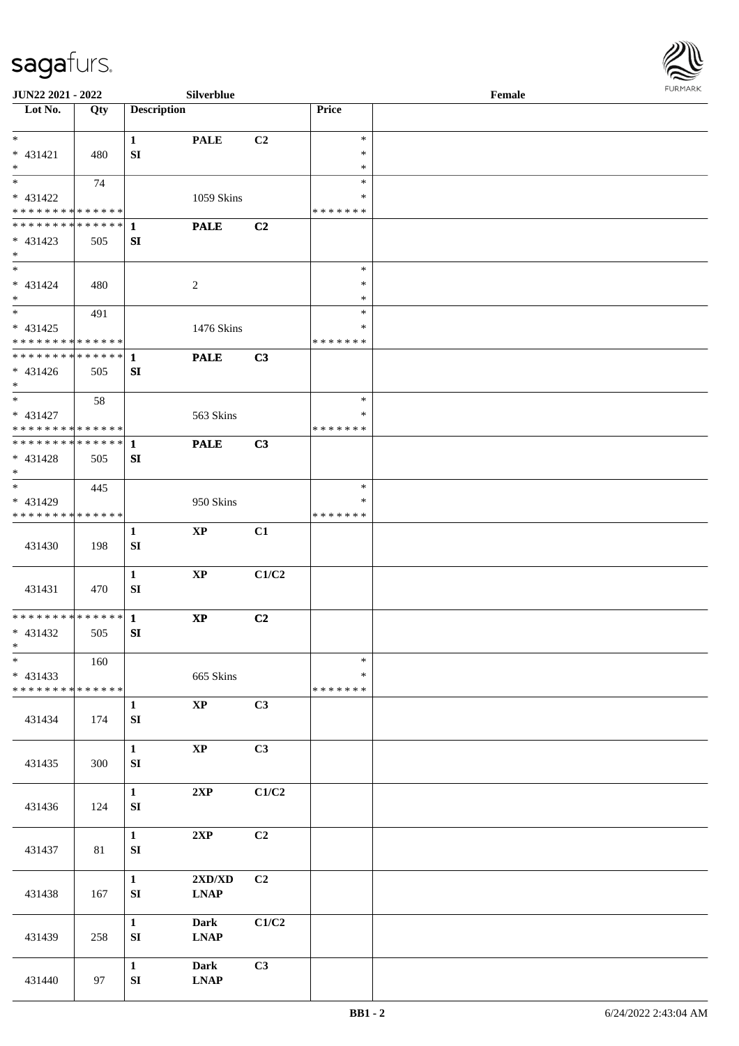

| <b>JUN22 2021 - 2022</b>                               |     |                    | <b>Silverblue</b>                |       |               | Female |  |
|--------------------------------------------------------|-----|--------------------|----------------------------------|-------|---------------|--------|--|
| Lot No.                                                | Qty | <b>Description</b> |                                  |       | Price         |        |  |
|                                                        |     |                    |                                  |       |               |        |  |
| $\ast$                                                 |     | $\mathbf{1}$       | <b>PALE</b>                      | C2    | $\ast$        |        |  |
| $* 431421$                                             | 480 | SI                 |                                  |       | $\ast$        |        |  |
| $*$                                                    |     |                    |                                  |       | $\ast$        |        |  |
|                                                        | 74  |                    |                                  |       | $\ast$        |        |  |
| * 431422                                               |     |                    | 1059 Skins                       |       | ∗             |        |  |
| * * * * * * * * <mark>* * * * * * *</mark>             |     |                    |                                  |       | *******       |        |  |
|                                                        |     |                    | <b>PALE</b>                      | C2    |               |        |  |
| $* 431423$                                             | 505 | SI                 |                                  |       |               |        |  |
| $\ast$                                                 |     |                    |                                  |       |               |        |  |
| $*$                                                    |     |                    |                                  |       | $\ast$        |        |  |
| $* 431424$                                             | 480 |                    | 2                                |       | $\ast$        |        |  |
| $*$                                                    |     |                    |                                  |       | $\ast$        |        |  |
| $\overline{\ast}$                                      | 491 |                    |                                  |       | $\ast$        |        |  |
| * 431425                                               |     |                    | 1476 Skins                       |       | $\ast$        |        |  |
| * * * * * * * * <mark>* * * * * *</mark>               |     |                    |                                  |       | *******       |        |  |
|                                                        |     |                    | <b>PALE</b>                      | C3    |               |        |  |
| * 431426                                               | 505 | SI                 |                                  |       |               |        |  |
| $*$                                                    |     |                    |                                  |       |               |        |  |
| $*$                                                    |     |                    |                                  |       | $\ast$        |        |  |
|                                                        | 58  |                    |                                  |       | $\ast$        |        |  |
| * 431427<br>* * * * * * * * <mark>* * * * * * *</mark> |     |                    | 563 Skins                        |       | *******       |        |  |
|                                                        |     |                    |                                  |       |               |        |  |
|                                                        |     |                    | <b>PALE</b>                      | C3    |               |        |  |
| * 431428                                               | 505 | SI                 |                                  |       |               |        |  |
| $\ast$<br>$\overline{\phantom{0}}$                     |     |                    |                                  |       |               |        |  |
|                                                        | 445 |                    |                                  |       | $\ast$        |        |  |
| * 431429                                               |     |                    | 950 Skins                        |       | ∗             |        |  |
| * * * * * * * * * * * * * * *                          |     |                    |                                  |       | *******       |        |  |
|                                                        |     | $\mathbf{1}$       | $\mathbf{X}\mathbf{P}$           | C1    |               |        |  |
| 431430                                                 | 198 | SI                 |                                  |       |               |        |  |
|                                                        |     |                    |                                  |       |               |        |  |
|                                                        |     | $\mathbf{1}$       | $\mathbf{XP}$                    | C1/C2 |               |        |  |
| 431431                                                 | 470 | SI                 |                                  |       |               |        |  |
|                                                        |     |                    |                                  |       |               |        |  |
|                                                        |     |                    | $\mathbf{X}\mathbf{P}$           | C2    |               |        |  |
| * 431432                                               | 505 | SI                 |                                  |       |               |        |  |
| $*$ $-$                                                |     |                    |                                  |       |               |        |  |
| $\ast$                                                 | 160 |                    |                                  |       | $\ast$        |        |  |
| * 431433                                               |     |                    | 665 Skins                        |       | $\ast$        |        |  |
| * * * * * * * * <mark>* * * * * * *</mark>             |     |                    |                                  |       | * * * * * * * |        |  |
|                                                        |     | $\mathbf{1}$       | $\bold{XP}$                      | C3    |               |        |  |
| 431434                                                 | 174 | ${\bf S}{\bf I}$   |                                  |       |               |        |  |
|                                                        |     |                    |                                  |       |               |        |  |
|                                                        |     | $\mathbf{1}$       | $\bold{XP}$                      | C3    |               |        |  |
| 431435                                                 | 300 | SI                 |                                  |       |               |        |  |
|                                                        |     |                    |                                  |       |               |        |  |
|                                                        |     | $\mathbf{1}$       | 2XP                              | C1/C2 |               |        |  |
| 431436                                                 | 124 | ${\bf S}{\bf I}$   |                                  |       |               |        |  |
|                                                        |     |                    |                                  |       |               |        |  |
|                                                        |     | $\mathbf{1}$       | 2XP                              | C2    |               |        |  |
| 431437                                                 | 81  | ${\bf S}{\bf I}$   |                                  |       |               |        |  |
|                                                        |     |                    |                                  |       |               |        |  |
|                                                        |     | $\mathbf{1}$       | $2{\bf X}{\bf D}/{\bf X}{\bf D}$ | C2    |               |        |  |
| 431438                                                 |     | ${\bf S}{\bf I}$   | $\ensuremath{\text{L}N\!AP}$     |       |               |        |  |
|                                                        | 167 |                    |                                  |       |               |        |  |
|                                                        |     |                    |                                  |       |               |        |  |
|                                                        |     | $\mathbf{1}$       | <b>Dark</b>                      | C1/C2 |               |        |  |
| 431439                                                 | 258 | SI                 | <b>LNAP</b>                      |       |               |        |  |
|                                                        |     |                    |                                  |       |               |        |  |
|                                                        |     | $\mathbf{1}$       | <b>Dark</b>                      | C3    |               |        |  |
| 431440                                                 | 97  | SI                 | <b>LNAP</b>                      |       |               |        |  |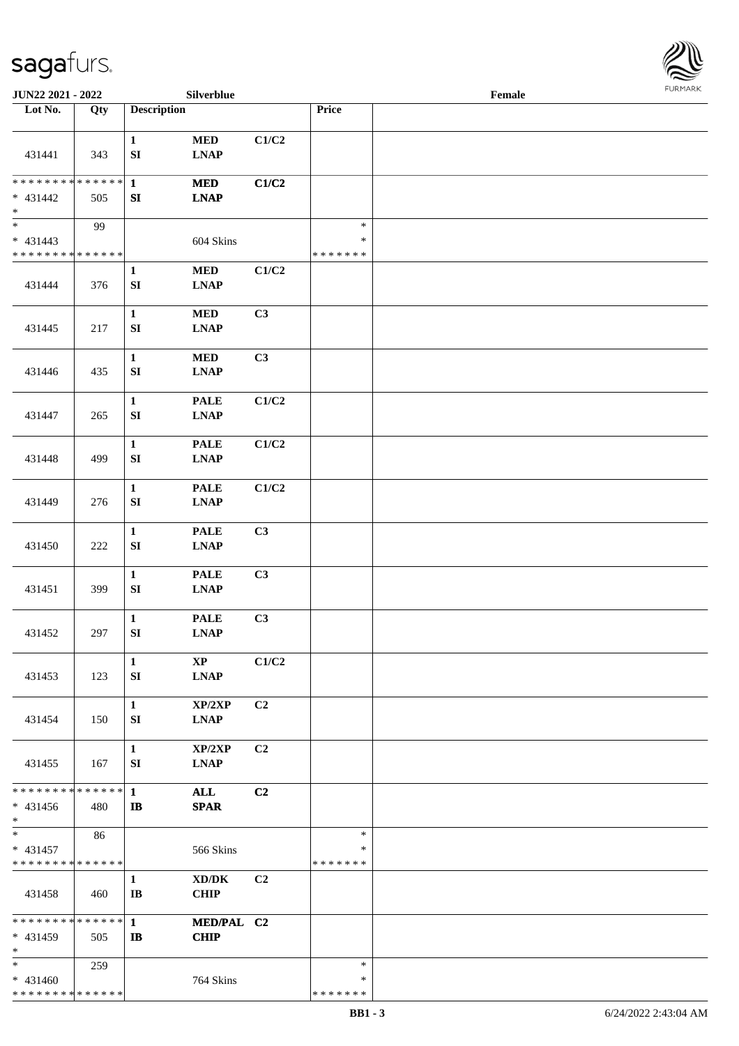

| JUN22 2021 - 2022                                                     |     |                                       | Silverblue                                                |                |                                   | Female |  |
|-----------------------------------------------------------------------|-----|---------------------------------------|-----------------------------------------------------------|----------------|-----------------------------------|--------|--|
| Lot No.                                                               | Qty | <b>Description</b>                    |                                                           |                | Price                             |        |  |
| 431441                                                                | 343 | $\mathbf{1}$<br>${\bf SI}$            | $\bf MED$<br><b>LNAP</b>                                  | C1/C2          |                                   |        |  |
| * * * * * * * * * * * * * * *<br>$* 431442$<br>$\ast$                 | 505 | $\mathbf{1}$<br>SI                    | <b>MED</b><br><b>LNAP</b>                                 | C1/C2          |                                   |        |  |
| $\overline{\phantom{0}}$<br>$* 431443$<br>* * * * * * * * * * * * * * | 99  |                                       | 604 Skins                                                 |                | $\ast$<br>$\ast$<br>* * * * * * * |        |  |
| 431444                                                                | 376 | $\mathbf{1}$<br>${\bf SI}$            | $\bf MED$<br><b>LNAP</b>                                  | C1/C2          |                                   |        |  |
| 431445                                                                | 217 | $\mathbf{1}$<br>${\bf SI}$            | $\bf MED$<br><b>LNAP</b>                                  | C3             |                                   |        |  |
| 431446                                                                | 435 | $\mathbf{1}$<br>${\bf SI}$            | $\bf MED$<br><b>LNAP</b>                                  | C3             |                                   |        |  |
| 431447                                                                | 265 | $\mathbf{1}$<br>${\bf S}{\bf I}$      | <b>PALE</b><br><b>LNAP</b>                                | C1/C2          |                                   |        |  |
| 431448                                                                | 499 | $\mathbf{1}$<br>${\bf S}{\bf I}$      | <b>PALE</b><br><b>LNAP</b>                                | C1/C2          |                                   |        |  |
| 431449                                                                | 276 | $\mathbf{1}$<br>${\bf S}{\bf I}$      | <b>PALE</b><br><b>LNAP</b>                                | C1/C2          |                                   |        |  |
| 431450                                                                | 222 | $\mathbf{1}$<br>${\bf S}{\bf I}$      | $\ensuremath{\mathsf{PALE}}$<br><b>LNAP</b>               | C3             |                                   |        |  |
| 431451                                                                | 399 | $\mathbf{1}$<br>${\bf S}{\bf I}$      | <b>PALE</b><br><b>LNAP</b>                                | C3             |                                   |        |  |
| 431452                                                                | 297 | $\mathbf{1}$<br>${\bf SI}$            | <b>PALE</b><br>$\mathbf{L}\mathbf{N}\mathbf{A}\mathbf{P}$ | C3             |                                   |        |  |
| 431453                                                                | 123 | $\mathbf{1}$<br>${\bf S}{\bf I}$      | $\mathbf{XP}$<br><b>LNAP</b>                              | C1/C2          |                                   |        |  |
| 431454                                                                | 150 | $\mathbf{1}$<br>SI                    | XP/2XP<br><b>LNAP</b>                                     | C2             |                                   |        |  |
| 431455                                                                | 167 | $\mathbf{1}$<br>SI                    | XP/2XP<br><b>LNAP</b>                                     | C <sub>2</sub> |                                   |        |  |
| * * * * * * * * * * * * * * *<br>* 431456<br>$*$                      | 480 | $\mathbf{1}$<br>$\mathbf{I}$          | <b>ALL</b><br><b>SPAR</b>                                 | C2             |                                   |        |  |
| $*$<br>$* 431457$<br>* * * * * * * * * * * * * *                      | 86  |                                       | 566 Skins                                                 |                | $\ast$<br>*<br>* * * * * * *      |        |  |
| 431458                                                                | 460 | $\mathbf{1}$<br>$\mathbf{I}$ <b>B</b> | $\bold{X}\bold{D}/\bold{D}\bold{K}$<br><b>CHIP</b>        | C <sub>2</sub> |                                   |        |  |
| * * * * * * * * * * * * * * *<br>$* 431459$<br>$\ast$                 | 505 | $\mathbf{1}$<br>$\mathbf{B}$          | MED/PAL C2<br><b>CHIP</b>                                 |                |                                   |        |  |
| $*$<br>$* 431460$<br>* * * * * * * * * * * * * *                      | 259 |                                       | 764 Skins                                                 |                | $\ast$<br>*<br>* * * * * * *      |        |  |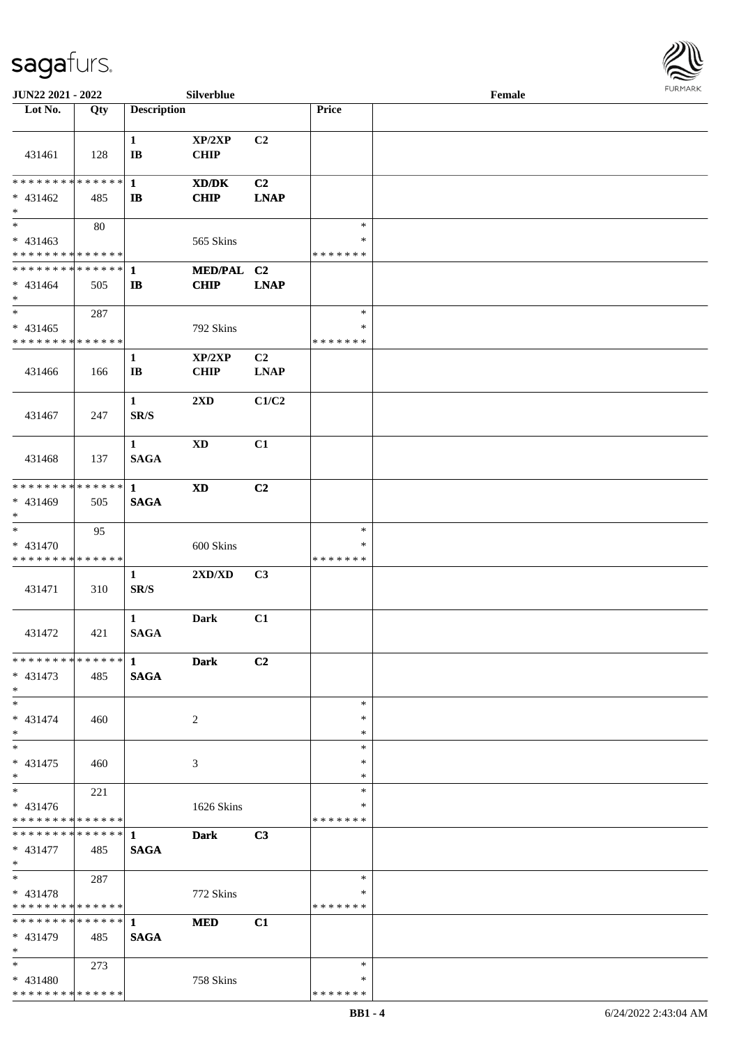

| JUN22 2021 - 2022                         |     |                                          | Silverblue                                |                |                         | Female |  |
|-------------------------------------------|-----|------------------------------------------|-------------------------------------------|----------------|-------------------------|--------|--|
| Lot No.                                   | Qty | <b>Description</b>                       |                                           |                | Price                   |        |  |
|                                           |     |                                          |                                           |                |                         |        |  |
| 431461                                    | 128 | $\mathbf{1}$<br>$\bf{IB}$                | $\mathbf{XP}/2\mathbf{XP}$<br><b>CHIP</b> | C2             |                         |        |  |
| **************                            |     | $\mathbf{1}$                             | XD/DK                                     | C <sub>2</sub> |                         |        |  |
| $* 431462$<br>$\ast$                      | 485 | $\mathbf{I}$                             | <b>CHIP</b>                               | <b>LNAP</b>    |                         |        |  |
| $\overline{\phantom{0}}$                  | 80  |                                          |                                           |                | $\ast$                  |        |  |
| $* 431463$<br>* * * * * * * * * * * * * * |     |                                          | 565 Skins                                 |                | $\ast$<br>* * * * * * * |        |  |
| **************                            |     | 1                                        | MED/PAL C2                                |                |                         |        |  |
| $* 431464$<br>$\ast$                      | 505 | $\mathbf{I}$                             | <b>CHIP</b>                               | <b>LNAP</b>    |                         |        |  |
| $\ast$                                    | 287 |                                          |                                           |                | $\ast$                  |        |  |
| $* 431465$<br>* * * * * * * * * * * * * * |     |                                          | 792 Skins                                 |                | $\ast$<br>* * * * * * * |        |  |
|                                           |     | $\mathbf{1}$                             | XP/2XP                                    | C <sub>2</sub> |                         |        |  |
| 431466                                    | 166 | $\mathbf{I}\mathbf{B}$                   | <b>CHIP</b>                               | <b>LNAP</b>    |                         |        |  |
| 431467                                    | 247 | $\mathbf{1}$<br>SR/S                     | 2XD                                       | C1/C2          |                         |        |  |
| 431468                                    | 137 | $\mathbf{1}$<br><b>SAGA</b>              | $\mathbf{X}\mathbf{D}$                    | C1             |                         |        |  |
| * * * * * * * * * * * * * * *             |     | 1                                        | <b>XD</b>                                 | C <sub>2</sub> |                         |        |  |
| * 431469<br>$\ast$                        | 505 | <b>SAGA</b>                              |                                           |                |                         |        |  |
| $\ast$                                    | 95  |                                          |                                           |                | $\ast$                  |        |  |
| $* 431470$                                |     |                                          | 600 Skins                                 |                | ∗                       |        |  |
| * * * * * * * * * * * * * *               |     |                                          |                                           |                | * * * * * * *           |        |  |
| 431471                                    | 310 | $\mathbf{1}$<br>$\mathbf{SR}/\mathbf{S}$ | 2XD/XD                                    | C3             |                         |        |  |
| 431472                                    | 421 | $\mathbf{1}$<br><b>SAGA</b>              | <b>Dark</b>                               | C1             |                         |        |  |
| ************** 1                          |     |                                          | <b>Dark</b>                               | C2             |                         |        |  |
| $* 431473$<br>$*$                         | 485 | <b>SAGA</b>                              |                                           |                |                         |        |  |
| $*$                                       |     |                                          |                                           |                | $\ast$                  |        |  |
| $* 431474$<br>$*$                         | 460 |                                          | 2                                         |                | ∗<br>∗                  |        |  |
| $\ast$                                    |     |                                          |                                           |                | $\ast$                  |        |  |
| $* 431475$<br>$*$                         | 460 |                                          | 3                                         |                | $\ast$<br>*             |        |  |
| $\overline{\phantom{1}}$                  | 221 |                                          |                                           |                | $\ast$                  |        |  |
| $* 431476$<br>* * * * * * * * * * * * * * |     |                                          | 1626 Skins                                |                | ∗<br>* * * * * * *      |        |  |
|                                           |     |                                          | <b>Dark</b>                               | C3             |                         |        |  |
| $* 431477$<br>$*$                         | 485 | <b>SAGA</b>                              |                                           |                |                         |        |  |
| $*$                                       | 287 |                                          |                                           |                | $\ast$                  |        |  |
| $* 431478$                                |     |                                          | 772 Skins                                 |                | $\ast$                  |        |  |
| * * * * * * * * * * * * * * *             |     |                                          |                                           |                | * * * * * * *           |        |  |
| * * * * * * * * * * * * * * *             |     | $\mathbf{1}$                             | <b>MED</b>                                | C1             |                         |        |  |
| $* 431479$<br>$*$                         | 485 | <b>SAGA</b>                              |                                           |                |                         |        |  |
| $*$                                       | 273 |                                          |                                           |                | $\ast$                  |        |  |
| $* 431480$                                |     |                                          | 758 Skins                                 |                | ∗                       |        |  |
| * * * * * * * * * * * * * * *             |     |                                          |                                           |                | * * * * * * *           |        |  |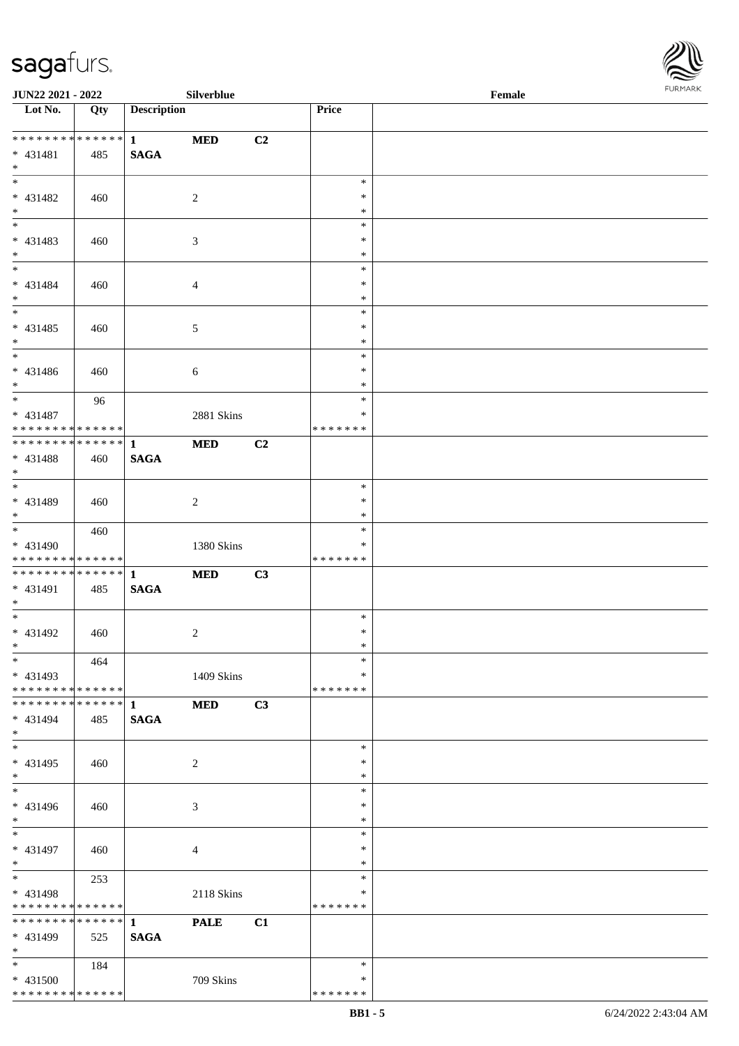

| <b>JUN22 2021 - 2022</b>      |                   |                    | Silverblue     |                |               | Female |  |
|-------------------------------|-------------------|--------------------|----------------|----------------|---------------|--------|--|
| Lot No.                       | $\overline{Q}$ ty | <b>Description</b> |                |                | Price         |        |  |
|                               |                   |                    |                |                |               |        |  |
| ************** 1              |                   |                    | <b>MED</b>     | C <sub>2</sub> |               |        |  |
| $* 431481$                    | 485               | <b>SAGA</b>        |                |                |               |        |  |
| $*$                           |                   |                    |                |                |               |        |  |
|                               |                   |                    |                |                | $\ast$        |        |  |
| $* 431482$                    | 460               |                    | 2              |                | $\ast$        |        |  |
| $*$                           |                   |                    |                |                | $\ast$        |        |  |
|                               |                   |                    |                |                | $\ast$        |        |  |
| * 431483                      | 460               |                    | 3              |                | $\ast$        |        |  |
| $*$                           |                   |                    |                |                | $\ast$        |        |  |
|                               |                   |                    |                |                | $\ast$        |        |  |
| $* 431484$                    | 460               |                    | 4              |                | $\ast$        |        |  |
| $*$                           |                   |                    |                |                | $\ast$        |        |  |
|                               |                   |                    |                |                | $\ast$        |        |  |
| $* 431485$                    | 460               |                    | 5              |                | $\ast$        |        |  |
| $*$                           |                   |                    |                |                | $\ast$        |        |  |
| $\overline{\phantom{0}}$      |                   |                    |                |                | $\ast$        |        |  |
| $* 431486$                    | 460               |                    | 6              |                | $\ast$        |        |  |
| $*$                           |                   |                    |                |                | $\ast$        |        |  |
| $*$                           | 96                |                    |                |                | $\ast$        |        |  |
| * 431487                      |                   |                    | 2881 Skins     |                | ∗             |        |  |
| * * * * * * * * * * * * * * * |                   |                    |                |                | *******       |        |  |
| ************** 1              |                   |                    | <b>MED</b>     | C <sub>2</sub> |               |        |  |
| * 431488                      | 460               | <b>SAGA</b>        |                |                |               |        |  |
| $*$                           |                   |                    |                |                |               |        |  |
| $*$                           |                   |                    |                |                | $\ast$        |        |  |
| * 431489                      |                   |                    |                |                | $\ast$        |        |  |
| $*$                           | 460               |                    | 2              |                | $\ast$        |        |  |
| $\overline{\ast}$             |                   |                    |                |                | $\ast$        |        |  |
| * 431490                      | 460               |                    |                |                | ∗             |        |  |
| * * * * * * * * * * * * * *   |                   |                    | 1380 Skins     |                | * * * * * * * |        |  |
|                               |                   |                    | <b>MED</b>     | C3             |               |        |  |
| * 431491                      |                   |                    |                |                |               |        |  |
| $*$                           | 485               | <b>SAGA</b>        |                |                |               |        |  |
| $*$                           |                   |                    |                |                | $\ast$        |        |  |
| * 431492                      |                   |                    |                |                | $\ast$        |        |  |
| $*$ $*$                       | 460               |                    | $\overline{c}$ |                | $\ast$        |        |  |
| $\ast$                        |                   |                    |                |                | $\ast$        |        |  |
| $* 431493$                    | 464               |                    |                |                | ∗             |        |  |
| * * * * * * * * * * * * * * * |                   |                    | 1409 Skins     |                | * * * * * * * |        |  |
| * * * * * * * * * * * * * * * |                   |                    |                |                |               |        |  |
|                               |                   | 1                  | <b>MED</b>     | C3             |               |        |  |
| * 431494                      | 485               | <b>SAGA</b>        |                |                |               |        |  |
| $*$                           |                   |                    |                |                |               |        |  |
| $*$                           |                   |                    |                |                | $\ast$        |        |  |
| * 431495                      | 460               |                    | $\overline{c}$ |                | $\ast$        |        |  |
| $*$                           |                   |                    |                |                | $\ast$        |        |  |
| $*$                           |                   |                    |                |                | $\ast$        |        |  |
| $* 431496$                    | 460               |                    | 3              |                | ∗             |        |  |
| $*$                           |                   |                    |                |                | $\ast$        |        |  |
| $*$                           |                   |                    |                |                | $\ast$        |        |  |
| * 431497                      | 460               |                    | 4              |                | $\ast$        |        |  |
| $*$                           |                   |                    |                |                | $\ast$        |        |  |
| $*$                           | 253               |                    |                |                | $\ast$        |        |  |
| * 431498                      |                   |                    | 2118 Skins     |                | $\ast$        |        |  |
| * * * * * * * * * * * * * *   |                   |                    |                |                | * * * * * * * |        |  |
| * * * * * * * * * * * * * * * |                   | $\mathbf{1}$       | <b>PALE</b>    | C1             |               |        |  |
| * 431499                      | 525               | <b>SAGA</b>        |                |                |               |        |  |
| $*$                           |                   |                    |                |                |               |        |  |
| $*$                           | 184               |                    |                |                | $\ast$        |        |  |
| * 431500                      |                   |                    | 709 Skins      |                | ∗             |        |  |
| * * * * * * * * * * * * * *   |                   |                    |                |                | * * * * * * * |        |  |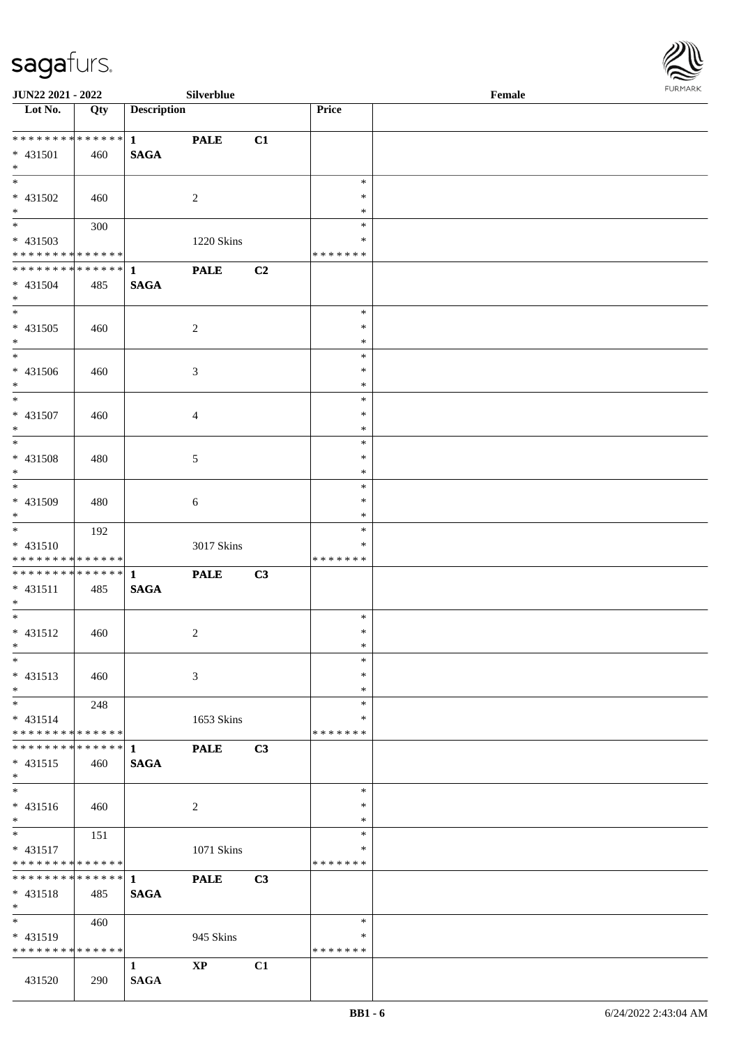

| <b>JUN22 2021 - 2022</b>                   |     |                    | <b>Silverblue</b> |                |               | Female |  |
|--------------------------------------------|-----|--------------------|-------------------|----------------|---------------|--------|--|
| Lot No.                                    | Qty | <b>Description</b> |                   |                | Price         |        |  |
|                                            |     |                    |                   |                |               |        |  |
| ******** <mark>******</mark>               |     | $1 \qquad \qquad$  | <b>PALE</b>       | C1             |               |        |  |
| * 431501                                   | 460 | <b>SAGA</b>        |                   |                |               |        |  |
| $*$                                        |     |                    |                   |                |               |        |  |
|                                            |     |                    |                   |                | $\ast$        |        |  |
| * 431502                                   | 460 |                    | 2                 |                | $\ast$        |        |  |
| $*$                                        |     |                    |                   |                | $\ast$        |        |  |
| $\overline{\ast}$                          | 300 |                    |                   |                | $\ast$        |        |  |
| * 431503                                   |     |                    | 1220 Skins        |                | $\ast$        |        |  |
| * * * * * * * * <mark>* * * * * * *</mark> |     |                    |                   |                | * * * * * * * |        |  |
| ******** <mark>******</mark>               |     | $\mathbf{1}$       | <b>PALE</b>       | C <sub>2</sub> |               |        |  |
| * 431504                                   | 485 | <b>SAGA</b>        |                   |                |               |        |  |
| $*$                                        |     |                    |                   |                |               |        |  |
|                                            |     |                    |                   |                | $\ast$        |        |  |
| * 431505                                   | 460 |                    | 2                 |                | $\ast$        |        |  |
| $*$                                        |     |                    |                   |                | $\ast$        |        |  |
| $\overline{\phantom{0}}$                   |     |                    |                   |                | $\ast$        |        |  |
| * 431506                                   |     |                    |                   |                | $\ast$        |        |  |
| $*$                                        | 460 |                    | 3                 |                | $\ast$        |        |  |
| $*$                                        |     |                    |                   |                | $\ast$        |        |  |
|                                            |     |                    |                   |                |               |        |  |
| * 431507                                   | 460 |                    | $\overline{4}$    |                | $\ast$        |        |  |
| $*$                                        |     |                    |                   |                | $\ast$        |        |  |
|                                            |     |                    |                   |                | $\ast$        |        |  |
| * 431508                                   | 480 |                    | 5                 |                | $\ast$        |        |  |
| $*$                                        |     |                    |                   |                | $\ast$        |        |  |
|                                            |     |                    |                   |                | $\ast$        |        |  |
| * 431509                                   | 480 |                    | 6                 |                | $\ast$        |        |  |
| $*$                                        |     |                    |                   |                | $\ast$        |        |  |
| $*$                                        | 192 |                    |                   |                | $\ast$        |        |  |
| $* 431510$                                 |     |                    | 3017 Skins        |                | ∗             |        |  |
| * * * * * * * * * * * * * *                |     |                    |                   |                | *******       |        |  |
|                                            |     |                    | <b>PALE</b>       | C3             |               |        |  |
| $* 431511$                                 | 485 | <b>SAGA</b>        |                   |                |               |        |  |
| $*$                                        |     |                    |                   |                |               |        |  |
| $*$                                        |     |                    |                   |                | $\ast$        |        |  |
| * 431512                                   | 460 |                    | $\overline{c}$    |                | $\ast$        |        |  |
| $*$ $*$                                    |     |                    |                   |                | $\ast$        |        |  |
| $\ast$                                     |     |                    |                   |                | $\ast$        |        |  |
| $* 431513$                                 | 460 |                    | 3                 |                | $\ast$        |        |  |
| $*$                                        |     |                    |                   |                | $\ast$        |        |  |
| $*$                                        | 248 |                    |                   |                | $\ast$        |        |  |
| $* 431514$                                 |     |                    | 1653 Skins        |                | ∗             |        |  |
| * * * * * * * * <mark>* * * * * * *</mark> |     |                    |                   |                | *******       |        |  |
|                                            |     |                    | <b>PALE</b>       | C3             |               |        |  |
| $* 431515$                                 | 460 | <b>SAGA</b>        |                   |                |               |        |  |
| $*$                                        |     |                    |                   |                |               |        |  |
| $_{*}$                                     |     |                    |                   |                | $\ast$        |        |  |
|                                            |     |                    |                   |                | $\ast$        |        |  |
| * 431516                                   | 460 |                    | 2                 |                | $\ast$        |        |  |
| $*$<br>$*$ $*$                             |     |                    |                   |                | $\ast$        |        |  |
|                                            | 151 |                    |                   |                |               |        |  |
| $* 431517$                                 |     |                    | 1071 Skins        |                | ∗             |        |  |
| * * * * * * * * <mark>* * * * * *</mark>   |     |                    |                   |                | *******       |        |  |
|                                            |     |                    | <b>PALE</b>       | C3             |               |        |  |
| $* 431518$                                 | 485 | <b>SAGA</b>        |                   |                |               |        |  |
| $*$                                        |     |                    |                   |                |               |        |  |
| $*$                                        | 460 |                    |                   |                | $\ast$        |        |  |
| $* 431519$                                 |     |                    | 945 Skins         |                | ∗             |        |  |
| * * * * * * * * * * * * * *                |     |                    |                   |                | * * * * * * * |        |  |
|                                            |     | $\mathbf{1}$       | <b>XP</b>         | C1             |               |        |  |
| 431520                                     | 290 | <b>SAGA</b>        |                   |                |               |        |  |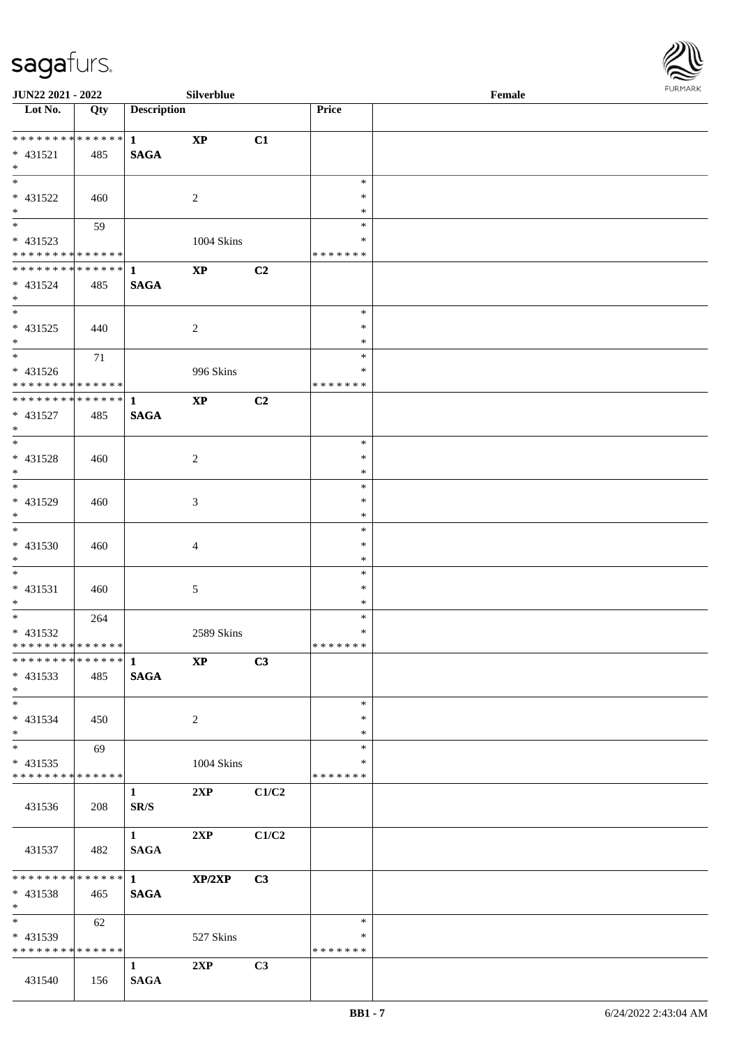

| <b>JUN22 2021 - 2022</b>                  |     |                        | Silverblue              |                |                  | Female |  |
|-------------------------------------------|-----|------------------------|-------------------------|----------------|------------------|--------|--|
| Lot No.                                   | Qty | <b>Description</b>     |                         |                | Price            |        |  |
|                                           |     |                        |                         |                |                  |        |  |
| ____<br>******** <mark>******</mark>      |     | $\mathbf{1}$           | $\mathbf{X}\mathbf{P}$  | C1             |                  |        |  |
| $* 431521$                                | 485 | <b>SAGA</b>            |                         |                |                  |        |  |
| $\ast$                                    |     |                        |                         |                |                  |        |  |
|                                           |     |                        |                         |                | $\ast$           |        |  |
| * 431522                                  | 460 |                        | 2                       |                | ∗                |        |  |
| $\ast$                                    |     |                        |                         |                | *                |        |  |
|                                           | 59  |                        |                         |                | $\ast$           |        |  |
| * 431523                                  |     |                        | 1004 Skins              |                | ∗                |        |  |
| * * * * * * * * * * * * * *               |     |                        |                         |                | * * * * * * *    |        |  |
| ******** <mark>******</mark>              |     | $\mathbf{1}$           | $\bold{XP}$             | C <sub>2</sub> |                  |        |  |
| * 431524                                  | 485 | <b>SAGA</b>            |                         |                |                  |        |  |
| $*$                                       |     |                        |                         |                | $\ast$           |        |  |
|                                           |     |                        |                         |                | $\ast$           |        |  |
| * 431525<br>$*$                           | 440 |                        | 2                       |                | ∗                |        |  |
| $*$                                       | 71  |                        |                         |                | $\ast$           |        |  |
| $* 431526$                                |     |                        |                         |                | $\ast$           |        |  |
| ******** <mark>******</mark>              |     |                        | 996 Skins               |                | * * * * * * *    |        |  |
| ******** <mark>******</mark>              |     | $\mathbf{1}$           | $\bold{XP}$             | C2             |                  |        |  |
| * 431527                                  | 485 | <b>SAGA</b>            |                         |                |                  |        |  |
| $*$                                       |     |                        |                         |                |                  |        |  |
|                                           |     |                        |                         |                | $\ast$           |        |  |
| * 431528                                  | 460 |                        | 2                       |                | $\ast$           |        |  |
| $*$                                       |     |                        |                         |                | *                |        |  |
| $\overline{\phantom{0}}$                  |     |                        |                         |                | $\ast$           |        |  |
| * 431529                                  | 460 |                        | 3                       |                | $\ast$           |        |  |
| $*$                                       |     |                        |                         |                | *                |        |  |
|                                           |     |                        |                         |                | $\ast$           |        |  |
| * 431530                                  | 460 |                        | 4                       |                | $\ast$           |        |  |
| $*$                                       |     |                        |                         |                | $\ast$           |        |  |
| $*$                                       |     |                        |                         |                | $\ast$           |        |  |
| * 431531                                  | 460 |                        | 5                       |                | $\ast$           |        |  |
| $*$                                       |     |                        |                         |                | $\ast$           |        |  |
| $*$                                       | 264 |                        |                         |                | $\ast$<br>$\ast$ |        |  |
| * 431532<br>* * * * * * * * * * * * * * * |     |                        | 2589 Skins              |                | * * * * * * *    |        |  |
|                                           |     |                        | $\mathbf{X} \mathbf{P}$ | C3             |                  |        |  |
| * 431533                                  | 485 | <b>SAGA</b>            |                         |                |                  |        |  |
| $*$                                       |     |                        |                         |                |                  |        |  |
| $*$                                       |     |                        |                         |                | $\ast$           |        |  |
| * 431534                                  | 450 |                        | 2                       |                | ∗                |        |  |
| $*$                                       |     |                        |                         |                | ∗                |        |  |
| $*$                                       | 69  |                        |                         |                | $\ast$           |        |  |
| $* 431535$                                |     |                        | 1004 Skins              |                | ∗                |        |  |
| * * * * * * * * * * * * * *               |     |                        |                         |                | *******          |        |  |
|                                           |     | $1 \quad$              | 2XP                     | C1/C2          |                  |        |  |
| 431536                                    | 208 | SR/S                   |                         |                |                  |        |  |
|                                           |     |                        |                         |                |                  |        |  |
|                                           |     | $1 \quad \blacksquare$ | 2XP                     | C1/C2          |                  |        |  |
| 431537                                    | 482 | <b>SAGA</b>            |                         |                |                  |        |  |
|                                           |     |                        |                         |                |                  |        |  |
| * * * * * * * * * * * * * * *             |     | $\overline{1}$         | XP/2XP                  | C3             |                  |        |  |
| $* 431538$<br>$*$ $*$                     | 465 | <b>SAGA</b>            |                         |                |                  |        |  |
| $*$ and $*$                               | 62  |                        |                         |                | $\ast$           |        |  |
| * 431539                                  |     |                        | 527 Skins               |                | ∗                |        |  |
| * * * * * * * * * * * * * * *             |     |                        |                         |                | * * * * * * *    |        |  |
|                                           |     | $\mathbf{1}$           | 2XP                     | C3             |                  |        |  |
| 431540                                    | 156 | <b>SAGA</b>            |                         |                |                  |        |  |
|                                           |     |                        |                         |                |                  |        |  |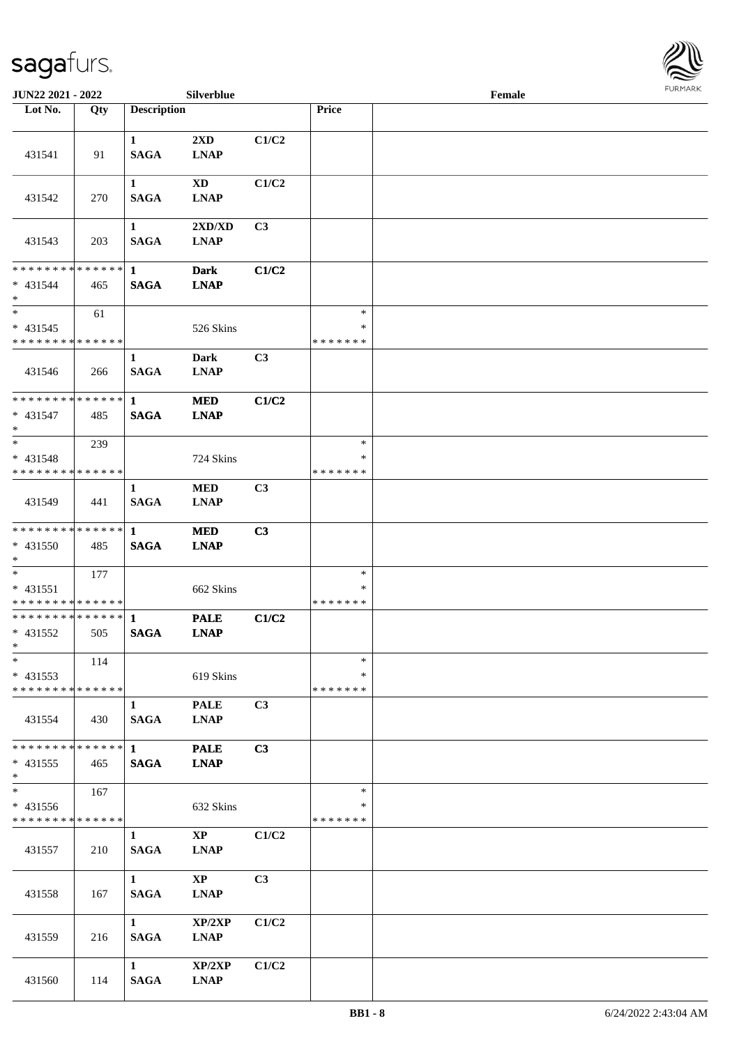

| <b>JUN22 2021 - 2022</b>                               |     |                             | Silverblue                            |                |                                   | Female |  |
|--------------------------------------------------------|-----|-----------------------------|---------------------------------------|----------------|-----------------------------------|--------|--|
| Lot No.                                                | Qty | <b>Description</b>          |                                       |                | Price                             |        |  |
| 431541                                                 | 91  | $\mathbf{1}$<br><b>SAGA</b> | 2XD<br><b>LNAP</b>                    | C1/C2          |                                   |        |  |
| 431542                                                 | 270 | $\mathbf{1}$<br><b>SAGA</b> | XD<br><b>LNAP</b>                     | C1/C2          |                                   |        |  |
| 431543                                                 | 203 | $\mathbf{1}$<br><b>SAGA</b> | 2XD/XD<br><b>LNAP</b>                 | C <sub>3</sub> |                                   |        |  |
| ******** <mark>******</mark><br>* 431544<br>$*$        | 465 | $\mathbf{1}$<br><b>SAGA</b> | <b>Dark</b><br><b>LNAP</b>            | C1/C2          |                                   |        |  |
| $*$<br>$* 431545$<br>* * * * * * * * * * * * * *       | 61  |                             | 526 Skins                             |                | $\ast$<br>$\ast$<br>* * * * * * * |        |  |
| 431546                                                 | 266 | $\mathbf{1}$<br><b>SAGA</b> | <b>Dark</b><br><b>LNAP</b>            | C3             |                                   |        |  |
| * * * * * * * * * * * * * * *<br>$* 431547$<br>$*$     | 485 | $\mathbf 1$<br><b>SAGA</b>  | <b>MED</b><br><b>LNAP</b>             | C1/C2          |                                   |        |  |
| $*$<br>$* 431548$<br>* * * * * * * * * * * * * *       | 239 |                             | 724 Skins                             |                | $\ast$<br>*<br>* * * * * * *      |        |  |
| 431549                                                 | 441 | $\mathbf{1}$<br><b>SAGA</b> | <b>MED</b><br><b>LNAP</b>             | C <sub>3</sub> |                                   |        |  |
| * * * * * * * * * * * * * * *<br>* 431550<br>$*$       | 485 | $\mathbf{1}$<br><b>SAGA</b> | <b>MED</b><br><b>LNAP</b>             | C3             |                                   |        |  |
| $*$<br>* 431551<br>* * * * * * * * * * * * * * *       | 177 |                             | 662 Skins                             |                | $\ast$<br>$\ast$<br>* * * * * * * |        |  |
| * * * * * * * * * * * * * * *<br>$* 431552$<br>$*$ $*$ | 505 | $\mathbf{1}$<br><b>SAGA</b> | <b>PALE</b><br><b>LNAP</b>            | C1/C2          |                                   |        |  |
| $\ast$<br>$* 431553$<br>* * * * * * * * * * * * * * *  | 114 |                             | 619 Skins                             |                | $\ast$<br>∗<br>* * * * * * *      |        |  |
| 431554                                                 | 430 | $\mathbf{1}$<br><b>SAGA</b> | <b>PALE</b><br><b>LNAP</b>            | C3             |                                   |        |  |
| * * * * * * * * * * * * * * *<br>$* 431555$<br>$*$     | 465 | $1 \quad$<br><b>SAGA</b>    | <b>PALE</b><br><b>LNAP</b>            | C3             |                                   |        |  |
| * 431556<br>* * * * * * * * * * * * * *                | 167 |                             | 632 Skins                             |                | $\ast$<br>*<br>* * * * * * *      |        |  |
| 431557                                                 | 210 | $\mathbf{1}$<br><b>SAGA</b> | $\mathbf{X}\mathbf{P}$<br><b>LNAP</b> | C1/C2          |                                   |        |  |
| 431558                                                 | 167 | $\mathbf{1}$<br><b>SAGA</b> | $\mathbf{X}\mathbf{P}$<br><b>LNAP</b> | C <sub>3</sub> |                                   |        |  |
| 431559                                                 | 216 | $\mathbf{1}$<br><b>SAGA</b> | XP/2XP<br><b>LNAP</b>                 | C1/C2          |                                   |        |  |
| 431560                                                 | 114 | $\mathbf{1}$<br><b>SAGA</b> | XP/2XP<br><b>LNAP</b>                 | C1/C2          |                                   |        |  |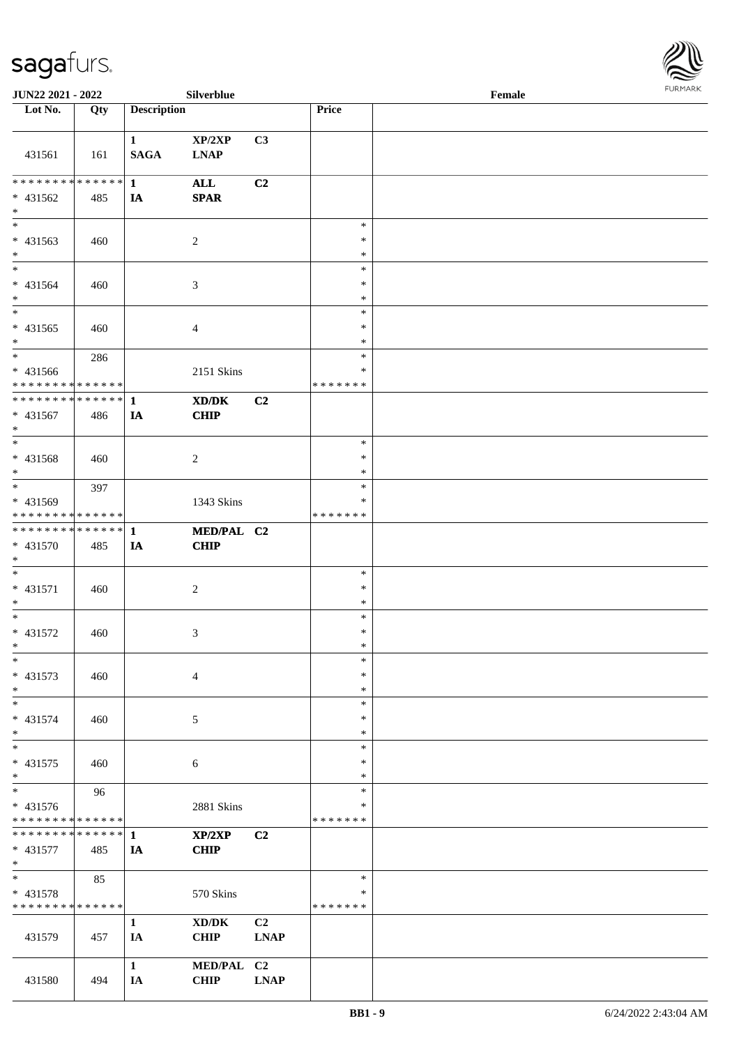

| JUN22 2021 - 2022                                                   |     |                             | Silverblue                |                   |                                   | Female |  |
|---------------------------------------------------------------------|-----|-----------------------------|---------------------------|-------------------|-----------------------------------|--------|--|
| Lot No.                                                             | Qty | <b>Description</b>          |                           |                   | Price                             |        |  |
| 431561                                                              | 161 | $\mathbf{1}$<br><b>SAGA</b> | XP/2XP<br><b>LNAP</b>     | C3                |                                   |        |  |
| * * * * * * * * * * * * * * *<br>* 431562<br>$*$                    | 485 | $\mathbf{1}$<br>IA          | <b>ALL</b><br><b>SPAR</b> | C2                |                                   |        |  |
| $\overline{\phantom{0}}$<br>$* 431563$<br>$\ast$                    | 460 |                             | $\overline{2}$            |                   | $\ast$<br>$\ast$<br>$\ast$        |        |  |
| $\overline{\ast}$<br>$* 431564$<br>$\ast$                           | 460 |                             | $\mathfrak{Z}$            |                   | $\ast$<br>$\ast$<br>$\ast$        |        |  |
| $\ast$<br>$* 431565$<br>$*$                                         | 460 |                             | $\overline{4}$            |                   | $\ast$<br>$\ast$<br>$\ast$        |        |  |
| $*$<br>$* 431566$<br>* * * * * * * * * * * * * *                    | 286 |                             | 2151 Skins                |                   | $\ast$<br>$\ast$<br>* * * * * * * |        |  |
| **************<br>$* 431567$<br>$\ast$                              | 486 | $\mathbf{1}$<br>IA          | XD/DK<br>CHIP             | C2                |                                   |        |  |
| $*$<br>* 431568<br>$*$                                              | 460 |                             | $\sqrt{2}$                |                   | $\ast$<br>$\ast$<br>*             |        |  |
| $\ast$<br>* 431569<br>* * * * * * * * * * * * * *                   | 397 |                             | 1343 Skins                |                   | $\ast$<br>∗<br>* * * * * * *      |        |  |
| * * * * * * * * * * * * * * *<br>* 431570<br>$*$                    | 485 | $\mathbf{1}$<br>IA          | MED/PAL C2<br>CHIP        |                   |                                   |        |  |
| $*$<br>$* 431571$<br>$*$                                            | 460 |                             | $\boldsymbol{2}$          |                   | $\ast$<br>$\ast$<br>$\ast$        |        |  |
| $*$<br>$* 431572$<br>$*$                                            | 460 |                             | 3                         |                   | $\ast$<br>$\ast$<br>$\ast$        |        |  |
| $\ast$<br>* 431573<br>$\ast$                                        | 460 |                             | $\overline{4}$            |                   | $\ast$<br>$\ast$<br>$\ast$        |        |  |
| $\ast$<br>* 431574<br>$*$                                           | 460 |                             | 5                         |                   | $\ast$<br>∗<br>∗                  |        |  |
| $\ast$<br>* 431575<br>$*$                                           | 460 |                             | 6                         |                   | $\ast$<br>$\ast$<br>$\ast$        |        |  |
| $\overline{\phantom{0}}$<br>* 431576<br>* * * * * * * * * * * * * * | 96  |                             | 2881 Skins                |                   | $\ast$<br>∗<br>* * * * * * *      |        |  |
| **************<br>* 431577<br>$*$                                   | 485 | $\mathbf{1}$<br>IA          | XP/2XP<br><b>CHIP</b>     | C <sub>2</sub>    |                                   |        |  |
| $*$<br>* 431578<br>* * * * * * * * * * * * * *                      | 85  |                             | 570 Skins                 |                   | $\ast$<br>$\ast$<br>* * * * * * * |        |  |
| 431579                                                              | 457 | $\mathbf{1}$<br>IA          | XD/DK<br><b>CHIP</b>      | C2<br><b>LNAP</b> |                                   |        |  |
| 431580                                                              | 494 | $\mathbf{1}$<br>IA          | MED/PAL C2<br><b>CHIP</b> | <b>LNAP</b>       |                                   |        |  |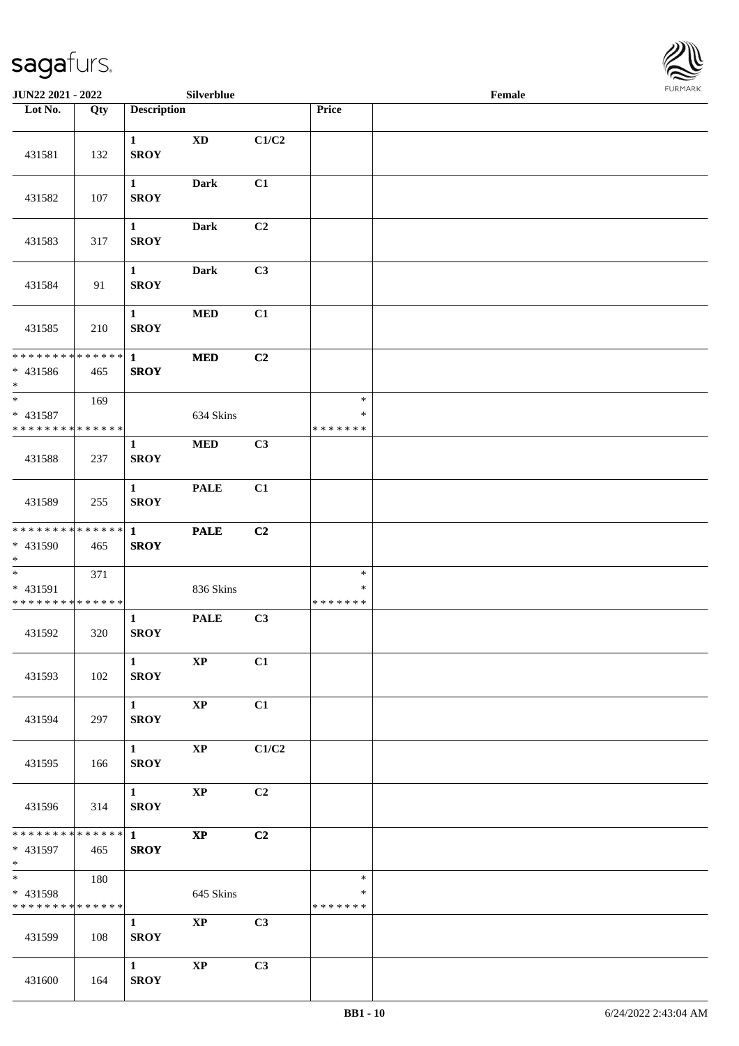

| <b>JUN22 2021 - 2022</b>                         |     |                                       | Silverblue             |       |                                   | Female |  |
|--------------------------------------------------|-----|---------------------------------------|------------------------|-------|-----------------------------------|--------|--|
| Lot No.                                          | Qty | <b>Description</b>                    |                        |       | Price                             |        |  |
| 431581                                           | 132 | $\mathbf{1}$<br><b>SROY</b>           | <b>XD</b>              | C1/C2 |                                   |        |  |
| 431582                                           | 107 | $\mathbf{1}$<br><b>SROY</b>           | <b>Dark</b>            | C1    |                                   |        |  |
| 431583                                           | 317 | $\mathbf{1}$<br><b>SROY</b>           | <b>Dark</b>            | C2    |                                   |        |  |
| 431584                                           | 91  | $\mathbf{1}$<br><b>SROY</b>           | <b>Dark</b>            | C3    |                                   |        |  |
| 431585                                           | 210 | $\mathbf{1}$<br><b>SROY</b>           | $\bf MED$              | C1    |                                   |        |  |
| * * * * * * * * * * * * * *<br>$* 431586$<br>$*$ | 465 | $\mathbf{1}$<br><b>SROY</b>           | $\bf MED$              | C2    |                                   |        |  |
| $*$<br>* 431587<br>* * * * * * * * * * * * * *   | 169 |                                       | 634 Skins              |       | $\ast$<br>$\ast$<br>* * * * * * * |        |  |
| 431588                                           | 237 | 1<br><b>SROY</b>                      | $\bf MED$              | C3    |                                   |        |  |
| 431589                                           | 255 | $\mathbf{1}$<br><b>SROY</b>           | <b>PALE</b>            | C1    |                                   |        |  |
| * * * * * * * * * * * * * *<br>* 431590<br>$*$   | 465 | $\mathbf{1}$<br><b>SROY</b>           | <b>PALE</b>            | C2    |                                   |        |  |
| * 431591<br>* * * * * * * * * * * * * *          | 371 |                                       | 836 Skins              |       | $\ast$<br>$\ast$<br>* * * * * * * |        |  |
| 431592                                           | 320 | $\mathbf 1$<br><b>SROY</b>            | <b>PALE</b>            | C3    |                                   |        |  |
| 431593                                           | 102 | $\mathbf{1}$<br><b>SROY</b>           | <b>XP</b>              | C1    |                                   |        |  |
| 431594                                           | 297 | $1 \quad \blacksquare$<br><b>SROY</b> | $\bold{XP}$            | C1    |                                   |        |  |
| 431595                                           | 166 | $1 \quad \blacksquare$<br><b>SROY</b> | $\bold{XP}$            | C1/C2 |                                   |        |  |
| 431596                                           | 314 | $1 \qquad \qquad$<br><b>SROY</b>      | $\bold{XP}$            | C2    |                                   |        |  |
| * 431597<br>$*$ $*$                              | 465 | <b>SROY</b>                           | $\mathbf{X}\mathbf{P}$ | C2    |                                   |        |  |
| $*$<br>* 431598<br>* * * * * * * * * * * * * *   | 180 |                                       | 645 Skins              |       | $\ast$<br>$\ast$<br>* * * * * * * |        |  |
| 431599                                           | 108 | $\mathbf{1}$<br><b>SROY</b>           | $\mathbf{X}\mathbf{P}$ | C3    |                                   |        |  |
| 431600                                           | 164 | $\mathbf{1}$<br><b>SROY</b>           | $\bold{XP}$            | C3    |                                   |        |  |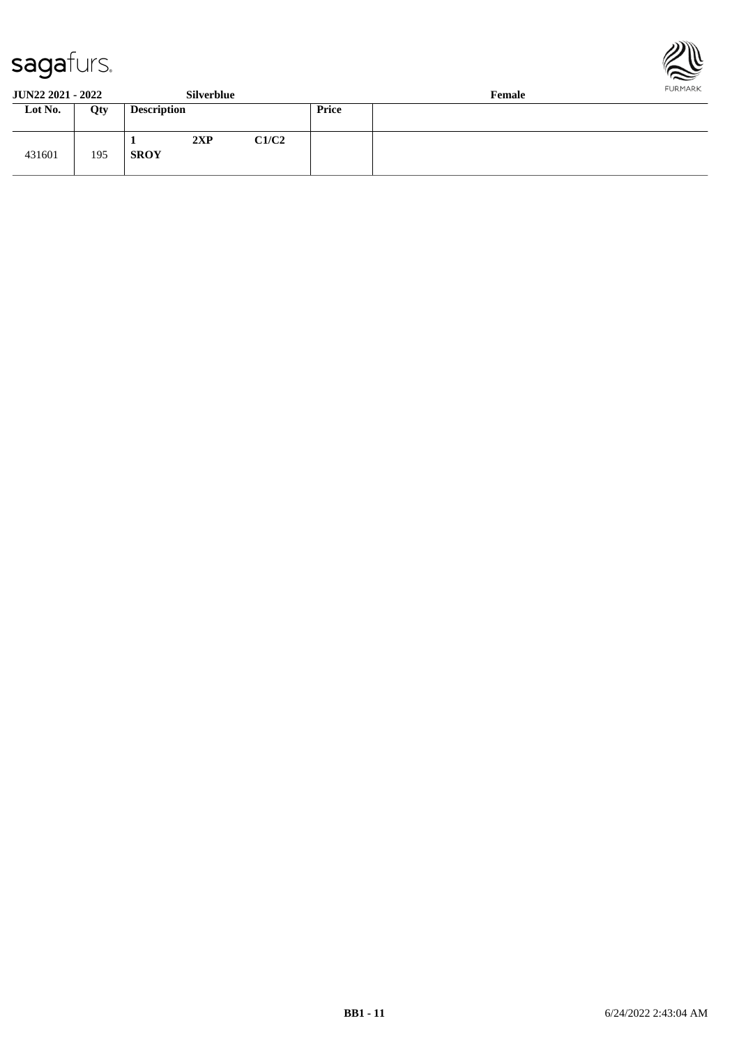



**JUN22 2021 - 2022 Silverblue Female**

| $0011222021$ 2022 |     |                    | 0.11110101000 |       |       | $\sim$ villages $\sim$ |
|-------------------|-----|--------------------|---------------|-------|-------|------------------------|
| Lot No.           | Qty | <b>Description</b> |               |       | Price |                        |
| 431601            | 195 | <b>SROY</b>        | 2XP           | C1/C2 |       |                        |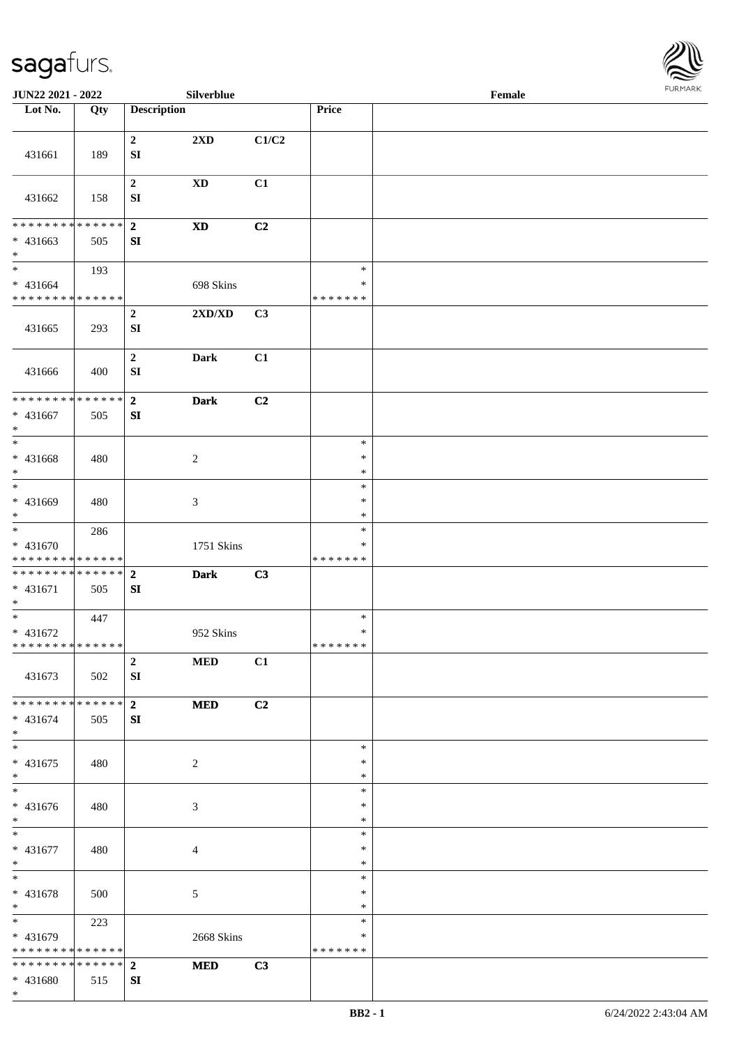

| JUN22 2021 - 2022                                                                    |     |                                      | <b>Silverblue</b>          |       |                                      | Female |  |
|--------------------------------------------------------------------------------------|-----|--------------------------------------|----------------------------|-------|--------------------------------------|--------|--|
| Lot No.                                                                              | Qty | <b>Description</b>                   |                            |       | Price                                |        |  |
| 431661                                                                               | 189 | $\boldsymbol{2}$<br>${\bf S}{\bf I}$ | 2XD                        | C1/C2 |                                      |        |  |
| 431662                                                                               | 158 | $\boldsymbol{2}$<br>${\bf SI}$       | $\mathbf{X}\mathbf{D}$     | C1    |                                      |        |  |
| * * * * * * * * * * * * * *<br>$* 431663$<br>$*$                                     | 505 | $\mathbf{2}$<br>SI                   | $\boldsymbol{\mathrm{XD}}$ | C2    |                                      |        |  |
| $\overline{\phantom{0}}$<br>$* 431664$<br>* * * * * * * * <mark>* * * * * * *</mark> | 193 |                                      | 698 Skins                  |       | $\ast$<br>$\ast$<br>* * * * * * *    |        |  |
| 431665                                                                               | 293 | $\mathbf 2$<br>SI                    | 2XD/XD                     | C3    |                                      |        |  |
| 431666                                                                               | 400 | $\mathbf 2$<br>${\bf S}{\bf I}$      | <b>Dark</b>                | C1    |                                      |        |  |
| ******** <mark>******</mark><br>$* 431667$<br>$\ast$                                 | 505 | $\overline{\mathbf{2}}$<br>SI        | <b>Dark</b>                | C2    |                                      |        |  |
| $*$<br>* 431668<br>$\ast$<br>$\ast$                                                  | 480 |                                      | $\boldsymbol{2}$           |       | $\ast$<br>$\ast$<br>$\ast$<br>$\ast$ |        |  |
| * 431669<br>$*$                                                                      | 480 |                                      | 3                          |       | $\ast$<br>$\ast$                     |        |  |
| $\overline{\phantom{0}}$<br>$* 431670$<br>* * * * * * * * <mark>* * * * * * *</mark> | 286 |                                      | 1751 Skins                 |       | $\ast$<br>∗<br>* * * * * * *         |        |  |
| * * * * * * * * * * * * * * *<br>$* 431671$<br>$*$                                   | 505 | $\overline{2}$<br>SI                 | <b>Dark</b>                | C3    |                                      |        |  |
| $*$<br>$* 431672$<br>* * * * * * * * * * * * * *                                     | 447 |                                      | 952 Skins                  |       | $\ast$<br>$\ast$<br>* * * * * * *    |        |  |
| 431673                                                                               | 502 | $\overline{2}$<br>SI                 | <b>MED</b>                 | C1    |                                      |        |  |
| * * * * * * * * * * * * * * *<br>* 431674<br>$*$                                     | 505 | $\overline{2}$<br>SI                 | <b>MED</b>                 | C2    |                                      |        |  |
| $\ast$<br>$* 431675$<br>$*$<br>$\overline{\phantom{0}}$                              | 480 |                                      | $\overline{2}$             |       | $\ast$<br>$\ast$<br>$\ast$           |        |  |
| $* 431676$<br>$*$                                                                    | 480 |                                      | 3                          |       | $\ast$<br>∗<br>$\ast$                |        |  |
| $*$<br>* 431677<br>$*$                                                               | 480 |                                      | $\overline{4}$             |       | $\ast$<br>$\ast$<br>$\ast$           |        |  |
| $*$<br>* 431678<br>$*$                                                               | 500 |                                      | 5                          |       | $\ast$<br>$\ast$<br>$\ast$           |        |  |
| * 431679<br>* * * * * * * * * * * * * *                                              | 223 |                                      | 2668 Skins                 |       | $\ast$<br>∗<br>* * * * * * *         |        |  |
| * * * * * * * * * * * * * * *<br>* 431680<br>$*$                                     | 515 | $\overline{2}$<br>SI                 | <b>MED</b>                 | C3    |                                      |        |  |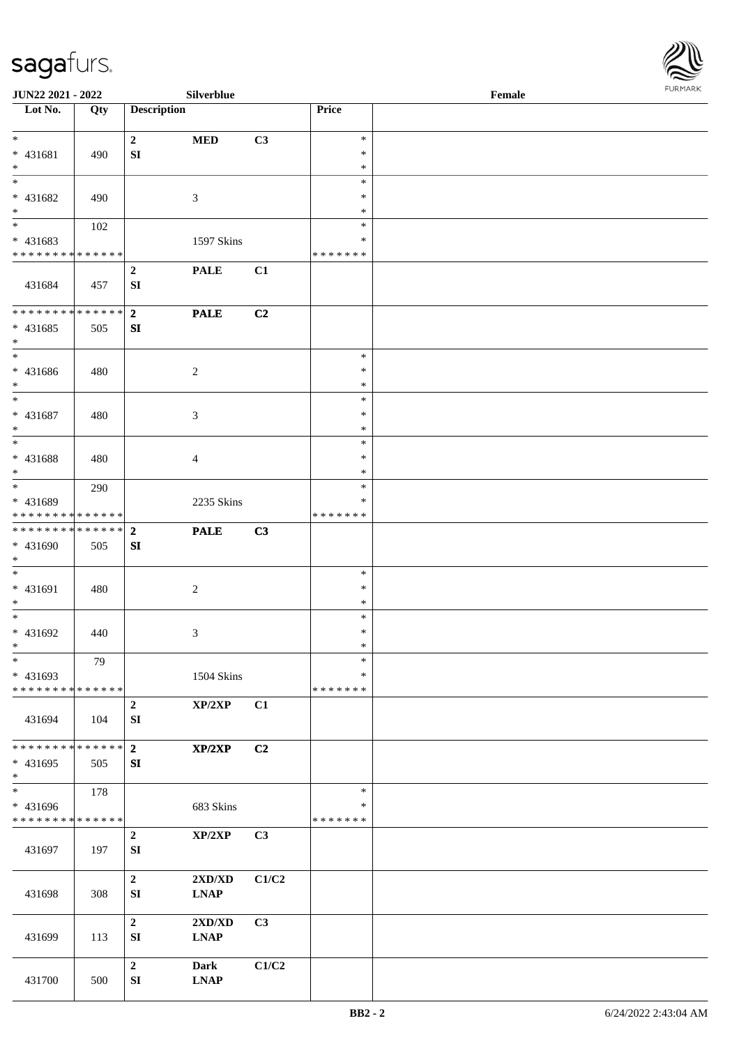

| <b>JUN22 2021 - 2022</b>                           |                      |                                 | Silverblue                                           |       |                              | Female |  |
|----------------------------------------------------|----------------------|---------------------------------|------------------------------------------------------|-------|------------------------------|--------|--|
| Lot No.                                            | Qty                  | <b>Description</b>              |                                                      |       | Price                        |        |  |
| $*$                                                |                      | $\mathbf{2}$                    | <b>MED</b>                                           | C3    | $\ast$                       |        |  |
| * 431681<br>$*$                                    | 490                  | SI                              |                                                      |       | $\ast$<br>$\ast$             |        |  |
| $\overline{\phantom{0}}$<br>* 431682               | 490                  |                                 | 3                                                    |       | $\ast$<br>∗                  |        |  |
| $\ast$<br>$\overline{\phantom{0}}$                 | 102                  |                                 |                                                      |       | $\ast$<br>$\ast$             |        |  |
| * 431683<br>* * * * * * * * * * * * * *            |                      |                                 | 1597 Skins                                           |       | $\ast$<br>* * * * * * *      |        |  |
| 431684                                             | 457                  | $\boldsymbol{2}$<br>${\bf SI}$  | <b>PALE</b>                                          | C1    |                              |        |  |
| * * * * * * * * * * * * * * *<br>$* 431685$<br>$*$ | 505                  | $\overline{2}$<br>SI            | <b>PALE</b>                                          | C2    |                              |        |  |
| $*$<br>$* 431686$<br>$*$                           | 480                  |                                 | 2                                                    |       | $\ast$<br>$\ast$<br>$\ast$   |        |  |
| $\ast$<br>$* 431687$<br>$*$                        | 480                  |                                 | 3                                                    |       | $\ast$<br>$\ast$<br>$\ast$   |        |  |
| $\overline{\phantom{0}}$<br>$* 431688$<br>$*$      | 480                  |                                 | 4                                                    |       | $\ast$<br>$\ast$<br>*        |        |  |
| $*$<br>* 431689<br>* * * * * * * * * * * * * *     | 290                  |                                 | 2235 Skins                                           |       | $\ast$<br>∗<br>* * * * * * * |        |  |
| ******** <mark>******</mark><br>* 431690<br>$*$    | 505                  | $\overline{2}$<br>SI            | <b>PALE</b>                                          | C3    |                              |        |  |
| $*$<br>$* 431691$<br>$*$                           | 480                  |                                 | $\boldsymbol{2}$                                     |       | $\ast$<br>$\ast$<br>$\ast$   |        |  |
| $*$<br>* 431692<br>$*$                             | 440                  |                                 | 3                                                    |       | $\ast$<br>$\ast$<br>$\ast$   |        |  |
| $\ast$<br>* 431693<br>* * * * * * * * * * * * * *  | 79                   |                                 | 1504 Skins                                           |       | $\ast$<br>∗<br>* * * * * * * |        |  |
| 431694                                             | 104                  | $\boldsymbol{2}$<br>SI          | XP/2XP                                               | C1    |                              |        |  |
| * * * * * * * *<br>* 431695<br>$*$                 | * * * * * * *<br>505 | $\overline{2}$<br>SI            | XP/2XP                                               | C2    |                              |        |  |
| $\ast$<br>* 431696<br>* * * * * * * * * * * * * *  | 178                  |                                 | 683 Skins                                            |       | $\ast$<br>∗<br>* * * * * * * |        |  |
| 431697                                             | 197                  | $\mathbf 2$<br>SI               | XP/2XP                                               | C3    |                              |        |  |
| 431698                                             | 308                  | $\boldsymbol{2}$<br>SI          | 2XD/XD<br>$\mathbf{L}\mathbf{N}\mathbf{A}\mathbf{P}$ | C1/C2 |                              |        |  |
| 431699                                             | 113                  | $\boldsymbol{2}$<br>SI          | 2XD/XD<br><b>LNAP</b>                                | C3    |                              |        |  |
| 431700                                             | 500                  | $\mathbf 2$<br>${\bf S}{\bf I}$ | <b>Dark</b><br><b>LNAP</b>                           | C1/C2 |                              |        |  |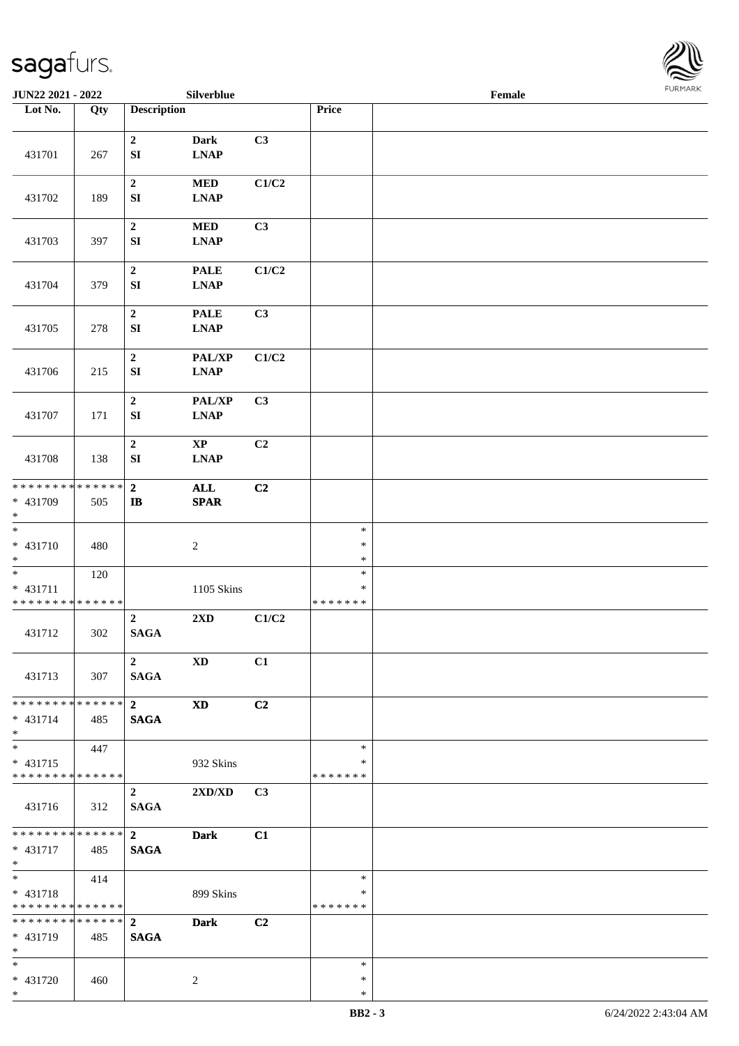

| JUN22 2021 - 2022                                  |     |                                 | Silverblue                                           |                |                                   | Female |  |
|----------------------------------------------------|-----|---------------------------------|------------------------------------------------------|----------------|-----------------------------------|--------|--|
| Lot No.                                            | Qty | <b>Description</b>              |                                                      |                | Price                             |        |  |
| 431701                                             | 267 | $\boldsymbol{2}$<br>${\bf SI}$  | Dark<br><b>LNAP</b>                                  | C3             |                                   |        |  |
| 431702                                             | 189 | $\boldsymbol{2}$<br>SI          | <b>MED</b><br><b>LNAP</b>                            | C1/C2          |                                   |        |  |
| 431703                                             | 397 | $\mathbf 2$<br>SI               | <b>MED</b><br><b>LNAP</b>                            | C3             |                                   |        |  |
| 431704                                             | 379 | $\boldsymbol{2}$<br>${\bf SI}$  | <b>PALE</b><br><b>LNAP</b>                           | C1/C2          |                                   |        |  |
| 431705                                             | 278 | $\boldsymbol{2}$<br>SI          | <b>PALE</b><br><b>LNAP</b>                           | C3             |                                   |        |  |
| 431706                                             | 215 | $\mathbf 2$<br>${\bf SI}$       | PAL/XP<br><b>LNAP</b>                                | C1/C2          |                                   |        |  |
| 431707                                             | 171 | $\mathbf 2$<br>SI               | PAL/XP<br>$\mathbf{L}\mathbf{N}\mathbf{A}\mathbf{P}$ | C3             |                                   |        |  |
| 431708                                             | 138 | $\boldsymbol{2}$<br>SI          | $\mathbf{XP}$<br><b>LNAP</b>                         | C2             |                                   |        |  |
| * * * * * * * * * * * * * *<br>* 431709<br>$*$     | 505 | $\bf 2$<br>$\bf I\bf B$         | $\mathbf{ALL}$<br><b>SPAR</b>                        | C2             |                                   |        |  |
| $\overline{\ast}$<br>$* 431710$<br>$*$             | 480 |                                 | $\sqrt{2}$                                           |                | $\ast$<br>$\ast$<br>$\ast$        |        |  |
| $*$<br>* 431711<br>* * * * * * * * * * * * * *     | 120 |                                 | 1105 Skins                                           |                | $\ast$<br>$\ast$<br>* * * * * * * |        |  |
| 431712                                             | 302 | $\boldsymbol{2}$<br><b>SAGA</b> | 2XD                                                  | C1/C2          |                                   |        |  |
| 431713                                             | 307 | $\overline{2}$<br><b>SAGA</b>   | <b>XD</b>                                            | C1             |                                   |        |  |
| * * * * * * * * * * * * * * *<br>$* 431714$<br>$*$ | 485 | 2 <sup>7</sup><br><b>SAGA</b>   | <b>XD</b>                                            | C <sub>2</sub> |                                   |        |  |
| $*$<br>* 431715<br>******** <mark>******</mark>    | 447 |                                 | 932 Skins                                            |                | $\ast$<br>$\ast$<br>* * * * * * * |        |  |
| 431716                                             | 312 | $\overline{2}$<br><b>SAGA</b>   | 2XD/XD                                               | C <sub>3</sub> |                                   |        |  |
| * * * * * * * * * * * * * * *<br>* 431717<br>$*$   | 485 | $\mathbf{2}$<br><b>SAGA</b>     | <b>Dark</b>                                          | C1             |                                   |        |  |
| $*$<br>* 431718<br>* * * * * * * * * * * * * * *   | 414 |                                 | 899 Skins                                            |                | $\ast$<br>$\ast$<br>* * * * * * * |        |  |
| ******** <mark>******</mark><br>* 431719<br>$*$    | 485 | $\overline{2}$<br><b>SAGA</b>   | <b>Dark</b>                                          | C2             |                                   |        |  |
| $*$<br>* 431720<br>$*$                             | 460 |                                 | 2                                                    |                | $\ast$<br>$\ast$<br>$\ast$        |        |  |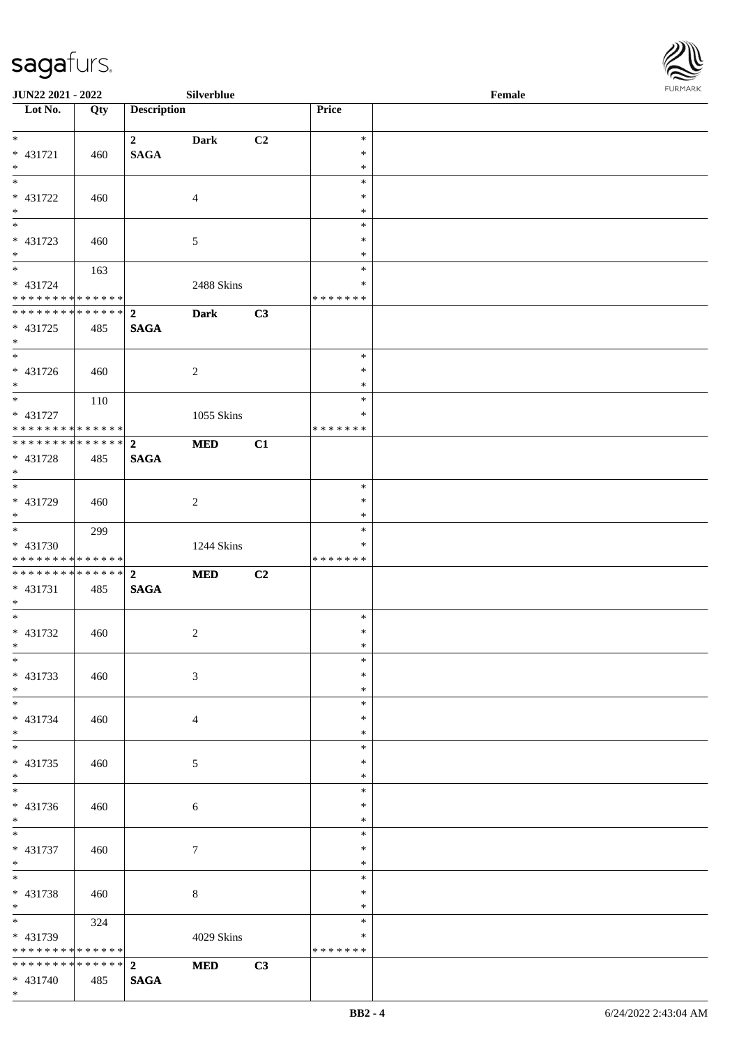\*



| JUN22 2021 - 2022                                             |     |                    | Silverblue     |                |                         | Female | <b>FURMARK</b> |
|---------------------------------------------------------------|-----|--------------------|----------------|----------------|-------------------------|--------|----------------|
| $\overline{\phantom{1}}$ Lot No.                              | Qty | <b>Description</b> |                |                | Price                   |        |                |
| $*$                                                           |     | $\overline{2}$     |                |                | $\ast$                  |        |                |
| $* 431721$                                                    | 460 | <b>SAGA</b>        | Dark           | C <sub>2</sub> | $\ast$                  |        |                |
| $\ast$                                                        |     |                    |                |                | $\ast$                  |        |                |
| $*$                                                           |     |                    |                |                | $\ast$                  |        |                |
| * 431722                                                      | 460 |                    | $\overline{4}$ |                | $\ast$                  |        |                |
| $*$<br>$\overline{\phantom{0}}$                               |     |                    |                |                | $\ast$<br>$\ast$        |        |                |
| * 431723                                                      | 460 |                    | 5              |                | $\ast$                  |        |                |
| $*$                                                           |     |                    |                |                | $\ast$                  |        |                |
| $*$                                                           | 163 |                    |                |                | $\ast$                  |        |                |
| $* 431724$                                                    |     |                    | 2488 Skins     |                | $\ast$                  |        |                |
| ******** <mark>******</mark><br>* * * * * * * * * * * * * * * |     | $\overline{2}$     | <b>Dark</b>    | C3             | * * * * * * *           |        |                |
| $* 431725$                                                    | 485 | <b>SAGA</b>        |                |                |                         |        |                |
| $*$                                                           |     |                    |                |                |                         |        |                |
| $\overline{\phantom{0}}$                                      |     |                    |                |                | $\ast$                  |        |                |
| * 431726                                                      | 460 |                    | $\overline{c}$ |                | $\ast$                  |        |                |
| $*$<br>$\overline{\phantom{0}}$                               | 110 |                    |                |                | $\ast$<br>$\ast$        |        |                |
| * 431727                                                      |     |                    | 1055 Skins     |                | ∗                       |        |                |
| * * * * * * * * * * * * * *                                   |     |                    |                |                | * * * * * * *           |        |                |
| ************** 2                                              |     |                    | <b>MED</b>     | C1             |                         |        |                |
| * 431728                                                      | 485 | <b>SAGA</b>        |                |                |                         |        |                |
| $*$<br>$\overline{\phantom{0}}$                               |     |                    |                |                | $\ast$                  |        |                |
| * 431729                                                      | 460 |                    | 2              |                | $\ast$                  |        |                |
| $*$                                                           |     |                    |                |                | $\ast$                  |        |                |
| $\overline{\ }$                                               | 299 |                    |                |                | $\ast$                  |        |                |
| $* 431730$<br>* * * * * * * * * * * * * *                     |     |                    | 1244 Skins     |                | $\ast$<br>* * * * * * * |        |                |
| ******** <mark>******</mark>                                  |     | $\overline{2}$     | <b>MED</b>     | C2             |                         |        |                |
| * 431731                                                      | 485 | <b>SAGA</b>        |                |                |                         |        |                |
| $*$                                                           |     |                    |                |                |                         |        |                |
| $\overline{\phantom{0}}$                                      |     |                    |                |                | $\ast$<br>$\ast$        |        |                |
| $* 431732$<br>$\ast$                                          | 460 |                    | $\overline{c}$ |                | $\ast$                  |        |                |
| $\ast$                                                        |     |                    |                |                | $\ast$                  |        |                |
| * 431733                                                      | 460 |                    | 3              |                | $\ast$                  |        |                |
| $*$                                                           |     |                    |                |                | $\ast$                  |        |                |
| $*$<br>* 431734                                               |     |                    |                |                | $\ast$<br>$\ast$        |        |                |
| $*$                                                           | 460 |                    | 4              |                | $\ast$                  |        |                |
| $\overline{\phantom{0}}$                                      |     |                    |                |                | $\ast$                  |        |                |
| $* 431735$                                                    | 460 |                    | 5              |                | ∗                       |        |                |
| $*$<br>$\overline{\phantom{0}}$                               |     |                    |                |                | $\ast$<br>$\ast$        |        |                |
| $* 431736$                                                    | 460 |                    | 6              |                | $\ast$                  |        |                |
| $*$                                                           |     |                    |                |                | $\ast$                  |        |                |
| $\overline{\phantom{0}}$                                      |     |                    |                |                | $\ast$                  |        |                |
| $* 431737$                                                    | 460 |                    | 7              |                | $\ast$                  |        |                |
| $*$<br>$\frac{1}{1}$                                          |     |                    |                |                | $\ast$<br>$\ast$        |        |                |
| * 431738                                                      | 460 |                    | 8              |                | ∗                       |        |                |
| $*$                                                           |     |                    |                |                | $\ast$                  |        |                |
| $\overline{\phantom{0}}$                                      | 324 |                    |                |                | $\ast$                  |        |                |
| * 431739                                                      |     |                    | 4029 Skins     |                | ∗                       |        |                |
| * * * * * * * * * * * * * * *<br>************** 2             |     |                    | <b>MED</b>     | C3             | * * * * * * *           |        |                |
| * 431740                                                      | 485 | <b>SAGA</b>        |                |                |                         |        |                |
|                                                               |     |                    |                |                |                         |        |                |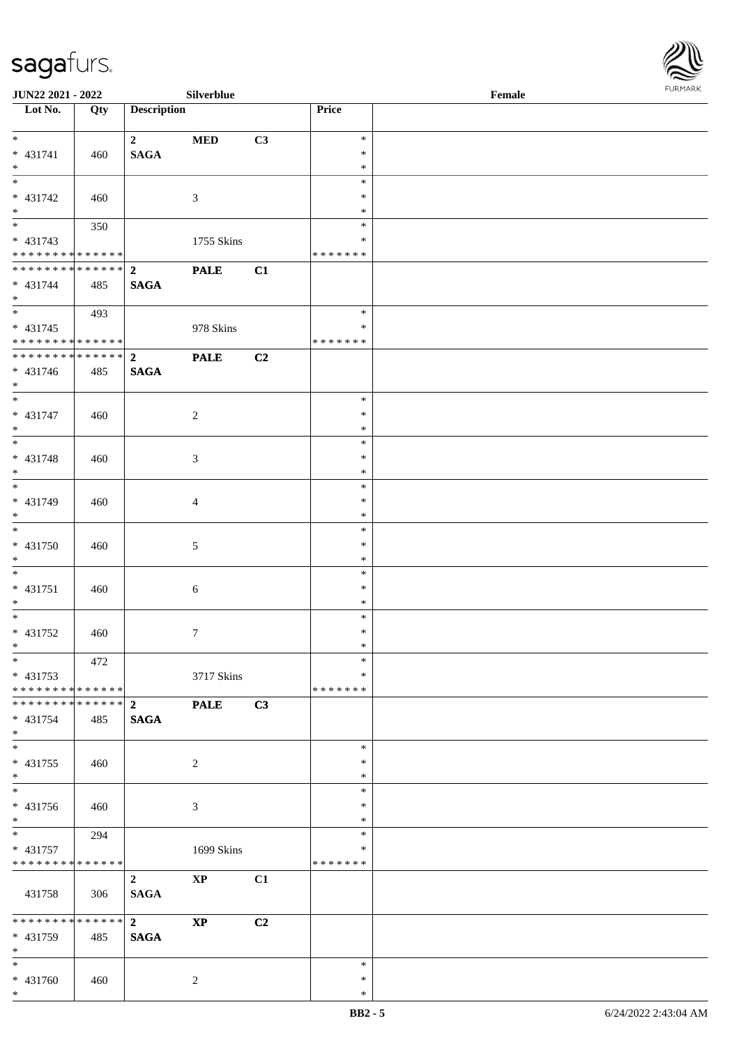

| <b>JUN22 2021 - 2022</b>                                    |     |                             | Silverblue             |    |                  | Female |  |
|-------------------------------------------------------------|-----|-----------------------------|------------------------|----|------------------|--------|--|
| Lot No.                                                     | Qty | <b>Description</b>          |                        |    | Price            |        |  |
|                                                             |     |                             |                        |    |                  |        |  |
| $*$<br>* 431741                                             | 460 | $\mathbf{2}$<br><b>SAGA</b> | <b>MED</b>             | C3 | $\ast$<br>$\ast$ |        |  |
| $*$                                                         |     |                             |                        |    | $\ast$           |        |  |
| $\overline{\phantom{0}}$                                    |     |                             |                        |    | $\ast$           |        |  |
| * 431742                                                    | 460 |                             | 3                      |    | ∗                |        |  |
| $*$                                                         |     |                             |                        |    | $\ast$           |        |  |
|                                                             | 350 |                             |                        |    | $\ast$           |        |  |
| * 431743                                                    |     |                             | 1755 Skins             |    | $\ast$           |        |  |
| * * * * * * * * * * * * * *<br>******** <mark>******</mark> |     | $\overline{2}$              | <b>PALE</b>            |    | * * * * * * *    |        |  |
| * 431744                                                    | 485 | <b>SAGA</b>                 |                        | C1 |                  |        |  |
| $\ast$                                                      |     |                             |                        |    |                  |        |  |
| $*$                                                         | 493 |                             |                        |    | $\ast$           |        |  |
| $* 431745$                                                  |     |                             | 978 Skins              |    | $\ast$           |        |  |
| * * * * * * * * * * * * * * *                               |     |                             |                        |    | * * * * * * *    |        |  |
| ******** <mark>******</mark>                                |     | $\overline{2}$              | <b>PALE</b>            | C2 |                  |        |  |
| * 431746                                                    | 485 | <b>SAGA</b>                 |                        |    |                  |        |  |
| $*$                                                         |     |                             |                        |    | $\ast$           |        |  |
| $* 431747$                                                  | 460 |                             | 2                      |    | $\ast$           |        |  |
| $*$                                                         |     |                             |                        |    | $\ast$           |        |  |
|                                                             |     |                             |                        |    | $\ast$           |        |  |
| * 431748                                                    | 460 |                             | 3                      |    | $\ast$           |        |  |
| $*$                                                         |     |                             |                        |    | $\ast$           |        |  |
|                                                             |     |                             |                        |    | $\ast$           |        |  |
| * 431749                                                    | 460 |                             | 4                      |    | $\ast$           |        |  |
| $\ast$<br>$\overline{\phantom{0}}$                          |     |                             |                        |    | $\ast$<br>$\ast$ |        |  |
| * 431750                                                    | 460 |                             | 5                      |    | $\ast$           |        |  |
| $\ast$                                                      |     |                             |                        |    | $\ast$           |        |  |
| $*$                                                         |     |                             |                        |    | $\ast$           |        |  |
| $* 431751$                                                  | 460 |                             | $\boldsymbol{6}$       |    | $\ast$           |        |  |
| $*$                                                         |     |                             |                        |    | $\ast$           |        |  |
| $*$                                                         |     |                             |                        |    | $\ast$           |        |  |
| * 431752<br>$*$                                             | 460 |                             | $\boldsymbol{7}$       |    | $\ast$<br>$\ast$ |        |  |
| $\ast$                                                      | 472 |                             |                        |    | $\ast$           |        |  |
| $* 431753$                                                  |     |                             | 3717 Skins             |    | $\ast$           |        |  |
| * * * * * * * * * * * * * * *                               |     |                             |                        |    | * * * * * * *    |        |  |
|                                                             |     |                             | <b>PALE</b>            | C3 |                  |        |  |
| $* 431754$                                                  | 485 | <b>SAGA</b>                 |                        |    |                  |        |  |
| $*$                                                         |     |                             |                        |    |                  |        |  |
|                                                             |     |                             |                        |    | $\ast$           |        |  |
| * 431755<br>$*$                                             | 460 |                             | $\sqrt{2}$             |    | $\ast$<br>$\ast$ |        |  |
|                                                             |     |                             |                        |    | $\ast$           |        |  |
| * 431756                                                    | 460 |                             | 3                      |    | ∗                |        |  |
| $*$                                                         |     |                             |                        |    | $\ast$           |        |  |
| $*$ $*$                                                     | 294 |                             |                        |    | $\ast$           |        |  |
| * 431757                                                    |     |                             | 1699 Skins             |    | $\ast$           |        |  |
| * * * * * * * * * * * * * *                                 |     |                             |                        |    | *******          |        |  |
|                                                             |     | $\overline{2}$              | $\mathbf{X}\mathbf{P}$ | C1 |                  |        |  |
| 431758                                                      | 306 | <b>SAGA</b>                 |                        |    |                  |        |  |
| ******** <mark>******</mark>                                |     | $2^{\circ}$                 | $\mathbf{X}\mathbf{P}$ | C2 |                  |        |  |
| * 431759                                                    | 485 | <b>SAGA</b>                 |                        |    |                  |        |  |
| $*$                                                         |     |                             |                        |    |                  |        |  |
| $*$                                                         |     |                             |                        |    | $\ast$           |        |  |
| * 431760                                                    | 460 |                             | 2                      |    | $\ast$           |        |  |
| $*$                                                         |     |                             |                        |    | $\ast$           |        |  |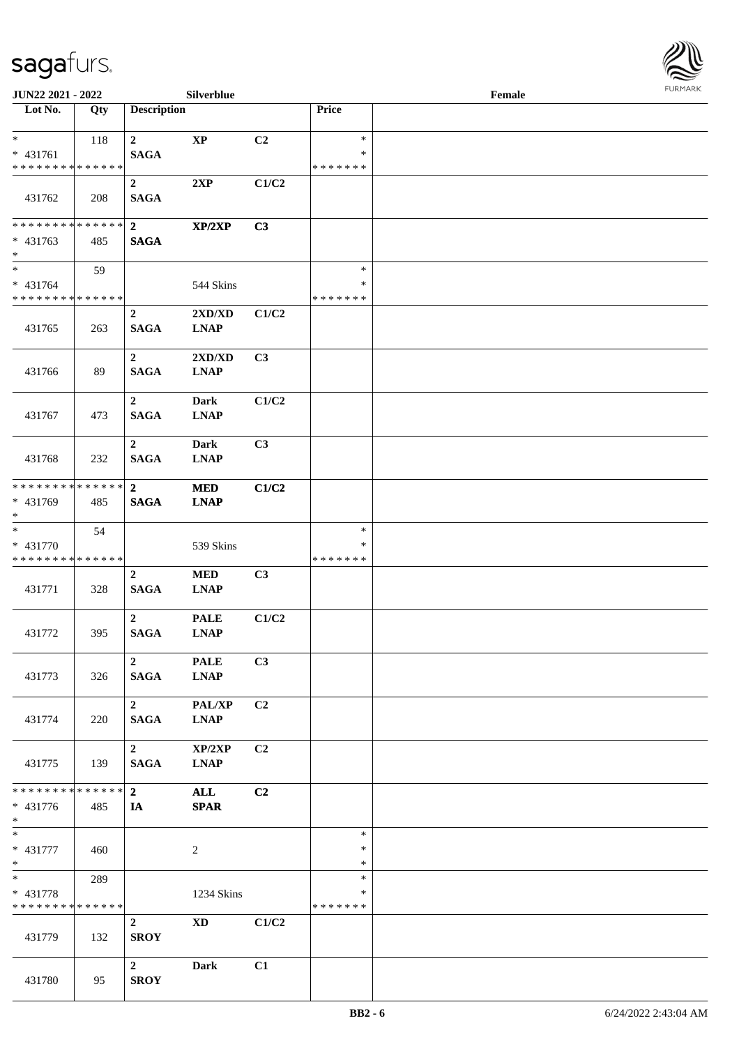

| JUN22 2021 - 2022                                                   |     |                                 | Silverblue                 |       |                                   | Female |  |
|---------------------------------------------------------------------|-----|---------------------------------|----------------------------|-------|-----------------------------------|--------|--|
| Lot No.                                                             | Qty | <b>Description</b>              |                            |       | Price                             |        |  |
| $*$<br>* 431761<br>* * * * * * * * * * * * * *                      | 118 | $\mathbf{2}$<br><b>SAGA</b>     | $\mathbf{XP}$              | C2    | $\ast$<br>∗<br>* * * * * * *      |        |  |
| 431762                                                              | 208 | $\boldsymbol{2}$<br><b>SAGA</b> | 2XP                        | C1/C2 |                                   |        |  |
| * * * * * * * * * * * * * * *<br>* 431763<br>$*$                    | 485 | $\overline{2}$<br><b>SAGA</b>   | XP/2XP                     | C3    |                                   |        |  |
| $*$<br>* 431764<br>* * * * * * * * * * * * * *                      | 59  |                                 | 544 Skins                  |       | $\ast$<br>∗<br>* * * * * * *      |        |  |
| 431765                                                              | 263 | $\mathbf 2$<br><b>SAGA</b>      | 2XD/XD<br><b>LNAP</b>      | C1/C2 |                                   |        |  |
| 431766                                                              | 89  | $\overline{2}$<br><b>SAGA</b>   | 2XD/XD<br><b>LNAP</b>      | C3    |                                   |        |  |
| 431767                                                              | 473 | $\overline{2}$<br><b>SAGA</b>   | <b>Dark</b><br><b>LNAP</b> | C1/C2 |                                   |        |  |
| 431768                                                              | 232 | $\overline{2}$<br><b>SAGA</b>   | <b>Dark</b><br><b>LNAP</b> | C3    |                                   |        |  |
| * * * * * * * * * * * * * *<br>* 431769<br>$*$                      | 485 | $\mathbf{2}$<br><b>SAGA</b>     | <b>MED</b><br><b>LNAP</b>  | C1/C2 |                                   |        |  |
| $\overline{\phantom{0}}$<br>* 431770<br>* * * * * * * * * * * * * * | 54  |                                 | 539 Skins                  |       | $\ast$<br>∗<br>* * * * * * *      |        |  |
| 431771                                                              | 328 | $\overline{2}$<br><b>SAGA</b>   | $\bf MED$<br><b>LNAP</b>   | C3    |                                   |        |  |
| 431772                                                              | 395 | $\overline{2}$<br><b>SAGA</b>   | <b>PALE</b><br><b>LNAP</b> | C1/C2 |                                   |        |  |
| 431773                                                              | 326 | $\overline{2}$<br><b>SAGA</b>   | <b>PALE</b><br><b>LNAP</b> | C3    |                                   |        |  |
| 431774                                                              | 220 | $\overline{2}$<br><b>SAGA</b>   | PAL/XP<br><b>LNAP</b>      | C2    |                                   |        |  |
| 431775                                                              | 139 | $\overline{2}$<br><b>SAGA</b>   | XP/2XP<br><b>LNAP</b>      | C2    |                                   |        |  |
| * * * * * * * * * * * * * * *<br>$* 431776$<br>$*$                  | 485 | 2 <sup>1</sup><br>IA            | ALL<br><b>SPAR</b>         | C2    |                                   |        |  |
| $*$<br>* 431777<br>$*$                                              | 460 |                                 | $\overline{c}$             |       | $\ast$<br>$\ast$<br>$\ast$        |        |  |
| $*$<br>* 431778<br>* * * * * * * * * * * * * *                      | 289 |                                 | 1234 Skins                 |       | $\ast$<br>$\ast$<br>* * * * * * * |        |  |
| 431779                                                              | 132 | $\overline{2}$<br><b>SROY</b>   | $\mathbf{X}\mathbf{D}$     | C1/C2 |                                   |        |  |
| 431780                                                              | 95  | $\boldsymbol{2}$<br><b>SROY</b> | Dark                       | C1    |                                   |        |  |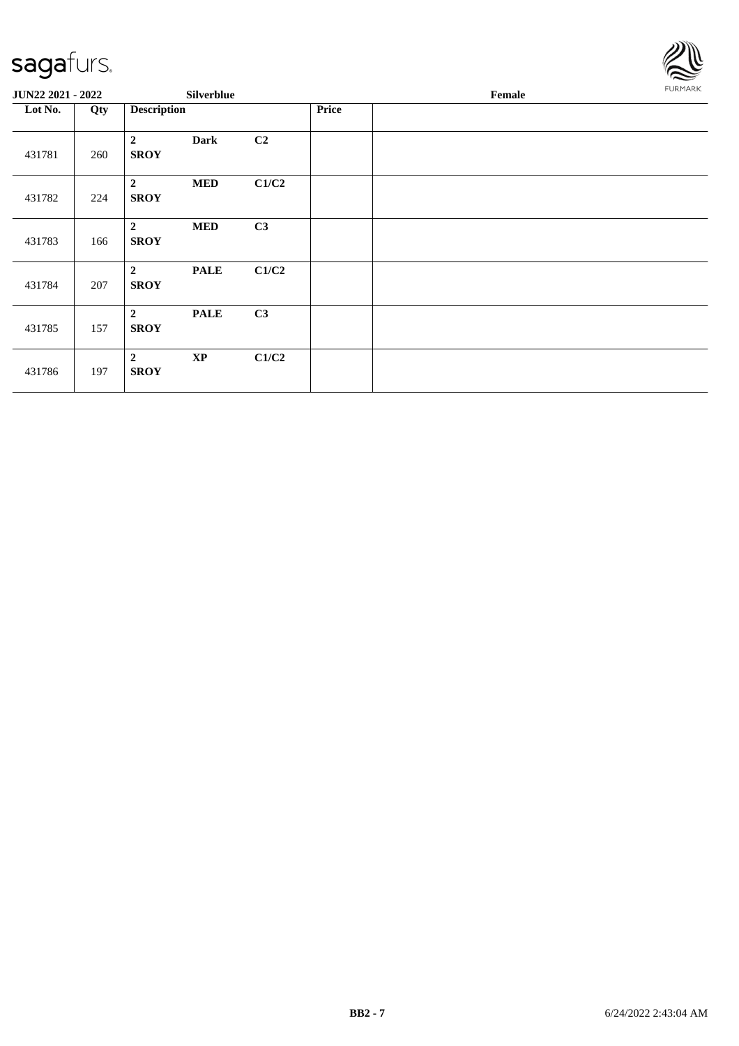

| JUN22 2021 - 2022 |     |                               | <b>Silverblue</b> |                |              | Female |  |  |  |  |
|-------------------|-----|-------------------------------|-------------------|----------------|--------------|--------|--|--|--|--|
| Lot No.           | Qty | <b>Description</b>            |                   |                | <b>Price</b> |        |  |  |  |  |
| 431781            | 260 | $\overline{2}$<br><b>SROY</b> | <b>Dark</b>       | C <sub>2</sub> |              |        |  |  |  |  |
| 431782            | 224 | $\overline{2}$<br><b>SROY</b> | <b>MED</b>        | C1/C2          |              |        |  |  |  |  |
| 431783            | 166 | $\overline{2}$<br><b>SROY</b> | <b>MED</b>        | C3             |              |        |  |  |  |  |
| 431784            | 207 | $\overline{2}$<br><b>SROY</b> | <b>PALE</b>       | C1/C2          |              |        |  |  |  |  |
| 431785            | 157 | $\overline{2}$<br><b>SROY</b> | <b>PALE</b>       | C3             |              |        |  |  |  |  |
| 431786            | 197 | $\overline{2}$<br><b>SROY</b> | $\mathbf{XP}$     | C1/C2          |              |        |  |  |  |  |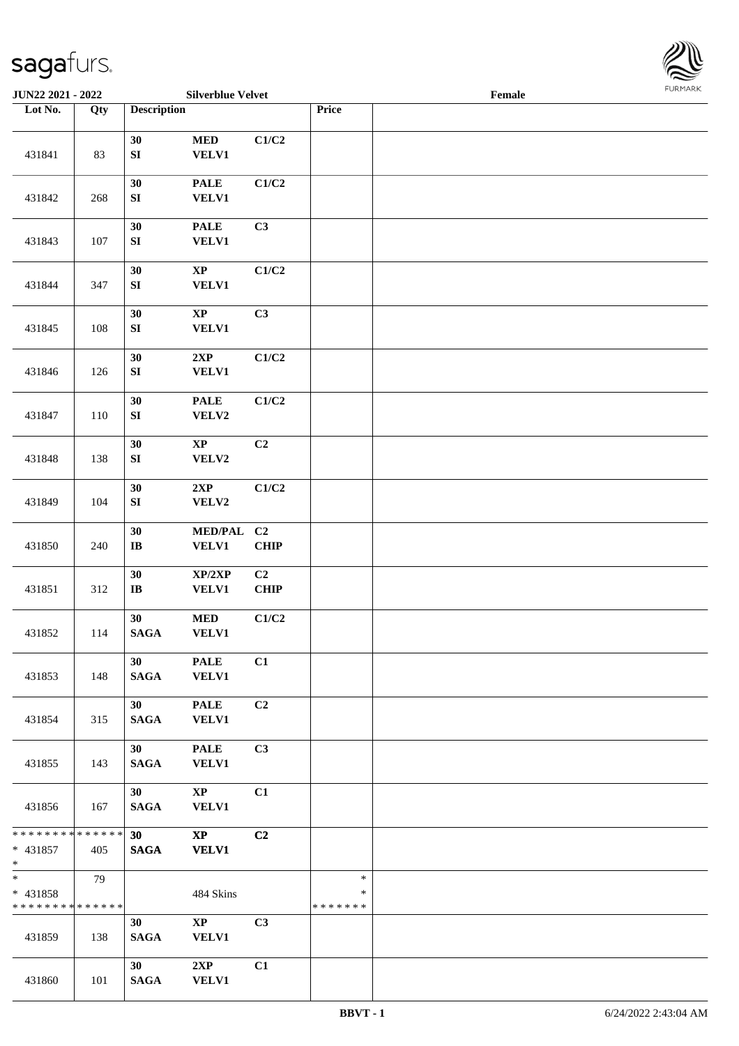

| <b>JUN22 2021 - 2022</b>                                      |                   |                                | <b>Silverblue Velvet</b>               |                   |                                   | Female |  |
|---------------------------------------------------------------|-------------------|--------------------------------|----------------------------------------|-------------------|-----------------------------------|--------|--|
| Lot No.                                                       | $\overline{Q}$ ty | <b>Description</b>             |                                        |                   | Price                             |        |  |
|                                                               |                   | 30                             | $\bf MED$                              | C1/C2             |                                   |        |  |
| 431841                                                        | 83                | ${\bf S}{\bf I}$<br>30         | <b>VELV1</b><br><b>PALE</b>            | C1/C2             |                                   |        |  |
| 431842                                                        | 268               | ${\bf SI}$                     | <b>VELV1</b>                           |                   |                                   |        |  |
| 431843                                                        | 107               | 30<br>${\bf S}{\bf I}$         | <b>PALE</b><br><b>VELV1</b>            | C3                |                                   |        |  |
| 431844                                                        | 347               | 30<br>${\bf S}{\bf I}$         | $\bold{XP}$<br><b>VELV1</b>            | C1/C2             |                                   |        |  |
| 431845                                                        | 108               | 30<br>${\bf SI}$               | $\bold{XP}$<br><b>VELV1</b>            | C3                |                                   |        |  |
| 431846                                                        | 126               | 30<br>${\bf SI}$               | 2XP<br><b>VELV1</b>                    | C1/C2             |                                   |        |  |
| 431847                                                        | 110               | 30<br>${\bf S}{\bf I}$         | <b>PALE</b><br>VELV2                   | C1/C2             |                                   |        |  |
| 431848                                                        | 138               | 30<br>${\bf SI}$               | $\mathbf{X}\mathbf{P}$<br>VELV2        | C2                |                                   |        |  |
| 431849                                                        | 104               | 30<br>${\bf S}{\bf I}$         | 2XP<br>VELV2                           | C1/C2             |                                   |        |  |
| 431850                                                        | 240               | 30<br>$\mathbf{I}\mathbf{B}$   | <b>MED/PAL</b><br><b>VELV1</b>         | C2<br><b>CHIP</b> |                                   |        |  |
| 431851                                                        | 312               | 30<br>$\mathbf{I}\mathbf{B}$   | XP/2XP<br><b>VELV1</b>                 | C2<br>CHIP        |                                   |        |  |
| 431852                                                        | 114               | 30<br><b>SAGA</b>              | <b>MED</b><br><b>VELV1</b>             | C1/C2             |                                   |        |  |
| 431853                                                        | 148               | 30<br><b>SAGA</b>              | <b>PALE</b><br><b>VELV1</b>            | C1                |                                   |        |  |
| 431854                                                        | 315               | 30<br><b>SAGA</b>              | <b>PALE</b><br><b>VELV1</b>            | C2                |                                   |        |  |
| 431855                                                        | 143               | 30<br><b>SAGA</b>              | <b>PALE</b><br>VELV1                   | C3                |                                   |        |  |
| 431856                                                        | 167               | 30 <sup>1</sup><br><b>SAGA</b> | $\mathbf{X}\mathbf{P}$<br><b>VELV1</b> | C1                |                                   |        |  |
| * * * * * * * * <mark>* * * * * *</mark> *<br>* 431857<br>$*$ | 405               | 30<br><b>SAGA</b>              | $\mathbf{X}\mathbf{P}$<br><b>VELV1</b> | C2                |                                   |        |  |
| $*$<br>* 431858<br>* * * * * * * * * * * * * *                | 79                |                                | 484 Skins                              |                   | $\ast$<br>$\ast$<br>* * * * * * * |        |  |
| 431859                                                        | 138               | 30<br><b>SAGA</b>              | $\mathbf{X}\mathbf{P}$<br><b>VELV1</b> | C3                |                                   |        |  |
| 431860                                                        | 101               | 30<br><b>SAGA</b>              | 2XP<br><b>VELV1</b>                    | C1                |                                   |        |  |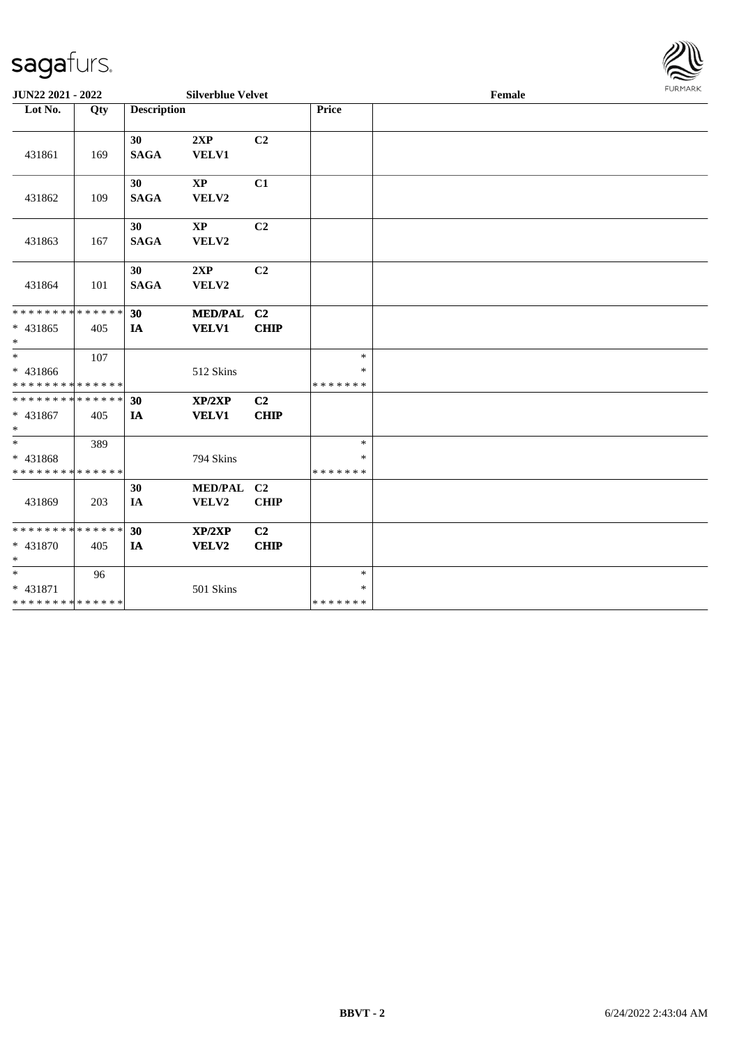

|                                                        | <b>JUN22 2021 - 2022</b><br><b>Silverblue Velvet</b> |                    |                        |                |                   | Female |  |  |  |  |
|--------------------------------------------------------|------------------------------------------------------|--------------------|------------------------|----------------|-------------------|--------|--|--|--|--|
| Lot No.                                                | Qty                                                  | <b>Description</b> |                        |                | Price             |        |  |  |  |  |
|                                                        |                                                      |                    |                        |                |                   |        |  |  |  |  |
|                                                        |                                                      | 30                 | 2XP                    | C <sub>2</sub> |                   |        |  |  |  |  |
| 431861                                                 | 169                                                  | <b>SAGA</b>        | <b>VELV1</b>           |                |                   |        |  |  |  |  |
|                                                        |                                                      |                    |                        |                |                   |        |  |  |  |  |
|                                                        |                                                      | 30                 | $\mathbf{X}\mathbf{P}$ | C1             |                   |        |  |  |  |  |
| 431862                                                 | 109                                                  | <b>SAGA</b>        | VELV2                  |                |                   |        |  |  |  |  |
|                                                        |                                                      | 30                 | $\mathbf{X}\mathbf{P}$ | C <sub>2</sub> |                   |        |  |  |  |  |
|                                                        |                                                      | <b>SAGA</b>        |                        |                |                   |        |  |  |  |  |
| 431863                                                 | 167                                                  |                    | VELV2                  |                |                   |        |  |  |  |  |
|                                                        |                                                      | 30                 | 2XP                    | C <sub>2</sub> |                   |        |  |  |  |  |
| 431864                                                 | 101                                                  | <b>SAGA</b>        | VELV2                  |                |                   |        |  |  |  |  |
|                                                        |                                                      |                    |                        |                |                   |        |  |  |  |  |
| * * * * * * * * <mark>* * * * * * *</mark>             |                                                      | 30                 | MED/PAL C2             |                |                   |        |  |  |  |  |
| * 431865                                               | 405                                                  | IA                 | <b>VELV1</b>           | <b>CHIP</b>    |                   |        |  |  |  |  |
| $\ast$                                                 |                                                      |                    |                        |                |                   |        |  |  |  |  |
| $\overline{\cdot}$                                     | 107                                                  |                    |                        |                | $\ast$            |        |  |  |  |  |
| * 431866                                               |                                                      |                    | 512 Skins              |                | $\ast$            |        |  |  |  |  |
| * * * * * * * * <mark>* * * * * * *</mark>             |                                                      |                    |                        |                | *******           |        |  |  |  |  |
| * * * * * * * * * * * * * * <mark>*</mark>             |                                                      | 30                 | XP/2XP                 | C2             |                   |        |  |  |  |  |
| * 431867                                               | 405                                                  | IA                 | <b>VELV1</b>           | <b>CHIP</b>    |                   |        |  |  |  |  |
| $*$<br>$\ast$                                          |                                                      |                    |                        |                |                   |        |  |  |  |  |
|                                                        | 389                                                  |                    |                        |                | $\ast$            |        |  |  |  |  |
| * 431868<br>* * * * * * * * <mark>* * * * * *</mark> * |                                                      |                    | 794 Skins              |                | $\ast$<br>******* |        |  |  |  |  |
|                                                        |                                                      | 30                 | MED/PAL C2             |                |                   |        |  |  |  |  |
| 431869                                                 | 203                                                  | IA                 | VELV2                  | <b>CHIP</b>    |                   |        |  |  |  |  |
|                                                        |                                                      |                    |                        |                |                   |        |  |  |  |  |
| * * * * * * * * <mark>* * * * * * *</mark>             |                                                      | 30                 | XP/2XP                 | C <sub>2</sub> |                   |        |  |  |  |  |
| * 431870                                               | 405                                                  | IA                 | <b>VELV2</b>           | <b>CHIP</b>    |                   |        |  |  |  |  |
| $\ast$                                                 |                                                      |                    |                        |                |                   |        |  |  |  |  |
|                                                        | 96                                                   |                    |                        |                | $\ast$            |        |  |  |  |  |
| * 431871                                               |                                                      |                    | 501 Skins              |                | $\ast$            |        |  |  |  |  |
| * * * * * * * * <mark>* * * * * * *</mark>             |                                                      |                    |                        |                | *******           |        |  |  |  |  |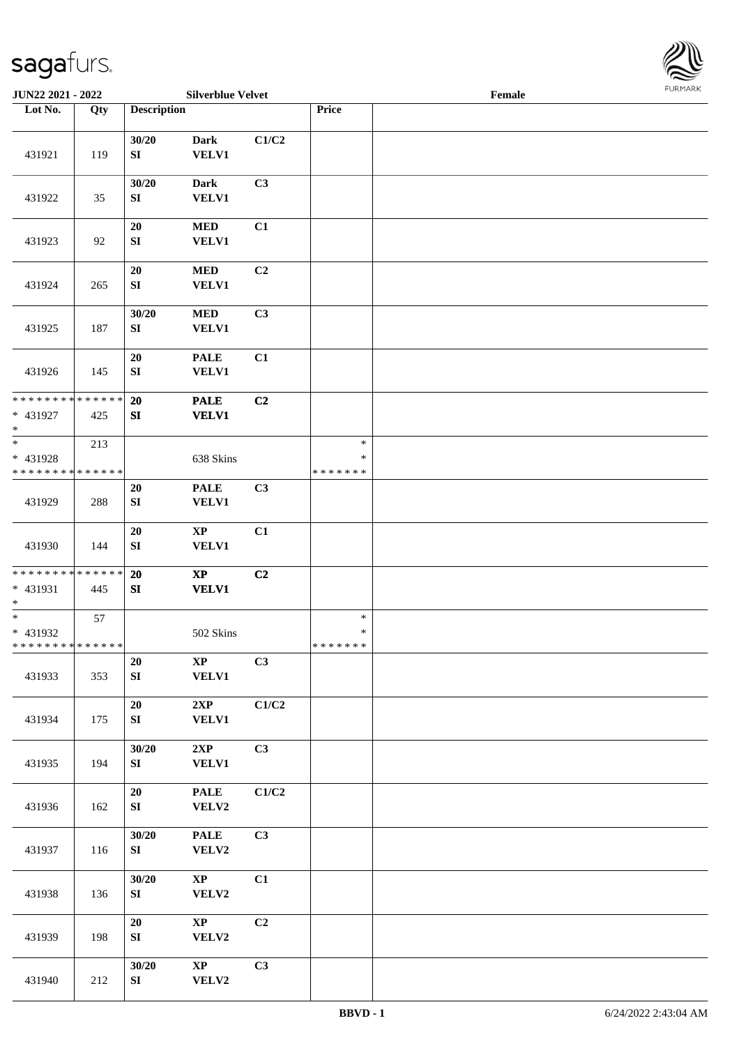

| JUN22 2021 - 2022                                   |     |                            | <b>Silverblue Velvet</b>    |       |                                   | Female | <b>FURMARK</b> |
|-----------------------------------------------------|-----|----------------------------|-----------------------------|-------|-----------------------------------|--------|----------------|
| Lot No.                                             | Qty | <b>Description</b>         |                             |       | Price                             |        |                |
| 431921                                              | 119 | 30/20<br>SI                | <b>Dark</b><br>VELV1        | C1/C2 |                                   |        |                |
| 431922                                              | 35  | 30/20<br>SI                | <b>Dark</b><br>VELV1        | C3    |                                   |        |                |
| 431923                                              | 92  | $20\,$<br>SI               | <b>MED</b><br><b>VELV1</b>  | C1    |                                   |        |                |
| 431924                                              | 265 | ${\bf 20}$<br>SI           | <b>MED</b><br><b>VELV1</b>  | C2    |                                   |        |                |
| 431925                                              | 187 | 30/20<br>${\bf S}{\bf I}$  | $\bf MED$<br><b>VELV1</b>   | C3    |                                   |        |                |
| 431926                                              | 145 | 20<br>SI                   | <b>PALE</b><br>VELV1        | C1    |                                   |        |                |
| * * * * * * * * * * * * * * *<br>* 431927<br>$\ast$ | 425 | $20\,$<br>SI               | <b>PALE</b><br>VELV1        | C2    |                                   |        |                |
| * 431928<br>* * * * * * * * * * * * * *             | 213 |                            | 638 Skins                   |       | $\ast$<br>$\ast$<br>* * * * * * * |        |                |
| 431929                                              | 288 | 20<br>${\bf S}{\bf I}$     | <b>PALE</b><br><b>VELV1</b> | C3    |                                   |        |                |
| 431930                                              | 144 | ${\bf 20}$<br>SI           | $\bold{XP}$<br><b>VELV1</b> | C1    |                                   |        |                |
| * * * * * * * * * * * * * *<br>* 431931<br>$\ast$   | 445 | $20\,$<br>${\bf S}{\bf I}$ | $\bold{XP}$<br><b>VELV1</b> | C2    |                                   |        |                |
| $\ast$<br>* 431932<br>* * * * * * * * * * * * * * * | 57  |                            | 502 Skins                   |       | $\ast$<br>$\ast$<br>*******       |        |                |
| 431933                                              | 353 | $20\,$<br>${\bf S}{\bf I}$ | $\bold{XP}$<br><b>VELV1</b> | C3    |                                   |        |                |
| 431934                                              | 175 | 20<br>${\bf SI}$           | 2XP<br><b>VELV1</b>         | C1/C2 |                                   |        |                |
| 431935                                              | 194 | 30/20<br>SI                | 2XP<br><b>VELV1</b>         | C3    |                                   |        |                |
| 431936                                              | 162 | $20\,$<br>SI               | <b>PALE</b><br>VELV2        | C1/C2 |                                   |        |                |
| 431937                                              | 116 | 30/20<br>${\bf S}{\bf I}$  | <b>PALE</b><br>VELV2        | C3    |                                   |        |                |
| 431938                                              | 136 | 30/20<br>SI                | $\bold{XP}$<br>VELV2        | C1    |                                   |        |                |
| 431939                                              | 198 | $20\,$<br>${\bf SI}$       | $\mathbf{XP}$<br>VELV2      | C2    |                                   |        |                |
| 431940                                              | 212 | 30/20<br>${\bf S}{\bf I}$  | $\bold{XP}$<br>VELV2        | C3    |                                   |        |                |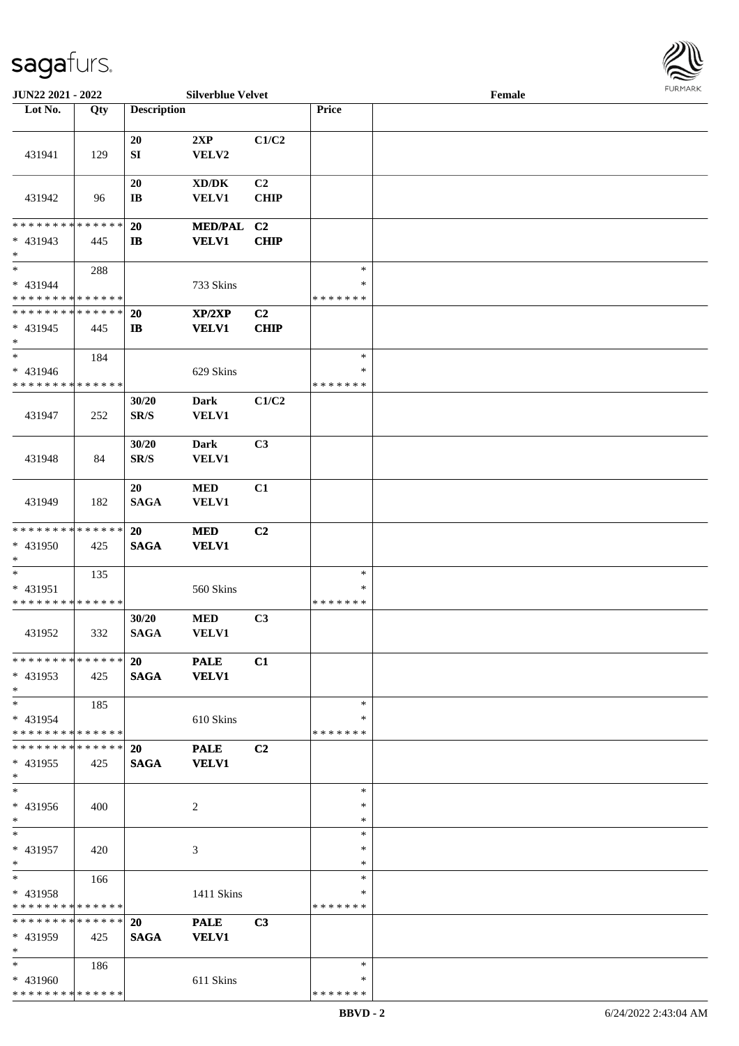

| JUN22 2021 - 2022                                 |     |                                   | <b>Silverblue Velvet</b>       |                               |                  | Female |  |
|---------------------------------------------------|-----|-----------------------------------|--------------------------------|-------------------------------|------------------|--------|--|
| Lot No.                                           | Qty | <b>Description</b>                |                                |                               | Price            |        |  |
|                                                   |     |                                   |                                |                               |                  |        |  |
| 431941                                            | 129 | 20<br>${\bf S}{\bf I}$            | 2XP<br>VELV2                   | C1/C2                         |                  |        |  |
| 431942                                            | 96  | 20<br>$\mathbf{I}\mathbf{B}$      | XD/DK<br><b>VELV1</b>          | C2<br><b>CHIP</b>             |                  |        |  |
|                                                   |     |                                   |                                |                               |                  |        |  |
| * * * * * * * * * * * * * *<br>* 431943<br>$\ast$ | 445 | 20<br>$\mathbf{I}$                | <b>MED/PAL</b><br><b>VELV1</b> | C <sub>2</sub><br><b>CHIP</b> |                  |        |  |
| $\ast$                                            | 288 |                                   |                                |                               | $\ast$           |        |  |
| * 431944                                          |     |                                   | 733 Skins                      |                               | $\ast$           |        |  |
| * * * * * * * * * * * * * *                       |     |                                   |                                |                               | * * * * * * *    |        |  |
| * * * * * * * * * * * * * *                       |     | 20                                | XP/2XP                         | C2                            |                  |        |  |
| $* 431945$<br>$\ast$                              | 445 | $\mathbf{I}$                      | <b>VELV1</b>                   | <b>CHIP</b>                   |                  |        |  |
| $\ast$                                            | 184 |                                   |                                |                               | $\ast$           |        |  |
| $* 431946$                                        |     |                                   | 629 Skins                      |                               | $\ast$           |        |  |
| * * * * * * * * * * * * * *                       |     |                                   |                                |                               | * * * * * * *    |        |  |
| 431947                                            | 252 | 30/20<br>$\mathbf{SR}/\mathbf{S}$ | <b>Dark</b><br>VELV1           | C1/C2                         |                  |        |  |
|                                                   |     | 30/20                             | <b>Dark</b>                    | C3                            |                  |        |  |
| 431948                                            | 84  | SR/S                              | <b>VELV1</b>                   |                               |                  |        |  |
| 431949                                            | 182 | 20<br><b>SAGA</b>                 | <b>MED</b><br><b>VELV1</b>     | C1                            |                  |        |  |
| * * * * * * * * * * * * * *                       |     | 20                                | <b>MED</b>                     | C2                            |                  |        |  |
| * 431950<br>$\ast$                                | 425 | <b>SAGA</b>                       | <b>VELV1</b>                   |                               |                  |        |  |
| $\ast$                                            | 135 |                                   |                                |                               | $\ast$           |        |  |
| * 431951                                          |     |                                   | 560 Skins                      |                               | $\ast$           |        |  |
| * * * * * * * * * * * * * *                       |     |                                   |                                |                               | * * * * * * *    |        |  |
| 431952                                            | 332 | 30/20<br><b>SAGA</b>              | <b>MED</b><br><b>VELV1</b>     | C3                            |                  |        |  |
| * * * * * * * * * * * * * *                       |     | <b>20</b>                         | <b>PALE</b>                    | C1                            |                  |        |  |
| * 431953<br>$*$                                   | 425 | <b>SAGA</b>                       | <b>VELV1</b>                   |                               |                  |        |  |
| $*$                                               | 185 |                                   |                                |                               | $\ast$           |        |  |
| * 431954                                          |     |                                   | 610 Skins                      |                               | ∗                |        |  |
| * * * * * * * * * * * * * *                       |     |                                   |                                |                               | * * * * * * *    |        |  |
| * * * * * * * * * * * * * *                       |     | 20                                | <b>PALE</b>                    | C2                            |                  |        |  |
| * 431955<br>$*$                                   | 425 | <b>SAGA</b>                       | <b>VELV1</b>                   |                               |                  |        |  |
| $\overline{\phantom{1}}$                          |     |                                   |                                |                               | $\ast$           |        |  |
| * 431956<br>$*$                                   | 400 |                                   | 2                              |                               | ∗<br>$\ast$      |        |  |
| $*$                                               |     |                                   |                                |                               | $\ast$           |        |  |
| * 431957<br>$*$                                   | 420 |                                   | 3                              |                               | $\ast$<br>$\ast$ |        |  |
| $*$                                               | 166 |                                   |                                |                               | $\ast$           |        |  |
| * 431958                                          |     |                                   | 1411 Skins                     |                               | $\ast$           |        |  |
| * * * * * * * * * * * * * *                       |     |                                   |                                |                               | *******          |        |  |
| * * * * * * * * * * * * * *                       |     | 20                                | <b>PALE</b>                    | C3                            |                  |        |  |
| * 431959<br>$*$                                   | 425 | <b>SAGA</b>                       | <b>VELV1</b>                   |                               |                  |        |  |
| $*$                                               | 186 |                                   |                                |                               | $\ast$           |        |  |
| * 431960                                          |     |                                   | 611 Skins                      |                               | ∗                |        |  |
| * * * * * * * * * * * * * *                       |     |                                   |                                |                               | *******          |        |  |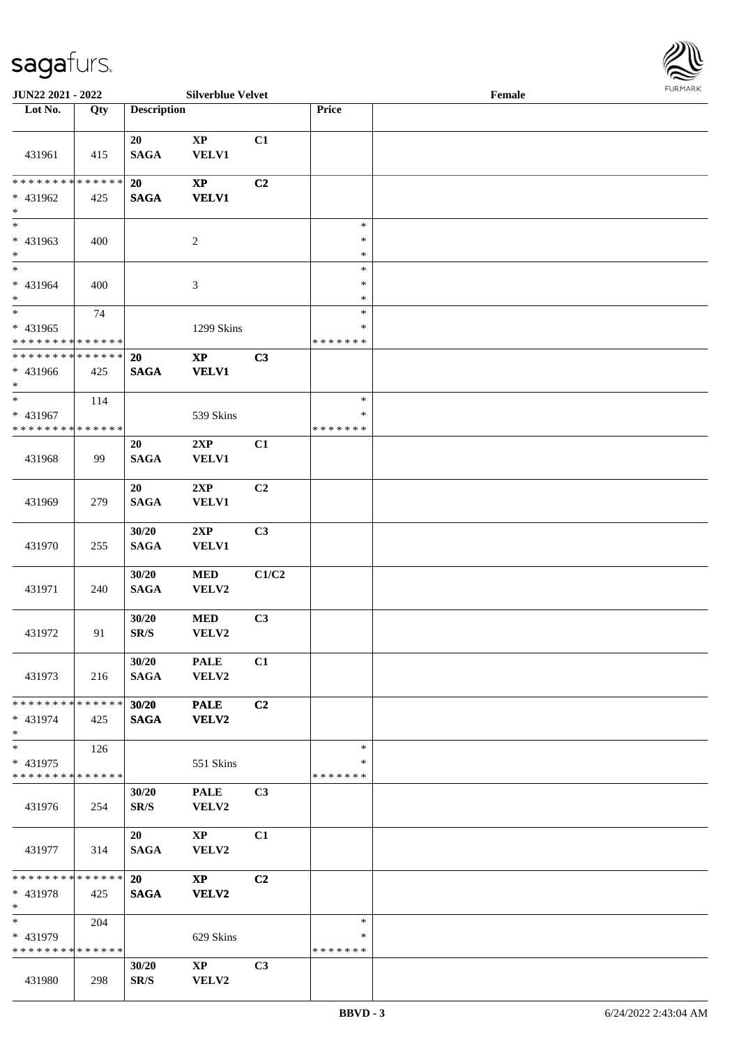

| JUN22 2021 - 2022                                 |     |                                   | <b>Silverblue Velvet</b>               |       |                                   | Female |  |
|---------------------------------------------------|-----|-----------------------------------|----------------------------------------|-------|-----------------------------------|--------|--|
| Lot No.                                           | Qty | <b>Description</b>                |                                        |       | Price                             |        |  |
| 431961                                            | 415 | 20<br>$\mathbf{SAGA}$             | $\bold{XP}$<br>VELV1                   | C1    |                                   |        |  |
| * * * * * * * * * * * * * *<br>* 431962<br>$\ast$ | 425 | 20<br><b>SAGA</b>                 | $\mathbf{X}\mathbf{P}$<br><b>VELV1</b> | C2    |                                   |        |  |
| $\overline{\phantom{0}}$<br>* 431963<br>$*$       | 400 |                                   | $\overline{c}$                         |       | $\ast$<br>$\ast$<br>$\ast$        |        |  |
| $*$<br>* 431964<br>$*$                            | 400 |                                   | $\mathfrak{Z}$                         |       | $\ast$<br>$\ast$<br>$\ast$        |        |  |
| $*$<br>* 431965<br>* * * * * * * * * * * * * *    | 74  |                                   | 1299 Skins                             |       | $\ast$<br>$\ast$<br>* * * * * * * |        |  |
| * * * * * * * * * * * * * *<br>* 431966<br>$*$    | 425 | 20<br><b>SAGA</b>                 | $\bold{XP}$<br><b>VELV1</b>            | C3    |                                   |        |  |
| $*$<br>* 431967<br>* * * * * * * * * * * * * *    | 114 |                                   | 539 Skins                              |       | $\ast$<br>∗<br>* * * * * * *      |        |  |
| 431968                                            | 99  | 20<br><b>SAGA</b>                 | 2XP<br><b>VELV1</b>                    | C1    |                                   |        |  |
| 431969                                            | 279 | 20<br><b>SAGA</b>                 | 2XP<br><b>VELV1</b>                    | C2    |                                   |        |  |
| 431970                                            | 255 | 30/20<br><b>SAGA</b>              | 2XP<br><b>VELV1</b>                    | C3    |                                   |        |  |
| 431971                                            | 240 | 30/20<br><b>SAGA</b>              | $\bf MED$<br>VELV2                     | C1/C2 |                                   |        |  |
| 431972                                            | 91  | 30/20<br>$\mathbf{SR}/\mathbf{S}$ | <b>MED</b><br>VELV2                    | C3    |                                   |        |  |
| 431973                                            | 216 | 30/20<br><b>SAGA</b>              | <b>PALE</b><br>VELV2                   | C1    |                                   |        |  |
| * * * * * * * * * * * * * *<br>$* 431974$<br>$*$  | 425 | 30/20<br><b>SAGA</b>              | <b>PALE</b><br>VELV2                   | C2    |                                   |        |  |
| $*$<br>* 431975<br>* * * * * * * * * * * * * *    | 126 |                                   | 551 Skins                              |       | $\ast$<br>$\ast$<br>* * * * * * * |        |  |
| 431976                                            | 254 | 30/20<br>SR/S                     | <b>PALE</b><br>VELV2                   | C3    |                                   |        |  |
| 431977                                            | 314 | 20<br><b>SAGA</b>                 | $\mathbf{X}\mathbf{P}$<br>VELV2        | C1    |                                   |        |  |
| * * * * * * * * * * * * * * *<br>* 431978<br>$*$  | 425 | 20<br><b>SAGA</b>                 | $\mathbf{X}\mathbf{P}$<br>VELV2        | C2    |                                   |        |  |
| $*$<br>* 431979<br>* * * * * * * * * * * * * *    | 204 |                                   | 629 Skins                              |       | $\ast$<br>∗<br>* * * * * * *      |        |  |
| 431980                                            | 298 | 30/20<br>SR/S                     | $\mathbf{X}\mathbf{P}$<br>VELV2        | C3    |                                   |        |  |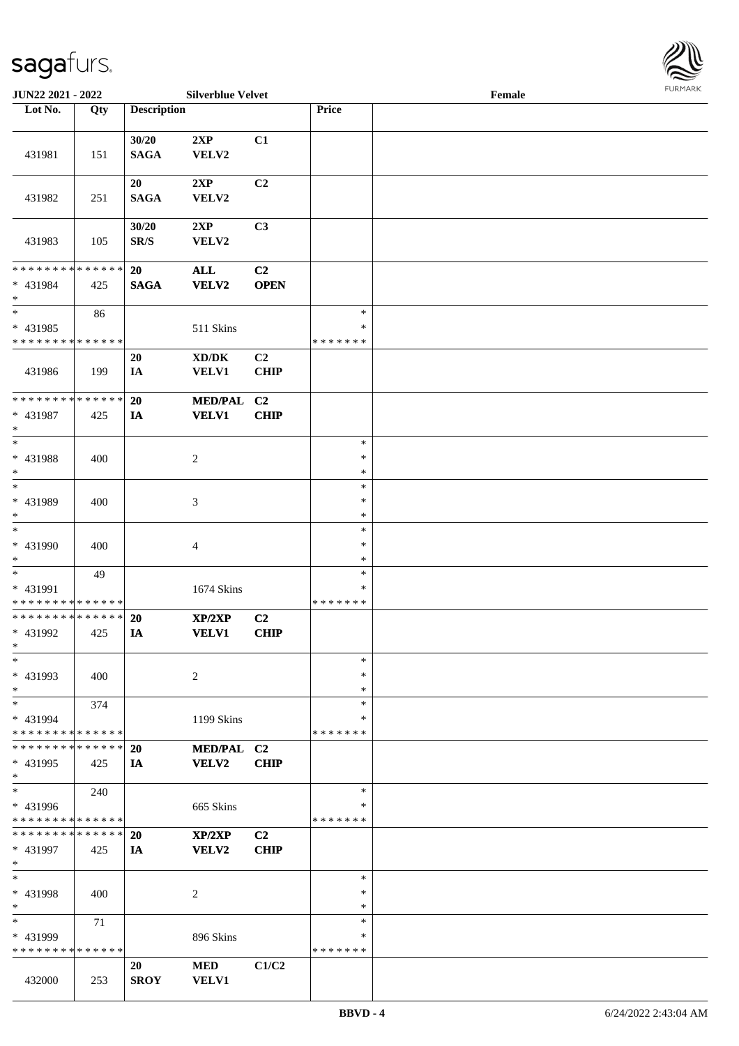

| JUN22 2021 - 2022                       |        |                          | <b>Silverblue Velvet</b>            |                |               | Female |  |
|-----------------------------------------|--------|--------------------------|-------------------------------------|----------------|---------------|--------|--|
| Lot No.                                 | Qty    | <b>Description</b>       |                                     |                | <b>Price</b>  |        |  |
|                                         |        |                          |                                     |                |               |        |  |
|                                         |        | 30/20                    | 2XP                                 | C1             |               |        |  |
| 431981                                  | 151    | <b>SAGA</b>              | VELV2                               |                |               |        |  |
|                                         |        |                          |                                     |                |               |        |  |
|                                         |        | 20                       | 2XP                                 | C2             |               |        |  |
| 431982                                  | 251    | <b>SAGA</b>              | VELV2                               |                |               |        |  |
|                                         |        |                          |                                     |                |               |        |  |
|                                         |        |                          |                                     |                |               |        |  |
|                                         |        | 30/20                    | 2XP                                 | C3             |               |        |  |
| 431983                                  | 105    | $\mathbf{SR}/\mathbf{S}$ | VELV2                               |                |               |        |  |
|                                         |        |                          |                                     |                |               |        |  |
| * * * * * * * * * * * * * *             |        | 20                       | <b>ALL</b>                          | C2             |               |        |  |
| * 431984                                | 425    | <b>SAGA</b>              | <b>VELV2</b>                        | <b>OPEN</b>    |               |        |  |
| $\ast$                                  |        |                          |                                     |                |               |        |  |
| $\ast$                                  | 86     |                          |                                     |                | $\ast$        |        |  |
| * 431985                                |        |                          | 511 Skins                           |                | $\ast$        |        |  |
| * * * * * * * * * * * * * *             |        |                          |                                     |                | * * * * * * * |        |  |
|                                         |        | 20                       | $\bold{X}\bold{D}/\bold{D}\bold{K}$ | C <sub>2</sub> |               |        |  |
| 431986                                  | 199    | IA                       | <b>VELV1</b>                        | <b>CHIP</b>    |               |        |  |
|                                         |        |                          |                                     |                |               |        |  |
| * * * * * * * *                         | ****** | 20                       | <b>MED/PAL</b>                      | C <sub>2</sub> |               |        |  |
| * 431987                                | 425    | IA                       | <b>VELV1</b>                        | CHIP           |               |        |  |
| $\ast$                                  |        |                          |                                     |                |               |        |  |
| $\ast$                                  |        |                          |                                     |                | $\ast$        |        |  |
| * 431988                                | 400    |                          |                                     |                | $\ast$        |        |  |
| $\ast$                                  |        |                          | $\overline{c}$                      |                | $\ast$        |        |  |
| $\ast$                                  |        |                          |                                     |                |               |        |  |
|                                         |        |                          |                                     |                | $\ast$        |        |  |
| * 431989                                | 400    |                          | 3                                   |                | $\ast$        |        |  |
| $\ast$                                  |        |                          |                                     |                | $\ast$        |        |  |
| $\overline{\phantom{1}}$                |        |                          |                                     |                | $\ast$        |        |  |
| * 431990                                | 400    |                          | $\overline{4}$                      |                | $\ast$        |        |  |
| $\ast$                                  |        |                          |                                     |                | $\ast$        |        |  |
| $\ast$                                  | 49     |                          |                                     |                | $\ast$        |        |  |
| * 431991                                |        |                          | 1674 Skins                          |                | $\ast$        |        |  |
| * * * * * * * * * * * * * *             |        |                          |                                     |                | * * * * * * * |        |  |
| **************                          |        | <b>20</b>                | XP/2XP                              | C <sub>2</sub> |               |        |  |
| * 431992                                | 425    | IA                       | <b>VELV1</b>                        | <b>CHIP</b>    |               |        |  |
| $*$                                     |        |                          |                                     |                |               |        |  |
| $\ast$                                  |        |                          |                                     |                | $\ast$        |        |  |
| * 431993                                | 400    |                          | $\overline{c}$                      |                | $\ast$        |        |  |
| $\ast$                                  |        |                          |                                     |                | $\ast$        |        |  |
| $\ast$                                  | 374    |                          |                                     |                | $\ast$        |        |  |
|                                         |        |                          |                                     |                | ∗             |        |  |
| * 431994<br>* * * * * * * * * * * * * * |        |                          | 1199 Skins                          |                | * * * * * * * |        |  |
|                                         |        |                          |                                     |                |               |        |  |
| * * * * * * * * * * * * * *             |        | 20                       | MED/PAL C2                          |                |               |        |  |
| * 431995                                | 425    | IA                       | VELV2                               | <b>CHIP</b>    |               |        |  |
| $\ast$                                  |        |                          |                                     |                |               |        |  |
| $\ast$                                  | 240    |                          |                                     |                | $\ast$        |        |  |
| * 431996                                |        |                          | 665 Skins                           |                | ∗             |        |  |
| * * * * * * * * * * * * * *             |        |                          |                                     |                | * * * * * * * |        |  |
| * * * * * * * * * * * * * * *           |        | 20                       | XP/2XP                              | C2             |               |        |  |
| * 431997                                | 425    | IA                       | VELV2                               | <b>CHIP</b>    |               |        |  |
| $\ast$                                  |        |                          |                                     |                |               |        |  |
| $\ast$                                  |        |                          |                                     |                | $\ast$        |        |  |
| * 431998                                | 400    |                          | 2                                   |                | $\ast$        |        |  |
| $\ast$                                  |        |                          |                                     |                | $\ast$        |        |  |
| $\ast$                                  | 71     |                          |                                     |                | $\ast$        |        |  |
| * 431999                                |        |                          | 896 Skins                           |                | ∗             |        |  |
| * * * * * * * * * * * * * *             |        |                          |                                     |                | * * * * * * * |        |  |
|                                         |        |                          |                                     |                |               |        |  |
|                                         |        | 20                       | <b>MED</b>                          | C1/C2          |               |        |  |
| 432000                                  | 253    | <b>SROY</b>              | VELV1                               |                |               |        |  |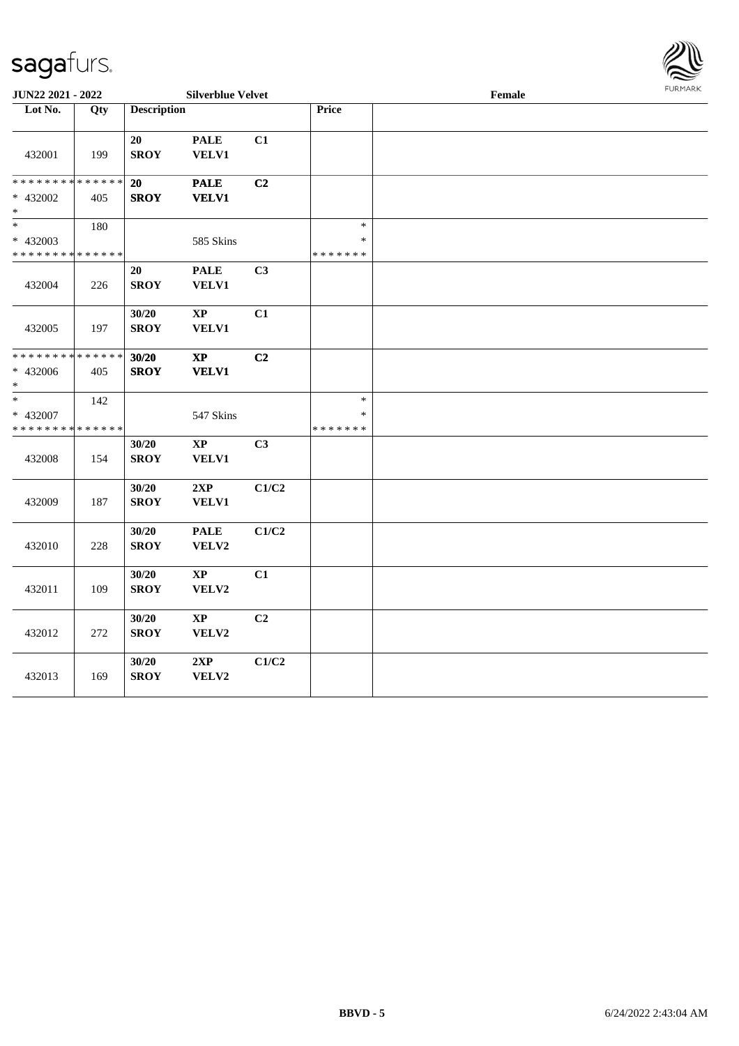

| <b>JUN22 2021 - 2022</b>       |                                                                           |                                                                                                                                                                                                                                        |                                                                                                                                                                                                                                                                                                                   |                                                                                                     | Female | 1011111111 |
|--------------------------------|---------------------------------------------------------------------------|----------------------------------------------------------------------------------------------------------------------------------------------------------------------------------------------------------------------------------------|-------------------------------------------------------------------------------------------------------------------------------------------------------------------------------------------------------------------------------------------------------------------------------------------------------------------|-----------------------------------------------------------------------------------------------------|--------|------------|
| Qty                            |                                                                           |                                                                                                                                                                                                                                        |                                                                                                                                                                                                                                                                                                                   | Price                                                                                               |        |            |
|                                |                                                                           |                                                                                                                                                                                                                                        |                                                                                                                                                                                                                                                                                                                   |                                                                                                     |        |            |
|                                |                                                                           | <b>PALE</b>                                                                                                                                                                                                                            | C1                                                                                                                                                                                                                                                                                                                |                                                                                                     |        |            |
| 199                            | <b>SROY</b>                                                               | VELV1                                                                                                                                                                                                                                  |                                                                                                                                                                                                                                                                                                                   |                                                                                                     |        |            |
|                                |                                                                           |                                                                                                                                                                                                                                        |                                                                                                                                                                                                                                                                                                                   |                                                                                                     |        |            |
| * * * * * * * * * * * * * *    | 20                                                                        | <b>PALE</b>                                                                                                                                                                                                                            | C2                                                                                                                                                                                                                                                                                                                |                                                                                                     |        |            |
| 405                            |                                                                           |                                                                                                                                                                                                                                        |                                                                                                                                                                                                                                                                                                                   |                                                                                                     |        |            |
|                                |                                                                           |                                                                                                                                                                                                                                        |                                                                                                                                                                                                                                                                                                                   |                                                                                                     |        |            |
|                                |                                                                           |                                                                                                                                                                                                                                        |                                                                                                                                                                                                                                                                                                                   | $\ast$                                                                                              |        |            |
|                                |                                                                           |                                                                                                                                                                                                                                        |                                                                                                                                                                                                                                                                                                                   | $\ast$                                                                                              |        |            |
| * * * * * * * * * * * * * *    |                                                                           |                                                                                                                                                                                                                                        |                                                                                                                                                                                                                                                                                                                   | * * * * * * *                                                                                       |        |            |
|                                |                                                                           |                                                                                                                                                                                                                                        |                                                                                                                                                                                                                                                                                                                   |                                                                                                     |        |            |
|                                |                                                                           |                                                                                                                                                                                                                                        |                                                                                                                                                                                                                                                                                                                   |                                                                                                     |        |            |
|                                |                                                                           |                                                                                                                                                                                                                                        |                                                                                                                                                                                                                                                                                                                   |                                                                                                     |        |            |
|                                |                                                                           |                                                                                                                                                                                                                                        |                                                                                                                                                                                                                                                                                                                   |                                                                                                     |        |            |
|                                |                                                                           |                                                                                                                                                                                                                                        |                                                                                                                                                                                                                                                                                                                   |                                                                                                     |        |            |
|                                |                                                                           |                                                                                                                                                                                                                                        |                                                                                                                                                                                                                                                                                                                   |                                                                                                     |        |            |
| * * * * * * * *<br>* * * * * * |                                                                           |                                                                                                                                                                                                                                        |                                                                                                                                                                                                                                                                                                                   |                                                                                                     |        |            |
|                                |                                                                           |                                                                                                                                                                                                                                        |                                                                                                                                                                                                                                                                                                                   |                                                                                                     |        |            |
|                                |                                                                           |                                                                                                                                                                                                                                        |                                                                                                                                                                                                                                                                                                                   |                                                                                                     |        |            |
|                                |                                                                           |                                                                                                                                                                                                                                        |                                                                                                                                                                                                                                                                                                                   | $\ast$                                                                                              |        |            |
|                                |                                                                           |                                                                                                                                                                                                                                        |                                                                                                                                                                                                                                                                                                                   | $\ast$                                                                                              |        |            |
| * * * * * * * *<br>* * * * * * |                                                                           |                                                                                                                                                                                                                                        |                                                                                                                                                                                                                                                                                                                   | * * * * * * *                                                                                       |        |            |
|                                |                                                                           |                                                                                                                                                                                                                                        |                                                                                                                                                                                                                                                                                                                   |                                                                                                     |        |            |
|                                |                                                                           |                                                                                                                                                                                                                                        |                                                                                                                                                                                                                                                                                                                   |                                                                                                     |        |            |
|                                |                                                                           |                                                                                                                                                                                                                                        |                                                                                                                                                                                                                                                                                                                   |                                                                                                     |        |            |
|                                |                                                                           |                                                                                                                                                                                                                                        |                                                                                                                                                                                                                                                                                                                   |                                                                                                     |        |            |
|                                |                                                                           |                                                                                                                                                                                                                                        |                                                                                                                                                                                                                                                                                                                   |                                                                                                     |        |            |
|                                |                                                                           |                                                                                                                                                                                                                                        |                                                                                                                                                                                                                                                                                                                   |                                                                                                     |        |            |
|                                |                                                                           |                                                                                                                                                                                                                                        |                                                                                                                                                                                                                                                                                                                   |                                                                                                     |        |            |
|                                |                                                                           |                                                                                                                                                                                                                                        |                                                                                                                                                                                                                                                                                                                   |                                                                                                     |        |            |
|                                |                                                                           |                                                                                                                                                                                                                                        |                                                                                                                                                                                                                                                                                                                   |                                                                                                     |        |            |
|                                |                                                                           |                                                                                                                                                                                                                                        |                                                                                                                                                                                                                                                                                                                   |                                                                                                     |        |            |
|                                |                                                                           |                                                                                                                                                                                                                                        |                                                                                                                                                                                                                                                                                                                   |                                                                                                     |        |            |
|                                |                                                                           |                                                                                                                                                                                                                                        |                                                                                                                                                                                                                                                                                                                   |                                                                                                     |        |            |
|                                |                                                                           |                                                                                                                                                                                                                                        |                                                                                                                                                                                                                                                                                                                   |                                                                                                     |        |            |
|                                |                                                                           |                                                                                                                                                                                                                                        |                                                                                                                                                                                                                                                                                                                   |                                                                                                     |        |            |
|                                |                                                                           |                                                                                                                                                                                                                                        |                                                                                                                                                                                                                                                                                                                   |                                                                                                     |        |            |
|                                |                                                                           |                                                                                                                                                                                                                                        |                                                                                                                                                                                                                                                                                                                   |                                                                                                     |        |            |
|                                |                                                                           |                                                                                                                                                                                                                                        |                                                                                                                                                                                                                                                                                                                   |                                                                                                     |        |            |
|                                |                                                                           |                                                                                                                                                                                                                                        |                                                                                                                                                                                                                                                                                                                   |                                                                                                     |        |            |
|                                | 180<br>226<br>197<br>405<br>142<br>154<br>187<br>228<br>109<br>272<br>169 | 20<br><b>SROY</b><br>20<br><b>SROY</b><br>30/20<br><b>SROY</b><br>30/20<br><b>SROY</b><br>30/20<br><b>SROY</b><br>30/20<br><b>SROY</b><br>30/20<br><b>SROY</b><br>30/20<br><b>SROY</b><br>30/20<br><b>SROY</b><br>30/20<br><b>SROY</b> | <b>Description</b><br><b>VELV1</b><br>585 Skins<br><b>PALE</b><br><b>VELV1</b><br>$\bold{XP}$<br><b>VELV1</b><br>$\bold{X}\bold{P}$<br><b>VELV1</b><br>547 Skins<br>$\mathbf{XP}$<br><b>VELV1</b><br>2XP<br>VELV1<br><b>PALE</b><br>VELV2<br>$\bold{XP}$<br>VELV2<br>$\bold{XP}$<br>VELV2<br>$2{\bf XP}$<br>VELV2 | <b>Silverblue Velvet</b><br>C3<br>C1<br>C2<br>C <sub>3</sub><br>C1/C2<br>C1/C2<br>C1<br>C2<br>C1/C2 |        |            |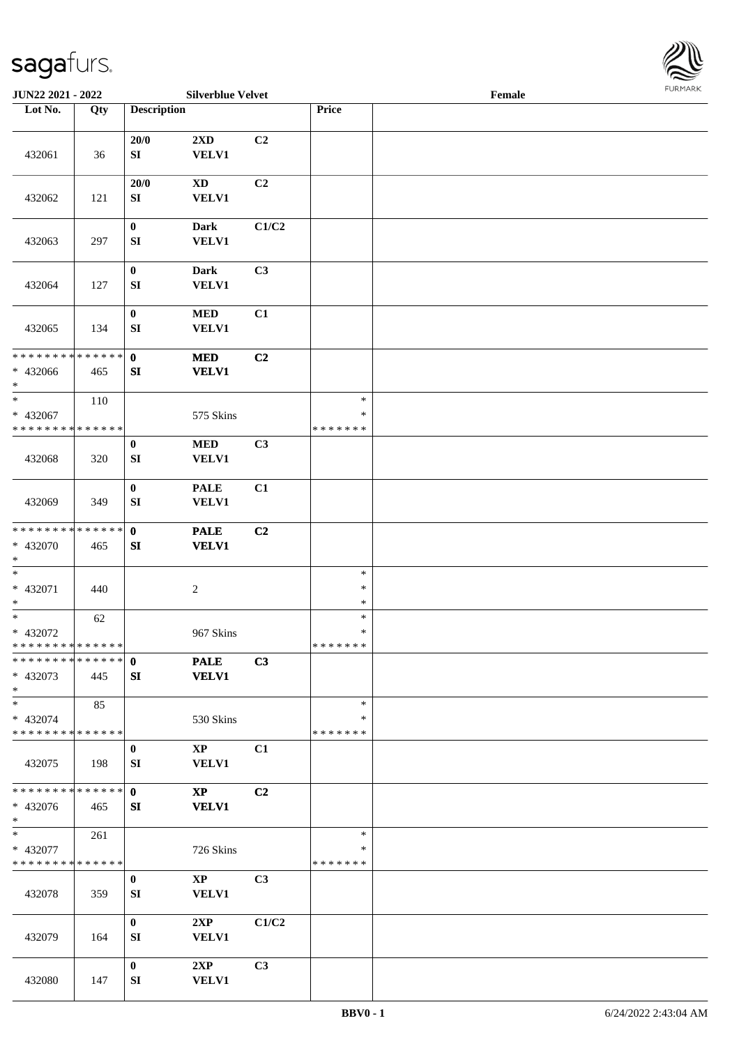

| JUN22 2021 - 2022                                                |     |                                  | <b>Silverblue Velvet</b>               |                |                                   | Female |  |
|------------------------------------------------------------------|-----|----------------------------------|----------------------------------------|----------------|-----------------------------------|--------|--|
| Lot No.                                                          | Qty | <b>Description</b>               |                                        |                | Price                             |        |  |
|                                                                  |     |                                  |                                        |                |                                   |        |  |
| 432061                                                           | 36  | 20/0<br>SI                       | 2XD<br><b>VELV1</b>                    | C2             |                                   |        |  |
| 432062                                                           | 121 | 20/0<br>SI                       | $\mathbf{X}\mathbf{D}$<br><b>VELV1</b> | C2             |                                   |        |  |
| 432063                                                           | 297 | $\bf{0}$<br>${\bf S}{\bf I}$     | <b>Dark</b><br><b>VELV1</b>            | C1/C2          |                                   |        |  |
| 432064                                                           | 127 | $\bf{0}$<br>${\bf S}{\bf I}$     | <b>Dark</b><br><b>VELV1</b>            | C3             |                                   |        |  |
| 432065                                                           | 134 | $\boldsymbol{0}$<br>SI           | <b>MED</b><br>VELV1                    | C1             |                                   |        |  |
| * * * * * * * * * * * * * *<br>* 432066<br>$\ast$                | 465 | $\mathbf{0}$<br>SI               | <b>MED</b><br><b>VELV1</b>             | C2             |                                   |        |  |
| $\ast$<br>* 432067<br>* * * * * * * * <mark>* * * * * * *</mark> | 110 |                                  | 575 Skins                              |                | $\ast$<br>∗<br>* * * * * * *      |        |  |
| 432068                                                           | 320 | $\bf{0}$<br>${\bf S}{\bf I}$     | <b>MED</b><br><b>VELV1</b>             | C3             |                                   |        |  |
| 432069                                                           | 349 | $\pmb{0}$<br>${\bf SI}$          | <b>PALE</b><br><b>VELV1</b>            | C1             |                                   |        |  |
| * * * * * * * * * * * * * *<br>* 432070<br>$*$                   | 465 | $\mathbf{0}$<br>${\bf S}{\bf I}$ | <b>PALE</b><br><b>VELV1</b>            | C2             |                                   |        |  |
| $\ast$<br>$* 432071$<br>$*$                                      | 440 |                                  | $\boldsymbol{2}$                       |                | $\ast$<br>$\ast$<br>$\ast$        |        |  |
| $\ast$<br>* 432072<br>* * * * * * * * * * * * * *                | 62  |                                  | 967 Skins                              |                | $\ast$<br>$\ast$<br>*******       |        |  |
| **************<br>* 432073<br>$*$                                | 445 | $\mathbf{0}$<br>SI               | <b>PALE</b><br><b>VELV1</b>            | C3             |                                   |        |  |
| $*$<br>* 432074<br>* * * * * * * * * * * * * *                   | 85  |                                  | 530 Skins                              |                | $\ast$<br>∗<br>* * * * * * *      |        |  |
| 432075                                                           | 198 | $\mathbf{0}$<br>SI               | $\bold{XP}$<br><b>VELV1</b>            | C1             |                                   |        |  |
| * * * * * * * * * * * * * *<br>* 432076<br>$*$                   | 465 | $\mathbf{0}$<br>SI               | $\mathbf{X}\mathbf{P}$<br><b>VELV1</b> | C2             |                                   |        |  |
| $*$<br>* 432077<br>* * * * * * * * * * * * * *                   | 261 |                                  | 726 Skins                              |                | $\ast$<br>$\ast$<br>* * * * * * * |        |  |
| 432078                                                           | 359 | $\bf{0}$<br>SI                   | $\mathbf{X}\mathbf{P}$<br><b>VELV1</b> | C <sub>3</sub> |                                   |        |  |
| 432079                                                           | 164 | $\bf{0}$<br>SI                   | 2XP<br><b>VELV1</b>                    | C1/C2          |                                   |        |  |
| 432080                                                           | 147 | $\bf{0}$<br>SI                   | 2XP<br><b>VELV1</b>                    | C3             |                                   |        |  |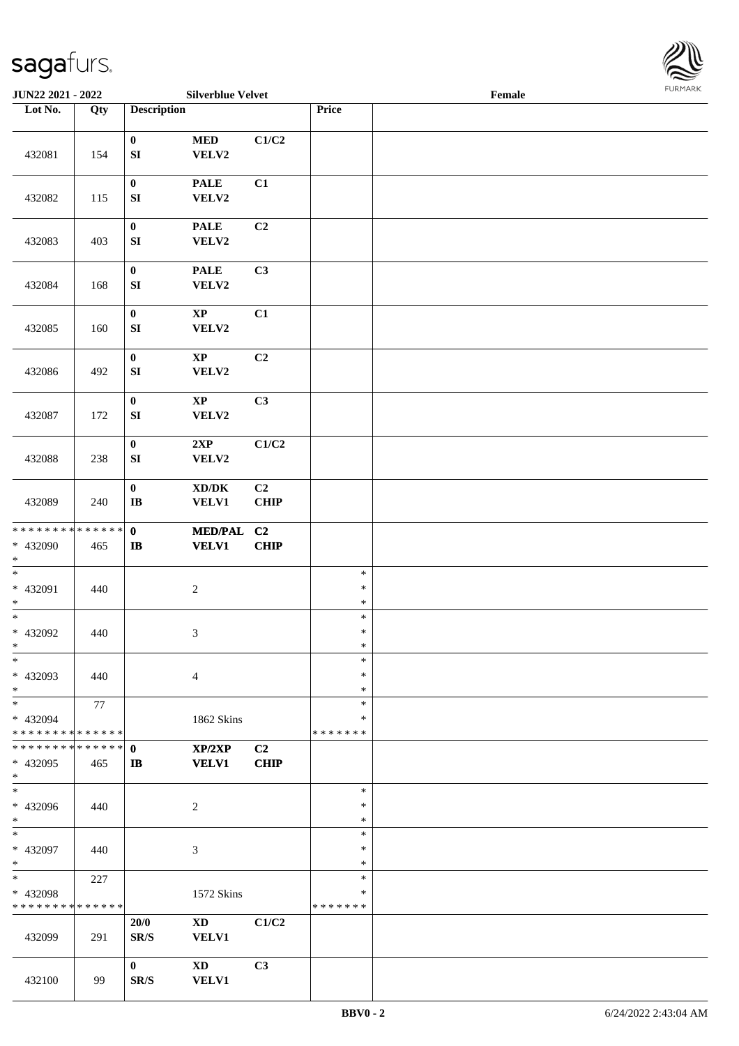

| JUN22 2021 - 2022             |     |                    | <b>Silverblue Velvet</b>            |             |               | Female |  |
|-------------------------------|-----|--------------------|-------------------------------------|-------------|---------------|--------|--|
| Lot No.                       | Qty | <b>Description</b> |                                     |             | Price         |        |  |
|                               |     |                    |                                     |             |               |        |  |
|                               |     | $\mathbf{0}$       | $\bf MED$                           | C1/C2       |               |        |  |
| 432081                        | 154 | ${\bf S}{\bf I}$   | VELV2                               |             |               |        |  |
|                               |     |                    |                                     |             |               |        |  |
|                               |     | $\bf{0}$           | <b>PALE</b>                         | C1          |               |        |  |
| 432082                        | 115 | ${\bf S}{\bf I}$   | VELV2                               |             |               |        |  |
|                               |     |                    |                                     |             |               |        |  |
|                               |     | $\pmb{0}$          | <b>PALE</b>                         | C2          |               |        |  |
| 432083                        | 403 | ${\bf S}{\bf I}$   | VELV2                               |             |               |        |  |
|                               |     |                    |                                     |             |               |        |  |
|                               |     | $\pmb{0}$          | <b>PALE</b>                         | C3          |               |        |  |
| 432084                        | 168 | ${\bf SI}$         | VELV2                               |             |               |        |  |
|                               |     |                    |                                     |             |               |        |  |
|                               |     | $\pmb{0}$          | $\bold{XP}$                         | C1          |               |        |  |
| 432085                        | 160 | ${\bf SI}$         | VELV2                               |             |               |        |  |
|                               |     |                    |                                     |             |               |        |  |
|                               |     | $\mathbf{0}$       | $\bold{XP}$                         | C2          |               |        |  |
| 432086                        | 492 | ${\bf SI}$         | VELV2                               |             |               |        |  |
|                               |     |                    |                                     |             |               |        |  |
|                               |     | $\mathbf{0}$       | $\bold{XP}$                         | C3          |               |        |  |
| 432087                        | 172 | ${\bf S}{\bf I}$   | VELV2                               |             |               |        |  |
|                               |     |                    |                                     |             |               |        |  |
|                               |     | $\pmb{0}$          | 2XP                                 | C1/C2       |               |        |  |
| 432088                        | 238 | ${\bf S}{\bf I}$   | VELV2                               |             |               |        |  |
|                               |     |                    |                                     |             |               |        |  |
|                               |     | $\pmb{0}$          | $\bold{X}\bold{D}/\bold{D}\bold{K}$ | C2          |               |        |  |
| 432089                        | 240 | $\bf I\bf B$       | <b>VELV1</b>                        | <b>CHIP</b> |               |        |  |
|                               |     |                    |                                     |             |               |        |  |
| * * * * * * * * * * * * * *   |     | $\mathbf{0}$       | <b>MED/PAL</b>                      | C2          |               |        |  |
| * 432090                      | 465 | $\bf IB$           | <b>VELV1</b>                        | CHIP        |               |        |  |
| $*$                           |     |                    |                                     |             |               |        |  |
| $\ast$                        |     |                    |                                     |             | $\ast$        |        |  |
| $* 432091$                    | 440 |                    | $\sqrt{2}$                          |             | $\ast$        |        |  |
| $\ast$                        |     |                    |                                     |             | $\ast$        |        |  |
| $*$                           |     |                    |                                     |             | $\ast$        |        |  |
| * 432092                      | 440 |                    | $\boldsymbol{\mathfrak{Z}}$         |             | $\ast$        |        |  |
| $*$                           |     |                    |                                     |             | $\ast$        |        |  |
| $\ast$                        |     |                    |                                     |             | $\ast$        |        |  |
| * 432093                      | 440 |                    |                                     |             | $\ast$        |        |  |
| $*$                           |     |                    | $\overline{4}$                      |             | $\ast$        |        |  |
| $*$                           |     |                    |                                     |             | $\ast$        |        |  |
| * 432094                      | 77  |                    |                                     |             | ∗             |        |  |
| * * * * * * * * * * * * * *   |     |                    | 1862 Skins                          |             | * * * * * * * |        |  |
| * * * * * * * * * * * * * * * |     | $\mathbf 0$        | XP/2XP                              | C2          |               |        |  |
| * 432095                      | 465 | $\mathbf{I}$       | <b>VELV1</b>                        | <b>CHIP</b> |               |        |  |
| $*$                           |     |                    |                                     |             |               |        |  |
| $\overline{\ast}$             |     |                    |                                     |             | $\ast$        |        |  |
| * 432096                      | 440 |                    | $\overline{c}$                      |             | $\ast$        |        |  |
| $*$                           |     |                    |                                     |             | $\ast$        |        |  |
| $*$                           |     |                    |                                     |             | $\ast$        |        |  |
| * 432097                      |     |                    |                                     |             | $\ast$        |        |  |
| $*$                           | 440 |                    | $\mathfrak{Z}$                      |             | $\ast$        |        |  |
| $*$                           | 227 |                    |                                     |             | $\ast$        |        |  |
| * 432098                      |     |                    | 1572 Skins                          |             | $\ast$        |        |  |
| * * * * * * * * * * * * * *   |     |                    |                                     |             | *******       |        |  |
|                               |     | 20/0               | $\mathbf{X}\mathbf{D}$              | C1/C2       |               |        |  |
|                               |     |                    |                                     |             |               |        |  |
| 432099                        | 291 | SR/S               | <b>VELV1</b>                        |             |               |        |  |
|                               |     |                    |                                     |             |               |        |  |
|                               |     | $\bf{0}$           | $\mathbf{X}\mathbf{D}$              | C3          |               |        |  |
| 432100                        | 99  | SR/S               | <b>VELV1</b>                        |             |               |        |  |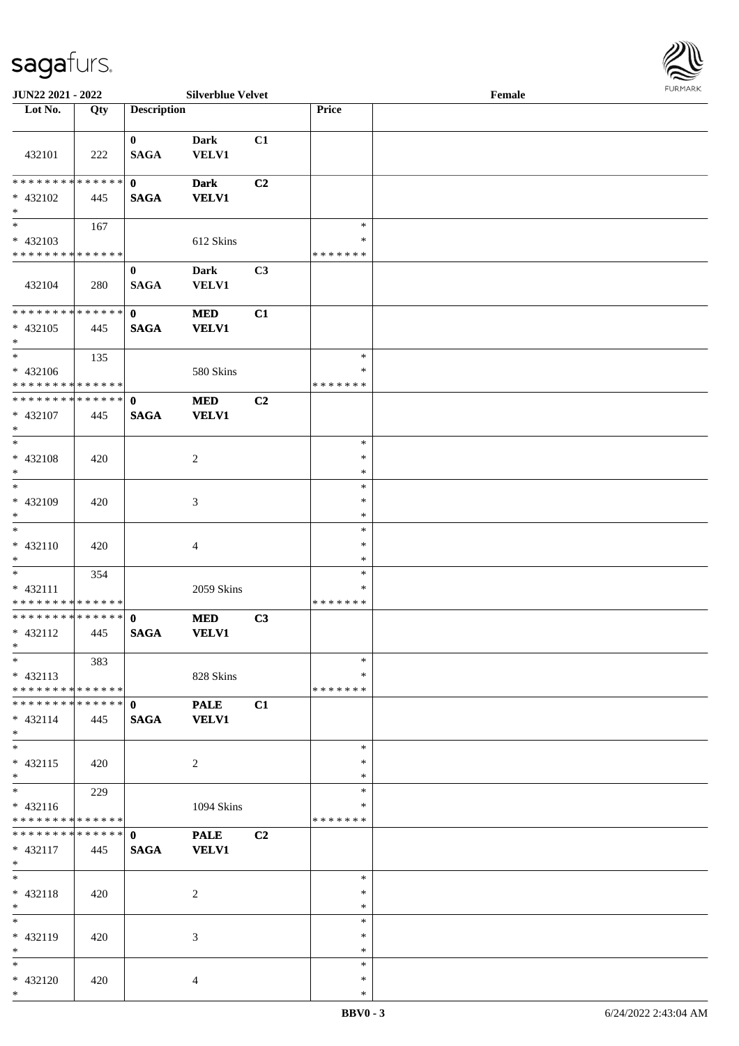

| <b>JUN22 2021 - 2022</b>                    |     |                    | <b>Silverblue Velvet</b> |                |               | Female | <b>FURPIARA</b> |
|---------------------------------------------|-----|--------------------|--------------------------|----------------|---------------|--------|-----------------|
| Lot No.                                     | Qty | <b>Description</b> |                          |                | Price         |        |                 |
|                                             |     |                    |                          |                |               |        |                 |
|                                             |     | $\mathbf{0}$       | <b>Dark</b>              | C1             |               |        |                 |
| 432101                                      | 222 | <b>SAGA</b>        | <b>VELV1</b>             |                |               |        |                 |
|                                             |     |                    |                          |                |               |        |                 |
| * * * * * * * * <mark>* * * * * * *</mark>  |     | $\mathbf{0}$       | <b>Dark</b>              | C2             |               |        |                 |
| * 432102                                    | 445 | <b>SAGA</b>        | <b>VELV1</b>             |                |               |        |                 |
| $*$                                         |     |                    |                          |                |               |        |                 |
| $*$ $*$                                     | 167 |                    |                          |                | $\ast$        |        |                 |
| * 432103                                    |     |                    | 612 Skins                |                | *             |        |                 |
| * * * * * * * * <mark>* * * * * * *</mark>  |     |                    |                          |                | * * * * * * * |        |                 |
|                                             |     | $\bf{0}$           | <b>Dark</b>              | C3             |               |        |                 |
|                                             |     |                    |                          |                |               |        |                 |
| 432104                                      | 280 | <b>SAGA</b>        | <b>VELV1</b>             |                |               |        |                 |
|                                             |     |                    |                          |                |               |        |                 |
|                                             |     | $\mathbf{0}$       | <b>MED</b>               | C1             |               |        |                 |
| * 432105                                    | 445 | <b>SAGA</b>        | <b>VELV1</b>             |                |               |        |                 |
| $*$                                         |     |                    |                          |                |               |        |                 |
| $*$                                         | 135 |                    |                          |                | $\ast$        |        |                 |
| $* 432106$                                  |     |                    | 580 Skins                |                | ∗             |        |                 |
| * * * * * * * * <mark>* * * * * *</mark>    |     |                    |                          |                | * * * * * * * |        |                 |
| * * * * * * * * * * * * * * <mark>*</mark>  |     | $\mathbf{0}$       | <b>MED</b>               | C2             |               |        |                 |
| * 432107                                    | 445 | <b>SAGA</b>        | <b>VELV1</b>             |                |               |        |                 |
| $*$                                         |     |                    |                          |                |               |        |                 |
| $\overline{\phantom{0}}$                    |     |                    |                          |                | $\ast$        |        |                 |
| * 432108                                    | 420 |                    | $\overline{c}$           |                | $\ast$        |        |                 |
| $*$                                         |     |                    |                          |                | $\ast$        |        |                 |
| $*$                                         |     |                    |                          |                | $\ast$        |        |                 |
| * 432109                                    | 420 |                    | 3                        |                | $\ast$        |        |                 |
| $*$                                         |     |                    |                          |                | $\ast$        |        |                 |
| $*$                                         |     |                    |                          |                | $\ast$        |        |                 |
| $* 432110$                                  | 420 |                    | 4                        |                | $\ast$        |        |                 |
| $*$                                         |     |                    |                          |                | $\ast$        |        |                 |
|                                             |     |                    |                          |                | $\ast$        |        |                 |
|                                             | 354 |                    |                          |                | ∗             |        |                 |
| $* 432111$<br>* * * * * * * * * * * * * * * |     |                    | 2059 Skins               |                |               |        |                 |
|                                             |     |                    |                          |                | * * * * * * * |        |                 |
| * * * * * * * * <mark>* * * * * * *</mark>  |     | $\mathbf{0}$       | <b>MED</b>               | C3             |               |        |                 |
| $* 432112$                                  | 445 | <b>SAGA</b>        | <b>VELV1</b>             |                |               |        |                 |
| $*$ $-$                                     |     |                    |                          |                |               |        |                 |
| $*$                                         | 383 |                    |                          |                | $\ast$        |        |                 |
| $* 432113$                                  |     |                    | 828 Skins                |                | ∗             |        |                 |
| * * * * * * * * <mark>* * * * * *</mark>    |     |                    |                          |                | *******       |        |                 |
| * * * * * * * * <mark>* * * * * * *</mark>  |     | $\mathbf{0}$       | <b>PALE</b>              | C1             |               |        |                 |
| $* 432114$                                  | 445 | <b>SAGA</b>        | <b>VELV1</b>             |                |               |        |                 |
| $*$                                         |     |                    |                          |                |               |        |                 |
| $*$                                         |     |                    |                          |                | ∗             |        |                 |
| $* 432115$                                  | 420 |                    | 2                        |                | $\ast$        |        |                 |
| $*$                                         |     |                    |                          |                | $\ast$        |        |                 |
| $*$                                         | 229 |                    |                          |                | $\ast$        |        |                 |
| $* 432116$                                  |     |                    | 1094 Skins               |                | ∗             |        |                 |
| * * * * * * * * <mark>* * * * * * *</mark>  |     |                    |                          |                | *******       |        |                 |
|                                             |     |                    | <b>PALE</b>              | C <sub>2</sub> |               |        |                 |
| * 432117                                    | 445 | <b>SAGA</b>        | <b>VELV1</b>             |                |               |        |                 |
| $*$                                         |     |                    |                          |                |               |        |                 |
| $*$                                         |     |                    |                          |                | $\ast$        |        |                 |
| * 432118                                    | 420 |                    | $\overline{c}$           |                | $\ast$        |        |                 |
| $*$                                         |     |                    |                          |                | $\ast$        |        |                 |
| $*$ $-$                                     |     |                    |                          |                | $\ast$        |        |                 |
| * 432119                                    |     |                    |                          |                | $\ast$        |        |                 |
|                                             | 420 |                    | 3                        |                | $\ast$        |        |                 |
| $*$<br>$*$                                  |     |                    |                          |                | $\ast$        |        |                 |
|                                             |     |                    |                          |                |               |        |                 |
| * 432120                                    | 420 |                    | $\overline{4}$           |                | $\ast$        |        |                 |
| $*$                                         |     |                    |                          |                | $\ast$        |        |                 |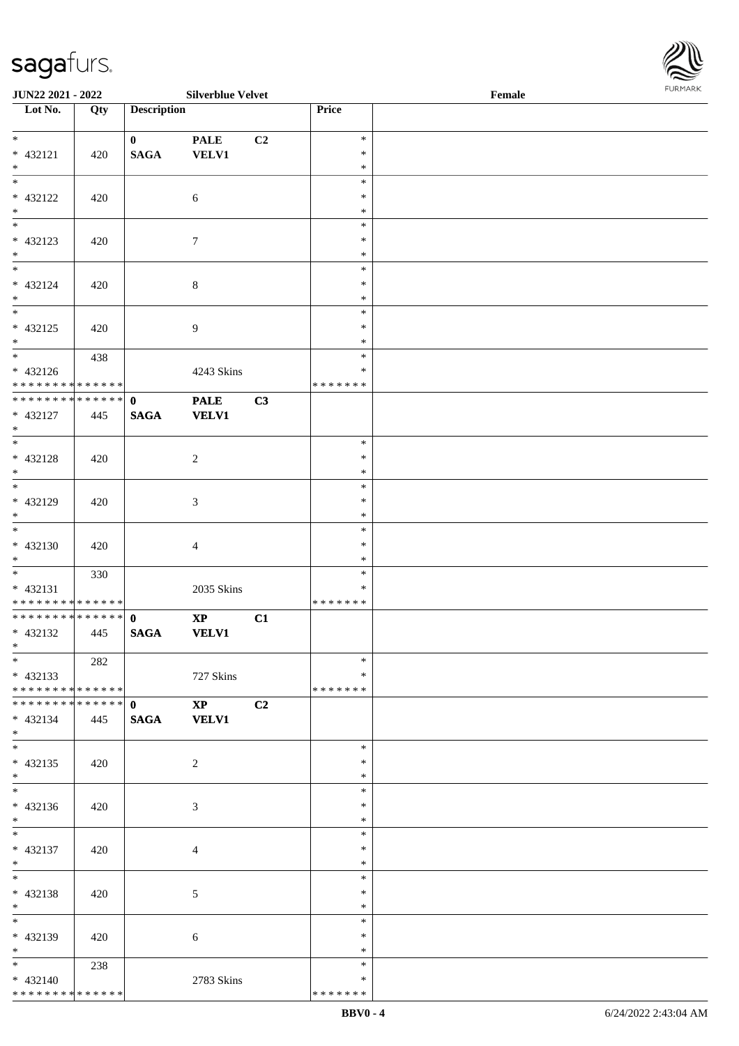

| JUN22 2021 - 2022                |     |                    | <b>Silverblue Velvet</b> |                |               | Female | 1.91511111515 |
|----------------------------------|-----|--------------------|--------------------------|----------------|---------------|--------|---------------|
| $\overline{\phantom{1}}$ Lot No. | Qty | <b>Description</b> |                          |                | Price         |        |               |
|                                  |     |                    |                          |                |               |        |               |
| $*$                              |     | $\mathbf{0}$       | <b>PALE</b>              | C <sub>2</sub> | $\ast$        |        |               |
| * 432121                         | 420 | <b>SAGA</b>        | <b>VELV1</b>             |                | $\ast$        |        |               |
| $*$                              |     |                    |                          |                | $\ast$        |        |               |
| $*$                              |     |                    |                          |                | $\ast$        |        |               |
| * 432122                         | 420 |                    | $\sqrt{6}$               |                | $\ast$        |        |               |
| $*$                              |     |                    |                          |                | $\ast$        |        |               |
|                                  |     |                    |                          |                | $\ast$        |        |               |
| $* 432123$                       | 420 |                    | 7                        |                | $\ast$        |        |               |
| $*$                              |     |                    |                          |                | $\ast$        |        |               |
|                                  |     |                    |                          |                | $\ast$        |        |               |
| * 432124                         | 420 |                    | $\,8\,$                  |                | $\ast$        |        |               |
| $*$                              |     |                    |                          |                | $\ast$        |        |               |
| $\overline{\phantom{0}}$         |     |                    |                          |                | $\ast$        |        |               |
| $* 432125$                       | 420 |                    | 9                        |                | $\ast$        |        |               |
| $*$                              |     |                    |                          |                | $\ast$        |        |               |
| $*$                              | 438 |                    |                          |                | $\ast$        |        |               |
| $* 432126$                       |     |                    | 4243 Skins               |                | $\ast$        |        |               |
| * * * * * * * * * * * * * * *    |     |                    |                          |                | * * * * * * * |        |               |
| ******** <mark>******</mark>     |     | $\mathbf 0$        | <b>PALE</b>              | C3             |               |        |               |
| * 432127                         | 445 | <b>SAGA</b>        | <b>VELV1</b>             |                |               |        |               |
| $*$                              |     |                    |                          |                |               |        |               |
| $*$                              |     |                    |                          |                | $\ast$        |        |               |
| $* 432128$                       | 420 |                    | $\overline{c}$           |                | $\ast$        |        |               |
| $*$                              |     |                    |                          |                | $\ast$        |        |               |
|                                  |     |                    |                          |                | $\ast$        |        |               |
| * 432129                         | 420 |                    | 3                        |                | $\ast$        |        |               |
| $*$                              |     |                    |                          |                | $\ast$        |        |               |
| $*$                              |     |                    |                          |                | $\ast$        |        |               |
| $* 432130$                       | 420 |                    | 4                        |                | $\ast$        |        |               |
| $*$                              |     |                    |                          |                | $\ast$        |        |               |
| $*$                              | 330 |                    |                          |                | $\ast$        |        |               |
| $* 432131$                       |     |                    | 2035 Skins               |                | ∗             |        |               |
| * * * * * * * * * * * * * *      |     |                    |                          |                | *******       |        |               |
| ******** <mark>******</mark>     |     | $\mathbf{0}$       | $\mathbf{X}\mathbf{P}$   | C1             |               |        |               |
| $* 432132$                       | 445 | <b>SAGA</b>        | <b>VELV1</b>             |                |               |        |               |
| $*$ $*$                          |     |                    |                          |                |               |        |               |
| $*$                              | 282 |                    |                          |                | $\ast$        |        |               |
| $* 432133$                       |     |                    | 727 Skins                |                | ∗             |        |               |
| * * * * * * * * * * * * * * *    |     |                    |                          |                | * * * * * * * |        |               |
| * * * * * * * * * * * * * * *    |     | $\mathbf{0}$       | $\mathbf{X}\mathbf{P}$   | C <sub>2</sub> |               |        |               |
| $* 432134$                       | 445 | <b>SAGA</b>        | <b>VELV1</b>             |                |               |        |               |
| $*$<br>$*$                       |     |                    |                          |                |               |        |               |
|                                  |     |                    |                          |                | $\ast$        |        |               |
| $* 432135$                       | 420 |                    | 2                        |                | ∗             |        |               |
| $*$<br>$\overline{\phantom{0}}$  |     |                    |                          |                | $\ast$        |        |               |
|                                  |     |                    |                          |                | $\ast$        |        |               |
| $* 432136$                       | 420 |                    | 3                        |                | $\ast$        |        |               |
| $*$                              |     |                    |                          |                | $\ast$        |        |               |
| $*$                              |     |                    |                          |                | $\ast$        |        |               |
| $* 432137$                       | 420 |                    | 4                        |                | $\ast$        |        |               |
| $*$                              |     |                    |                          |                | $\ast$        |        |               |
| $*$                              |     |                    |                          |                | $\ast$        |        |               |
| * 432138                         | 420 |                    | 5                        |                | $\ast$        |        |               |
| $*$                              |     |                    |                          |                | $\ast$        |        |               |
| $*$                              |     |                    |                          |                | $\ast$        |        |               |
| * 432139                         | 420 |                    | 6                        |                | $\ast$        |        |               |
| $*$ $*$                          |     |                    |                          |                | $\ast$        |        |               |
| $*$ $*$                          | 238 |                    |                          |                | ∗             |        |               |
| $* 432140$                       |     |                    | 2783 Skins               |                | ∗             |        |               |
| * * * * * * * * * * * * * *      |     |                    |                          |                | * * * * * * * |        |               |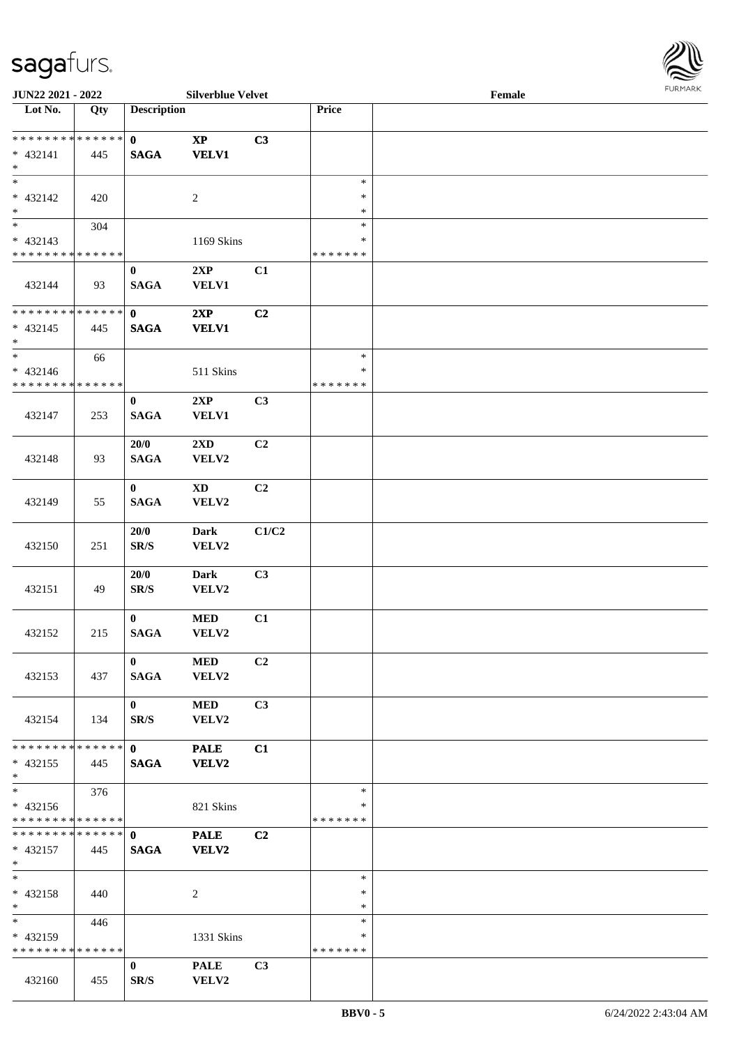| <b>JUN22 2021 - 2022</b>                   |     |                      | <b>Silverblue Velvet</b>         |                |               | Female |  |
|--------------------------------------------|-----|----------------------|----------------------------------|----------------|---------------|--------|--|
| Lot No.                                    | Qty | <b>Description</b>   |                                  |                | Price         |        |  |
| **************                             |     |                      |                                  |                |               |        |  |
|                                            |     | $\mathbf{0}$         | $\bold{XP}$                      | C3             |               |        |  |
| $* 432141$<br>$*$                          | 445 | <b>SAGA</b>          | <b>VELV1</b>                     |                |               |        |  |
|                                            |     |                      |                                  |                | $\ast$        |        |  |
| $* 432142$                                 | 420 |                      | 2                                |                | $\ast$        |        |  |
| $\ast$                                     |     |                      |                                  |                | $\ast$        |        |  |
| $\overline{\phantom{0}}$                   | 304 |                      |                                  |                | $\ast$        |        |  |
| $* 432143$                                 |     |                      | 1169 Skins                       |                | $\ast$        |        |  |
| * * * * * * * * * * * * * *                |     |                      |                                  |                | * * * * * * * |        |  |
|                                            |     | $\bf{0}$             | 2XP                              | C1             |               |        |  |
| 432144                                     | 93  | <b>SAGA</b>          | <b>VELV1</b>                     |                |               |        |  |
|                                            |     |                      |                                  |                |               |        |  |
| * * * * * * * * <mark>* * * * * * *</mark> |     | $\mathbf{0}$         | 2XP                              | C2             |               |        |  |
| * 432145                                   | 445 | <b>SAGA</b>          | <b>VELV1</b>                     |                |               |        |  |
| $\ast$                                     |     |                      |                                  |                |               |        |  |
| $\ast$                                     | 66  |                      |                                  |                | $\ast$        |        |  |
| $* 432146$                                 |     |                      | 511 Skins                        |                | $\ast$        |        |  |
| * * * * * * * * * * * * * * *              |     |                      |                                  |                | * * * * * * * |        |  |
|                                            |     | $\bf{0}$             | 2XP                              | C3             |               |        |  |
| 432147                                     | 253 | <b>SAGA</b>          | <b>VELV1</b>                     |                |               |        |  |
|                                            |     | 20/0                 |                                  | C <sub>2</sub> |               |        |  |
| 432148                                     | 93  | <b>SAGA</b>          | $2\mathbf{X}\mathbf{D}$<br>VELV2 |                |               |        |  |
|                                            |     |                      |                                  |                |               |        |  |
|                                            |     | $\bf{0}$             | XD                               | C2             |               |        |  |
| 432149                                     | 55  | <b>SAGA</b>          | VELV2                            |                |               |        |  |
|                                            |     |                      |                                  |                |               |        |  |
|                                            |     | 20/0                 | <b>Dark</b>                      | C1/C2          |               |        |  |
| 432150                                     | 251 | SR/S                 | VELV2                            |                |               |        |  |
|                                            |     |                      |                                  |                |               |        |  |
|                                            |     | 20/0                 | <b>Dark</b>                      | C3             |               |        |  |
| 432151                                     | 49  | SR/S                 | VELV2                            |                |               |        |  |
|                                            |     |                      |                                  |                |               |        |  |
|                                            |     | $\mathbf{0}$         | $\bf MED$                        | C1             |               |        |  |
| 432152                                     | 215 | <b>SAGA</b>          | VELV2                            |                |               |        |  |
|                                            |     |                      |                                  |                |               |        |  |
|                                            | 437 | $\mathbf{0}$<br>SAGA | <b>MED</b><br><b>VELV2</b>       | C2             |               |        |  |
| 432153                                     |     |                      |                                  |                |               |        |  |
|                                            |     | $\mathbf{0}$         | <b>MED</b>                       | C3             |               |        |  |
| 432154                                     | 134 | SR/S                 | VELV2                            |                |               |        |  |
|                                            |     |                      |                                  |                |               |        |  |
| * * * * * * * * * * * * * * <mark>*</mark> |     | $\mathbf{0}$         | <b>PALE</b>                      | C1             |               |        |  |
| $* 432155$                                 | 445 | <b>SAGA</b>          | <b>VELV2</b>                     |                |               |        |  |
| $*$                                        |     |                      |                                  |                |               |        |  |
| $\overline{\mathbf{r}^*}$                  | 376 |                      |                                  |                | $\ast$        |        |  |
| $* 432156$                                 |     |                      | 821 Skins                        |                | ∗             |        |  |
| * * * * * * * * <mark>* * * * * *</mark>   |     |                      |                                  |                | *******       |        |  |
|                                            |     |                      | <b>PALE</b>                      | C <sub>2</sub> |               |        |  |
| $* 432157$                                 | 445 | <b>SAGA</b>          | <b>VELV2</b>                     |                |               |        |  |
| $*$<br>$*$ $-$                             |     |                      |                                  |                | $\ast$        |        |  |
| $* 432158$                                 | 440 |                      | 2                                |                | $\ast$        |        |  |
| $*$                                        |     |                      |                                  |                | $\ast$        |        |  |
| $*$ and $*$                                | 446 |                      |                                  |                | $\ast$        |        |  |
| * 432159                                   |     |                      | 1331 Skins                       |                | ∗             |        |  |
| * * * * * * * * * * * * * * *              |     |                      |                                  |                | *******       |        |  |
|                                            |     | $\mathbf{0}$         | <b>PALE</b>                      | C3             |               |        |  |
| 432160                                     | 455 | SR/S                 | VELV2                            |                |               |        |  |

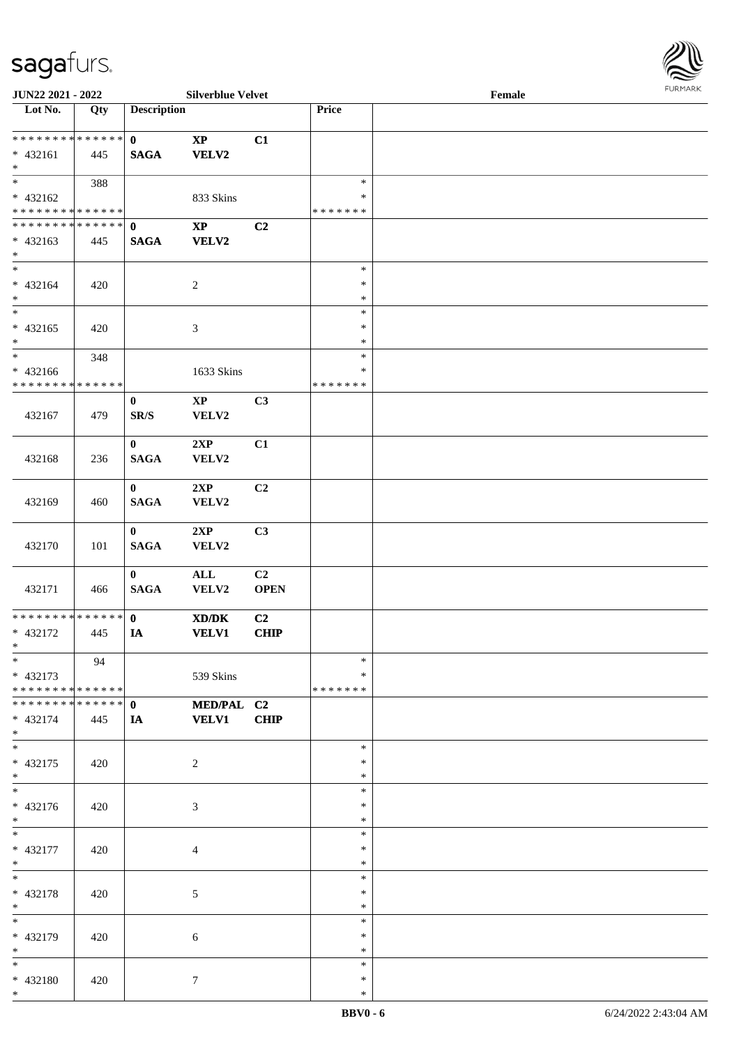

| JUN22 2021 - 2022                                              |                   |                             | <b>Silverblue Velvet</b>                                                                                             |                               |                                   | Female |  |
|----------------------------------------------------------------|-------------------|-----------------------------|----------------------------------------------------------------------------------------------------------------------|-------------------------------|-----------------------------------|--------|--|
| Lot No.                                                        | $\overline{Q}$ ty | <b>Description</b>          |                                                                                                                      |                               | Price                             |        |  |
| ******** <mark>******</mark><br>$* 432161$<br>$*$              | 445               | $\mathbf{0}$<br><b>SAGA</b> | $\mathbf{X}\mathbf{P}$<br><b>VELV2</b>                                                                               | C1                            |                                   |        |  |
| $\overline{\ast}$<br>$* 432162$<br>* * * * * * * * * * * * * * | 388               |                             | 833 Skins                                                                                                            |                               | $\ast$<br>∗<br>* * * * * * *      |        |  |
| **************<br>$* 432163$<br>$*$                            | 445               | $\mathbf{0}$<br><b>SAGA</b> | $\bold{XP}$<br><b>VELV2</b>                                                                                          | C2                            |                                   |        |  |
| $\overline{\phantom{0}}$<br>$* 432164$<br>$*$                  | 420               |                             | $\boldsymbol{2}$                                                                                                     |                               | $\ast$<br>$\ast$<br>$\ast$        |        |  |
| $\overline{\ast}$<br>$* 432165$<br>$*$                         | 420               |                             | $\mathfrak{Z}$                                                                                                       |                               | $\ast$<br>$\ast$<br>$\ast$        |        |  |
| $*$<br>$* 432166$<br>* * * * * * * * * * * * * *               | 348               |                             | 1633 Skins                                                                                                           |                               | $\ast$<br>$\ast$<br>* * * * * * * |        |  |
| 432167                                                         | 479               | $\bf{0}$<br>SR/S            | $\mathbf{X}\mathbf{P}$<br>VELV2                                                                                      | C3                            |                                   |        |  |
| 432168                                                         | 236               | $\bf{0}$<br><b>SAGA</b>     | 2XP<br>VELV2                                                                                                         | C1                            |                                   |        |  |
| 432169                                                         | 460               | $\bf{0}$<br><b>SAGA</b>     | 2XP<br>VELV2                                                                                                         | C2                            |                                   |        |  |
| 432170                                                         | 101               | $\mathbf{0}$<br><b>SAGA</b> | 2XP<br>VELV2                                                                                                         | C3                            |                                   |        |  |
| 432171                                                         | 466               | $\mathbf{0}$<br><b>SAGA</b> | $\mathbf{ALL}$<br>VELV2                                                                                              | C2<br><b>OPEN</b>             |                                   |        |  |
| ******** <mark>******</mark><br>* 432172<br>$*$                | 445               | $\mathbf{0}$<br>IA          | $\boldsymbol{\text{X}}\boldsymbol{\text{D}}\boldsymbol{/}\boldsymbol{\text{D}}\boldsymbol{\text{K}}$<br><b>VELV1</b> | C <sub>2</sub><br><b>CHIP</b> |                                   |        |  |
| $*$<br>$* 432173$<br>* * * * * * * * * * * * * * *             | 94                |                             | 539 Skins                                                                                                            |                               | $\ast$<br>∗<br>* * * * * * *      |        |  |
| * * * * * * * * * * * * * * *<br>* 432174<br>$*$               | 445               | $\mathbf{0}$<br>IA          | MED/PAL C2<br><b>VELV1</b>                                                                                           | <b>CHIP</b>                   |                                   |        |  |
| $\overline{\phantom{0}}$<br>* 432175<br>$*$                    | 420               |                             | 2                                                                                                                    |                               | $\ast$<br>∗<br>$\ast$             |        |  |
| $\overline{\ast}$<br>* 432176<br>$*$ $-$                       | 420               |                             | 3                                                                                                                    |                               | $\ast$<br>∗<br>$\ast$             |        |  |
| $*$ $*$<br>$* 432177$<br>$*$                                   | 420               |                             | $\overline{4}$                                                                                                       |                               | $\ast$<br>$\ast$<br>$\ast$        |        |  |
| $*$<br>* 432178<br>$*$                                         | 420               |                             | 5                                                                                                                    |                               | $\ast$<br>$\ast$<br>$\ast$        |        |  |
| $\ast$<br>* 432179<br>$*$                                      | 420               |                             | 6                                                                                                                    |                               | $\ast$<br>∗<br>$\ast$             |        |  |
| $*$<br>* 432180<br>$*$                                         | 420               |                             | $\tau$                                                                                                               |                               | $\ast$<br>$\ast$<br>$\ast$        |        |  |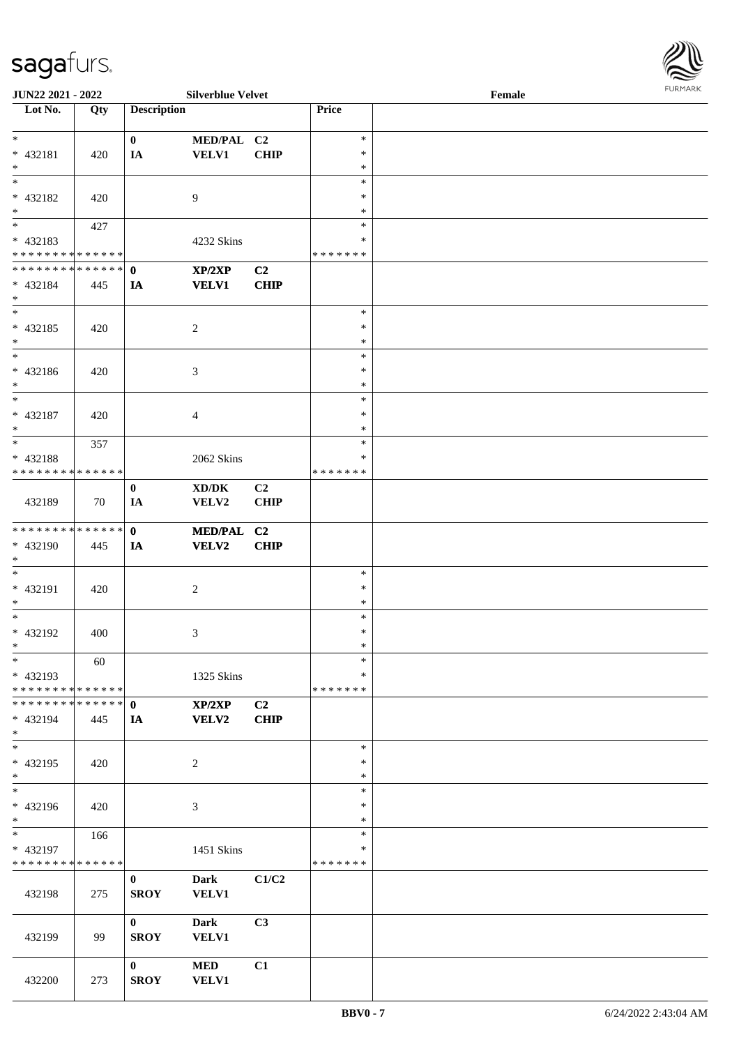| JUN22 2021 - 2022                                            |     |                    | <b>Silverblue Velvet</b>            |             |               | Female | <b>FURMARK</b> |
|--------------------------------------------------------------|-----|--------------------|-------------------------------------|-------------|---------------|--------|----------------|
| Lot No.                                                      | Qty | <b>Description</b> |                                     |             | Price         |        |                |
| $\ast$                                                       |     | $\bf{0}$           | MED/PAL C2                          |             | $\ast$        |        |                |
| * 432181                                                     | 420 | IA                 | VELV1                               | CHIP        | ∗             |        |                |
| $\ast$                                                       |     |                    |                                     |             | $\ast$        |        |                |
| $\frac{1}{*}$                                                |     |                    |                                     |             | $\ast$        |        |                |
| $* 432182$                                                   | 420 |                    | $\overline{9}$                      |             | $\ast$        |        |                |
| $*$                                                          |     |                    |                                     |             | $\ast$        |        |                |
| $_{\ast}^{-}$                                                | 427 |                    |                                     |             | $\ast$        |        |                |
| * 432183                                                     |     |                    | 4232 Skins                          |             | $\ast$        |        |                |
| * * * * * * * * <mark>* * * * * * *</mark>                   |     |                    |                                     |             | *******       |        |                |
| **************                                               |     | $\mathbf{0}$       | XP/2XP                              | C2          |               |        |                |
| * 432184<br>$*$                                              | 445 | IA                 | <b>VELV1</b>                        | CHIP        |               |        |                |
| $\ast$                                                       |     |                    |                                     |             | $\ast$        |        |                |
| * 432185                                                     | 420 |                    | $\sqrt{2}$                          |             | $\ast$        |        |                |
| $*$                                                          |     |                    |                                     |             | $\ast$        |        |                |
| $\overline{\phantom{a}^*}$                                   |     |                    |                                     |             | $\ast$        |        |                |
| * 432186                                                     | 420 |                    | 3                                   |             | $\ast$        |        |                |
| $\ast$                                                       |     |                    |                                     |             | $\ast$        |        |                |
| $\ast$                                                       |     |                    |                                     |             | $\ast$        |        |                |
| * 432187                                                     | 420 |                    | 4                                   |             | $\ast$        |        |                |
| $\ast$<br>$\overline{\phantom{0}}$                           |     |                    |                                     |             | $\ast$        |        |                |
|                                                              | 357 |                    |                                     |             | $\ast$        |        |                |
| * 432188<br>* * * * * * * * * * * * * *                      |     |                    | 2062 Skins                          |             | *<br>*******  |        |                |
|                                                              |     | $\bf{0}$           | $\bold{X}\bold{D}/\bold{D}\bold{K}$ | C2          |               |        |                |
| 432189                                                       | 70  | IA                 | VELV2                               | CHIP        |               |        |                |
|                                                              |     |                    |                                     |             |               |        |                |
| **************                                               |     | $\mathbf{0}$       | MED/PAL C2                          |             |               |        |                |
| * 432190                                                     | 445 | IA                 | <b>VELV2</b>                        | CHIP        |               |        |                |
| $\ast$                                                       |     |                    |                                     |             |               |        |                |
| $\ast$                                                       |     |                    |                                     |             | $\ast$        |        |                |
| * 432191                                                     | 420 |                    | $\sqrt{2}$                          |             | $\ast$        |        |                |
| $\ast$                                                       |     |                    |                                     |             | $\ast$        |        |                |
| $\ast$                                                       |     |                    |                                     |             | $\ast$        |        |                |
| * 432192                                                     | 400 |                    | 3                                   |             | $\ast$        |        |                |
| $\ast$                                                       |     |                    |                                     |             | $\ast$        |        |                |
| $\ast$                                                       | 60  |                    |                                     |             | $\ast$        |        |                |
| * 432193                                                     |     |                    | 1325 Skins                          |             | *             |        |                |
| * * * * * * * * * * * * * *<br>* * * * * * * * * * * * * * * |     |                    |                                     |             | * * * * * * * |        |                |
|                                                              |     | $\mathbf{0}$       | XP/2XP                              | C2          |               |        |                |
| * 432194<br>$*$                                              | 445 | IA                 | <b>VELV2</b>                        | <b>CHIP</b> |               |        |                |
| $\overline{\ast}$                                            |     |                    |                                     |             | $\ast$        |        |                |
| * 432195                                                     | 420 |                    | $\overline{2}$                      |             | $\ast$        |        |                |
| $\ast$                                                       |     |                    |                                     |             | $\ast$        |        |                |
| $\ast$                                                       |     |                    |                                     |             | $\ast$        |        |                |
| * 432196                                                     | 420 |                    | 3                                   |             | $\ast$        |        |                |
| $\ast$                                                       |     |                    |                                     |             | $\ast$        |        |                |
| $\ast$                                                       | 166 |                    |                                     |             | $\ast$        |        |                |
| * 432197                                                     |     |                    | 1451 Skins                          |             | $\ast$        |        |                |
| * * * * * * * * * * * * * *                                  |     |                    |                                     |             | *******       |        |                |
|                                                              |     | $\bf{0}$           | <b>Dark</b>                         | C1/C2       |               |        |                |
| 432198                                                       | 275 | <b>SROY</b>        | <b>VELV1</b>                        |             |               |        |                |
|                                                              |     | $\bf{0}$           | <b>Dark</b>                         | C3          |               |        |                |
| 432199                                                       | 99  | <b>SROY</b>        | <b>VELV1</b>                        |             |               |        |                |
|                                                              |     |                    |                                     |             |               |        |                |
|                                                              |     | $\mathbf{0}$       | $\bf MED$                           | C1          |               |        |                |
| 432200                                                       | 273 | <b>SROY</b>        | <b>VELV1</b>                        |             |               |        |                |

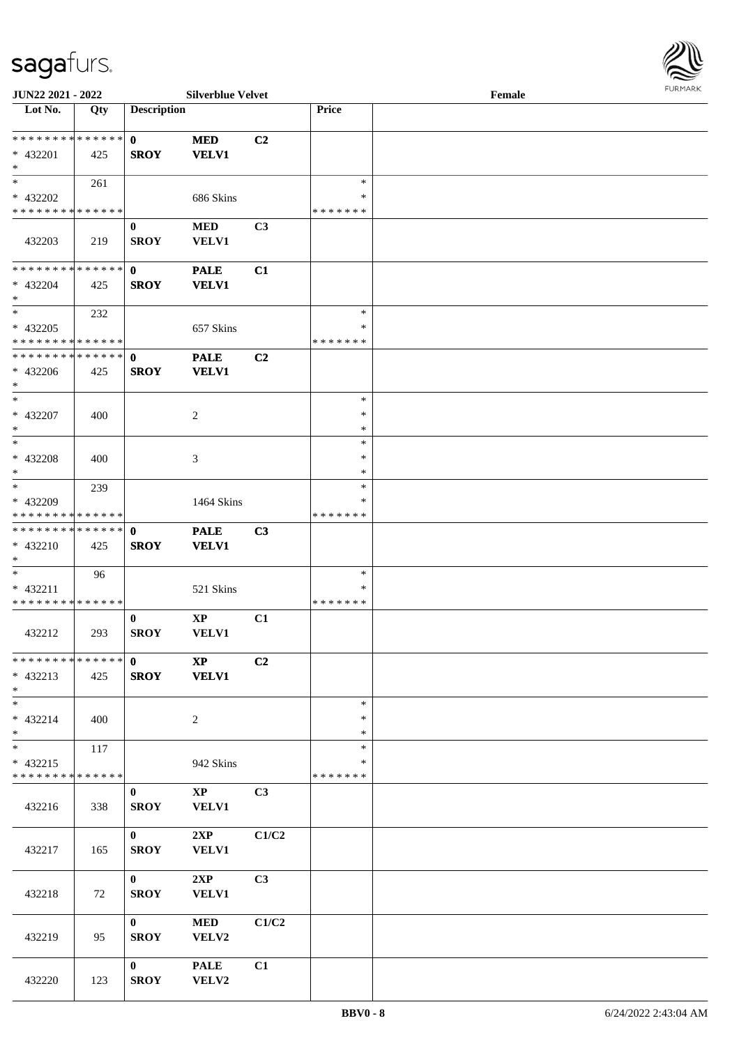

| JUN22 2021 - 2022             |     |                    | <b>Silverblue Velvet</b> |                |               | Female |  |
|-------------------------------|-----|--------------------|--------------------------|----------------|---------------|--------|--|
| Lot No.                       | Qty | <b>Description</b> |                          |                | Price         |        |  |
|                               |     |                    |                          |                |               |        |  |
| * * * * * * * * * * * * * * * |     | $\mathbf{0}$       | <b>MED</b>               | C2             |               |        |  |
| * 432201                      | 425 | <b>SROY</b>        | <b>VELV1</b>             |                |               |        |  |
| $*$                           |     |                    |                          |                |               |        |  |
| $*$                           | 261 |                    |                          |                | $\ast$        |        |  |
| * 432202                      |     |                    | 686 Skins                |                | *             |        |  |
| * * * * * * * * * * * * * *   |     |                    |                          |                | *******       |        |  |
|                               |     | $\bf{0}$           | <b>MED</b>               | C3             |               |        |  |
| 432203                        | 219 | <b>SROY</b>        | VELV1                    |                |               |        |  |
| * * * * * * * * * * * * * * * |     |                    |                          |                |               |        |  |
| * 432204                      |     | $\mathbf{0}$       | <b>PALE</b>              | C1             |               |        |  |
| $*$                           | 425 | <b>SROY</b>        | <b>VELV1</b>             |                |               |        |  |
| $*$                           | 232 |                    |                          |                | $\ast$        |        |  |
| * 432205                      |     |                    | 657 Skins                |                | $\ast$        |        |  |
| * * * * * * * * * * * * * *   |     |                    |                          |                | *******       |        |  |
| * * * * * * * * * * * * * * * |     | $\mathbf{0}$       | <b>PALE</b>              | C2             |               |        |  |
| $* 432206$                    | 425 | <b>SROY</b>        | <b>VELV1</b>             |                |               |        |  |
| $*$                           |     |                    |                          |                |               |        |  |
| $*$                           |     |                    |                          |                | $\ast$        |        |  |
| $* 432207$                    | 400 |                    | 2                        |                | $\ast$        |        |  |
| $*$                           |     |                    |                          |                | $\ast$        |        |  |
| $*$                           |     |                    |                          |                | $\ast$        |        |  |
| $* 432208$                    | 400 |                    | 3                        |                | $\ast$        |        |  |
| $*$                           |     |                    |                          |                | $\ast$        |        |  |
| $*$                           | 239 |                    |                          |                | $\ast$        |        |  |
| * 432209                      |     |                    | 1464 Skins               |                | ∗             |        |  |
| * * * * * * * * * * * * * *   |     |                    |                          |                | * * * * * * * |        |  |
| * * * * * * * * * * * * * * * |     | $\mathbf{0}$       | <b>PALE</b>              | C3             |               |        |  |
| * 432210                      | 425 | <b>SROY</b>        | <b>VELV1</b>             |                |               |        |  |
| $*$                           |     |                    |                          |                |               |        |  |
| $*$                           | 96  |                    |                          |                | $\ast$        |        |  |
| * 432211                      |     |                    | 521 Skins                |                | ∗             |        |  |
| * * * * * * * * * * * * * *   |     |                    |                          |                | *******       |        |  |
|                               |     | $\bf{0}$           | $\bold{XP}$              | C1             |               |        |  |
| 432212                        | 293 | <b>SROY</b>        | VELV1                    |                |               |        |  |
|                               |     |                    |                          |                |               |        |  |
| * * * * * * * * * * * * * * * |     | $\mathbf{0}$       | $\mathbf{X} \mathbf{P}$  | C2             |               |        |  |
| $* 432213$<br>$*$             | 425 | <b>SROY</b>        | <b>VELV1</b>             |                |               |        |  |
| $*$                           |     |                    |                          |                | $\ast$        |        |  |
| * 432214                      |     |                    | $\sqrt{2}$               |                | $\ast$        |        |  |
| $*$                           | 400 |                    |                          |                | $\ast$        |        |  |
| $*$                           | 117 |                    |                          |                | $\ast$        |        |  |
| $* 432215$                    |     |                    | 942 Skins                |                | $\ast$        |        |  |
| * * * * * * * * * * * * * *   |     |                    |                          |                | * * * * * * * |        |  |
|                               |     | $\bf{0}$           | $\mathbf{X}\mathbf{P}$   | C <sub>3</sub> |               |        |  |
| 432216                        | 338 | <b>SROY</b>        | VELV1                    |                |               |        |  |
|                               |     |                    |                          |                |               |        |  |
|                               |     | $\mathbf{0}$       | 2XP                      | C1/C2          |               |        |  |
| 432217                        | 165 | <b>SROY</b>        | <b>VELV1</b>             |                |               |        |  |
|                               |     |                    |                          |                |               |        |  |
|                               |     | $\mathbf{0}$       | 2XP                      | C <sub>3</sub> |               |        |  |
| 432218                        | 72  | <b>SROY</b>        | <b>VELV1</b>             |                |               |        |  |
|                               |     |                    |                          |                |               |        |  |
|                               |     | $\mathbf{0}$       | <b>MED</b>               | C1/C2          |               |        |  |
| 432219                        | 95  | <b>SROY</b>        | VELV2                    |                |               |        |  |
|                               |     |                    |                          |                |               |        |  |
|                               |     | $\mathbf{0}$       | <b>PALE</b>              | C1             |               |        |  |
| 432220                        | 123 | <b>SROY</b>        | VELV2                    |                |               |        |  |
|                               |     |                    |                          |                |               |        |  |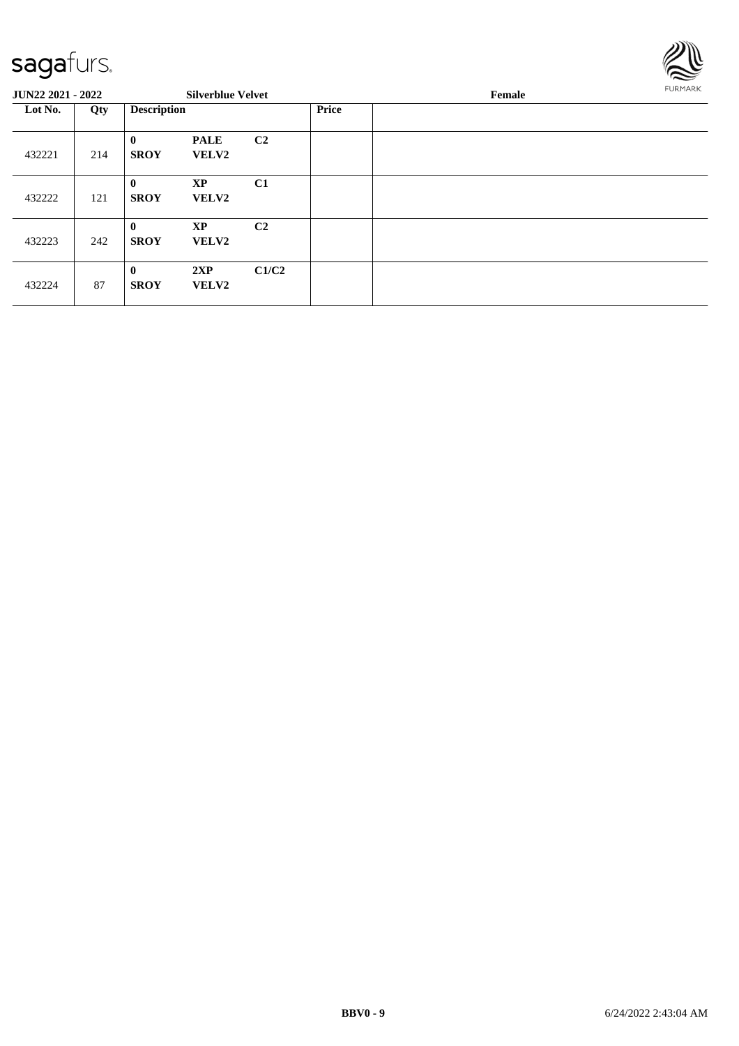

| <b>JUN22 2021 - 2022</b> |     |                             | <b>Silverblue Velvet</b>    |                |       | Female |  |  |  |
|--------------------------|-----|-----------------------------|-----------------------------|----------------|-------|--------|--|--|--|
| Lot No.                  | Qty | <b>Description</b>          |                             |                | Price |        |  |  |  |
| 432221                   | 214 | $\bf{0}$<br><b>SROY</b>     | <b>PALE</b><br><b>VELV2</b> | C <sub>2</sub> |       |        |  |  |  |
| 432222                   | 121 | $\mathbf{0}$<br><b>SROY</b> | <b>XP</b><br><b>VELV2</b>   | C1             |       |        |  |  |  |
| 432223                   | 242 | $\mathbf{0}$<br><b>SROY</b> | <b>XP</b><br><b>VELV2</b>   | C <sub>2</sub> |       |        |  |  |  |
| 432224                   | 87  | $\mathbf{0}$<br><b>SROY</b> | 2XP<br><b>VELV2</b>         | C1/C2          |       |        |  |  |  |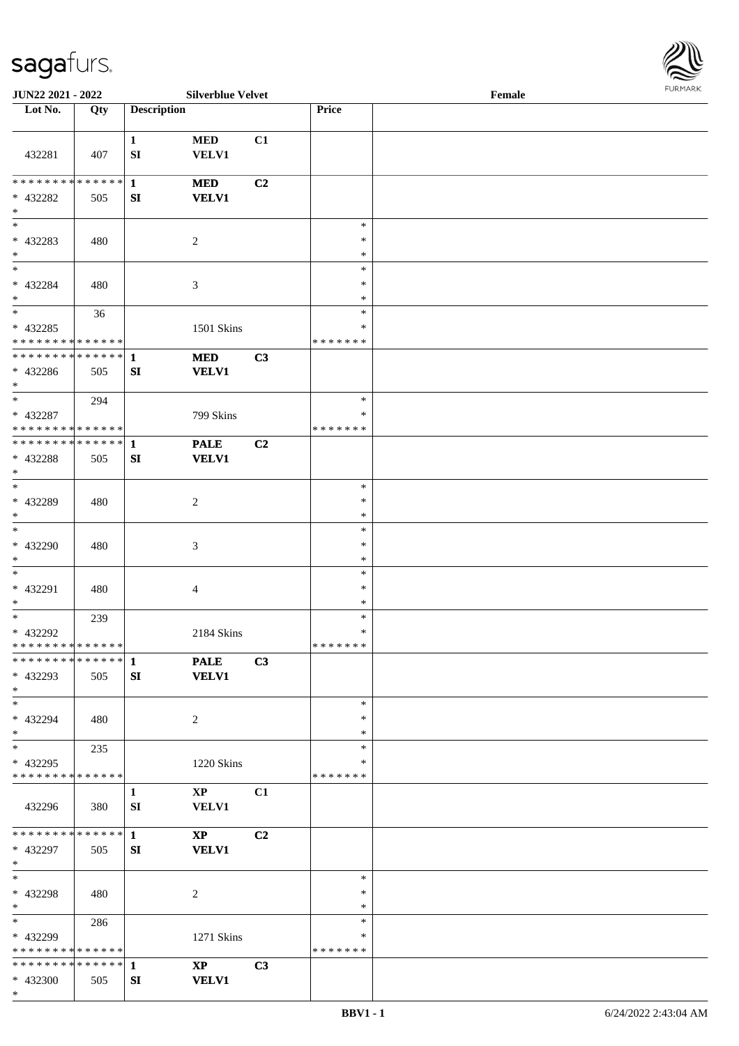

| JUN22 2021 - 2022                                |     |                    | <b>Silverblue Velvet</b>   |    |                         | Female |  |
|--------------------------------------------------|-----|--------------------|----------------------------|----|-------------------------|--------|--|
| Lot No.                                          | Qty | <b>Description</b> |                            |    | Price                   |        |  |
|                                                  |     |                    |                            |    |                         |        |  |
| 432281                                           | 407 | $\mathbf{1}$<br>SI | <b>MED</b><br><b>VELV1</b> | C1 |                         |        |  |
|                                                  |     |                    |                            |    |                         |        |  |
| * * * * * * * * * * * * * * *<br>* 432282<br>$*$ | 505 | $\mathbf{1}$<br>SI | <b>MED</b><br><b>VELV1</b> | C2 |                         |        |  |
| $\overline{\phantom{0}}$                         |     |                    |                            |    | $\ast$                  |        |  |
| * 432283<br>$*$                                  | 480 |                    | $\overline{c}$             |    | $\ast$<br>$\ast$        |        |  |
| $*$                                              |     |                    |                            |    | $\ast$                  |        |  |
| $* 432284$<br>$*$                                | 480 |                    | 3                          |    | $\ast$<br>$\ast$        |        |  |
| $\overline{\ast}$                                | 36  |                    |                            |    | $\ast$                  |        |  |
| $* 432285$<br>* * * * * * * * * * * * * *        |     |                    | 1501 Skins                 |    | $\ast$<br>* * * * * * * |        |  |
| * * * * * * * * * * * * * *                      |     | $\mathbf{1}$       | <b>MED</b>                 | C3 |                         |        |  |
| $* 432286$<br>$*$                                | 505 | SI                 | <b>VELV1</b>               |    |                         |        |  |
| $*$                                              | 294 |                    |                            |    | $\ast$                  |        |  |
| * 432287<br>* * * * * * * * * * * * * *          |     |                    | 799 Skins                  |    | ∗<br>* * * * * * *      |        |  |
| * * * * * * * * * * * * * * *                    |     | $\mathbf{1}$       | <b>PALE</b>                | C2 |                         |        |  |
| * 432288<br>$*$                                  | 505 | SI                 | <b>VELV1</b>               |    |                         |        |  |
| $*$                                              |     |                    |                            |    | $\ast$                  |        |  |
| * 432289<br>$*$                                  | 480 |                    | 2                          |    | $\ast$<br>$\ast$        |        |  |
| $\ast$                                           |     |                    |                            |    | $\ast$                  |        |  |
| * 432290                                         | 480 |                    | $\mathfrak{Z}$             |    | $\ast$                  |        |  |
| $*$                                              |     |                    |                            |    | $\ast$                  |        |  |
| $*$                                              |     |                    |                            |    | $\ast$                  |        |  |
| * 432291<br>$*$                                  | 480 |                    | 4                          |    | $\ast$<br>$\ast$        |        |  |
| $*$                                              | 239 |                    |                            |    | $\ast$                  |        |  |
| * 432292                                         |     |                    | 2184 Skins                 |    | $\ast$                  |        |  |
| * * * * * * * * * * * * * * *                    |     |                    |                            |    | * * * * * * *           |        |  |
| ************** 1                                 |     |                    | <b>PALE</b>                | C3 |                         |        |  |
| * 432293<br>$*$                                  | 505 | SI                 | <b>VELV1</b>               |    |                         |        |  |
| $*$                                              |     |                    |                            |    | $\ast$                  |        |  |
| * 432294<br>$*$                                  | 480 |                    | 2                          |    | $\ast$<br>$\ast$        |        |  |
| $*$                                              | 235 |                    |                            |    | $\ast$                  |        |  |
| * 432295                                         |     |                    | 1220 Skins                 |    | *                       |        |  |
| * * * * * * * * * * * * * *                      |     |                    |                            |    | * * * * * * *           |        |  |
|                                                  |     | $\mathbf{1}$       | $\mathbf{XP}$              | C1 |                         |        |  |
| 432296                                           | 380 | SI                 | <b>VELV1</b>               |    |                         |        |  |
| * * * * * * * * * * * * * * *                    |     | $\mathbf{1}$       | $\mathbf{X}\mathbf{P}$     | C2 |                         |        |  |
| * 432297<br>$*$                                  | 505 | SI                 | <b>VELV1</b>               |    |                         |        |  |
| $*$                                              |     |                    |                            |    | $\ast$                  |        |  |
| * 432298                                         | 480 |                    | 2                          |    | $\ast$                  |        |  |
| $*$                                              |     |                    |                            |    | $\ast$                  |        |  |
| $*$ $*$                                          | 286 |                    |                            |    | $\ast$                  |        |  |
| * 432299                                         |     |                    | 1271 Skins                 |    | ∗                       |        |  |
| * * * * * * * * * * * * * *                      |     |                    |                            |    | * * * * * * *           |        |  |
|                                                  |     |                    | $\mathbf{X}\mathbf{P}$     | C3 |                         |        |  |
| * 432300<br>$*$                                  | 505 | SI                 | <b>VELV1</b>               |    |                         |        |  |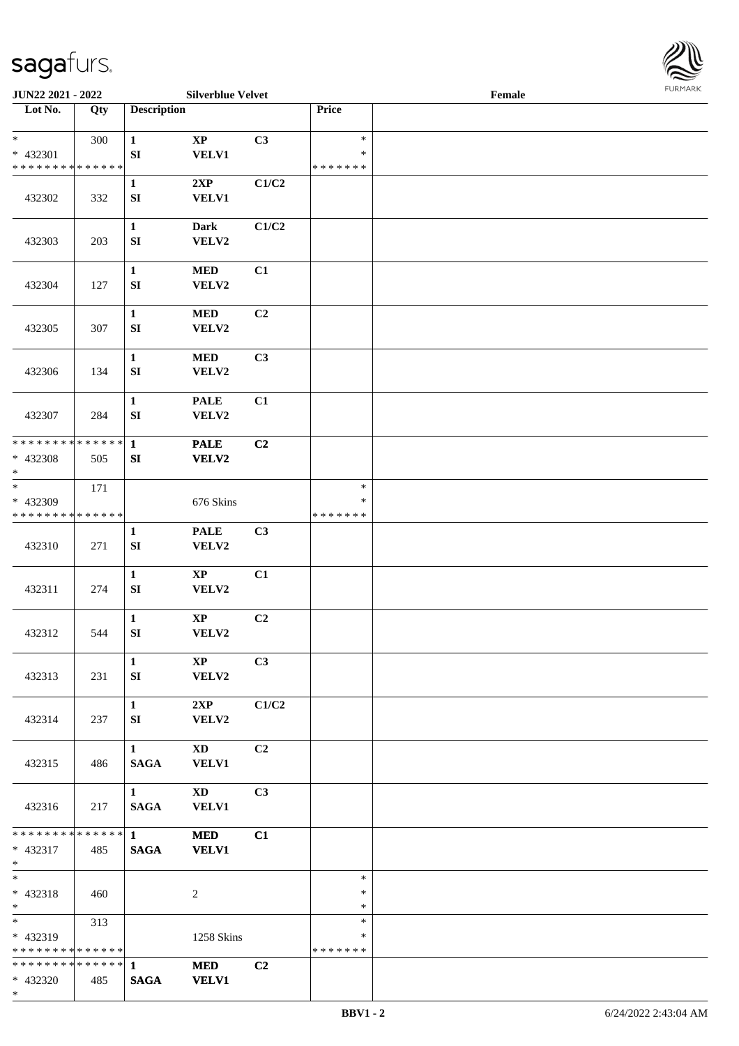

| JUN22 2021 - 2022                                        |               |                                       | <b>Silverblue Velvet</b>               |                |                                   | Female |  |
|----------------------------------------------------------|---------------|---------------------------------------|----------------------------------------|----------------|-----------------------------------|--------|--|
| Lot No.                                                  | Qty           | <b>Description</b>                    |                                        |                | Price                             |        |  |
| $*$<br>* 432301<br>* * * * * * * * * * * * * *           | 300           | $\mathbf{1}$<br>${\bf SI}$            | $\bold{XP}$<br><b>VELV1</b>            | C3             | $\ast$<br>$\ast$<br>* * * * * * * |        |  |
| 432302                                                   | 332           | $\mathbf{1}$<br>${\bf S}{\bf I}$      | 2XP<br><b>VELV1</b>                    | C1/C2          |                                   |        |  |
| 432303                                                   | 203           | $\mathbf{1}$<br>SI                    | <b>Dark</b><br>VELV2                   | C1/C2          |                                   |        |  |
| 432304                                                   | 127           | $\mathbf{1}$<br>${\bf SI}$            | $\bf MED$<br>VELV2                     | C1             |                                   |        |  |
| 432305                                                   | 307           | $\mathbf{1}$<br>SI                    | <b>MED</b><br>VELV2                    | C2             |                                   |        |  |
| 432306                                                   | 134           | $\mathbf{1}$<br>${\bf SI}$            | $\bf MED$<br>VELV2                     | C3             |                                   |        |  |
| 432307                                                   | 284           | $\mathbf{1}$<br>${\bf SI}$            | <b>PALE</b><br>VELV2                   | C1             |                                   |        |  |
| * * * * * * * *<br>* 432308<br>$\ast$                    | ******<br>505 | $\mathbf{1}$<br>SI                    | <b>PALE</b><br><b>VELV2</b>            | C2             |                                   |        |  |
| $*$<br>* 432309<br>* * * * * * * * * * * * * *           | 171           |                                       | 676 Skins                              |                | $\ast$<br>$\ast$<br>* * * * * * * |        |  |
| 432310                                                   | 271           | 1<br>${\bf SI}$                       | <b>PALE</b><br>VELV2                   | C3             |                                   |        |  |
| 432311                                                   | 274           | $\mathbf{1}$<br>SI                    | $\bold{XP}$<br>VELV2                   | C1             |                                   |        |  |
| 432312                                                   | 544           | $\mathbf{1}$<br>${\bf SI}$            | $\bold{XP}$<br>VELV2                   | C2             |                                   |        |  |
| 432313                                                   | 231           | $\mathbf{1}$<br>SI                    | $\mathbf{X}\mathbf{P}$<br><b>VELV2</b> | C3             |                                   |        |  |
| 432314                                                   | 237           | $\mathbf{1}$<br>SI                    | 2XP<br>VELV2                           | C1/C2          |                                   |        |  |
| 432315                                                   | 486           | $1 -$<br><b>SAGA</b>                  | XD<br>VELV1                            | C <sub>2</sub> |                                   |        |  |
| 432316                                                   | 217           | $1 \quad \blacksquare$<br><b>SAGA</b> | $\mathbf{X}\mathbf{D}$<br>VELV1        | C3             |                                   |        |  |
| * * * * * * * * * * * * * * *<br>* 432317<br>$*$ $*$     | 485           | $1 \quad \blacksquare$<br><b>SAGA</b> | <b>MED</b><br><b>VELV1</b>             | C1             |                                   |        |  |
| $*$<br>$* 432318$<br>$*$ $*$                             | 460           |                                       | 2                                      |                | $\ast$<br>$\ast$<br>$\ast$        |        |  |
| $*$ and $*$<br>* 432319<br>* * * * * * * * * * * * * * * | 313           |                                       | 1258 Skins                             |                | $\ast$<br>∗<br>* * * * * * *      |        |  |
| * * * * * * * * * * * * * * *<br>* 432320<br>$*$         | 485           | $\mathbf{1}$<br><b>SAGA</b>           | <b>MED</b><br><b>VELV1</b>             | C2             |                                   |        |  |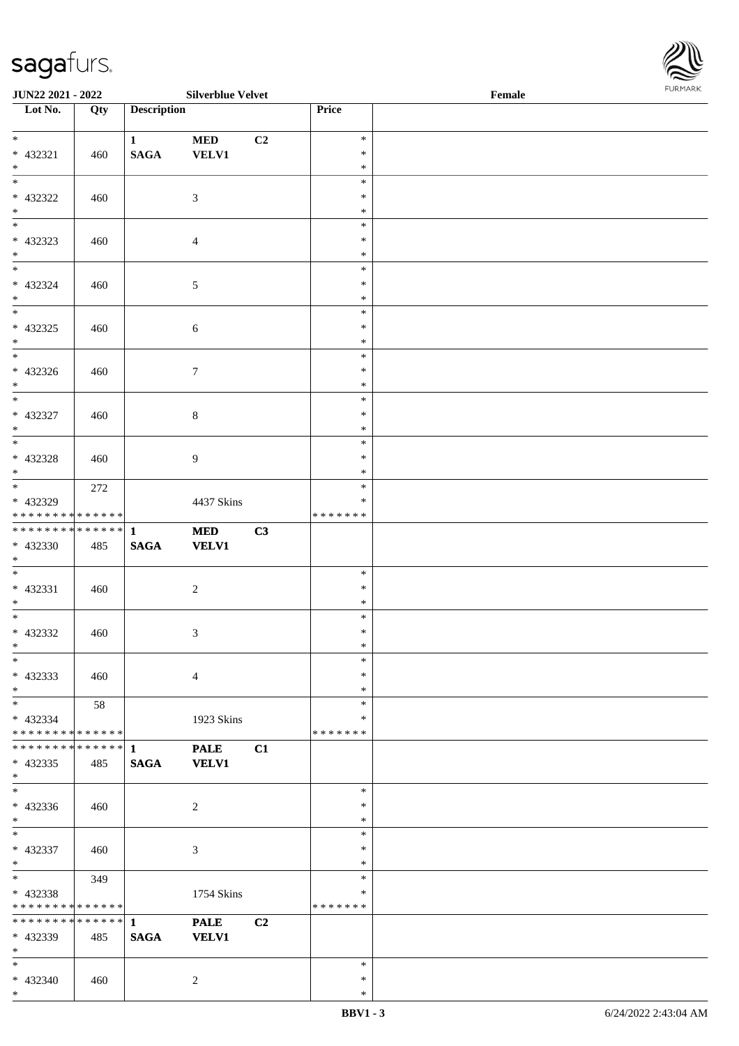

| <b>JUN22 2021 - 2022</b>                   |             |                    | <b>Silverblue Velvet</b> |                |         | Female |  |
|--------------------------------------------|-------------|--------------------|--------------------------|----------------|---------|--------|--|
| Lot No.                                    | Qty         | <b>Description</b> |                          |                | Price   |        |  |
|                                            |             |                    |                          |                |         |        |  |
| $*$                                        |             | $\mathbf{1}$       | <b>MED</b>               | C2             | $\ast$  |        |  |
| * 432321                                   | 460         | <b>SAGA</b>        | <b>VELV1</b>             |                | $\ast$  |        |  |
| $*$                                        |             |                    |                          |                | $\ast$  |        |  |
|                                            |             |                    |                          |                | $\ast$  |        |  |
| * 432322                                   | 460         |                    | 3                        |                | $\ast$  |        |  |
| $*$                                        |             |                    |                          |                | $\ast$  |        |  |
|                                            |             |                    |                          |                | $\ast$  |        |  |
|                                            |             |                    |                          |                |         |        |  |
| * 432323                                   | 460         |                    | $\overline{4}$           |                | $\ast$  |        |  |
| $*$                                        |             |                    |                          |                | $\ast$  |        |  |
| $*$                                        |             |                    |                          |                | $\ast$  |        |  |
| * 432324                                   | 460         |                    | 5                        |                | $\ast$  |        |  |
| $*$                                        |             |                    |                          |                | $\ast$  |        |  |
|                                            |             |                    |                          |                | $\ast$  |        |  |
| * 432325                                   | 460         |                    | $\sqrt{6}$               |                | $\ast$  |        |  |
| $*$                                        |             |                    |                          |                | $\ast$  |        |  |
|                                            |             |                    |                          |                | $\ast$  |        |  |
| * 432326                                   | 460         |                    | $\tau$                   |                | $\ast$  |        |  |
| $*$                                        |             |                    |                          |                | $\ast$  |        |  |
|                                            |             |                    |                          |                | $\ast$  |        |  |
|                                            |             |                    |                          |                |         |        |  |
| * 432327                                   | 460         |                    | $8\,$                    |                | $\ast$  |        |  |
| $*$                                        |             |                    |                          |                | $\ast$  |        |  |
|                                            |             |                    |                          |                | $\ast$  |        |  |
| * 432328                                   | 460         |                    | $\overline{9}$           |                | $\ast$  |        |  |
| $*$                                        |             |                    |                          |                | $\ast$  |        |  |
| $\overline{\ast}$                          | 272         |                    |                          |                | $\ast$  |        |  |
| * 432329                                   |             |                    | 4437 Skins               |                | $\ast$  |        |  |
| * * * * * * * * * * * * * *                |             |                    |                          |                | ******* |        |  |
|                                            |             |                    | <b>MED</b>               | C3             |         |        |  |
| * 432330                                   | 485         | <b>SAGA</b>        | <b>VELV1</b>             |                |         |        |  |
| $*$                                        |             |                    |                          |                |         |        |  |
| $*$ $-$                                    |             |                    |                          |                | $\ast$  |        |  |
|                                            |             |                    |                          |                |         |        |  |
| * 432331                                   | 460         |                    | $\overline{2}$           |                | $\ast$  |        |  |
| $*$                                        |             |                    |                          |                | $\ast$  |        |  |
| $*$ $-$                                    |             |                    |                          |                | $\ast$  |        |  |
| * 432332                                   | 460         |                    | $\mathfrak{Z}$           |                | $\ast$  |        |  |
| $*$ $*$                                    |             |                    |                          |                | $\ast$  |        |  |
| $*$                                        |             |                    |                          |                | $\ast$  |        |  |
| * 432333                                   | 460         |                    | $\overline{4}$           |                | $\ast$  |        |  |
| $*$                                        |             |                    |                          |                | $\ast$  |        |  |
| $*$                                        | 58          |                    |                          |                | $\ast$  |        |  |
| * 432334                                   |             |                    | 1923 Skins               |                | ∗       |        |  |
| * * * * * * * * <mark>* * * * * * *</mark> |             |                    |                          |                | ******* |        |  |
| * * * * * * * *                            | $ ***** $ 1 |                    |                          |                |         |        |  |
|                                            |             |                    | <b>PALE</b>              | C1             |         |        |  |
| * 432335                                   | 485         | <b>SAGA</b>        | <b>VELV1</b>             |                |         |        |  |
| $*$                                        |             |                    |                          |                |         |        |  |
| $*$                                        |             |                    |                          |                | $\ast$  |        |  |
| * 432336                                   | 460         |                    | $\overline{2}$           |                | $\ast$  |        |  |
| $*$                                        |             |                    |                          |                | $\ast$  |        |  |
| $*$ $-$                                    |             |                    |                          |                | $\ast$  |        |  |
| * 432337                                   | 460         |                    | $\mathfrak{Z}$           |                | $\ast$  |        |  |
| $*$                                        |             |                    |                          |                | $\ast$  |        |  |
| $*$ $\qquad$                               | 349         |                    |                          |                | $\ast$  |        |  |
| * 432338                                   |             |                    | 1754 Skins               |                | $\ast$  |        |  |
| * * * * * * * * * * * * * *                |             |                    |                          |                | ******* |        |  |
| * * * * * * * * <mark>* * * * * * *</mark> |             |                    |                          |                |         |        |  |
|                                            |             | $\mathbf{1}$       | <b>PALE</b>              | C <sub>2</sub> |         |        |  |
| * 432339                                   | 485         | <b>SAGA</b>        | <b>VELV1</b>             |                |         |        |  |
| $*$                                        |             |                    |                          |                |         |        |  |
| $*$                                        |             |                    |                          |                | $\ast$  |        |  |
| * 432340                                   | 460         |                    | 2                        |                | $\ast$  |        |  |
| $*$                                        |             |                    |                          |                | $\ast$  |        |  |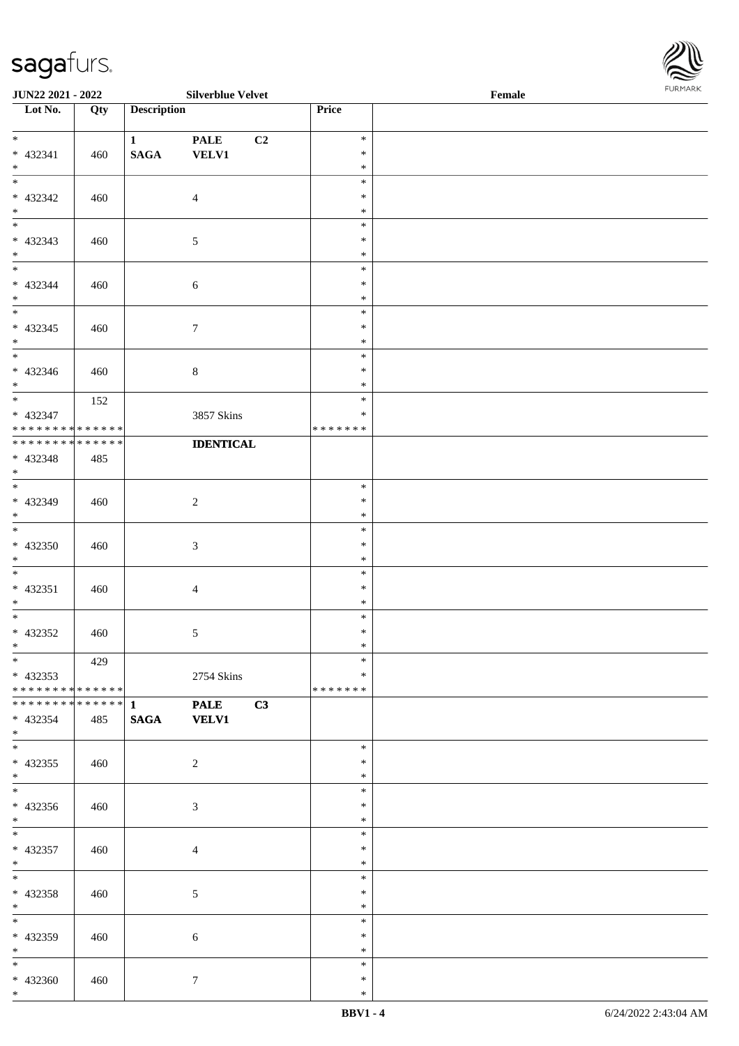

| <b>JUN22 2021 - 2022</b>                   |     |                    | <b>Silverblue Velvet</b> |               | Female |  |
|--------------------------------------------|-----|--------------------|--------------------------|---------------|--------|--|
| Lot No.                                    | Qty | <b>Description</b> |                          | Price         |        |  |
|                                            |     |                    |                          |               |        |  |
| $*$                                        |     | $\mathbf{1}$       | <b>PALE</b><br>C2        | $\ast$        |        |  |
| $* 432341$                                 | 460 | <b>SAGA</b>        | <b>VELV1</b>             | $\ast$        |        |  |
| $*$                                        |     |                    |                          | $\ast$        |        |  |
|                                            |     |                    |                          | $\ast$        |        |  |
| * 432342                                   | 460 |                    | $\overline{4}$           | $\ast$        |        |  |
| $*$                                        |     |                    |                          | $\ast$        |        |  |
|                                            |     |                    |                          | $\ast$        |        |  |
| * 432343                                   | 460 |                    | $\overline{5}$           | $\ast$        |        |  |
| $*$                                        |     |                    |                          | $\ast$        |        |  |
| $\overline{\mathbf{r}}$                    |     |                    |                          | $\ast$        |        |  |
| * 432344                                   | 460 |                    | $\sqrt{6}$               | $\ast$        |        |  |
| $*$                                        |     |                    |                          | $\ast$        |        |  |
|                                            |     |                    |                          | $\ast$        |        |  |
| $* 432345$                                 | 460 |                    | $\boldsymbol{7}$         | $\ast$        |        |  |
| $*$                                        |     |                    |                          | $\ast$        |        |  |
|                                            |     |                    |                          | $\ast$        |        |  |
| $* 432346$                                 | 460 |                    | $\,8\,$                  | $\ast$        |        |  |
| $*$                                        |     |                    |                          | $\ast$        |        |  |
| $*$                                        | 152 |                    |                          | $\ast$        |        |  |
| * 432347                                   |     |                    | 3857 Skins               | $\ast$        |        |  |
| * * * * * * * * * * * * * *                |     |                    |                          | * * * * * * * |        |  |
| * * * * * * * * * * * * * *                |     |                    | <b>IDENTICAL</b>         |               |        |  |
| * 432348                                   | 485 |                    |                          |               |        |  |
| $*$                                        |     |                    |                          |               |        |  |
|                                            |     |                    |                          | $\ast$        |        |  |
| * 432349                                   | 460 |                    | $\overline{c}$           | $\ast$        |        |  |
| $*$                                        |     |                    |                          | $\ast$        |        |  |
|                                            |     |                    |                          | $\ast$        |        |  |
| * 432350                                   | 460 |                    | $\sqrt{3}$               | $\ast$        |        |  |
| $*$                                        |     |                    |                          | $\ast$        |        |  |
| $*$                                        |     |                    |                          | $\ast$        |        |  |
| $* 432351$                                 | 460 |                    | $\overline{4}$           | $\ast$        |        |  |
| $*$                                        |     |                    |                          | $\ast$        |        |  |
| $*$                                        |     |                    |                          | $\ast$        |        |  |
| * 432352                                   | 460 |                    | 5                        | $\ast$        |        |  |
| $*$ $*$                                    |     |                    |                          | $\ast$        |        |  |
| $*$                                        | 429 |                    |                          | $\ast$        |        |  |
| $* 432353$                                 |     |                    | 2754 Skins               | $\ast$        |        |  |
| * * * * * * * * * * * * * * <mark>*</mark> |     |                    |                          | *******       |        |  |
|                                            |     |                    | <b>PALE</b><br>C3        |               |        |  |
| * 432354                                   |     | <b>SAGA</b>        | <b>VELV1</b>             |               |        |  |
| $*$                                        | 485 |                    |                          |               |        |  |
| $\overline{\ast}$                          |     |                    |                          | $\ast$        |        |  |
| $* 432355$                                 | 460 |                    | $\overline{2}$           | $\ast$        |        |  |
| $*$                                        |     |                    |                          | $\ast$        |        |  |
| $*$                                        |     |                    |                          | $\ast$        |        |  |
| * 432356                                   |     |                    |                          | $\ast$        |        |  |
| $*$                                        | 460 |                    | 3                        | $\ast$        |        |  |
| $*$ $*$                                    |     |                    |                          | $\ast$        |        |  |
| * 432357                                   |     |                    |                          | $\ast$        |        |  |
|                                            | 460 |                    | $\overline{4}$           | $\ast$        |        |  |
| $*$<br>$*$ $-$                             |     |                    |                          | $\ast$        |        |  |
|                                            |     |                    |                          | $\ast$        |        |  |
| * 432358                                   | 460 |                    | 5                        | $\ast$        |        |  |
| $*$<br>$*$ $-$                             |     |                    |                          | $\ast$        |        |  |
|                                            |     |                    |                          |               |        |  |
| * 432359                                   | 460 |                    | $\sqrt{6}$               | $\ast$        |        |  |
| $*$ $\qquad$                               |     |                    |                          | $\ast$        |        |  |
| $*$                                        |     |                    |                          | $\ast$        |        |  |
| * 432360                                   | 460 |                    | $\tau$                   | $\ast$        |        |  |
| $*$                                        |     |                    |                          | $\ast$        |        |  |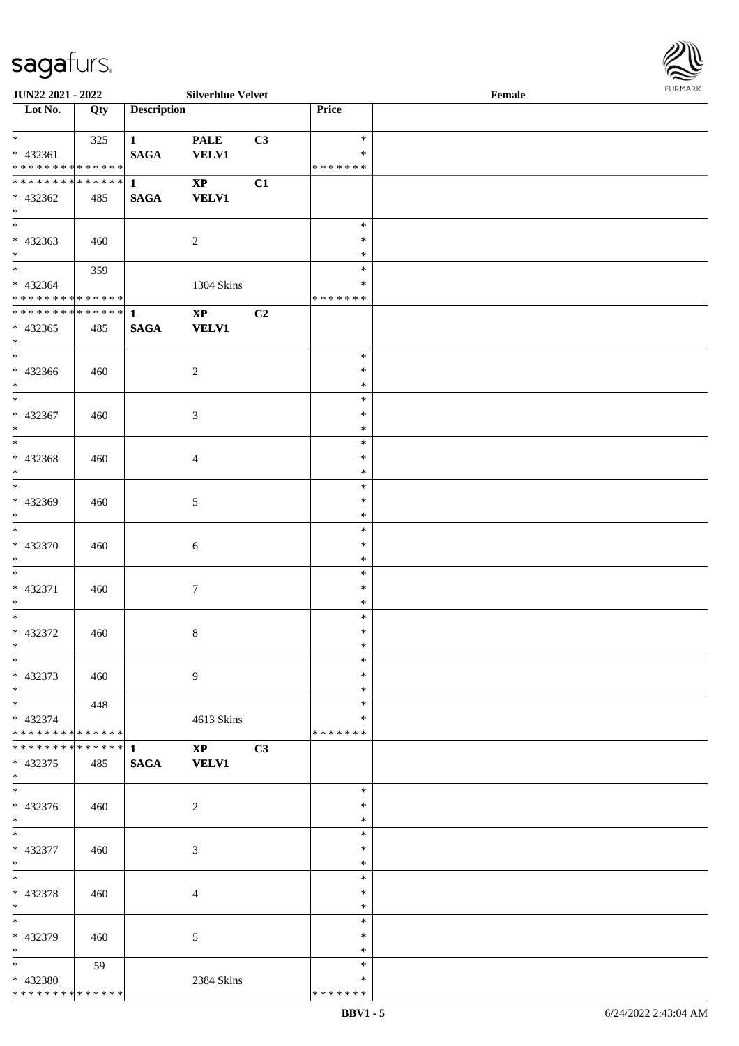| $\overline{\ast}$              | 325 | $1 \quad \blacksquare$ | <b>PALE</b>            | C3 | $\ast$             |  |
|--------------------------------|-----|------------------------|------------------------|----|--------------------|--|
| * 432361<br>**************     |     | <b>SAGA</b>            | <b>VELV1</b>           |    | *<br>* * * * * * * |  |
| ******** <mark>******</mark> 1 |     |                        | $\mathbf{X}\mathbf{P}$ | C1 |                    |  |
| * 432362                       | 485 | <b>SAGA</b>            | <b>VELV1</b>           |    |                    |  |
| $*$                            |     |                        |                        |    |                    |  |
| $*$                            |     |                        |                        |    | $\ast$             |  |
| $* 432363$                     | 460 |                        | $\overline{2}$         |    | $\ast$             |  |
| $*$                            |     |                        |                        |    | $\ast$<br>$\ast$   |  |
| * 432364                       | 359 |                        | 1304 Skins             |    | $\ast$             |  |
| ******** <mark>******</mark>   |     |                        |                        |    | * * * * * * *      |  |
| ************** 1               |     |                        | $\mathbf{XP}$          | C2 |                    |  |
| $* 432365$                     | 485 |                        | SAGA VELV1             |    |                    |  |
| $*$                            |     |                        |                        |    |                    |  |
| $*$                            |     |                        |                        |    | $\ast$             |  |
| $* 432366$<br>$*$              | 460 |                        | $\overline{2}$         |    | *<br>$\ast$        |  |
|                                |     |                        |                        |    | $\ast$             |  |
| $* 432367$                     | 460 |                        | $\mathfrak{Z}$         |    | $\ast$             |  |
| $*$                            |     |                        |                        |    | $\ast$             |  |
| $\overline{\phantom{1}}$       |     |                        |                        |    | $\ast$             |  |
| $* 432368$                     | 460 |                        | $\overline{4}$         |    | $\ast$             |  |
| $*$<br>$*$                     |     |                        |                        |    | $\ast$<br>$\ast$   |  |
| * 432369                       | 460 |                        | 5                      |    | $\ast$             |  |
| $*$ $*$                        |     |                        |                        |    | $\ast$             |  |
| $*$                            |     |                        |                        |    | $\ast$             |  |
| * 432370                       | 460 |                        | 6                      |    | $\ast$             |  |
| $*$                            |     |                        |                        |    | $\ast$             |  |
| $*$                            |     |                        |                        |    | $\ast$             |  |
| * 432371<br>$*$                | 460 |                        | $\tau$                 |    | $\ast$<br>$\ast$   |  |
| $*$                            |     |                        |                        |    | $\ast$             |  |
| * 432372                       | 460 |                        | $8\,$                  |    | $\ast$             |  |
| $*$                            |     |                        |                        |    | $\ast$             |  |
|                                |     |                        |                        |    | $\ast$             |  |
| $* 432373$                     | 460 |                        | 9                      |    | $\ast$             |  |
| $\ast$                         |     |                        |                        |    | $\ast$             |  |
| $\ast$<br>* 432374             | 448 |                        | 4613 Skins             |    | $\ast$<br>$\ast$   |  |
| * * * * * * * * * * * * * *    |     |                        |                        |    | * * * * * * *      |  |
| * * * * * * * * * * * * * * *  |     | $\mathbf{1}$           | $\mathbf{X}\mathbf{P}$ | C3 |                    |  |
| $* 432375$                     | 485 | $\mathbf{SAGA}$        | <b>VELV1</b>           |    |                    |  |
| $\ast$                         |     |                        |                        |    |                    |  |
| $\ast$                         |     |                        |                        |    | $\ast$<br>$\ast$   |  |
| * 432376<br>$*$                | 460 |                        | $\boldsymbol{2}$       |    | $\ast$             |  |
| $\ast$                         |     |                        |                        |    | $\ast$             |  |
| * 432377                       | 460 |                        | 3                      |    | $\ast$             |  |
| $\ast$                         |     |                        |                        |    | $\ast$             |  |
| $\ast$                         |     |                        |                        |    | $\ast$             |  |
| * 432378                       | 460 |                        | $\overline{4}$         |    | $\ast$             |  |
| $\ast$<br>$\ast$               |     |                        |                        |    | $\ast$<br>$\ast$   |  |
| * 432379                       | 460 |                        | $\sqrt{5}$             |    | $\ast$             |  |
| $\ast$                         |     |                        |                        |    | $\ast$             |  |
| $*$                            | 59  |                        |                        |    | $\ast$             |  |
| * 432380                       |     |                        | 2384 Skins             |    | $\ast$             |  |
| ******** <mark>******</mark>   |     |                        |                        |    | * * * * * * *      |  |

 $\overline{\phantom{a}}$ 

**JUN22 2021 - 2022 Silverblue Velvet Female**

**Lot No. Qty Description Price**

\* \* \* \* \* \* \*

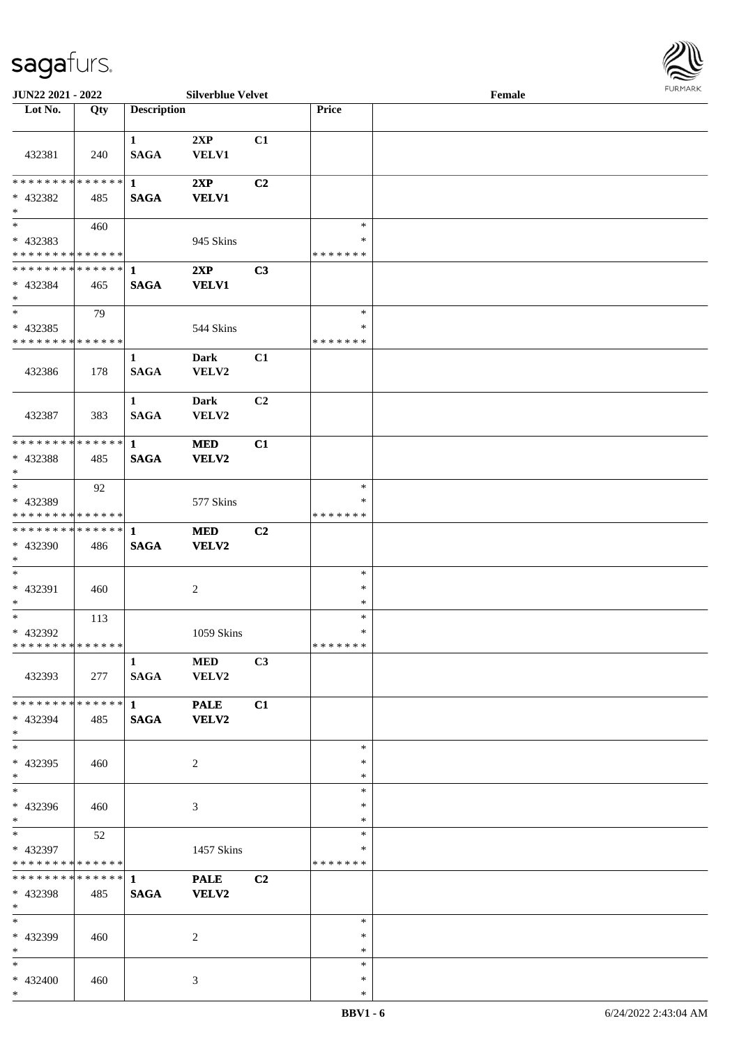

| <b>JUN22 2021 - 2022</b>                   |     |                    | <b>Silverblue Velvet</b> |                |               | Female |  |
|--------------------------------------------|-----|--------------------|--------------------------|----------------|---------------|--------|--|
| Lot No.                                    | Qty | <b>Description</b> |                          |                | Price         |        |  |
|                                            |     |                    |                          |                |               |        |  |
|                                            |     | $\mathbf{1}$       | 2XP                      | C1             |               |        |  |
| 432381                                     | 240 | <b>SAGA</b>        | <b>VELV1</b>             |                |               |        |  |
|                                            |     |                    |                          |                |               |        |  |
| ******** <mark>******</mark>               |     | $\mathbf{1}$       | 2XP                      | C2             |               |        |  |
| * 432382                                   | 485 | <b>SAGA</b>        | <b>VELV1</b>             |                |               |        |  |
| $\ast$                                     |     |                    |                          |                |               |        |  |
|                                            | 460 |                    |                          |                | $\ast$        |        |  |
|                                            |     |                    |                          |                | $\ast$        |        |  |
| * 432383<br>* * * * * * * * * * * * * *    |     |                    | 945 Skins                |                | * * * * * * * |        |  |
|                                            |     |                    |                          |                |               |        |  |
| ******** <mark>******</mark>               |     | $\mathbf{1}$       | 2XP                      | C3             |               |        |  |
| * 432384                                   | 465 | <b>SAGA</b>        | <b>VELV1</b>             |                |               |        |  |
| $*$                                        |     |                    |                          |                |               |        |  |
| $*$                                        | 79  |                    |                          |                | $\ast$        |        |  |
| * 432385                                   |     |                    | 544 Skins                |                | $\ast$        |        |  |
| * * * * * * * * * * * * * *                |     |                    |                          |                | * * * * * * * |        |  |
|                                            |     | $\mathbf{1}$       | <b>Dark</b>              | C1             |               |        |  |
| 432386                                     | 178 | <b>SAGA</b>        | VELV2                    |                |               |        |  |
|                                            |     |                    |                          |                |               |        |  |
|                                            |     | $\mathbf{1}$       | <b>Dark</b>              | C <sub>2</sub> |               |        |  |
| 432387                                     | 383 | <b>SAGA</b>        | VELV2                    |                |               |        |  |
|                                            |     |                    |                          |                |               |        |  |
| * * * * * * * * * * * * * * *              |     | $\mathbf{1}$       | <b>MED</b>               | C1             |               |        |  |
|                                            |     |                    |                          |                |               |        |  |
| * 432388                                   | 485 | <b>SAGA</b>        | VELV2                    |                |               |        |  |
| $*$                                        |     |                    |                          |                |               |        |  |
|                                            | 92  |                    |                          |                | $\ast$        |        |  |
| * 432389                                   |     |                    | 577 Skins                |                | ∗             |        |  |
| * * * * * * * * * * * * * *                |     |                    |                          |                | * * * * * * * |        |  |
| * * * * * * * * * * * * * * <mark>*</mark> |     | $\mathbf{1}$       | <b>MED</b>               | C2             |               |        |  |
| * 432390                                   | 486 | <b>SAGA</b>        | <b>VELV2</b>             |                |               |        |  |
| $*$                                        |     |                    |                          |                |               |        |  |
| $*$                                        |     |                    |                          |                | $\ast$        |        |  |
| * 432391                                   | 460 |                    | 2                        |                | $\ast$        |        |  |
| $\ast$                                     |     |                    |                          |                | $\ast$        |        |  |
| $*$                                        | 113 |                    |                          |                | $\ast$        |        |  |
| * 432392                                   |     |                    | 1059 Skins               |                | $\ast$        |        |  |
| * * * * * * * * <mark>* * * * * * *</mark> |     |                    |                          |                | *******       |        |  |
|                                            |     | $\mathbf{1}$       | <b>MED</b>               | C3             |               |        |  |
|                                            |     |                    |                          |                |               |        |  |
| 432393                                     | 277 | SAGA               | VELV2                    |                |               |        |  |
|                                            |     |                    |                          |                |               |        |  |
| * * * * * * * * * * * * * * <mark>*</mark> |     | $1 \qquad \qquad$  | <b>PALE</b>              | C1             |               |        |  |
| * 432394                                   | 485 | <b>SAGA</b>        | <b>VELV2</b>             |                |               |        |  |
| $*$                                        |     |                    |                          |                |               |        |  |
| $\overline{\mathbf{r}}$                    |     |                    |                          |                | $\ast$        |        |  |
| * 432395                                   | 460 |                    | 2                        |                | $\ast$        |        |  |
| $*$                                        |     |                    |                          |                | $\ast$        |        |  |
| $*$                                        |     |                    |                          |                | $\ast$        |        |  |
| * 432396                                   | 460 |                    | $\mathfrak{Z}$           |                | $\ast$        |        |  |
| $*$                                        |     |                    |                          |                | $\ast$        |        |  |
| $*$ $-$                                    | 52  |                    |                          |                | $\ast$        |        |  |
| * 432397                                   |     |                    | 1457 Skins               |                | ∗             |        |  |
| * * * * * * * * <mark>* * * * * * *</mark> |     |                    |                          |                | *******       |        |  |
|                                            |     |                    | <b>PALE</b>              | C2             |               |        |  |
|                                            |     |                    |                          |                |               |        |  |
| * 432398                                   | 485 | <b>SAGA</b>        | <b>VELV2</b>             |                |               |        |  |
| $*$                                        |     |                    |                          |                |               |        |  |
| $*$                                        |     |                    |                          |                | $\ast$        |        |  |
| * 432399                                   | 460 |                    | 2                        |                | $\ast$        |        |  |
| $*$ $-$                                    |     |                    |                          |                | $\ast$        |        |  |
| $*$                                        |     |                    |                          |                | $\ast$        |        |  |
| * 432400                                   | 460 |                    | 3                        |                | $\ast$        |        |  |
| $*$                                        |     |                    |                          |                | $\ast$        |        |  |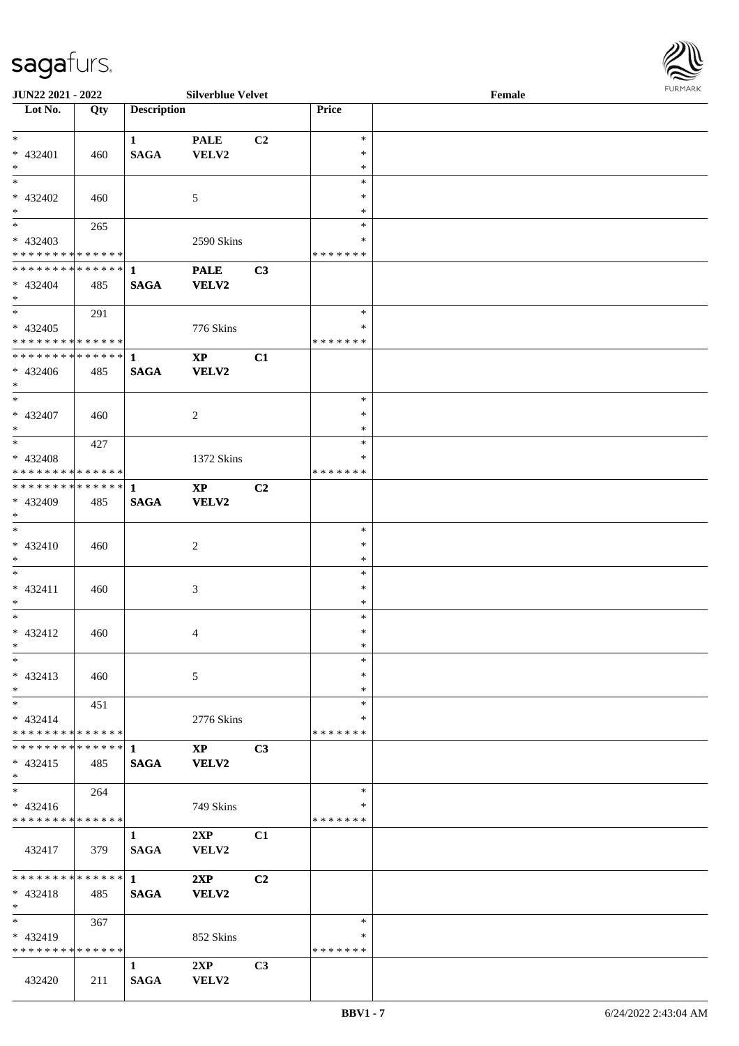

| <b>JUN22 2021 - 2022</b>                               |     |                        | <b>Silverblue Velvet</b> |                |               | Female |  |
|--------------------------------------------------------|-----|------------------------|--------------------------|----------------|---------------|--------|--|
| Lot No.                                                | Qty | <b>Description</b>     |                          |                | Price         |        |  |
|                                                        |     |                        |                          |                |               |        |  |
| $*$                                                    |     | $\mathbf{1}$           | <b>PALE</b>              | C2             | $\ast$        |        |  |
| * 432401                                               | 460 | $\mathbf{SAGA}$        | VELV2                    |                | $\ast$        |        |  |
| $*$                                                    |     |                        |                          |                | $\ast$        |        |  |
|                                                        |     |                        |                          |                | $\ast$        |        |  |
| * 432402                                               | 460 |                        | 5                        |                | $\ast$        |        |  |
| $*$                                                    |     |                        |                          |                | $\ast$        |        |  |
|                                                        | 265 |                        |                          |                | $\ast$        |        |  |
| * 432403                                               |     |                        | 2590 Skins               |                | $\ast$        |        |  |
| * * * * * * * * * * * * * *                            |     |                        |                          |                | *******       |        |  |
| **************                                         |     | $\mathbf{1}$           | <b>PALE</b>              | C3             |               |        |  |
| * 432404                                               | 485 | <b>SAGA</b>            | <b>VELV2</b>             |                |               |        |  |
| $*$                                                    |     |                        |                          |                |               |        |  |
| $*$                                                    |     |                        |                          |                | $\ast$        |        |  |
|                                                        | 291 |                        |                          |                | $\ast$        |        |  |
| * 432405<br>* * * * * * * * <mark>* * * * * *</mark> * |     |                        | 776 Skins                |                |               |        |  |
|                                                        |     |                        |                          |                | *******       |        |  |
| ******** <mark>******</mark>                           |     | $\mathbf{1}$           | $\mathbf{X}\mathbf{P}$   | C1             |               |        |  |
| $* 432406$                                             | 485 | <b>SAGA</b>            | VELV2                    |                |               |        |  |
| $*$                                                    |     |                        |                          |                |               |        |  |
|                                                        |     |                        |                          |                | $\ast$        |        |  |
| * 432407                                               | 460 |                        | 2                        |                | $\ast$        |        |  |
| $*$                                                    |     |                        |                          |                | $\ast$        |        |  |
| $*$                                                    | 427 |                        |                          |                | $\ast$        |        |  |
| * 432408                                               |     |                        | 1372 Skins               |                | ∗             |        |  |
| * * * * * * * * <mark>* * * * * *</mark>               |     |                        |                          |                | *******       |        |  |
| ******** <mark>******</mark>                           |     | 1                      | <b>XP</b>                | C <sub>2</sub> |               |        |  |
| * 432409                                               | 485 | <b>SAGA</b>            | <b>VELV2</b>             |                |               |        |  |
| $*$                                                    |     |                        |                          |                |               |        |  |
| $\overline{\ }$                                        |     |                        |                          |                | $\ast$        |        |  |
| $* 432410$                                             | 460 |                        | 2                        |                | $\ast$        |        |  |
| $*$                                                    |     |                        |                          |                | $\ast$        |        |  |
| $*$                                                    |     |                        |                          |                | $\ast$        |        |  |
| $* 432411$                                             | 460 |                        |                          |                | $\ast$        |        |  |
| $\ast$                                                 |     |                        | 3                        |                | $\ast$        |        |  |
| $*$                                                    |     |                        |                          |                | $\ast$        |        |  |
|                                                        |     |                        |                          |                | $\ast$        |        |  |
| * 432412                                               | 460 |                        | 4                        |                | $\ast$        |        |  |
| $*$ $-$                                                |     |                        |                          |                | $\ast$        |        |  |
| $\ast$                                                 |     |                        |                          |                |               |        |  |
| * 432413                                               | 460 |                        | 5                        |                | $\ast$        |        |  |
| $*$                                                    |     |                        |                          |                | $\ast$        |        |  |
| $*$                                                    | 451 |                        |                          |                | $\ast$        |        |  |
| $* 432414$                                             |     |                        | 2776 Skins               |                | ∗             |        |  |
| * * * * * * * * * * * * * * <mark>*</mark>             |     |                        |                          |                | * * * * * * * |        |  |
|                                                        |     |                        | <b>XP</b>                | C <sub>3</sub> |               |        |  |
| $* 432415$                                             | 485 | <b>SAGA</b>            | VELV2                    |                |               |        |  |
| $\ast$                                                 |     |                        |                          |                |               |        |  |
| $*$                                                    | 264 |                        |                          |                | $\ast$        |        |  |
| $* 432416$                                             |     |                        | 749 Skins                |                | ∗             |        |  |
| * * * * * * * * * * * * * *                            |     |                        |                          |                | *******       |        |  |
|                                                        |     | $\mathbf{1}$           | 2XP                      | C1             |               |        |  |
| 432417                                                 | 379 | <b>SAGA</b>            | <b>VELV2</b>             |                |               |        |  |
|                                                        |     |                        |                          |                |               |        |  |
| * * * * * * * * * * * * * * <mark>*</mark>             |     | $1 \quad \blacksquare$ | 2XP                      | C <sub>2</sub> |               |        |  |
| $* 432418$                                             | 485 | <b>SAGA</b>            | VELV2                    |                |               |        |  |
| $\ast$                                                 |     |                        |                          |                |               |        |  |
| $*$                                                    | 367 |                        |                          |                | $\ast$        |        |  |
| $* 432419$                                             |     |                        | 852 Skins                |                | ∗             |        |  |
| * * * * * * * * * * * * * *                            |     |                        |                          |                | *******       |        |  |
|                                                        |     | $\mathbf{1}$           | 2XP                      | C3             |               |        |  |
| 432420                                                 | 211 | <b>SAGA</b>            | VELV2                    |                |               |        |  |
|                                                        |     |                        |                          |                |               |        |  |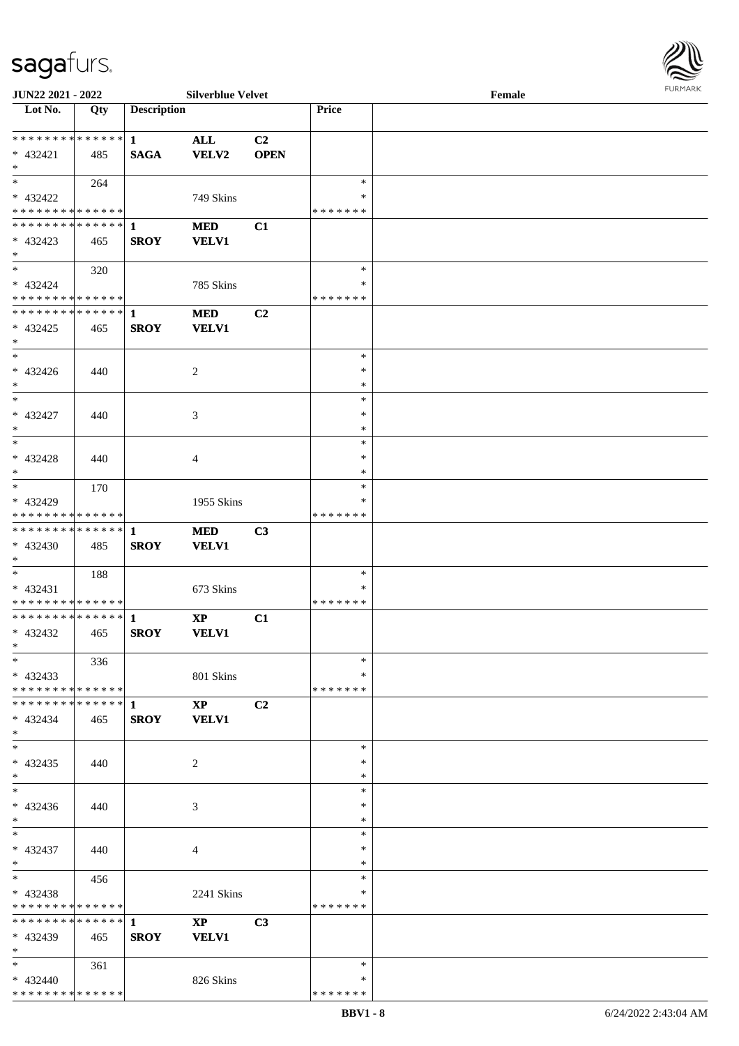

| JUN22 2021 - 2022             |     |                    | <b>Silverblue Velvet</b> |             |               | Female |  |
|-------------------------------|-----|--------------------|--------------------------|-------------|---------------|--------|--|
| Lot No.                       | Qty | <b>Description</b> |                          |             | Price         |        |  |
|                               |     |                    |                          |             |               |        |  |
| **************                |     | $\mathbf{1}$       | <b>ALL</b>               | C2          |               |        |  |
| $* 432421$                    | 485 | <b>SAGA</b>        | <b>VELV2</b>             | <b>OPEN</b> |               |        |  |
| $\ast$                        |     |                    |                          |             |               |        |  |
| $\ast$                        | 264 |                    |                          |             | $\ast$        |        |  |
| * 432422                      |     |                    | 749 Skins                |             | ∗             |        |  |
| * * * * * * * * * * * * * *   |     |                    |                          |             | * * * * * * * |        |  |
| ******** <mark>******</mark>  |     | 1                  | <b>MED</b>               | C1          |               |        |  |
| $* 432423$                    | 465 | <b>SROY</b>        | <b>VELV1</b>             |             |               |        |  |
| $\ast$                        |     |                    |                          |             |               |        |  |
| $\ast$                        | 320 |                    |                          |             | $\ast$        |        |  |
| * 432424                      |     |                    | 785 Skins                |             | *             |        |  |
| * * * * * * * * * * * * * *   |     |                    |                          |             | * * * * * * * |        |  |
| ************** 1              |     |                    |                          |             |               |        |  |
|                               |     |                    | <b>MED</b>               | C2          |               |        |  |
| $* 432425$                    | 465 | <b>SROY</b>        | <b>VELV1</b>             |             |               |        |  |
| $\ast$                        |     |                    |                          |             |               |        |  |
| $\ast$                        |     |                    |                          |             | $\ast$        |        |  |
| $* 432426$                    | 440 |                    | $\overline{c}$           |             | $\ast$        |        |  |
| $\ast$                        |     |                    |                          |             | $\ast$        |        |  |
| $\ast$                        |     |                    |                          |             | $\ast$        |        |  |
| $* 432427$                    | 440 |                    | 3                        |             | ∗             |        |  |
| $\ast$                        |     |                    |                          |             | $\ast$        |        |  |
| $\ast$                        |     |                    |                          |             | $\ast$        |        |  |
| * 432428                      | 440 |                    | 4                        |             | ∗             |        |  |
| $\ast$                        |     |                    |                          |             | *             |        |  |
| $\ast$                        | 170 |                    |                          |             | $\ast$        |        |  |
| * 432429                      |     |                    | 1955 Skins               |             | ∗             |        |  |
| * * * * * * * * * * * * * *   |     |                    |                          |             | * * * * * * * |        |  |
| ******** <mark>******</mark>  |     | 1                  | <b>MED</b>               | C3          |               |        |  |
| * 432430                      | 485 | <b>SROY</b>        | <b>VELV1</b>             |             |               |        |  |
| $*$                           |     |                    |                          |             |               |        |  |
| $*$                           |     |                    |                          |             | $\ast$        |        |  |
|                               | 188 |                    |                          |             | *             |        |  |
| $* 432431$<br>**************  |     |                    | 673 Skins                |             | * * * * * * * |        |  |
| ******** <mark>******</mark>  |     |                    |                          |             |               |        |  |
|                               |     | $\mathbf{1}$       | $\mathbf{X}\mathbf{P}$   | C1          |               |        |  |
| $* 432432$                    | 465 | <b>SROY</b>        | <b>VELV1</b>             |             |               |        |  |
| $*$                           |     |                    |                          |             |               |        |  |
| $*$                           | 336 |                    |                          |             | $\ast$        |        |  |
| $* 432433$                    |     |                    | 801 Skins                |             | *             |        |  |
| * * * * * * * * * * * * * * * |     |                    |                          |             | * * * * * * * |        |  |
|                               |     |                    | $\mathbf{X}\mathbf{P}$   | C2          |               |        |  |
| $* 432434$                    | 465 | <b>SROY</b>        | <b>VELV1</b>             |             |               |        |  |
| $*$                           |     |                    |                          |             |               |        |  |
| $\ast$                        |     |                    |                          |             | $\ast$        |        |  |
| $* 432435$                    | 440 |                    | 2                        |             | ∗             |        |  |
| $*$                           |     |                    |                          |             | $\ast$        |        |  |
| $\overline{\phantom{a}^*}$    |     |                    |                          |             | $\ast$        |        |  |
| * 432436                      | 440 |                    | 3                        |             | *             |        |  |
| $*$                           |     |                    |                          |             | ∗             |        |  |
| $*$                           |     |                    |                          |             | $\ast$        |        |  |
| * 432437                      | 440 |                    | 4                        |             | *             |        |  |
| $*$                           |     |                    |                          |             | $\ast$        |        |  |
| $*$                           | 456 |                    |                          |             | $\ast$        |        |  |
| * 432438                      |     |                    | 2241 Skins               |             | $\ast$        |        |  |
| * * * * * * * * * * * * * *   |     |                    |                          |             | * * * * * * * |        |  |
|                               |     |                    |                          |             |               |        |  |
| * * * * * * * * * * * * * * * |     | $\mathbf{1}$       | $\mathbf{XP}$            | C3          |               |        |  |
| * 432439                      | 465 | <b>SROY</b>        | <b>VELV1</b>             |             |               |        |  |
| $*$                           |     |                    |                          |             |               |        |  |
| $*$ $-$                       | 361 |                    |                          |             | $\ast$        |        |  |
| $* 432440$                    |     |                    | 826 Skins                |             | ∗             |        |  |
| * * * * * * * * * * * * * *   |     |                    |                          |             | * * * * * * * |        |  |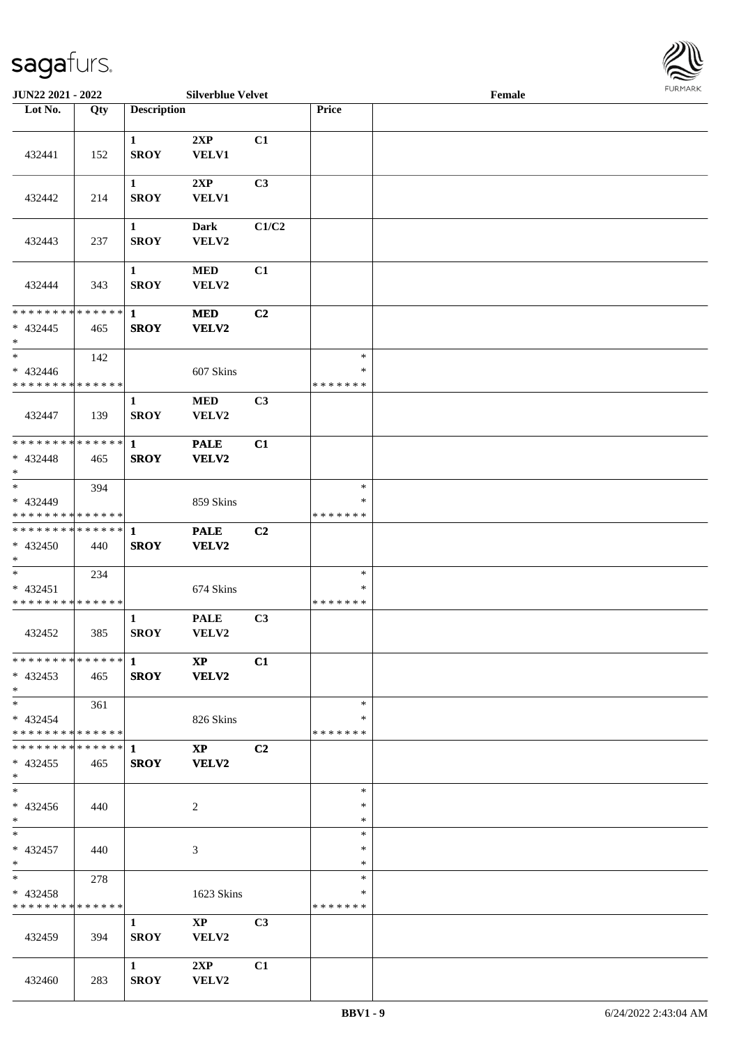

| <b>JUN22 2021 - 2022</b>                               |       |                             | <b>Silverblue Velvet</b>              |                |                                   | Female |  |
|--------------------------------------------------------|-------|-----------------------------|---------------------------------------|----------------|-----------------------------------|--------|--|
| Lot No.                                                | Qty   | <b>Description</b>          |                                       |                | Price                             |        |  |
|                                                        |       |                             |                                       |                |                                   |        |  |
| 432441                                                 | 152   | $\mathbf{1}$<br><b>SROY</b> | 2XP<br>VELV1                          | C1             |                                   |        |  |
| 432442                                                 | 214   | $\mathbf{1}$<br><b>SROY</b> | 2XP<br><b>VELV1</b>                   | C3             |                                   |        |  |
| 432443                                                 | 237   | $\mathbf{1}$<br><b>SROY</b> | <b>Dark</b><br>VELV2                  | C1/C2          |                                   |        |  |
| 432444                                                 | 343   | $\mathbf{1}$<br><b>SROY</b> | <b>MED</b><br>VELV2                   | C1             |                                   |        |  |
| * * * * * * * * * * * * * * *<br>$* 432445$<br>$*$     | 465   | $\mathbf{1}$<br><b>SROY</b> | <b>MED</b><br>VELV2                   | C2             |                                   |        |  |
| $*$<br>$* 432446$<br>* * * * * * * * * * * * * *       | 142   |                             | 607 Skins                             |                | $\ast$<br>$\ast$<br>* * * * * * * |        |  |
| 432447                                                 | 139   | $\mathbf{1}$<br><b>SROY</b> | <b>MED</b><br>VELV2                   | C3             |                                   |        |  |
| * * * * * * * * * * * * * * *<br>* 432448<br>$*$       | 465   | $\mathbf{1}$<br><b>SROY</b> | <b>PALE</b><br>VELV2                  | C1             |                                   |        |  |
| $*$<br>* 432449<br>* * * * * * * * * * * * * *         | 394   |                             | 859 Skins                             |                | $\ast$<br>$\ast$<br>* * * * * * * |        |  |
| * * * * * * * * * * * * * * *<br>$* 432450$<br>$*$     | 440   | $\mathbf{1}$<br><b>SROY</b> | <b>PALE</b><br>VELV2                  | C2             |                                   |        |  |
| $*$<br>* 432451<br>* * * * * * * * * * * * * *         | 234   |                             | 674 Skins                             |                | $\ast$<br>$\ast$<br>*******       |        |  |
| 432452                                                 | 385   | $\mathbf{1}$<br><b>SROY</b> | <b>PALE</b><br>VELV2                  | C3             |                                   |        |  |
| $* 432453$<br>$*$ $*$                                  | 465   |                             | $\mathbf{X} \mathbf{P}$<br>SROY VELV2 | C1             |                                   |        |  |
| $*$ $-$<br>* 432454<br>* * * * * * * * * * * * * * *   | 361   |                             | 826 Skins                             |                | $\ast$<br>∗<br>* * * * * * *      |        |  |
| ************** 1<br>$* 432455$<br>$*$                  | - 465 | <b>SROY</b>                 | $\mathbf{X}\mathbf{P}$<br>VELV2       | C <sub>2</sub> |                                   |        |  |
| $*$<br>$* 432456$<br>$*$                               | 440   |                             | 2                                     |                | $\ast$<br>∗<br>$\ast$             |        |  |
| $*$ $*$<br>* 432457<br>$*$ $*$                         | 440   |                             | 3                                     |                | $\ast$<br>$\ast$<br>$\ast$        |        |  |
| $*$ and $*$<br>* 432458<br>* * * * * * * * * * * * * * | 278   |                             | 1623 Skins                            |                | $\ast$<br>$\ast$<br>*******       |        |  |
| 432459                                                 | 394   | $\mathbf{1}$<br><b>SROY</b> | $\mathbf{XP}$<br>VELV2                | C <sub>3</sub> |                                   |        |  |
| 432460                                                 | 283   | $\mathbf{1}$<br><b>SROY</b> | 2XP<br>VELV2                          | C1             |                                   |        |  |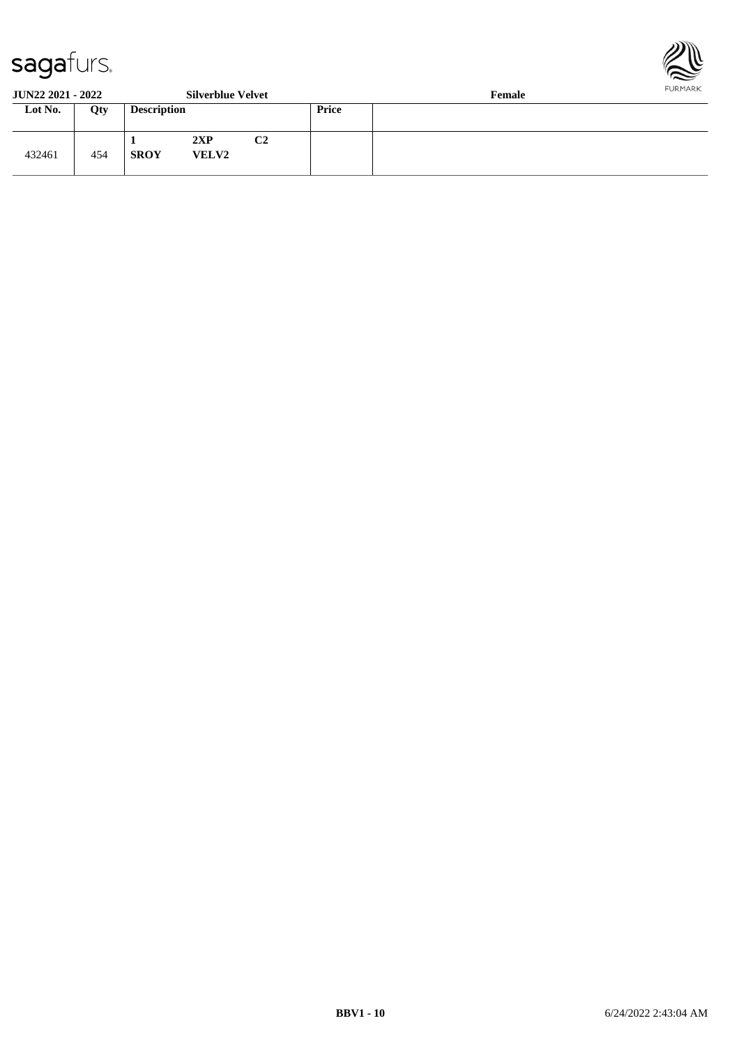

**JUN22 2021 - 2022 Silverblue Velvet Female**

| 001122 2021 2022 |     |                    | $0.41$ , $0.440$ , $0.170$ |    | $\sim$ values $\sim$ |  |  |  |
|------------------|-----|--------------------|----------------------------|----|----------------------|--|--|--|
| Lot No.          | Qty | <b>Description</b> |                            |    | Price                |  |  |  |
| 432461           | 454 | <b>SROY</b>        | 2XP<br><b>VELV2</b>        | C2 |                      |  |  |  |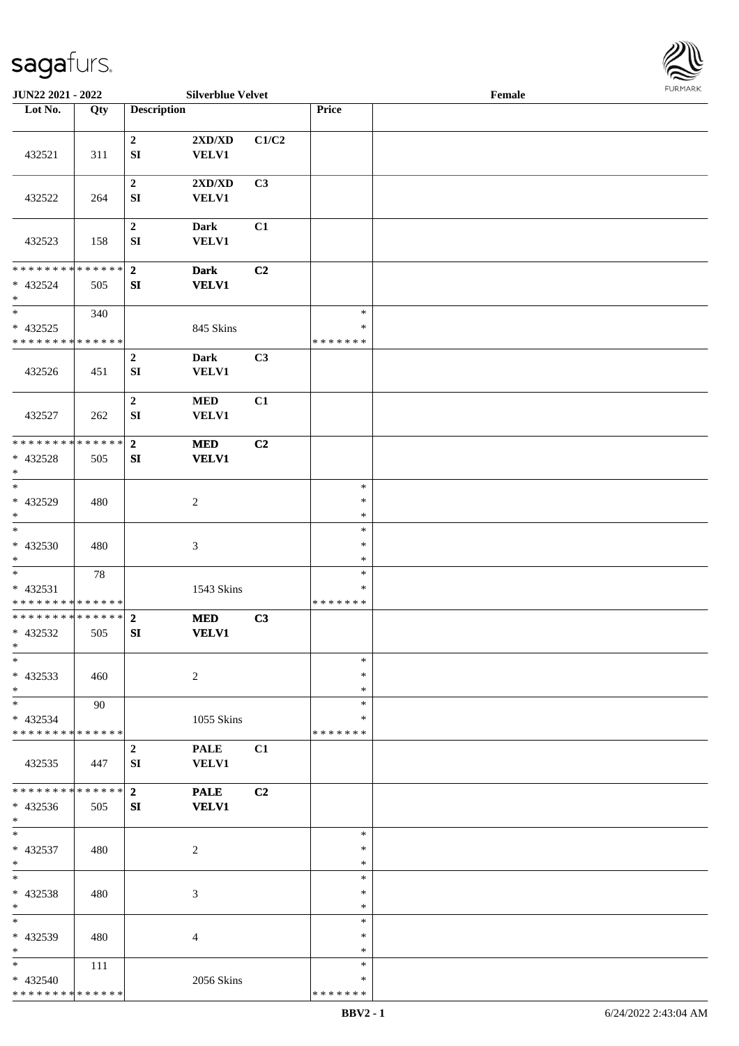

| JUN22 2021 - 2022                                   |        |                                | <b>Silverblue Velvet</b>    |       |                                   | Female |  |
|-----------------------------------------------------|--------|--------------------------------|-----------------------------|-------|-----------------------------------|--------|--|
| Lot No.                                             | Qty    | <b>Description</b>             |                             |       | Price                             |        |  |
|                                                     |        |                                |                             |       |                                   |        |  |
| 432521                                              | 311    | $\boldsymbol{2}$<br>${\bf SI}$ | 2XD/XD<br><b>VELV1</b>      | C1/C2 |                                   |        |  |
| 432522                                              | 264    | $\boldsymbol{2}$<br>SI         | 2XD/XD<br><b>VELV1</b>      | C3    |                                   |        |  |
| 432523                                              | 158    | $\boldsymbol{2}$<br>${\bf SI}$ | <b>Dark</b><br><b>VELV1</b> | C1    |                                   |        |  |
| * * * * * * * * * * * * * * *<br>* 432524<br>$\ast$ | 505    | $\overline{2}$<br>SI           | <b>Dark</b><br><b>VELV1</b> | C2    |                                   |        |  |
| $\ast$<br>$* 432525$<br>* * * * * * * * * * * * * * | 340    |                                | 845 Skins                   |       | $\ast$<br>$\ast$<br>* * * * * * * |        |  |
| 432526                                              | 451    | $\mathbf 2$<br>SI              | <b>Dark</b><br><b>VELV1</b> | C3    |                                   |        |  |
| 432527                                              | 262    | $\boldsymbol{2}$<br>${\bf SI}$ | $\bf MED$<br><b>VELV1</b>   | C1    |                                   |        |  |
| * * * * * * * * * * * * * *<br>* 432528<br>$\ast$   | 505    | $\mathbf{2}$<br>SI             | <b>MED</b><br><b>VELV1</b>  | C2    |                                   |        |  |
| $_{*}$<br>* 432529<br>$\ast$                        | 480    |                                | $\overline{2}$              |       | $\ast$<br>$\ast$<br>$\ast$        |        |  |
| $\ast$<br>$* 432530$<br>$\ast$                      | 480    |                                | $\ensuremath{\mathfrak{Z}}$ |       | $\ast$<br>$\ast$<br>$\ast$        |        |  |
| $\ast$<br>$* 432531$<br>* * * * * * * * * * * * * * | $78\,$ |                                | 1543 Skins                  |       | $\ast$<br>$\ast$<br>* * * * * * * |        |  |
| **************<br>* 432532<br>$*$                   | 505    | $\mathbf{2}$<br>SI             | $\bf MED$<br><b>VELV1</b>   | C3    |                                   |        |  |
| $\ast$<br>* 432533<br>$*$                           | 460    |                                | $\overline{2}$              |       | $\ast$<br>∗<br>$\ast$             |        |  |
| $\ast$<br>$* 432534$<br>* * * * * * * * * * * * * * | 90     |                                | 1055 Skins                  |       | $\ast$<br>*<br>* * * * * * *      |        |  |
| 432535                                              | 447    | $\boldsymbol{2}$<br>SI         | <b>PALE</b><br>VELV1        | C1    |                                   |        |  |
| * * * * * * * * * * * * * * *<br>* 432536<br>$*$    | 505    | 2 <sup>1</sup><br>SI           | <b>PALE</b><br><b>VELV1</b> | C2    |                                   |        |  |
| $*$<br>$* 432537$<br>$*$                            | 480    |                                | $\overline{c}$              |       | $\ast$<br>$\ast$<br>$\ast$        |        |  |
| $\ast$<br>* 432538<br>$\ast$                        | 480    |                                | 3                           |       | $\ast$<br>$\ast$<br>$\ast$        |        |  |
| $\ast$<br>* 432539<br>$\ast$                        | 480    |                                | $\overline{4}$              |       | $\ast$<br>∗<br>$\ast$             |        |  |
| $*$<br>* 432540<br>* * * * * * * * * * * * * *      | 111    |                                | 2056 Skins                  |       | $\ast$<br>*<br>* * * * * * *      |        |  |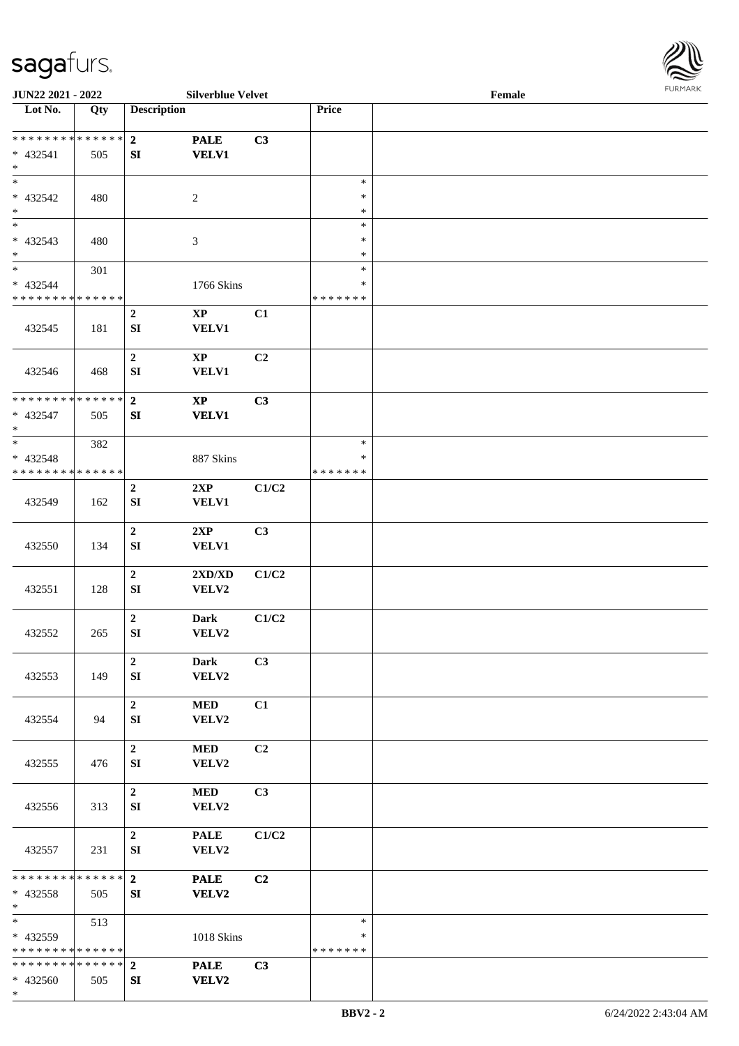

| JUN22 2021 - 2022                    |     |                    | <b>Silverblue Velvet</b> |       |               | Female |  |
|--------------------------------------|-----|--------------------|--------------------------|-------|---------------|--------|--|
| Lot No.                              | Qty | <b>Description</b> |                          |       | Price         |        |  |
|                                      |     |                    |                          |       |               |        |  |
| **************                       |     | $\overline{2}$     | <b>PALE</b>              | C3    |               |        |  |
| * 432541                             | 505 | ${\bf SI}$         | <b>VELV1</b>             |       |               |        |  |
| $\ast$                               |     |                    |                          |       |               |        |  |
| $\ast$                               |     |                    |                          |       | $\ast$        |        |  |
| * 432542                             | 480 |                    | $\overline{2}$           |       | $\ast$        |        |  |
| $\ast$                               |     |                    |                          |       | $\ast$        |        |  |
| $\overline{\phantom{0}}$             |     |                    |                          |       | $\ast$        |        |  |
|                                      |     |                    |                          |       |               |        |  |
| $* 432543$                           | 480 |                    | $\mathfrak{Z}$           |       | $\ast$        |        |  |
| $\ast$<br>$\overline{\phantom{a}^*}$ |     |                    |                          |       | $\ast$        |        |  |
|                                      | 301 |                    |                          |       | $\ast$        |        |  |
| * 432544                             |     |                    | 1766 Skins               |       | $\ast$        |        |  |
| * * * * * * * * * * * * * *          |     |                    |                          |       | * * * * * * * |        |  |
|                                      |     | $\mathbf 2$        | $\mathbf{X}\mathbf{P}$   | C1    |               |        |  |
| 432545                               | 181 | SI                 | <b>VELV1</b>             |       |               |        |  |
|                                      |     |                    |                          |       |               |        |  |
|                                      |     | $\mathbf 2$        | $\mathbf{X}\mathbf{P}$   | C2    |               |        |  |
| 432546                               | 468 | ${\bf SI}$         | <b>VELV1</b>             |       |               |        |  |
|                                      |     |                    |                          |       |               |        |  |
| * * * * * * * * * * * * * *          |     | $\overline{2}$     | $\mathbf{XP}$            | C3    |               |        |  |
| * 432547                             | 505 | ${\bf SI}$         | <b>VELV1</b>             |       |               |        |  |
| $\ast$                               |     |                    |                          |       |               |        |  |
| $\ast$                               | 382 |                    |                          |       | $\ast$        |        |  |
| * 432548                             |     |                    | 887 Skins                |       | $\ast$        |        |  |
| * * * * * * * * * * * * * *          |     |                    |                          |       | * * * * * * * |        |  |
|                                      |     | $\boldsymbol{2}$   | 2XP                      | C1/C2 |               |        |  |
| 432549                               | 162 | SI                 | <b>VELV1</b>             |       |               |        |  |
|                                      |     |                    |                          |       |               |        |  |
|                                      |     |                    |                          | C3    |               |        |  |
|                                      |     | $\boldsymbol{2}$   | 2XP                      |       |               |        |  |
| 432550                               | 134 | ${\bf SI}$         | <b>VELV1</b>             |       |               |        |  |
|                                      |     |                    |                          |       |               |        |  |
|                                      |     | $\overline{2}$     | 2XD/XD                   | C1/C2 |               |        |  |
| 432551                               | 128 | SI                 | VELV2                    |       |               |        |  |
|                                      |     |                    |                          |       |               |        |  |
|                                      |     | $\mathbf 2$        | <b>Dark</b>              | C1/C2 |               |        |  |
| 432552                               | 265 | ${\bf SI}$         | VELV2                    |       |               |        |  |
|                                      |     |                    |                          |       |               |        |  |
|                                      |     | $\mathbf 2$        | <b>Dark</b>              | C3    |               |        |  |
| 432553                               | 149 | SI                 | VELV2                    |       |               |        |  |
|                                      |     |                    |                          |       |               |        |  |
|                                      |     | $\mathbf 2$        | <b>MED</b>               | C1    |               |        |  |
| 432554                               | 94  | SI                 | VELV2                    |       |               |        |  |
|                                      |     |                    |                          |       |               |        |  |
|                                      |     | $\boldsymbol{2}$   | <b>MED</b>               | C2    |               |        |  |
| 432555                               | 476 | SI                 | VELV2                    |       |               |        |  |
|                                      |     |                    |                          |       |               |        |  |
|                                      |     | $\mathbf 2$        | <b>MED</b>               | C3    |               |        |  |
| 432556                               | 313 | SI                 | VELV2                    |       |               |        |  |
|                                      |     |                    |                          |       |               |        |  |
|                                      |     | $\boldsymbol{2}$   | <b>PALE</b>              | C1/C2 |               |        |  |
| 432557                               | 231 | SI                 | VELV2                    |       |               |        |  |
|                                      |     |                    |                          |       |               |        |  |
| ******** <mark>******</mark>         |     | $\overline{2}$     | <b>PALE</b>              | C2    |               |        |  |
| * 432558                             | 505 | SI                 | <b>VELV2</b>             |       |               |        |  |
| $*$                                  |     |                    |                          |       |               |        |  |
| $\ast$                               |     |                    |                          |       | $\ast$        |        |  |
|                                      | 513 |                    |                          |       |               |        |  |
| * 432559                             |     |                    | 1018 Skins               |       | ∗             |        |  |
| * * * * * * * * * * * * * *          |     |                    |                          |       | * * * * * * * |        |  |
| * * * * * * * * * * * * * * *        |     | $\overline{2}$     | <b>PALE</b>              | C3    |               |        |  |
| $* 432560$                           | 505 | SI                 | <b>VELV2</b>             |       |               |        |  |
| $\ast$                               |     |                    |                          |       |               |        |  |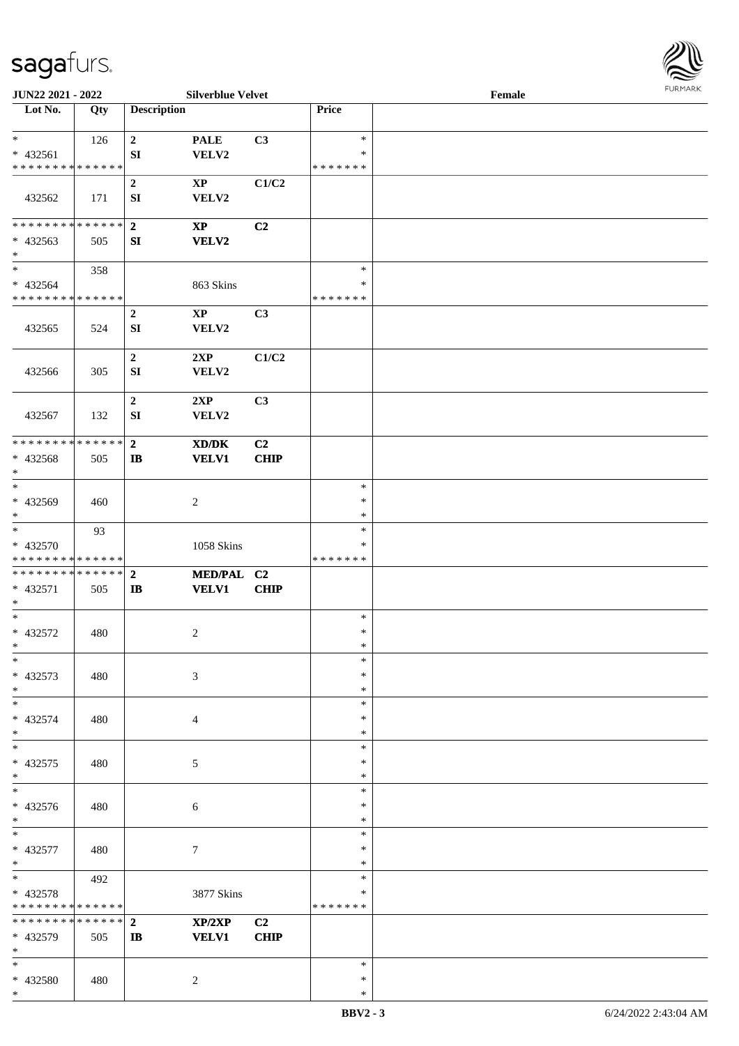\*



| JUN22 2021 - 2022                                            |               |                                         | <b>Silverblue Velvet</b>        |                               |                                   | Female |  |
|--------------------------------------------------------------|---------------|-----------------------------------------|---------------------------------|-------------------------------|-----------------------------------|--------|--|
| Lot No.                                                      | Qty           | <b>Description</b>                      |                                 |                               | Price                             |        |  |
| $\ast$<br>* 432561                                           | 126           | $\boldsymbol{2}$<br>${\bf S}{\bf I}$    | <b>PALE</b><br>VELV2            | C3                            | $\ast$<br>$\ast$                  |        |  |
| * * * * * * * * * * * * * *<br>432562                        | 171           | $\boldsymbol{2}$<br>SI                  | $\mathbf{X}\mathbf{P}$<br>VELV2 | C1/C2                         | * * * * * * *                     |        |  |
| **************<br>$* 432563$<br>$\ast$                       | 505           | $\overline{2}$<br>SI                    | $\mathbf{XP}$<br><b>VELV2</b>   | C <sub>2</sub>                |                                   |        |  |
| $\overline{\ast}$<br>* 432564<br>* * * * * * * * * * * * * * | 358           |                                         | 863 Skins                       |                               | $\ast$<br>$\ast$<br>* * * * * * * |        |  |
| 432565                                                       | 524           | $\boldsymbol{2}$<br>SI                  | $\mathbf{X}\mathbf{P}$<br>VELV2 | C3                            |                                   |        |  |
| 432566                                                       | 305           | $\overline{2}$<br>SI                    | 2XP<br>VELV2                    | C1/C2                         |                                   |        |  |
| 432567                                                       | 132           | $\boldsymbol{2}$<br>${\bf SI}$          | 2XP<br>VELV2                    | C3                            |                                   |        |  |
| * * * * * * * *<br>* 432568<br>$\ast$                        | ******<br>505 | $\overline{2}$<br>$\mathbf{I}$          | XD/DK<br><b>VELV1</b>           | C2<br>CHIP                    |                                   |        |  |
| $\ast$<br>* 432569<br>$\ast$                                 | 460           |                                         | $\overline{c}$                  |                               | $\ast$<br>$\ast$<br>$\ast$        |        |  |
| $\ast$<br>* 432570<br>* * * * * * * * * * * * * *            | 93            |                                         | 1058 Skins                      |                               | $\ast$<br>*<br>* * * * * * *      |        |  |
| **************<br>* 432571<br>$\ast$                         | 505           | $\overline{2}$<br>$\mathbf{I}$          | MED/PAL C2<br><b>VELV1</b>      | CHIP                          |                                   |        |  |
| $\ast$<br>$* 432572$<br>$*$                                  | 480           |                                         | $\sqrt{2}$                      |                               | $\ast$<br>$\ast$<br>$\ast$        |        |  |
| $*$<br>* 432573<br>$*$                                       | 480           |                                         | $\mathfrak{Z}$                  |                               | $\ast$<br>$\ast$<br>$\ast$        |        |  |
| $\ast$<br>* 432574<br>$\ast$                                 | 480           |                                         | $\overline{4}$                  |                               | $\ast$<br>$\ast$<br>$\ast$        |        |  |
| $\ast$<br>$* 432575$<br>$\ast$                               | 480           |                                         | $\mathfrak{S}$                  |                               | $\ast$<br>$\ast$<br>$\ast$        |        |  |
| $\overline{\phantom{1}}$<br>* 432576<br>$*$                  | 480           |                                         | $\sqrt{6}$                      |                               | $\ast$<br>$\ast$<br>$\ast$        |        |  |
| $*$<br>* 432577<br>$\ast$                                    | 480           |                                         | $\boldsymbol{7}$                |                               | $\ast$<br>$\ast$<br>$\ast$        |        |  |
| $\overline{\ast}$<br>* 432578<br>* * * * * * * * * * * * * * | 492           |                                         | 3877 Skins                      |                               | $\ast$<br>$\ast$<br>* * * * * * * |        |  |
| * * * * * * * * * * * * * *<br>* 432579<br>$*$               | 505           | $\overline{2}$<br>$\mathbf{I}$ <b>B</b> | XP/2XP<br><b>VELV1</b>          | C <sub>2</sub><br><b>CHIP</b> |                                   |        |  |
| $\ast$<br>* 432580<br>$*$                                    | 480           |                                         | $\overline{c}$                  |                               | $\ast$<br>$\ast$<br>*             |        |  |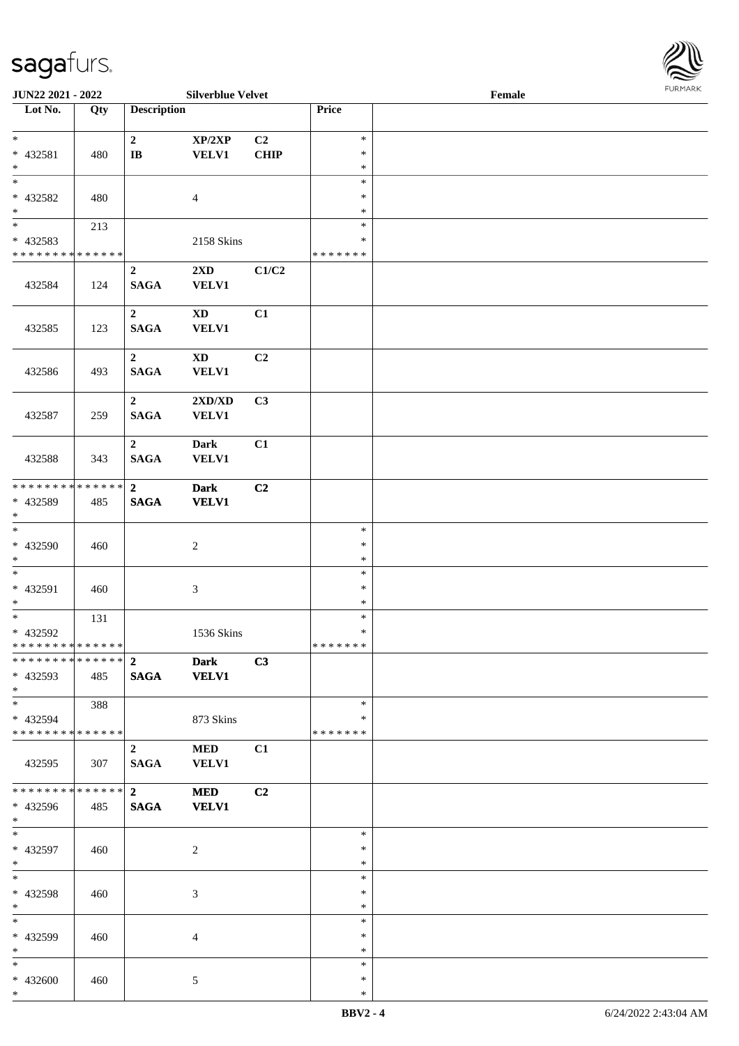

| JUN22 2021 - 2022           |                   |                         | <b>Silverblue Velvet</b> |             |                  | Female |  |
|-----------------------------|-------------------|-------------------------|--------------------------|-------------|------------------|--------|--|
| Lot No.                     | $\overline{Q}$ ty | <b>Description</b>      |                          |             | Price            |        |  |
|                             |                   |                         |                          |             |                  |        |  |
| $\ast$                      |                   | $\mathbf 2$             | XP/2XP                   | C2          | $\ast$           |        |  |
| * 432581<br>$\ast$          | 480               | $\bf I\bf B$            | <b>VELV1</b>             | <b>CHIP</b> | $\ast$<br>$\ast$ |        |  |
| $\overline{\phantom{0}}$    |                   |                         |                          |             | $\ast$           |        |  |
| * 432582                    | 480               |                         | $\overline{4}$           |             | ∗                |        |  |
| $*$                         |                   |                         |                          |             | $\ast$           |        |  |
| $\overline{\phantom{0}}$    | 213               |                         |                          |             | $\ast$           |        |  |
| $* 432583$                  |                   |                         | 2158 Skins               |             | $\ast$           |        |  |
| * * * * * * * * * * * * * * |                   |                         |                          |             | * * * * * * *    |        |  |
|                             |                   | $\boldsymbol{2}$        | $2{\bf X}{\bf D}$        | C1/C2       |                  |        |  |
| 432584                      | 124               | <b>SAGA</b>             | <b>VELV1</b>             |             |                  |        |  |
|                             |                   |                         |                          |             |                  |        |  |
|                             |                   | $\boldsymbol{2}$        | $\mathbf{X}\mathbf{D}$   | C1          |                  |        |  |
| 432585                      | 123               | <b>SAGA</b>             | <b>VELV1</b>             |             |                  |        |  |
|                             |                   |                         |                          |             |                  |        |  |
|                             |                   | $\boldsymbol{2}$        | $\mathbf{X}\mathbf{D}$   | C2          |                  |        |  |
| 432586                      | 493               | <b>SAGA</b>             | VELV1                    |             |                  |        |  |
|                             |                   |                         |                          |             |                  |        |  |
|                             |                   | $\overline{2}$          | 2XD/XD                   | C3          |                  |        |  |
| 432587                      | 259               | <b>SAGA</b>             | VELV1                    |             |                  |        |  |
|                             |                   |                         |                          |             |                  |        |  |
|                             |                   | $\mathbf 2$             | <b>Dark</b>              | C1          |                  |        |  |
| 432588                      | 343               | <b>SAGA</b>             | <b>VELV1</b>             |             |                  |        |  |
| * * * * * * * * * * * * * * |                   | $\overline{2}$          | <b>Dark</b>              | C2          |                  |        |  |
| * 432589                    | 485               | <b>SAGA</b>             | <b>VELV1</b>             |             |                  |        |  |
| $*$                         |                   |                         |                          |             |                  |        |  |
| $\overline{\phantom{0}}$    |                   |                         |                          |             | $\ast$           |        |  |
| $* 432590$                  | 460               |                         | $\boldsymbol{2}$         |             | $\ast$           |        |  |
| $*$                         |                   |                         |                          |             | $\ast$           |        |  |
| $\ast$                      |                   |                         |                          |             | $\ast$           |        |  |
| $* 432591$                  | 460               |                         | $\mathfrak{Z}$           |             | $\ast$           |        |  |
| $*$                         |                   |                         |                          |             | $\ast$           |        |  |
| $\overline{\phantom{0}}$    | 131               |                         |                          |             | $\ast$           |        |  |
| * 432592                    |                   |                         | 1536 Skins               |             | $\ast$           |        |  |
| * * * * * * * * * * * * * * |                   |                         |                          |             | *******          |        |  |
| ************** 2            |                   |                         | <b>Dark</b>              | C3          |                  |        |  |
| * 432593                    | 485               | <b>SAGA</b>             | <b>VELV1</b>             |             |                  |        |  |
| $*$                         |                   |                         |                          |             |                  |        |  |
| $*$ $*$                     | 388               |                         |                          |             | $\ast$           |        |  |
| * 432594                    |                   |                         | 873 Skins                |             | ∗                |        |  |
| * * * * * * * * * * * * * * |                   |                         |                          |             | * * * * * * *    |        |  |
|                             |                   | $\overline{2}$          | <b>MED</b>               | C1          |                  |        |  |
| 432595                      | 307               | <b>SAGA</b>             | <b>VELV1</b>             |             |                  |        |  |
| **************              |                   | $\overline{\mathbf{2}}$ | <b>MED</b>               | C2          |                  |        |  |
| * 432596                    | 485               | <b>SAGA</b>             | <b>VELV1</b>             |             |                  |        |  |
| $*$ $*$                     |                   |                         |                          |             |                  |        |  |
| $*$                         |                   |                         |                          |             | $\ast$           |        |  |
| * 432597                    | 460               |                         | $\overline{c}$           |             | $\ast$           |        |  |
| $*$                         |                   |                         |                          |             | $\ast$           |        |  |
| $*$                         |                   |                         |                          |             | $\ast$           |        |  |
| * 432598                    | 460               |                         | 3                        |             | $\ast$           |        |  |
| $*$                         |                   |                         |                          |             | $\ast$           |        |  |
| $*$                         |                   |                         |                          |             | $\ast$           |        |  |
| * 432599                    | 460               |                         | $\overline{4}$           |             | ∗                |        |  |
| $*$                         |                   |                         |                          |             | $\ast$           |        |  |
| $*$                         |                   |                         |                          |             | $\ast$           |        |  |
| * 432600                    | 460               |                         | 5                        |             | $\ast$           |        |  |
| $*$                         |                   |                         |                          |             | $\ast$           |        |  |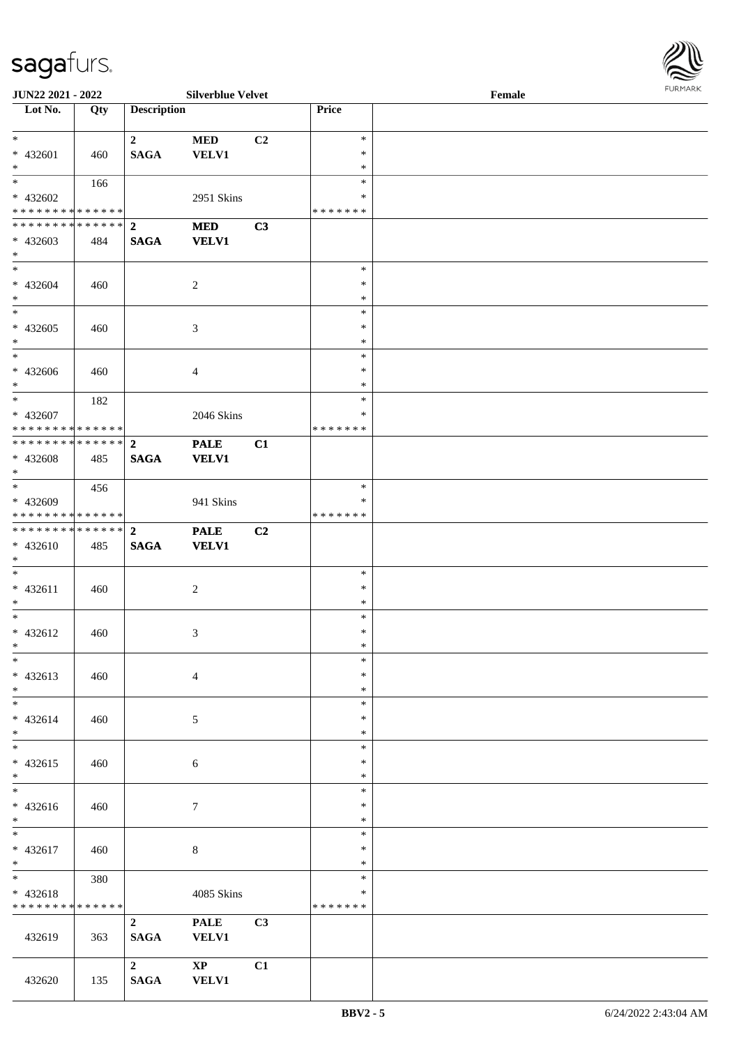

| <b>JUN22 2021 - 2022</b>                               |             |                    | <b>Silverblue Velvet</b> |    |               | Female |  |
|--------------------------------------------------------|-------------|--------------------|--------------------------|----|---------------|--------|--|
| Lot No.                                                | Qty         | <b>Description</b> |                          |    | Price         |        |  |
|                                                        |             |                    |                          |    |               |        |  |
| $*$                                                    |             | $\mathbf{2}$       | <b>MED</b>               | C2 | $\ast$        |        |  |
| $* 432601$                                             | 460         | <b>SAGA</b>        | <b>VELV1</b>             |    | $\ast$        |        |  |
| $*$                                                    |             |                    |                          |    | $\ast$        |        |  |
| $\overline{\mathbf{r}}$                                | 166         |                    |                          |    | $\ast$        |        |  |
| * 432602                                               |             |                    | 2951 Skins               |    | ∗             |        |  |
| * * * * * * * * <mark>* * * * * *</mark> *             |             |                    |                          |    | * * * * * * * |        |  |
|                                                        |             |                    | <b>MED</b>               | C3 |               |        |  |
| * 432603                                               | 484         | <b>SAGA</b>        | <b>VELV1</b>             |    |               |        |  |
| $*$                                                    |             |                    |                          |    |               |        |  |
| $\ddot{x}$                                             |             |                    |                          |    | $\ast$        |        |  |
| * 432604                                               | 460         |                    | $\overline{c}$           |    | $\ast$        |        |  |
| $*$                                                    |             |                    |                          |    | $\ast$        |        |  |
| $\overline{\ast}$                                      |             |                    |                          |    | $\ast$        |        |  |
| * 432605                                               | 460         |                    | $\mathfrak{Z}$           |    | $\ast$        |        |  |
| $*$                                                    |             |                    |                          |    | $\ast$        |        |  |
|                                                        |             |                    |                          |    | $\ast$        |        |  |
| * 432606                                               |             |                    |                          |    | $\ast$        |        |  |
| $*$                                                    | 460         |                    | $\overline{4}$           |    | $\ast$        |        |  |
| $\ddot{x}$                                             |             |                    |                          |    | $\ast$        |        |  |
|                                                        | 182         |                    |                          |    | $\ast$        |        |  |
| * 432607<br>* * * * * * * * <mark>* * * * * * *</mark> |             |                    | 2046 Skins               |    | *******       |        |  |
|                                                        |             |                    |                          |    |               |        |  |
|                                                        |             |                    | <b>PALE</b>              | C1 |               |        |  |
| * 432608                                               | 485         | <b>SAGA</b>        | <b>VELV1</b>             |    |               |        |  |
| $\ast$<br>$\ast$                                       |             |                    |                          |    |               |        |  |
|                                                        | 456         |                    |                          |    | $\ast$        |        |  |
| * 432609                                               |             |                    | 941 Skins                |    | ∗             |        |  |
| * * * * * * * * <mark>* * * * * *</mark> *             |             |                    |                          |    | * * * * * * * |        |  |
|                                                        |             |                    | <b>PALE</b>              | C2 |               |        |  |
| * 432610                                               | 485         | <b>SAGA</b>        | <b>VELV1</b>             |    |               |        |  |
| $*$                                                    |             |                    |                          |    |               |        |  |
| $\ddot{x}$                                             |             |                    |                          |    | $\ast$        |        |  |
| $* 432611$                                             | 460         |                    | 2                        |    | $\ast$        |        |  |
| $*$                                                    |             |                    |                          |    | $\ast$        |        |  |
| $*$                                                    |             |                    |                          |    | $\ast$        |        |  |
| $* 432612$                                             | 460         |                    | $\mathfrak{Z}$           |    | $\ast$        |        |  |
| $*$ $-$                                                |             |                    |                          |    | $\ast$        |        |  |
| $\ast$                                                 |             |                    |                          |    | $\ast$        |        |  |
| $* 432613$                                             | 460         |                    | $\overline{4}$           |    | $\ast$        |        |  |
| $\ast$                                                 |             |                    |                          |    | $\ast$        |        |  |
| $\ast$                                                 |             |                    |                          |    | $\ast$        |        |  |
| * 432614                                               | 460         |                    | 5                        |    | $\ast$        |        |  |
| $\ast$                                                 |             |                    |                          |    | $\ast$        |        |  |
| $*$                                                    |             |                    |                          |    | $\ast$        |        |  |
| $* 432615$                                             | 460         |                    | 6                        |    | $\ast$        |        |  |
| $*$                                                    |             |                    |                          |    | $\ast$        |        |  |
|                                                        |             |                    |                          |    | $\ast$        |        |  |
| * 432616                                               | 460         |                    | $\tau$                   |    | $\ast$        |        |  |
| $*$                                                    |             |                    |                          |    | $\ast$        |        |  |
| $*$                                                    |             |                    |                          |    | $\ast$        |        |  |
| $* 432617$                                             | 460         |                    | 8                        |    | $\ast$        |        |  |
| $*$                                                    |             |                    |                          |    | $\ast$        |        |  |
| $\ddot{x}$                                             | 380         |                    |                          |    | $\ast$        |        |  |
| $* 432618$                                             |             |                    | 4085 Skins               |    | $\ast$        |        |  |
| * * * * * * * *                                        | * * * * * * |                    |                          |    | * * * * * * * |        |  |
|                                                        |             | $\overline{2}$     |                          |    |               |        |  |
|                                                        |             |                    | <b>PALE</b>              | C3 |               |        |  |
| 432619                                                 | 363         | <b>SAGA</b>        | <b>VELV1</b>             |    |               |        |  |
|                                                        |             |                    |                          |    |               |        |  |
|                                                        |             | $\mathbf{2}$       | $\mathbf{XP}$            | C1 |               |        |  |
| 432620                                                 | 135         | <b>SAGA</b>        | <b>VELV1</b>             |    |               |        |  |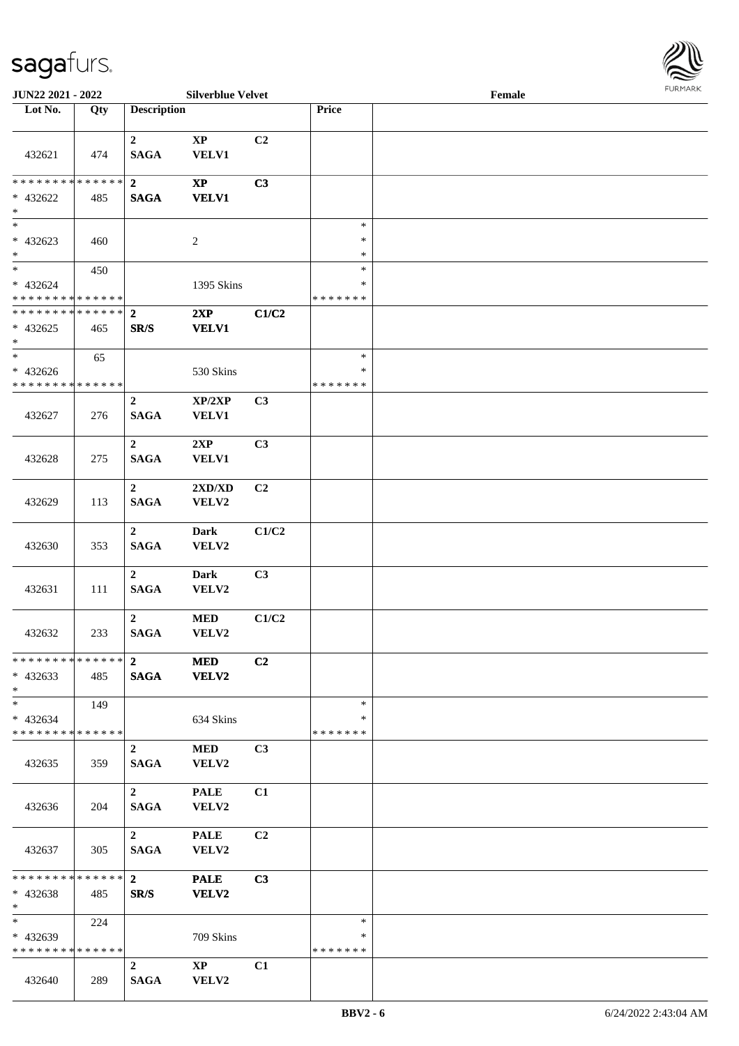

| JUN22 2021 - 2022                                      |     |                                 | <b>Silverblue Velvet</b>        |                |                              | Female | $1 \times 1 \times 1 \times 1 \times 1 \times$ |
|--------------------------------------------------------|-----|---------------------------------|---------------------------------|----------------|------------------------------|--------|------------------------------------------------|
| Lot No.                                                | Qty | <b>Description</b>              |                                 |                | Price                        |        |                                                |
| 432621                                                 | 474 | $\overline{2}$<br><b>SAGA</b>   | $\bold{XP}$<br><b>VELV1</b>     | C <sub>2</sub> |                              |        |                                                |
| ******** <mark>******</mark><br>* 432622<br>$\ast$     | 485 | $\overline{2}$<br><b>SAGA</b>   | $\mathbf{XP}$<br><b>VELV1</b>   | C3             |                              |        |                                                |
| $\overline{\phantom{0}}$<br>$* 432623$<br>$*$          | 460 |                                 | 2                               |                | $\ast$<br>$\ast$<br>$\ast$   |        |                                                |
| $*$<br>$* 432624$<br>* * * * * * * * * * * * * *       | 450 |                                 | 1395 Skins                      |                | $\ast$<br>$\ast$<br>*******  |        |                                                |
| * * * * * * * * * * * * * * *<br>$* 432625$<br>$*$     | 465 | $\overline{2}$<br>SR/S          | 2XP<br><b>VELV1</b>             | C1/C2          |                              |        |                                                |
| $*$<br>$* 432626$<br>* * * * * * * * * * * * * *       | 65  |                                 | 530 Skins                       |                | $\ast$<br>$\ast$<br>*******  |        |                                                |
| 432627                                                 | 276 | $\overline{2}$<br><b>SAGA</b>   | XP/2XP<br><b>VELV1</b>          | C3             |                              |        |                                                |
| 432628                                                 | 275 | $\overline{2}$<br><b>SAGA</b>   | 2XP<br><b>VELV1</b>             | C3             |                              |        |                                                |
| 432629                                                 | 113 | $\mathbf{2}$<br><b>SAGA</b>     | 2XD/XD<br>VELV2                 | C2             |                              |        |                                                |
| 432630                                                 | 353 | $\overline{2}$<br><b>SAGA</b>   | <b>Dark</b><br>VELV2            | C1/C2          |                              |        |                                                |
| 432631                                                 | 111 | $\boldsymbol{2}$<br><b>SAGA</b> | <b>Dark</b><br>VELV2            | C3             |                              |        |                                                |
| 432632                                                 | 233 | $\overline{2}$<br><b>SAGA</b>   | $\bf MED$<br>VELV2              | C1/C2          |                              |        |                                                |
| **************<br>$* 432633$<br>$*$                    | 485 | $\overline{2}$<br><b>SAGA</b>   | <b>MED</b><br><b>VELV2</b>      | C2             |                              |        |                                                |
| $*$<br>* 432634<br>* * * * * * * * * * * * * * *       | 149 |                                 | 634 Skins                       |                | $\ast$<br>∗<br>*******       |        |                                                |
| 432635                                                 | 359 | $\overline{2}$<br><b>SAGA</b>   | <b>MED</b><br>VELV2             | C3             |                              |        |                                                |
| 432636                                                 | 204 | $2^{\circ}$<br><b>SAGA</b>      | <b>PALE</b><br>VELV2            | C1             |                              |        |                                                |
| 432637                                                 | 305 | $\mathbf{2}$<br><b>SAGA</b>     | <b>PALE</b><br>VELV2            | C <sub>2</sub> |                              |        |                                                |
| * * * * * * * * * * * * * * *<br>* 432638<br>$*$       | 485 | $\mathbf{2}$<br>SR/S            | <b>PALE</b><br>VELV2            | C3             |                              |        |                                                |
| $*$ and $*$<br>* 432639<br>* * * * * * * * * * * * * * | 224 |                                 | 709 Skins                       |                | $\ast$<br>∗<br>* * * * * * * |        |                                                |
| 432640                                                 | 289 | $\overline{2}$<br><b>SAGA</b>   | $\mathbf{X}\mathbf{P}$<br>VELV2 | C1             |                              |        |                                                |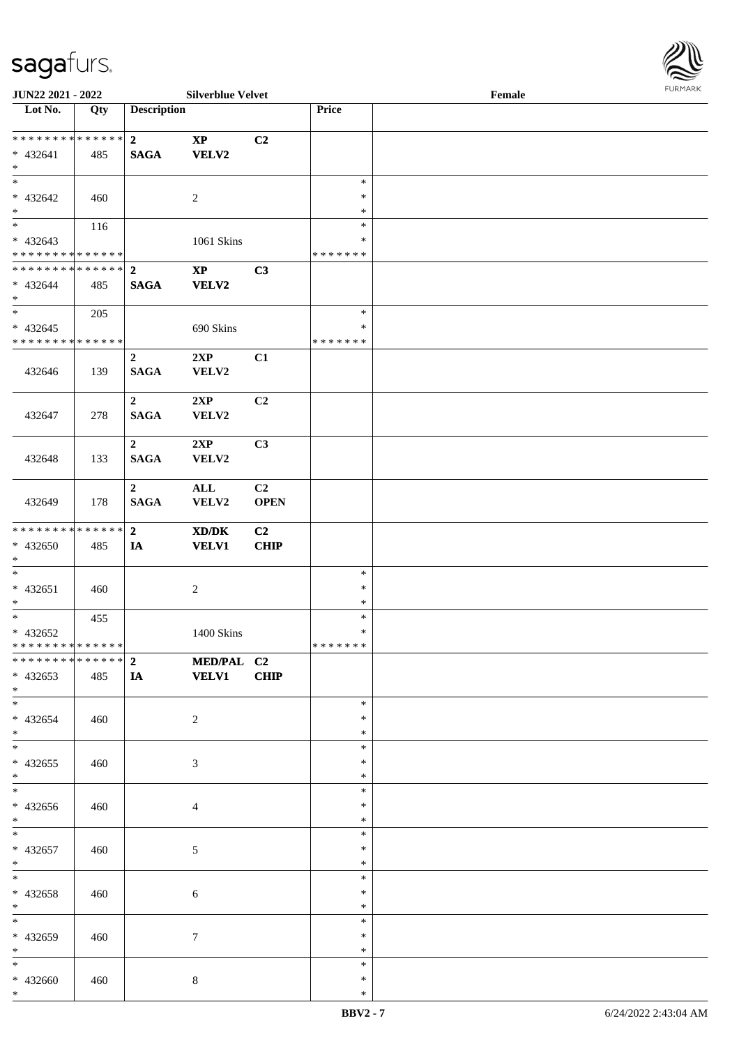\*

| <b>JUN22 2021 - 2022</b>                                                            |     |                               | <b>Silverblue Velvet</b>               |                        |                                   | Female |  |
|-------------------------------------------------------------------------------------|-----|-------------------------------|----------------------------------------|------------------------|-----------------------------------|--------|--|
| Lot No.                                                                             | Qty | <b>Description</b>            |                                        |                        | Price                             |        |  |
| $* 432641$<br>$*$                                                                   | 485 | $2^{\circ}$<br><b>SAGA</b>    | $\mathbf{XP}$<br>VELV2                 | C2                     |                                   |        |  |
| $* 432642$<br>$*$                                                                   | 460 |                               | 2                                      |                        | $\ast$<br>$\ast$<br>$\ast$        |        |  |
| $\overline{\mathbf{r}}$<br>$* 432643$<br>* * * * * * * * <mark>* * * * * * *</mark> | 116 |                               | 1061 Skins                             |                        | $\ast$<br>$\ast$<br>* * * * * * * |        |  |
| ************** 2<br>$* 432644$<br>$*$                                               | 485 | <b>SAGA</b>                   | $\mathbf{X}\mathbf{P}$<br><b>VELV2</b> | C3                     |                                   |        |  |
| $\overline{\ast}$<br>$* 432645$<br>* * * * * * * * <mark>* * * * * * *</mark>       | 205 |                               | 690 Skins                              |                        | $\ast$<br>$\ast$<br>*******       |        |  |
| 432646                                                                              | 139 | $\overline{2}$<br><b>SAGA</b> | 2XP<br>VELV2                           | C1                     |                                   |        |  |
| 432647                                                                              | 278 | $\overline{2}$<br><b>SAGA</b> | 2XP<br>VELV2                           | C2                     |                                   |        |  |
| 432648                                                                              | 133 | $\overline{2}$<br><b>SAGA</b> | 2XP<br>VELV2                           | C3                     |                                   |        |  |
| 432649                                                                              | 178 | $\overline{2}$<br><b>SAGA</b> | $\mathbf{ALL}$<br>VELV2                | C2<br><b>OPEN</b>      |                                   |        |  |
| * * * * * * * * <mark>* * * * * * *</mark><br>* 432650<br>$*$                       | 485 | $\overline{2}$<br>IA          | XD/DK<br><b>VELV1</b>                  | C <sub>2</sub><br>CHIP |                                   |        |  |
| $\ast$<br>$* 432651$<br>$*$                                                         | 460 |                               | $\overline{c}$                         |                        | $\ast$<br>$\ast$<br>$\ast$        |        |  |
| $\overline{\ast}$<br>* 432652<br>* * * * * * * * <mark>* * * * * * *</mark>         | 455 |                               | 1400 Skins                             |                        | $\ast$<br>$\ast$<br>*******       |        |  |
| * * * * * * * * <mark>* * * * * * *</mark><br>$* 432653$<br>$*$                     | 485 | $2^{\circ}$<br><b>IA</b>      | MED/PAL C2<br><b>VELV1</b>             | <b>CHIP</b>            |                                   |        |  |
| $*$<br>$* 432654$<br>$\ast$                                                         | 460 |                               | $\overline{2}$                         |                        | $\ast$<br>$\ast$<br>$\ast$        |        |  |
| $\ddot{x}$<br>* 432655<br>$*$                                                       | 460 |                               | 3                                      |                        | $\ast$<br>$\ast$<br>$\ast$        |        |  |
| * 432656<br>$*$                                                                     | 460 |                               | $\overline{4}$                         |                        | $\ast$<br>$\ast$<br>$\ast$        |        |  |
| $* 432657$<br>$*$                                                                   | 460 |                               | 5                                      |                        | $\ast$<br>$\ast$<br>$\ast$        |        |  |
| $*$<br>* 432658<br>$*$                                                              | 460 |                               | 6                                      |                        | $\ast$<br>$\ast$<br>$\ast$        |        |  |
| $\overline{\phantom{0}}$<br>* 432659<br>$*$                                         | 460 |                               | $\tau$                                 |                        | $\ast$<br>$\ast$<br>$\ast$        |        |  |
| $\ast$<br>* 432660                                                                  | 460 |                               | 8                                      |                        | $\ast$<br>$\ast$                  |        |  |

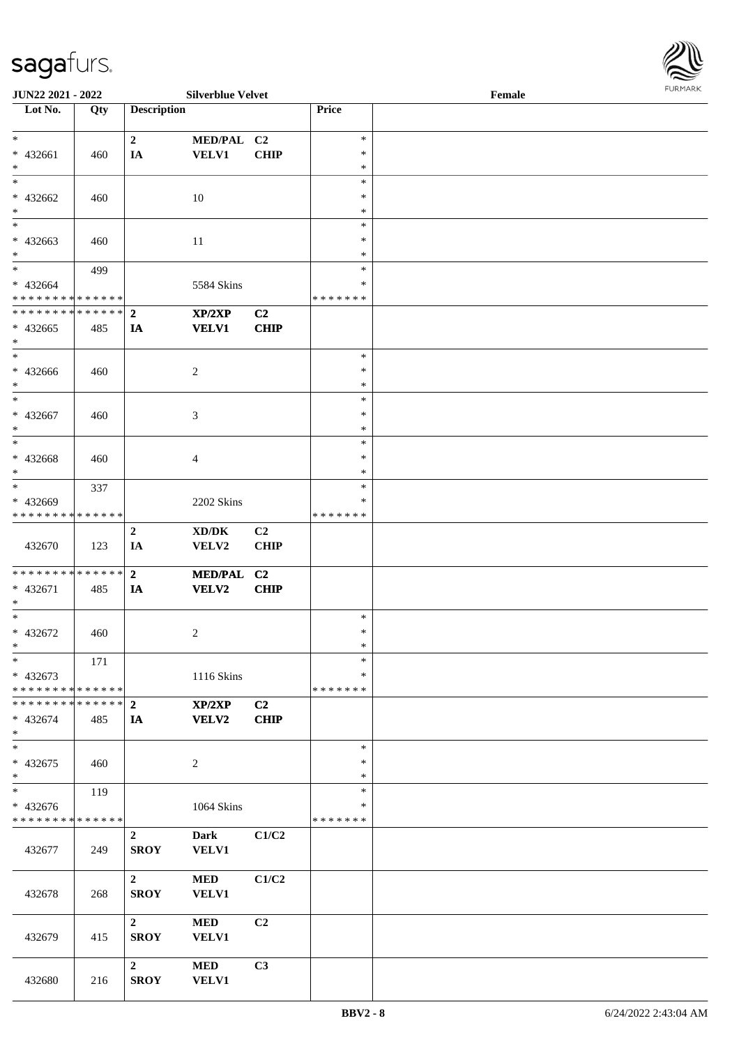| JUN22 2021 - 2022             |     |                    | <b>Silverblue Velvet</b>            |             |               | Female |  |
|-------------------------------|-----|--------------------|-------------------------------------|-------------|---------------|--------|--|
| Lot No.                       | Qty | <b>Description</b> |                                     |             | Price         |        |  |
|                               |     |                    |                                     |             |               |        |  |
| $\ast$                        |     | $\overline{2}$     | MED/PAL C2                          |             | $\ast$        |        |  |
| * 432661                      | 460 | IA                 | <b>VELV1</b>                        | <b>CHIP</b> | $\ast$        |        |  |
| $\ast$                        |     |                    |                                     |             | $\ast$        |        |  |
| $\ast$                        |     |                    |                                     |             | $\ast$        |        |  |
|                               |     |                    |                                     |             |               |        |  |
| * 432662                      | 460 |                    | 10                                  |             | $\ast$        |        |  |
| $\ast$                        |     |                    |                                     |             | $\ast$        |        |  |
| $\overline{\phantom{a}^*}$    |     |                    |                                     |             | $\ast$        |        |  |
| * 432663                      | 460 |                    | 11                                  |             | $\ast$        |        |  |
| $\ast$                        |     |                    |                                     |             | $\ast$        |        |  |
| $\overline{\ast}$             | 499 |                    |                                     |             | $\ast$        |        |  |
| * 432664                      |     |                    | 5584 Skins                          |             | $\ast$        |        |  |
| * * * * * * * * * * * * * * * |     |                    |                                     |             | * * * * * * * |        |  |
| **************                |     | $\mathbf{2}$       | XP/2XP                              | C2          |               |        |  |
|                               |     |                    |                                     |             |               |        |  |
| $* 432665$                    | 485 | IA                 | <b>VELV1</b>                        | CHIP        |               |        |  |
| $\ast$                        |     |                    |                                     |             |               |        |  |
| $\ast$                        |     |                    |                                     |             | $\ast$        |        |  |
| $* 432666$                    | 460 |                    | $\overline{c}$                      |             | $\ast$        |        |  |
| $\ast$                        |     |                    |                                     |             | $\ast$        |        |  |
| $\ast$                        |     |                    |                                     |             | $\ast$        |        |  |
| $* 432667$                    | 460 |                    | 3                                   |             | $\ast$        |        |  |
| $\ast$                        |     |                    |                                     |             | $\ast$        |        |  |
| $\ast$                        |     |                    |                                     |             | $\ast$        |        |  |
| $* 432668$                    | 460 |                    | 4                                   |             | $\ast$        |        |  |
| $\ast$                        |     |                    |                                     |             | $\ast$        |        |  |
| $\ast$                        |     |                    |                                     |             |               |        |  |
|                               | 337 |                    |                                     |             | $\ast$        |        |  |
| * 432669                      |     |                    | 2202 Skins                          |             | $\ast$        |        |  |
| * * * * * * * * * * * * * *   |     |                    |                                     |             | * * * * * * * |        |  |
|                               |     | $\boldsymbol{2}$   | $\bold{X}\bold{D}/\bold{D}\bold{K}$ | C2          |               |        |  |
| 432670                        | 123 | IA                 | VELV2                               | <b>CHIP</b> |               |        |  |
|                               |     |                    |                                     |             |               |        |  |
| **************                |     | $\overline{2}$     | MED/PAL C2                          |             |               |        |  |
| * 432671                      | 485 | IA                 | VELV2                               | CHIP        |               |        |  |
| $\ast$                        |     |                    |                                     |             |               |        |  |
| $\ast$                        |     |                    |                                     |             | $\ast$        |        |  |
|                               |     |                    |                                     |             |               |        |  |
| $* 432672$                    | 460 |                    | 2                                   |             | $\ast$        |        |  |
| $*$                           |     |                    |                                     |             | $\ast$        |        |  |
| $\ast$                        | 171 |                    |                                     |             | $\ast$        |        |  |
| * 432673                      |     |                    | 1116 Skins                          |             | ∗             |        |  |
| * * * * * * * * * * * * * * * |     |                    |                                     |             | * * * * * * * |        |  |
|                               |     |                    | XP/2XP                              | C2          |               |        |  |
| $* 432674$                    | 485 | IA                 | <b>VELV2</b>                        | CHIP        |               |        |  |
| $*$                           |     |                    |                                     |             |               |        |  |
| $\overline{\ast}$             |     |                    |                                     |             | $\ast$        |        |  |
| * 432675                      | 460 |                    |                                     |             | $\ast$        |        |  |
| $\ast$                        |     |                    | $\overline{c}$                      |             | $\ast$        |        |  |
| $\overline{\ast}$             |     |                    |                                     |             |               |        |  |
|                               | 119 |                    |                                     |             | $\ast$        |        |  |
| $* 432676$                    |     |                    | 1064 Skins                          |             | ∗             |        |  |
| * * * * * * * * * * * * * *   |     |                    |                                     |             | * * * * * * * |        |  |
|                               |     | $\mathbf{2}$       | <b>Dark</b>                         | C1/C2       |               |        |  |
| 432677                        | 249 | <b>SROY</b>        | <b>VELV1</b>                        |             |               |        |  |
|                               |     |                    |                                     |             |               |        |  |
|                               |     | 2 <sup>1</sup>     | <b>MED</b>                          | C1/C2       |               |        |  |
| 432678                        | 268 | <b>SROY</b>        | <b>VELV1</b>                        |             |               |        |  |
|                               |     |                    |                                     |             |               |        |  |
|                               |     |                    |                                     |             |               |        |  |
|                               |     | $\overline{2}$     | $\bf MED$                           | C2          |               |        |  |
| 432679                        | 415 | <b>SROY</b>        | <b>VELV1</b>                        |             |               |        |  |
|                               |     |                    |                                     |             |               |        |  |
|                               |     | $\mathbf{2}$       | $\bf MED$                           | C3          |               |        |  |
| 432680                        | 216 | <b>SROY</b>        | <b>VELV1</b>                        |             |               |        |  |